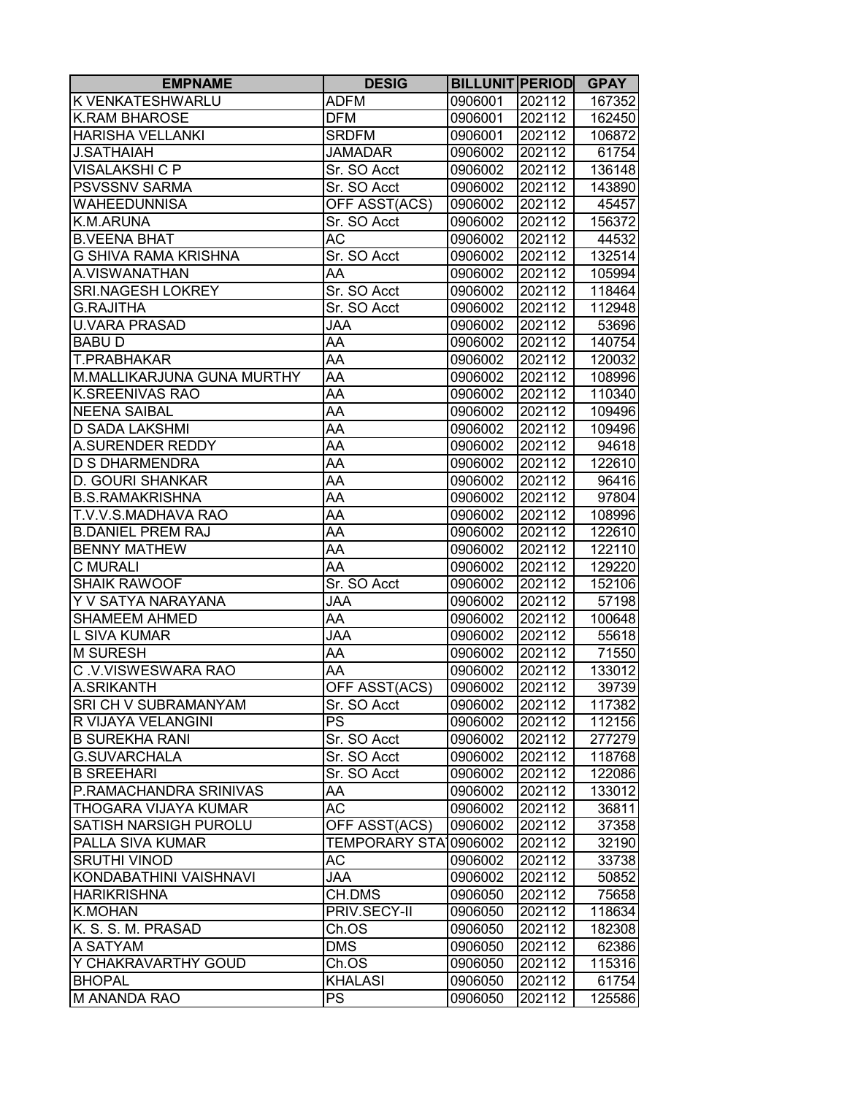| <b>EMPNAME</b>               | <b>DESIG</b>          | <b>BILLUNIT PERIOD</b> |        | <b>GPAY</b> |
|------------------------------|-----------------------|------------------------|--------|-------------|
| <b>K VENKATESHWARLU</b>      | <b>ADFM</b>           | 0906001                | 202112 | 167352      |
| <b>K.RAM BHAROSE</b>         | <b>DFM</b>            | 0906001                | 202112 | 162450      |
| <b>HARISHA VELLANKI</b>      | <b>SRDFM</b>          | 0906001                | 202112 | 106872      |
| <b>J.SATHAIAH</b>            | <b>JAMADAR</b>        | 0906002                | 202112 | 61754       |
| <b>VISALAKSHI C P</b>        | Sr. SO Acct           | 0906002                | 202112 | 136148      |
| <b>PSVSSNV SARMA</b>         | Sr. SO Acct           | 0906002                | 202112 | 143890      |
| <b>WAHEEDUNNISA</b>          | OFF ASST(ACS)         | 0906002                | 202112 | 45457       |
| K.M.ARUNA                    | Sr. SO Acct           | 0906002                | 202112 | 156372      |
| <b>B.VEENA BHAT</b>          | AC                    | 0906002                | 202112 | 44532       |
| <b>G SHIVA RAMA KRISHNA</b>  | Sr. SO Acct           | 0906002                | 202112 | 132514      |
| A.VISWANATHAN                | AA                    | 0906002                | 202112 | 105994      |
| <b>SRI.NAGESH LOKREY</b>     | Sr. SO Acct           | 0906002                | 202112 | 118464      |
| <b>G.RAJITHA</b>             | Sr. SO Acct           | 0906002                | 202112 | 112948      |
| <b>U.VARA PRASAD</b>         | <b>JAA</b>            | 0906002                | 202112 | 53696       |
| <b>BABUD</b>                 | AA                    | 0906002                | 202112 | 140754      |
| <b>T.PRABHAKAR</b>           | AA                    | 0906002                | 202112 | 120032      |
| M.MALLIKARJUNA GUNA MURTHY   | AA                    | 0906002                | 202112 | 108996      |
| <b>K.SREENIVAS RAO</b>       | AA                    | 0906002                | 202112 | 110340      |
| <b>NEENA SAIBAL</b>          | AA                    | 0906002                | 202112 | 109496      |
| <b>D SADA LAKSHMI</b>        | AA                    | 0906002                | 202112 | 109496      |
| <b>A.SURENDER REDDY</b>      | AA                    | 0906002                | 202112 | 94618       |
| <b>D S DHARMENDRA</b>        | AA                    | 0906002                | 202112 | 122610      |
| <b>D. GOURI SHANKAR</b>      | AA                    | 0906002                | 202112 | 96416       |
| <b>B.S.RAMAKRISHNA</b>       | AA                    | 0906002                | 202112 | 97804       |
| T.V.V.S.MADHAVA RAO          | AA                    | 0906002                | 202112 | 108996      |
| <b>B.DANIEL PREM RAJ</b>     | AA                    | 0906002                | 202112 | 122610      |
| <b>BENNY MATHEW</b>          | AA                    | 0906002                | 202112 | 122110      |
| <b>C MURALI</b>              | AA                    | 0906002                | 202112 | 129220      |
| <b>SHAIK RAWOOF</b>          | Sr. SO Acct           | 0906002                | 202112 | 152106      |
| Y V SATYA NARAYANA           | <b>JAA</b>            | 0906002                | 202112 | 57198       |
| <b>SHAMEEM AHMED</b>         | AA                    | 0906002                | 202112 | 100648      |
| <b>L SIVA KUMAR</b>          | <b>JAA</b>            | 0906002                | 202112 | 55618       |
| <b>M SURESH</b>              | AA                    | 0906002                | 202112 | 71550       |
| C.V.VISWESWARA RAO           | AA                    | 0906002                | 202112 | 133012      |
| A.SRIKANTH                   | OFF ASST(ACS)         | 0906002                | 202112 | 39739       |
| <b>SRI CH V SUBRAMANYAM</b>  | Sr. SO Acct           | 0906002                | 202112 | 117382      |
| R VIJAYA VELANGINI           | <b>PS</b>             | 0906002                | 202112 | 112156      |
| <b>B SUREKHA RANI</b>        | Sr. SO Acct           | 0906002                | 202112 | 277279      |
| <b>G.SUVARCHALA</b>          | Sr. SO Acct           | 0906002                | 202112 | 118768      |
| <b>B SREEHARI</b>            | Sr. SO Acct           | 0906002                | 202112 | 122086      |
| P.RAMACHANDRA SRINIVAS       | AA                    | 0906002                | 202112 | 133012      |
| THOGARA VIJAYA KUMAR         | <b>AC</b>             | 0906002                | 202112 | 36811       |
| <b>SATISH NARSIGH PUROLU</b> | OFF ASST(ACS)         | 0906002                | 202112 | 37358       |
| PALLA SIVA KUMAR             | TEMPORARY STA 0906002 |                        | 202112 | 32190       |
| <b>SRUTHI VINOD</b>          | АC                    | 0906002                | 202112 | 33738       |
| KONDABATHINI VAISHNAVI       | <b>JAA</b>            | 0906002                | 202112 | 50852       |
| <b>HARIKRISHNA</b>           | CH.DMS                | 0906050                | 202112 | 75658       |
| <b>K.MOHAN</b>               | PRIV.SECY-II          | 0906050                | 202112 | 118634      |
| K. S. S. M. PRASAD           | Ch.OS                 | 0906050                | 202112 | 182308      |
| A SATYAM                     | <b>DMS</b>            | 0906050                | 202112 | 62386       |
| Y CHAKRAVARTHY GOUD          | Ch.OS                 | 0906050                | 202112 | 115316      |
| <b>BHOPAL</b>                | <b>KHALASI</b>        | 0906050                | 202112 | 61754       |
| <b>M ANANDA RAO</b>          | PS                    | 0906050                | 202112 | 125586      |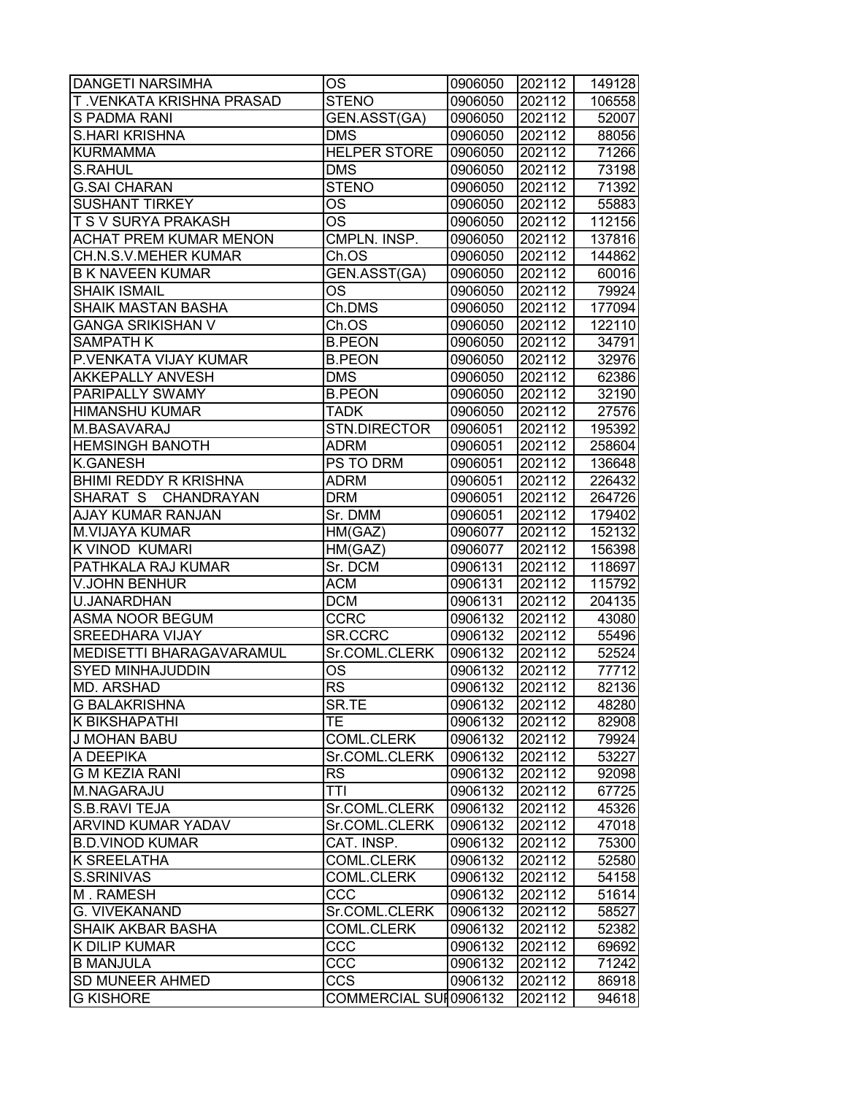| <b>DANGETI NARSIMHA</b>       | <b>OS</b>              | 0906050 | 202112 | 149128 |
|-------------------------------|------------------------|---------|--------|--------|
| T.VENKATA KRISHNA PRASAD      | <b>STENO</b>           | 0906050 | 202112 | 106558 |
| <b>S PADMA RANI</b>           | GEN.ASST(GA)           | 0906050 | 202112 | 52007  |
| <b>S.HARI KRISHNA</b>         | <b>DMS</b>             | 0906050 | 202112 | 88056  |
| <b>KURMAMMA</b>               | <b>HELPER STORE</b>    | 0906050 | 202112 | 71266  |
| <b>S.RAHUL</b>                | $DM\overline{S}$       | 0906050 | 202112 | 73198  |
| <b>G.SAI CHARAN</b>           | <b>STENO</b>           | 0906050 | 202112 | 71392  |
| <b>SUSHANT TIRKEY</b>         | <b>OS</b>              | 0906050 | 202112 | 55883  |
| <b>T S V SURYA PRAKASH</b>    | $\overline{\text{OS}}$ | 0906050 | 202112 | 112156 |
| <b>ACHAT PREM KUMAR MENON</b> | CMPLN. INSP.           | 0906050 | 202112 | 137816 |
| CH.N.S.V.MEHER KUMAR          | Ch.OS                  | 0906050 | 202112 | 144862 |
| <b>B K NAVEEN KUMAR</b>       | GEN.ASST(GA)           | 0906050 | 202112 | 60016  |
| <b>SHAIK ISMAIL</b>           | OS                     | 0906050 | 202112 | 79924  |
| SHAIK MASTAN BASHA            | Ch.DMS                 | 0906050 | 202112 | 177094 |
| <b>GANGA SRIKISHAN V</b>      | Ch.OS                  | 0906050 | 202112 | 122110 |
| <b>SAMPATH K</b>              | <b>B.PEON</b>          | 0906050 | 202112 | 34791  |
| P.VENKATA VIJAY KUMAR         | <b>B.PEON</b>          | 0906050 | 202112 | 32976  |
| <b>AKKEPALLY ANVESH</b>       | <b>DMS</b>             | 0906050 | 202112 | 62386  |
| <b>PARIPALLY SWAMY</b>        | <b>B.PEON</b>          | 0906050 | 202112 | 32190  |
| <b>HIMANSHU KUMAR</b>         | <b>TADK</b>            | 0906050 | 202112 | 27576  |
| M.BASAVARAJ                   | STN.DIRECTOR           | 0906051 | 202112 | 195392 |
| <b>HEMSINGH BANOTH</b>        | <b>ADRM</b>            | 0906051 | 202112 | 258604 |
| <b>K.GANESH</b>               | PS TO DRM              | 0906051 | 202112 | 136648 |
| <b>BHIMI REDDY R KRISHNA</b>  | <b>ADRM</b>            | 0906051 | 202112 | 226432 |
| SHARAT S CHANDRAYAN           | <b>DRM</b>             | 0906051 | 202112 | 264726 |
| AJAY KUMAR RANJAN             | Sr. DMM                | 0906051 | 202112 | 179402 |
| <b>M.VIJAYA KUMAR</b>         | HM(GAZ)                | 0906077 | 202112 | 152132 |
| K VINOD KUMARI                | HM(GAZ)                | 0906077 | 202112 | 156398 |
| PATHKALA RAJ KUMAR            | Sr. DCM                | 0906131 | 202112 | 118697 |
| <b>V.JOHN BENHUR</b>          | <b>ACM</b>             | 0906131 | 202112 | 115792 |
| U.JANARDHAN                   | <b>DCM</b>             | 0906131 | 202112 | 204135 |
| <b>ASMA NOOR BEGUM</b>        | <b>CCRC</b>            | 0906132 | 202112 | 43080  |
| <b>SREEDHARA VIJAY</b>        | SR.CCRC                | 0906132 | 202112 | 55496  |
| MEDISETTI BHARAGAVARAMUL      | Sr.COML.CLERK          | 0906132 | 202112 | 52524  |
| <b>SYED MINHAJUDDIN</b>       | OS                     | 0906132 | 202112 | 77712  |
| <b>MD. ARSHAD</b>             | $\overline{\text{RS}}$ | 0906132 | 202112 | 82136  |
| <b>G BALAKRISHNA</b>          | SR.TE                  | 0906132 | 202112 | 48280  |
| <b>K BIKSHAPATHI</b>          | TЕ                     | 0906132 | 202112 | 82908  |
| <b>J MOHAN BABU</b>           | COML.CLERK             | 0906132 | 202112 | 79924  |
| A DEEPIKA                     | Sr.COML.CLERK          | 0906132 | 202112 | 53227  |
| <b>G M KEZIA RANI</b>         | <b>RS</b>              | 0906132 | 202112 | 92098  |
| M.NAGARAJU                    | TTI                    | 0906132 | 202112 | 67725  |
| S.B.RAVI TEJA                 | Sr.COML.CLERK          | 0906132 | 202112 | 45326  |
| <b>ARVIND KUMAR YADAV</b>     | Sr.COML.CLERK          | 0906132 | 202112 | 47018  |
| <b>B.D.VINOD KUMAR</b>        | CAT. INSP.             | 0906132 | 202112 | 75300  |
| <b>K SREELATHA</b>            | <b>COML.CLERK</b>      | 0906132 | 202112 | 52580  |
| S.SRINIVAS                    | <b>COML.CLERK</b>      | 0906132 | 202112 | 54158  |
| M. RAMESH                     | CCC                    | 0906132 | 202112 | 51614  |
| G. VIVEKANAND                 | Sr.COML.CLERK          | 0906132 | 202112 | 58527  |
| <b>SHAIK AKBAR BASHA</b>      | <b>COML.CLERK</b>      | 0906132 | 202112 | 52382  |
| <b>K DILIP KUMAR</b>          | CCC                    | 0906132 | 202112 | 69692  |
| <b>B MANJULA</b>              | CCC                    | 0906132 | 202112 | 71242  |
| <b>SD MUNEER AHMED</b>        | <b>CCS</b>             | 0906132 | 202112 | 86918  |
| <b>G KISHORE</b>              | COMMERCIAL SUI 0906132 |         | 202112 | 94618  |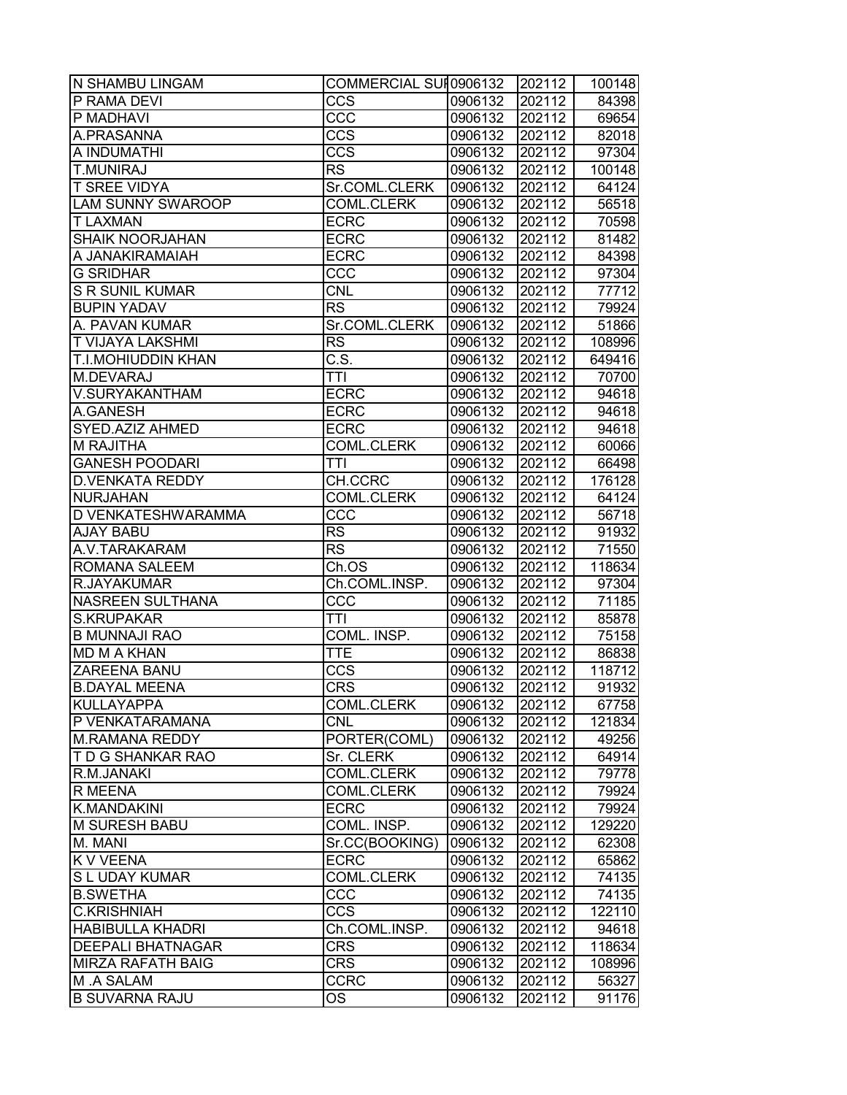| N SHAMBU LINGAM           | COMMERCIAL SUI 0906132 |         | 202112 | 100148 |
|---------------------------|------------------------|---------|--------|--------|
| P RAMA DEVI               | $\overline{ccs}$       | 0906132 | 202112 | 84398  |
| <b>P MADHAVI</b>          | CCC                    | 0906132 | 202112 | 69654  |
| A.PRASANNA                | <b>CCS</b>             | 0906132 | 202112 | 82018  |
| A INDUMATHI               | <b>CCS</b>             | 0906132 | 202112 | 97304  |
| <b>T.MUNIRAJ</b>          | <b>RS</b>              | 0906132 | 202112 | 100148 |
| <b>T SREE VIDYA</b>       | Sr.COML.CLERK          | 0906132 | 202112 | 64124  |
| <b>LAM SUNNY SWAROOP</b>  | <b>COML.CLERK</b>      | 0906132 | 202112 | 56518  |
| <b>T LAXMAN</b>           | <b>ECRC</b>            | 0906132 | 202112 | 70598  |
| <b>SHAIK NOORJAHAN</b>    | <b>ECRC</b>            | 0906132 | 202112 | 81482  |
| A JANAKIRAMAIAH           | <b>ECRC</b>            | 0906132 | 202112 | 84398  |
| <b>G SRIDHAR</b>          | CCC                    | 0906132 | 202112 | 97304  |
| <b>S R SUNIL KUMAR</b>    | <b>CNL</b>             | 0906132 | 202112 | 77712  |
| <b>BUPIN YADAV</b>        | <b>RS</b>              | 0906132 | 202112 | 79924  |
| A. PAVAN KUMAR            | Sr.COML.CLERK          | 0906132 | 202112 | 51866  |
| <b>T VIJAYA LAKSHMI</b>   | <b>RS</b>              | 0906132 | 202112 | 108996 |
| <b>T.I.MOHIUDDIN KHAN</b> | C.S.                   | 0906132 | 202112 | 649416 |
| M.DEVARAJ                 | <b>TTI</b>             | 0906132 | 202112 | 70700  |
| V.SURYAKANTHAM            | <b>ECRC</b>            | 0906132 | 202112 | 94618  |
| A.GANESH                  | <b>ECRC</b>            | 0906132 | 202112 | 94618  |
| SYED.AZIZ AHMED           | <b>ECRC</b>            | 0906132 | 202112 | 94618  |
| <b>M RAJITHA</b>          | <b>COML.CLERK</b>      | 0906132 | 202112 | 60066  |
| <b>GANESH POODARI</b>     | <b>TTI</b>             | 0906132 | 202112 | 66498  |
| <b>D.VENKATA REDDY</b>    | CH.CCRC                | 0906132 | 202112 | 176128 |
| <b>NURJAHAN</b>           | <b>COML.CLERK</b>      | 0906132 | 202112 | 64124  |
| D VENKATESHWARAMMA        | CCC                    | 0906132 | 202112 | 56718  |
| <b>AJAY BABU</b>          | <b>RS</b>              | 0906132 | 202112 | 91932  |
| A.V.TARAKARAM             | <b>RS</b>              | 0906132 | 202112 | 71550  |
| ROMANA SALEEM             | Ch.OS                  | 0906132 | 202112 | 118634 |
| R.JAYAKUMAR               | Ch.COML.INSP.          | 0906132 | 202112 | 97304  |
| <b>NASREEN SULTHANA</b>   | CCC                    | 0906132 | 202112 | 71185  |
| <b>S.KRUPAKAR</b>         | TTI                    | 0906132 | 202112 | 85878  |
| <b>B MUNNAJI RAO</b>      | COML. INSP.            | 0906132 | 202112 | 75158  |
| <b>MD M A KHAN</b>        | <b>TTE</b>             | 0906132 | 202112 | 86838  |
| <b>ZAREENA BANU</b>       | $\overline{ccs}$       | 0906132 | 202112 | 118712 |
| <b>B.DAYAL MEENA</b>      | <b>CRS</b>             | 0906132 | 202112 | 91932  |
| KULLAYAPPA                | <b>COML.CLERK</b>      | 0906132 | 202112 | 67758  |
| P VENKATARAMANA           | <b>CNL</b>             | 0906132 | 202112 | 121834 |
| M.RAMANA REDDY            | PORTER(COML)           | 0906132 | 202112 | 49256  |
| T D G SHANKAR RAO         | Sr. CLERK              | 0906132 | 202112 | 64914  |
| R.M.JANAKI                | <b>COML.CLERK</b>      | 0906132 | 202112 | 79778  |
| R MEENA                   | <b>COML.CLERK</b>      | 0906132 | 202112 | 79924  |
| K.MANDAKINI               | <b>ECRC</b>            | 0906132 | 202112 | 79924  |
| M SURESH BABU             | COML. INSP.            | 0906132 | 202112 | 129220 |
| M. MANI                   | Sr.CC(BOOKING)         | 0906132 | 202112 | 62308  |
| <b>K V VEENA</b>          | <b>ECRC</b>            | 0906132 | 202112 | 65862  |
| S L UDAY KUMAR            | <b>COML.CLERK</b>      | 0906132 | 202112 | 74135  |
| <b>B.SWETHA</b>           | CCC                    | 0906132 | 202112 | 74135  |
| <b>C.KRISHNIAH</b>        | <b>CCS</b>             | 0906132 | 202112 | 122110 |
| <b>HABIBULLA KHADRI</b>   | Ch.COML.INSP.          | 0906132 | 202112 | 94618  |
| <b>DEEPALI BHATNAGAR</b>  | <b>CRS</b>             | 0906132 | 202112 | 118634 |
| <b>MIRZA RAFATH BAIG</b>  | <b>CRS</b>             | 0906132 | 202112 | 108996 |
| M .A SALAM                | <b>CCRC</b>            | 0906132 | 202112 | 56327  |
| <b>B SUVARNA RAJU</b>     | OS                     | 0906132 | 202112 | 91176  |
|                           |                        |         |        |        |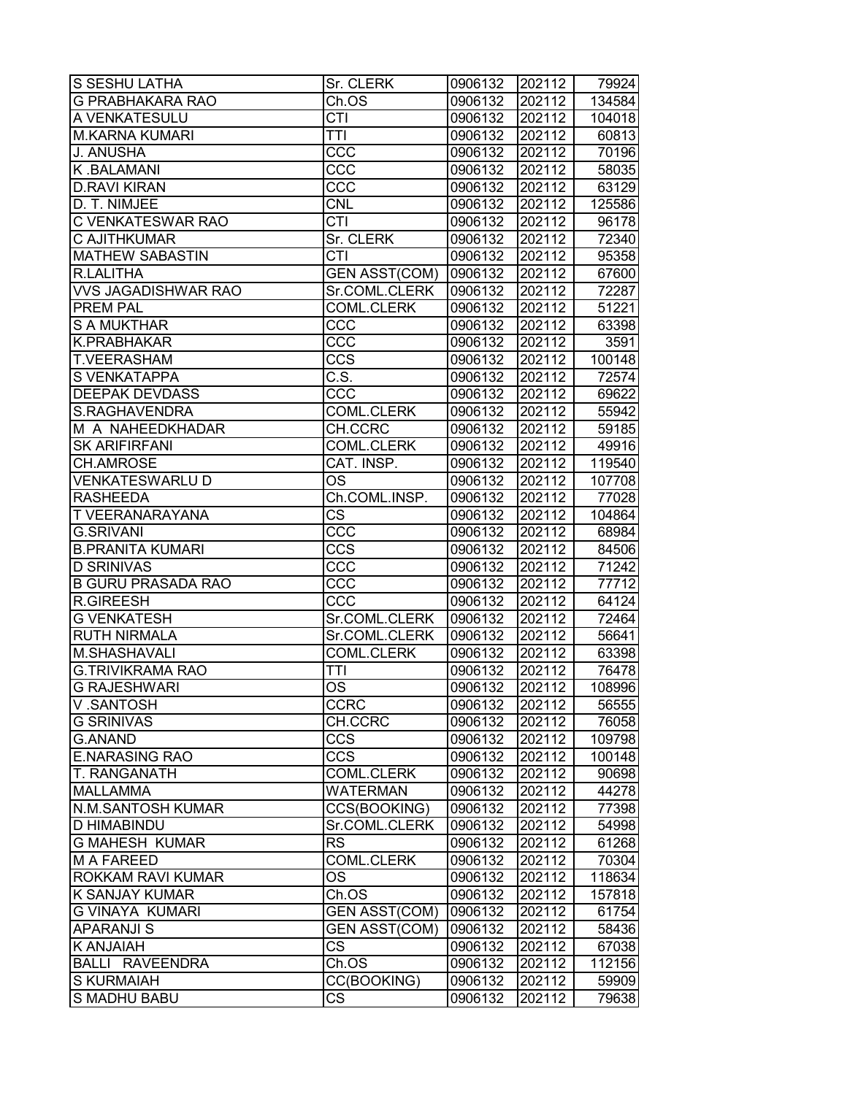| <b>S SESHU LATHA</b>       | Sr. CLERK                | 0906132 | 202112 | 79924  |
|----------------------------|--------------------------|---------|--------|--------|
| <b>G PRABHAKARA RAO</b>    | Ch.OS                    | 0906132 | 202112 | 134584 |
| A VENKATESULU              | CTI                      | 0906132 | 202112 | 104018 |
| <b>M.KARNA KUMARI</b>      | <b>TTI</b>               | 0906132 | 202112 | 60813  |
| J. ANUSHA                  | CCC                      | 0906132 | 202112 | 70196  |
| K.BALAMANI                 | CCC                      | 0906132 | 202112 | 58035  |
| <b>D.RAVI KIRAN</b>        | CCC                      | 0906132 | 202112 | 63129  |
| D. T. NIMJEE               | <b>CNL</b>               | 0906132 | 202112 | 125586 |
| C VENKATESWAR RAO          | <b>CTI</b>               | 0906132 | 202112 | 96178  |
| <b>C AJITHKUMAR</b>        | Sr. CLERK                | 0906132 | 202112 | 72340  |
| <b>MATHEW SABASTIN</b>     | <b>CTI</b>               | 0906132 | 202112 | 95358  |
| R.LALITHA                  | <b>GEN ASST(COM)</b>     | 0906132 | 202112 | 67600  |
| <b>VVS JAGADISHWAR RAO</b> | Sr.COML.CLERK            | 0906132 | 202112 | 72287  |
| <b>PREM PAL</b>            | <b>COML.CLERK</b>        | 0906132 | 202112 | 51221  |
| <b>S A MUKTHAR</b>         | CCC                      | 0906132 | 202112 | 63398  |
| K.PRABHAKAR                | CCC                      | 0906132 | 202112 | 3591   |
| <b>T.VEERASHAM</b>         | <b>CCS</b>               | 0906132 | 202112 | 100148 |
| S VENKATAPPA               | $\overline{\text{C.S.}}$ | 0906132 | 202112 | 72574  |
| <b>DEEPAK DEVDASS</b>      | CCC                      | 0906132 | 202112 | 69622  |
| S.RAGHAVENDRA              | <b>COML.CLERK</b>        | 0906132 | 202112 | 55942  |
| M A NAHEEDKHADAR           | CH.CCRC                  | 0906132 | 202112 | 59185  |
| <b>SK ARIFIRFANI</b>       | COML.CLERK               | 0906132 | 202112 | 49916  |
| <b>CH.AMROSE</b>           | CAT. INSP.               | 0906132 | 202112 | 119540 |
| <b>VENKATESWARLUD</b>      | <b>OS</b>                | 0906132 | 202112 | 107708 |
| <b>RASHEEDA</b>            | Ch.COML.INSP.            | 0906132 | 202112 | 77028  |
| <b>T VEERANARAYANA</b>     | <b>CS</b>                | 0906132 | 202112 | 104864 |
| <b>G.SRIVANI</b>           | CCC                      | 0906132 | 202112 | 68984  |
| <b>B.PRANITA KUMARI</b>    | <b>CCS</b>               | 0906132 | 202112 | 84506  |
| <b>D SRINIVAS</b>          | CCC                      | 0906132 | 202112 | 71242  |
| <b>B GURU PRASADA RAO</b>  | CCC                      | 0906132 | 202112 | 77712  |
| <b>R.GIREESH</b>           | CCC                      | 0906132 | 202112 | 64124  |
| <b>G VENKATESH</b>         | Sr.COML.CLERK            | 0906132 | 202112 | 72464  |
| <b>RUTH NIRMALA</b>        | Sr.COML.CLERK            | 0906132 | 202112 | 56641  |
| M.SHASHAVALI               | <b>COML.CLERK</b>        | 0906132 | 202112 | 63398  |
| <b>G.TRIVIKRAMA RAO</b>    | TTI                      | 0906132 | 202112 | 76478  |
| <b>G RAJESHWARI</b>        | $\overline{\text{OS}}$   | 0906132 | 202112 | 108996 |
| V.SANTOSH                  | <b>CCRC</b>              | 0906132 | 202112 | 56555  |
| <b>G SRINIVAS</b>          | CH.CCRC                  | 0906132 | 202112 | 76058  |
| <b>G.ANAND</b>             | <b>CCS</b>               | 0906132 | 202112 | 109798 |
| <b>E.NARASING RAO</b>      | <b>CCS</b>               | 0906132 | 202112 | 100148 |
| <b>T. RANGANATH</b>        | COML.CLERK               | 0906132 | 202112 | 90698  |
| <b>MALLAMMA</b>            | <b>WATERMAN</b>          | 0906132 | 202112 | 44278  |
| <b>N.M.SANTOSH KUMAR</b>   | CCS(BOOKING)             | 0906132 | 202112 | 77398  |
| <b>D HIMABINDU</b>         | Sr.COML.CLERK            | 0906132 | 202112 | 54998  |
| <b>G MAHESH KUMAR</b>      | <b>RS</b>                | 0906132 | 202112 | 61268  |
| <b>M A FAREED</b>          | <b>COML.CLERK</b>        | 0906132 | 202112 | 70304  |
| ROKKAM RAVI KUMAR          | <b>OS</b>                | 0906132 | 202112 | 118634 |
| <b>K SANJAY KUMAR</b>      | Ch.OS                    | 0906132 | 202112 | 157818 |
| <b>G VINAYA KUMARI</b>     | <b>GEN ASST(COM)</b>     | 0906132 | 202112 | 61754  |
| <b>APARANJI S</b>          | <b>GEN ASST(COM)</b>     | 0906132 | 202112 | 58436  |
| <b>K ANJAIAH</b>           | <b>CS</b>                | 0906132 | 202112 | 67038  |
| <b>BALLI RAVEENDRA</b>     | Ch.OS                    | 0906132 | 202112 | 112156 |
| <b>S KURMAIAH</b>          | CC(BOOKING)              | 0906132 | 202112 | 59909  |
| <b>S MADHU BABU</b>        | <b>CS</b>                | 0906132 | 202112 | 79638  |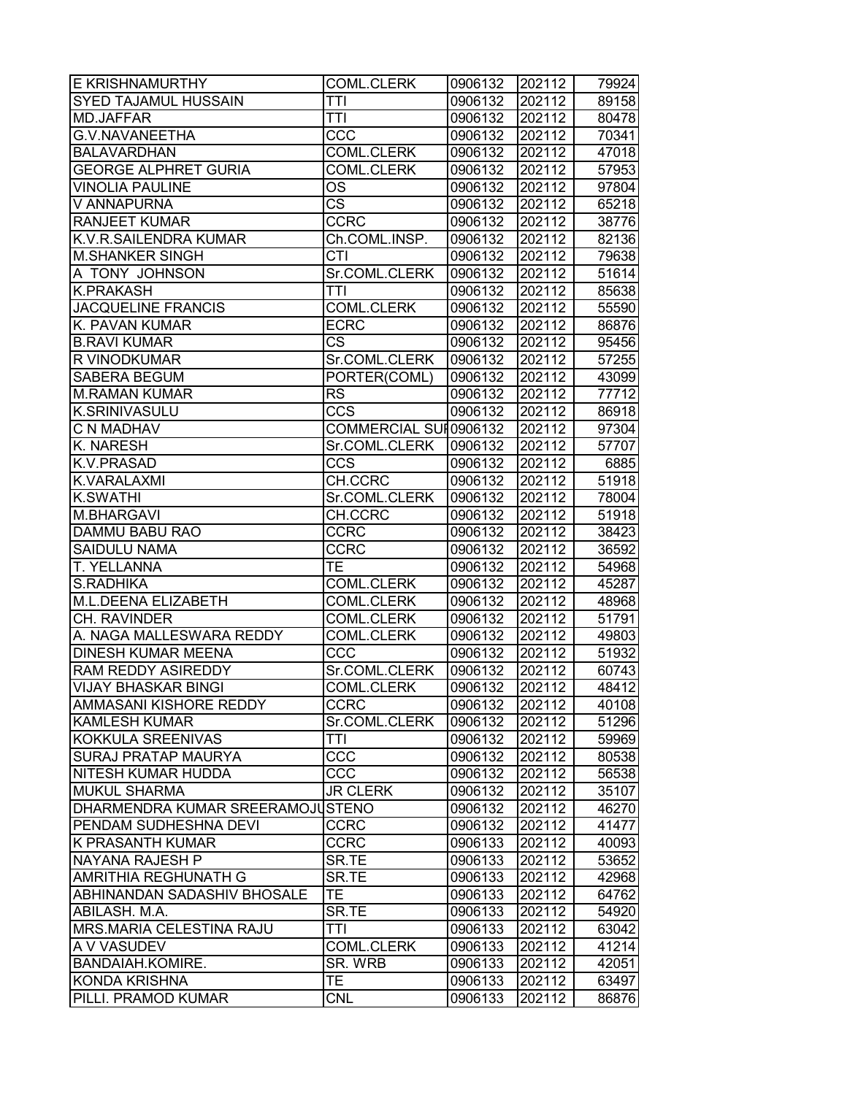| <b>E KRISHNAMURTHY</b>             | COML.CLERK             | 0906132 | 202112 | 79924 |
|------------------------------------|------------------------|---------|--------|-------|
| <b>SYED TAJAMUL HUSSAIN</b>        | <b>TTI</b>             | 0906132 | 202112 | 89158 |
| MD.JAFFAR                          | TTI                    | 0906132 | 202112 | 80478 |
| G.V.NAVANEETHA                     | CCC                    | 0906132 | 202112 | 70341 |
| <b>BALAVARDHAN</b>                 | <b>COML.CLERK</b>      | 0906132 | 202112 | 47018 |
| <b>GEORGE ALPHRET GURIA</b>        | <b>COML.CLERK</b>      | 0906132 | 202112 | 57953 |
| <b>VINOLIA PAULINE</b>             | OS                     | 0906132 | 202112 | 97804 |
| V ANNAPURNA                        | $\overline{\text{CS}}$ | 0906132 | 202112 | 65218 |
| <b>RANJEET KUMAR</b>               | <b>CCRC</b>            | 0906132 | 202112 | 38776 |
| K.V.R.SAILENDRA KUMAR              | Ch.COML.INSP.          | 0906132 | 202112 | 82136 |
| <b>M.SHANKER SINGH</b>             | <b>CTI</b>             | 0906132 | 202112 | 79638 |
| A TONY JOHNSON                     | Sr.COML.CLERK          | 0906132 | 202112 | 51614 |
| <b>K.PRAKASH</b>                   | <b>TTI</b>             | 0906132 | 202112 | 85638 |
| <b>JACQUELINE FRANCIS</b>          | <b>COML.CLERK</b>      | 0906132 | 202112 | 55590 |
| K. PAVAN KUMAR                     | <b>ECRC</b>            | 0906132 | 202112 | 86876 |
| <b>B.RAVI KUMAR</b>                | CS                     | 0906132 | 202112 | 95456 |
| R VINODKUMAR                       | Sr.COML.CLERK          | 0906132 | 202112 | 57255 |
| SABERA BEGUM                       | PORTER(COML)           | 0906132 | 202112 | 43099 |
| <b>M.RAMAN KUMAR</b>               | <b>RS</b>              | 0906132 | 202112 | 77712 |
| <b>K.SRINIVASULU</b>               | <b>CCS</b>             | 0906132 | 202112 | 86918 |
| <b>C N MADHAV</b>                  | COMMERCIAL SUI 0906132 |         | 202112 | 97304 |
| <b>K. NARESH</b>                   | Sr.COML.CLERK          | 0906132 | 202112 | 57707 |
| <b>K.V.PRASAD</b>                  | $\overline{ccs}$       | 0906132 | 202112 | 6885  |
| K.VARALAXMI                        | CH.CCRC                | 0906132 | 202112 | 51918 |
| <b>K.SWATHI</b>                    | Sr.COML.CLERK          | 0906132 | 202112 | 78004 |
| M.BHARGAVI                         | CH.CCRC                | 0906132 | 202112 | 51918 |
| <b>DAMMU BABU RAO</b>              | <b>CCRC</b>            | 0906132 | 202112 | 38423 |
| <b>SAIDULU NAMA</b>                | <b>CCRC</b>            | 0906132 | 202112 | 36592 |
| T. YELLANNA                        | TЕ                     | 0906132 | 202112 | 54968 |
| <b>S.RADHIKA</b>                   | <b>COML.CLERK</b>      | 0906132 | 202112 | 45287 |
| M.L.DEENA ELIZABETH                | <b>COML.CLERK</b>      | 0906132 | 202112 | 48968 |
| CH. RAVINDER                       | <b>COML.CLERK</b>      | 0906132 | 202112 | 51791 |
| A. NAGA MALLESWARA REDDY           | <b>COML.CLERK</b>      | 0906132 | 202112 | 49803 |
| <b>DINESH KUMAR MEENA</b>          | CCC                    | 0906132 | 202112 | 51932 |
| RAM REDDY ASIREDDY                 | Sr.COML.CLERK          | 0906132 | 202112 | 60743 |
| <b>VIJAY BHASKAR BINGI</b>         | <b>COML.CLERK</b>      | 0906132 | 202112 | 48412 |
| <b>AMMASANI KISHORE REDDY</b>      | <b>CCRC</b>            | 0906132 | 202112 | 40108 |
| <b>KAMLESH KUMAR</b>               | Sr.COML.CLERK          | 0906132 | 202112 | 51296 |
| KOKKULA SREENIVAS                  | TTI                    | 0906132 | 202112 | 59969 |
| <b>SURAJ PRATAP MAURYA</b>         | CCC                    | 0906132 | 202112 | 80538 |
| NITESH KUMAR HUDDA                 | CCC                    | 0906132 | 202112 | 56538 |
| <b>MUKUL SHARMA</b>                | <b>JR CLERK</b>        | 0906132 | 202112 | 35107 |
| DHARMENDRA KUMAR SREERAMOJUSTENO   |                        | 0906132 | 202112 | 46270 |
| PENDAM SUDHESHNA DEVI              | <b>CCRC</b>            | 0906132 | 202112 | 41477 |
| K PRASANTH KUMAR                   | <b>CCRC</b>            | 0906133 | 202112 | 40093 |
| NAYANA RAJESH P                    | SR.TE                  | 0906133 | 202112 | 53652 |
| <b>AMRITHIA REGHUNATH G</b>        | SR.TE                  | 0906133 | 202112 | 42968 |
| <b>ABHINANDAN SADASHIV BHOSALE</b> | TE.                    | 0906133 | 202112 | 64762 |
| ABILASH. M.A.                      | SR.TE                  | 0906133 | 202112 | 54920 |
| MRS.MARIA CELESTINA RAJU           | TTI                    | 0906133 | 202112 | 63042 |
| A V VASUDEV                        | <b>COML.CLERK</b>      | 0906133 | 202112 | 41214 |
| <b>BANDAIAH.KOMIRE.</b>            | SR. WRB                | 0906133 | 202112 | 42051 |
| <b>KONDA KRISHNA</b>               | TE.                    | 0906133 | 202112 | 63497 |
| PILLI. PRAMOD KUMAR                | <b>CNL</b>             | 0906133 | 202112 | 86876 |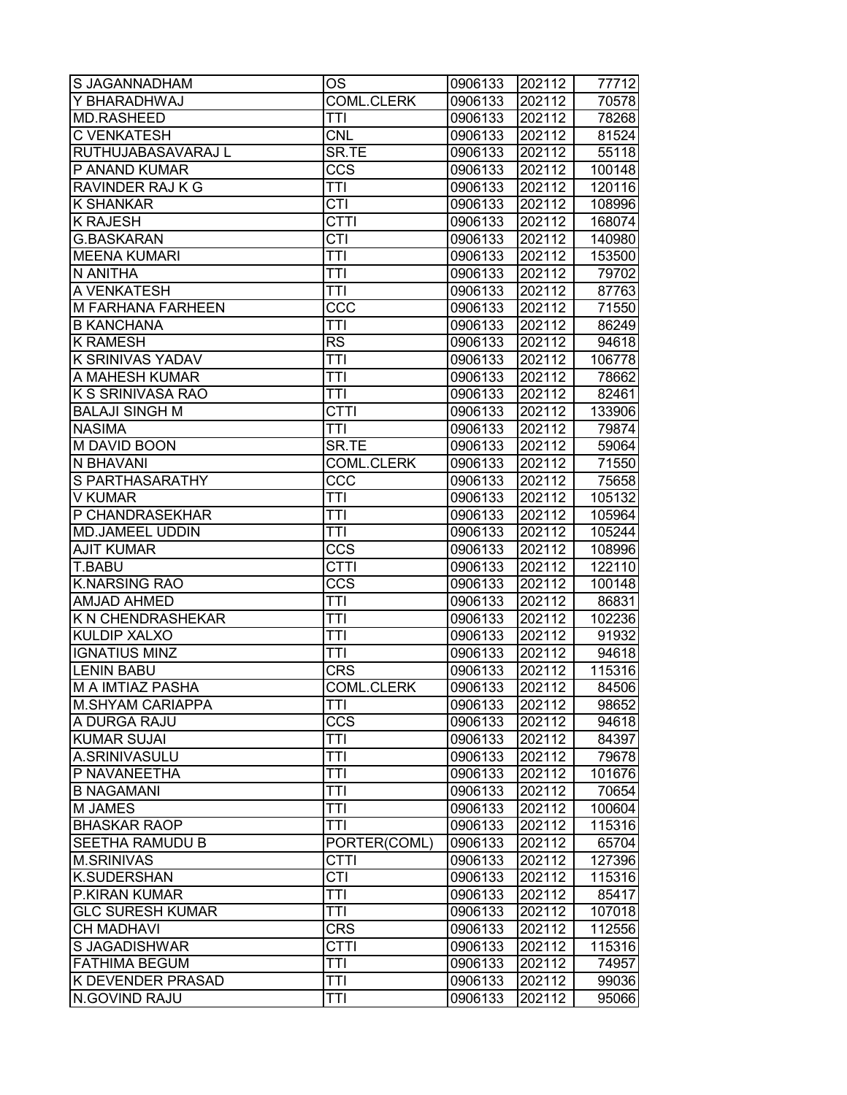| S JAGANNADHAM           | ОS                      | 0906133 | 202112 | 77712  |
|-------------------------|-------------------------|---------|--------|--------|
| Y BHARADHWAJ            | COML.CLERK              | 0906133 | 202112 | 70578  |
| <b>MD.RASHEED</b>       | TTI                     | 0906133 | 202112 | 78268  |
| <b>C VENKATESH</b>      | <b>CNL</b>              | 0906133 | 202112 | 81524  |
| RUTHUJABASAVARAJ L      | SR.TE                   | 0906133 | 202112 | 55118  |
| P ANAND KUMAR           | <b>CCS</b>              | 0906133 | 202112 | 100148 |
| RAVINDER RAJ K G        | <b>TTI</b>              | 0906133 | 202112 | 120116 |
| <b>K SHANKAR</b>        | $\overline{CTI}$        | 0906133 | 202112 | 108996 |
| <b>K RAJESH</b>         | <b>CTTI</b>             | 0906133 | 202112 | 168074 |
| <b>G.BASKARAN</b>       | $\overline{\text{CTI}}$ | 0906133 | 202112 | 140980 |
| <b>MEENA KUMARI</b>     | <b>TTI</b>              | 0906133 | 202112 | 153500 |
| N ANITHA                | <b>TTI</b>              | 0906133 | 202112 | 79702  |
| A VENKATESH             | <b>TTI</b>              | 0906133 | 202112 | 87763  |
| M FARHANA FARHEEN       | CCC                     | 0906133 | 202112 | 71550  |
| <b>B KANCHANA</b>       | TTI                     | 0906133 | 202112 | 86249  |
| <b>K RAMESH</b>         | <b>RS</b>               | 0906133 | 202112 | 94618  |
| K SRINIVAS YADAV        | <b>TTI</b>              | 0906133 | 202112 | 106778 |
| A MAHESH KUMAR          | <b>TTI</b>              | 0906133 | 202112 | 78662  |
| K S SRINIVASA RAO       | <b>TTI</b>              | 0906133 | 202112 | 82461  |
| <b>BALAJI SINGH M</b>   | <b>CTTI</b>             | 0906133 | 202112 | 133906 |
| <b>NASIMA</b>           | TTI                     | 0906133 | 202112 | 79874  |
| M DAVID BOON            | SR.TE                   | 0906133 | 202112 | 59064  |
| N BHAVANI               | <b>COML.CLERK</b>       | 0906133 | 202112 | 71550  |
| S PARTHASARATHY         | CCC                     | 0906133 | 202112 | 75658  |
| <b>V KUMAR</b>          | TTI                     | 0906133 | 202112 | 105132 |
| P CHANDRASEKHAR         | TTI                     | 0906133 | 202112 | 105964 |
| <b>MD.JAMEEL UDDIN</b>  | TTI                     | 0906133 | 202112 | 105244 |
| <b>AJIT KUMAR</b>       | CCS                     | 0906133 | 202112 | 108996 |
| T.BABU                  | <b>CTTI</b>             | 0906133 | 202112 | 122110 |
| <b>K.NARSING RAO</b>    | <b>CCS</b>              | 0906133 | 202112 | 100148 |
| <b>AMJAD AHMED</b>      | TTI                     | 0906133 | 202112 | 86831  |
| K N CHENDRASHEKAR       | <b>TTI</b>              | 0906133 | 202112 | 102236 |
| <b>KULDIP XALXO</b>     | <b>TTI</b>              | 0906133 | 202112 | 91932  |
| <b>IGNATIUS MINZ</b>    | <b>TTI</b>              | 0906133 | 202112 | 94618  |
| <b>LENIN BABU</b>       | <b>CRS</b>              | 0906133 | 202112 | 115316 |
| <b>M A IMTIAZ PASHA</b> | COML.CLERK              | 0906133 | 202112 | 84506  |
| <b>M.SHYAM CARIAPPA</b> | TTI                     | 0906133 | 202112 | 98652  |
| A DURGA RAJU            | CCS                     | 0906133 | 202112 | 94618  |
| <b>KUMAR SUJAI</b>      | TTI                     | 0906133 | 202112 | 84397  |
| A.SRINIVASULU           | <b>TTI</b>              | 0906133 | 202112 | 79678  |
| P NAVANEETHA            | TTI                     | 0906133 | 202112 | 101676 |
| <b>B NAGAMANI</b>       | <b>TTI</b>              | 0906133 | 202112 | 70654  |
| M JAMES                 | <b>TTI</b>              | 0906133 | 202112 | 100604 |
| <b>BHASKAR RAOP</b>     | <b>TTI</b>              | 0906133 | 202112 | 115316 |
| SEETHA RAMUDU B         | PORTER(COML)            | 0906133 | 202112 | 65704  |
| <b>M.SRINIVAS</b>       | <b>CTTI</b>             | 0906133 | 202112 | 127396 |
| K.SUDERSHAN             | $\overline{\text{CTI}}$ | 0906133 | 202112 | 115316 |
| P.KIRAN KUMAR           | $\overline{\text{TTI}}$ | 0906133 | 202112 | 85417  |
| <b>GLC SURESH KUMAR</b> | <b>TTI</b>              | 0906133 | 202112 | 107018 |
| <b>CH MADHAVI</b>       | <b>CRS</b>              | 0906133 | 202112 | 112556 |
| S JAGADISHWAR           | CTTI                    | 0906133 | 202112 | 115316 |
| <b>FATHIMA BEGUM</b>    | TTI                     | 0906133 | 202112 | 74957  |
| K DEVENDER PRASAD       | TTI                     | 0906133 | 202112 | 99036  |
| N.GOVIND RAJU           | TTI                     | 0906133 | 202112 | 95066  |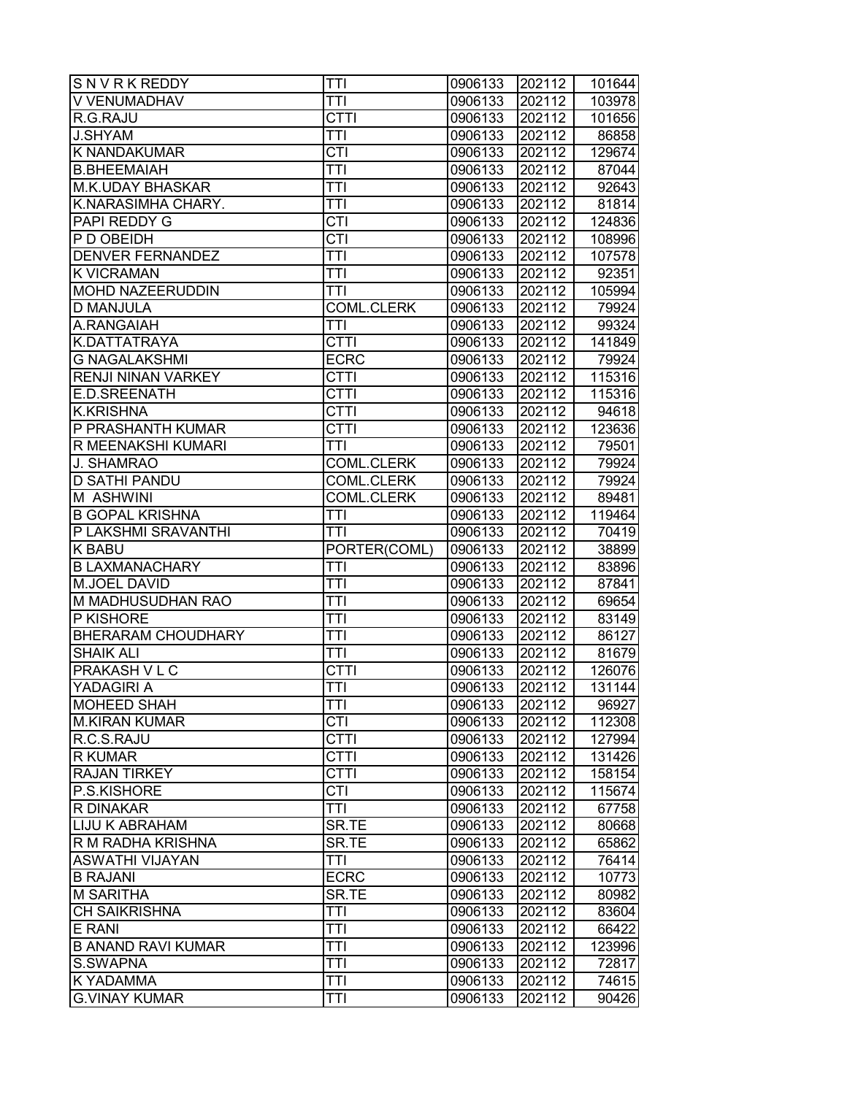| SNVRKREDDY                            | <b>TTI</b>              | 0906133            | 202112           | 101644         |
|---------------------------------------|-------------------------|--------------------|------------------|----------------|
| V VENUMADHAV                          | TTI                     | 0906133            | 202112           | 103978         |
| R.G.RAJU                              | <b>CTTI</b>             | 0906133            | 202112           | 101656         |
| <b>J.SHYAM</b>                        | <b>TTI</b>              | 0906133            | 202112           | 86858          |
| <b>K NANDAKUMAR</b>                   | CTI                     | 0906133            | 202112           | 129674         |
| <b>B.BHEEMAIAH</b>                    | <b>TTI</b>              | 0906133            | 202112           | 87044          |
| <b>M.K.UDAY BHASKAR</b>               | <b>TTI</b>              | 0906133            | 202112           | 92643          |
| K.NARASIMHA CHARY.                    | <b>TTI</b>              | 0906133            | 202112           | 81814          |
| PAPI REDDY G                          | <b>CTI</b>              | 0906133            | 202112           | 124836         |
| P D OBEIDH                            | $\overline{\text{CTI}}$ | 0906133            | 202112           | 108996         |
| <b>DENVER FERNANDEZ</b>               | ТĪІ                     | 0906133            | 202112           | 107578         |
| <b>K VICRAMAN</b>                     | <b>TTI</b>              | 0906133            | 202112           | 92351          |
| <b>MOHD NAZEERUDDIN</b>               | TTI                     | 0906133            | 202112           | 105994         |
| <b>D MANJULA</b>                      | <b>COML.CLERK</b>       | 0906133            | 202112           | 79924          |
| A.RANGAIAH                            | TTI                     | 0906133            | 202112           | 99324          |
| K.DATTATRAYA                          | <b>CTTI</b>             | 0906133            | 202112           | 141849         |
| <b>G NAGALAKSHMI</b>                  | <b>ECRC</b>             | 0906133            | 202112           | 79924          |
| <b>RENJI NINAN VARKEY</b>             | <b>CTTI</b>             | 0906133            | 202112           | 115316         |
| <b>E.D.SREENATH</b>                   | <b>CTTI</b>             | 0906133            | 202112           | 115316         |
| <b>K.KRISHNA</b>                      | <b>CTTI</b>             | 0906133            | 202112           | 94618          |
| P PRASHANTH KUMAR                     | <b>CTTI</b>             | 0906133            | 202112           | 123636         |
| R MEENAKSHI KUMARI                    | <b>TTI</b>              | 0906133            | 202112           | 79501          |
| J. SHAMRAO                            | <b>COML.CLERK</b>       | 0906133            | 202112           | 79924          |
| <b>D SATHI PANDU</b>                  | <b>COML.CLERK</b>       | 0906133            | 202112           | 79924          |
| M ASHWINI                             | <b>COML.CLERK</b>       | 0906133            | 202112           | 89481          |
| <b>B GOPAL KRISHNA</b>                | TTI                     | 0906133            | 202112           | 119464         |
| P LAKSHMI SRAVANTHI                   | <b>TTI</b>              | 0906133            | 202112           | 70419          |
| <b>K BABU</b>                         | PORTER(COML)            | 0906133            | 202112           | 38899          |
| <b>B LAXMANACHARY</b>                 | <b>TTI</b>              | 0906133            | 202112           | 83896          |
| <b>M.JOEL DAVID</b>                   | <b>TTI</b>              | 0906133            | 202112           | 87841          |
| M MADHUSUDHAN RAO                     | <b>TTI</b>              | 0906133            | 202112           | 69654          |
| P KISHORE                             | <b>TTI</b>              | 0906133            | 202112           | 83149          |
| <b>BHERARAM CHOUDHARY</b>             | <b>TTI</b>              | 0906133            | 202112           | 86127          |
| <b>SHAIK ALI</b>                      | <b>TTI</b>              | 0906133            | 202112           | 81679          |
| <b>PRAKASH V L C</b>                  | <b>CTTI</b>             | 0906133            | 202112           | 126076         |
| YADAGIRI A                            | TTI                     | 0906133            | 202112           | 131144         |
| <b>MOHEED SHAH</b>                    | TTI                     | 0906133            | 202112           | 96927          |
| <b>M.KIRAN KUMAR</b>                  | <b>CTI</b>              | 0906133            | 202112           | 112308         |
| R.C.S.RAJU                            | <b>CTTI</b>             | 0906133            | 202112           | 127994         |
| <b>R KUMAR</b>                        | <b>CTTI</b>             | 0906133            | 202112           | 131426         |
| <b>RAJAN TIRKEY</b>                   | <b>CTTI</b>             | 0906133            | 202112           | 158154         |
| P.S.KISHORE                           | <b>CTI</b>              | 0906133            | 202112           | 115674         |
| <b>R DINAKAR</b>                      | <b>TTI</b>              |                    | 202112           |                |
| <b>LIJU K ABRAHAM</b>                 | SR.TE                   | 0906133            |                  | 67758          |
| R M RADHA KRISHNA                     | SR.TE                   | 0906133<br>0906133 | 202112<br>202112 | 80668<br>65862 |
| <b>ASWATHI VIJAYAN</b>                | TTI                     | 0906133            | 202112           |                |
|                                       |                         |                    |                  | 76414          |
| <b>B RAJANI</b><br><b>M SARITHA</b>   | <b>ECRC</b><br>SR.TE    | 0906133            | 202112<br>202112 | 10773          |
|                                       |                         | 0906133            |                  | 80982          |
| <b>CH SAIKRISHNA</b>                  | TTI                     | 0906133            | 202112           | 83604          |
| E RANI                                | <b>TTI</b>              | 0906133            | 202112           | 66422          |
| <b>B ANAND RAVI KUMAR</b><br>S.SWAPNA | <b>TTI</b><br>TTĪ       | 0906133            | 202112           | 123996         |
|                                       |                         | 0906133            | 202112           | 72817          |
| <b>K YADAMMA</b>                      | TTI                     | 0906133            | 202112           | 74615          |
| <b>G.VINAY KUMAR</b>                  | TTI                     | 0906133            | 202112           | 90426          |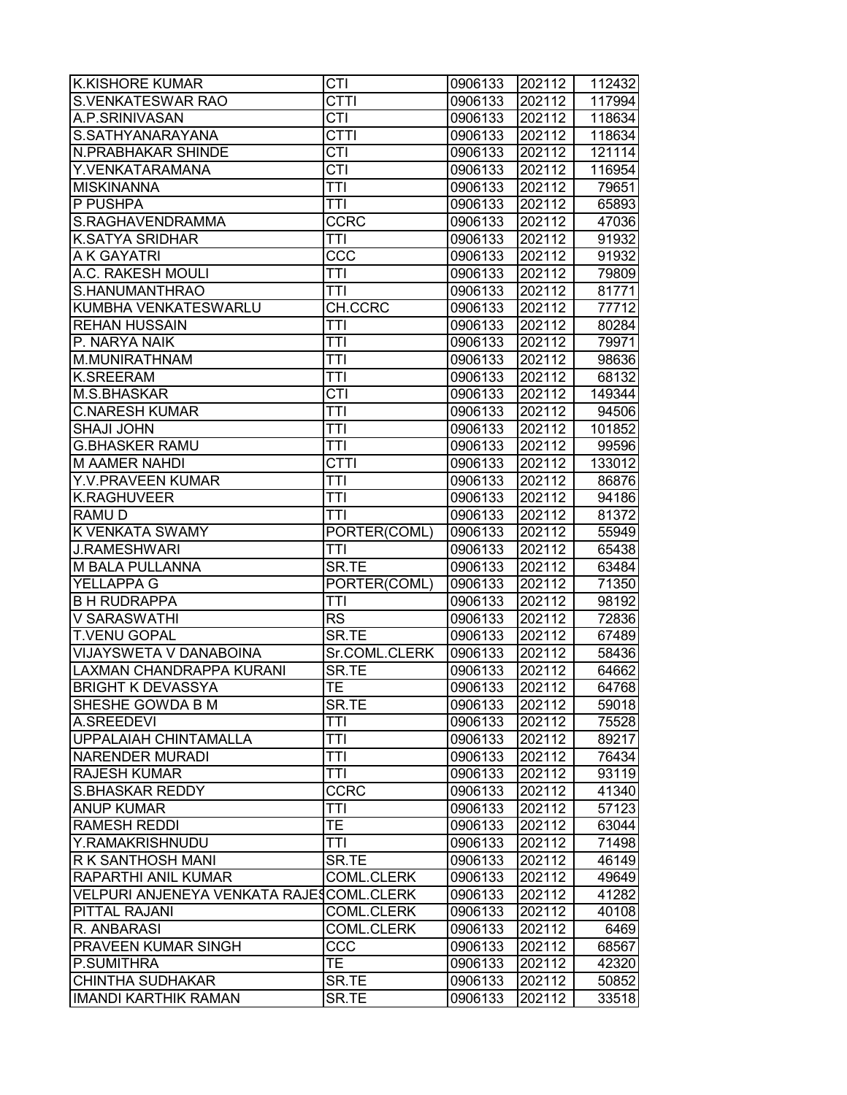| <b>K.KISHORE KUMAR</b>                        | CTI                    | 0906133            | 202112           | 112432         |
|-----------------------------------------------|------------------------|--------------------|------------------|----------------|
| <b>S.VENKATESWAR RAO</b>                      | <b>CTTI</b>            | 0906133            | 202112           | 117994         |
| A.P.SRINIVASAN                                | <b>CTI</b>             | 0906133            | 202112           | 118634         |
| S.SATHYANARAYANA                              | <b>CTTI</b>            | 0906133            | 202112           | 118634         |
| N.PRABHAKAR SHINDE                            | $\overline{CTI}$       | 0906133            | 202112           | 121114         |
| Y.VENKATARAMANA                               | $\overline{CTI}$       | 0906133            | 202112           | 116954         |
| <b>MISKINANNA</b>                             | <b>TTI</b>             | 0906133            | 202112           | 79651          |
| P PUSHPA                                      | <b>TTI</b>             | 0906133            | 202112           | 65893          |
| S.RAGHAVENDRAMMA                              | <b>CCRC</b>            | 0906133            | 202112           | 47036          |
| <b>K.SATYA SRIDHAR</b>                        | TTI                    | 0906133            | 202112           | 91932          |
| A K GAYATRI                                   | $\overline{CC}$        | 0906133            | 202112           | 91932          |
| A.C. RAKESH MOULI                             | TTI                    | 0906133            | 202112           | 79809          |
| S.HANUMANTHRAO                                | TTI                    | 0906133            | 202112           | 81771          |
| KUMBHA VENKATESWARLU                          | CH.CCRC                | 0906133            | 202112           | 77712          |
| <b>REHAN HUSSAIN</b>                          | TTI                    | 0906133            | 202112           | 80284          |
| P. NARYA NAIK                                 | TTI                    | 0906133            | 202112           | 79971          |
| M.MUNIRATHNAM                                 | TTI                    | 0906133            | 202112           | 98636          |
| <b>K.SREERAM</b>                              | <b>TTI</b>             | 0906133            | 202112           | 68132          |
| M.S.BHASKAR                                   | <b>CTI</b>             | 0906133            | 202112           | 149344         |
| <b>C.NARESH KUMAR</b>                         | <b>TTI</b>             | 0906133            | 202112           | 94506          |
| <b>SHAJI JOHN</b>                             | TTI                    | 0906133            | 202112           | 101852         |
| <b>G.BHASKER RAMU</b>                         | TTI                    | 0906133            | 202112           | 99596          |
| <b>M AAMER NAHDI</b>                          | <b>CTTI</b>            | 0906133            | 202112           | 133012         |
| Y.V.PRAVEEN KUMAR                             | TTI                    | 0906133            | 202112           | 86876          |
| <b>K.RAGHUVEER</b>                            | TTI                    | 0906133            | 202112           | 94186          |
| RAMU D                                        | <b>TTI</b>             | 0906133            | 202112           | 81372          |
| K VENKATA SWAMY                               | PORTER(COML)           | 0906133            | 202112           | 55949          |
| <b>J.RAMESHWARI</b>                           | TTI                    | 0906133            | 202112           | 65438          |
| M BALA PULLANNA                               | SR.TE                  | 0906133            | 202112           |                |
| YELLAPPA G                                    | PORTER(COML)           | 0906133            | 202112           | 63484<br>71350 |
| <b>B H RUDRAPPA</b>                           | <b>TTI</b>             | 0906133            | 202112           | 98192          |
| V SARASWATHI                                  | <b>RS</b>              | 0906133            | 202112           | 72836          |
|                                               | SR.TE                  |                    |                  |                |
| <b>T.VENU GOPAL</b><br>VIJAYSWETA V DANABOINA |                        | 0906133<br>0906133 | 202112<br>202112 | 67489          |
| LAXMAN CHANDRAPPA KURANI                      | Sr.COML.CLERK<br>SR.TE |                    | 202112           | 58436<br>64662 |
|                                               |                        | 0906133            |                  |                |
| <b>BRIGHT K DEVASSYA</b>                      | TE                     | 0906133            | 202112           | 64768          |
| SHESHE GOWDA B M                              | SR.TE                  | 0906133            | 202112           | 59018          |
| A.SREEDEVI                                    | TTI                    | 0906133            | 202112           | 75528          |
| UPPALAIAH CHINTAMALLA                         | TTI                    | 0906133            | 202112           | 89217          |
| <b>NARENDER MURADI</b>                        | TTI                    | 0906133            | 202112           | 76434          |
| <b>RAJESH KUMAR</b>                           | TTI                    | 0906133            | 202112           | 93119          |
| <b>S.BHASKAR REDDY</b>                        | <b>CCRC</b>            | 0906133            | 202112           | 41340          |
| <b>ANUP KUMAR</b>                             | <b>TTI</b>             | 0906133            | 202112           | 57123          |
| <b>RAMESH REDDI</b>                           | TE.                    | 0906133            | 202112           | 63044          |
| Y.RAMAKRISHNUDU                               | <b>TTI</b>             | 0906133            | 202112           | 71498          |
| R K SANTHOSH MANI                             | SR.TE                  | 0906133            | 202112           | 46149          |
| RAPARTHI ANIL KUMAR                           | <b>COML.CLERK</b>      | 0906133            | 202112           | 49649          |
| VELPURI ANJENEYA VENKATA RAJESCOML.CLERK      |                        | 0906133            | 202112           | 41282          |
| PITTAL RAJANI                                 | <b>COML.CLERK</b>      | 0906133            | 202112           | 40108          |
| R. ANBARASI                                   | <b>COML.CLERK</b>      | 0906133            | 202112           | 6469           |
| <b>PRAVEEN KUMAR SINGH</b>                    | CCC                    | 0906133            | 202112           | 68567          |
| P.SUMITHRA                                    | TE.                    | 0906133            | 202112           | 42320          |
| <b>CHINTHA SUDHAKAR</b>                       | SR.TE                  | 0906133            | 202112           | 50852          |
| <b>IMANDI KARTHIK RAMAN</b>                   | SR.TE                  | 0906133            | 202112           | 33518          |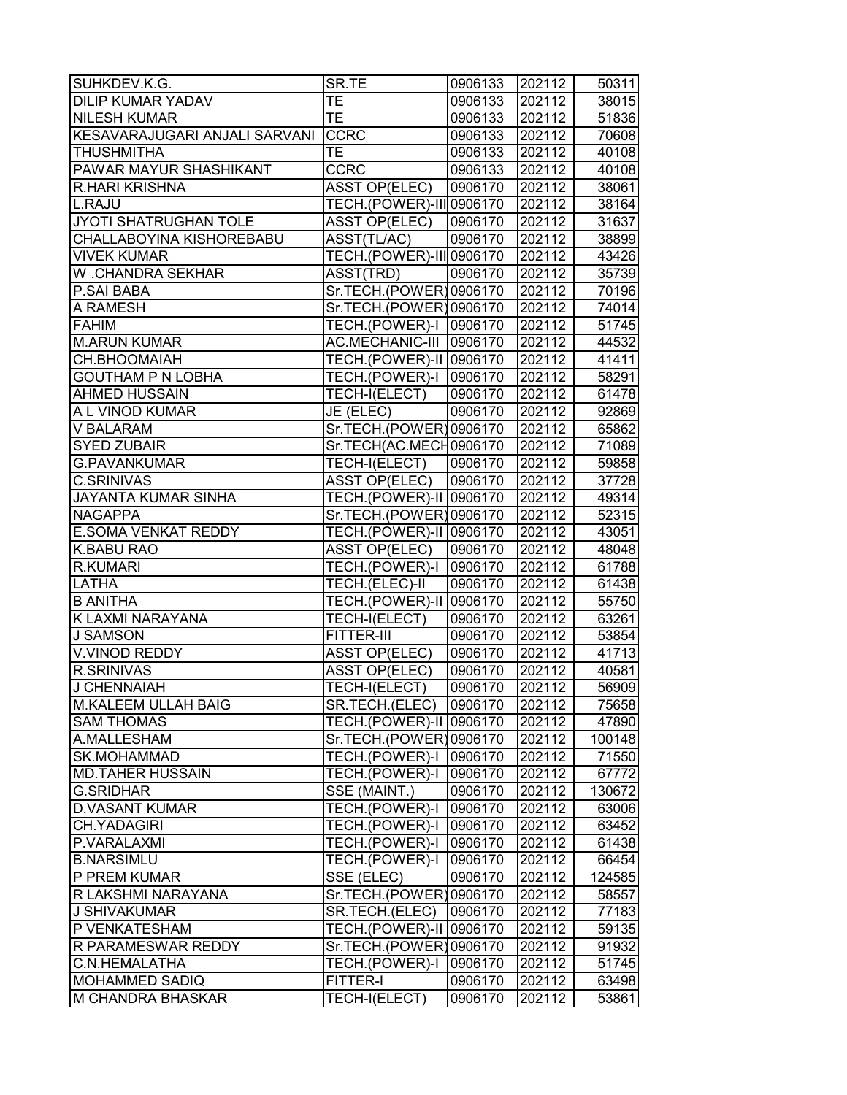| SUHKDEV.K.G.                  | SR.TE                    | 0906133 | 202112 | 50311  |
|-------------------------------|--------------------------|---------|--------|--------|
| <b>DILIP KUMAR YADAV</b>      | ТE                       | 0906133 | 202112 | 38015  |
| <b>NILESH KUMAR</b>           | <b>TE</b>                | 0906133 | 202112 | 51836  |
| KESAVARAJUGARI ANJALI SARVANI | <b>CCRC</b>              | 0906133 | 202112 | 70608  |
| <b>THUSHMITHA</b>             | <b>TE</b>                | 0906133 | 202112 | 40108  |
| <b>PAWAR MAYUR SHASHIKANT</b> | <b>CCRC</b>              | 0906133 | 202112 | 40108  |
| <b>R.HARI KRISHNA</b>         | <b>ASST OP(ELEC)</b>     | 0906170 | 202112 | 38061  |
| L.RAJU                        | TECH.(POWER)-III 0906170 |         | 202112 | 38164  |
| JYOTI SHATRUGHAN TOLE         | <b>ASST OP(ELEC)</b>     | 0906170 | 202112 | 31637  |
| CHALLABOYINA KISHOREBABU      | ASST(TL/AC)              | 0906170 | 202112 | 38899  |
| <b>VIVEK KUMAR</b>            | TECH.(POWER)-III 0906170 |         | 202112 | 43426  |
| W .CHANDRA SEKHAR             | ASST(TRD)                | 0906170 | 202112 | 35739  |
| <b>P.SAI BABA</b>             | Sr.TECH.(POWER)0906170   |         | 202112 | 70196  |
| A RAMESH                      | Sr.TECH.(POWER)0906170   |         | 202112 | 74014  |
| <b>FAHIM</b>                  | TECH.(POWER)-I   0906170 |         | 202112 | 51745  |
| <b>M.ARUN KUMAR</b>           | AC.MECHANIC-III  0906170 |         | 202112 | 44532  |
| CH.BHOOMAIAH                  | TECH.(POWER)-II 0906170  |         | 202112 | 41411  |
| <b>GOUTHAM P N LOBHA</b>      | TECH.(POWER)-I 0906170   |         | 202112 | 58291  |
| <b>AHMED HUSSAIN</b>          | TECH-I(ELECT)            | 0906170 | 202112 | 61478  |
| A L VINOD KUMAR               | JE (ELEC)                | 0906170 | 202112 | 92869  |
| <b>V BALARAM</b>              | Sr.TECH.(POWER)0906170   |         | 202112 | 65862  |
| <b>SYED ZUBAIR</b>            | Sr.TECH(AC.MECH0906170   |         | 202112 | 71089  |
| <b>G.PAVANKUMAR</b>           | TECH-I(ELECT)            | 0906170 | 202112 | 59858  |
| <b>C.SRINIVAS</b>             | <b>ASST OP(ELEC)</b>     | 0906170 | 202112 | 37728  |
| <b>JAYANTA KUMAR SINHA</b>    | TECH.(POWER)-II 0906170  |         | 202112 | 49314  |
| <b>NAGAPPA</b>                | Sr.TECH.(POWER)0906170   |         | 202112 | 52315  |
| <b>E.SOMA VENKAT REDDY</b>    | TECH.(POWER)-II 0906170  |         | 202112 | 43051  |
| <b>K.BABU RAO</b>             | <b>ASST OP(ELEC)</b>     | 0906170 | 202112 | 48048  |
| <b>R.KUMARI</b>               | TECH.(POWER)-I 0906170   |         | 202112 | 61788  |
| <b>LATHA</b>                  | TECH.(ELEC)-II           | 0906170 | 202112 | 61438  |
| <b>B ANITHA</b>               | TECH.(POWER)-II 0906170  |         | 202112 | 55750  |
| K LAXMI NARAYANA              | TECH-I(ELECT)            | 0906170 | 202112 | 63261  |
| <b>J SAMSON</b>               | <b>FITTER-III</b>        | 0906170 | 202112 | 53854  |
| <b>V.VINOD REDDY</b>          | <b>ASST OP(ELEC)</b>     | 0906170 | 202112 | 41713  |
| <b>R.SRINIVAS</b>             | <b>ASST OP(ELEC)</b>     | 0906170 | 202112 | 40581  |
| J CHENNAIAH                   | TECH-I(ELECT)            | 0906170 | 202112 | 56909  |
| M.KALEEM ULLAH BAIG           | SR.TECH.(ELEC)           | 0906170 | 202112 | 75658  |
| <b>SAM THOMAS</b>             | TECH.(POWER)-II 0906170  |         | 202112 | 47890  |
| A.MALLESHAM                   | Sr.TECH.(POWER)0906170   |         | 202112 | 100148 |
| <b>SK.MOHAMMAD</b>            | TECH.(POWER)-I           | 0906170 | 202112 | 71550  |
| <b>MD.TAHER HUSSAIN</b>       | TECH.(POWER)-I           | 0906170 | 202112 | 67772  |
| <b>G.SRIDHAR</b>              | SSE (MAINT.)             | 0906170 | 202112 | 130672 |
| <b>D.VASANT KUMAR</b>         | TECH.(POWER)-I           | 0906170 | 202112 | 63006  |
| <b>CH.YADAGIRI</b>            | TECH.(POWER)-I           | 0906170 | 202112 | 63452  |
| P.VARALAXMI                   | TECH.(POWER)-I           | 0906170 | 202112 | 61438  |
| <b>B.NARSIMLU</b>             | TECH.(POWER)-I           | 0906170 | 202112 | 66454  |
| P PREM KUMAR                  | SSE (ELEC)               | 0906170 | 202112 | 124585 |
| R LAKSHMI NARAYANA            | Sr.TECH.(POWER)0906170   |         | 202112 | 58557  |
| <b>J SHIVAKUMAR</b>           | SR.TECH.(ELEC)           | 0906170 | 202112 | 77183  |
| P VENKATESHAM                 | TECH.(POWER)-II 0906170  |         | 202112 | 59135  |
| R PARAMESWAR REDDY            | Sr.TECH.(POWER)0906170   |         | 202112 | 91932  |
| C.N.HEMALATHA                 | TECH.(POWER)-I           | 0906170 | 202112 | 51745  |
| <b>MOHAMMED SADIQ</b>         | <b>FITTER-I</b>          | 0906170 | 202112 | 63498  |
| M CHANDRA BHASKAR             | TECH-I(ELECT)            | 0906170 | 202112 | 53861  |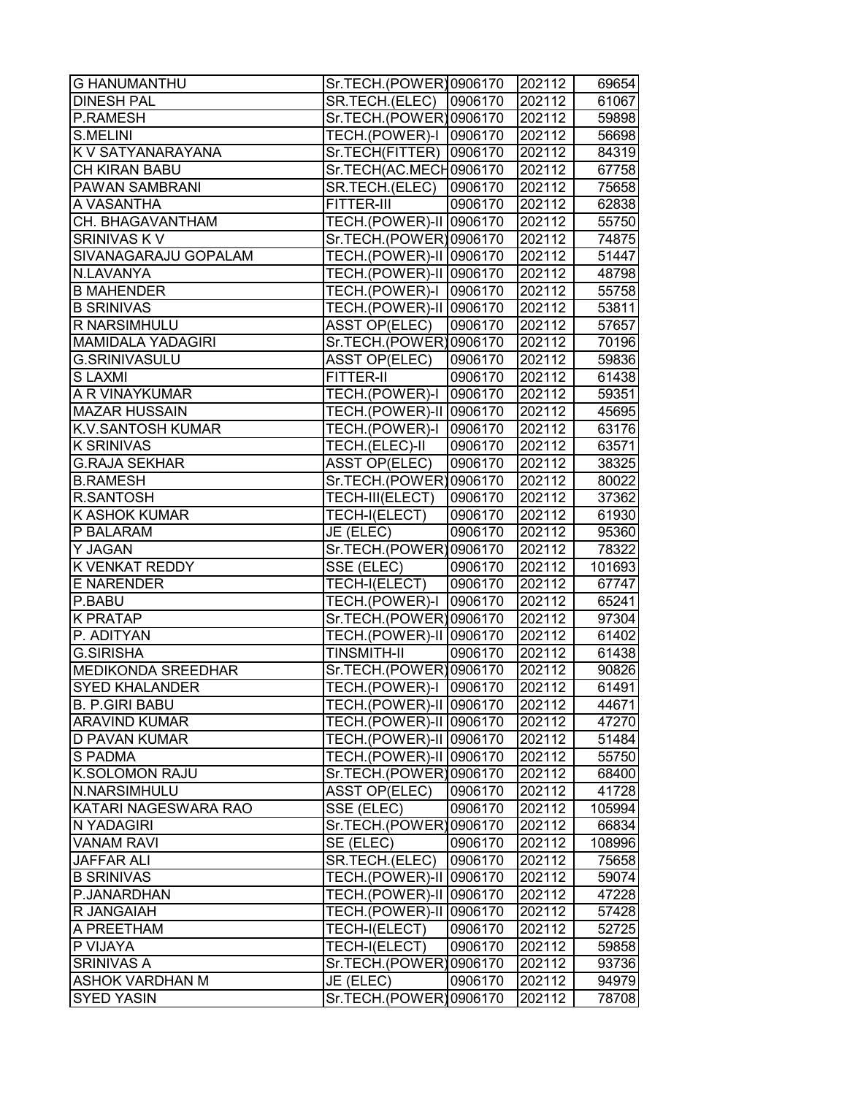| <b>G HANUMANTHU</b>       | Sr.TECH.(POWER)0906170          |         | 202112 | 69654                   |
|---------------------------|---------------------------------|---------|--------|-------------------------|
| <b>DINESH PAL</b>         | SR.TECH.(ELEC)                  | 0906170 | 202112 | 61067                   |
| P.RAMESH                  | Sr.TECH.(POWER)0906170          |         | 202112 | 59898                   |
| S.MELINI                  | TECH.(POWER)-I 0906170          |         | 202112 | 56698                   |
| K V SATYANARAYANA         | Sr.TECH(FITTER) 0906170         |         | 202112 | 84319                   |
| CH KIRAN BABU             | Sr.TECH(AC.MECH0906170          |         | 202112 | 67758                   |
| <b>PAWAN SAMBRANI</b>     | SR.TECH.(ELEC)                  | 0906170 | 202112 | 75658                   |
| A VASANTHA                | FITTER-III                      | 0906170 | 202112 | 62838                   |
| CH. BHAGAVANTHAM          | <b>TECH.(POWER)-II 0906170</b>  |         | 202112 | 55750                   |
| SRINIVAS K V              | Sr.TECH.(POWER)0906170          |         | 202112 | 74875                   |
| SIVANAGARAJU GOPALAM      | <b>TECH.</b> (POWER)-II 0906170 |         | 202112 | 51447                   |
| N.LAVANYA                 | TECH.(POWER)-II 0906170         |         | 202112 | 48798                   |
| <b>B MAHENDER</b>         | TECH.(POWER)-I 0906170          |         | 202112 | 55758                   |
| <b>B SRINIVAS</b>         | TECH.(POWER)-II 0906170         |         | 202112 | 53811                   |
| R NARSIMHULU              | <b>ASST OP(ELEC)</b>            | 0906170 | 202112 | 57657                   |
| <b>MAMIDALA YADAGIRI</b>  | Sr.TECH.(POWER)0906170          |         | 202112 | 70196                   |
| <b>G.SRINIVASULU</b>      | <b>ASST OP(ELEC)</b>            | 0906170 | 202112 | 59836                   |
| <b>SLAXMI</b>             | <b>FITTER-II</b>                | 0906170 | 202112 | 61438                   |
| A R VINAYKUMAR            | TECH.(POWER)-I                  | 0906170 | 202112 | 59351                   |
| <b>MAZAR HUSSAIN</b>      | TECH.(POWER)-II 0906170         |         | 202112 | 45695                   |
| <b>K.V.SANTOSH KUMAR</b>  | TECH.(POWER)-I                  | 0906170 | 202112 | 63176                   |
| <b>K SRINIVAS</b>         | TECH.(ELEC)-II                  | 0906170 | 202112 | 63571                   |
| <b>G.RAJA SEKHAR</b>      | <b>ASST OP(ELEC)</b>            | 0906170 | 202112 | 38325                   |
| <b>B.RAMESH</b>           | Sr.TECH.(POWER)0906170          |         | 202112 | 80022                   |
| <b>R.SANTOSH</b>          | TECH-III(ELECT)                 | 0906170 | 202112 | 37362                   |
| <b>K ASHOK KUMAR</b>      | TECH-I(ELECT)                   | 0906170 | 202112 | 61930                   |
| P BALARAM                 | JE (ELEC)                       | 0906170 | 202112 | 95360                   |
|                           |                                 |         |        |                         |
| Y JAGAN                   | Sr.TECH.(POWER)0906170          |         | 202112 |                         |
| <b>K VENKAT REDDY</b>     | SSE (ELEC)                      | 0906170 | 202112 | 78322<br>101693         |
| E NARENDER                | TECH-I(ELECT)                   | 0906170 | 202112 |                         |
| P.BABU                    | TECH.(POWER)-I                  | 0906170 | 202112 |                         |
| <b>K PRATAP</b>           | Sr.TECH.(POWER)0906170          |         | 202112 | 67747<br>65241<br>97304 |
| P. ADITYAN                | TECH.(POWER)-II 0906170         |         | 202112 | 61402                   |
| <b>G.SIRISHA</b>          | <b>TINSMITH-II</b>              | 0906170 | 202112 | 61438                   |
| <b>MEDIKONDA SREEDHAR</b> | Sr.TECH.(POWER)0906170          |         | 202112 | 90826                   |
| <b>SYED KHALANDER</b>     | TECH.(POWER)-I 0906170          |         | 202112 | 61491                   |
| <b>B. P.GIRI BABU</b>     | TECH.(POWER)-II 0906170         |         | 202112 | 44671                   |
| <b>ARAVIND KUMAR</b>      | TECH.(POWER)-II 0906170         |         | 202112 | 47270                   |
| <b>D PAVAN KUMAR</b>      | TECH.(POWER)-II 0906170         |         | 202112 | 51484                   |
| <b>S PADMA</b>            | TECH.(POWER)-II 0906170         |         | 202112 | 55750                   |
| <b>K.SOLOMON RAJU</b>     | Sr.TECH.(POWER)0906170          |         | 202112 | 68400                   |
| N.NARSIMHULU              | <b>ASST OP(ELEC)</b>            | 0906170 | 202112 | 41728                   |
| KATARI NAGESWARA RAO      | SSE (ELEC)                      | 0906170 | 202112 | 105994                  |
| N YADAGIRI                | Sr.TECH.(POWER)0906170          |         | 202112 | 66834                   |
| <b>VANAM RAVI</b>         | SE (ELEC)                       | 0906170 | 202112 | 108996                  |
| <b>JAFFAR ALI</b>         | SR.TECH.(ELEC)                  | 0906170 | 202112 | 75658                   |
| <b>B SRINIVAS</b>         | TECH.(POWER)-II 0906170         |         | 202112 | 59074                   |
| P.JANARDHAN               | TECH.(POWER)-II 0906170         |         | 202112 | 47228                   |
| R JANGAIAH                | TECH.(POWER)-II 0906170         |         | 202112 | 57428                   |
| A PREETHAM                | TECH-I(ELECT)                   | 0906170 | 202112 | 52725                   |
| P VIJAYA                  | TECH-I(ELECT)                   | 0906170 | 202112 | 59858                   |
| <b>SRINIVAS A</b>         | Sr.TECH.(POWER)0906170          |         | 202112 | 93736                   |
| <b>ASHOK VARDHAN M</b>    | JE (ELEC)                       | 0906170 | 202112 | 94979                   |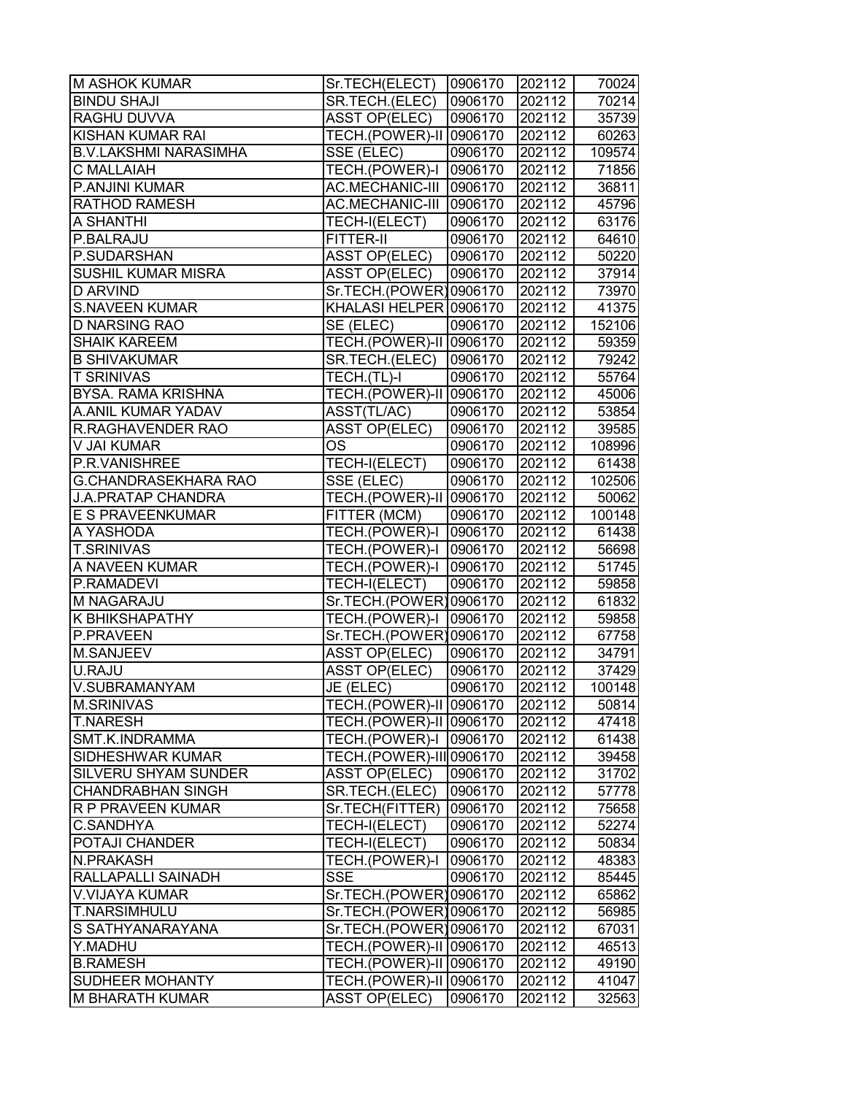| <b>M ASHOK KUMAR</b>         | Sr.TECH(ELECT)                 | 0906170 | 202112 | 70024  |
|------------------------------|--------------------------------|---------|--------|--------|
| <b>BINDU SHAJI</b>           | SR.TECH.(ELEC)                 | 0906170 | 202112 | 70214  |
| <b>RAGHU DUVVA</b>           | <b>ASST OP(ELEC)</b>           | 0906170 | 202112 | 35739  |
| <b>KISHAN KUMAR RAI</b>      | TECH.(POWER)-II 0906170        |         | 202112 | 60263  |
| <b>B.V.LAKSHMI NARASIMHA</b> | SSE (ELEC)                     | 0906170 | 202112 | 109574 |
| <b>C MALLAIAH</b>            | TECH.(POWER)-I 0906170         |         | 202112 | 71856  |
| P.ANJINI KUMAR               | AC.MECHANIC-III 0906170        |         | 202112 | 36811  |
| <b>RATHOD RAMESH</b>         | AC.MECHANIC-III                | 0906170 | 202112 | 45796  |
| <b>A SHANTHI</b>             | TECH-I(ELECT)                  | 0906170 | 202112 | 63176  |
| P.BALRAJU                    | FITTER-II                      | 0906170 | 202112 | 64610  |
| P.SUDARSHAN                  | <b>ASST OP(ELEC)</b>           | 0906170 | 202112 | 50220  |
| <b>SUSHIL KUMAR MISRA</b>    | <b>ASST OP(ELEC)</b>           | 0906170 | 202112 | 37914  |
| <b>D ARVIND</b>              | Sr.TECH.(POWER)0906170         |         | 202112 | 73970  |
| <b>S.NAVEEN KUMAR</b>        | KHALASI HELPER 0906170         |         | 202112 | 41375  |
| <b>D NARSING RAO</b>         | SE (ELEC)                      | 0906170 | 202112 | 152106 |
| <b>SHAIK KAREEM</b>          | TECH.(POWER)-II 0906170        |         | 202112 | 59359  |
| <b>B SHIVAKUMAR</b>          | SR.TECH.(ELEC)                 | 0906170 | 202112 | 79242  |
| <b>T SRINIVAS</b>            | TECH.(TL)-I                    | 0906170 | 202112 | 55764  |
| <b>BYSA. RAMA KRISHNA</b>    | <b>TECH.(POWER)-II 0906170</b> |         | 202112 | 45006  |
| A.ANIL KUMAR YADAV           | ASST(TL/AC)                    | 0906170 | 202112 | 53854  |
| <b>R.RAGHAVENDER RAO</b>     | <b>ASST OP(ELEC)</b>           | 0906170 | 202112 | 39585  |
| V JAI KUMAR                  | <b>OS</b>                      | 0906170 | 202112 | 108996 |
| P.R.VANISHREE                | TECH-I(ELECT)                  | 0906170 | 202112 | 61438  |
| <b>G.CHANDRASEKHARA RAO</b>  | SSE (ELEC)                     | 0906170 | 202112 | 102506 |
| <b>J.A.PRATAP CHANDRA</b>    | TECH.(POWER)-II 0906170        |         | 202112 | 50062  |
| <b>E S PRAVEENKUMAR</b>      | FITTER (MCM)                   | 0906170 | 202112 | 100148 |
| A YASHODA                    | TECH.(POWER)-I 0906170         |         | 202112 | 61438  |
| <b>T.SRINIVAS</b>            | TECH.(POWER)-I   0906170       |         | 202112 | 56698  |
| A NAVEEN KUMAR               | TECH.(POWER)-I 0906170         |         | 202112 | 51745  |
| P.RAMADEVI                   | TECH-I(ELECT)                  | 0906170 | 202112 | 59858  |
| M NAGARAJU                   | Sr.TECH.(POWER)0906170         |         | 202112 | 61832  |
| K BHIKSHAPATHY               | TECH.(POWER)-I                 | 0906170 | 202112 | 59858  |
| P.PRAVEEN                    | Sr.TECH.(POWER)0906170         |         | 202112 | 67758  |
| <b>M.SANJEEV</b>             | <b>ASST OP(ELEC)</b>           | 0906170 | 202112 | 34791  |
| U.RAJU                       | <b>ASST OP(ELEC)</b>           | 0906170 | 202112 | 37429  |
| V.SUBRAMANYAM                | JE (ELEC)                      | 0906170 | 202112 | 100148 |
| <b>M.SRINIVAS</b>            | TECH.(POWER)-II 0906170        |         | 202112 | 50814  |
| <b>T.NARESH</b>              | TECH.(POWER)-II 0906170        |         | 202112 | 47418  |
| <b>SMT.K.INDRAMMA</b>        | TECH.(POWER)-I                 | 0906170 | 202112 | 61438  |
| <b>SIDHESHWAR KUMAR</b>      | TECH.(POWER)-III 0906170       |         | 202112 | 39458  |
| <b>SILVERU SHYAM SUNDER</b>  | <b>ASST OP(ELEC)</b>           | 0906170 | 202112 | 31702  |
| <b>CHANDRABHAN SINGH</b>     | SR.TECH.(ELEC)                 | 0906170 | 202112 | 57778  |
| R P PRAVEEN KUMAR            | Sr.TECH(FITTER)                | 0906170 | 202112 | 75658  |
| <b>C.SANDHYA</b>             | TECH-I(ELECT)                  | 0906170 | 202112 | 52274  |
| <b>POTAJI CHANDER</b>        | TECH-I(ELECT)                  | 0906170 | 202112 | 50834  |
| <b>N.PRAKASH</b>             | TECH.(POWER)-I                 | 0906170 | 202112 | 48383  |
| <b>RALLAPALLI SAINADH</b>    | <b>SSE</b>                     | 0906170 | 202112 | 85445  |
| <b>V.VIJAYA KUMAR</b>        | Sr.TECH.(POWER)0906170         |         | 202112 | 65862  |
| <b>T.NARSIMHULU</b>          | Sr.TECH.(POWER)0906170         |         | 202112 | 56985  |
| S SATHYANARAYANA             | Sr.TECH.(POWER)0906170         |         | 202112 | 67031  |
| Y.MADHU                      | TECH.(POWER)-II 0906170        |         | 202112 | 46513  |
| <b>B.RAMESH</b>              | TECH.(POWER)-II 0906170        |         | 202112 | 49190  |
| <b>SUDHEER MOHANTY</b>       | TECH.(POWER)-II 0906170        |         | 202112 | 41047  |
| <b>M BHARATH KUMAR</b>       | <b>ASST OP(ELEC)</b>           | 0906170 | 202112 | 32563  |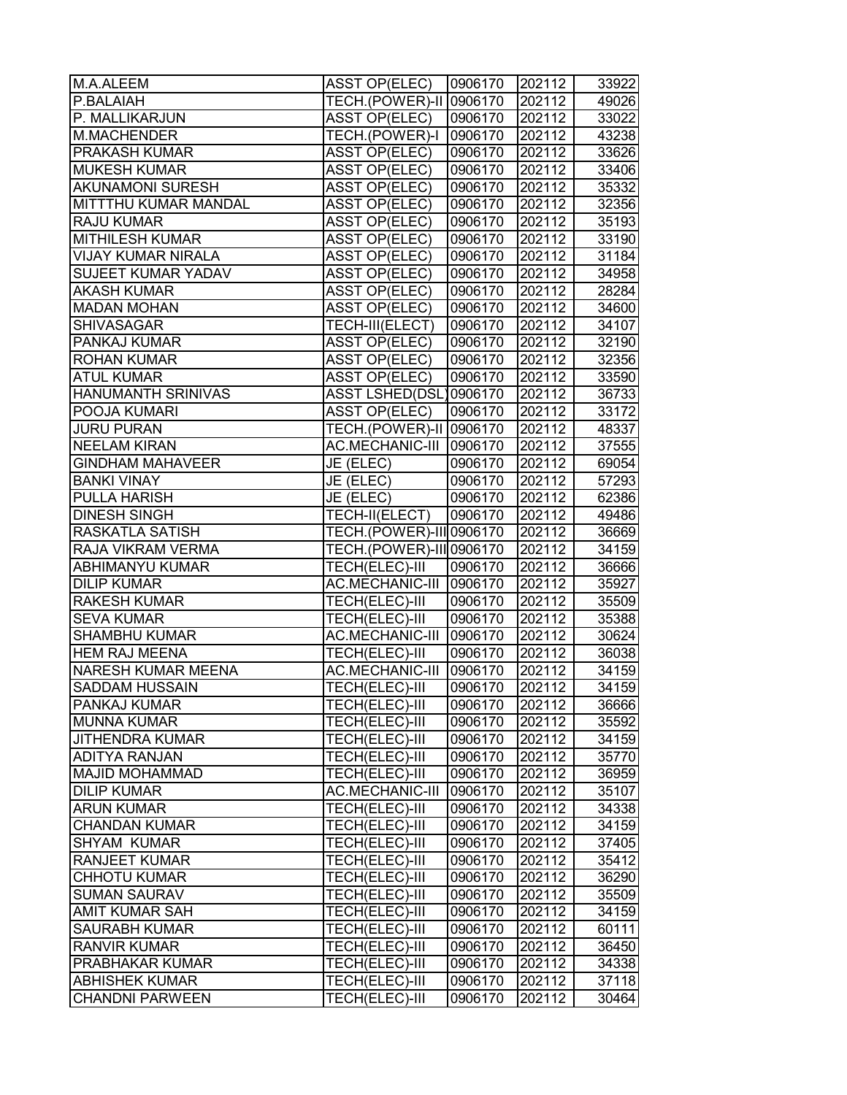| M.A.ALEEM                   | <b>ASST OP(ELEC)</b>     | 0906170 | 202112 | 33922 |
|-----------------------------|--------------------------|---------|--------|-------|
| P.BALAIAH                   | TECH.(POWER)-II 0906170  |         | 202112 | 49026 |
| P. MALLIKARJUN              | <b>ASST OP(ELEC)</b>     | 0906170 | 202112 | 33022 |
| M.MACHENDER                 | TECH.(POWER)-I           | 0906170 | 202112 | 43238 |
| <b>PRAKASH KUMAR</b>        | <b>ASST OP(ELEC)</b>     | 0906170 | 202112 | 33626 |
| <b>MUKESH KUMAR</b>         | <b>ASST OP(ELEC)</b>     | 0906170 | 202112 | 33406 |
| <b>AKUNAMONI SURESH</b>     | <b>ASST OP(ELEC)</b>     | 0906170 | 202112 | 35332 |
| <b>MITTTHU KUMAR MANDAL</b> | <b>ASST OP(ELEC)</b>     | 0906170 | 202112 | 32356 |
| <b>RAJU KUMAR</b>           | <b>ASST OP(ELEC)</b>     | 0906170 | 202112 | 35193 |
| <b>MITHILESH KUMAR</b>      | <b>ASST OP(ELEC)</b>     | 0906170 | 202112 | 33190 |
| <b>VIJAY KUMAR NIRALA</b>   | <b>ASST OP(ELEC)</b>     | 0906170 | 202112 | 31184 |
| <b>SUJEET KUMAR YADAV</b>   | <b>ASST OP(ELEC)</b>     | 0906170 | 202112 | 34958 |
| <b>AKASH KUMAR</b>          | <b>ASST OP(ELEC)</b>     | 0906170 | 202112 | 28284 |
| <b>MADAN MOHAN</b>          | <b>ASST OP(ELEC)</b>     | 0906170 | 202112 | 34600 |
| <b>SHIVASAGAR</b>           | TECH-III(ELECT)          | 0906170 | 202112 | 34107 |
| <b>PANKAJ KUMAR</b>         | <b>ASST OP(ELEC)</b>     | 0906170 | 202112 | 32190 |
| <b>ROHAN KUMAR</b>          | <b>ASST OP(ELEC)</b>     | 0906170 | 202112 | 32356 |
| <b>ATUL KUMAR</b>           | <b>ASST OP(ELEC)</b>     | 0906170 | 202112 | 33590 |
| <b>HANUMANTH SRINIVAS</b>   | ASST LSHED(DSL)0906170   |         | 202112 | 36733 |
| POOJA KUMARI                | <b>ASST OP(ELEC)</b>     | 0906170 | 202112 | 33172 |
| <b>JURU PURAN</b>           | TECH.(POWER)-II 0906170  |         | 202112 | 48337 |
| <b>NEELAM KIRAN</b>         | AC.MECHANIC-III 0906170  |         | 202112 | 37555 |
| <b>GINDHAM MAHAVEER</b>     | JE (ELEC)                | 0906170 | 202112 | 69054 |
| <b>BANKI VINAY</b>          | JE (ELEC)                | 0906170 | 202112 | 57293 |
| <b>PULLA HARISH</b>         | JE (ELEC)                | 0906170 | 202112 | 62386 |
| <b>DINESH SINGH</b>         | TECH-II(ELECT)           | 0906170 | 202112 | 49486 |
| <b>RASKATLA SATISH</b>      | TECH.(POWER)-III 0906170 |         | 202112 | 36669 |
| RAJA VIKRAM VERMA           | TECH.(POWER)-III 0906170 |         | 202112 | 34159 |
| <b>ABHIMANYU KUMAR</b>      | TECH(ELEC)-III           | 0906170 | 202112 | 36666 |
| <b>DILIP KUMAR</b>          | AC.MECHANIC-III 0906170  |         | 202112 | 35927 |
| <b>RAKESH KUMAR</b>         | TECH(ELEC)-III           | 0906170 | 202112 | 35509 |
| <b>SEVA KUMAR</b>           | TECH(ELEC)-III           | 0906170 | 202112 | 35388 |
| <b>SHAMBHU KUMAR</b>        | AC.MECHANIC-III          | 0906170 | 202112 | 30624 |
| <b>HEM RAJ MEENA</b>        | TECH(ELEC)-III           | 0906170 | 202112 | 36038 |
| <b>NARESH KUMAR MEENA</b>   | AC.MECHANIC-III          | 0906170 | 202112 | 34159 |
| <b>SADDAM HUSSAIN</b>       | TECH(ELEC)-III           | 0906170 | 202112 | 34159 |
| <b>PANKAJ KUMAR</b>         | <b>TECH(ELEC)-III</b>    | 0906170 | 202112 | 36666 |
| <b>MUNNA KUMAR</b>          | TECH(ELEC)-III           | 0906170 | 202112 | 35592 |
| <b>JITHENDRA KUMAR</b>      | TECH(ELEC)-III           | 0906170 | 202112 | 34159 |
| <b>ADITYA RANJAN</b>        | TECH(ELEC)-III           | 0906170 | 202112 | 35770 |
| <b>MAJID MOHAMMAD</b>       | TECH(ELEC)-III           | 0906170 | 202112 | 36959 |
| <b>DILIP KUMAR</b>          | AC.MECHANIC-III          | 0906170 | 202112 | 35107 |
| <b>ARUN KUMAR</b>           | TECH(ELEC)-III           | 0906170 | 202112 | 34338 |
| <b>CHANDAN KUMAR</b>        | TECH(ELEC)-III           | 0906170 | 202112 | 34159 |
| <b>SHYAM KUMAR</b>          | <b>TECH(ELEC)-III</b>    | 0906170 | 202112 | 37405 |
| <b>RANJEET KUMAR</b>        | TECH(ELEC)-III           | 0906170 | 202112 | 35412 |
| <b>CHHOTU KUMAR</b>         | TECH(ELEC)-III           | 0906170 | 202112 | 36290 |
| <b>SUMAN SAURAV</b>         | TECH(ELEC)-III           | 0906170 | 202112 | 35509 |
| <b>AMIT KUMAR SAH</b>       | TECH(ELEC)-III           | 0906170 | 202112 | 34159 |
| <b>SAURABH KUMAR</b>        | TECH(ELEC)-III           | 0906170 | 202112 | 60111 |
| <b>RANVIR KUMAR</b>         | TECH(ELEC)-III           | 0906170 | 202112 | 36450 |
| <b>PRABHAKAR KUMAR</b>      | TECH(ELEC)-III           | 0906170 | 202112 | 34338 |
| <b>ABHISHEK KUMAR</b>       | TECH(ELEC)-III           | 0906170 | 202112 | 37118 |
| <b>CHANDNI PARWEEN</b>      | TECH(ELEC)-III           | 0906170 | 202112 | 30464 |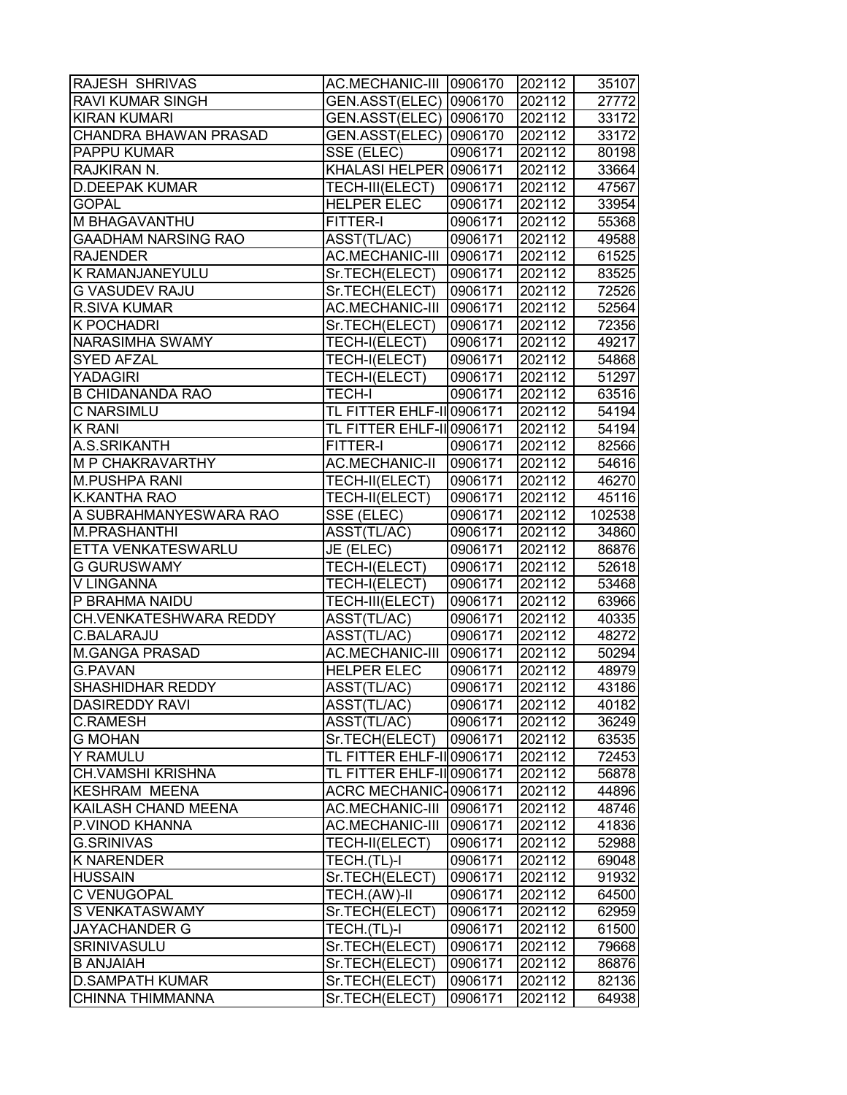| <b>RAJESH SHRIVAS</b>                    | AC.MECHANIC-III  0906170                        |                    | 202112           | 35107                                                                                           |
|------------------------------------------|-------------------------------------------------|--------------------|------------------|-------------------------------------------------------------------------------------------------|
| <b>RAVI KUMAR SINGH</b>                  | GEN.ASST(ELEC)   0906170                        |                    | 202112           | 27772                                                                                           |
| <b>KIRAN KUMARI</b>                      | GEN.ASST(ELEC)   0906170                        |                    | 202112           | 33172                                                                                           |
| <b>CHANDRA BHAWAN PRASAD</b>             | GEN.ASST(ELEC)   0906170                        |                    | 202112           | 33172                                                                                           |
| <b>PAPPU KUMAR</b>                       | SSE (ELEC)                                      | 0906171            | 202112           | 80198                                                                                           |
| RAJKIRAN N.                              | KHALASI HELPER 0906171                          |                    | 202112           | 33664                                                                                           |
| <b>D.DEEPAK KUMAR</b>                    | TECH-III(ELECT)                                 | 0906171            | 202112           | 47567                                                                                           |
| <b>GOPAL</b>                             | <b>HELPER ELEC</b>                              | 0906171            | 202112           | 33954                                                                                           |
| M BHAGAVANTHU                            | FITTER-I                                        | 0906171            | 202112           | 55368                                                                                           |
| <b>GAADHAM NARSING RAO</b>               | ASST(TL/AC)                                     | 0906171            | 202112           | 49588                                                                                           |
| <b>RAJENDER</b>                          | AC.MECHANIC-III 0906171                         |                    | 202112           | 61525                                                                                           |
| <b>K RAMANJANEYULU</b>                   | Sr.TECH(ELECT)                                  | 0906171            | 202112           | 83525                                                                                           |
| <b>G VASUDEV RAJU</b>                    | Sr.TECH(ELECT)                                  | 0906171            | 202112           | 72526                                                                                           |
| R.SIVA KUMAR                             | <b>AC.MECHANIC-III</b>                          | 0906171            | 202112           | 52564                                                                                           |
| <b>K POCHADRI</b>                        | Sr.TECH(ELECT)                                  | 0906171            | 202112           | 72356                                                                                           |
| NARASIMHA SWAMY                          | TECH-I(ELECT)                                   | 0906171            | 202112           | 49217                                                                                           |
| <b>SYED AFZAL</b>                        | TECH-I(ELECT)                                   | 0906171            | 202112           | 54868                                                                                           |
| <b>YADAGIRI</b>                          | TECH-I(ELECT)                                   | 0906171            | 202112           | 51297                                                                                           |
| <b>B CHIDANANDA RAO</b>                  | <b>TECH-I</b>                                   | 0906171            | 202112           | 63516                                                                                           |
| <b>C NARSIMLU</b>                        | TL FITTER EHLF-IIO906171                        |                    | 202112           | 54194                                                                                           |
| <b>K RANI</b>                            | TL FITTER EHLF-IIO906171                        |                    | 202112           | 54194                                                                                           |
| A.S.SRIKANTH                             | FITTER-I                                        | 0906171            | 202112           | 82566                                                                                           |
| <b>M P CHAKRAVARTHY</b>                  | <b>AC.MECHANIC-II</b>                           | 0906171            | 202112           | 54616                                                                                           |
| M.PUSHPA RANI                            | TECH-II(ELECT)                                  | 0906171            | 202112           | 46270                                                                                           |
| K.KANTHA RAO                             | TECH-II(ELECT)                                  | 0906171            | 202112           | 45116                                                                                           |
| A SUBRAHMANYESWARA RAO                   | SSE (ELEC)                                      | 0906171            | 202112           | 102538                                                                                          |
| M.PRASHANTHI                             | ASST(TL/AC)                                     | 0906171            | 202112           | 34860                                                                                           |
|                                          |                                                 |                    |                  |                                                                                                 |
|                                          |                                                 |                    |                  |                                                                                                 |
| ETTA VENKATESWARLU                       | JE (ELEC)                                       | 0906171            | 202112           |                                                                                                 |
| <b>G GURUSWAMY</b>                       | TECH-I(ELECT)                                   | 0906171            | 202112           |                                                                                                 |
| V LINGANNA                               | TECH-I(ELECT)                                   | 0906171            | 202112           |                                                                                                 |
| P BRAHMA NAIDU                           | TECH-III(ELECT)                                 | 0906171            | 202112           |                                                                                                 |
| CH.VENKATESHWARA REDDY                   | ASST(TL/AC)                                     | 0906171            | 202112           |                                                                                                 |
| C.BALARAJU                               | ASST(TL/AC)                                     | 0906171            | 202112           |                                                                                                 |
| <b>M.GANGA PRASAD</b><br><b>G.PAVAN</b>  | AC.MECHANIC-III<br><b>HELPER ELEC</b>           | 0906171<br>0906171 | 202112<br>202112 |                                                                                                 |
| <b>SHASHIDHAR REDDY</b>                  |                                                 | 0906171            | 202112           |                                                                                                 |
|                                          | ASST(TL/AC)                                     |                    |                  |                                                                                                 |
| <b>DASIREDDY RAVI</b><br><b>C.RAMESH</b> | ASST(TL/AC)<br>ASST(TL/AC)                      | 0906171<br>0906171 | 202112<br>202112 |                                                                                                 |
| <b>G MOHAN</b>                           | Sr.TECH(ELECT)                                  | 0906171            |                  | 86876<br>52618<br>53468<br>63966<br>40335<br>48272<br>50294<br>48979<br>43186<br>40182<br>36249 |
| <b>Y RAMULU</b>                          | TL FITTER EHLF-IIO906171                        |                    | 202112<br>202112 |                                                                                                 |
| <b>CH.VAMSHI KRISHNA</b>                 |                                                 |                    |                  |                                                                                                 |
| <b>KESHRAM MEENA</b>                     | <b>TL FITTER EHLF-IIO906171</b>                 |                    | 202112           | 63535<br>72453<br>56878                                                                         |
| KAILASH CHAND MEENA                      | ACRC MECHANIC-0906171<br><b>AC.MECHANIC-III</b> | 0906171            | 202112<br>202112 |                                                                                                 |
| P.VINOD KHANNA                           | AC.MECHANIC-III                                 |                    | 202112           | 44896<br>48746                                                                                  |
| <b>G.SRINIVAS</b>                        | TECH-II(ELECT)                                  | 0906171<br>0906171 | 202112           | 41836<br>52988                                                                                  |
| <b>K NARENDER</b>                        |                                                 | 0906171            | 202112           | 69048                                                                                           |
| <b>HUSSAIN</b>                           | TECH.(TL)-I<br>Sr.TECH(ELECT)                   | 0906171            | 202112           | 91932                                                                                           |
| <b>C VENUGOPAL</b>                       | TECH.(AW)-II                                    | 0906171            | 202112           | 64500                                                                                           |
| <b>S VENKATASWAMY</b>                    | Sr.TECH(ELECT)                                  | 0906171            | 202112           | 62959                                                                                           |
| <b>JAYACHANDER G</b>                     | TECH.(TL)-I                                     | 0906171            | 202112           | 61500                                                                                           |
| SRINIVASULU                              | Sr.TECH(ELECT)                                  | 0906171            | 202112           | 79668                                                                                           |
| <b>B ANJAIAH</b>                         | Sr.TECH(ELECT)                                  | 0906171            | 202112           | 86876                                                                                           |
| <b>D.SAMPATH KUMAR</b>                   | Sr.TECH(ELECT)                                  | 0906171            | 202112           | 82136                                                                                           |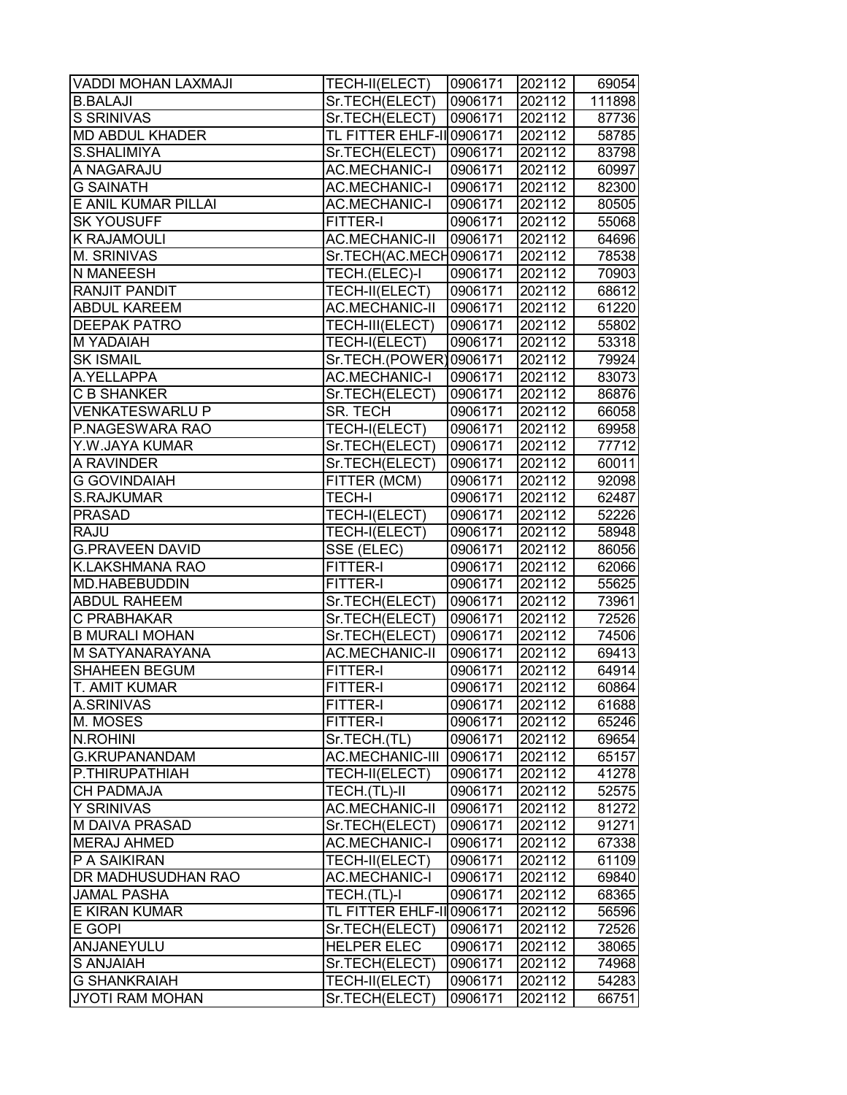| VADDI MOHAN LAXMAJI       | TECH-II(ELECT)           | 0906171 | 202112 | 69054  |
|---------------------------|--------------------------|---------|--------|--------|
| <b>B.BALAJI</b>           | Sr.TECH(ELECT)           | 0906171 | 202112 | 111898 |
| S SRINIVAS                | Sr.TECH(ELECT)           | 0906171 | 202112 | 87736  |
| <b>MD ABDUL KHADER</b>    | TL FITTER EHLF-IIO906171 |         | 202112 | 58785  |
| S.SHALIMIYA               | Sr.TECH(ELECT)           | 0906171 | 202112 | 83798  |
| A NAGARAJU                | <b>AC.MECHANIC-I</b>     | 0906171 | 202112 | 60997  |
| <b>G SAINATH</b>          | <b>AC.MECHANIC-I</b>     | 0906171 | 202112 | 82300  |
| E ANIL KUMAR PILLAI       | <b>AC.MECHANIC-I</b>     | 0906171 | 202112 | 80505  |
| <b>SK YOUSUFF</b>         | FITTER-I                 | 0906171 | 202112 | 55068  |
| <b>K RAJAMOULI</b>        | <b>AC.MECHANIC-II</b>    | 0906171 | 202112 | 64696  |
| <b>M. SRINIVAS</b>        | Sr.TECH(AC.MECH0906171   |         | 202112 | 78538  |
| <b>N MANEESH</b>          | TECH.(ELEC)-I            | 0906171 | 202112 | 70903  |
| <b>RANJIT PANDIT</b>      | TECH-II(ELECT)           | 0906171 | 202112 | 68612  |
| <b>ABDUL KAREEM</b>       | <b>AC.MECHANIC-II</b>    | 0906171 | 202112 | 61220  |
| <b>DEEPAK PATRO</b>       | TECH-III(ELECT)          | 0906171 | 202112 | 55802  |
| <b>M YADAIAH</b>          | TECH-I(ELECT)            | 0906171 | 202112 | 53318  |
| <b>SK ISMAIL</b>          | Sr.TECH.(POWER)0906171   |         | 202112 | 79924  |
| A.YELLAPPA                | <b>AC.MECHANIC-I</b>     | 0906171 | 202112 | 83073  |
| <b>C B SHANKER</b>        | Sr.TECH(ELECT)           | 0906171 | 202112 | 86876  |
| <b>VENKATESWARLU P</b>    | SR. TECH                 | 0906171 | 202112 | 66058  |
| P.NAGESWARA RAO           | TECH-I(ELECT)            | 0906171 | 202112 | 69958  |
| Y.W.JAYA KUMAR            | Sr.TECH(ELECT)           | 0906171 | 202112 | 77712  |
| A RAVINDER                | Sr.TECH(ELECT)           | 0906171 | 202112 | 60011  |
| <b>G GOVINDAIAH</b>       | FITTER (MCM)             | 0906171 | 202112 | 92098  |
| S.RAJKUMAR                | <b>TECH-I</b>            | 0906171 | 202112 | 62487  |
| <b>PRASAD</b>             | TECH-I(ELECT)            | 0906171 | 202112 | 52226  |
| <b>RAJU</b>               | TECH-I(ELECT)            | 0906171 | 202112 | 58948  |
| <b>G.PRAVEEN DAVID</b>    | SSE (ELEC)               | 0906171 | 202112 | 86056  |
| <b>K.LAKSHMANA RAO</b>    | FITTER-I                 | 0906171 | 202112 | 62066  |
| MD.HABEBUDDIN             | FITTER-I                 | 0906171 | 202112 | 55625  |
| <b>ABDUL RAHEEM</b>       | Sr.TECH(ELECT)           | 0906171 | 202112 | 73961  |
| C PRABHAKAR               | Sr.TECH(ELECT)           | 0906171 | 202112 | 72526  |
| <b>B MURALI MOHAN</b>     | Sr.TECH(ELECT)           | 0906171 | 202112 | 74506  |
| M SATYANARAYANA           | <b>AC.MECHANIC-II</b>    | 0906171 | 202112 | 69413  |
| <b>SHAHEEN BEGUM</b>      | FITTER-I                 | 0906171 | 202112 | 64914  |
| T. AMIT KUMAR             | <b>FITTER-I</b>          | 0906171 | 202112 | 60864  |
| A.SRINIVAS                | <b>FITTER-I</b>          | 0906171 | 202112 | 61688  |
| M. MOSES                  | <b>FITTER-I</b>          | 0906171 | 202112 | 65246  |
| N.ROHINI                  | Sr.TECH.(TL)             | 0906171 | 202112 | 69654  |
| <b>G.KRUPANANDAM</b>      | AC.MECHANIC-III          | 0906171 | 202112 | 65157  |
| P.THIRUPATHIAH            | TECH-II(ELECT)           | 0906171 | 202112 | 41278  |
| <b>CH PADMAJA</b>         | TECH.(TL)-II             | 0906171 | 202112 | 52575  |
| <b>Y SRINIVAS</b>         | <b>AC.MECHANIC-II</b>    | 0906171 | 202112 | 81272  |
| M DAIVA PRASAD            | Sr.TECH(ELECT)           | 0906171 | 202112 | 91271  |
| <b>MERAJ AHMED</b>        | <b>AC.MECHANIC-I</b>     | 0906171 | 202112 | 67338  |
| P A SAIKIRAN              | TECH-II(ELECT)           | 0906171 | 202112 | 61109  |
| <b>DR MADHUSUDHAN RAO</b> | <b>AC.MECHANIC-I</b>     | 0906171 | 202112 | 69840  |
| <b>JAMAL PASHA</b>        | TECH.(TL)-I              | 0906171 | 202112 | 68365  |
| <b>E KIRAN KUMAR</b>      | TL FITTER EHLF-IIO906171 |         | 202112 | 56596  |
| E GOPI                    | Sr.TECH(ELECT)           | 0906171 | 202112 | 72526  |
| ANJANEYULU                | <b>HELPER ELEC</b>       | 0906171 | 202112 | 38065  |
| <b>S ANJAIAH</b>          | Sr.TECH(ELECT)           | 0906171 | 202112 | 74968  |
| <b>G SHANKRAIAH</b>       | TECH-II(ELECT)           | 0906171 | 202112 | 54283  |
| JYOTI RAM MOHAN           | Sr.TECH(ELECT)           | 0906171 | 202112 | 66751  |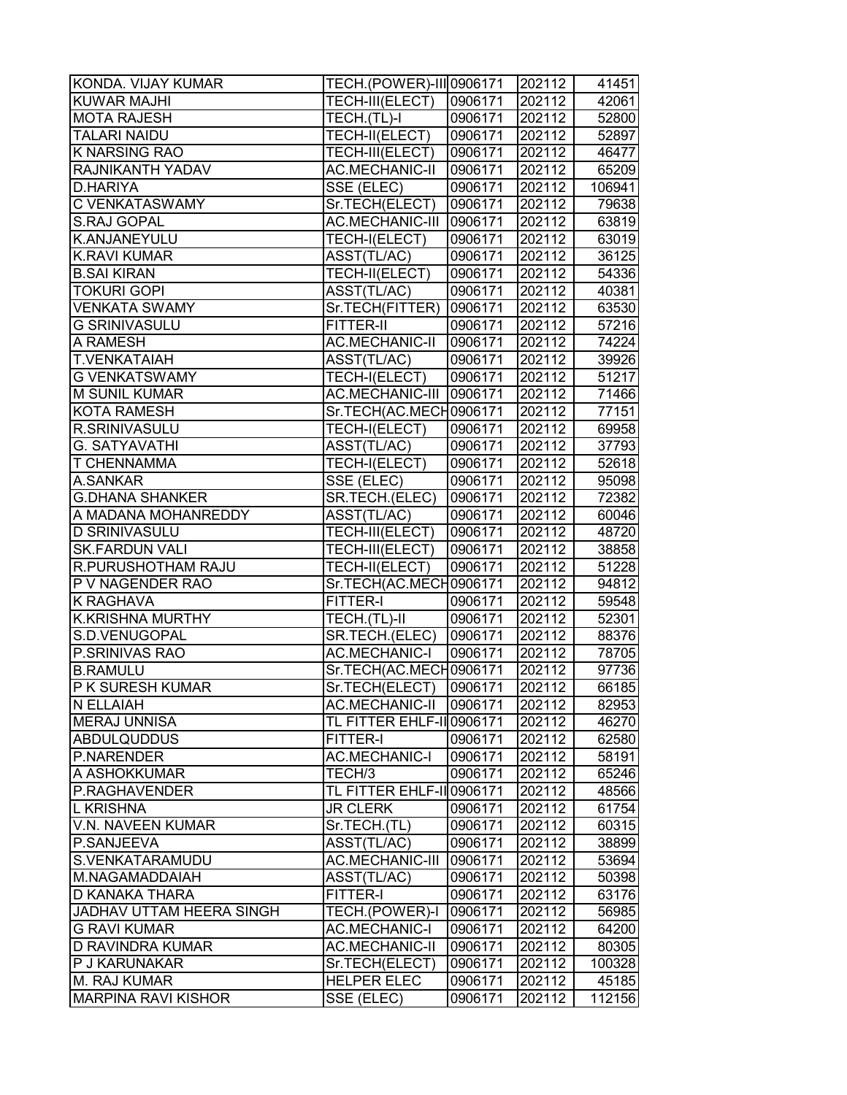| KONDA. VIJAY KUMAR         | <b>TECH.</b> (POWER)-III 0906171 |         | 202112 | 41451  |
|----------------------------|----------------------------------|---------|--------|--------|
| <b>KUWAR MAJHI</b>         | TECH-III(ELECT)                  | 0906171 | 202112 | 42061  |
| <b>MOTA RAJESH</b>         | TECH.(TL)-I                      | 0906171 | 202112 | 52800  |
| <b>TALARI NAIDU</b>        | TECH-II(ELECT)                   | 0906171 | 202112 | 52897  |
| K NARSING RAO              | TECH-III(ELECT)                  | 0906171 | 202112 | 46477  |
| <b>RAJNIKANTH YADAV</b>    | AC.MECHANIC-II                   | 0906171 | 202112 | 65209  |
| D.HARIYA                   | SSE (ELEC)                       | 0906171 | 202112 | 106941 |
| <b>C VENKATASWAMY</b>      | Sr.TECH(ELECT)                   | 0906171 | 202112 | 79638  |
| <b>S.RAJ GOPAL</b>         | AC.MECHANIC-III                  | 0906171 | 202112 | 63819  |
| K.ANJANEYULU               | TECH-I(ELECT)                    | 0906171 | 202112 | 63019  |
| <b>K.RAVI KUMAR</b>        | ASST(TL/AC)                      | 0906171 | 202112 | 36125  |
| <b>B.SAI KIRAN</b>         | TECH-II(ELECT)                   | 0906171 | 202112 | 54336  |
| <b>TOKURI GOPI</b>         | ASST(TL/AC)                      | 0906171 | 202112 | 40381  |
| <b>VENKATA SWAMY</b>       | Sr.TECH(FITTER)                  | 0906171 | 202112 | 63530  |
| <b>G SRINIVASULU</b>       | FITTER-II                        | 0906171 | 202112 | 57216  |
| A RAMESH                   | <b>AC.MECHANIC-II</b>            | 0906171 | 202112 | 74224  |
| <b>T.VENKATAIAH</b>        | ASST(TL/AC)                      | 0906171 | 202112 | 39926  |
| <b>G VENKATSWAMY</b>       | TECH-I(ELECT)                    | 0906171 | 202112 | 51217  |
| <b>M SUNIL KUMAR</b>       | <b>AC.MECHANIC-III</b>           | 0906171 | 202112 | 71466  |
| <b>KOTA RAMESH</b>         | Sr.TECH(AC.MECH0906171           |         | 202112 | 77151  |
| <b>R.SRINIVASULU</b>       | TECH-I(ELECT)                    | 0906171 | 202112 | 69958  |
| <b>G. SATYAVATHI</b>       | ASST(TL/AC)                      | 0906171 | 202112 | 37793  |
| <b>T CHENNAMMA</b>         | TECH-I(ELECT)                    | 0906171 | 202112 | 52618  |
| A.SANKAR                   | SSE (ELEC)                       | 0906171 | 202112 | 95098  |
| <b>G.DHANA SHANKER</b>     | SR.TECH.(ELEC)                   | 0906171 | 202112 | 72382  |
| A MADANA MOHANREDDY        | ASST(TL/AC)                      | 0906171 | 202112 | 60046  |
| <b>D SRINIVASULU</b>       | TECH-III(ELECT)                  | 0906171 | 202112 | 48720  |
| <b>SK.FARDUN VALI</b>      | TECH-III(ELECT)                  | 0906171 | 202112 | 38858  |
| R.PURUSHOTHAM RAJU         | TECH-II(ELECT)                   | 0906171 | 202112 | 51228  |
| <b>P V NAGENDER RAO</b>    | Sr.TECH(AC.MECH0906171           |         | 202112 | 94812  |
| K RAGHAVA                  | FITTER-I                         | 0906171 | 202112 | 59548  |
| K.KRISHNA MURTHY           | TECH.(TL)-II                     | 0906171 | 202112 | 52301  |
| S.D.VENUGOPAL              | SR.TECH.(ELEC)                   | 0906171 | 202112 | 88376  |
| P.SRINIVAS RAO             | <b>AC.MECHANIC-I</b>             | 0906171 | 202112 | 78705  |
| <b>B.RAMULU</b>            | Sr.TECH(AC.MECH0906171           |         | 202112 | 97736  |
| <b>P K SURESH KUMAR</b>    | Sr.TECH(ELECT)                   | 0906171 | 202112 | 66185  |
| N ELLAIAH                  | AC.MECHANIC-II                   | 0906171 | 202112 | 82953  |
| <b>MERAJ UNNISA</b>        | TL FITTER EHLF-II 0906171        |         | 202112 | 46270  |
| <b>ABDULQUDDUS</b>         | FITTER-I                         | 0906171 | 202112 | 62580  |
| P.NARENDER                 | <b>AC.MECHANIC-I</b>             | 0906171 | 202112 | 58191  |
| A ASHOKKUMAR               | TECH/3                           | 0906171 | 202112 | 65246  |
| P.RAGHAVENDER              | TL FITTER EHLF-IIO906171         |         | 202112 | 48566  |
| L KRISHNA                  | <b>JR CLERK</b>                  | 0906171 | 202112 | 61754  |
| V.N. NAVEEN KUMAR          | Sr.TECH.(TL)                     | 0906171 | 202112 | 60315  |
| P.SANJEEVA                 | ASST(TL/AC)                      | 0906171 | 202112 | 38899  |
| S.VENKATARAMUDU            | AC.MECHANIC-III                  | 0906171 | 202112 | 53694  |
| M.NAGAMADDAIAH             | ASST(TL/AC)                      | 0906171 | 202112 | 50398  |
| <b>D KANAKA THARA</b>      | <b>FITTER-I</b>                  | 0906171 | 202112 | 63176  |
| JADHAV UTTAM HEERA SINGH   | TECH.(POWER)-I                   | 0906171 | 202112 | 56985  |
| <b>G RAVI KUMAR</b>        | <b>AC.MECHANIC-I</b>             | 0906171 | 202112 | 64200  |
| <b>D RAVINDRA KUMAR</b>    | <b>AC.MECHANIC-II</b>            | 0906171 | 202112 | 80305  |
| <b>P J KARUNAKAR</b>       | Sr.TECH(ELECT)                   | 0906171 | 202112 | 100328 |
| <b>M. RAJ KUMAR</b>        | <b>HELPER ELEC</b>               | 0906171 | 202112 | 45185  |
| <b>MARPINA RAVI KISHOR</b> | SSE (ELEC)                       | 0906171 | 202112 | 112156 |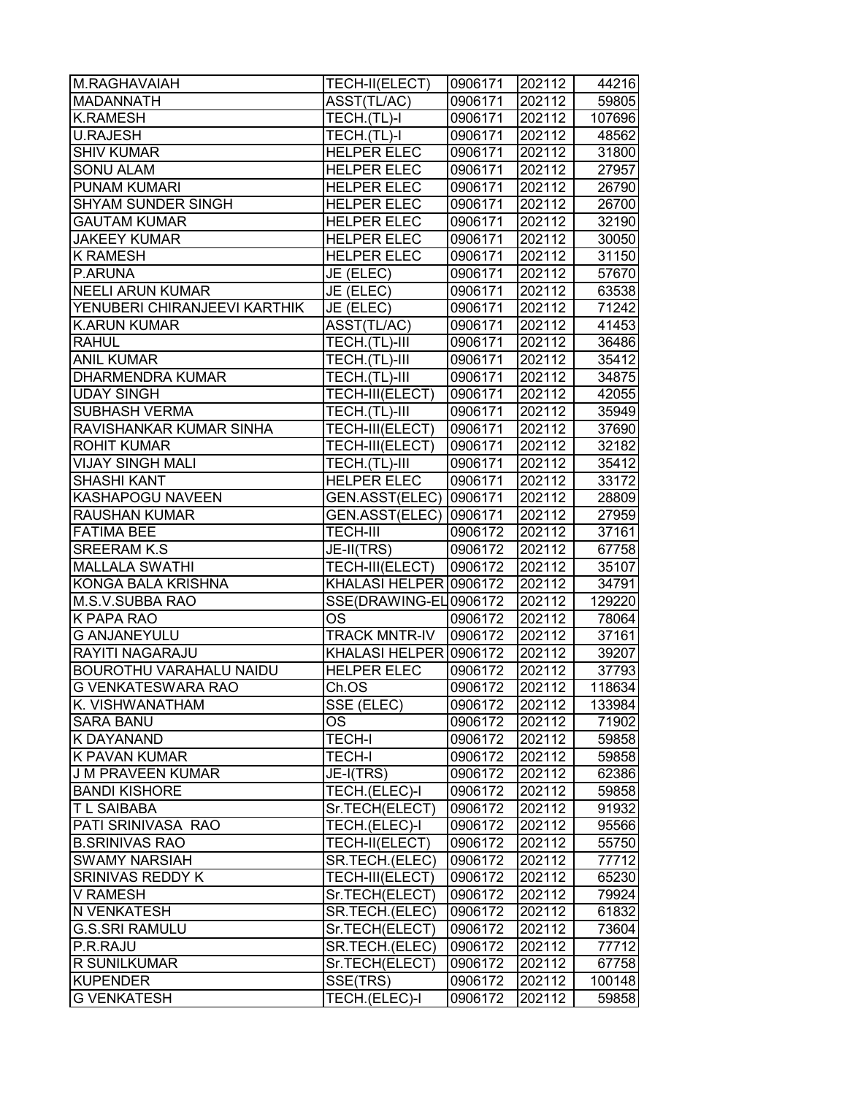| M.RAGHAVAIAH                   | TECH-II(ELECT)           | 0906171 | 202112 | 44216  |
|--------------------------------|--------------------------|---------|--------|--------|
| <b>MADANNATH</b>               | ASST(TL/AC)              | 0906171 | 202112 | 59805  |
| <b>K.RAMESH</b>                | TECH.(TL)-I              | 0906171 | 202112 | 107696 |
| <b>U.RAJESH</b>                | TECH.(TL)-I              | 0906171 | 202112 | 48562  |
| <b>SHIV KUMAR</b>              | <b>HELPER ELEC</b>       | 0906171 | 202112 | 31800  |
| <b>SONU ALAM</b>               | <b>HELPER ELEC</b>       | 0906171 | 202112 | 27957  |
| <b>PUNAM KUMARI</b>            | <b>HELPER ELEC</b>       | 0906171 | 202112 | 26790  |
| <b>SHYAM SUNDER SINGH</b>      | <b>HELPER ELEC</b>       | 0906171 | 202112 | 26700  |
| <b>GAUTAM KUMAR</b>            | <b>HELPER ELEC</b>       | 0906171 | 202112 | 32190  |
| <b>JAKEEY KUMAR</b>            | <b>HELPER ELEC</b>       | 0906171 | 202112 | 30050  |
| <b>K RAMESH</b>                | <b>HELPER ELEC</b>       | 0906171 | 202112 | 31150  |
| P.ARUNA                        | JE (ELEC)                | 0906171 | 202112 | 57670  |
| <b>NEELI ARUN KUMAR</b>        | JE (ELEC)                | 0906171 | 202112 | 63538  |
| YENUBERI CHIRANJEEVI KARTHIK   | JE (ELEC)                | 0906171 | 202112 | 71242  |
| <b>K.ARUN KUMAR</b>            | ASST(TL/AC)              | 0906171 | 202112 | 41453  |
| <b>RAHUL</b>                   | TECH.(TL)-III            | 0906171 | 202112 | 36486  |
| <b>ANIL KUMAR</b>              | TECH.(TL)-III            | 0906171 | 202112 | 35412  |
| <b>DHARMENDRA KUMAR</b>        | TECH.(TL)-III            | 0906171 | 202112 | 34875  |
| <b>UDAY SINGH</b>              | TECH-III(ELECT)          | 0906171 | 202112 | 42055  |
| <b>SUBHASH VERMA</b>           | TECH.(TL)-III            | 0906171 | 202112 | 35949  |
| RAVISHANKAR KUMAR SINHA        | TECH-III(ELECT)          | 0906171 | 202112 | 37690  |
| <b>ROHIT KUMAR</b>             | TECH-III(ELECT)          | 0906171 | 202112 | 32182  |
| <b>VIJAY SINGH MALI</b>        | TECH.(TL)-III            | 0906171 | 202112 | 35412  |
| <b>SHASHI KANT</b>             | <b>HELPER ELEC</b>       | 0906171 | 202112 | 33172  |
| <b>KASHAPOGU NAVEEN</b>        | GEN.ASST(ELEC)   0906171 |         | 202112 | 28809  |
| <b>RAUSHAN KUMAR</b>           | GEN.ASST(ELEC)           | 0906171 | 202112 | 27959  |
| <b>FATIMA BEE</b>              | <b>TECH-III</b>          | 0906172 | 202112 | 37161  |
| <b>SREERAM K.S</b>             | JE-II(TRS)               | 0906172 | 202112 | 67758  |
| <b>MALLALA SWATHI</b>          | TECH-III(ELECT)          | 0906172 | 202112 | 35107  |
| <b>KONGA BALA KRISHNA</b>      | KHALASI HELPER 0906172   |         | 202112 | 34791  |
| M.S.V.SUBBA RAO                | SSE(DRAWING-EL0906172    |         | 202112 | 129220 |
| K PAPA RAO                     | OS.                      | 0906172 | 202112 | 78064  |
| <b>G ANJANEYULU</b>            | <b>TRACK MNTR-IV</b>     | 0906172 | 202112 | 37161  |
| <b>RAYITI NAGARAJU</b>         | KHALASI HELPER 0906172   |         | 202112 | 39207  |
| <b>BOUROTHU VARAHALU NAIDU</b> | <b>HELPER ELEC</b>       | 0906172 | 202112 | 37793  |
| <b>G VENKATESWARA RAO</b>      | Ch.OS                    | 0906172 | 202112 | 118634 |
| K. VISHWANATHAM                | SSE (ELEC)               | 0906172 | 202112 | 133984 |
| <b>SARA BANU</b>               | OS                       | 0906172 | 202112 | 71902  |
| <b>K DAYANAND</b>              | <b>TECH-I</b>            | 0906172 | 202112 | 59858  |
| <b>K PAVAN KUMAR</b>           | <b>TECH-I</b>            | 0906172 | 202112 | 59858  |
| <b>J M PRAVEEN KUMAR</b>       | JE-I(TRS)                | 0906172 | 202112 | 62386  |
| <b>BANDI KISHORE</b>           | TECH.(ELEC)-I            | 0906172 | 202112 | 59858  |
| <b>TL SAIBABA</b>              | Sr.TECH(ELECT)           | 0906172 | 202112 | 91932  |
| PATI SRINIVASA RAO             | TECH.(ELEC)-I            | 0906172 | 202112 | 95566  |
| <b>B.SRINIVAS RAO</b>          | TECH-II(ELECT)           | 0906172 | 202112 | 55750  |
| <b>SWAMY NARSIAH</b>           | SR.TECH.(ELEC)           | 0906172 | 202112 | 77712  |
| <b>SRINIVAS REDDY K</b>        | TECH-III(ELECT)          | 0906172 | 202112 | 65230  |
| <b>V RAMESH</b>                | Sr.TECH(ELECT)           | 0906172 | 202112 | 79924  |
| N VENKATESH                    | SR.TECH.(ELEC)           | 0906172 | 202112 | 61832  |
| <b>G.S.SRI RAMULU</b>          | Sr.TECH(ELECT)           | 0906172 | 202112 | 73604  |
| P.R.RAJU                       | SR.TECH.(ELEC)           | 0906172 | 202112 | 77712  |
| <b>R SUNILKUMAR</b>            | Sr.TECH(ELECT)           | 0906172 | 202112 | 67758  |
| KUPENDER                       | SSE(TRS)                 | 0906172 | 202112 | 100148 |
| <b>G VENKATESH</b>             | TECH.(ELEC)-I            | 0906172 | 202112 | 59858  |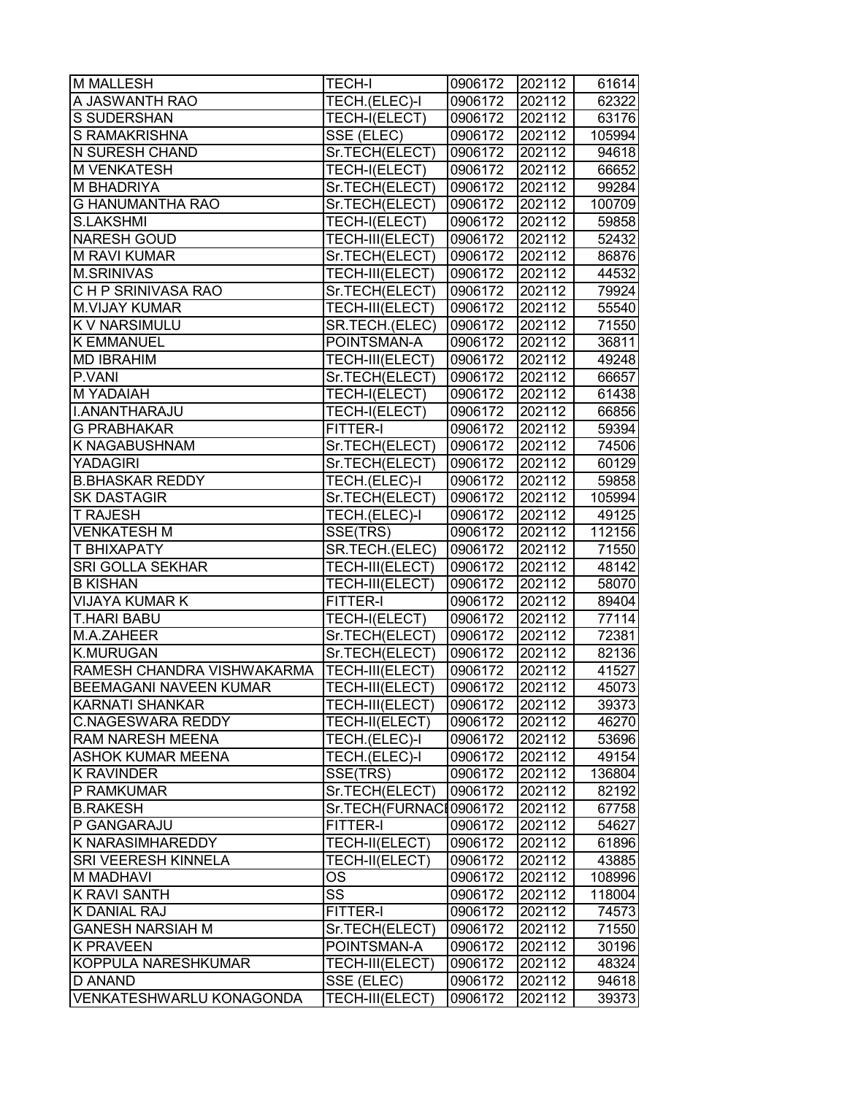| <b>M MALLESH</b>              | <b>TECH-I</b>          | 0906172 | 202112 | 61614  |
|-------------------------------|------------------------|---------|--------|--------|
| A JASWANTH RAO                | TECH.(ELEC)-I          | 0906172 | 202112 | 62322  |
| S SUDERSHAN                   | TECH-I(ELECT)          | 0906172 | 202112 | 63176  |
| <b>S RAMAKRISHNA</b>          | SSE (ELEC)             | 0906172 | 202112 | 105994 |
| <b>N SURESH CHAND</b>         | Sr.TECH(ELECT)         | 0906172 | 202112 | 94618  |
| <b>M VENKATESH</b>            | TECH-I(ELECT)          | 0906172 | 202112 | 66652  |
| <b>M BHADRIYA</b>             | Sr.TECH(ELECT)         | 0906172 | 202112 | 99284  |
| <b>G HANUMANTHA RAO</b>       | Sr.TECH(ELECT)         | 0906172 | 202112 | 100709 |
| S.LAKSHMI                     | TECH-I(ELECT)          | 0906172 | 202112 | 59858  |
| <b>NARESH GOUD</b>            | TECH-III(ELECT)        | 0906172 | 202112 | 52432  |
| <b>M RAVI KUMAR</b>           | Sr.TECH(ELECT)         | 0906172 | 202112 | 86876  |
| <b>M.SRINIVAS</b>             | TECH-III(ELECT)        | 0906172 | 202112 | 44532  |
| C H P SRINIVASA RAO           | Sr.TECH(ELECT)         | 0906172 | 202112 | 79924  |
| <b>M.VIJAY KUMAR</b>          | TECH-III(ELECT)        | 0906172 | 202112 | 55540  |
| K V NARSIMULU                 | SR.TECH.(ELEC)         | 0906172 | 202112 | 71550  |
| <b>K EMMANUEL</b>             | POINTSMAN-A            | 0906172 | 202112 | 36811  |
| <b>MD IBRAHIM</b>             | TECH-III(ELECT)        | 0906172 | 202112 | 49248  |
| P.VANI                        | Sr.TECH(ELECT)         | 0906172 | 202112 | 66657  |
| <b>M YADAIAH</b>              | TECH-I(ELECT)          | 0906172 | 202112 | 61438  |
| <b>I.ANANTHARAJU</b>          | TECH-I(ELECT)          | 0906172 | 202112 | 66856  |
| <b>G PRABHAKAR</b>            | FITTER-I               | 0906172 | 202112 | 59394  |
| <b>K NAGABUSHNAM</b>          | Sr.TECH(ELECT)         | 0906172 | 202112 | 74506  |
| YADAGIRI                      | Sr.TECH(ELECT)         | 0906172 | 202112 | 60129  |
| <b>B.BHASKAR REDDY</b>        | TECH.(ELEC)-I          | 0906172 | 202112 | 59858  |
| <b>SK DASTAGIR</b>            | Sr.TECH(ELECT)         | 0906172 | 202112 | 105994 |
| <b>T RAJESH</b>               | TECH.(ELEC)-I          | 0906172 | 202112 | 49125  |
| <b>VENKATESH M</b>            | SSE(TRS)               | 0906172 | 202112 | 112156 |
| T BHIXAPATY                   | SR.TECH.(ELEC)         | 0906172 | 202112 | 71550  |
| <b>SRI GOLLA SEKHAR</b>       | TECH-III(ELECT)        | 0906172 | 202112 | 48142  |
| <b>B KISHAN</b>               | TECH-III(ELECT)        | 0906172 | 202112 | 58070  |
| <b>VIJAYA KUMAR K</b>         | FITTER-I               | 0906172 | 202112 | 89404  |
| <b>T.HARI BABU</b>            | TECH-I(ELECT)          | 0906172 | 202112 | 77114  |
| M.A.ZAHEER                    | Sr.TECH(ELECT)         | 0906172 | 202112 | 72381  |
| <b>K.MURUGAN</b>              | Sr.TECH(ELECT)         | 0906172 | 202112 | 82136  |
| RAMESH CHANDRA VISHWAKARMA    | TECH-III(ELECT)        | 0906172 | 202112 | 41527  |
| <b>BEEMAGANI NAVEEN KUMAR</b> | TECH-III(ELECT)        | 0906172 | 202112 | 45073  |
| <b>KARNATI SHANKAR</b>        | TECH-III(ELECT)        | 0906172 | 202112 | 39373  |
| <b>C.NAGESWARA REDDY</b>      | TECH-II(ELECT)         | 0906172 | 202112 | 46270  |
| <b>RAM NARESH MEENA</b>       | TECH.(ELEC)-I          | 0906172 | 202112 | 53696  |
| <b>ASHOK KUMAR MEENA</b>      | TECH.(ELEC)-I          | 0906172 | 202112 | 49154  |
| K RAVINDER                    | SSE(TRS)               | 0906172 | 202112 | 136804 |
| P RAMKUMAR                    | Sr.TECH(ELECT)         | 0906172 | 202112 | 82192  |
| <b>B.RAKESH</b>               | Sr.TECH(FURNACI0906172 |         | 202112 | 67758  |
| P GANGARAJU                   | FITTER-I               | 0906172 | 202112 | 54627  |
| <b>K NARASIMHAREDDY</b>       | TECH-II(ELECT)         | 0906172 | 202112 | 61896  |
| <b>SRI VEERESH KINNELA</b>    | TECH-II(ELECT)         | 0906172 | 202112 | 43885  |
| <b>M MADHAVI</b>              | OS                     | 0906172 | 202112 | 108996 |
| K RAVI SANTH                  | SS                     | 0906172 | 202112 | 118004 |
| K DANIAL RAJ                  | <b>FITTER-I</b>        | 0906172 | 202112 | 74573  |
| <b>GANESH NARSIAH M</b>       | Sr.TECH(ELECT)         | 0906172 | 202112 | 71550  |
| <b>K PRAVEEN</b>              | POINTSMAN-A            | 0906172 | 202112 | 30196  |
| KOPPULA NARESHKUMAR           | TECH-III(ELECT)        | 0906172 | 202112 | 48324  |
| D ANAND                       | SSE (ELEC)             | 0906172 | 202112 | 94618  |
| VENKATESHWARLU KONAGONDA      | TECH-III(ELECT)        | 0906172 | 202112 | 39373  |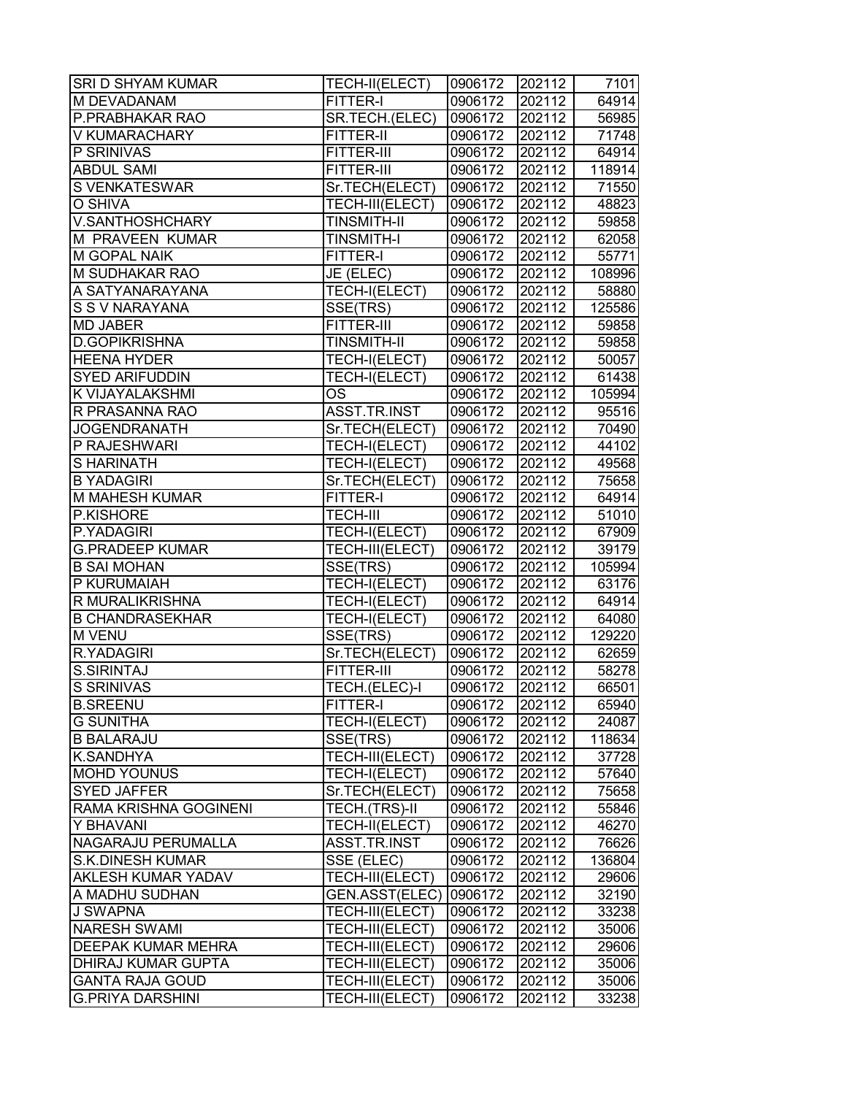| SRI D SHYAM KUMAR         | TECH-II(ELECT)     | 0906172 | 202112              | 7101   |
|---------------------------|--------------------|---------|---------------------|--------|
| M DEVADANAM               | FITTER-I           | 0906172 | 202112              | 64914  |
| P.PRABHAKAR RAO           | SR.TECH.(ELEC)     | 0906172 | 202112              | 56985  |
| V KUMARACHARY             | <b>FITTER-II</b>   | 0906172 | 202112              | 71748  |
| P SRINIVAS                | <b>FITTER-III</b>  | 0906172 | 202112              | 64914  |
| <b>ABDUL SAMI</b>         | FITTER-III         | 0906172 | 202112              | 118914 |
| S VENKATESWAR             | Sr.TECH(ELECT)     | 0906172 | 202112              | 71550  |
| O SHIVA                   | TECH-III(ELECT)    | 0906172 | 202112              | 48823  |
| V.SANTHOSHCHARY           | <b>TINSMITH-II</b> | 0906172 | 202112              | 59858  |
| M PRAVEEN KUMAR           | <b>TINSMITH-I</b>  | 0906172 | 202112              | 62058  |
| M GOPAL NAIK              | <b>FITTER-I</b>    | 0906172 | 202112              | 55771  |
| M SUDHAKAR RAO            | JE (ELEC)          | 0906172 | 202112              | 108996 |
| A SATYANARAYANA           | TECH-I(ELECT)      | 0906172 | 202112              | 58880  |
| S S V NARAYANA            | SSE(TRS)           | 0906172 | 202112              | 125586 |
| <b>MD JABER</b>           | FITTER-III         | 0906172 | 202112              | 59858  |
| <b>D.GOPIKRISHNA</b>      | <b>TINSMITH-II</b> | 0906172 | 202112              | 59858  |
| <b>HEENA HYDER</b>        | TECH-I(ELECT)      | 0906172 | 202112              | 50057  |
| <b>SYED ARIFUDDIN</b>     | TECH-I(ELECT)      | 0906172 | 202112              | 61438  |
| K VIJAYALAKSHMI           | <b>OS</b>          | 0906172 | 202112              | 105994 |
| R PRASANNA RAO            | ASST.TR.INST       | 0906172 | 202112              | 95516  |
| <b>JOGENDRANATH</b>       | Sr.TECH(ELECT)     | 0906172 | 202112              | 70490  |
| P RAJESHWARI              | TECH-I(ELECT)      | 0906172 | 202112              | 44102  |
| <b>SHARINATH</b>          | TECH-I(ELECT)      | 0906172 | 202112              | 49568  |
| <b>B YADAGIRI</b>         | Sr.TECH(ELECT)     | 0906172 | 202112              | 75658  |
| M MAHESH KUMAR            | <b>FITTER-I</b>    | 0906172 | 202112              | 64914  |
| P.KISHORE                 | <b>TECH-III</b>    | 0906172 | 202112              | 51010  |
| P.YADAGIRI                | TECH-I(ELECT)      | 0906172 | 202112              | 67909  |
| <b>G.PRADEEP KUMAR</b>    | TECH-III(ELECT)    | 0906172 | 202112              | 39179  |
| <b>B SAI MOHAN</b>        | SSE(TRS)           | 0906172 | 202112              | 105994 |
| P KURUMAIAH               | TECH-I(ELECT)      | 0906172 | 202112              | 63176  |
| R MURALIKRISHNA           | TECH-I(ELECT)      | 0906172 | 202112              | 64914  |
| <b>B CHANDRASEKHAR</b>    | TECH-I(ELECT)      | 0906172 | 202112              | 64080  |
| <b>M VENU</b>             | SSE(TRS)           | 0906172 | $\overline{202}112$ | 129220 |
| R.YADAGIRI                | Sr.TECH(ELECT)     | 0906172 | 202112              | 62659  |
| <b>S.SIRINTAJ</b>         | FITTER-III         | 0906172 | 202112              | 58278  |
| <b>S SRINIVAS</b>         | TECH.(ELEC)-I      | 0906172 | 202112              | 66501  |
| <b>B.SREENU</b>           | FITTER-I           | 0906172 | 202112              | 65940  |
| <b>G SUNITHA</b>          | TECH-I(ELECT)      | 0906172 | 202112              | 24087  |
| <b>B BALARAJU</b>         | SSE(TRS)           | 0906172 | 202112              | 118634 |
| K.SANDHYA                 | TECH-III(ELECT)    | 0906172 | 202112              | 37728  |
| <b>MOHD YOUNUS</b>        | TECH-I(ELECT)      | 0906172 | 202112              | 57640  |
| <b>SYED JAFFER</b>        | Sr.TECH(ELECT)     | 0906172 | 202112              | 75658  |
| RAMA KRISHNA GOGINENI     | TECH.(TRS)-II      | 0906172 | 202112              | 55846  |
| Y BHAVANI                 | TECH-II(ELECT)     | 0906172 | 202112              | 46270  |
| NAGARAJU PERUMALLA        | ASST.TR.INST       | 0906172 | 202112              | 76626  |
| <b>S.K.DINESH KUMAR</b>   | SSE (ELEC)         | 0906172 | 202112              | 136804 |
| <b>AKLESH KUMAR YADAV</b> | TECH-III(ELECT)    | 0906172 | 202112              | 29606  |
| A MADHU SUDHAN            | GEN.ASST(ELEC)     | 0906172 | 202112              | 32190  |
| J SWAPNA                  | TECH-III(ELECT)    | 0906172 | 202112              | 33238  |
| <b>NARESH SWAMI</b>       | TECH-III(ELECT)    | 0906172 | 202112              | 35006  |
| DEEPAK KUMAR MEHRA        | TECH-III(ELECT)    | 0906172 | 202112              | 29606  |
| DHIRAJ KUMAR GUPTA        | TECH-III(ELECT)    | 0906172 | 202112              | 35006  |
| <b>GANTA RAJA GOUD</b>    | TECH-III(ELECT)    | 0906172 | 202112              | 35006  |
| <b>G.PRIYA DARSHINI</b>   | TECH-III(ELECT)    | 0906172 | 202112              | 33238  |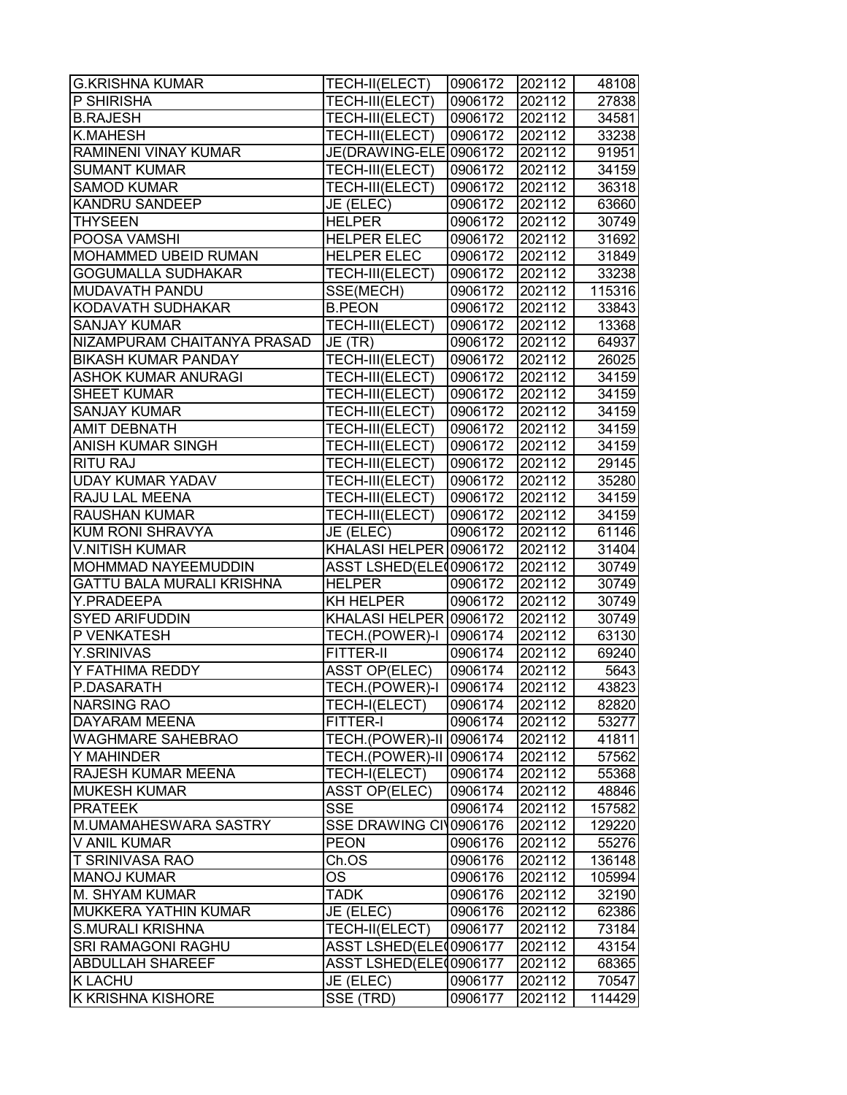| <b>G.KRISHNA KUMAR</b>           | TECH-II(ELECT)          | 0906172 | 202112 | 48108  |
|----------------------------------|-------------------------|---------|--------|--------|
| P SHIRISHA                       | TECH-III(ELECT)         | 0906172 | 202112 | 27838  |
| <b>B.RAJESH</b>                  | TECH-III(ELECT)         | 0906172 | 202112 | 34581  |
| <b>K.MAHESH</b>                  | TECH-III(ELECT)         | 0906172 | 202112 | 33238  |
| RAMINENI VINAY KUMAR             | JE(DRAWING-ELE 0906172  |         | 202112 | 91951  |
| <b>SUMANT KUMAR</b>              | TECH-III(ELECT)         | 0906172 | 202112 | 34159  |
| <b>SAMOD KUMAR</b>               | TECH-III(ELECT)         | 0906172 | 202112 | 36318  |
| <b>KANDRU SANDEEP</b>            | JE (ELEC)               | 0906172 | 202112 | 63660  |
| <b>THYSEEN</b>                   | <b>HELPER</b>           | 0906172 | 202112 | 30749  |
| POOSA VAMSHI                     | <b>HELPER ELEC</b>      | 0906172 | 202112 | 31692  |
| <b>MOHAMMED UBEID RUMAN</b>      | <b>HELPER ELEC</b>      | 0906172 | 202112 | 31849  |
| <b>GOGUMALLA SUDHAKAR</b>        | TECH-III(ELECT)         | 0906172 | 202112 | 33238  |
| <b>MUDAVATH PANDU</b>            | SSE(MECH)               | 0906172 | 202112 | 115316 |
| KODAVATH SUDHAKAR                | <b>B.PEON</b>           | 0906172 | 202112 | 33843  |
| <b>SANJAY KUMAR</b>              | TECH-III(ELECT)         | 0906172 | 202112 | 13368  |
| NIZAMPURAM CHAITANYA PRASAD      | JE (TR)                 | 0906172 | 202112 | 64937  |
| <b>BIKASH KUMAR PANDAY</b>       | TECH-III(ELECT)         | 0906172 | 202112 | 26025  |
| <b>ASHOK KUMAR ANURAGI</b>       | TECH-III(ELECT)         | 0906172 | 202112 | 34159  |
| <b>SHEET KUMAR</b>               | TECH-III(ELECT)         | 0906172 | 202112 | 34159  |
| <b>SANJAY KUMAR</b>              | TECH-III(ELECT)         | 0906172 | 202112 | 34159  |
| <b>AMIT DEBNATH</b>              | TECH-III(ELECT)         | 0906172 | 202112 | 34159  |
| <b>ANISH KUMAR SINGH</b>         | TECH-III(ELECT)         | 0906172 | 202112 | 34159  |
| <b>RITU RAJ</b>                  | TECH-III(ELECT)         | 0906172 | 202112 | 29145  |
| <b>UDAY KUMAR YADAV</b>          | TECH-III(ELECT)         | 0906172 | 202112 | 35280  |
| RAJU LAL MEENA                   | TECH-III(ELECT)         | 0906172 | 202112 | 34159  |
| <b>RAUSHAN KUMAR</b>             | TECH-III(ELECT)         | 0906172 | 202112 | 34159  |
| KUM RONI SHRAVYA                 | JE (ELEC)               | 0906172 | 202112 | 61146  |
| <b>V.NITISH KUMAR</b>            | KHALASI HELPER 0906172  |         | 202112 | 31404  |
| <b>MOHMMAD NAYEEMUDDIN</b>       | ASST LSHED(ELE00906172  |         | 202112 | 30749  |
| <b>GATTU BALA MURALI KRISHNA</b> | <b>HELPER</b>           | 0906172 | 202112 | 30749  |
| Y.PRADEEPA                       | <b>KH HELPER</b>        | 0906172 | 202112 | 30749  |
| <b>SYED ARIFUDDIN</b>            | KHALASI HELPER 0906172  |         | 202112 | 30749  |
| P VENKATESH                      | TECH.(POWER)-I          | 0906174 | 202112 | 63130  |
| <b>Y.SRINIVAS</b>                | FITTER-II               | 0906174 | 202112 | 69240  |
| Y FATHIMA REDDY                  | <b>ASST OP(ELEC)</b>    | 0906174 | 202112 | 5643   |
| P.DASARATH                       | TECH.(POWER)-I 0906174  |         | 202112 | 43823  |
| <b>NARSING RAO</b>               | TECH-I(ELECT)           | 0906174 | 202112 | 82820  |
| <b>DAYARAM MEENA</b>             | <b>FITTER-I</b>         | 0906174 | 202112 | 53277  |
| <b>WAGHMARE SAHEBRAO</b>         | TECH.(POWER)-II 0906174 |         | 202112 | 41811  |
| Y MAHINDER                       | TECH.(POWER)-II 0906174 |         | 202112 | 57562  |
| <b>RAJESH KUMAR MEENA</b>        | TECH-I(ELECT)           | 0906174 | 202112 | 55368  |
| <b>MUKESH KUMAR</b>              | <b>ASST OP(ELEC)</b>    | 0906174 | 202112 | 48846  |
| <b>PRATEEK</b>                   | <b>SSE</b>              | 0906174 | 202112 | 157582 |
| M.UMAMAHESWARA SASTRY            | SSE DRAWING CIV0906176  |         | 202112 | 129220 |
| V ANIL KUMAR                     | <b>PEON</b>             | 0906176 | 202112 | 55276  |
| <b>T SRINIVASA RAO</b>           | Ch.OS                   | 0906176 | 202112 | 136148 |
| <b>MANOJ KUMAR</b>               | OS                      | 0906176 | 202112 | 105994 |
| M. SHYAM KUMAR                   | <b>TADK</b>             | 0906176 | 202112 | 32190  |
| MUKKERA YATHIN KUMAR             | JE (ELEC)               | 0906176 | 202112 | 62386  |
| <b>S.MURALI KRISHNA</b>          | TECH-II(ELECT)          | 0906177 | 202112 | 73184  |
| <b>SRI RAMAGONI RAGHU</b>        | ASST LSHED(ELE(0906177  |         | 202112 | 43154  |
| <b>ABDULLAH SHAREEF</b>          | ASST LSHED(ELE(0906177  |         | 202112 | 68365  |
| <b>K LACHU</b>                   | JE (ELEC)               | 0906177 | 202112 | 70547  |
| K KRISHNA KISHORE                | SSE (TRD)               | 0906177 | 202112 | 114429 |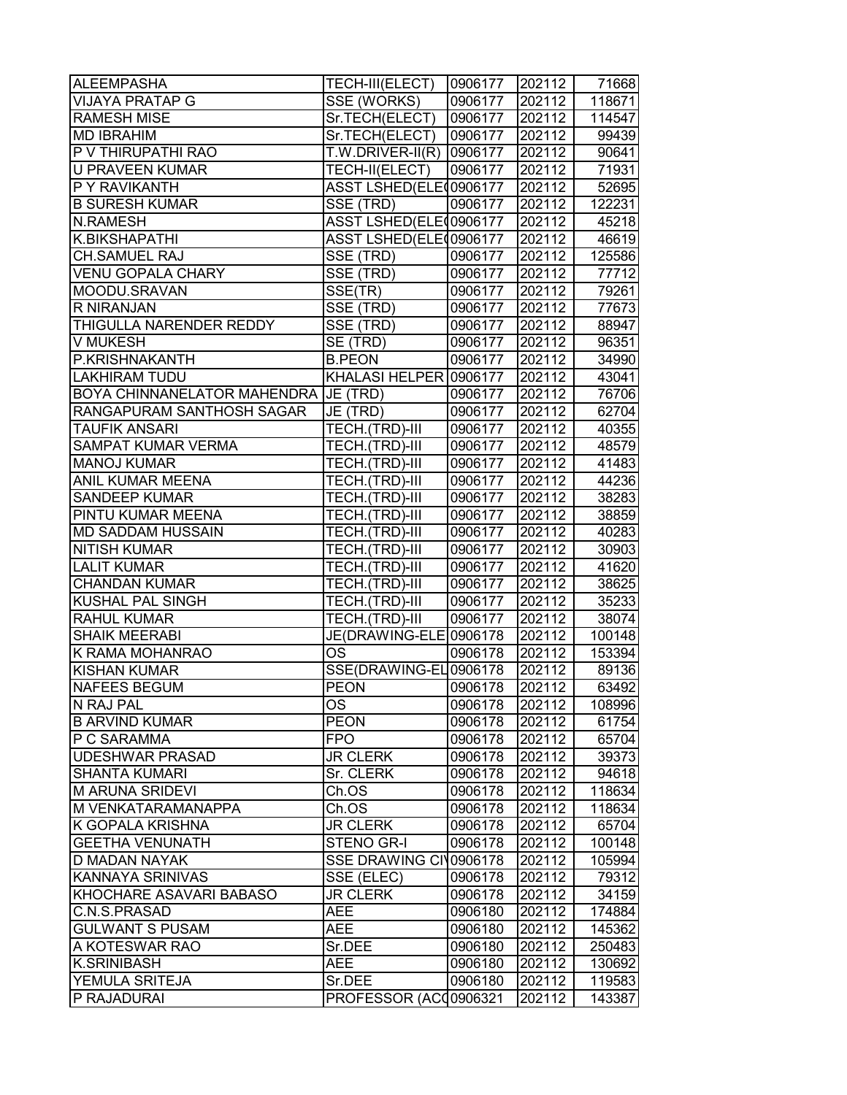| <b>ALEEMPASHA</b>                              | TECH-III(ELECT)               | 0906177 | 202112 | 71668  |
|------------------------------------------------|-------------------------------|---------|--------|--------|
| <b>VIJAYA PRATAP G</b>                         | SSE (WORKS)                   | 0906177 | 202112 | 118671 |
| <b>RAMESH MISE</b>                             | Sr.TECH(ELECT)                | 0906177 | 202112 | 114547 |
| <b>MD IBRAHIM</b>                              | Sr.TECH(ELECT)                | 0906177 | 202112 | 99439  |
| P V THIRUPATHI RAO                             | T.W.DRIVER-II(R)              | 0906177 | 202112 | 90641  |
| <b>U PRAVEEN KUMAR</b>                         | TECH-II(ELECT)                | 0906177 | 202112 | 71931  |
| P Y RAVIKANTH                                  | ASST LSHED(ELE 0906177        |         | 202112 | 52695  |
| <b>B SURESH KUMAR</b>                          | $\overline{\text{SSE}}$ (TRD) | 0906177 | 202112 | 122231 |
| <b>N.RAMESH</b>                                | ASST LSHED(ELE 0906177        |         | 202112 | 45218  |
| K.BIKSHAPATHI                                  | ASST LSHED(ELE 0906177        |         | 202112 | 46619  |
| CH.SAMUEL RAJ                                  | SSE (TRD)                     | 0906177 | 202112 | 125586 |
| <b>VENU GOPALA CHARY</b>                       | SSE (TRD)                     | 0906177 | 202112 | 77712  |
| MOODU.SRAVAN                                   | SSE(TR)                       | 0906177 | 202112 | 79261  |
| R NIRANJAN                                     | SSE (TRD)                     | 0906177 | 202112 | 77673  |
| THIGULLA NARENDER REDDY                        | SSE (TRD)                     | 0906177 | 202112 | 88947  |
| V MUKESH                                       | SE (TRD)                      | 0906177 | 202112 | 96351  |
| P.KRISHNAKANTH                                 | <b>B.PEON</b>                 | 0906177 | 202112 | 34990  |
| <b>LAKHIRAM TUDU</b>                           | KHALASI HELPER 0906177        |         | 202112 | 43041  |
| BOYA CHINNANELATOR MAHENDRA JJE (TRD)          |                               | 0906177 | 202112 | 76706  |
| RANGAPURAM SANTHOSH SAGAR                      | JE (TRD)                      | 0906177 | 202112 | 62704  |
| <b>TAUFIK ANSARI</b>                           | TECH.(TRD)-III                | 0906177 | 202112 | 40355  |
| <b>SAMPAT KUMAR VERMA</b>                      | TECH.(TRD)-III                | 0906177 | 202112 | 48579  |
| <b>MANOJ KUMAR</b>                             | TECH.(TRD)-III                | 0906177 | 202112 | 41483  |
| ANIL KUMAR MEENA                               | TECH.(TRD)-III                | 0906177 | 202112 | 44236  |
| <b>SANDEEP KUMAR</b>                           | TECH.(TRD)-III                | 0906177 | 202112 | 38283  |
| PINTU KUMAR MEENA                              | TECH.(TRD)-III                | 0906177 | 202112 | 38859  |
| MD SADDAM HUSSAIN                              | TECH.(TRD)-III                | 0906177 | 202112 | 40283  |
| NITISH KUMAR                                   | TECH.(TRD)-III                | 0906177 | 202112 | 30903  |
| <b>LALIT KUMAR</b>                             | TECH.(TRD)-III                | 0906177 | 202112 | 41620  |
| <b>CHANDAN KUMAR</b>                           | TECH.(TRD)-III                | 0906177 | 202112 | 38625  |
| KUSHAL PAL SINGH                               | TECH.(TRD)-III                | 0906177 | 202112 | 35233  |
| RAHUL KUMAR                                    | TECH.(TRD)-III                | 0906177 | 202112 | 38074  |
| <b>SHAIK MEERABI</b>                           | JE(DRAWING-ELE                | 0906178 | 202112 | 100148 |
| K RAMA MOHANRAO                                | <b>OS</b>                     | 0906178 | 202112 | 153394 |
| <b>KISHAN KUMAR</b>                            | SSE(DRAWING-EL0906178         |         | 202112 | 89136  |
| <b>NAFEES BEGUM</b>                            | <b>PEON</b>                   | 0906178 | 202112 | 63492  |
|                                                |                               |         |        |        |
| N RAJ PAL<br><b>B ARVIND KUMAR</b>             | OS<br><b>PEON</b>             | 0906178 | 202112 | 108996 |
|                                                |                               | 0906178 | 202112 | 61754  |
| P C SARAMMA                                    | <b>FPO</b>                    | 0906178 | 202112 | 65704  |
| <b>UDESHWAR PRASAD</b><br><b>SHANTA KUMARI</b> | <b>JR CLERK</b>               | 0906178 | 202112 | 39373  |
|                                                | Sr. CLERK                     | 0906178 | 202112 | 94618  |
| <b>M ARUNA SRIDEVI</b>                         | Ch.OS                         | 0906178 | 202112 | 118634 |
| M VENKATARAMANAPPA                             | Ch.OS                         | 0906178 | 202112 | 118634 |
| K GOPALA KRISHNA                               | <b>JR CLERK</b>               | 0906178 | 202112 | 65704  |
| <b>GEETHA VENUNATH</b>                         | STENO GR-I                    | 0906178 | 202112 | 100148 |
| D MADAN NAYAK                                  | SSE DRAWING CIV0906178        |         | 202112 | 105994 |
| KANNAYA SRINIVAS                               | SSE (ELEC)                    | 0906178 | 202112 | 79312  |
| KHOCHARE ASAVARI BABASO                        | <b>JR CLERK</b>               | 0906178 | 202112 | 34159  |
| C.N.S.PRASAD                                   | <b>AEE</b>                    | 0906180 | 202112 | 174884 |
| <b>GULWANT S PUSAM</b>                         | <b>AEE</b>                    | 0906180 | 202112 | 145362 |
| A KOTESWAR RAO                                 | Sr.DEE                        | 0906180 | 202112 | 250483 |
| <b>K.SRINIBASH</b>                             | <b>AEE</b>                    | 0906180 | 202112 | 130692 |
| YEMULA SRITEJA                                 | Sr.DEE                        | 0906180 | 202112 | 119583 |
| P RAJADURAI                                    | PROFESSOR (ACC0906321         |         | 202112 | 143387 |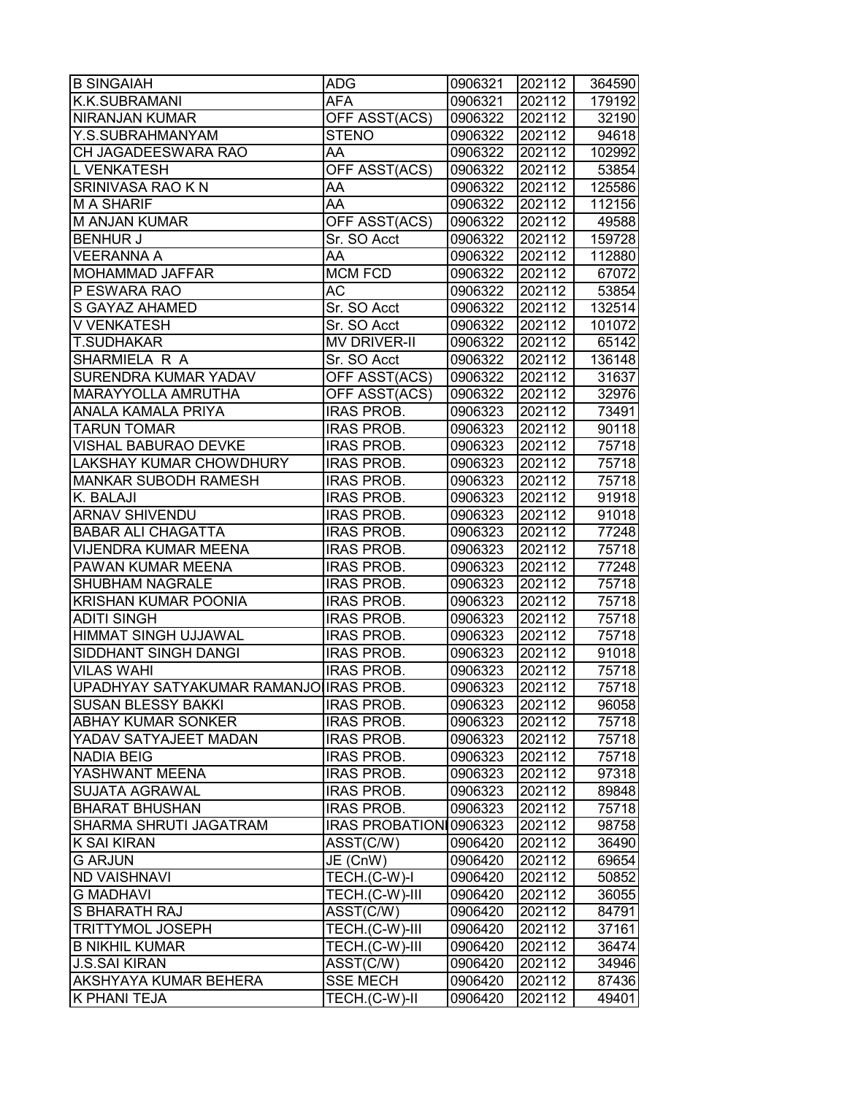| <b>B SINGAIAH</b>                      | <b>ADG</b>             | 0906321 | 202112 | 364590 |
|----------------------------------------|------------------------|---------|--------|--------|
| K.K.SUBRAMANI                          | <b>AFA</b>             | 0906321 | 202112 | 179192 |
| NIRANJAN KUMAR                         | OFF ASST(ACS)          | 0906322 | 202112 | 32190  |
| Y.S.SUBRAHMANYAM                       | <b>STENO</b>           | 0906322 | 202112 | 94618  |
| CH JAGADEESWARA RAO                    | AA                     | 0906322 | 202112 | 102992 |
| L VENKATESH                            | <b>OFF ASST(ACS)</b>   | 0906322 | 202112 | 53854  |
| SRINIVASA RAO K N                      | AA                     | 0906322 | 202112 | 125586 |
| <b>MA SHARIF</b>                       | AA                     | 0906322 | 202112 | 112156 |
| <b>M ANJAN KUMAR</b>                   | OFF ASST(ACS)          | 0906322 | 202112 | 49588  |
| <b>BENHUR J</b>                        | Sr. SO Acct            | 0906322 | 202112 | 159728 |
| <b>VEERANNA A</b>                      | AA                     | 0906322 | 202112 | 112880 |
| MOHAMMAD JAFFAR                        | <b>MCM FCD</b>         | 0906322 | 202112 | 67072  |
| P ESWARA RAO                           | АC                     | 0906322 | 202112 | 53854  |
| S GAYAZ AHAMED                         | Sr. SO Acct            | 0906322 | 202112 | 132514 |
| V VENKATESH                            | Sr. SO Acct            | 0906322 | 202112 | 101072 |
| T.SUDHAKAR                             | <b>MV DRIVER-II</b>    | 0906322 | 202112 | 65142  |
| SHARMIELA R A                          | Sr. SO Acct            | 0906322 | 202112 | 136148 |
| <b>SURENDRA KUMAR YADAV</b>            | OFF ASST(ACS)          | 0906322 | 202112 | 31637  |
| MARAYYOLLA AMRUTHA                     | OFF ASST(ACS)          | 0906322 | 202112 | 32976  |
| <b>ANALA KAMALA PRIYA</b>              | <b>IRAS PROB.</b>      | 0906323 | 202112 | 73491  |
| <b>TARUN TOMAR</b>                     | <b>IRAS PROB.</b>      | 0906323 | 202112 | 90118  |
| <b>VISHAL BABURAO DEVKE</b>            | <b>IRAS PROB.</b>      | 0906323 | 202112 | 75718  |
| LAKSHAY KUMAR CHOWDHURY                | <b>IRAS PROB.</b>      | 0906323 | 202112 | 75718  |
| <b>MANKAR SUBODH RAMESH</b>            | <b>IRAS PROB.</b>      | 0906323 | 202112 | 75718  |
| K. BALAJI                              | <b>IRAS PROB.</b>      | 0906323 | 202112 | 91918  |
| <b>ARNAV SHIVENDU</b>                  | <b>IRAS PROB.</b>      | 0906323 | 202112 | 91018  |
| <b>BABAR ALI CHAGATTA</b>              | <b>IRAS PROB.</b>      | 0906323 | 202112 | 77248  |
| VIJENDRA KUMAR MEENA                   | <b>IRAS PROB.</b>      | 0906323 | 202112 | 75718  |
| PAWAN KUMAR MEENA                      | <b>IRAS PROB.</b>      | 0906323 | 202112 | 77248  |
| SHUBHAM NAGRALE                        | <b>IRAS PROB.</b>      | 0906323 | 202112 | 75718  |
| <b>KRISHAN KUMAR POONIA</b>            | <b>IRAS PROB.</b>      | 0906323 | 202112 | 75718  |
| <b>ADITI SINGH</b>                     | <b>IRAS PROB.</b>      | 0906323 | 202112 | 75718  |
| <b>HIMMAT SINGH UJJAWAL</b>            | <b>IRAS PROB.</b>      | 0906323 | 202112 | 75718  |
| SIDDHANT SINGH DANGI                   | <b>IRAS PROB.</b>      | 0906323 | 202112 | 91018  |
| <b>VILAS WAHI</b>                      | <b>IRAS PROB.</b>      | 0906323 | 202112 | 75718  |
| UPADHYAY SATYAKUMAR RAMANJO IRAS PROB. |                        | 0906323 | 202112 | 75718  |
| SUSAN BLESSY BAKKI                     | <b>IRAS PROB.</b>      | 0906323 | 202112 | 96058  |
| <b>ABHAY KUMAR SONKER</b>              | <b>IRAS PROB.</b>      | 0906323 | 202112 | 75718  |
| YADAV SATYAJEET MADAN                  | <b>IRAS PROB.</b>      | 0906323 | 202112 | 75718  |
| <b>NADIA BEIG</b>                      | <b>IRAS PROB.</b>      | 0906323 | 202112 | 75718  |
| YASHWANT MEENA                         | IRAS PROB.             | 0906323 | 202112 | 97318  |
| <b>SUJATA AGRAWAL</b>                  | <b>IRAS PROB.</b>      | 0906323 | 202112 | 89848  |
| <b>BHARAT BHUSHAN</b>                  | <b>IRAS PROB.</b>      | 0906323 | 202112 | 75718  |
| SHARMA SHRUTI JAGATRAM                 | IRAS PROBATION 0906323 |         | 202112 | 98758  |
| K SAI KIRAN                            | ASST(C/W)              | 0906420 | 202112 | 36490  |
| <b>G ARJUN</b>                         | JE (CnW)               | 0906420 | 202112 | 69654  |
| <b>ND VAISHNAVI</b>                    | TECH.(C-W)-I           | 0906420 | 202112 | 50852  |
| <b>G MADHAVI</b>                       | TECH.(C-W)-III         | 0906420 | 202112 | 36055  |
| S BHARATH RAJ                          | ASST(C/W)              | 0906420 | 202112 | 84791  |
| <b>TRITTYMOL JOSEPH</b>                | TECH.(C-W)-III         | 0906420 | 202112 | 37161  |
| <b>B NIKHIL KUMAR</b>                  | TECH.(C-W)-III         | 0906420 | 202112 | 36474  |
| <b>J.S.SAI KIRAN</b>                   | ASST(C/W)              | 0906420 | 202112 | 34946  |
| AKSHYAYA KUMAR BEHERA                  | <b>SSE MECH</b>        | 0906420 | 202112 | 87436  |
| K PHANI TEJA                           | TECH.(C-W)-II          | 0906420 | 202112 | 49401  |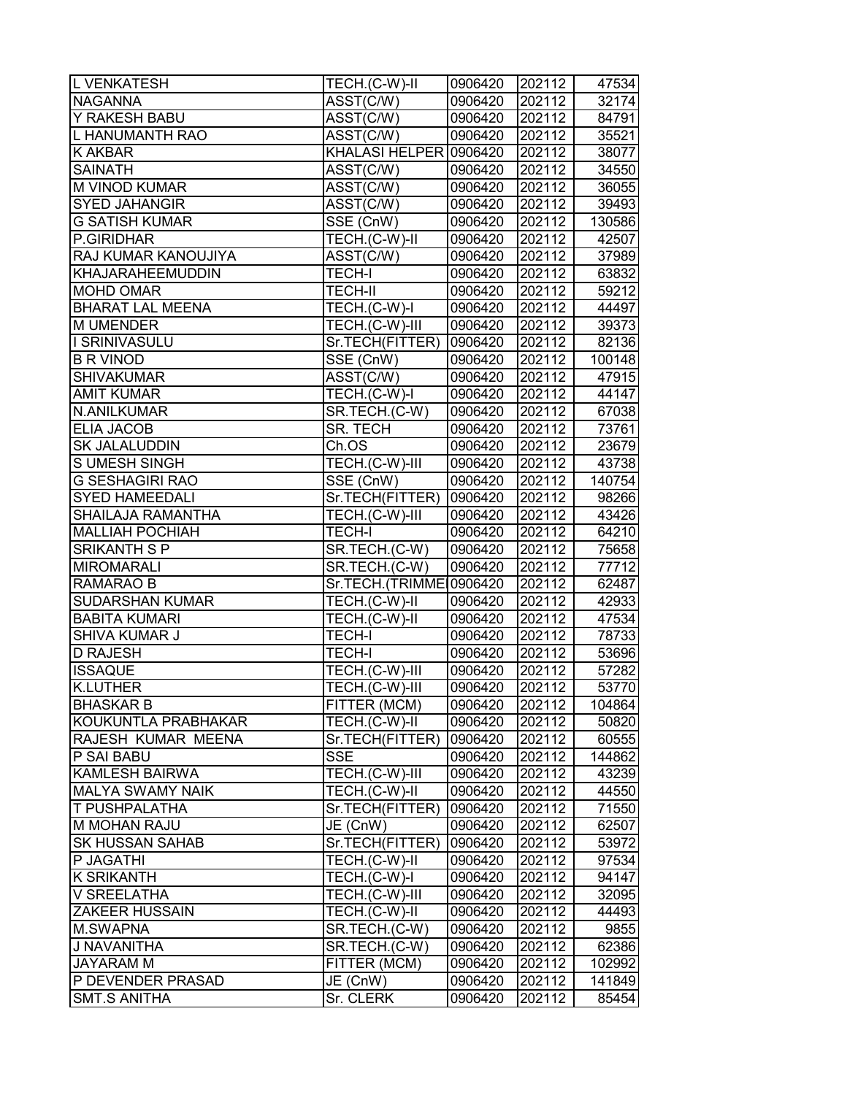| <b>L VENKATESH</b>      | TECH.(C-W)-II                  | 0906420 | 202112 | 47534  |
|-------------------------|--------------------------------|---------|--------|--------|
| <b>NAGANNA</b>          | ASST(C/W)                      | 0906420 | 202112 | 32174  |
| Y RAKESH BABU           | ASST(C/W)                      | 0906420 | 202112 | 84791  |
| L HANUMANTH RAO         | ASST(C/W)                      | 0906420 | 202112 | 35521  |
| <b>K AKBAR</b>          | KHALASI HELPER 0906420         |         | 202112 | 38077  |
| <b>SAINATH</b>          | ASST(C/W)                      | 0906420 | 202112 | 34550  |
| M VINOD KUMAR           | ASST(C/W)                      | 0906420 | 202112 | 36055  |
| <b>SYED JAHANGIR</b>    | $\overline{\text{ASST}}$ (C/W) | 0906420 | 202112 | 39493  |
| <b>G SATISH KUMAR</b>   | SSE (CnW)                      | 0906420 | 202112 | 130586 |
| P.GIRIDHAR              | TECH.(C-W)-II                  | 0906420 | 202112 | 42507  |
| RAJ KUMAR KANOUJIYA     | ASST(C/W)                      | 0906420 | 202112 | 37989  |
| KHAJARAHEEMUDDIN        | <b>TECH-I</b>                  | 0906420 | 202112 | 63832  |
| <b>MOHD OMAR</b>        | <b>TECH-II</b>                 | 0906420 | 202112 | 59212  |
| <b>BHARAT LAL MEENA</b> | TECH.(C-W)-I                   | 0906420 | 202112 | 44497  |
| <b>M UMENDER</b>        | TECH.(C-W)-III                 | 0906420 | 202112 | 39373  |
| I SRINIVASULU           | Sr.TECH(FITTER)                | 0906420 | 202112 | 82136  |
| <b>B R VINOD</b>        | SSE (CnW)                      | 0906420 | 202112 | 100148 |
| <b>SHIVAKUMAR</b>       | ASST(C/W)                      | 0906420 | 202112 | 47915  |
| <b>AMIT KUMAR</b>       | TECH.(C-W)-I                   | 0906420 | 202112 | 44147  |
| N.ANILKUMAR             | SR.TECH.(C-W)                  | 0906420 | 202112 | 67038  |
| <b>ELIA JACOB</b>       | SR. TECH                       | 0906420 | 202112 | 73761  |
| <b>SK JALALUDDIN</b>    | Ch.OS                          | 0906420 | 202112 | 23679  |
| S UMESH SINGH           | TECH.(C-W)-III                 | 0906420 | 202112 | 43738  |
| <b>G SESHAGIRI RAO</b>  | SSE (CnW)                      | 0906420 | 202112 | 140754 |
| <b>SYED HAMEEDALI</b>   | Sr.TECH(FITTER)                | 0906420 | 202112 | 98266  |
| SHAILAJA RAMANTHA       | TECH.(C-W)-III                 | 0906420 | 202112 | 43426  |
| <b>MALLIAH POCHIAH</b>  | <b>TECH-I</b>                  | 0906420 | 202112 | 64210  |
| SRIKANTH S P            | SR.TECH.(C-W)                  | 0906420 | 202112 | 75658  |
| <b>MIROMARALI</b>       | SR.TECH.(C-W)                  | 0906420 | 202112 | 77712  |
| RAMARAO B               | Sr.TECH.(TRIMMEI0906420        |         | 202112 | 62487  |
| <b>SUDARSHAN KUMAR</b>  | TECH.(C-W)-II                  | 0906420 | 202112 | 42933  |
| <b>BABITA KUMARI</b>    | TECH.(C-W)-II                  | 0906420 | 202112 | 47534  |
| <b>SHIVA KUMAR J</b>    | <b>TECH-I</b>                  | 0906420 | 202112 | 78733  |
| D RAJESH                | <b>TECH-I</b>                  | 0906420 | 202112 | 53696  |
| <b>ISSAQUE</b>          | TECH.(C-W)-III                 | 0906420 | 202112 | 57282  |
| <b>K.LUTHER</b>         | TECH.(C-W)-III                 | 0906420 | 202112 | 53770  |
| <b>BHASKAR B</b>        | FITTER (MCM)                   | 0906420 | 202112 | 104864 |
| KOUKUNTLA PRABHAKAR     | TECH.(C-W)-II                  | 0906420 | 202112 | 50820  |
| RAJESH KUMAR MEENA      | Sr.TECH(FITTER)                | 0906420 | 202112 | 60555  |
| P SAI BABU              | <b>SSE</b>                     | 0906420 | 202112 | 144862 |
| <b>KAMLESH BAIRWA</b>   | TECH.(C-W)-III                 | 0906420 | 202112 | 43239  |
| <b>MALYA SWAMY NAIK</b> | TECH.(C-W)-II                  | 0906420 | 202112 | 44550  |
| T PUSHPALATHA           | Sr.TECH(FITTER)                | 0906420 | 202112 | 71550  |
| M MOHAN RAJU            | JE (CnW)                       | 0906420 | 202112 | 62507  |
| <b>SK HUSSAN SAHAB</b>  | Sr.TECH(FITTER)                | 0906420 | 202112 | 53972  |
| P JAGATHI               | TECH.(C-W)-II                  | 0906420 | 202112 | 97534  |
| <b>K SRIKANTH</b>       | TECH.(C-W)-I                   | 0906420 | 202112 | 94147  |
| V SREELATHA             | TECH.(C-W)-III                 | 0906420 | 202112 | 32095  |
| <b>ZAKEER HUSSAIN</b>   | TECH.(C-W)-II                  | 0906420 | 202112 | 44493  |
| <b>M.SWAPNA</b>         | SR.TECH.(C-W)                  | 0906420 | 202112 | 9855   |
| J NAVANITHA             | SR.TECH.(C-W)                  | 0906420 | 202112 | 62386  |
| <b>JAYARAM M</b>        | FITTER (MCM)                   | 0906420 | 202112 | 102992 |
| P DEVENDER PRASAD       | JE (CnW)                       | 0906420 | 202112 | 141849 |
| <b>SMT.S ANITHA</b>     | Sr. CLERK                      | 0906420 | 202112 | 85454  |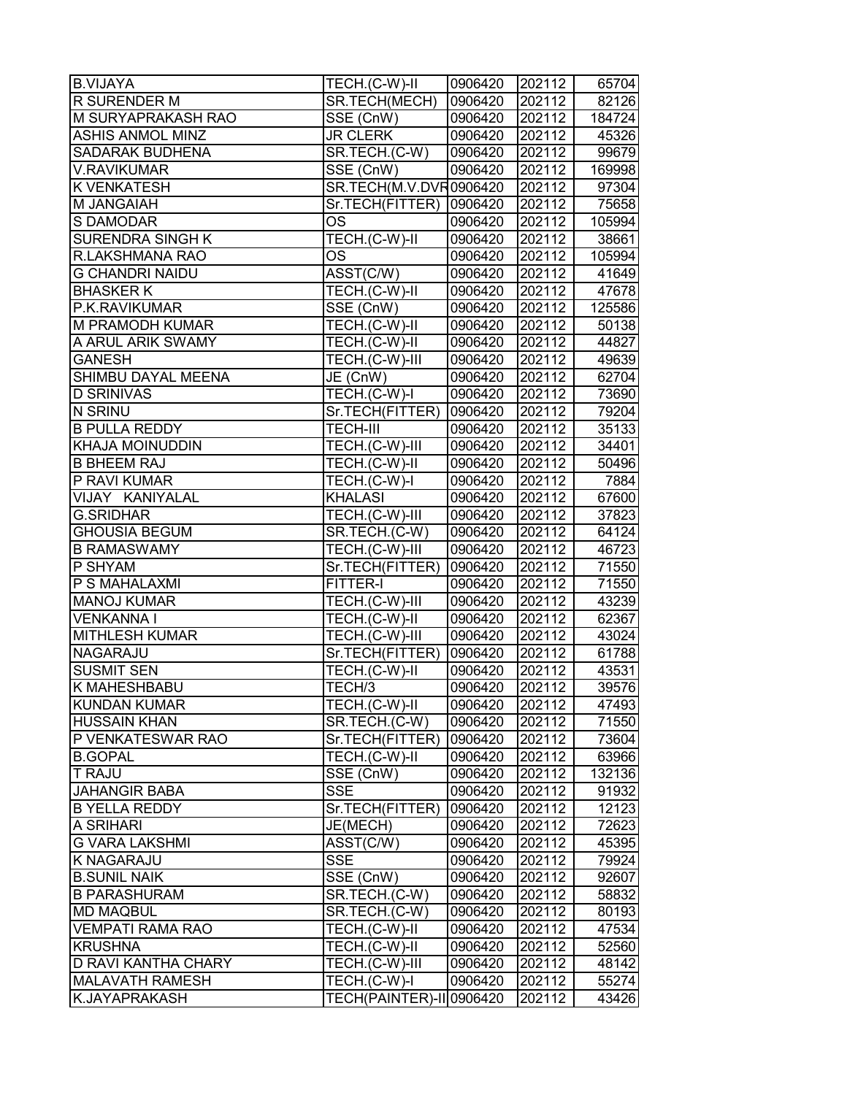| <b>B.VIJAYA</b>               | TECH.(C-W)-II                 | 0906420 | 202112 | 65704  |
|-------------------------------|-------------------------------|---------|--------|--------|
| <b>R SURENDER M</b>           | SR.TECH(MECH)                 | 0906420 | 202112 | 82126  |
| M SURYAPRAKASH RAO            | SSE (CnW)                     | 0906420 | 202112 | 184724 |
| <b>ASHIS ANMOL MINZ</b>       | <b>JR CLERK</b>               | 0906420 | 202112 | 45326  |
| <b>SADARAK BUDHENA</b>        | SR.TECH.(C-W)                 | 0906420 | 202112 | 99679  |
| <b>V.RAVIKUMAR</b>            | $\overline{\text{SSE}}$ (CnW) | 0906420 | 202112 | 169998 |
| <b>K VENKATESH</b>            | SR.TECH(M.V.DVR0906420        |         | 202112 | 97304  |
| M JANGAIAH                    | Sr.TECH(FITTER)               | 0906420 | 202112 | 75658  |
| S DAMODAR                     | <b>OS</b>                     | 0906420 | 202112 | 105994 |
| SURENDRA SINGH K              | TECH.(C-W)-II                 | 0906420 | 202112 | 38661  |
| R.LAKSHMANA RAO               | <b>OS</b>                     | 0906420 | 202112 | 105994 |
| <b>G CHANDRI NAIDU</b>        | ASST(C/W)                     | 0906420 | 202112 | 41649  |
| <b>BHASKER K</b>              | TECH.(C-W)-II                 | 0906420 | 202112 | 47678  |
| P.K.RAVIKUMAR                 | SSE (CnW)                     | 0906420 | 202112 | 125586 |
| <b>M PRAMODH KUMAR</b>        | TECH.(C-W)-II                 | 0906420 | 202112 | 50138  |
| A ARUL ARIK SWAMY             | TECH.(C-W)-II                 | 0906420 | 202112 | 44827  |
| <b>GANESH</b>                 | TECH.(C-W)-III                | 0906420 | 202112 | 49639  |
| SHIMBU DAYAL MEENA            | JE (CnW)                      | 0906420 | 202112 | 62704  |
| <b>D SRINIVAS</b>             | TECH.(C-W)-I                  | 0906420 | 202112 | 73690  |
| $\overline{\mathsf{N}}$ SRINU | Sr.TECH(FITTER)               | 0906420 | 202112 | 79204  |
| <b>B PULLA REDDY</b>          | <b>TECH-III</b>               | 0906420 | 202112 | 35133  |
| <b>KHAJA MOINUDDIN</b>        | TECH.(C-W)-III                | 0906420 | 202112 | 34401  |
| <b>B BHEEM RAJ</b>            | TECH.(C-W)-II                 | 0906420 | 202112 | 50496  |
| P RAVI KUMAR                  | TECH.(C-W)-I                  | 0906420 | 202112 | 7884   |
| VIJAY KANIYALAL               | <b>KHALASI</b>                | 0906420 | 202112 | 67600  |
| <b>G.SRIDHAR</b>              | TECH.(C-W)-III                | 0906420 | 202112 | 37823  |
| <b>GHOUSIA BEGUM</b>          | SR.TECH.(C-W)                 | 0906420 | 202112 | 64124  |
| <b>B RAMASWAMY</b>            | TECH.(C-W)-III                | 0906420 | 202112 | 46723  |
| P SHYAM                       | Sr.TECH(FITTER)               | 0906420 | 202112 | 71550  |
| P S MAHALAXMI                 | FITTER-I                      | 0906420 | 202112 | 71550  |
| <b>MANOJ KUMAR</b>            | TECH.(C-W)-III                | 0906420 | 202112 | 43239  |
| <b>VENKANNAI</b>              | TECH.(C-W)-II                 | 0906420 | 202112 | 62367  |
| <b>MITHLESH KUMAR</b>         | TECH.(C-W)-III                | 0906420 | 202112 | 43024  |
| <b>NAGARAJU</b>               | Sr.TECH(FITTER)               | 0906420 | 202112 | 61788  |
| <b>SUSMIT SEN</b>             | TECH.(C-W)-II                 | 0906420 | 202112 | 43531  |
| <b>K MAHESHBABU</b>           | TECH/3                        | 0906420 | 202112 | 39576  |
| KUNDAN KUMAR                  | TECH.(C-W)-II                 | 0906420 | 202112 | 47493  |
| <b>HUSSAIN KHAN</b>           | SR.TECH.(C-W)                 | 0906420 | 202112 | 71550  |
| P VENKATESWAR RAO             | Sr.TECH(FITTER)               | 0906420 | 202112 | 73604  |
| <b>B.GOPAL</b>                | TECH.(C-W)-II                 | 0906420 | 202112 | 63966  |
| <b>T RAJU</b>                 | SSE (CnW)                     | 0906420 | 202112 | 132136 |
| <b>JAHANGIR BABA</b>          | <b>SSE</b>                    | 0906420 | 202112 | 91932  |
| <b>B YELLA REDDY</b>          | Sr.TECH(FITTER)               | 0906420 | 202112 | 12123  |
| A SRIHARI                     | JE(MECH)                      | 0906420 | 202112 | 72623  |
| <b>G VARA LAKSHMI</b>         | ASST(C/W)                     | 0906420 | 202112 | 45395  |
| <b>K NAGARAJU</b>             | <b>SSE</b>                    | 0906420 | 202112 | 79924  |
| <b>B.SUNIL NAIK</b>           | SSE (CnW)                     | 0906420 | 202112 | 92607  |
| <b>B PARASHURAM</b>           | SR.TECH.(C-W)                 | 0906420 | 202112 | 58832  |
| <b>MD MAQBUL</b>              | SR.TECH.(C-W)                 | 0906420 | 202112 | 80193  |
| <b>VEMPATI RAMA RAO</b>       | TECH.(C-W)-II                 | 0906420 | 202112 | 47534  |
| <b>KRUSHNA</b>                | TECH.(C-W)-II                 | 0906420 | 202112 | 52560  |
| <b>D RAVI KANTHA CHARY</b>    | TECH.(C-W)-III                | 0906420 | 202112 | 48142  |
| <b>MALAVATH RAMESH</b>        | TECH.(C-W)-I                  | 0906420 | 202112 | 55274  |
| K.JAYAPRAKASH                 | TECH(PAINTER)-II 0906420      |         | 202112 | 43426  |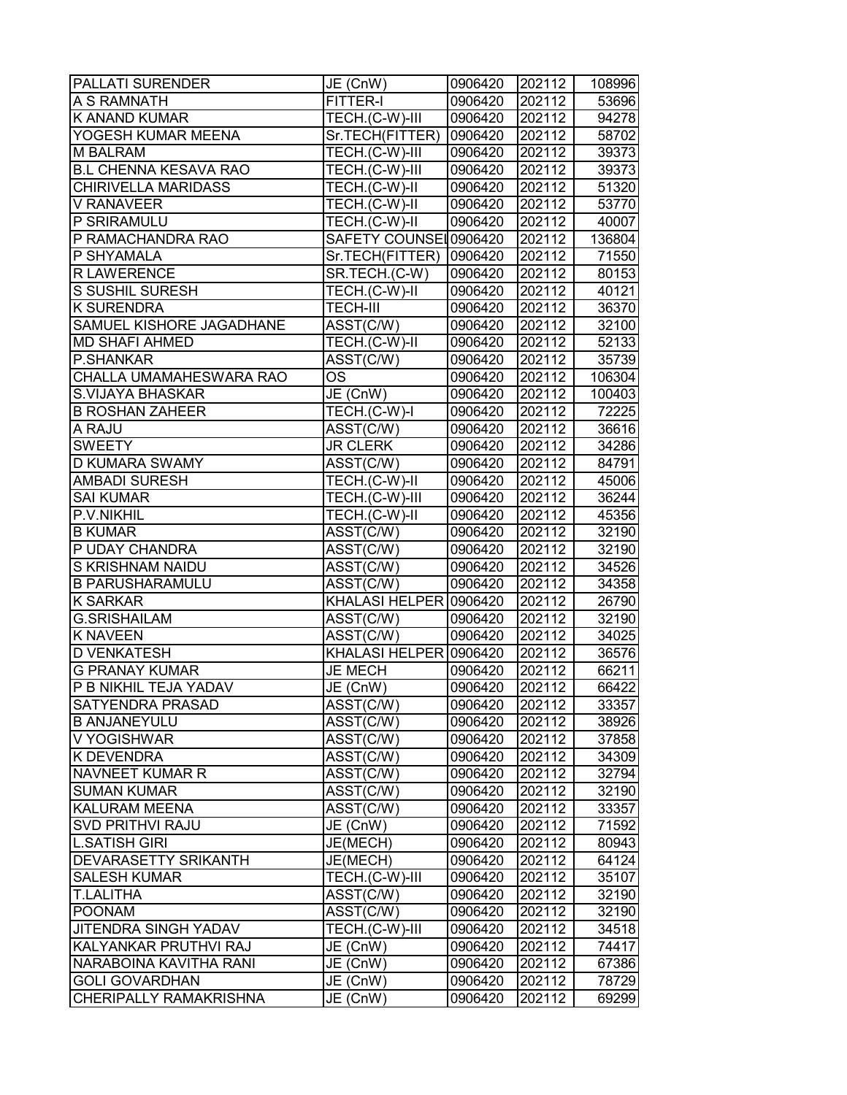| <b>PALLATI SURENDER</b>         | JE (CnW)                       | 0906420 | 202112 | 108996 |
|---------------------------------|--------------------------------|---------|--------|--------|
| A S RAMNATH                     | FITTER-I                       | 0906420 | 202112 | 53696  |
| <b>K ANAND KUMAR</b>            | TECH.(C-W)-III                 | 0906420 | 202112 | 94278  |
| YOGESH KUMAR MEENA              | Sr.TECH(FITTER)                | 0906420 | 202112 | 58702  |
| <b>M BALRAM</b>                 | TECH.(C-W)-III                 | 0906420 | 202112 | 39373  |
| <b>B.L CHENNA KESAVA RAO</b>    | TECH.(C-W)-III                 | 0906420 | 202112 | 39373  |
| <b>CHIRIVELLA MARIDASS</b>      | TECH.(C-W)-II                  | 0906420 | 202112 | 51320  |
| V RANAVEER                      | TECH.(C-W)-II                  | 0906420 | 202112 | 53770  |
| P SRIRAMULU                     | TECH.(C-W)-II                  | 0906420 | 202112 | 40007  |
| P RAMACHANDRA RAO               | SAFETY COUNSEL0906420          |         | 202112 | 136804 |
| P SHYAMALA                      | Sr.TECH(FITTER)                | 0906420 | 202112 | 71550  |
| <b>R LAWERENCE</b>              | SR.TECH.(C-W)                  | 0906420 | 202112 | 80153  |
| <b>S SUSHIL SURESH</b>          | TECH.(C-W)-II                  | 0906420 | 202112 | 40121  |
| <b>K SURENDRA</b>               | <b>TECH-III</b>                | 0906420 | 202112 | 36370  |
| <b>SAMUEL KISHORE JAGADHANE</b> | ASST(C/W)                      | 0906420 | 202112 | 32100  |
| <b>MD SHAFI AHMED</b>           | TECH.(C-W)-II                  | 0906420 | 202112 | 52133  |
| P.SHANKAR                       | ASST(C/W)                      | 0906420 | 202112 | 35739  |
| CHALLA UMAMAHESWARA RAO         | <b>OS</b>                      | 0906420 | 202112 | 106304 |
| <b>S.VIJAYA BHASKAR</b>         | JE (CnW)                       | 0906420 | 202112 | 100403 |
| <b>B ROSHAN ZAHEER</b>          | TECH.(C-W)-I                   | 0906420 | 202112 | 72225  |
| A RAJU                          | ASST(C/W)                      | 0906420 | 202112 | 36616  |
| <b>SWEETY</b>                   | <b>JR CLERK</b>                | 0906420 | 202112 | 34286  |
| <b>D KUMARA SWAMY</b>           | ASST(C/W)                      | 0906420 | 202112 | 84791  |
| <b>AMBADI SURESH</b>            | TECH.(C-W)-II                  | 0906420 | 202112 | 45006  |
| <b>SAI KUMAR</b>                | TECH.(C-W)-III                 | 0906420 | 202112 | 36244  |
| P.V.NIKHIL                      | TECH.(C-W)-II                  | 0906420 | 202112 | 45356  |
| <b>B KUMAR</b>                  | $\overline{\text{ASST}}$ (C/W) | 0906420 | 202112 | 32190  |
| P UDAY CHANDRA                  | ASST(C/W)                      | 0906420 | 202112 | 32190  |
| <b>S KRISHNAM NAIDU</b>         | ASST(C/W)                      | 0906420 | 202112 | 34526  |
| <b>B PARUSHARAMULU</b>          | ASST(C/W)                      | 0906420 | 202112 | 34358  |
| <b>K SARKAR</b>                 | KHALASI HELPER 0906420         |         | 202112 | 26790  |
| <b>G.SRISHAILAM</b>             | ASST(C/W)                      | 0906420 | 202112 | 32190  |
| <b>K NAVEEN</b>                 | ASST(C/W)                      | 0906420 | 202112 | 34025  |
| <b>D VENKATESH</b>              | KHALASI HELPER 0906420         |         | 202112 | 36576  |
| <b>G PRANAY KUMAR</b>           | <b>JE MECH</b>                 | 0906420 | 202112 | 66211  |
| P B NIKHIL TEJA YADAV           | JE (CnW)                       | 0906420 | 202112 | 66422  |
| <b>SATYENDRA PRASAD</b>         | ASST(C/W)                      | 0906420 | 202112 | 33357  |
| <b>B ANJANEYULU</b>             | ASST(C/W)                      | 0906420 | 202112 | 38926  |
| V YOGISHWAR                     | ASST(C/W)                      | 0906420 | 202112 | 37858  |
| <b>K DEVENDRA</b>               | ASST(C/W)                      | 0906420 | 202112 | 34309  |
| NAVNEET KUMAR R                 | ASST(C/W)                      | 0906420 | 202112 | 32794  |
| <b>SUMAN KUMAR</b>              | ASST(C/W)                      | 0906420 | 202112 | 32190  |
| <b>KALURAM MEENA</b>            | ASST(C/W)                      | 0906420 | 202112 | 33357  |
| <b>SVD PRITHVI RAJU</b>         | JE (CnW)                       | 0906420 | 202112 | 71592  |
| <b>L.SATISH GIRI</b>            | JE(MECH)                       | 0906420 | 202112 | 80943  |
| <b>DEVARASETTY SRIKANTH</b>     | JE(MECH)                       | 0906420 | 202112 | 64124  |
| <b>SALESH KUMAR</b>             | TECH.(C-W)-III                 | 0906420 | 202112 | 35107  |
| <b>T.LALITHA</b>                | ASST(C/W)                      | 0906420 | 202112 | 32190  |
| <b>POONAM</b>                   | ASST(C/W)                      | 0906420 | 202112 | 32190  |
| <b>JITENDRA SINGH YADAV</b>     | TECH.(C-W)-III                 | 0906420 | 202112 | 34518  |
| KALYANKAR PRUTHVI RAJ           | JE (CnW)                       | 0906420 | 202112 | 74417  |
| NARABOINA KAVITHA RANI          | JE (CnW)                       | 0906420 | 202112 | 67386  |
| <b>GOLI GOVARDHAN</b>           | JE (CnW)                       | 0906420 | 202112 | 78729  |
| <b>CHERIPALLY RAMAKRISHNA</b>   | JE (CnW)                       | 0906420 | 202112 | 69299  |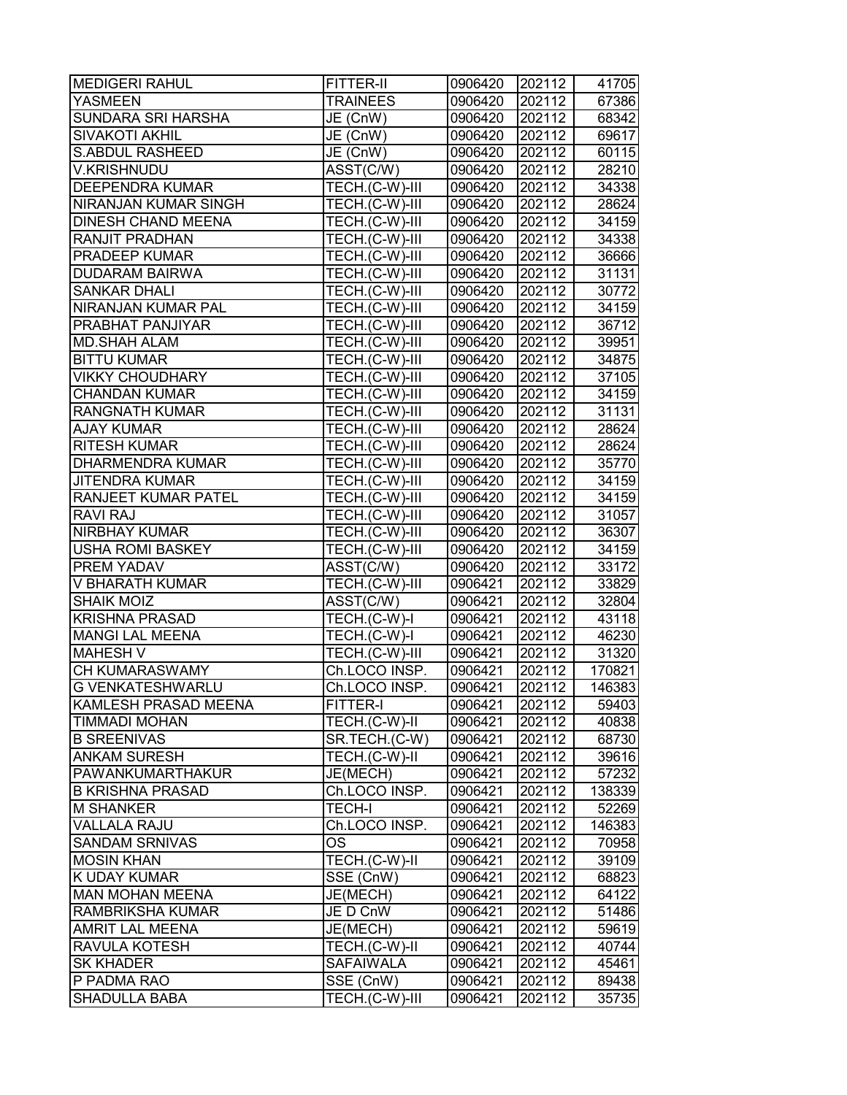| <b>MEDIGERI RAHUL</b>     | <b>FITTER-II</b> | 0906420 | 202112 | 41705  |
|---------------------------|------------------|---------|--------|--------|
| <b>YASMEEN</b>            | <b>TRAINEES</b>  | 0906420 | 202112 | 67386  |
| SUNDARA SRI HARSHA        | JE (CnW)         | 0906420 | 202112 | 68342  |
| <b>SIVAKOTI AKHIL</b>     | JE (CnW)         | 0906420 | 202112 | 69617  |
| <b>S.ABDUL RASHEED</b>    | JE (CnW)         | 0906420 | 202112 | 60115  |
| <b>V.KRISHNUDU</b>        | ASST(C/W)        | 0906420 | 202112 | 28210  |
| <b>DEEPENDRA KUMAR</b>    | TECH.(C-W)-III   | 0906420 | 202112 | 34338  |
| NIRANJAN KUMAR SINGH      | TECH.(C-W)-III   | 0906420 | 202112 | 28624  |
| <b>DINESH CHAND MEENA</b> | TECH.(C-W)-III   | 0906420 | 202112 | 34159  |
| RANJIT PRADHAN            | TECH.(C-W)-III   | 0906420 | 202112 | 34338  |
| PRADEEP KUMAR             | TECH.(C-W)-III   | 0906420 | 202112 | 36666  |
| <b>DUDARAM BAIRWA</b>     | TECH.(C-W)-III   | 0906420 | 202112 | 31131  |
| <b>SANKAR DHALI</b>       | TECH.(C-W)-III   | 0906420 | 202112 | 30772  |
| NIRANJAN KUMAR PAL        | TECH.(C-W)-III   | 0906420 | 202112 | 34159  |
| PRABHAT PANJIYAR          | TECH.(C-W)-III   | 0906420 | 202112 | 36712  |
| <b>MD.SHAH ALAM</b>       | TECH.(C-W)-III   | 0906420 | 202112 | 39951  |
| <b>BITTU KUMAR</b>        | TECH.(C-W)-III   | 0906420 | 202112 | 34875  |
| <b>VIKKY CHOUDHARY</b>    | TECH.(C-W)-III   | 0906420 | 202112 | 37105  |
| <b>CHANDAN KUMAR</b>      | TECH.(C-W)-III   | 0906420 | 202112 | 34159  |
| <b>RANGNATH KUMAR</b>     | TECH.(C-W)-III   | 0906420 | 202112 | 31131  |
| <b>AJAY KUMAR</b>         | TECH.(C-W)-III   | 0906420 | 202112 | 28624  |
| <b>RITESH KUMAR</b>       | TECH.(C-W)-III   | 0906420 | 202112 | 28624  |
| <b>DHARMENDRA KUMAR</b>   | TECH.(C-W)-III   | 0906420 | 202112 | 35770  |
| <b>JITENDRA KUMAR</b>     | TECH.(C-W)-III   | 0906420 | 202112 | 34159  |
| RANJEET KUMAR PATEL       | TECH.(C-W)-III   | 0906420 | 202112 | 34159  |
| RAVI RAJ                  | TECH.(C-W)-III   | 0906420 | 202112 | 31057  |
| NIRBHAY KUMAR             | TECH.(C-W)-III   | 0906420 | 202112 | 36307  |
| <b>USHA ROMI BASKEY</b>   | TECH.(C-W)-III   | 0906420 | 202112 | 34159  |
| PREM YADAV                | ASST(C/W)        | 0906420 | 202112 | 33172  |
| V BHARATH KUMAR           | TECH.(C-W)-III   | 0906421 | 202112 | 33829  |
| <b>SHAIK MOIZ</b>         | ASST(C/W)        | 0906421 | 202112 | 32804  |
| <b>KRISHNA PRASAD</b>     | TECH.(C-W)-I     | 0906421 | 202112 | 43118  |
| <b>MANGI LAL MEENA</b>    | TECH.(C-W)-I     | 0906421 | 202112 | 46230  |
| <b>MAHESH V</b>           | TECH.(C-W)-III   | 0906421 | 202112 | 31320  |
| CH KUMARASWAMY            | Ch.LOCO INSP.    | 0906421 | 202112 | 170821 |
| <b>G VENKATESHWARLU</b>   | Ch.LOCO INSP.    | 0906421 | 202112 | 146383 |
| KAMLESH PRASAD MEENA      | FITTER-I         | 0906421 | 202112 | 59403  |
| TIMMADI MOHAN             | TECH.(C-W)-II    | 0906421 | 202112 | 40838  |
| <b>B SREENIVAS</b>        | SR.TECH.(C-W)    | 0906421 | 202112 | 68730  |
| <b>ANKAM SURESH</b>       | TECH.(C-W)-II    | 0906421 | 202112 | 39616  |
| PAWANKUMARTHAKUR          | JE(MECH)         | 0906421 | 202112 | 57232  |
| <b>B KRISHNA PRASAD</b>   | Ch.LOCO INSP.    | 0906421 | 202112 | 138339 |
| <b>M SHANKER</b>          | <b>TECH-I</b>    | 0906421 | 202112 | 52269  |
| <b>VALLALA RAJU</b>       | Ch.LOCO INSP.    | 0906421 | 202112 | 146383 |
| SANDAM SRNIVAS            | OS               | 0906421 | 202112 | 70958  |
| <b>MOSIN KHAN</b>         | TECH.(C-W)-II    | 0906421 | 202112 | 39109  |
| K UDAY KUMAR              | SSE (CnW)        | 0906421 | 202112 | 68823  |
| <b>MAN MOHAN MEENA</b>    | JE(MECH)         | 0906421 | 202112 | 64122  |
| RAMBRIKSHA KUMAR          | JE D CnW         | 0906421 | 202112 | 51486  |
| AMRIT LAL MEENA           | JE(MECH)         | 0906421 | 202112 | 59619  |
| RAVULA KOTESH             | TECH.(C-W)-II    | 0906421 | 202112 | 40744  |
| <b>SK KHADER</b>          | SAFAIWALA        | 0906421 | 202112 | 45461  |
| P PADMA RAO               | SSE (CnW)        | 0906421 | 202112 | 89438  |
| <b>SHADULLA BABA</b>      | TECH.(C-W)-III   | 0906421 | 202112 | 35735  |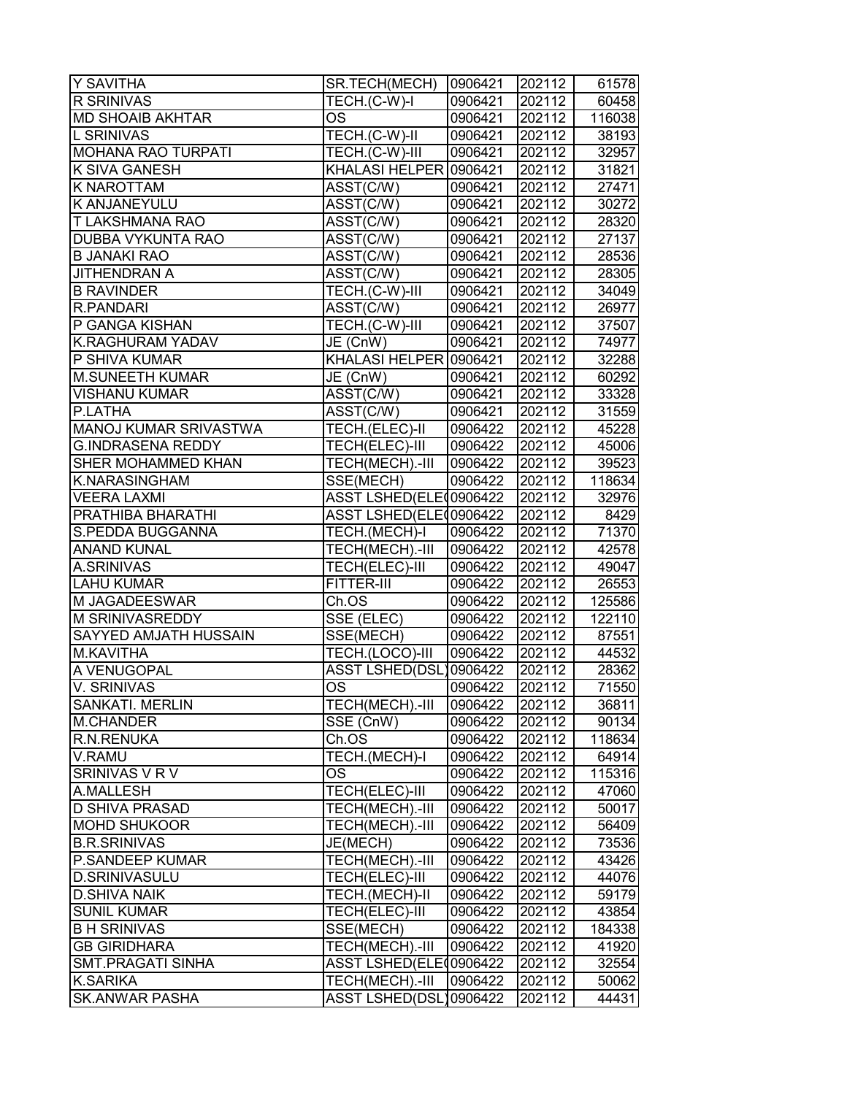| Y SAVITHA                 | SR.TECH(MECH)                  | 0906421 | 202112              | 61578  |
|---------------------------|--------------------------------|---------|---------------------|--------|
| <b>R SRINIVAS</b>         | TECH.(C-W)-I                   | 0906421 | 202112              | 60458  |
| <b>MD SHOAIB AKHTAR</b>   | OS                             | 0906421 | 202112              | 116038 |
| <b>L SRINIVAS</b>         | TECH.(C-W)-II                  | 0906421 | 202112              | 38193  |
| <b>MOHANA RAO TURPATI</b> | TECH.(C-W)-III                 | 0906421 | 202112              | 32957  |
| K SIVA GANESH             | KHALASI HELPER 0906421         |         | 202112              | 31821  |
| K NAROTTAM                | ASST(C/W)                      | 0906421 | 202112              | 27471  |
| K ANJANEYULU              | ASST(C/W)                      | 0906421 | $\overline{202}112$ | 30272  |
| T LAKSHMANA RAO           | ASST(C/W)                      | 0906421 | 202112              | 28320  |
| DUBBA VYKUNTA RAO         | $\overline{\text{ASST}}$ (C/W) | 0906421 | 202112              | 27137  |
| <b>B JANAKI RAO</b>       | ASST(C/W)                      | 0906421 | 202112              | 28536  |
| JITHENDRAN A              | ASST(C/W)                      | 0906421 | 202112              | 28305  |
| <b>B RAVINDER</b>         | TECH.(C-W)-III                 | 0906421 | 202112              | 34049  |
| <b>R.PANDARI</b>          | ASST(C/W)                      | 0906421 | 202112              | 26977  |
| P GANGA KISHAN            | TECH.(C-W)-III                 | 0906421 | 202112              | 37507  |
| K.RAGHURAM YADAV          | JE (CnW)                       | 0906421 | 202112              | 74977  |
| P SHIVA KUMAR             | KHALASI HELPER 0906421         |         | 202112              | 32288  |
| <b>M.SUNEETH KUMAR</b>    | JE (CnW)                       | 0906421 | 202112              | 60292  |
| <b>VISHANU KUMAR</b>      | ASST(C/W)                      | 0906421 | 202112              | 33328  |
| P.LATHA                   | ASST(C/W)                      | 0906421 | 202112              | 31559  |
| MANOJ KUMAR SRIVASTWA     | TECH.(ELEC)-II                 | 0906422 | 202112              | 45228  |
| <b>G.INDRASENA REDDY</b>  | TECH(ELEC)-III                 | 0906422 | 202112              | 45006  |
| SHER MOHAMMED KHAN        | TECH(MECH).-III                | 0906422 | 202112              | 39523  |
| K.NARASINGHAM             | SSE(MECH)                      | 0906422 | 202112              | 118634 |
| <b>VEERA LAXMI</b>        | ASST LSHED(ELE 0906422         |         | 202112              | 32976  |
| PRATHIBA BHARATHI         | ASST LSHED(ELE00906422         |         | 202112              | 8429   |
| S.PEDDA BUGGANNA          | TECH.(MECH)-I                  | 0906422 | 202112              | 71370  |
| <b>ANAND KUNAL</b>        | TECH(MECH).-III                | 0906422 | 202112              | 42578  |
| A.SRINIVAS                | TECH(ELEC)-III                 | 0906422 | 202112              | 49047  |
| <b>LAHU KUMAR</b>         | FITTER-III                     | 0906422 | 202112              | 26553  |
| M JAGADEESWAR             | Ch.OS                          | 0906422 | 202112              | 125586 |
| M SRINIVASREDDY           | SSE (ELEC)                     | 0906422 | 202112              | 122110 |
| SAYYED AMJATH HUSSAIN     | SSE(MECH)                      | 0906422 | 202112              | 87551  |
| M.KAVITHA                 | TECH.(LOCO)-III                | 0906422 | 202112              | 44532  |
| A VENUGOPAL               | ASST LSHED(DSL)0906422         |         | 202112              | 28362  |
| V. SRINIVAS               | <b>OS</b>                      | 0906422 | 202112              | 71550  |
| SANKATI. MERLIN           | TECH(MECH).-III                | 0906422 | 202112              | 36811  |
| <b>M.CHANDER</b>          | SSE (CnW)                      | 0906422 | 202112              | 90134  |
| R.N.RENUKA                | Ch.OS                          | 0906422 | 202112              | 118634 |
| V.RAMU                    | TECH.(MECH)-I                  | 0906422 | 202112              | 64914  |
| SRINIVAS V R V            | OS                             | 0906422 | 202112              | 115316 |
| A.MALLESH                 | <b>TECH(ELEC)-III</b>          | 0906422 | 202112              | 47060  |
| <b>D SHIVA PRASAD</b>     | TECH(MECH).-III                | 0906422 | 202112              | 50017  |
| MOHD SHUKOOR              | TECH(MECH).-III                | 0906422 | 202112              | 56409  |
| <b>B.R.SRINIVAS</b>       | JE(MECH)                       | 0906422 | 202112              | 73536  |
| P.SANDEEP KUMAR           | TECH(MECH).-III                | 0906422 | 202112              | 43426  |
| <b>D.SRINIVASULU</b>      | TECH(ELEC)-III                 | 0906422 | 202112              | 44076  |
| <b>D.SHIVA NAIK</b>       | TECH.(MECH)-II                 | 0906422 | 202112              | 59179  |
| <b>SUNIL KUMAR</b>        | TECH(ELEC)-III                 | 0906422 | 202112              | 43854  |
| <b>B H SRINIVAS</b>       | SSE(MECH)                      | 0906422 | 202112              | 184338 |
| <b>GB GIRIDHARA</b>       | TECH(MECH).-III                | 0906422 | 202112              | 41920  |
| <b>SMT.PRAGATI SINHA</b>  | ASST LSHED(ELE00906422         |         | 202112              | 32554  |
| <b>K.SARIKA</b>           | TECH(MECH).-III                | 0906422 | 202112              | 50062  |
| <b>SK.ANWAR PASHA</b>     | ASST LSHED(DSL)0906422         |         | 202112              | 44431  |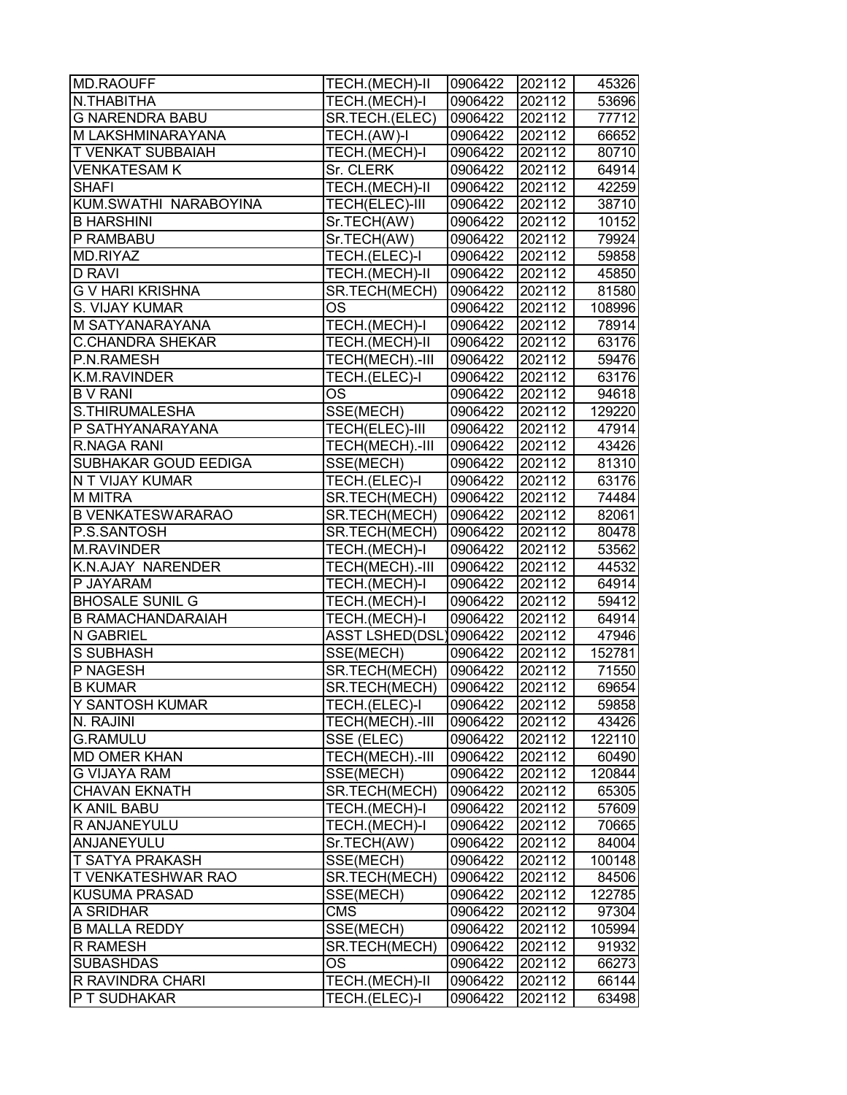| MD.RAOUFF                   | TECH.(MECH)-II         | 0906422 | 202112 | 45326  |
|-----------------------------|------------------------|---------|--------|--------|
| N.THABITHA                  | TECH.(MECH)-I          | 0906422 | 202112 | 53696  |
| <b>G NARENDRA BABU</b>      | SR.TECH.(ELEC)         | 0906422 | 202112 | 77712  |
| M LAKSHMINARAYANA           | TECH.(AW)-I            | 0906422 | 202112 | 66652  |
| <b>T VENKAT SUBBAIAH</b>    | TECH.(MECH)-I          | 0906422 | 202112 | 80710  |
| <b>VENKATESAM K</b>         | Sr. CLERK              | 0906422 | 202112 | 64914  |
| <b>SHAFI</b>                | TECH.(MECH)-II         | 0906422 | 202112 | 42259  |
| KUM.SWATHI NARABOYINA       | TECH(ELEC)-III         | 0906422 | 202112 | 38710  |
| <b>B HARSHINI</b>           | Sr.TECH(AW)            | 0906422 | 202112 | 10152  |
| P RAMBABU                   | Sr.TECH(AW)            | 0906422 | 202112 | 79924  |
| MD.RIYAZ                    | TECH.(ELEC)-I          | 0906422 | 202112 | 59858  |
| <b>D RAVI</b>               | TECH.(MECH)-II         | 0906422 | 202112 | 45850  |
| <b>G V HARI KRISHNA</b>     | SR.TECH(MECH)          | 0906422 | 202112 | 81580  |
| S. VIJAY KUMAR              | <b>OS</b>              | 0906422 | 202112 | 108996 |
| M SATYANARAYANA             | TECH.(MECH)-I          | 0906422 | 202112 | 78914  |
| <b>C.CHANDRA SHEKAR</b>     | TECH.(MECH)-II         | 0906422 | 202112 | 63176  |
| P.N.RAMESH                  | TECH(MECH).-III        | 0906422 | 202112 | 59476  |
| K.M.RAVINDER                | TECH.(ELEC)-I          | 0906422 | 202112 | 63176  |
| <b>B V RANI</b>             | <b>OS</b>              | 0906422 | 202112 | 94618  |
| S.THIRUMALESHA              | SSE(MECH)              | 0906422 | 202112 | 129220 |
| P SATHYANARAYANA            | TECH(ELEC)-III         | 0906422 | 202112 | 47914  |
| R.NAGA RANI                 | TECH(MECH).-III        | 0906422 | 202112 | 43426  |
| <b>SUBHAKAR GOUD EEDIGA</b> | SSE(MECH)              | 0906422 | 202112 | 81310  |
| N T VIJAY KUMAR             | TECH.(ELEC)-I          | 0906422 | 202112 | 63176  |
| <b>M MITRA</b>              | SR.TECH(MECH)          | 0906422 | 202112 | 74484  |
| <b>B VENKATESWARARAO</b>    | SR.TECH(MECH)          | 0906422 | 202112 | 82061  |
| P.S.SANTOSH                 | SR.TECH(MECH)          | 0906422 | 202112 | 80478  |
| <b>M.RAVINDER</b>           | TECH.(MECH)-I          | 0906422 | 202112 | 53562  |
| <b>K.N.AJAY NARENDER</b>    | TECH(MECH).-III        | 0906422 | 202112 | 44532  |
| P JAYARAM                   | TECH.(MECH)-I          | 0906422 | 202112 | 64914  |
| <b>BHOSALE SUNIL G</b>      | TECH.(MECH)-I          | 0906422 | 202112 | 59412  |
| <b>B RAMACHANDARAIAH</b>    | TECH.(MECH)-I          | 0906422 | 202112 | 64914  |
| <b>N GABRIEL</b>            | ASST LSHED(DSL)0906422 |         | 202112 | 47946  |
| <b>S SUBHASH</b>            | SSE(MECH)              | 0906422 | 202112 | 152781 |
| P NAGESH                    | SR.TECH(MECH)          | 0906422 | 202112 | 71550  |
| <b>B KUMAR</b>              | <b>SR.TECH(MECH)</b>   | 0906422 | 202112 | 69654  |
| Y SANTOSH KUMAR             | TECH.(ELEC)-I          | 0906422 | 202112 | 59858  |
| N. RAJINI                   | TECH(MECH).-III        | 0906422 | 202112 | 43426  |
| <b>G.RAMULU</b>             | SSE (ELEC)             | 0906422 | 202112 | 122110 |
| <b>MD OMER KHAN</b>         | TECH(MECH).-III        | 0906422 | 202112 | 60490  |
| <b>G VIJAYA RAM</b>         | SSE(MECH)              | 0906422 | 202112 | 120844 |
| <b>CHAVAN EKNATH</b>        | SR.TECH(MECH)          | 0906422 | 202112 | 65305  |
| <b>K ANIL BABU</b>          | TECH.(MECH)-I          | 0906422 | 202112 | 57609  |
| R ANJANEYULU                | TECH.(MECH)-I          | 0906422 | 202112 | 70665  |
| ANJANEYULU                  | Sr.TECH(AW)            | 0906422 | 202112 | 84004  |
| <b>T SATYA PRAKASH</b>      | SSE(MECH)              | 0906422 | 202112 | 100148 |
| <b>T VENKATESHWAR RAO</b>   | SR.TECH(MECH)          | 0906422 | 202112 | 84506  |
| <b>KUSUMA PRASAD</b>        | SSE(MECH)              | 0906422 | 202112 | 122785 |
| A SRIDHAR                   | <b>CMS</b>             | 0906422 | 202112 | 97304  |
| <b>B MALLA REDDY</b>        | SSE(MECH)              | 0906422 | 202112 | 105994 |
| <b>R RAMESH</b>             | SR.TECH(MECH)          | 0906422 | 202112 | 91932  |
| <b>SUBASHDAS</b>            | <b>OS</b>              | 0906422 | 202112 | 66273  |
| <b>R RAVINDRA CHARI</b>     | TECH.(MECH)-II         | 0906422 | 202112 | 66144  |
| <b>P T SUDHAKAR</b>         | TECH.(ELEC)-I          | 0906422 | 202112 | 63498  |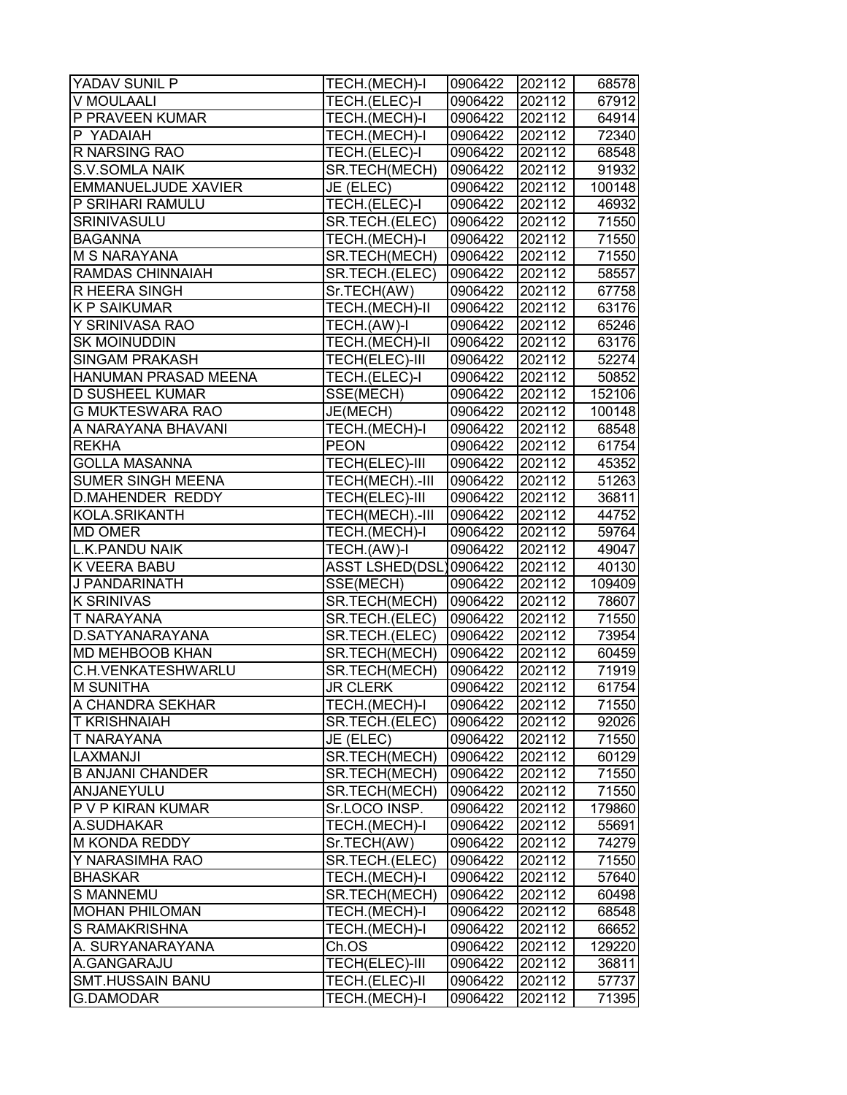| YADAV SUNIL P              | TECH.(MECH)-I          | 0906422 | 202112 | 68578  |
|----------------------------|------------------------|---------|--------|--------|
| V MOULAALI                 | TECH.(ELEC)-I          | 0906422 | 202112 | 67912  |
| P PRAVEEN KUMAR            | TECH.(MECH)-I          | 0906422 | 202112 | 64914  |
| P YADAIAH                  | TECH.(MECH)-I          | 0906422 | 202112 | 72340  |
| <b>R NARSING RAO</b>       | TECH.(ELEC)-I          | 0906422 | 202112 | 68548  |
| <b>S.V.SOMLA NAIK</b>      | SR.TECH(MECH)          | 0906422 | 202112 | 91932  |
| <b>EMMANUELJUDE XAVIER</b> | JE (ELEC)              | 0906422 | 202112 | 100148 |
| P SRIHARI RAMULU           | TECH.(ELEC)-I          | 0906422 | 202112 | 46932  |
| SRINIVASULU                | SR.TECH.(ELEC)         | 0906422 | 202112 | 71550  |
| <b>BAGANNA</b>             | TECH.(MECH)-I          | 0906422 | 202112 | 71550  |
| <b>M S NARAYANA</b>        | SR.TECH(MECH)          | 0906422 | 202112 | 71550  |
| RAMDAS CHINNAIAH           | SR.TECH.(ELEC)         | 0906422 | 202112 | 58557  |
| R HEERA SINGH              | Sr.TECH(AW)            | 0906422 | 202112 | 67758  |
| K P SAIKUMAR               | TECH.(MECH)-II         | 0906422 | 202112 | 63176  |
| Y SRINIVASA RAO            | TECH.(AW)-I            | 0906422 | 202112 | 65246  |
| <b>SK MOINUDDIN</b>        | TECH.(MECH)-II         | 0906422 | 202112 | 63176  |
| <b>SINGAM PRAKASH</b>      | TECH(ELEC)-III         | 0906422 | 202112 | 52274  |
| HANUMAN PRASAD MEENA       | TECH.(ELEC)-I          | 0906422 | 202112 | 50852  |
| <b>D SUSHEEL KUMAR</b>     | SSE(MECH)              | 0906422 | 202112 | 152106 |
| <b>G MUKTESWARA RAO</b>    | JE(MECH)               | 0906422 | 202112 | 100148 |
| A NARAYANA BHAVANI         | TECH.(MECH)-I          | 0906422 | 202112 | 68548  |
| <b>REKHA</b>               | <b>PEON</b>            | 0906422 | 202112 | 61754  |
| <b>GOLLA MASANNA</b>       | TECH(ELEC)-III         | 0906422 | 202112 | 45352  |
| <b>SUMER SINGH MEENA</b>   | TECH(MECH).-III        | 0906422 | 202112 | 51263  |
| <b>D.MAHENDER REDDY</b>    | TECH(ELEC)-III         | 0906422 | 202112 | 36811  |
| KOLA.SRIKANTH              | TECH(MECH).-III        | 0906422 | 202112 | 44752  |
| <b>MD OMER</b>             | TECH.(MECH)-I          | 0906422 | 202112 | 59764  |
| L.K.PANDU NAIK             | TECH.(AW)-I            | 0906422 | 202112 | 49047  |
| K VEERA BABU               | ASST LSHED(DSL)0906422 |         | 202112 | 40130  |
| J PANDARINATH              | SSE(MECH)              | 0906422 | 202112 | 109409 |
| <b>K SRINIVAS</b>          | SR.TECH(MECH)          | 0906422 | 202112 | 78607  |
| T NARAYANA                 | SR.TECH.(ELEC)         | 0906422 | 202112 | 71550  |
| D.SATYANARAYANA            | SR.TECH.(ELEC)         | 0906422 | 202112 | 73954  |
| <b>MD MEHBOOB KHAN</b>     | SR.TECH(MECH)          | 0906422 | 202112 | 60459  |
| C.H.VENKATESHWARLU         | SR.TECH(MECH)          | 0906422 | 202112 | 71919  |
| <b>M SUNITHA</b>           | <b>JR CLERK</b>        | 0906422 | 202112 | 61754  |
| A CHANDRA SEKHAR           | TECH.(MECH)-I          | 0906422 | 202112 | 71550  |
| T KRISHNAIAH               | SR.TECH.(ELEC)         | 0906422 | 202112 | 92026  |
| T NARAYANA                 | JE (ELEC)              | 0906422 | 202112 | 71550  |
| LAXMANJI                   | SR.TECH(MECH)          | 0906422 | 202112 | 60129  |
| <b>B ANJANI CHANDER</b>    | SR.TECH(MECH)          | 0906422 | 202112 | 71550  |
| ANJANEYULU                 | SR.TECH(MECH)          | 0906422 | 202112 | 71550  |
| P V P KIRAN KUMAR          | Sr.LOCO INSP.          | 0906422 | 202112 | 179860 |
| A.SUDHAKAR                 | TECH.(MECH)-I          | 0906422 | 202112 | 55691  |
| M KONDA REDDY              | Sr.TECH(AW)            | 0906422 | 202112 | 74279  |
| Y NARASIMHA RAO            | SR.TECH.(ELEC)         | 0906422 | 202112 | 71550  |
| <b>BHASKAR</b>             | TECH.(MECH)-I          | 0906422 | 202112 | 57640  |
| <b>S MANNEMU</b>           | SR.TECH(MECH)          | 0906422 | 202112 | 60498  |
| <b>MOHAN PHILOMAN</b>      | TECH.(MECH)-I          | 0906422 | 202112 | 68548  |
| S RAMAKRISHNA              | TECH.(MECH)-I          | 0906422 | 202112 | 66652  |
| A. SURYANARAYANA           | Ch.OS                  | 0906422 | 202112 | 129220 |
| A.GANGARAJU                | TECH(ELEC)-III         | 0906422 | 202112 | 36811  |
| <b>SMT.HUSSAIN BANU</b>    | TECH.(ELEC)-II         | 0906422 | 202112 | 57737  |
| <b>G.DAMODAR</b>           | TECH.(MECH)-I          | 0906422 | 202112 | 71395  |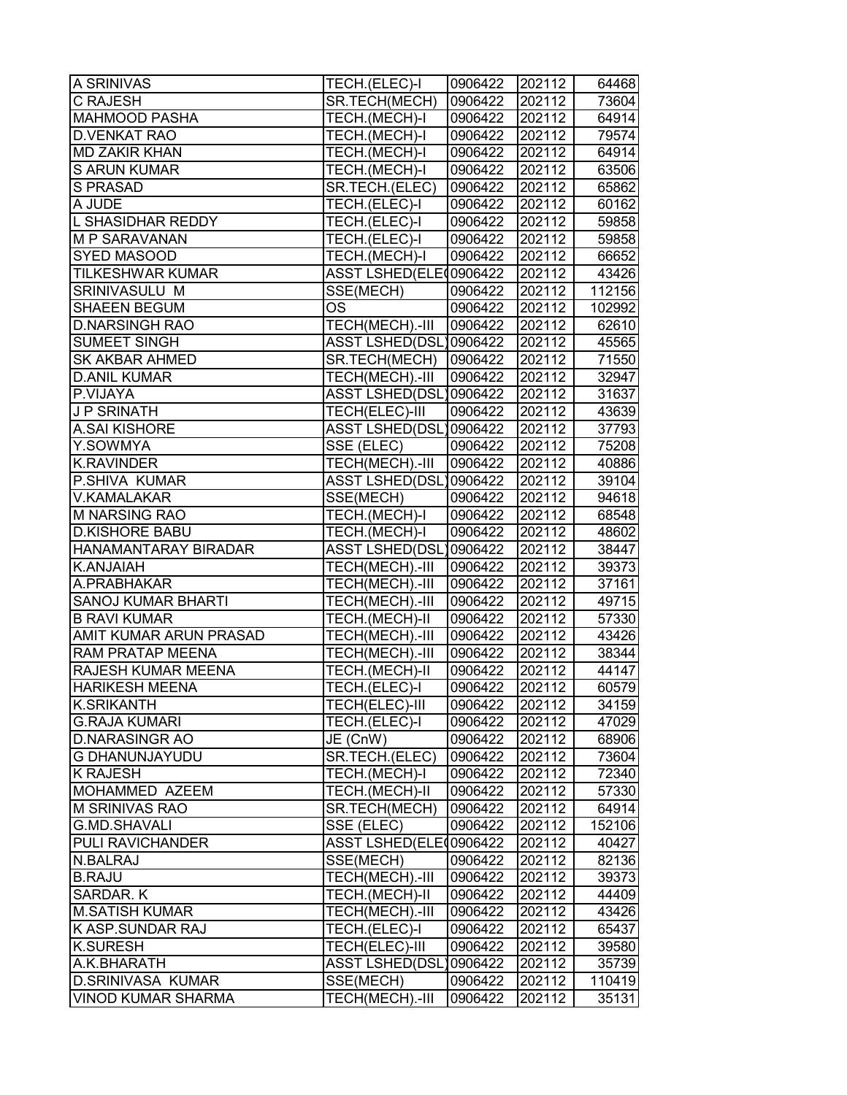| A SRINIVAS                | TECH.(ELEC)-I          | 0906422  | 202112 | 64468  |
|---------------------------|------------------------|----------|--------|--------|
| C RAJESH                  | SR.TECH(MECH)          | 0906422  | 202112 | 73604  |
| <b>MAHMOOD PASHA</b>      | TECH.(MECH)-I          | 0906422  | 202112 | 64914  |
| <b>D.VENKAT RAO</b>       | TECH.(MECH)-I          | 0906422  | 202112 | 79574  |
| <b>MD ZAKIR KHAN</b>      | TECH.(MECH)-I          | 0906422  | 202112 | 64914  |
| <b>S ARUN KUMAR</b>       | TECH.(MECH)-I          | 0906422  | 202112 | 63506  |
| <b>S PRASAD</b>           | SR.TECH.(ELEC)         | 0906422  | 202112 | 65862  |
| A JUDE                    | TECH.(ELEC)-I          | 0906422  | 202112 | 60162  |
| L SHASIDHAR REDDY         | TECH.(ELEC)-I          | 0906422  | 202112 | 59858  |
| M P SARAVANAN             | TECH.(ELEC)-I          | 0906422  | 202112 | 59858  |
| SYED MASOOD               | TECH.(MECH)-I          | 0906422  | 202112 | 66652  |
| <b>TILKESHWAR KUMAR</b>   | ASST LSHED(ELE00906422 |          | 202112 | 43426  |
| SRINIVASULU M             | SSE(MECH)              | 0906422  | 202112 | 112156 |
| <b>SHAEEN BEGUM</b>       | OS                     | 0906422  | 202112 | 102992 |
| <b>D.NARSINGH RAO</b>     | TECH(MECH).-III        | 0906422  | 202112 | 62610  |
| <b>SUMEET SINGH</b>       | <b>ASST LSHED(DSL</b>  | 0906422  | 202112 | 45565  |
| SK AKBAR AHMED            | SR.TECH(MECH)          | 0906422  | 202112 | 71550  |
| <b>D.ANIL KUMAR</b>       | TECH(MECH).-III        | 0906422  | 202112 | 32947  |
| P.VIJAYA                  | ASST LSHED(DSL)0906422 |          | 202112 | 31637  |
| <b>JP SRINATH</b>         | TECH(ELEC)-III         | 0906422  | 202112 | 43639  |
| A.SAI KISHORE             | <b>ASST LSHED(DSL</b>  | 10906422 | 202112 | 37793  |
| Y.SOWMYA                  | SSE (ELEC)             | 0906422  | 202112 | 75208  |
| <b>K.RAVINDER</b>         | TECH(MECH).-III        | 0906422  | 202112 | 40886  |
| P.SHIVA KUMAR             | ASST LSHED(DSL)0906422 |          | 202112 | 39104  |
| V.KAMALAKAR               | SSE(MECH)              | 0906422  | 202112 | 94618  |
| <b>M NARSING RAO</b>      | TECH.(MECH)-I          | 0906422  | 202112 | 68548  |
| <b>D.KISHORE BABU</b>     | TECH.(MECH)-I          | 0906422  | 202112 | 48602  |
| HANAMANTARAY BIRADAR      | ASST LSHED(DSL)0906422 |          | 202112 | 38447  |
| K.ANJAIAH                 | TECH(MECH).-III        | 0906422  | 202112 | 39373  |
| A.PRABHAKAR               | TECH(MECH).-III        | 0906422  | 202112 | 37161  |
| <b>SANOJ KUMAR BHARTI</b> | TECH(MECH).-III        | 0906422  | 202112 | 49715  |
| <b>B RAVI KUMAR</b>       | TECH.(MECH)-II         | 0906422  | 202112 | 57330  |
| AMIT KUMAR ARUN PRASAD    | TECH(MECH).-III        | 0906422  | 202112 | 43426  |
| RAM PRATAP MEENA          | TECH(MECH).-III        | 0906422  | 202112 | 38344  |
| RAJESH KUMAR MEENA        | TECH.(MECH)-II         | 0906422  | 202112 | 44147  |
| <b>HARIKESH MEENA</b>     | TECH.(ELEC)-I          | 0906422  | 202112 | 60579  |
| <b>K.SRIKANTH</b>         | TECH(ELEC)-III         | 0906422  | 202112 | 34159  |
| <b>G.RAJA KUMARI</b>      | TECH.(ELEC)-I          | 0906422  | 202112 | 47029  |
| <b>D.NARASINGR AO</b>     | JE (CnW)               | 0906422  | 202112 | 68906  |
| <b>G DHANUNJAYUDU</b>     | SR.TECH.(ELEC)         | 0906422  | 202112 | 73604  |
| <b>K RAJESH</b>           | TECH.(MECH)-I          | 0906422  | 202112 | 72340  |
| MOHAMMED AZEEM            | TECH.(MECH)-II         | 0906422  | 202112 | 57330  |
| M SRINIVAS RAO            | SR.TECH(MECH)          | 0906422  | 202112 | 64914  |
| <b>G.MD.SHAVALI</b>       | SSE (ELEC)             | 0906422  | 202112 | 152106 |
| PULI RAVICHANDER          | ASST LSHED(ELE00906422 |          | 202112 | 40427  |
| N.BALRAJ                  | SSE(MECH)              | 0906422  | 202112 | 82136  |
| <b>B.RAJU</b>             | TECH(MECH).-III        | 0906422  | 202112 | 39373  |
| SARDAR. K                 | TECH.(MECH)-II         | 0906422  | 202112 | 44409  |
| <b>M.SATISH KUMAR</b>     | TECH(MECH).-III        | 0906422  | 202112 | 43426  |
| K ASP.SUNDAR RAJ          | TECH.(ELEC)-I          | 0906422  | 202112 | 65437  |
| <b>K.SURESH</b>           | TECH(ELEC)-III         | 0906422  | 202112 | 39580  |
| A.K.BHARATH               | <b>ASST LSHED(DSL</b>  | 0906422  | 202112 | 35739  |
| <b>D.SRINIVASA KUMAR</b>  | SSE(MECH)              | 0906422  | 202112 | 110419 |
| <b>VINOD KUMAR SHARMA</b> | TECH(MECH).-III        | 0906422  | 202112 | 35131  |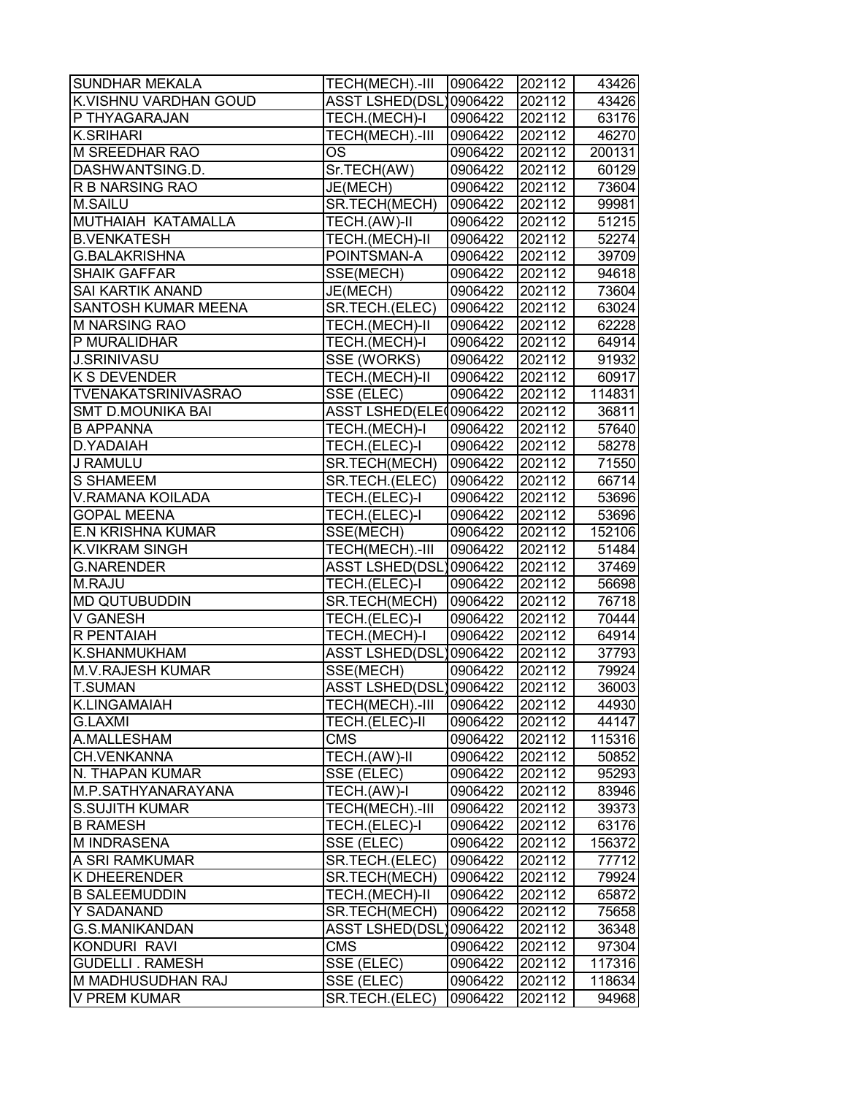| SUNDHAR MEKALA             | TECH(MECH).-III        | 0906422 | 202112              | 43426  |
|----------------------------|------------------------|---------|---------------------|--------|
| K.VISHNU VARDHAN GOUD      | ASST LSHED(DSL)0906422 |         | 202112              | 43426  |
| P THYAGARAJAN              | TECH.(MECH)-I          | 0906422 | 202112              | 63176  |
| <b>K.SRIHARI</b>           | TECH(MECH).-III        | 0906422 | 202112              | 46270  |
| M SREEDHAR RAO             | ОS                     | 0906422 | 202112              | 200131 |
| DASHWANTSING.D.            | Sr.TECH(AW)            | 0906422 | 202112              | 60129  |
| R B NARSING RAO            | JE(MECH)               | 0906422 | 202112              | 73604  |
| M.SAILU                    | SR.TECH(MECH)          | 0906422 | $\overline{202}112$ | 99981  |
| MUTHAIAH KATAMALLA         | TECH.(AW)-II           | 0906422 | 202112              | 51215  |
| <b>B.VENKATESH</b>         | TECH.(MECH)-II         | 0906422 | 202112              | 52274  |
| <b>G.BALAKRISHNA</b>       | POINTSMAN-A            | 0906422 | 202112              | 39709  |
| <b>SHAIK GAFFAR</b>        | SSE(MECH)              | 0906422 | 202112              | 94618  |
| <b>SAI KARTIK ANAND</b>    | JE(MECH)               | 0906422 | 202112              | 73604  |
| SANTOSH KUMAR MEENA        | SR.TECH.(ELEC)         | 0906422 | 202112              | 63024  |
| M NARSING RAO              | TECH.(MECH)-II         | 0906422 | 202112              | 62228  |
| P MURALIDHAR               | TECH.(MECH)-I          | 0906422 | 202112              | 64914  |
| <b>J.SRINIVASU</b>         | SSE (WORKS)            | 0906422 | 202112              | 91932  |
| <b>K S DEVENDER</b>        | TECH.(MECH)-II         | 0906422 | 202112              | 60917  |
| <b>TVENAKATSRINIVASRAO</b> | SSE (ELEC)             | 0906422 | 202112              | 114831 |
| <b>SMT D.MOUNIKA BAI</b>   | ASST LSHED(ELE 0906422 |         | 202112              | 36811  |
| <b>B APPANNA</b>           | TECH.(MECH)-I          | 0906422 | 202112              | 57640  |
| D.YADAIAH                  | TECH.(ELEC)-I          | 0906422 | 202112              | 58278  |
| J RAMULU                   | SR.TECH(MECH)          | 0906422 | 202112              | 71550  |
| S SHAMEEM                  | SR.TECH.(ELEC)         | 0906422 | 202112              | 66714  |
| <b>V.RAMANA KOILADA</b>    | TECH.(ELEC)-I          | 0906422 | 202112              | 53696  |
| <b>GOPAL MEENA</b>         | TECH.(ELEC)-I          | 0906422 | 202112              | 53696  |
| <b>E.N KRISHNA KUMAR</b>   | SSE(MECH)              | 0906422 | 202112              | 152106 |
| K.VIKRAM SINGH             | TECH(MECH).-III        | 0906422 | 202112              | 51484  |
| <b>G.NARENDER</b>          | ASST LSHED(DSL)0906422 |         | 202112              | 37469  |
| M.RAJU                     | TECH.(ELEC)-I          | 0906422 | 202112              | 56698  |
| <b>MD QUTUBUDDIN</b>       | SR.TECH(MECH)          | 0906422 | 202112              | 76718  |
| <b>V GANESH</b>            | TECH.(ELEC)-I          | 0906422 | 202112              | 70444  |
| R PENTAIAH                 | TECH.(MECH)-I          | 0906422 | 202112              | 64914  |
| K.SHANMUKHAM               | ASST LSHED(DSL)0906422 |         | 202112              | 37793  |
| <b>M.V.RAJESH KUMAR</b>    | SSE(MECH)              | 0906422 | 202112              | 79924  |
| <b>T.SUMAN</b>             | ASST LSHED(DSL)0906422 |         | 202112              | 36003  |
| K.LINGAMAIAH               | TECH(MECH).-III        | 0906422 | 202112              | 44930  |
| <b>G.LAXMI</b>             | TECH.(ELEC)-II         | 0906422 | 202112              | 44147  |
| A.MALLESHAM                | <b>CMS</b>             | 0906422 | 202112              | 115316 |
| CH.VENKANNA                | TECH.(AW)-II           | 0906422 | 202112              | 50852  |
| N. THAPAN KUMAR            | SSE (ELEC)             | 0906422 | 202112              | 95293  |
| M.P.SATHYANARAYANA         | TECH.(AW)-I            | 0906422 | 202112              | 83946  |
| <b>S.SUJITH KUMAR</b>      | TECH(MECH).-III        | 0906422 | 202112              | 39373  |
| <b>B RAMESH</b>            | TECH.(ELEC)-I          | 0906422 | 202112              | 63176  |
| M INDRASENA                | SSE (ELEC)             | 0906422 | 202112              | 156372 |
| A SRI RAMKUMAR             | SR.TECH.(ELEC)         | 0906422 | 202112              | 77712  |
| <b>K DHEERENDER</b>        | SR.TECH(MECH)          | 0906422 | 202112              | 79924  |
| <b>B SALEEMUDDIN</b>       | TECH.(MECH)-II         | 0906422 | 202112              | 65872  |
| Y SADANAND                 | SR.TECH(MECH)          | 0906422 | 202112              | 75658  |
| <b>G.S.MANIKANDAN</b>      | ASST LSHED(DSL)0906422 |         | 202112              | 36348  |
| KONDURI RAVI               | <b>CMS</b>             | 0906422 | 202112              | 97304  |
| <b>GUDELLI . RAMESH</b>    | SSE (ELEC)             | 0906422 | 202112              | 117316 |
| M MADHUSUDHAN RAJ          | SSE (ELEC)             | 0906422 | 202112              | 118634 |
| <b>V PREM KUMAR</b>        | SR.TECH.(ELEC)         | 0906422 | 202112              | 94968  |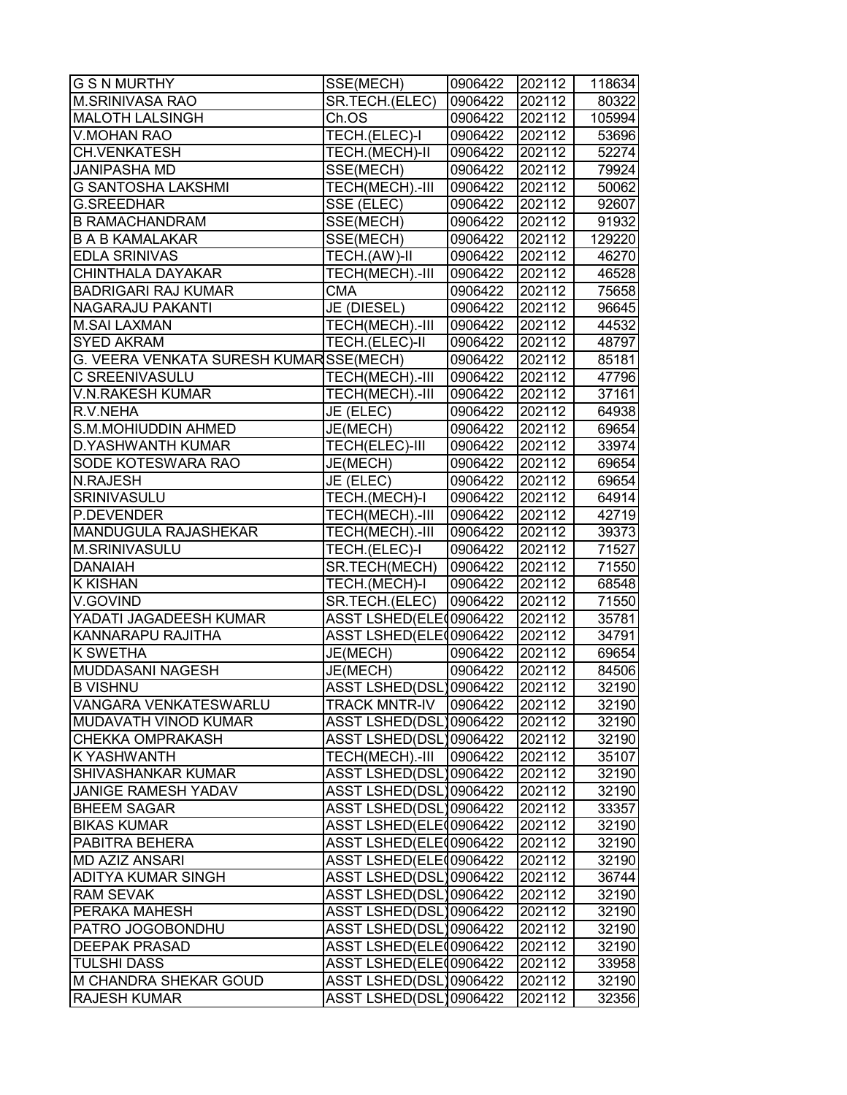| <b>G S N MURTHY</b>                    | SSE(MECH)              | 0906422 | 202112 | 118634 |
|----------------------------------------|------------------------|---------|--------|--------|
| <b>M.SRINIVASA RAO</b>                 | SR.TECH.(ELEC)         | 0906422 | 202112 | 80322  |
| <b>MALOTH LALSINGH</b>                 | Ch.OS                  | 0906422 | 202112 | 105994 |
| <b>V.MOHAN RAO</b>                     | TECH.(ELEC)-I          | 0906422 | 202112 | 53696  |
| <b>CH.VENKATESH</b>                    | TECH.(MECH)-II         | 0906422 | 202112 | 52274  |
| <b>JANIPASHA MD</b>                    | SSE(MECH)              | 0906422 | 202112 | 79924  |
| <b>G SANTOSHA LAKSHMI</b>              | TECH(MECH).-III        | 0906422 | 202112 | 50062  |
| <b>G.SREEDHAR</b>                      | SSE (ELEC)             | 0906422 | 202112 | 92607  |
| <b>B RAMACHANDRAM</b>                  | SSE(MECH)              | 0906422 | 202112 | 91932  |
| <b>B A B KAMALAKAR</b>                 | SSE(MECH)              | 0906422 | 202112 | 129220 |
| <b>EDLA SRINIVAS</b>                   | TECH.(AW)-II           | 0906422 | 202112 | 46270  |
| CHINTHALA DAYAKAR                      | TECH(MECH).-III        | 0906422 | 202112 | 46528  |
| <b>BADRIGARI RAJ KUMAR</b>             | <b>CMA</b>             | 0906422 | 202112 | 75658  |
| NAGARAJU PAKANTI                       | JE (DIESEL)            | 0906422 | 202112 | 96645  |
| <b>M.SAI LAXMAN</b>                    | TECH(MECH).-III        | 0906422 | 202112 | 44532  |
| <b>SYED AKRAM</b>                      | TECH.(ELEC)-II         | 0906422 | 202112 | 48797  |
| G. VEERA VENKATA SURESH KUMARSSE(MECH) |                        | 0906422 | 202112 | 85181  |
| C SREENIVASULU                         | TECH(MECH).-III        | 0906422 | 202112 | 47796  |
| <b>V.N.RAKESH KUMAR</b>                | TECH(MECH).-III        | 0906422 | 202112 | 37161  |
| R.V.NEHA                               | JE (ELEC)              | 0906422 | 202112 | 64938  |
| S.M.MOHIUDDIN AHMED                    | JE(MECH)               | 0906422 | 202112 | 69654  |
| <b>D.YASHWANTH KUMAR</b>               | TECH(ELEC)-III         | 0906422 | 202112 | 33974  |
| SODE KOTESWARA RAO                     | JE(MECH)               | 0906422 | 202112 | 69654  |
| <b>N.RAJESH</b>                        | JE (ELEC)              | 0906422 | 202112 | 69654  |
| SRINIVASULU                            | TECH.(MECH)-I          | 0906422 | 202112 | 64914  |
| P.DEVENDER                             | TECH(MECH).-III        | 0906422 | 202112 | 42719  |
| MANDUGULA RAJASHEKAR                   | TECH(MECH).-III        | 0906422 | 202112 | 39373  |
| M.SRINIVASULU                          | TECH.(ELEC)-I          | 0906422 | 202112 | 71527  |
| <b>DANAIAH</b>                         | SR.TECH(MECH)          | 0906422 | 202112 | 71550  |
| <b>K KISHAN</b>                        | TECH.(MECH)-I          | 0906422 | 202112 | 68548  |
| V.GOVIND                               | SR.TECH.(ELEC)         | 0906422 | 202112 | 71550  |
| YADATI JAGADEESH KUMAR                 | ASST LSHED(ELE00906422 |         | 202112 | 35781  |
| KANNARAPU RAJITHA                      | ASST LSHED(ELE 0906422 |         | 202112 | 34791  |
| K SWETHA                               | JE(MECH)               | 0906422 | 202112 | 69654  |
| <b>MUDDASANI NAGESH</b>                | JE(MECH)               | 0906422 | 202112 | 84506  |
| <b>B VISHNU</b>                        | ASST LSHED(DSL)0906422 |         | 202112 | 32190  |
| VANGARA VENKATESWARLU                  | <b>TRACK MNTR-IV</b>   | 0906422 | 202112 | 32190  |
| MUDAVATH VINOD KUMAR                   | ASST LSHED(DSL)0906422 |         | 202112 | 32190  |
| <b>CHEKKA OMPRAKASH</b>                | ASST LSHED(DSL)0906422 |         | 202112 | 32190  |
| K YASHWANTH                            | TECH(MECH).-III        | 0906422 | 202112 | 35107  |
| SHIVASHANKAR KUMAR                     | ASST LSHED(DSL)0906422 |         | 202112 | 32190  |
| <b>JANIGE RAMESH YADAV</b>             | ASST LSHED(DSL)0906422 |         | 202112 | 32190  |
| <b>BHEEM SAGAR</b>                     | ASST LSHED(DSL)0906422 |         | 202112 | 33357  |
| <b>BIKAS KUMAR</b>                     | ASST LSHED(ELE00906422 |         | 202112 | 32190  |
| PABITRA BEHERA                         | ASST LSHED(ELE00906422 |         | 202112 | 32190  |
| <b>MD AZIZ ANSARI</b>                  | ASST LSHED(ELE00906422 |         | 202112 | 32190  |
| ADITYA KUMAR SINGH                     | ASST LSHED(DSL)0906422 |         | 202112 | 36744  |
| <b>RAM SEVAK</b>                       | ASST LSHED(DSL)0906422 |         | 202112 | 32190  |
| PERAKA MAHESH                          | ASST LSHED(DSL)0906422 |         | 202112 | 32190  |
| PATRO JOGOBONDHU                       | ASST LSHED(DSL)0906422 |         | 202112 | 32190  |
| <b>DEEPAK PRASAD</b>                   | ASST LSHED(ELE00906422 |         | 202112 | 32190  |
| <b>TULSHI DASS</b>                     | ASST LSHED(ELE00906422 |         | 202112 | 33958  |
| M CHANDRA SHEKAR GOUD                  | ASST LSHED(DSL)0906422 |         | 202112 | 32190  |
| <b>RAJESH KUMAR</b>                    | ASST LSHED(DSL)0906422 |         | 202112 | 32356  |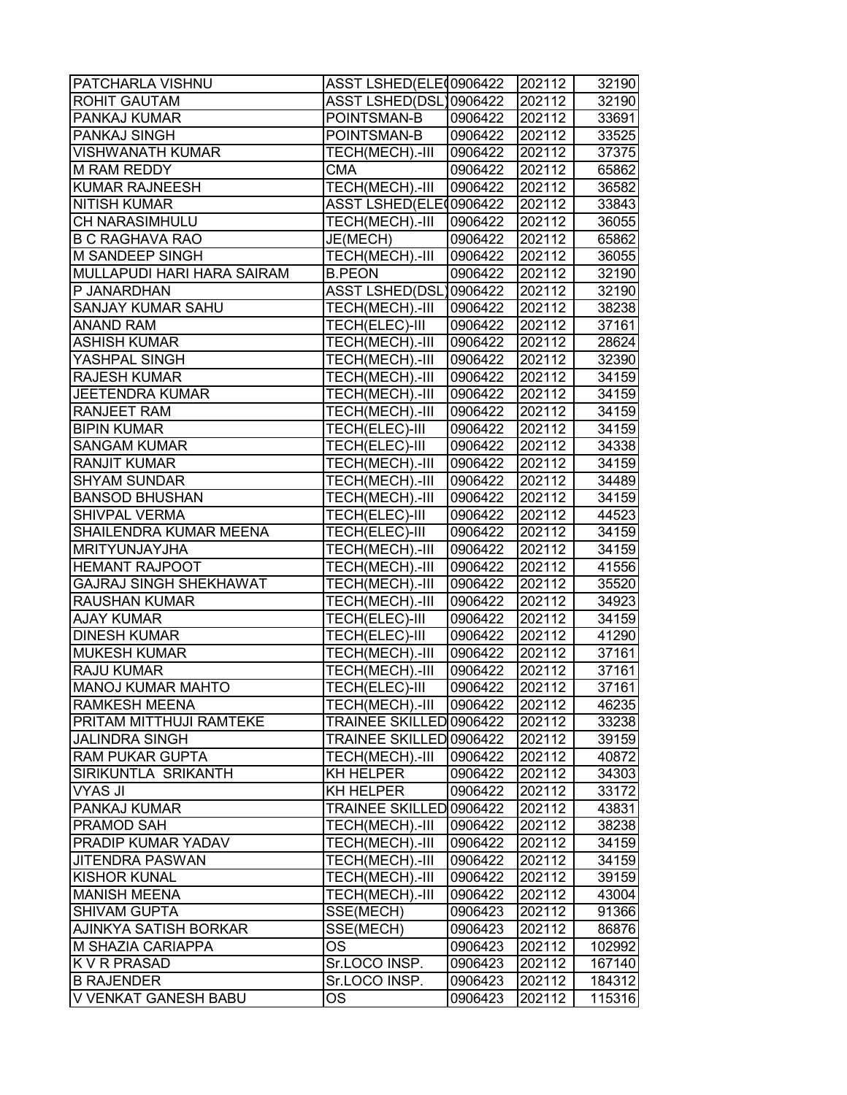| PATCHARLA VISHNU              | ASST LSHED(ELE00906422  |         | 202112 | 32190  |
|-------------------------------|-------------------------|---------|--------|--------|
| ROHIT GAUTAM                  | ASST LSHED(DSL)0906422  |         | 202112 | 32190  |
| PANKAJ KUMAR                  | POINTSMAN-B             | 0906422 | 202112 | 33691  |
| PANKAJ SINGH                  | POINTSMAN-B             | 0906422 | 202112 | 33525  |
| <b>VISHWANATH KUMAR</b>       | TECH(MECH).-III         | 0906422 | 202112 | 37375  |
| M RAM REDDY                   | <b>CMA</b>              | 0906422 | 202112 | 65862  |
| <b>KUMAR RAJNEESH</b>         | TECH(MECH).-III         | 0906422 | 202112 | 36582  |
| <b>NITISH KUMAR</b>           | ASST LSHED(ELE00906422  |         | 202112 | 33843  |
| CH NARASIMHULU                | TECH(MECH).-III         | 0906422 | 202112 | 36055  |
| <b>B C RAGHAVA RAO</b>        | JE(MECH)                | 0906422 | 202112 | 65862  |
| M SANDEEP SINGH               | TECH(MECH).-III         | 0906422 | 202112 | 36055  |
| MULLAPUDI HARI HARA SAIRAM    | <b>B.PEON</b>           | 0906422 | 202112 | 32190  |
| P JANARDHAN                   | ASST LSHED(DSL)0906422  |         | 202112 | 32190  |
| <b>SANJAY KUMAR SAHU</b>      | TECH(MECH).-III         | 0906422 | 202112 | 38238  |
| <b>ANAND RAM</b>              | TECH(ELEC)-III          | 0906422 | 202112 | 37161  |
| ASHISH KUMAR                  | TECH(MECH).-III         | 0906422 | 202112 | 28624  |
| YASHPAL SINGH                 | TECH(MECH).-III         | 0906422 | 202112 | 32390  |
| <b>RAJESH KUMAR</b>           | TECH(MECH).-III         | 0906422 | 202112 | 34159  |
| <b>JEETENDRA KUMAR</b>        | TECH(MECH).-III         | 0906422 | 202112 | 34159  |
| RANJEET RAM                   | TECH(MECH).-III         | 0906422 | 202112 | 34159  |
| <b>BIPIN KUMAR</b>            | TECH(ELEC)-III          | 0906422 | 202112 | 34159  |
| <b>SANGAM KUMAR</b>           | TECH(ELEC)-III          | 0906422 | 202112 | 34338  |
| <b>RANJIT KUMAR</b>           | TECH(MECH).-III         | 0906422 | 202112 | 34159  |
| <b>SHYAM SUNDAR</b>           | TECH(MECH).-III         | 0906422 | 202112 | 34489  |
| <b>BANSOD BHUSHAN</b>         | TECH(MECH).-III         | 0906422 | 202112 | 34159  |
| SHIVPAL VERMA                 | TECH(ELEC)-III          | 0906422 | 202112 | 44523  |
| SHAILENDRA KUMAR MEENA        | TECH(ELEC)-III          | 0906422 | 202112 | 34159  |
| <b>MRITYUNJAYJHA</b>          | TECH(MECH).-III         | 0906422 | 202112 | 34159  |
| <b>HEMANT RAJPOOT</b>         | TECH(MECH).-III         | 0906422 | 202112 | 41556  |
| <b>GAJRAJ SINGH SHEKHAWAT</b> | TECH(MECH).-III         | 0906422 | 202112 | 35520  |
| RAUSHAN KUMAR                 | TECH(MECH).-III         | 0906422 | 202112 | 34923  |
| <b>AJAY KUMAR</b>             | TECH(ELEC)-III          | 0906422 | 202112 | 34159  |
| <b>DINESH KUMAR</b>           | TECH(ELEC)-III          | 0906422 | 202112 | 41290  |
| <b>MUKESH KUMAR</b>           | TECH(MECH).-III         | 0906422 | 202112 | 37161  |
| <b>RAJU KUMAR</b>             | TECH(MECH).-III         | 0906422 | 202112 | 37161  |
| <b>MANOJ KUMAR MAHTO</b>      | TECH(ELEC)-III          | 0906422 | 202112 | 37161  |
| RAMKESH MEENA                 | TECH(MECH).-III         | 0906422 | 202112 | 46235  |
| PRITAM MITTHUJI RAMTEKE       | TRAINEE SKILLED 0906422 |         | 202112 | 33238  |
| <b>JALINDRA SINGH</b>         | TRAINEE SKILLED 0906422 |         | 202112 | 39159  |
| <b>RAM PUKAR GUPTA</b>        | TECH(MECH).-III         | 0906422 | 202112 | 40872  |
| SIRIKUNTLA SRIKANTH           | KH HELPER               | 0906422 | 202112 | 34303  |
| <b>VYAS JI</b>                | KH HELPER               | 0906422 | 202112 | 33172  |
| PANKAJ KUMAR                  | TRAINEE SKILLED 0906422 |         | 202112 | 43831  |
| PRAMOD SAH                    | TECH(MECH).-III         | 0906422 | 202112 | 38238  |
| PRADIP KUMAR YADAV            | TECH(MECH).-III         | 0906422 | 202112 | 34159  |
| <b>JITENDRA PASWAN</b>        | TECH(MECH).-III         | 0906422 | 202112 | 34159  |
| <b>KISHOR KUNAL</b>           | TECH(MECH).-III         | 0906422 | 202112 | 39159  |
| <b>MANISH MEENA</b>           | TECH(MECH).-III         | 0906422 | 202112 | 43004  |
| <b>SHIVAM GUPTA</b>           | SSE(MECH)               | 0906423 | 202112 | 91366  |
| AJINKYA SATISH BORKAR         | SSE(MECH)               | 0906423 | 202112 | 86876  |
| M SHAZIA CARIAPPA             | <b>OS</b>               | 0906423 | 202112 | 102992 |
| K V R PRASAD                  | Sr.LOCO INSP.           | 0906423 | 202112 | 167140 |
| <b>B RAJENDER</b>             | Sr.LOCO INSP.           | 0906423 | 202112 | 184312 |
| V VENKAT GANESH BABU          | <b>OS</b>               | 0906423 | 202112 | 115316 |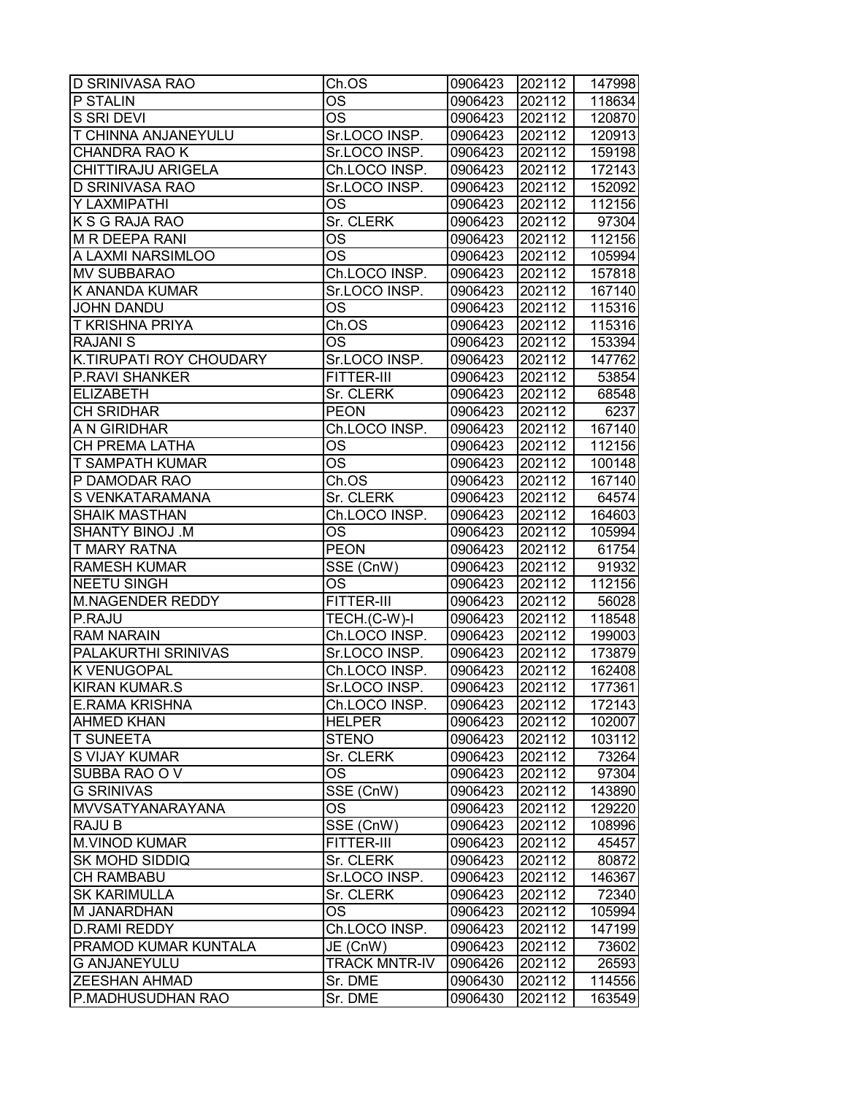| <b>D SRINIVASA RAO</b>     | Ch.OS                  | 0906423 | 202112 | 147998 |
|----------------------------|------------------------|---------|--------|--------|
| P STALIN                   | OS                     | 0906423 | 202112 | 118634 |
| S SRI DEVI                 | OS                     | 0906423 | 202112 | 120870 |
| <b>T CHINNA ANJANEYULU</b> | Sr.LOCO INSP.          | 0906423 | 202112 | 120913 |
| <b>CHANDRA RAO K</b>       | Sr.LOCO INSP.          | 0906423 | 202112 | 159198 |
| <b>CHITTIRAJU ARIGELA</b>  | Ch.LOCO INSP.          | 0906423 | 202112 | 172143 |
| <b>D SRINIVASA RAO</b>     | Sr.LOCO INSP.          | 0906423 | 202112 | 152092 |
| Y LAXMIPATHI               | <b>OS</b>              | 0906423 | 202112 | 112156 |
| K S G RAJA RAO             | Sr. CLERK              | 0906423 | 202112 | 97304  |
| <b>M R DEEPA RANI</b>      | $\overline{\text{OS}}$ | 0906423 | 202112 | 112156 |
| A LAXMI NARSIMLOO          | OS                     | 0906423 | 202112 | 105994 |
| <b>MV SUBBARAO</b>         | Ch.LOCO INSP.          | 0906423 | 202112 | 157818 |
| <b>K ANANDA KUMAR</b>      | Sr.LOCO INSP.          | 0906423 | 202112 | 167140 |
| <b>JOHN DANDU</b>          | OS                     | 0906423 | 202112 | 115316 |
| <b>T KRISHNA PRIYA</b>     | Ch.OS                  | 0906423 | 202112 | 115316 |
| <b>RAJANIS</b>             | OS                     | 0906423 | 202112 | 153394 |
| K.TIRUPATI ROY CHOUDARY    | Sr.LOCO INSP.          | 0906423 | 202112 | 147762 |
| <b>P.RAVI SHANKER</b>      | <b>FITTER-III</b>      | 0906423 | 202112 | 53854  |
| <b>ELIZABETH</b>           | Sr. CLERK              | 0906423 | 202112 | 68548  |
| <b>CH SRIDHAR</b>          | <b>PEON</b>            | 0906423 | 202112 | 6237   |
| A N GIRIDHAR               | Ch.LOCO INSP.          | 0906423 | 202112 | 167140 |
| CH PREMA LATHA             | OS                     | 0906423 | 202112 | 112156 |
| <b>T SAMPATH KUMAR</b>     | OS                     | 0906423 | 202112 | 100148 |
| P DAMODAR RAO              | Ch.OS                  | 0906423 | 202112 | 167140 |
| <b>S VENKATARAMANA</b>     | Sr. CLERK              | 0906423 | 202112 | 64574  |
| <b>SHAIK MASTHAN</b>       | Ch.LOCO INSP.          | 0906423 | 202112 | 164603 |
| <b>SHANTY BINOJ .M</b>     | OS                     | 0906423 | 202112 | 105994 |
| <b>T MARY RATNA</b>        | <b>PEON</b>            | 0906423 | 202112 | 61754  |
| <b>RAMESH KUMAR</b>        | SSE (CnW)              | 0906423 | 202112 | 91932  |
| <b>NEETU SINGH</b>         | <b>OS</b>              | 0906423 | 202112 | 112156 |
| <b>M.NAGENDER REDDY</b>    | <b>FITTER-III</b>      | 0906423 | 202112 | 56028  |
| P.RAJU                     | TECH.(C-W)-I           | 0906423 | 202112 | 118548 |
| <b>RAM NARAIN</b>          | Ch.LOCO INSP.          | 0906423 | 202112 | 199003 |
| PALAKURTHI SRINIVAS        | Sr.LOCO INSP.          | 0906423 | 202112 | 173879 |
| <b>KVENUGOPAL</b>          | Ch.LOCO INSP.          | 0906423 | 202112 | 162408 |
| <b>KIRAN KUMAR.S</b>       | Sr.LOCO INSP.          | 0906423 | 202112 | 177361 |
| <b>E.RAMA KRISHNA</b>      | Ch.LOCO INSP.          | 0906423 | 202112 | 172143 |
| <b>AHMED KHAN</b>          | <b>HELPER</b>          | 0906423 | 202112 | 102007 |
| <b>T SUNEETA</b>           | <b>STENO</b>           | 0906423 | 202112 | 103112 |
| S VIJAY KUMAR              | Sr. CLERK              | 0906423 | 202112 | 73264  |
| <b>SUBBA RAO O V</b>       | ОS                     | 0906423 | 202112 | 97304  |
| <b>G SRINIVAS</b>          | SSE (CnW)              | 0906423 | 202112 | 143890 |
| MVVSATYANARAYANA           | <b>OS</b>              | 0906423 | 202112 | 129220 |
| <b>RAJU B</b>              | SSE (CnW)              | 0906423 | 202112 | 108996 |
| <b>M.VINOD KUMAR</b>       | FITTER-III             | 0906423 | 202112 | 45457  |
| <b>SK MOHD SIDDIQ</b>      | Sr. CLERK              | 0906423 | 202112 | 80872  |
| <b>CH RAMBABU</b>          | Sr.LOCO INSP.          | 0906423 | 202112 | 146367 |
| <b>SK KARIMULLA</b>        | Sr. CLERK              | 0906423 | 202112 | 72340  |
| M JANARDHAN                | OS                     | 0906423 | 202112 | 105994 |
| <b>D.RAMI REDDY</b>        | Ch.LOCO INSP.          | 0906423 | 202112 | 147199 |
| PRAMOD KUMAR KUNTALA       | JE (CnW)               | 0906423 | 202112 | 73602  |
| <b>G ANJANEYULU</b>        | <b>TRACK MNTR-IV</b>   | 0906426 | 202112 | 26593  |
| <b>ZEESHAN AHMAD</b>       | Sr. DME                | 0906430 | 202112 | 114556 |
| P.MADHUSUDHAN RAO          | Sr. DME                | 0906430 | 202112 | 163549 |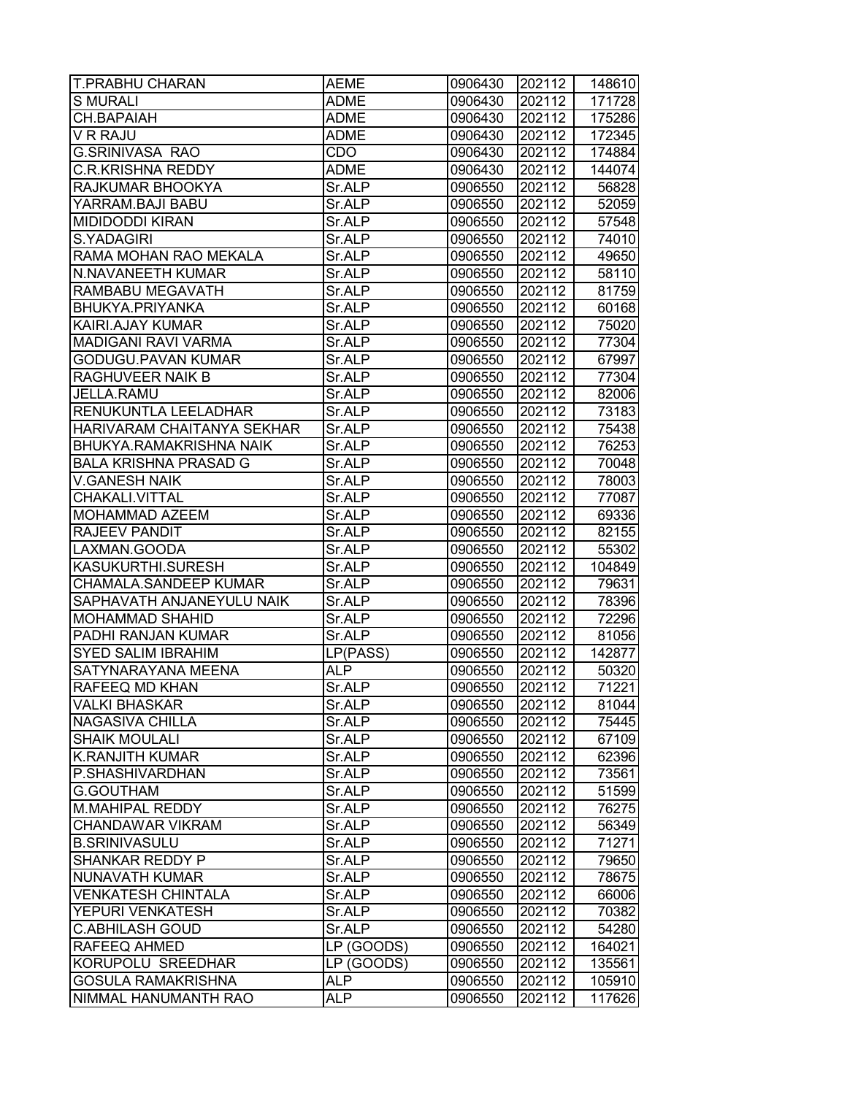| <b>T.PRABHU CHARAN</b>       | AEME        | 0906430 | 202112 | 148610 |
|------------------------------|-------------|---------|--------|--------|
| <b>S MURALI</b>              | ADME        | 0906430 | 202112 | 171728 |
| CH.BAPAIAH                   | <b>ADME</b> | 0906430 | 202112 | 175286 |
| V R RAJU                     | <b>ADME</b> | 0906430 | 202112 | 172345 |
| <b>G.SRINIVASA RAO</b>       | CDO         | 0906430 | 202112 | 174884 |
| <b>C.R.KRISHNA REDDY</b>     | <b>ADME</b> | 0906430 | 202112 | 144074 |
| RAJKUMAR BHOOKYA             | Sr.ALP      | 0906550 | 202112 | 56828  |
| YARRAM.BAJI BABU             | Sr.ALP      | 0906550 | 202112 | 52059  |
| MIDIDODDI KIRAN              | Sr.ALP      | 0906550 | 202112 | 57548  |
| S.YADAGIRI                   | Sr.ALP      | 0906550 | 202112 | 74010  |
| RAMA MOHAN RAO MEKALA        | Sr.ALP      | 0906550 | 202112 | 49650  |
| N.NAVANEETH KUMAR            | Sr.ALP      | 0906550 | 202112 | 58110  |
| RAMBABU MEGAVATH             | Sr.ALP      | 0906550 | 202112 | 81759  |
| BHUKYA.PRIYANKA              | Sr.ALP      | 0906550 | 202112 | 60168  |
| KAIRI.AJAY KUMAR             | Sr.ALP      | 0906550 | 202112 | 75020  |
| <b>MADIGANI RAVI VARMA</b>   | Sr.ALP      | 0906550 | 202112 | 77304  |
| GODUGU.PAVAN KUMAR           | Sr.ALP      | 0906550 | 202112 | 67997  |
| RAGHUVEER NAIK B             | Sr.ALP      | 0906550 | 202112 | 77304  |
| JELLA.RAMU                   | Sr.ALP      | 0906550 | 202112 | 82006  |
| RENUKUNTLA LEELADHAR         | Sr.ALP      | 0906550 | 202112 | 73183  |
| HARIVARAM CHAITANYA SEKHAR   | Sr.ALP      | 0906550 | 202112 | 75438  |
| BHUKYA.RAMAKRISHNA NAIK      | Sr.ALP      | 0906550 | 202112 | 76253  |
| <b>BALA KRISHNA PRASAD G</b> | Sr.ALP      | 0906550 | 202112 | 70048  |
| <b>V.GANESH NAIK</b>         | Sr.ALP      | 0906550 | 202112 | 78003  |
| CHAKALI.VITTAL               | Sr.ALP      | 0906550 | 202112 | 77087  |
| MOHAMMAD AZEEM               | Sr.ALP      | 0906550 | 202112 | 69336  |
| RAJEEV PANDIT                | Sr.ALP      | 0906550 | 202112 | 82155  |
| LAXMAN.GOODA                 | Sr.ALP      | 0906550 | 202112 | 55302  |
| KASUKURTHI.SURESH            | Sr.ALP      | 0906550 | 202112 | 104849 |
| CHAMALA.SANDEEP KUMAR        | Sr.ALP      | 0906550 | 202112 | 79631  |
| SAPHAVATH ANJANEYULU NAIK    | Sr.ALP      | 0906550 | 202112 | 78396  |
| MOHAMMAD SHAHID              | Sr.ALP      | 0906550 | 202112 | 72296  |
| PADHI RANJAN KUMAR           | Sr.ALP      | 0906550 | 202112 | 81056  |
| <b>SYED SALIM IBRAHIM</b>    | LP(PASS)    | 0906550 | 202112 | 142877 |
| SATYNARAYANA MEENA           | <b>ALP</b>  | 0906550 | 202112 | 50320  |
| RAFEEQ MD KHAN               | Sr.ALP      | 0906550 | 202112 | 71221  |
| <b>VALKI BHASKAR</b>         | Sr.ALP      | 0906550 | 202112 | 81044  |
| NAGASIVA CHILLA              | Sr.ALP      | 0906550 | 202112 | 75445  |
| <b>SHAIK MOULALI</b>         | Sr.ALP      | 0906550 | 202112 | 67109  |
| <b>K.RANJITH KUMAR</b>       | Sr.ALP      | 0906550 | 202112 | 62396  |
| P.SHASHIVARDHAN              | Sr.ALP      | 0906550 | 202112 | 73561  |
| <b>G.GOUTHAM</b>             | Sr.ALP      | 0906550 | 202112 | 51599  |
| M.MAHIPAL REDDY              | Sr.ALP      | 0906550 | 202112 | 76275  |
| CHANDAWAR VIKRAM             | Sr.ALP      | 0906550 | 202112 | 56349  |
| <b>B.SRINIVASULU</b>         | Sr.ALP      | 0906550 | 202112 | 71271  |
| SHANKAR REDDY P              | Sr.ALP      | 0906550 | 202112 | 79650  |
| NUNAVATH KUMAR               | Sr.ALP      | 0906550 | 202112 | 78675  |
| <b>VENKATESH CHINTALA</b>    | Sr.ALP      | 0906550 | 202112 | 66006  |
| YEPURI VENKATESH             | Sr.ALP      | 0906550 | 202112 | 70382  |
| <b>C.ABHILASH GOUD</b>       | Sr.ALP      | 0906550 | 202112 | 54280  |
| RAFEEQ AHMED                 | LP (GOODS)  | 0906550 | 202112 | 164021 |
| KORUPOLU SREEDHAR            | LP (GOODS)  | 0906550 | 202112 | 135561 |
| <b>GOSULA RAMAKRISHNA</b>    | <b>ALP</b>  | 0906550 | 202112 | 105910 |
| NIMMAL HANUMANTH RAO         | <b>ALP</b>  | 0906550 | 202112 | 117626 |
|                              |             |         |        |        |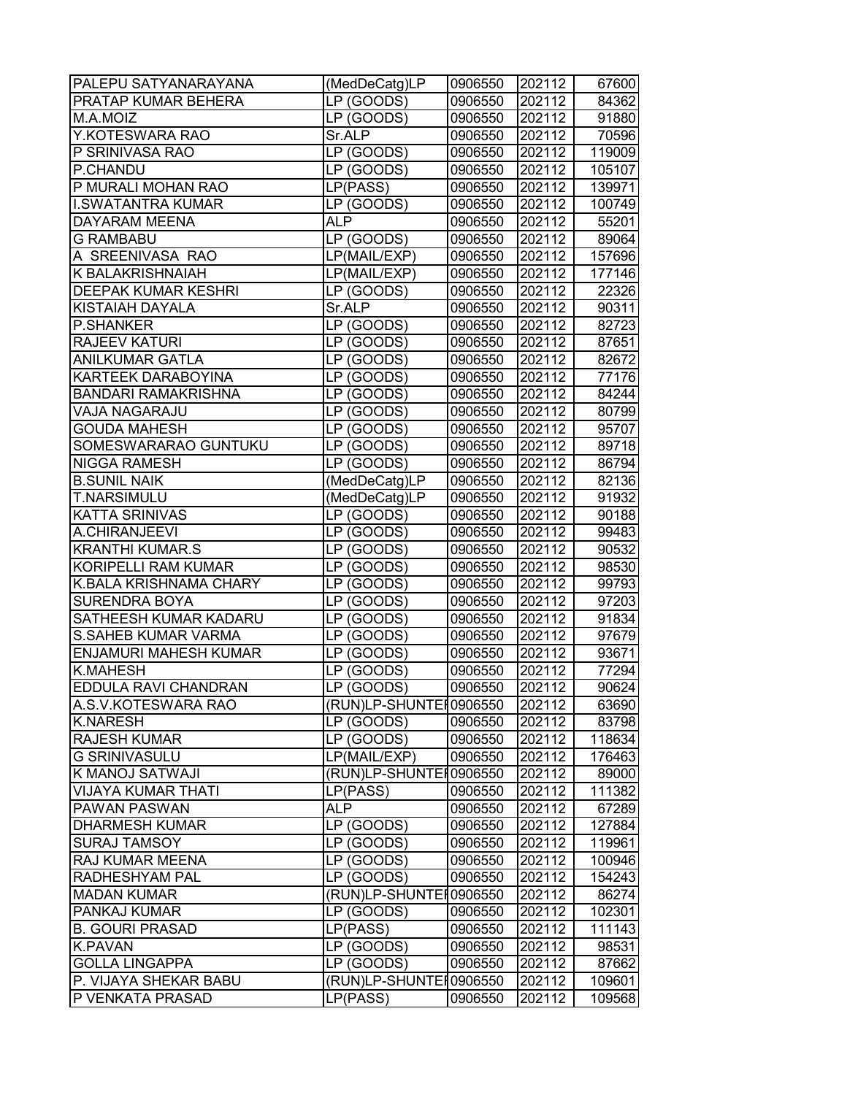| <b>PALEPU SATYANARAYANA</b>   | (MedDeCatg)LP           | 0906550 | 202112 | 67600  |
|-------------------------------|-------------------------|---------|--------|--------|
| PRATAP KUMAR BEHERA           | LP (GOODS)              | 0906550 | 202112 | 84362  |
| M.A.MOIZ                      | LP (GOODS)              | 0906550 | 202112 | 91880  |
| Y.KOTESWARA RAO               | Sr.ALP                  | 0906550 | 202112 | 70596  |
| P SRINIVASA RAO               | LP (GOODS)              | 0906550 | 202112 | 119009 |
| P.CHANDU                      | LP (GOODS)              | 0906550 | 202112 | 105107 |
| P MURALI MOHAN RAO            | LP(PASS)                | 0906550 | 202112 | 139971 |
| <b>I.SWATANTRA KUMAR</b>      | LP (GOODS)              | 0906550 | 202112 | 100749 |
| <b>DAYARAM MEENA</b>          | <b>ALP</b>              | 0906550 | 202112 | 55201  |
| <b>G RAMBABU</b>              | LP (GOODS)              | 0906550 | 202112 | 89064  |
| A SREENIVASA RAO              | LP(MAIL/EXP)            | 0906550 | 202112 | 157696 |
| <b>K BALAKRISHNAIAH</b>       | LP(MAIL/EXP)            | 0906550 | 202112 | 177146 |
| <b>DEEPAK KUMAR KESHRI</b>    | LP (GOODS)              | 0906550 | 202112 | 22326  |
| <b>KISTAIAH DAYALA</b>        | Sr.ALP                  | 0906550 | 202112 | 90311  |
| <b>P.SHANKER</b>              | LP (GOODS)              | 0906550 | 202112 | 82723  |
| <b>RAJEEV KATURI</b>          | LP (GOODS)              | 0906550 | 202112 | 87651  |
| <b>ANILKUMAR GATLA</b>        | LP (GOODS)              | 0906550 | 202112 | 82672  |
| <b>KARTEEK DARABOYINA</b>     | LP (GOODS)              | 0906550 | 202112 | 77176  |
| <b>BANDARI RAMAKRISHNA</b>    | LP (GOODS)              | 0906550 | 202112 | 84244  |
| <b>VAJA NAGARAJU</b>          | LP (GOODS)              | 0906550 | 202112 | 80799  |
| <b>GOUDA MAHESH</b>           | LP (GOODS)              | 0906550 | 202112 | 95707  |
| SOMESWARARAO GUNTUKU          | LP (GOODS)              | 0906550 | 202112 | 89718  |
| <b>NIGGA RAMESH</b>           | LP (GOODS)              | 0906550 | 202112 | 86794  |
| <b>B.SUNIL NAIK</b>           | (MedDeCatg)LP           | 0906550 | 202112 | 82136  |
| <b>T.NARSIMULU</b>            | (MedDeCatg)LP           | 0906550 | 202112 | 91932  |
| <b>KATTA SRINIVAS</b>         | LP (GOODS)              | 0906550 | 202112 | 90188  |
| A.CHIRANJEEVI                 | LP (GOODS)              | 0906550 | 202112 | 99483  |
| <b>KRANTHI KUMAR.S</b>        | LP (GOODS)              | 0906550 | 202112 | 90532  |
| <b>KORIPELLI RAM KUMAR</b>    | LP (GOODS)              | 0906550 | 202112 | 98530  |
| <b>K.BALA KRISHNAMA CHARY</b> | LP (GOODS)              | 0906550 | 202112 | 99793  |
| <b>SURENDRA BOYA</b>          | LP (GOODS)              | 0906550 | 202112 | 97203  |
| <b>SATHEESH KUMAR KADARU</b>  | LP (GOODS)              | 0906550 | 202112 | 91834  |
| <b>S.SAHEB KUMAR VARMA</b>    | LP (GOODS)              | 0906550 | 202112 | 97679  |
| <b>ENJAMURI MAHESH KUMAR</b>  | LP (GOODS)              | 0906550 | 202112 | 93671  |
| <b>K.MAHESH</b>               | LP (GOODS)              | 0906550 | 202112 | 77294  |
| <b>EDDULA RAVI CHANDRAN</b>   | LP (GOODS)              | 0906550 | 202112 | 90624  |
| A.S.V.KOTESWARA RAO           | (RUN)LP-SHUNTE [0906550 |         | 202112 | 63690  |
| <b>K.NARESH</b>               | LP (GOODS)              | 0906550 | 202112 | 83798  |
| <b>RAJESH KUMAR</b>           | LP (GOODS)              | 0906550 | 202112 | 118634 |
| <b>G SRINIVASULU</b>          | LP(MAIL/EXP)            | 0906550 | 202112 | 176463 |
| K MANOJ SATWAJI               | (RUN)LP-SHUNTE [0906550 |         | 202112 | 89000  |
| <b>VIJAYA KUMAR THATI</b>     | LP(PASS)                | 0906550 | 202112 | 111382 |
| <b>PAWAN PASWAN</b>           | <b>ALP</b>              | 0906550 | 202112 | 67289  |
| <b>DHARMESH KUMAR</b>         | LP (GOODS)              | 0906550 | 202112 | 127884 |
| <b>SURAJ TAMSOY</b>           | LP (GOODS)              | 0906550 | 202112 | 119961 |
| RAJ KUMAR MEENA               | LP (GOODS)              | 0906550 | 202112 | 100946 |
| <b>RADHESHYAM PAL</b>         | LP (GOODS)              | 0906550 | 202112 | 154243 |
| <b>MADAN KUMAR</b>            | (RUN)LP-SHUNTE [0906550 |         | 202112 | 86274  |
| <b>PANKAJ KUMAR</b>           | LP (GOODS)              | 0906550 | 202112 | 102301 |
| <b>B. GOURI PRASAD</b>        | LP(PASS)                | 0906550 | 202112 | 111143 |
| <b>K.PAVAN</b>                | LP (GOODS)              | 0906550 | 202112 | 98531  |
| <b>GOLLA LINGAPPA</b>         | LP (GOODS)              | 0906550 | 202112 | 87662  |
| P. VIJAYA SHEKAR BABU         | (RUN)LP-SHUNTE [0906550 |         | 202112 | 109601 |
| P VENKATA PRASAD              | LP(PASS)                | 0906550 | 202112 | 109568 |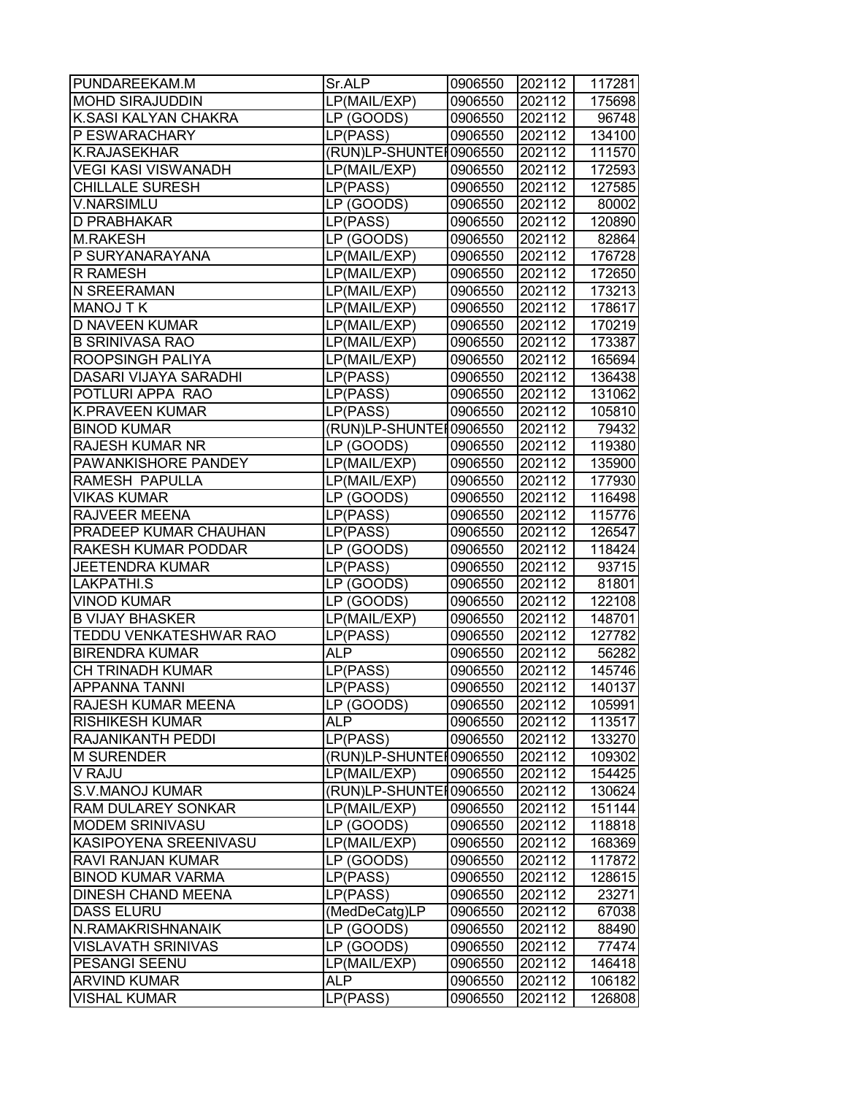| PUNDAREEKAM.M                | Sr.ALP                 | 0906550 | 202112 | 117281 |
|------------------------------|------------------------|---------|--------|--------|
| <b>MOHD SIRAJUDDIN</b>       | LP(MAIL/EXP)           | 0906550 | 202112 | 175698 |
| K.SASI KALYAN CHAKRA         | LP (GOODS)             | 0906550 | 202112 | 96748  |
| P ESWARACHARY                | LP(PASS)               | 0906550 | 202112 | 134100 |
| <b>K.RAJASEKHAR</b>          | (RUN)LP-SHUNTEH0906550 |         | 202112 | 111570 |
| <b>VEGI KASI VISWANADH</b>   | LP(MAIL/EXP)           | 0906550 | 202112 | 172593 |
| <b>CHILLALE SURESH</b>       | LP(PASS)               | 0906550 | 202112 | 127585 |
| <b>V.NARSIMLU</b>            | LP (GOODS)             | 0906550 | 202112 | 80002  |
| D PRABHAKAR                  | LP(PASS)               | 0906550 | 202112 | 120890 |
| <b>M.RAKESH</b>              | LP (GOODS)             | 0906550 | 202112 | 82864  |
| P SURYANARAYANA              | LP(MAIL/EXP)           | 0906550 | 202112 | 176728 |
| <b>R RAMESH</b>              | LP(MAIL/EXP)           | 0906550 | 202112 | 172650 |
| N SREERAMAN                  | LP(MAIL/EXP)           | 0906550 | 202112 | 173213 |
| <b>MANOJ T K</b>             | LP(MAIL/EXP)           | 0906550 | 202112 | 178617 |
| D NAVEEN KUMAR               | LP(MAIL/EXP)           | 0906550 | 202112 | 170219 |
| <b>B SRINIVASA RAO</b>       | LP(MAIL/EXP)           | 0906550 | 202112 | 173387 |
| ROOPSINGH PALIYA             | LP(MAIL/EXP)           | 0906550 | 202112 | 165694 |
| <b>DASARI VIJAYA SARADHI</b> | LP(PASS)               | 0906550 | 202112 | 136438 |
| POTLURI APPA RAO             | LP(PASS)               | 0906550 | 202112 | 131062 |
| <b>K.PRAVEEN KUMAR</b>       | LP(PASS)               | 0906550 | 202112 | 105810 |
| <b>BINOD KUMAR</b>           | (RUN)LP-SHUNTER0906550 |         | 202112 | 79432  |
| <b>RAJESH KUMAR NR</b>       | LP (GOODS)             | 0906550 | 202112 | 119380 |
| PAWANKISHORE PANDEY          | LP(MAIL/EXP)           | 0906550 | 202112 | 135900 |
| RAMESH PAPULLA               | LP(MAIL/EXP)           | 0906550 | 202112 | 177930 |
| <b>VIKAS KUMAR</b>           | LP (GOODS)             | 0906550 | 202112 | 116498 |
| RAJVEER MEENA                | LP(PASS)               | 0906550 | 202112 | 115776 |
| PRADEEP KUMAR CHAUHAN        | LP(PASS)               | 0906550 | 202112 | 126547 |
| RAKESH KUMAR PODDAR          | LP (GOODS)             | 0906550 | 202112 | 118424 |
| <b>JEETENDRA KUMAR</b>       | LP(PASS)               | 0906550 | 202112 | 93715  |
| LAKPATHI.S                   | LP (GOODS)             | 0906550 | 202112 | 81801  |
| <b>VINOD KUMAR</b>           | LP (GOODS)             | 0906550 | 202112 | 122108 |
| <b>B VIJAY BHASKER</b>       | LP(MAIL/EXP)           | 0906550 | 202112 | 148701 |
| TEDDU VENKATESHWAR RAO       | LP(PASS)               | 0906550 | 202112 | 127782 |
| <b>BIRENDRA KUMAR</b>        | ALP.                   | 0906550 | 202112 | 56282  |
| CH TRINADH KUMAR             | LP(PASS)               | 0906550 | 202112 | 145746 |
| <b>APPANNA TANNI</b>         | LP(PASS)               | 0906550 | 202112 | 140137 |
| RAJESH KUMAR MEENA           | LP (GOODS)             | 0906550 | 202112 | 105991 |
| RISHIKESH KUMAR              | <b>ALP</b>             | 0906550 | 202112 | 113517 |
| RAJANIKANTH PEDDI            | LP(PASS)               | 0906550 | 202112 | 133270 |
| <b>M SURENDER</b>            | (RUN)LP-SHUNTEI0906550 |         | 202112 | 109302 |
| V RAJU                       | LP(MAIL/EXP)           | 0906550 | 202112 | 154425 |
| <b>S.V.MANOJ KUMAR</b>       | (RUN)LP-SHUNTEI0906550 |         | 202112 | 130624 |
| RAM DULAREY SONKAR           | LP(MAIL/EXP)           | 0906550 | 202112 | 151144 |
| <b>MODEM SRINIVASU</b>       | LP (GOODS)             | 0906550 | 202112 | 118818 |
| KASIPOYENA SREENIVASU        | LP(MAIL/EXP)           | 0906550 | 202112 | 168369 |
| RAVI RANJAN KUMAR            | LP (GOODS)             | 0906550 | 202112 | 117872 |
| <b>BINOD KUMAR VARMA</b>     | LP(PASS)               | 0906550 | 202112 | 128615 |
| <b>DINESH CHAND MEENA</b>    | LP(PASS)               | 0906550 | 202112 | 23271  |
| <b>DASS ELURU</b>            | (MedDeCatg)LP          | 0906550 | 202112 | 67038  |
| N.RAMAKRISHNANAIK            | LP (GOODS)             | 0906550 | 202112 | 88490  |
| <b>VISLAVATH SRINIVAS</b>    | LP (GOODS)             | 0906550 | 202112 | 77474  |
| PESANGI SEENU                | LP(MAIL/EXP)           | 0906550 | 202112 | 146418 |
| <b>ARVIND KUMAR</b>          | ALP                    | 0906550 | 202112 | 106182 |
| <b>VISHAL KUMAR</b>          | LP(PASS)               | 0906550 | 202112 | 126808 |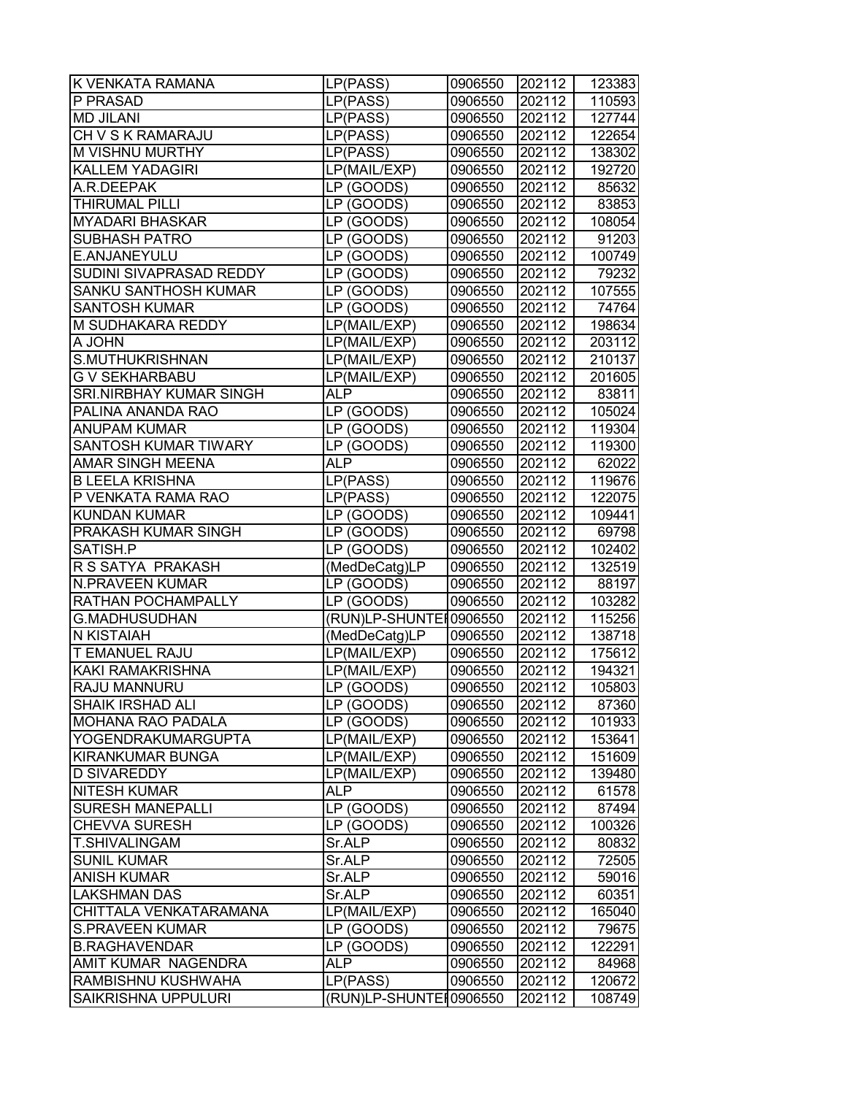| P PRASAD<br>LP(PASS)<br>0906550<br>202112<br>110593<br><b>MD JILANI</b><br>LP(PASS)<br>0906550<br>202112<br>127744<br>CH V S K RAMARAJU<br>202112<br>122654<br>LP(PASS)<br>0906550<br>M VISHNU MURTHY<br>0906550<br>202112<br>138302<br>LP(PASS)<br>202112<br><b>KALLEM YADAGIRI</b><br>LP(MAIL/EXP)<br>0906550<br>192720<br>202112<br>A.R.DEEPAK<br>LP (GOODS)<br>0906550<br>85632<br>202112<br><b>THIRUMAL PILLI</b><br>LP (GOODS)<br>0906550<br>83853<br><b>MYADARI BHASKAR</b><br>LP (GOODS)<br>202112<br>0906550<br>108054<br><b>SUBHASH PATRO</b><br>202112<br>LP (GOODS)<br>0906550<br>E.ANJANEYULU<br>LP (GOODS)<br>202112<br>0906550<br>SUDINI SIVAPRASAD REDDY<br>LP (GOODS)<br>0906550<br>202112<br>SANKU SANTHOSH KUMAR<br>LP (GOODS)<br>0906550<br>202112<br><b>SANTOSH KUMAR</b><br>LP (GOODS)<br>0906550<br>202112<br>M SUDHAKARA REDDY<br>LP(MAIL/EXP)<br>0906550<br>202112<br>A JOHN<br>LP(MAIL/EXP)<br>0906550<br>202112<br>S.MUTHUKRISHNAN<br>LP(MAIL/EXP)<br>0906550<br>202112<br>202112<br><b>G V SEKHARBABU</b><br>LP(MAIL/EXP)<br>0906550<br><b>SRI.NIRBHAY KUMAR SINGH</b><br>0906550<br>202112<br>ALP<br>PALINA ANANDA RAO<br>LP (GOODS)<br>0906550<br>202112<br><b>ANUPAM KUMAR</b><br>LP (GOODS)<br>202112<br>0906550<br><b>SANTOSH KUMAR TIWARY</b><br>LP (GOODS)<br>202112<br>0906550<br><b>AMAR SINGH MEENA</b><br>202112<br>ALP<br>0906550<br><b>B LEELA KRISHNA</b><br>LP(PASS)<br>202112<br>0906550<br>P VENKATA RAMA RAO<br>LP(PASS)<br>0906550<br>202112<br><b>KUNDAN KUMAR</b><br>LP (GOODS)<br>202112<br>0906550<br>LP (GOODS)<br>PRAKASH KUMAR SINGH<br>0906550<br>202112<br>SATISH.P<br>LP (GOODS)<br>0906550<br>202112<br>R S SATYA PRAKASH<br>(MedDeCatg)LP<br>202112<br>0906550<br><b>N.PRAVEEN KUMAR</b><br>0906550<br>202112<br>LP (GOODS)<br>202112<br>RATHAN POCHAMPALLY<br>LP (GOODS)<br>0906550<br><b>G.MADHUSUDHAN</b><br>(RUN)LP-SHUNTE 10906550<br>202112<br>202112<br>N KISTAIAH<br>0906550<br>(MedDeCatg)LP<br>T EMANUEL RAJU<br>LP(MAIL/EXP)<br>202112<br>0906550<br>KAKI RAMAKRISHNA<br>LP(MAIL/EXP)<br>0906550<br>202112<br>202112<br><b>RAJU MANNURU</b><br>LP (GOODS)<br>0906550<br><b>SHAIK IRSHAD ALI</b><br>LP (GOODS)<br>0906550<br>202112<br><b>MOHANA RAO PADALA</b><br>LP (GOODS)<br>0906550<br>202112<br>YOGENDRAKUMARGUPTA<br>LP(MAIL/EXP)<br>202112<br>0906550<br>KIRANKUMAR BUNGA<br>LP(MAIL/EXP)<br>0906550<br>202112<br><b>D SIVAREDDY</b><br>202112<br>LP(MAIL/EXP)<br>0906550<br><b>NITESH KUMAR</b><br>ALP<br>0906550<br>202112<br><b>SURESH MANEPALLI</b><br>LP (GOODS)<br>0906550<br>202112<br><b>CHEVVA SURESH</b><br>202112<br>LP (GOODS)<br>0906550<br>T.SHIVALINGAM<br>Sr.ALP<br>202112<br>0906550<br>202112<br><b>SUNIL KUMAR</b><br>Sr.ALP<br>0906550<br><b>ANISH KUMAR</b><br>Sr.ALP<br>202112<br>0906550<br><b>LAKSHMAN DAS</b><br>Sr.ALP<br>0906550<br>202112<br>CHITTALA VENKATARAMANA<br>LP(MAIL/EXP)<br>0906550<br>202112<br><b>S.PRAVEEN KUMAR</b><br>LP (GOODS)<br>202112<br>0906550<br><b>B.RAGHAVENDAR</b><br>LP (GOODS)<br>0906550<br>202112<br>AMIT KUMAR NAGENDRA<br>ALP<br>0906550<br>202112<br>RAMBISHNU KUSHWAHA<br>LP(PASS)<br>0906550<br>202112<br>202112<br>SAIKRISHNA UPPULURI<br>(RUN)LP-SHUNTE [0906550 | K VENKATA RAMANA | LP(PASS) | 0906550 | 202112 | 123383 |
|-----------------------------------------------------------------------------------------------------------------------------------------------------------------------------------------------------------------------------------------------------------------------------------------------------------------------------------------------------------------------------------------------------------------------------------------------------------------------------------------------------------------------------------------------------------------------------------------------------------------------------------------------------------------------------------------------------------------------------------------------------------------------------------------------------------------------------------------------------------------------------------------------------------------------------------------------------------------------------------------------------------------------------------------------------------------------------------------------------------------------------------------------------------------------------------------------------------------------------------------------------------------------------------------------------------------------------------------------------------------------------------------------------------------------------------------------------------------------------------------------------------------------------------------------------------------------------------------------------------------------------------------------------------------------------------------------------------------------------------------------------------------------------------------------------------------------------------------------------------------------------------------------------------------------------------------------------------------------------------------------------------------------------------------------------------------------------------------------------------------------------------------------------------------------------------------------------------------------------------------------------------------------------------------------------------------------------------------------------------------------------------------------------------------------------------------------------------------------------------------------------------------------------------------------------------------------------------------------------------------------------------------------------------------------------------------------------------------------------------------------------------------------------------------------------------------------------------------------------------------------------------------------------------------------------------------------------------------------------------------------------------------------------------------------------------------------------------------------------------------------------------------------------------------------------------------------------------------|------------------|----------|---------|--------|--------|
|                                                                                                                                                                                                                                                                                                                                                                                                                                                                                                                                                                                                                                                                                                                                                                                                                                                                                                                                                                                                                                                                                                                                                                                                                                                                                                                                                                                                                                                                                                                                                                                                                                                                                                                                                                                                                                                                                                                                                                                                                                                                                                                                                                                                                                                                                                                                                                                                                                                                                                                                                                                                                                                                                                                                                                                                                                                                                                                                                                                                                                                                                                                                                                                                                 |                  |          |         |        |        |
|                                                                                                                                                                                                                                                                                                                                                                                                                                                                                                                                                                                                                                                                                                                                                                                                                                                                                                                                                                                                                                                                                                                                                                                                                                                                                                                                                                                                                                                                                                                                                                                                                                                                                                                                                                                                                                                                                                                                                                                                                                                                                                                                                                                                                                                                                                                                                                                                                                                                                                                                                                                                                                                                                                                                                                                                                                                                                                                                                                                                                                                                                                                                                                                                                 |                  |          |         |        |        |
|                                                                                                                                                                                                                                                                                                                                                                                                                                                                                                                                                                                                                                                                                                                                                                                                                                                                                                                                                                                                                                                                                                                                                                                                                                                                                                                                                                                                                                                                                                                                                                                                                                                                                                                                                                                                                                                                                                                                                                                                                                                                                                                                                                                                                                                                                                                                                                                                                                                                                                                                                                                                                                                                                                                                                                                                                                                                                                                                                                                                                                                                                                                                                                                                                 |                  |          |         |        |        |
|                                                                                                                                                                                                                                                                                                                                                                                                                                                                                                                                                                                                                                                                                                                                                                                                                                                                                                                                                                                                                                                                                                                                                                                                                                                                                                                                                                                                                                                                                                                                                                                                                                                                                                                                                                                                                                                                                                                                                                                                                                                                                                                                                                                                                                                                                                                                                                                                                                                                                                                                                                                                                                                                                                                                                                                                                                                                                                                                                                                                                                                                                                                                                                                                                 |                  |          |         |        |        |
|                                                                                                                                                                                                                                                                                                                                                                                                                                                                                                                                                                                                                                                                                                                                                                                                                                                                                                                                                                                                                                                                                                                                                                                                                                                                                                                                                                                                                                                                                                                                                                                                                                                                                                                                                                                                                                                                                                                                                                                                                                                                                                                                                                                                                                                                                                                                                                                                                                                                                                                                                                                                                                                                                                                                                                                                                                                                                                                                                                                                                                                                                                                                                                                                                 |                  |          |         |        |        |
|                                                                                                                                                                                                                                                                                                                                                                                                                                                                                                                                                                                                                                                                                                                                                                                                                                                                                                                                                                                                                                                                                                                                                                                                                                                                                                                                                                                                                                                                                                                                                                                                                                                                                                                                                                                                                                                                                                                                                                                                                                                                                                                                                                                                                                                                                                                                                                                                                                                                                                                                                                                                                                                                                                                                                                                                                                                                                                                                                                                                                                                                                                                                                                                                                 |                  |          |         |        |        |
|                                                                                                                                                                                                                                                                                                                                                                                                                                                                                                                                                                                                                                                                                                                                                                                                                                                                                                                                                                                                                                                                                                                                                                                                                                                                                                                                                                                                                                                                                                                                                                                                                                                                                                                                                                                                                                                                                                                                                                                                                                                                                                                                                                                                                                                                                                                                                                                                                                                                                                                                                                                                                                                                                                                                                                                                                                                                                                                                                                                                                                                                                                                                                                                                                 |                  |          |         |        |        |
|                                                                                                                                                                                                                                                                                                                                                                                                                                                                                                                                                                                                                                                                                                                                                                                                                                                                                                                                                                                                                                                                                                                                                                                                                                                                                                                                                                                                                                                                                                                                                                                                                                                                                                                                                                                                                                                                                                                                                                                                                                                                                                                                                                                                                                                                                                                                                                                                                                                                                                                                                                                                                                                                                                                                                                                                                                                                                                                                                                                                                                                                                                                                                                                                                 |                  |          |         |        |        |
| 100749<br>79232<br>107555<br>74764<br>198634<br>203112<br>210137<br>201605<br>83811<br>105024<br>119304<br>119300<br>62022<br>119676<br>122075<br>109441<br>69798<br>102402<br>132519<br>88197<br>103282<br>115256<br>138718<br>175612<br>194321<br>105803<br>87360<br>101933<br>153641<br>151609<br>139480<br>61578<br>87494<br>100326<br>80832<br>72505<br>59016<br>60351<br>165040<br>79675<br>122291<br>84968<br>120672<br>108749                                                                                                                                                                                                                                                                                                                                                                                                                                                                                                                                                                                                                                                                                                                                                                                                                                                                                                                                                                                                                                                                                                                                                                                                                                                                                                                                                                                                                                                                                                                                                                                                                                                                                                                                                                                                                                                                                                                                                                                                                                                                                                                                                                                                                                                                                                                                                                                                                                                                                                                                                                                                                                                                                                                                                                           |                  |          |         |        | 91203  |
|                                                                                                                                                                                                                                                                                                                                                                                                                                                                                                                                                                                                                                                                                                                                                                                                                                                                                                                                                                                                                                                                                                                                                                                                                                                                                                                                                                                                                                                                                                                                                                                                                                                                                                                                                                                                                                                                                                                                                                                                                                                                                                                                                                                                                                                                                                                                                                                                                                                                                                                                                                                                                                                                                                                                                                                                                                                                                                                                                                                                                                                                                                                                                                                                                 |                  |          |         |        |        |
|                                                                                                                                                                                                                                                                                                                                                                                                                                                                                                                                                                                                                                                                                                                                                                                                                                                                                                                                                                                                                                                                                                                                                                                                                                                                                                                                                                                                                                                                                                                                                                                                                                                                                                                                                                                                                                                                                                                                                                                                                                                                                                                                                                                                                                                                                                                                                                                                                                                                                                                                                                                                                                                                                                                                                                                                                                                                                                                                                                                                                                                                                                                                                                                                                 |                  |          |         |        |        |
|                                                                                                                                                                                                                                                                                                                                                                                                                                                                                                                                                                                                                                                                                                                                                                                                                                                                                                                                                                                                                                                                                                                                                                                                                                                                                                                                                                                                                                                                                                                                                                                                                                                                                                                                                                                                                                                                                                                                                                                                                                                                                                                                                                                                                                                                                                                                                                                                                                                                                                                                                                                                                                                                                                                                                                                                                                                                                                                                                                                                                                                                                                                                                                                                                 |                  |          |         |        |        |
|                                                                                                                                                                                                                                                                                                                                                                                                                                                                                                                                                                                                                                                                                                                                                                                                                                                                                                                                                                                                                                                                                                                                                                                                                                                                                                                                                                                                                                                                                                                                                                                                                                                                                                                                                                                                                                                                                                                                                                                                                                                                                                                                                                                                                                                                                                                                                                                                                                                                                                                                                                                                                                                                                                                                                                                                                                                                                                                                                                                                                                                                                                                                                                                                                 |                  |          |         |        |        |
|                                                                                                                                                                                                                                                                                                                                                                                                                                                                                                                                                                                                                                                                                                                                                                                                                                                                                                                                                                                                                                                                                                                                                                                                                                                                                                                                                                                                                                                                                                                                                                                                                                                                                                                                                                                                                                                                                                                                                                                                                                                                                                                                                                                                                                                                                                                                                                                                                                                                                                                                                                                                                                                                                                                                                                                                                                                                                                                                                                                                                                                                                                                                                                                                                 |                  |          |         |        |        |
|                                                                                                                                                                                                                                                                                                                                                                                                                                                                                                                                                                                                                                                                                                                                                                                                                                                                                                                                                                                                                                                                                                                                                                                                                                                                                                                                                                                                                                                                                                                                                                                                                                                                                                                                                                                                                                                                                                                                                                                                                                                                                                                                                                                                                                                                                                                                                                                                                                                                                                                                                                                                                                                                                                                                                                                                                                                                                                                                                                                                                                                                                                                                                                                                                 |                  |          |         |        |        |
|                                                                                                                                                                                                                                                                                                                                                                                                                                                                                                                                                                                                                                                                                                                                                                                                                                                                                                                                                                                                                                                                                                                                                                                                                                                                                                                                                                                                                                                                                                                                                                                                                                                                                                                                                                                                                                                                                                                                                                                                                                                                                                                                                                                                                                                                                                                                                                                                                                                                                                                                                                                                                                                                                                                                                                                                                                                                                                                                                                                                                                                                                                                                                                                                                 |                  |          |         |        |        |
|                                                                                                                                                                                                                                                                                                                                                                                                                                                                                                                                                                                                                                                                                                                                                                                                                                                                                                                                                                                                                                                                                                                                                                                                                                                                                                                                                                                                                                                                                                                                                                                                                                                                                                                                                                                                                                                                                                                                                                                                                                                                                                                                                                                                                                                                                                                                                                                                                                                                                                                                                                                                                                                                                                                                                                                                                                                                                                                                                                                                                                                                                                                                                                                                                 |                  |          |         |        |        |
|                                                                                                                                                                                                                                                                                                                                                                                                                                                                                                                                                                                                                                                                                                                                                                                                                                                                                                                                                                                                                                                                                                                                                                                                                                                                                                                                                                                                                                                                                                                                                                                                                                                                                                                                                                                                                                                                                                                                                                                                                                                                                                                                                                                                                                                                                                                                                                                                                                                                                                                                                                                                                                                                                                                                                                                                                                                                                                                                                                                                                                                                                                                                                                                                                 |                  |          |         |        |        |
|                                                                                                                                                                                                                                                                                                                                                                                                                                                                                                                                                                                                                                                                                                                                                                                                                                                                                                                                                                                                                                                                                                                                                                                                                                                                                                                                                                                                                                                                                                                                                                                                                                                                                                                                                                                                                                                                                                                                                                                                                                                                                                                                                                                                                                                                                                                                                                                                                                                                                                                                                                                                                                                                                                                                                                                                                                                                                                                                                                                                                                                                                                                                                                                                                 |                  |          |         |        |        |
|                                                                                                                                                                                                                                                                                                                                                                                                                                                                                                                                                                                                                                                                                                                                                                                                                                                                                                                                                                                                                                                                                                                                                                                                                                                                                                                                                                                                                                                                                                                                                                                                                                                                                                                                                                                                                                                                                                                                                                                                                                                                                                                                                                                                                                                                                                                                                                                                                                                                                                                                                                                                                                                                                                                                                                                                                                                                                                                                                                                                                                                                                                                                                                                                                 |                  |          |         |        |        |
|                                                                                                                                                                                                                                                                                                                                                                                                                                                                                                                                                                                                                                                                                                                                                                                                                                                                                                                                                                                                                                                                                                                                                                                                                                                                                                                                                                                                                                                                                                                                                                                                                                                                                                                                                                                                                                                                                                                                                                                                                                                                                                                                                                                                                                                                                                                                                                                                                                                                                                                                                                                                                                                                                                                                                                                                                                                                                                                                                                                                                                                                                                                                                                                                                 |                  |          |         |        |        |
|                                                                                                                                                                                                                                                                                                                                                                                                                                                                                                                                                                                                                                                                                                                                                                                                                                                                                                                                                                                                                                                                                                                                                                                                                                                                                                                                                                                                                                                                                                                                                                                                                                                                                                                                                                                                                                                                                                                                                                                                                                                                                                                                                                                                                                                                                                                                                                                                                                                                                                                                                                                                                                                                                                                                                                                                                                                                                                                                                                                                                                                                                                                                                                                                                 |                  |          |         |        |        |
|                                                                                                                                                                                                                                                                                                                                                                                                                                                                                                                                                                                                                                                                                                                                                                                                                                                                                                                                                                                                                                                                                                                                                                                                                                                                                                                                                                                                                                                                                                                                                                                                                                                                                                                                                                                                                                                                                                                                                                                                                                                                                                                                                                                                                                                                                                                                                                                                                                                                                                                                                                                                                                                                                                                                                                                                                                                                                                                                                                                                                                                                                                                                                                                                                 |                  |          |         |        |        |
|                                                                                                                                                                                                                                                                                                                                                                                                                                                                                                                                                                                                                                                                                                                                                                                                                                                                                                                                                                                                                                                                                                                                                                                                                                                                                                                                                                                                                                                                                                                                                                                                                                                                                                                                                                                                                                                                                                                                                                                                                                                                                                                                                                                                                                                                                                                                                                                                                                                                                                                                                                                                                                                                                                                                                                                                                                                                                                                                                                                                                                                                                                                                                                                                                 |                  |          |         |        |        |
|                                                                                                                                                                                                                                                                                                                                                                                                                                                                                                                                                                                                                                                                                                                                                                                                                                                                                                                                                                                                                                                                                                                                                                                                                                                                                                                                                                                                                                                                                                                                                                                                                                                                                                                                                                                                                                                                                                                                                                                                                                                                                                                                                                                                                                                                                                                                                                                                                                                                                                                                                                                                                                                                                                                                                                                                                                                                                                                                                                                                                                                                                                                                                                                                                 |                  |          |         |        |        |
|                                                                                                                                                                                                                                                                                                                                                                                                                                                                                                                                                                                                                                                                                                                                                                                                                                                                                                                                                                                                                                                                                                                                                                                                                                                                                                                                                                                                                                                                                                                                                                                                                                                                                                                                                                                                                                                                                                                                                                                                                                                                                                                                                                                                                                                                                                                                                                                                                                                                                                                                                                                                                                                                                                                                                                                                                                                                                                                                                                                                                                                                                                                                                                                                                 |                  |          |         |        |        |
|                                                                                                                                                                                                                                                                                                                                                                                                                                                                                                                                                                                                                                                                                                                                                                                                                                                                                                                                                                                                                                                                                                                                                                                                                                                                                                                                                                                                                                                                                                                                                                                                                                                                                                                                                                                                                                                                                                                                                                                                                                                                                                                                                                                                                                                                                                                                                                                                                                                                                                                                                                                                                                                                                                                                                                                                                                                                                                                                                                                                                                                                                                                                                                                                                 |                  |          |         |        |        |
|                                                                                                                                                                                                                                                                                                                                                                                                                                                                                                                                                                                                                                                                                                                                                                                                                                                                                                                                                                                                                                                                                                                                                                                                                                                                                                                                                                                                                                                                                                                                                                                                                                                                                                                                                                                                                                                                                                                                                                                                                                                                                                                                                                                                                                                                                                                                                                                                                                                                                                                                                                                                                                                                                                                                                                                                                                                                                                                                                                                                                                                                                                                                                                                                                 |                  |          |         |        |        |
|                                                                                                                                                                                                                                                                                                                                                                                                                                                                                                                                                                                                                                                                                                                                                                                                                                                                                                                                                                                                                                                                                                                                                                                                                                                                                                                                                                                                                                                                                                                                                                                                                                                                                                                                                                                                                                                                                                                                                                                                                                                                                                                                                                                                                                                                                                                                                                                                                                                                                                                                                                                                                                                                                                                                                                                                                                                                                                                                                                                                                                                                                                                                                                                                                 |                  |          |         |        |        |
|                                                                                                                                                                                                                                                                                                                                                                                                                                                                                                                                                                                                                                                                                                                                                                                                                                                                                                                                                                                                                                                                                                                                                                                                                                                                                                                                                                                                                                                                                                                                                                                                                                                                                                                                                                                                                                                                                                                                                                                                                                                                                                                                                                                                                                                                                                                                                                                                                                                                                                                                                                                                                                                                                                                                                                                                                                                                                                                                                                                                                                                                                                                                                                                                                 |                  |          |         |        |        |
|                                                                                                                                                                                                                                                                                                                                                                                                                                                                                                                                                                                                                                                                                                                                                                                                                                                                                                                                                                                                                                                                                                                                                                                                                                                                                                                                                                                                                                                                                                                                                                                                                                                                                                                                                                                                                                                                                                                                                                                                                                                                                                                                                                                                                                                                                                                                                                                                                                                                                                                                                                                                                                                                                                                                                                                                                                                                                                                                                                                                                                                                                                                                                                                                                 |                  |          |         |        |        |
|                                                                                                                                                                                                                                                                                                                                                                                                                                                                                                                                                                                                                                                                                                                                                                                                                                                                                                                                                                                                                                                                                                                                                                                                                                                                                                                                                                                                                                                                                                                                                                                                                                                                                                                                                                                                                                                                                                                                                                                                                                                                                                                                                                                                                                                                                                                                                                                                                                                                                                                                                                                                                                                                                                                                                                                                                                                                                                                                                                                                                                                                                                                                                                                                                 |                  |          |         |        |        |
|                                                                                                                                                                                                                                                                                                                                                                                                                                                                                                                                                                                                                                                                                                                                                                                                                                                                                                                                                                                                                                                                                                                                                                                                                                                                                                                                                                                                                                                                                                                                                                                                                                                                                                                                                                                                                                                                                                                                                                                                                                                                                                                                                                                                                                                                                                                                                                                                                                                                                                                                                                                                                                                                                                                                                                                                                                                                                                                                                                                                                                                                                                                                                                                                                 |                  |          |         |        |        |
|                                                                                                                                                                                                                                                                                                                                                                                                                                                                                                                                                                                                                                                                                                                                                                                                                                                                                                                                                                                                                                                                                                                                                                                                                                                                                                                                                                                                                                                                                                                                                                                                                                                                                                                                                                                                                                                                                                                                                                                                                                                                                                                                                                                                                                                                                                                                                                                                                                                                                                                                                                                                                                                                                                                                                                                                                                                                                                                                                                                                                                                                                                                                                                                                                 |                  |          |         |        |        |
|                                                                                                                                                                                                                                                                                                                                                                                                                                                                                                                                                                                                                                                                                                                                                                                                                                                                                                                                                                                                                                                                                                                                                                                                                                                                                                                                                                                                                                                                                                                                                                                                                                                                                                                                                                                                                                                                                                                                                                                                                                                                                                                                                                                                                                                                                                                                                                                                                                                                                                                                                                                                                                                                                                                                                                                                                                                                                                                                                                                                                                                                                                                                                                                                                 |                  |          |         |        |        |
|                                                                                                                                                                                                                                                                                                                                                                                                                                                                                                                                                                                                                                                                                                                                                                                                                                                                                                                                                                                                                                                                                                                                                                                                                                                                                                                                                                                                                                                                                                                                                                                                                                                                                                                                                                                                                                                                                                                                                                                                                                                                                                                                                                                                                                                                                                                                                                                                                                                                                                                                                                                                                                                                                                                                                                                                                                                                                                                                                                                                                                                                                                                                                                                                                 |                  |          |         |        |        |
|                                                                                                                                                                                                                                                                                                                                                                                                                                                                                                                                                                                                                                                                                                                                                                                                                                                                                                                                                                                                                                                                                                                                                                                                                                                                                                                                                                                                                                                                                                                                                                                                                                                                                                                                                                                                                                                                                                                                                                                                                                                                                                                                                                                                                                                                                                                                                                                                                                                                                                                                                                                                                                                                                                                                                                                                                                                                                                                                                                                                                                                                                                                                                                                                                 |                  |          |         |        |        |
|                                                                                                                                                                                                                                                                                                                                                                                                                                                                                                                                                                                                                                                                                                                                                                                                                                                                                                                                                                                                                                                                                                                                                                                                                                                                                                                                                                                                                                                                                                                                                                                                                                                                                                                                                                                                                                                                                                                                                                                                                                                                                                                                                                                                                                                                                                                                                                                                                                                                                                                                                                                                                                                                                                                                                                                                                                                                                                                                                                                                                                                                                                                                                                                                                 |                  |          |         |        |        |
|                                                                                                                                                                                                                                                                                                                                                                                                                                                                                                                                                                                                                                                                                                                                                                                                                                                                                                                                                                                                                                                                                                                                                                                                                                                                                                                                                                                                                                                                                                                                                                                                                                                                                                                                                                                                                                                                                                                                                                                                                                                                                                                                                                                                                                                                                                                                                                                                                                                                                                                                                                                                                                                                                                                                                                                                                                                                                                                                                                                                                                                                                                                                                                                                                 |                  |          |         |        |        |
|                                                                                                                                                                                                                                                                                                                                                                                                                                                                                                                                                                                                                                                                                                                                                                                                                                                                                                                                                                                                                                                                                                                                                                                                                                                                                                                                                                                                                                                                                                                                                                                                                                                                                                                                                                                                                                                                                                                                                                                                                                                                                                                                                                                                                                                                                                                                                                                                                                                                                                                                                                                                                                                                                                                                                                                                                                                                                                                                                                                                                                                                                                                                                                                                                 |                  |          |         |        |        |
|                                                                                                                                                                                                                                                                                                                                                                                                                                                                                                                                                                                                                                                                                                                                                                                                                                                                                                                                                                                                                                                                                                                                                                                                                                                                                                                                                                                                                                                                                                                                                                                                                                                                                                                                                                                                                                                                                                                                                                                                                                                                                                                                                                                                                                                                                                                                                                                                                                                                                                                                                                                                                                                                                                                                                                                                                                                                                                                                                                                                                                                                                                                                                                                                                 |                  |          |         |        |        |
|                                                                                                                                                                                                                                                                                                                                                                                                                                                                                                                                                                                                                                                                                                                                                                                                                                                                                                                                                                                                                                                                                                                                                                                                                                                                                                                                                                                                                                                                                                                                                                                                                                                                                                                                                                                                                                                                                                                                                                                                                                                                                                                                                                                                                                                                                                                                                                                                                                                                                                                                                                                                                                                                                                                                                                                                                                                                                                                                                                                                                                                                                                                                                                                                                 |                  |          |         |        |        |
|                                                                                                                                                                                                                                                                                                                                                                                                                                                                                                                                                                                                                                                                                                                                                                                                                                                                                                                                                                                                                                                                                                                                                                                                                                                                                                                                                                                                                                                                                                                                                                                                                                                                                                                                                                                                                                                                                                                                                                                                                                                                                                                                                                                                                                                                                                                                                                                                                                                                                                                                                                                                                                                                                                                                                                                                                                                                                                                                                                                                                                                                                                                                                                                                                 |                  |          |         |        |        |
|                                                                                                                                                                                                                                                                                                                                                                                                                                                                                                                                                                                                                                                                                                                                                                                                                                                                                                                                                                                                                                                                                                                                                                                                                                                                                                                                                                                                                                                                                                                                                                                                                                                                                                                                                                                                                                                                                                                                                                                                                                                                                                                                                                                                                                                                                                                                                                                                                                                                                                                                                                                                                                                                                                                                                                                                                                                                                                                                                                                                                                                                                                                                                                                                                 |                  |          |         |        |        |
|                                                                                                                                                                                                                                                                                                                                                                                                                                                                                                                                                                                                                                                                                                                                                                                                                                                                                                                                                                                                                                                                                                                                                                                                                                                                                                                                                                                                                                                                                                                                                                                                                                                                                                                                                                                                                                                                                                                                                                                                                                                                                                                                                                                                                                                                                                                                                                                                                                                                                                                                                                                                                                                                                                                                                                                                                                                                                                                                                                                                                                                                                                                                                                                                                 |                  |          |         |        |        |
|                                                                                                                                                                                                                                                                                                                                                                                                                                                                                                                                                                                                                                                                                                                                                                                                                                                                                                                                                                                                                                                                                                                                                                                                                                                                                                                                                                                                                                                                                                                                                                                                                                                                                                                                                                                                                                                                                                                                                                                                                                                                                                                                                                                                                                                                                                                                                                                                                                                                                                                                                                                                                                                                                                                                                                                                                                                                                                                                                                                                                                                                                                                                                                                                                 |                  |          |         |        |        |
|                                                                                                                                                                                                                                                                                                                                                                                                                                                                                                                                                                                                                                                                                                                                                                                                                                                                                                                                                                                                                                                                                                                                                                                                                                                                                                                                                                                                                                                                                                                                                                                                                                                                                                                                                                                                                                                                                                                                                                                                                                                                                                                                                                                                                                                                                                                                                                                                                                                                                                                                                                                                                                                                                                                                                                                                                                                                                                                                                                                                                                                                                                                                                                                                                 |                  |          |         |        |        |
|                                                                                                                                                                                                                                                                                                                                                                                                                                                                                                                                                                                                                                                                                                                                                                                                                                                                                                                                                                                                                                                                                                                                                                                                                                                                                                                                                                                                                                                                                                                                                                                                                                                                                                                                                                                                                                                                                                                                                                                                                                                                                                                                                                                                                                                                                                                                                                                                                                                                                                                                                                                                                                                                                                                                                                                                                                                                                                                                                                                                                                                                                                                                                                                                                 |                  |          |         |        |        |
|                                                                                                                                                                                                                                                                                                                                                                                                                                                                                                                                                                                                                                                                                                                                                                                                                                                                                                                                                                                                                                                                                                                                                                                                                                                                                                                                                                                                                                                                                                                                                                                                                                                                                                                                                                                                                                                                                                                                                                                                                                                                                                                                                                                                                                                                                                                                                                                                                                                                                                                                                                                                                                                                                                                                                                                                                                                                                                                                                                                                                                                                                                                                                                                                                 |                  |          |         |        |        |
|                                                                                                                                                                                                                                                                                                                                                                                                                                                                                                                                                                                                                                                                                                                                                                                                                                                                                                                                                                                                                                                                                                                                                                                                                                                                                                                                                                                                                                                                                                                                                                                                                                                                                                                                                                                                                                                                                                                                                                                                                                                                                                                                                                                                                                                                                                                                                                                                                                                                                                                                                                                                                                                                                                                                                                                                                                                                                                                                                                                                                                                                                                                                                                                                                 |                  |          |         |        |        |
|                                                                                                                                                                                                                                                                                                                                                                                                                                                                                                                                                                                                                                                                                                                                                                                                                                                                                                                                                                                                                                                                                                                                                                                                                                                                                                                                                                                                                                                                                                                                                                                                                                                                                                                                                                                                                                                                                                                                                                                                                                                                                                                                                                                                                                                                                                                                                                                                                                                                                                                                                                                                                                                                                                                                                                                                                                                                                                                                                                                                                                                                                                                                                                                                                 |                  |          |         |        |        |
|                                                                                                                                                                                                                                                                                                                                                                                                                                                                                                                                                                                                                                                                                                                                                                                                                                                                                                                                                                                                                                                                                                                                                                                                                                                                                                                                                                                                                                                                                                                                                                                                                                                                                                                                                                                                                                                                                                                                                                                                                                                                                                                                                                                                                                                                                                                                                                                                                                                                                                                                                                                                                                                                                                                                                                                                                                                                                                                                                                                                                                                                                                                                                                                                                 |                  |          |         |        |        |
|                                                                                                                                                                                                                                                                                                                                                                                                                                                                                                                                                                                                                                                                                                                                                                                                                                                                                                                                                                                                                                                                                                                                                                                                                                                                                                                                                                                                                                                                                                                                                                                                                                                                                                                                                                                                                                                                                                                                                                                                                                                                                                                                                                                                                                                                                                                                                                                                                                                                                                                                                                                                                                                                                                                                                                                                                                                                                                                                                                                                                                                                                                                                                                                                                 |                  |          |         |        |        |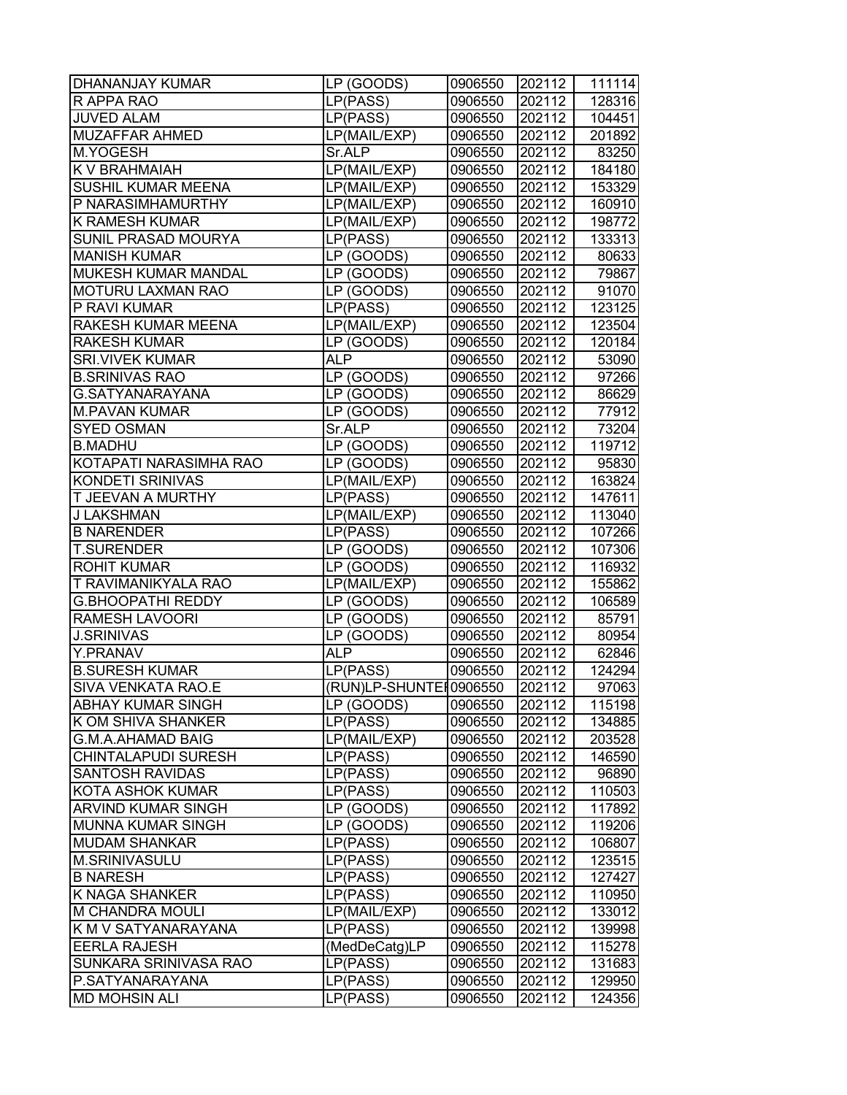| <b>DHANANJAY KUMAR</b>     | LP (GOODS)              | 0906550 | 202112 | 111114 |
|----------------------------|-------------------------|---------|--------|--------|
| R APPA RAO                 | LP(PASS)                | 0906550 | 202112 | 128316 |
| <b>JUVED ALAM</b>          | LP(PASS)                | 0906550 | 202112 | 104451 |
| <b>MUZAFFAR AHMED</b>      | LP(MAIL/EXP)            | 0906550 | 202112 | 201892 |
| M.YOGESH                   | Sr.ALP                  | 0906550 | 202112 | 83250  |
| <b>K V BRAHMAIAH</b>       | LP(MAIL/EXP)            | 0906550 | 202112 | 184180 |
| <b>SUSHIL KUMAR MEENA</b>  | LP(MAIL/EXP)            | 0906550 | 202112 | 153329 |
| P NARASIMHAMURTHY          | LP(MAIL/EXP)            | 0906550 | 202112 | 160910 |
| <b>K RAMESH KUMAR</b>      | LP(MAIL/EXP)            | 0906550 | 202112 | 198772 |
| <b>SUNIL PRASAD MOURYA</b> | LP(PASS)                | 0906550 | 202112 | 133313 |
| <b>MANISH KUMAR</b>        | $\overline{LP}$ (GOODS) | 0906550 | 202112 | 80633  |
| <b>MUKESH KUMAR MANDAL</b> | LP (GOODS)              | 0906550 | 202112 | 79867  |
| <b>MOTURU LAXMAN RAO</b>   | LP (GOODS)              | 0906550 | 202112 | 91070  |
| P RAVI KUMAR               | LP(PASS)                | 0906550 | 202112 | 123125 |
| RAKESH KUMAR MEENA         | LP(MAIL/EXP)            | 0906550 | 202112 | 123504 |
| <b>RAKESH KUMAR</b>        | LP (GOODS)              | 0906550 | 202112 | 120184 |
| <b>SRI.VIVEK KUMAR</b>     | ALP                     | 0906550 | 202112 | 53090  |
| <b>B.SRINIVAS RAO</b>      | LP (GOODS)              | 0906550 | 202112 | 97266  |
| G.SATYANARAYANA            | LP (GOODS)              | 0906550 | 202112 | 86629  |
| <b>M.PAVAN KUMAR</b>       | LP (GOODS)              | 0906550 | 202112 | 77912  |
| <b>SYED OSMAN</b>          | Sr.ALP                  | 0906550 | 202112 | 73204  |
| <b>B.MADHU</b>             | LP (GOODS)              | 0906550 | 202112 | 119712 |
| KOTAPATI NARASIMHA RAO     | LP (GOODS)              | 0906550 | 202112 | 95830  |
| <b>KONDETI SRINIVAS</b>    | LP(MAIL/EXP)            | 0906550 | 202112 | 163824 |
| <b>T JEEVAN A MURTHY</b>   | LP(PASS)                | 0906550 | 202112 | 147611 |
| <b>J LAKSHMAN</b>          | LP(MAIL/EXP)            | 0906550 | 202112 | 113040 |
| <b>B NARENDER</b>          | LP(PASS)                | 0906550 | 202112 | 107266 |
| <b>T.SURENDER</b>          | LP (GOODS)              | 0906550 | 202112 | 107306 |
| <b>ROHIT KUMAR</b>         | LP (GOODS)              | 0906550 | 202112 | 116932 |
| <b>T RAVIMANIKYALA RAO</b> | LP(MAIL/EXP)            | 0906550 | 202112 | 155862 |
| <b>G.BHOOPATHI REDDY</b>   | LP (GOODS)              | 0906550 | 202112 | 106589 |
| <b>RAMESH LAVOORI</b>      | LP (GOODS)              | 0906550 | 202112 | 85791  |
| <b>J.SRINIVAS</b>          | LP (GOODS)              | 0906550 | 202112 | 80954  |
| Y.PRANAV                   | <b>ALP</b>              | 0906550 | 202112 | 62846  |
| <b>B.SURESH KUMAR</b>      | LP(PASS)                | 0906550 | 202112 | 124294 |
| <b>SIVA VENKATA RAO.E</b>  | (RUN)LP-SHUNTE 0906550  |         | 202112 | 97063  |
| <b>ABHAY KUMAR SINGH</b>   | LP (GOODS)              | 0906550 | 202112 | 115198 |
| K OM SHIVA SHANKER         | LP(PASS)                | 0906550 | 202112 | 134885 |
| <b>G.M.A.AHAMAD BAIG</b>   | LP(MAIL/EXP)            | 0906550 | 202112 | 203528 |
| <b>CHINTALAPUDI SURESH</b> | LP(PASS)                | 0906550 | 202112 | 146590 |
| <b>SANTOSH RAVIDAS</b>     | LP(PASS)                | 0906550 | 202112 | 96890  |
| <b>KOTA ASHOK KUMAR</b>    | LP(PASS)                | 0906550 | 202112 | 110503 |
| <b>ARVIND KUMAR SINGH</b>  | LP (GOODS)              | 0906550 | 202112 | 117892 |
| <b>MUNNA KUMAR SINGH</b>   | LP (GOODS)              | 0906550 | 202112 | 119206 |
| <b>MUDAM SHANKAR</b>       | LP(PASS)                | 0906550 | 202112 | 106807 |
| M.SRINIVASULU              | LP(PASS)                | 0906550 | 202112 | 123515 |
| <b>B NARESH</b>            | LP(PASS)                | 0906550 | 202112 | 127427 |
| <b>K NAGA SHANKER</b>      | LP(PASS)                | 0906550 | 202112 | 110950 |
| <b>M CHANDRA MOULI</b>     | LP(MAIL/EXP)            | 0906550 | 202112 | 133012 |
| K M V SATYANARAYANA        | LP(PASS)                | 0906550 | 202112 | 139998 |
| <b>EERLA RAJESH</b>        | (MedDeCatg)LP           | 0906550 | 202112 | 115278 |
| SUNKARA SRINIVASA RAO      | LP(PASS)                | 0906550 | 202112 | 131683 |
| P.SATYANARAYANA            | LP(PASS)                | 0906550 | 202112 | 129950 |
| <b>MD MOHSIN ALI</b>       | LP(PASS)                | 0906550 | 202112 | 124356 |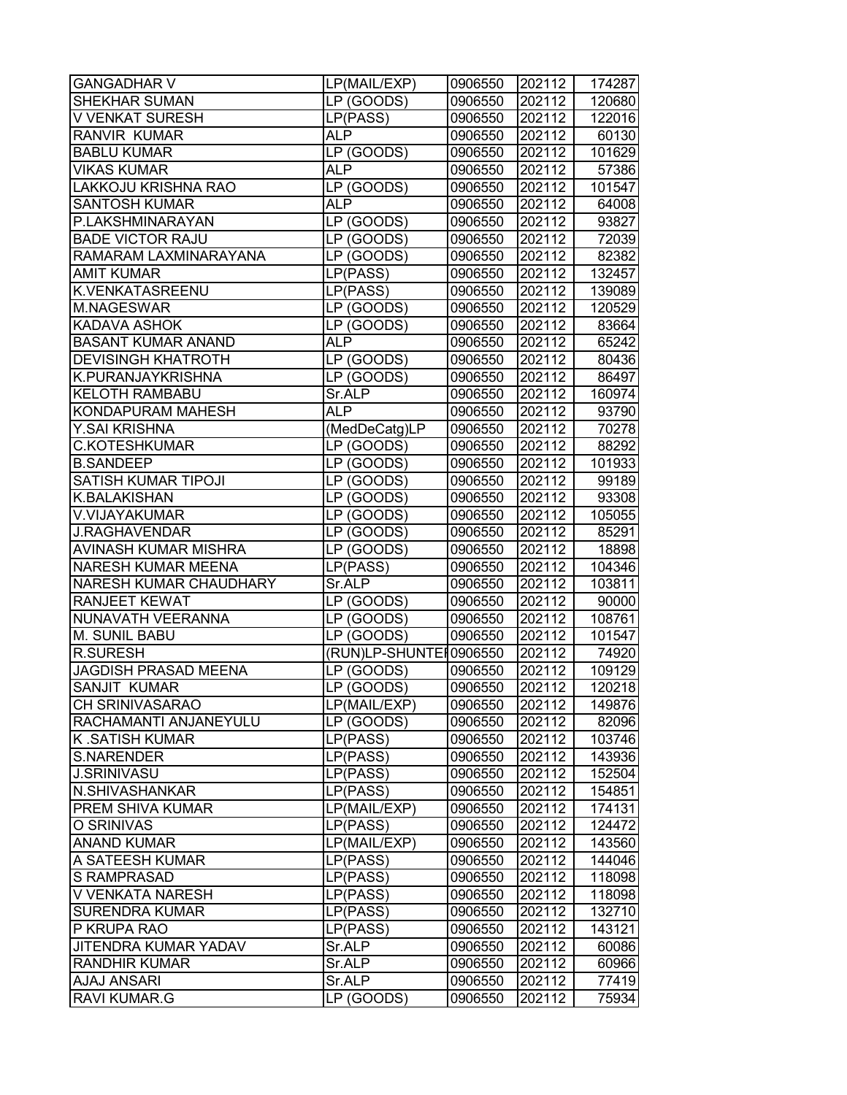| <b>GANGADHAR V</b>          | LP(MAIL/EXP)           | 0906550 | 202112 | 174287 |
|-----------------------------|------------------------|---------|--------|--------|
| SHEKHAR SUMAN               | $LP$ (GOODS)           | 0906550 | 202112 | 120680 |
| V VENKAT SURESH             | LP(PASS)               | 0906550 | 202112 | 122016 |
| RANVIR KUMAR                | ALP.                   | 0906550 | 202112 | 60130  |
| <b>BABLU KUMAR</b>          | LP (GOODS)             | 0906550 | 202112 | 101629 |
| <b>VIKAS KUMAR</b>          | <b>ALP</b>             | 0906550 | 202112 | 57386  |
| LAKKOJU KRISHNA RAO         | LP (GOODS)             | 0906550 | 202112 | 101547 |
| <b>SANTOSH KUMAR</b>        | <b>ALP</b>             | 0906550 | 202112 | 64008  |
| P.LAKSHMINARAYAN            | LP (GOODS)             | 0906550 | 202112 | 93827  |
| <b>BADE VICTOR RAJU</b>     | LP (GOODS)             | 0906550 | 202112 | 72039  |
| RAMARAM LAXMINARAYANA       | LP (GOODS)             | 0906550 | 202112 | 82382  |
| <b>AMIT KUMAR</b>           | LP(PASS)               | 0906550 | 202112 | 132457 |
| K.VENKATASREENU             | LP(PASS)               | 0906550 | 202112 | 139089 |
| M.NAGESWAR                  | LP (GOODS)             | 0906550 | 202112 | 120529 |
| KADAVA ASHOK                | LP (GOODS)             | 0906550 | 202112 | 83664  |
| <b>BASANT KUMAR ANAND</b>   | ALP                    | 0906550 | 202112 | 65242  |
| <b>DEVISINGH KHATROTH</b>   | LP (GOODS)             | 0906550 | 202112 | 80436  |
| K.PURANJAYKRISHNA           | LP (GOODS)             | 0906550 | 202112 | 86497  |
| <b>KELOTH RAMBABU</b>       | Sr.ALP                 | 0906550 | 202112 | 160974 |
| KONDAPURAM MAHESH           | <b>ALP</b>             | 0906550 | 202112 | 93790  |
| Y.SAI KRISHNA               | (MedDeCatg)LP          | 0906550 | 202112 | 70278  |
| <b>C.KOTESHKUMAR</b>        | LP (GOODS)             | 0906550 | 202112 | 88292  |
| <b>B.SANDEEP</b>            | LP (GOODS)             | 0906550 | 202112 | 101933 |
| SATISH KUMAR TIPOJI         | LP (GOODS)             | 0906550 | 202112 | 99189  |
| K.BALAKISHAN                | LP (GOODS)             | 0906550 | 202112 | 93308  |
| V.VIJAYAKUMAR               | LP (GOODS)             | 0906550 | 202112 | 105055 |
| <b>J.RAGHAVENDAR</b>        | LP (GOODS)             | 0906550 | 202112 | 85291  |
| AVINASH KUMAR MISHRA        | LP (GOODS)             | 0906550 | 202112 | 18898  |
| <b>NARESH KUMAR MEENA</b>   | LP(PASS)               | 0906550 | 202112 | 104346 |
| NARESH KUMAR CHAUDHARY      | Sr.ALP                 | 0906550 | 202112 | 103811 |
| <b>RANJEET KEWAT</b>        | LP (GOODS)             | 0906550 | 202112 | 90000  |
| NUNAVATH VEERANNA           | LP (GOODS)             | 0906550 | 202112 | 108761 |
| M. SUNIL BABU               | LP (GOODS)             | 0906550 | 202112 | 101547 |
| <b>R.SURESH</b>             | (RUN)LP-SHUNTEI0906550 |         | 202112 | 74920  |
| <b>JAGDISH PRASAD MEENA</b> | LP (GOODS)             | 0906550 | 202112 | 109129 |
| SANJIT KUMAR                | LP (GOODS)             | 0906550 | 202112 | 120218 |
| CH SRINIVASARAO             | LP(MAIL/EXP)           | 0906550 | 202112 | 149876 |
| RACHAMANTI ANJANEYULU       | LP (GOODS)             | 0906550 | 202112 | 82096  |
| K.SATISH KUMAR              | LP(PASS)               | 0906550 | 202112 | 103746 |
| <b>S.NARENDER</b>           | LP(PASS)               | 0906550 | 202112 | 143936 |
| <b>J.SRINIVASU</b>          | LP(PASS)               | 0906550 | 202112 | 152504 |
| N.SHIVASHANKAR              | LP(PASS)               | 0906550 | 202112 | 154851 |
| PREM SHIVA KUMAR            | LP(MAIL/EXP)           | 0906550 | 202112 | 174131 |
| O SRINIVAS                  | LP(PASS)               | 0906550 | 202112 | 124472 |
| <b>ANAND KUMAR</b>          | LP(MAIL/EXP)           | 0906550 | 202112 | 143560 |
| A SATEESH KUMAR             | LP(PASS)               | 0906550 | 202112 | 144046 |
| <b>S RAMPRASAD</b>          | LP(PASS)               | 0906550 | 202112 | 118098 |
| V VENKATA NARESH            | LP(PASS)               | 0906550 | 202112 | 118098 |
| <b>SURENDRA KUMAR</b>       | LP(PASS)               | 0906550 | 202112 | 132710 |
| P KRUPA RAO                 | LP(PASS)               | 0906550 | 202112 | 143121 |
| JITENDRA KUMAR YADAV        | Sr.ALP                 | 0906550 | 202112 | 60086  |
| RANDHIR KUMAR               | Sr.ALP                 | 0906550 | 202112 | 60966  |
| <b>AJAJ ANSARI</b>          | Sr.ALP                 | 0906550 | 202112 | 77419  |
| <b>RAVI KUMAR.G</b>         | LP (GOODS)             | 0906550 | 202112 | 75934  |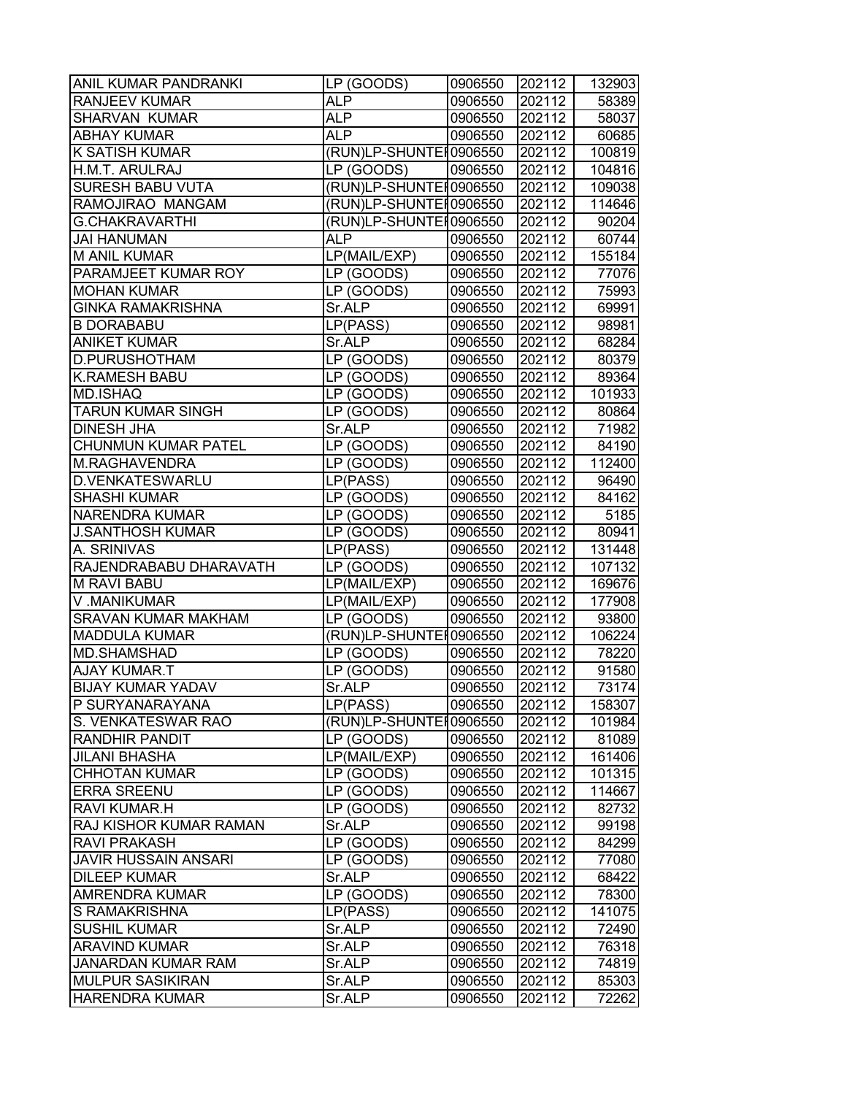| ANIL KUMAR PANDRANKI        | LP (GOODS)                 | 0906550 | 202112 | 132903           |
|-----------------------------|----------------------------|---------|--------|------------------|
| RANJEEV KUMAR               | <b>ALP</b>                 | 0906550 | 202112 | 58389            |
| SHARVAN KUMAR               | ALP                        | 0906550 | 202112 | 58037            |
| <b>ABHAY KUMAR</b>          | ALP                        | 0906550 | 202112 | 60685            |
| <b>K SATISH KUMAR</b>       | (RUN)LP-SHUNTE [0906550    |         | 202112 | 100819           |
| H.M.T. ARULRAJ              | LP (GOODS)                 | 0906550 | 202112 | 104816           |
| <b>SURESH BABU VUTA</b>     | (RUN)LP-SHUNTEI0906550     |         | 202112 | 109038           |
| RAMOJIRAO MANGAM            | (RUN)LP-SHUNTEI0906550     |         | 202112 | 114646           |
| <b>G.CHAKRAVARTHI</b>       | (RUN)LP-SHUNTEI0906550     |         | 202112 | 90204            |
| <b>JAI HANUMAN</b>          | <b>ALP</b>                 | 0906550 | 202112 | 60744            |
| M ANIL KUMAR                | LP(MAIL/EXP)               | 0906550 | 202112 | 155184           |
| PARAMJEET KUMAR ROY         | LP (GOODS)                 | 0906550 | 202112 | 77076            |
| <b>MOHAN KUMAR</b>          | LP (GOODS)                 | 0906550 | 202112 | 75993            |
| <b>GINKA RAMAKRISHNA</b>    | Sr.ALP                     | 0906550 | 202112 | 69991            |
| <b>B DORABABU</b>           | LP(PASS)                   | 0906550 | 202112 | 98981            |
| <b>ANIKET KUMAR</b>         | Sr.ALP                     | 0906550 | 202112 | 68284            |
| D.PURUSHOTHAM               | LP (GOODS)                 | 0906550 | 202112 | 80379            |
| <b>K.RAMESH BABU</b>        | LP (GOODS)                 | 0906550 | 202112 | 89364            |
| MD.ISHAQ                    | LP (GOODS)                 | 0906550 | 202112 | 101933           |
| <b>TARUN KUMAR SINGH</b>    | LP (GOODS)                 | 0906550 | 202112 | 80864            |
| <b>DINESH JHA</b>           | Sr.ALP                     | 0906550 | 202112 | 71982            |
| CHUNMUN KUMAR PATEL         | LP (GOODS)                 | 0906550 | 202112 | 84190            |
| M.RAGHAVENDRA               | LP (GOODS)                 | 0906550 | 202112 | 112400           |
| D.VENKATESWARLU             | LP(PASS)                   | 0906550 | 202112 | 96490            |
| <b>SHASHI KUMAR</b>         | LP (GOODS)                 | 0906550 | 202112 | 84162            |
| <b>NARENDRA KUMAR</b>       | LP (GOODS)                 | 0906550 | 202112 | 5185             |
| <b>J.SANTHOSH KUMAR</b>     | LP (GOODS)                 | 0906550 | 202112 | 80941            |
| A. SRINIVAS                 | LP(PASS)                   | 0906550 | 202112 | 131448           |
| RAJENDRABABU DHARAVATH      | LP (GOODS)                 | 0906550 | 202112 | 107132           |
| M RAVI BABU                 |                            |         | 202112 |                  |
| V.MANIKUMAR                 | LP(MAIL/EXP)               | 0906550 | 202112 | 169676<br>177908 |
| <b>SRAVAN KUMAR MAKHAM</b>  | LP(MAIL/EXP)<br>LP (GOODS) | 0906550 | 202112 |                  |
| <b>MADDULA KUMAR</b>        | (RUN)LP-SHUNTE 10906550    | 0906550 |        | 93800<br>106224  |
| <b>MD.SHAMSHAD</b>          | LP (GOODS)                 |         | 202112 |                  |
| <b>AJAY KUMAR.T</b>         |                            | 0906550 | 202112 | 78220<br>91580   |
|                             | LP (GOODS)                 | 0906550 | 202112 |                  |
| <b>BIJAY KUMAR YADAV</b>    | Sr.ALP                     | 0906550 | 202112 | 73174            |
| P SURYANARAYANA             | LP(PASS)                   | 0906550 | 202112 | 158307           |
| S. VENKATESWAR RAO          | (RUN)LP-SHUNTE 10906550    |         | 202112 | 101984           |
| RANDHIR PANDIT              | LP (GOODS)                 | 0906550 | 202112 | 81089            |
| JILANI BHASHA               | LP(MAIL/EXP)               | 0906550 | 202112 | 161406           |
| <b>CHHOTAN KUMAR</b>        | LP (GOODS)                 | 0906550 | 202112 | 101315           |
| ERRA SREENU                 | LP (GOODS)                 | 0906550 | 202112 | 114667           |
| RAVI KUMAR.H                | LP (GOODS)                 | 0906550 | 202112 | 82732            |
| RAJ KISHOR KUMAR RAMAN      | Sr.ALP                     | 0906550 | 202112 | 99198            |
| <b>RAVI PRAKASH</b>         | LP (GOODS)                 | 0906550 | 202112 | 84299            |
| <b>JAVIR HUSSAIN ANSARI</b> | LP (GOODS)                 | 0906550 | 202112 | 77080            |
| <b>DILEEP KUMAR</b>         | Sr.ALP                     | 0906550 | 202112 | 68422            |
| AMRENDRA KUMAR              | LP (GOODS)                 | 0906550 | 202112 | 78300            |
| S RAMAKRISHNA               | LP(PASS)                   | 0906550 | 202112 | 141075           |
| <b>SUSHIL KUMAR</b>         | Sr.ALP                     | 0906550 | 202112 | 72490            |
| <b>ARAVIND KUMAR</b>        | Sr.ALP                     | 0906550 | 202112 | 76318            |
| <b>JANARDAN KUMAR RAM</b>   | Sr.ALP                     | 0906550 | 202112 | 74819            |
| <b>MULPUR SASIKIRAN</b>     | Sr.ALP                     | 0906550 | 202112 | 85303            |
| <b>HARENDRA KUMAR</b>       | Sr.ALP                     | 0906550 | 202112 | 72262            |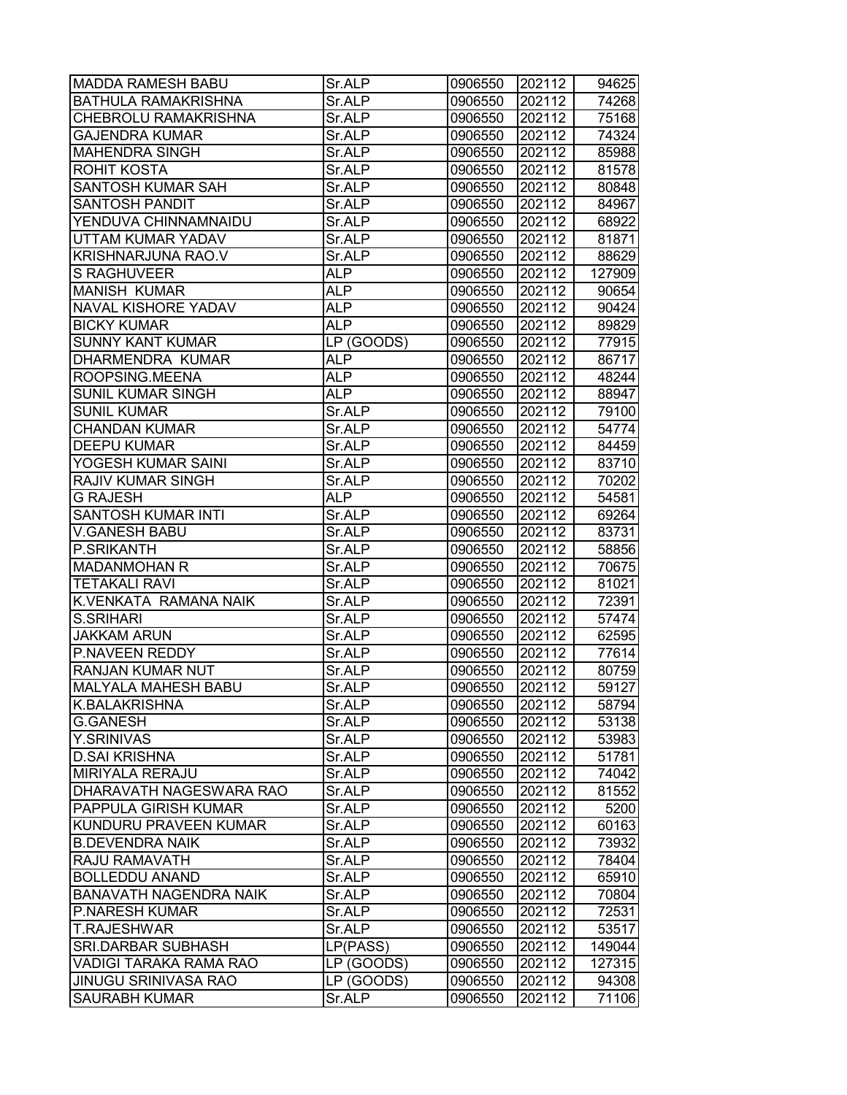| <b>MADDA RAMESH BABU</b>      | Sr.ALP     | 0906550 | 202112 | 94625  |
|-------------------------------|------------|---------|--------|--------|
| BATHULA RAMAKRISHNA           | Sr.ALP     | 0906550 | 202112 | 74268  |
| CHEBROLU RAMAKRISHNA          | Sr.ALP     | 0906550 | 202112 | 75168  |
| <b>GAJENDRA KUMAR</b>         | Sr.ALP     | 0906550 | 202112 | 74324  |
| <b>MAHENDRA SINGH</b>         | Sr.ALP     | 0906550 | 202112 | 85988  |
| <b>ROHIT KOSTA</b>            | Sr.ALP     | 0906550 | 202112 | 81578  |
| SANTOSH KUMAR SAH             | Sr.ALP     | 0906550 | 202112 | 80848  |
| SANTOSH PANDIT                | Sr.ALP     | 0906550 | 202112 | 84967  |
| YENDUVA CHINNAMNAIDU          | Sr.ALP     | 0906550 | 202112 | 68922  |
| UTTAM KUMAR YADAV             | Sr.ALP     | 0906550 | 202112 | 81871  |
| <b>KRISHNARJUNA RAO.V</b>     | Sr.ALP     | 0906550 | 202112 | 88629  |
| <b>S RAGHUVEER</b>            | <b>ALP</b> | 0906550 | 202112 | 127909 |
| <b>MANISH KUMAR</b>           | <b>ALP</b> | 0906550 | 202112 | 90654  |
| <b>NAVAL KISHORE YADAV</b>    | <b>ALP</b> | 0906550 | 202112 | 90424  |
| <b>BICKY KUMAR</b>            | <b>ALP</b> | 0906550 | 202112 | 89829  |
| <b>SUNNY KANT KUMAR</b>       | LP (GOODS) | 0906550 | 202112 | 77915  |
| DHARMENDRA KUMAR              | ALP        | 0906550 | 202112 | 86717  |
| ROOPSING.MEENA                | <b>ALP</b> | 0906550 | 202112 | 48244  |
| <b>SUNIL KUMAR SINGH</b>      | <b>ALP</b> | 0906550 | 202112 | 88947  |
| <b>SUNIL KUMAR</b>            | Sr.ALP     | 0906550 | 202112 | 79100  |
| <b>CHANDAN KUMAR</b>          | Sr.ALP     | 0906550 | 202112 | 54774  |
| <b>DEEPU KUMAR</b>            | Sr.ALP     | 0906550 | 202112 | 84459  |
| YOGESH KUMAR SAINI            | Sr.ALP     | 0906550 | 202112 | 83710  |
| RAJIV KUMAR SINGH             | Sr.ALP     | 0906550 | 202112 | 70202  |
| <b>G RAJESH</b>               | <b>ALP</b> | 0906550 | 202112 | 54581  |
| SANTOSH KUMAR INTI            | Sr.ALP     | 0906550 | 202112 | 69264  |
| <b>V.GANESH BABU</b>          | Sr.ALP     | 0906550 | 202112 | 83731  |
| P.SRIKANTH                    | Sr.ALP     | 0906550 | 202112 | 58856  |
| <b>MADANMOHAN R</b>           | Sr.ALP     | 0906550 | 202112 | 70675  |
| <b>TETAKALI RAVI</b>          | Sr.ALP     | 0906550 | 202112 | 81021  |
| K.VENKATA RAMANA NAIK         | Sr.ALP     | 0906550 | 202112 | 72391  |
| <b>S.SRIHARI</b>              | Sr.ALP     | 0906550 | 202112 | 57474  |
| <b>JAKKAM ARUN</b>            | Sr.ALP     | 0906550 | 202112 | 62595  |
| P.NAVEEN REDDY                | Sr.ALP     | 0906550 | 202112 | 77614  |
| RANJAN KUMAR NUT              | Sr.ALP     | 0906550 | 202112 | 80759  |
| <b>MALYALA MAHESH BABU</b>    | Sr.ALP     | 0906550 | 202112 | 59127  |
| K.BALAKRISHNA                 | Sr.ALP     | 0906550 | 202112 | 58794  |
| <b>G.GANESH</b>               | Sr.ALP     | 0906550 | 202112 | 53138  |
| Y.SRINIVAS                    | Sr.ALP     | 0906550 | 202112 | 53983  |
| <b>D.SAI KRISHNA</b>          | Sr.ALP     | 0906550 | 202112 | 51781  |
| <b>MIRIYALA RERAJU</b>        | Sr.ALP     | 0906550 | 202112 | 74042  |
| DHARAVATH NAGESWARA RAO       | Sr.ALP     | 0906550 | 202112 | 81552  |
| PAPPULA GIRISH KUMAR          | Sr.ALP     | 0906550 | 202112 | 5200   |
| KUNDURU PRAVEEN KUMAR         | Sr.ALP     | 0906550 | 202112 | 60163  |
| <b>B.DEVENDRA NAIK</b>        | Sr.ALP     | 0906550 | 202112 | 73932  |
| RAJU RAMAVATH                 | Sr.ALP     | 0906550 | 202112 | 78404  |
| <b>BOLLEDDU ANAND</b>         | Sr.ALP     | 0906550 | 202112 | 65910  |
| <b>BANAVATH NAGENDRA NAIK</b> | Sr.ALP     | 0906550 | 202112 | 70804  |
| <b>P.NARESH KUMAR</b>         | Sr.ALP     | 0906550 | 202112 | 72531  |
| <b>T.RAJESHWAR</b>            | Sr.ALP     | 0906550 | 202112 | 53517  |
| <b>SRI.DARBAR SUBHASH</b>     | LP(PASS)   | 0906550 | 202112 | 149044 |
| VADIGI TARAKA RAMA RAO        | LP (GOODS) | 0906550 | 202112 | 127315 |
| <b>JINUGU SRINIVASA RAO</b>   | LP (GOODS) | 0906550 | 202112 | 94308  |
| <b>SAURABH KUMAR</b>          | Sr.ALP     | 0906550 | 202112 | 71106  |
|                               |            |         |        |        |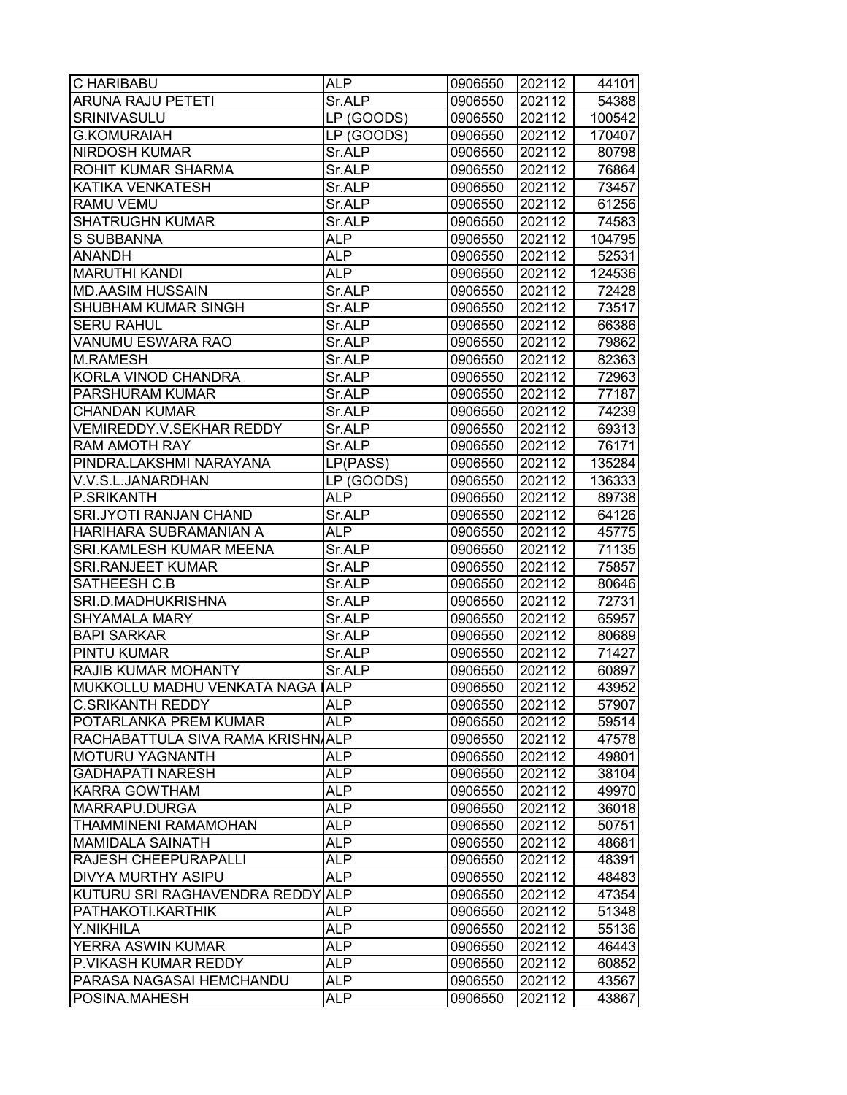| C HARIBABU                       | <b>ALP</b> | 0906550 | 202112 | 44101  |
|----------------------------------|------------|---------|--------|--------|
| <b>ARUNA RAJU PETETI</b>         | Sr.ALP     | 0906550 | 202112 | 54388  |
| SRINIVASULU                      | LP (GOODS) | 0906550 | 202112 | 100542 |
| <b>G.KOMURAIAH</b>               | LP (GOODS) | 0906550 | 202112 | 170407 |
| <b>NIRDOSH KUMAR</b>             | Sr.ALP     | 0906550 | 202112 | 80798  |
| ROHIT KUMAR SHARMA               | Sr.ALP     | 0906550 | 202112 | 76864  |
| KATIKA VENKATESH                 | Sr.ALP     | 0906550 | 202112 | 73457  |
| RAMU VEMU                        | Sr.ALP     | 0906550 | 202112 | 61256  |
| <b>SHATRUGHN KUMAR</b>           | Sr.ALP     | 0906550 | 202112 | 74583  |
| <b>S SUBBANNA</b>                | <b>ALP</b> | 0906550 | 202112 | 104795 |
| <b>ANANDH</b>                    | <b>ALP</b> | 0906550 | 202112 | 52531  |
| <b>MARUTHI KANDI</b>             | <b>ALP</b> | 0906550 | 202112 | 124536 |
| <b>MD.AASIM HUSSAIN</b>          | Sr.ALP     | 0906550 | 202112 | 72428  |
| SHUBHAM KUMAR SINGH              | Sr.ALP     | 0906550 | 202112 | 73517  |
| <b>SERU RAHUL</b>                | Sr.ALP     | 0906550 | 202112 | 66386  |
| VANUMU ESWARA RAO                | Sr.ALP     | 0906550 | 202112 | 79862  |
| <b>M.RAMESH</b>                  | Sr.ALP     | 0906550 | 202112 | 82363  |
| KORLA VINOD CHANDRA              | Sr.ALP     | 0906550 | 202112 | 72963  |
| PARSHURAM KUMAR                  | Sr.ALP     | 0906550 | 202112 | 77187  |
| <b>CHANDAN KUMAR</b>             | Sr.ALP     | 0906550 | 202112 | 74239  |
| <b>VEMIREDDY.V.SEKHAR REDDY</b>  | Sr.ALP     | 0906550 | 202112 | 69313  |
| <b>RAM AMOTH RAY</b>             | Sr.ALP     | 0906550 | 202112 | 76171  |
| PINDRA.LAKSHMI NARAYANA          | LP(PASS)   | 0906550 | 202112 | 135284 |
| V.V.S.L.JANARDHAN                | LP (GOODS) | 0906550 | 202112 | 136333 |
| P.SRIKANTH                       | <b>ALP</b> | 0906550 | 202112 | 89738  |
| SRI.JYOTI RANJAN CHAND           | Sr.ALP     | 0906550 | 202112 | 64126  |
| HARIHARA SUBRAMANIAN A           | <b>ALP</b> | 0906550 | 202112 | 45775  |
| SRI.KAMLESH KUMAR MEENA          | Sr.ALP     | 0906550 | 202112 | 71135  |
| <b>SRI.RANJEET KUMAR</b>         | Sr.ALP     | 0906550 | 202112 | 75857  |
| SATHEESH C.B                     | Sr.ALP     | 0906550 | 202112 | 80646  |
| SRI.D.MADHUKRISHNA               | Sr.ALP     | 0906550 | 202112 | 72731  |
| <b>SHYAMALA MARY</b>             | Sr.ALP     | 0906550 | 202112 | 65957  |
| <b>BAPI SARKAR</b>               | Sr.ALP     | 0906550 | 202112 | 80689  |
| PINTU KUMAR                      | Sr.ALP     | 0906550 | 202112 | 71427  |
| RAJIB KUMAR MOHANTY              | Sr.ALP     | 0906550 | 202112 | 60897  |
| MUKKOLLU MADHU VENKATA NAGA ALP  |            | 0906550 | 202112 | 43952  |
| <b>C.SRIKANTH REDDY</b>          | <b>ALP</b> | 0906550 | 202112 | 57907  |
| POTARLANKA PREM KUMAR            | <b>ALP</b> | 0906550 | 202112 | 59514  |
| RACHABATTULA SIVA RAMA KRISHNALP |            | 0906550 | 202112 | 47578  |
| <b>MOTURU YAGNANTH</b>           | <b>ALP</b> | 0906550 | 202112 | 49801  |
| <b>GADHAPATI NARESH</b>          | <b>ALP</b> | 0906550 | 202112 | 38104  |
| <b>KARRA GOWTHAM</b>             | <b>ALP</b> | 0906550 | 202112 | 49970  |
| MARRAPU.DURGA                    | <b>ALP</b> | 0906550 | 202112 | 36018  |
| THAMMINENI RAMAMOHAN             | <b>ALP</b> | 0906550 | 202112 | 50751  |
| <b>MAMIDALA SAINATH</b>          | <b>ALP</b> | 0906550 | 202112 | 48681  |
| RAJESH CHEEPURAPALLI             | <b>ALP</b> | 0906550 | 202112 | 48391  |
| DIVYA MURTHY ASIPU               | <b>ALP</b> | 0906550 | 202112 | 48483  |
| KUTURU SRI RAGHAVENDRA REDDY ALP |            | 0906550 | 202112 | 47354  |
| PATHAKOTI.KARTHIK                | <b>ALP</b> | 0906550 | 202112 | 51348  |
| Y.NIKHILA                        | <b>ALP</b> | 0906550 | 202112 | 55136  |
| YERRA ASWIN KUMAR                | <b>ALP</b> | 0906550 | 202112 | 46443  |
| P.VIKASH KUMAR REDDY             | <b>ALP</b> | 0906550 | 202112 | 60852  |
| PARASA NAGASAI HEMCHANDU         | <b>ALP</b> | 0906550 | 202112 | 43567  |
| POSINA.MAHESH                    | ALP.       | 0906550 | 202112 | 43867  |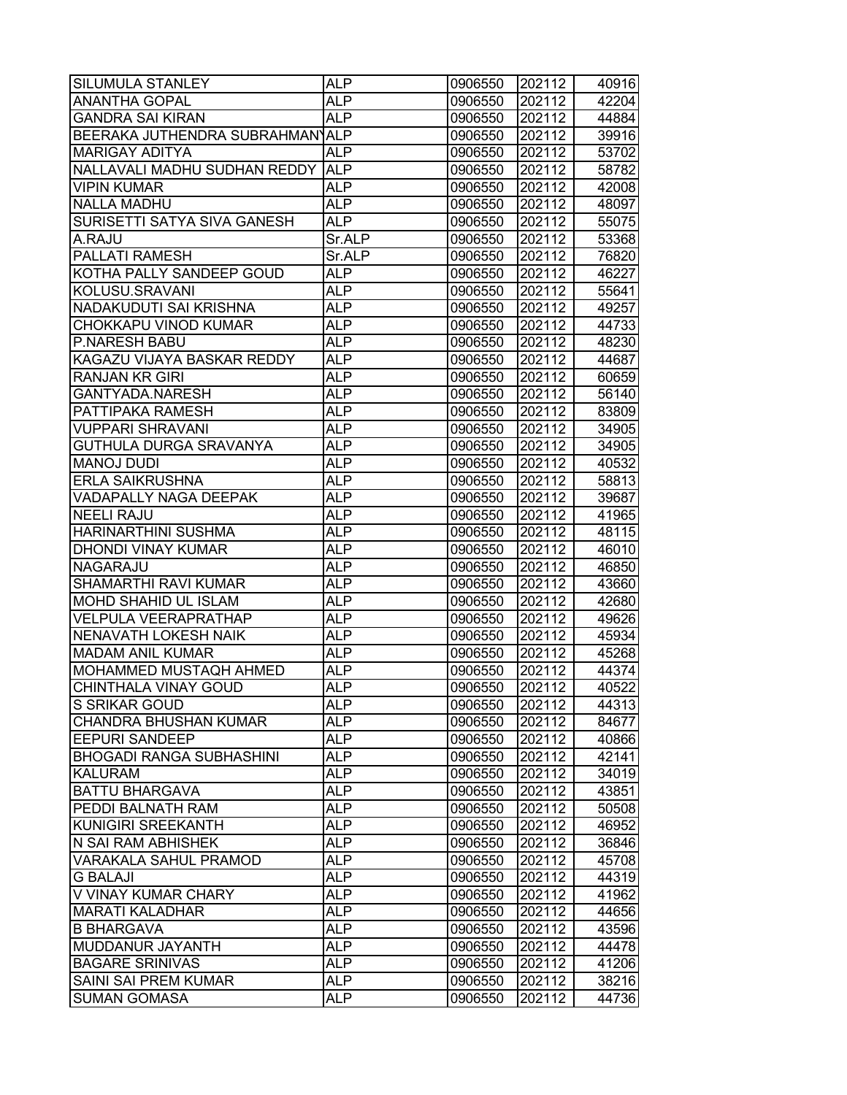| SILUMULA STANLEY                 | <b>ALP</b> | 0906550 | 202112 | 40916 |
|----------------------------------|------------|---------|--------|-------|
| ANANTHA GOPAL                    | <b>ALP</b> | 0906550 | 202112 | 42204 |
| <b>GANDRA SAI KIRAN</b>          | <b>ALP</b> | 0906550 | 202112 | 44884 |
| BEERAKA JUTHENDRA SUBRAHMANYALP  |            | 0906550 | 202112 | 39916 |
| <b>MARIGAY ADITYA</b>            | <b>ALP</b> | 0906550 | 202112 | 53702 |
| NALLAVALI MADHU SUDHAN REDDY ALP |            | 0906550 | 202112 | 58782 |
| <b>VIPIN KUMAR</b>               | <b>ALP</b> | 0906550 | 202112 | 42008 |
| <b>NALLA MADHU</b>               | <b>ALP</b> | 0906550 | 202112 | 48097 |
| SURISETTI SATYA SIVA GANESH      | <b>ALP</b> | 0906550 | 202112 | 55075 |
| A.RAJU                           | Sr.ALP     | 0906550 | 202112 | 53368 |
| PALLATI RAMESH                   | Sr.ALP     | 0906550 | 202112 | 76820 |
| KOTHA PALLY SANDEEP GOUD         | <b>ALP</b> | 0906550 | 202112 | 46227 |
| KOLUSU.SRAVANI                   | <b>ALP</b> | 0906550 | 202112 | 55641 |
| NADAKUDUTI SAI KRISHNA           | <b>ALP</b> | 0906550 | 202112 | 49257 |
| CHOKKAPU VINOD KUMAR             | <b>ALP</b> | 0906550 | 202112 | 44733 |
| <b>P.NARESH BABU</b>             | ALP        | 0906550 | 202112 | 48230 |
| KAGAZU VIJAYA BASKAR REDDY       | <b>ALP</b> | 0906550 | 202112 | 44687 |
| <b>RANJAN KR GIRI</b>            | <b>ALP</b> | 0906550 | 202112 | 60659 |
| GANTYADA.NARESH                  | <b>ALP</b> | 0906550 | 202112 | 56140 |
| PATTIPAKA RAMESH                 | <b>ALP</b> | 0906550 | 202112 | 83809 |
| <b>VUPPARI SHRAVANI</b>          | <b>ALP</b> | 0906550 | 202112 | 34905 |
| GUTHULA DURGA SRAVANYA           | <b>ALP</b> | 0906550 | 202112 | 34905 |
| <b>MANOJ DUDI</b>                | <b>ALP</b> | 0906550 | 202112 | 40532 |
| <b>ERLA SAIKRUSHNA</b>           | <b>ALP</b> | 0906550 | 202112 | 58813 |
| VADAPALLY NAGA DEEPAK            | <b>ALP</b> | 0906550 | 202112 | 39687 |
| <b>NEELI RAJU</b>                | <b>ALP</b> | 0906550 | 202112 | 41965 |
| <b>HARINARTHINI SUSHMA</b>       | ALP        | 0906550 | 202112 | 48115 |
| DHONDI VINAY KUMAR               | <b>ALP</b> | 0906550 | 202112 | 46010 |
| NAGARAJU                         | <b>ALP</b> | 0906550 | 202112 | 46850 |
| SHAMARTHI RAVI KUMAR             | <b>ALP</b> | 0906550 | 202112 | 43660 |
| MOHD SHAHID UL ISLAM             | <b>ALP</b> | 0906550 | 202112 | 42680 |
| <b>VELPULA VEERAPRATHAP</b>      | <b>ALP</b> | 0906550 | 202112 | 49626 |
| <b>NENAVATH LOKESH NAIK</b>      | <b>ALP</b> | 0906550 | 202112 | 45934 |
| <b>MADAM ANIL KUMAR</b>          | <b>ALP</b> | 0906550 | 202112 | 45268 |
| MOHAMMED MUSTAQH AHMED           | <b>ALP</b> | 0906550 | 202112 | 44374 |
| CHINTHALA VINAY GOUD             | <b>ALP</b> | 0906550 | 202112 | 40522 |
| S SRIKAR GOUD                    | <b>ALP</b> | 0906550 | 202112 | 44313 |
| <b>CHANDRA BHUSHAN KUMAR</b>     | <b>ALP</b> | 0906550 | 202112 | 84677 |
| <b>EEPURI SANDEEP</b>            | <b>ALP</b> | 0906550 | 202112 | 40866 |
| <b>BHOGADI RANGA SUBHASHINI</b>  | <b>ALP</b> | 0906550 | 202112 | 42141 |
| <b>KALURAM</b>                   | <b>ALP</b> | 0906550 | 202112 | 34019 |
| <b>BATTU BHARGAVA</b>            | <b>ALP</b> | 0906550 | 202112 | 43851 |
| PEDDI BALNATH RAM                | <b>ALP</b> | 0906550 | 202112 | 50508 |
| KUNIGIRI SREEKANTH               | <b>ALP</b> | 0906550 | 202112 | 46952 |
| N SAI RAM ABHISHEK               | <b>ALP</b> | 0906550 | 202112 | 36846 |
| VARAKALA SAHUL PRAMOD            | <b>ALP</b> | 0906550 | 202112 | 45708 |
| <b>G BALAJI</b>                  | <b>ALP</b> | 0906550 | 202112 | 44319 |
| V VINAY KUMAR CHARY              | <b>ALP</b> | 0906550 | 202112 | 41962 |
| <b>MARATI KALADHAR</b>           | <b>ALP</b> | 0906550 | 202112 | 44656 |
| <b>B BHARGAVA</b>                | <b>ALP</b> | 0906550 | 202112 | 43596 |
| MUDDANUR JAYANTH                 | <b>ALP</b> | 0906550 | 202112 | 44478 |
| <b>BAGARE SRINIVAS</b>           | ALP        | 0906550 | 202112 | 41206 |
| SAINI SAI PREM KUMAR             | <b>ALP</b> | 0906550 | 202112 | 38216 |
| <b>SUMAN GOMASA</b>              | ALP.       | 0906550 | 202112 | 44736 |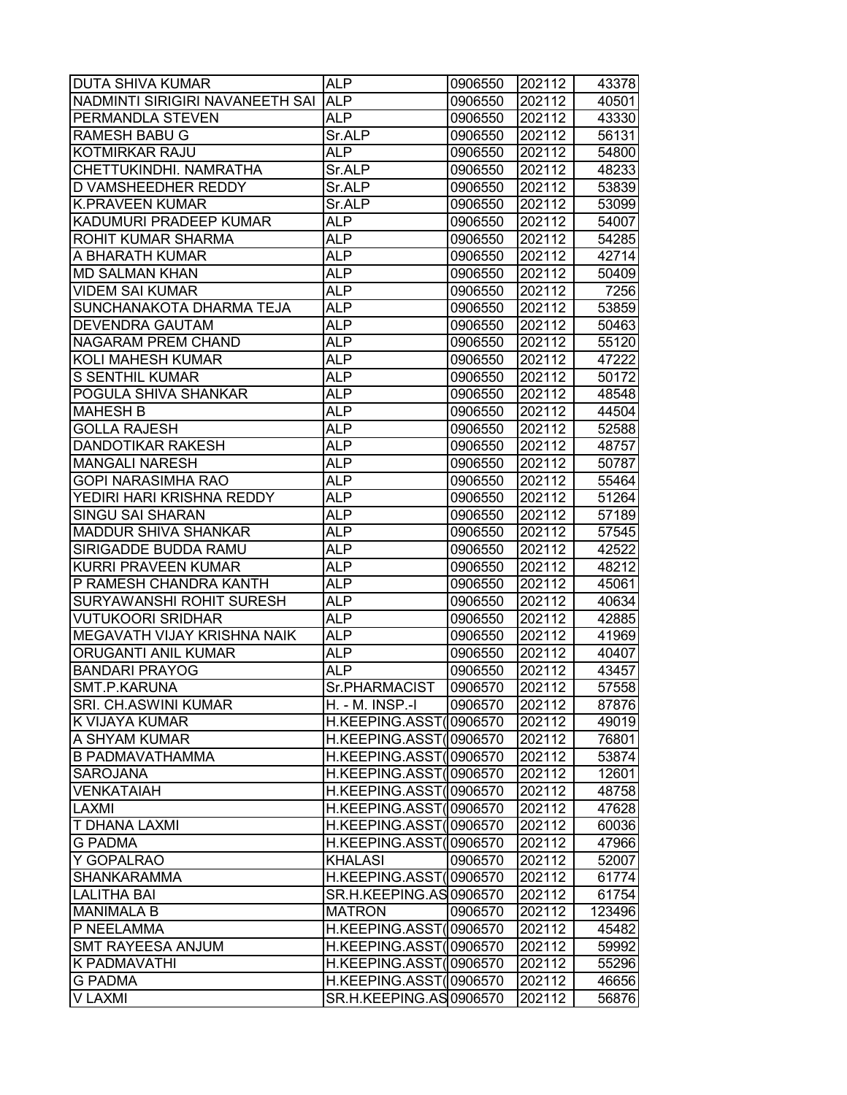| <b>DUTA SHIVA KUMAR</b>         | <b>ALP</b>              | 0906550 | 202112 | 43378  |
|---------------------------------|-------------------------|---------|--------|--------|
| NADMINTI SIRIGIRI NAVANEETH SAI | <b>ALP</b>              | 0906550 | 202112 | 40501  |
| PERMANDLA STEVEN                | <b>ALP</b>              | 0906550 | 202112 | 43330  |
| <b>RAMESH BABU G</b>            | Sr.ALP                  | 0906550 | 202112 | 56131  |
| <b>KOTMIRKAR RAJU</b>           | <b>ALP</b>              | 0906550 | 202112 | 54800  |
| CHETTUKINDHI. NAMRATHA          | Sr.ALP                  | 0906550 | 202112 | 48233  |
| <b>D VAMSHEEDHER REDDY</b>      | Sr.ALP                  | 0906550 | 202112 | 53839  |
| <b>K.PRAVEEN KUMAR</b>          | Sr.ALP                  | 0906550 | 202112 | 53099  |
| KADUMURI PRADEEP KUMAR          | <b>ALP</b>              | 0906550 | 202112 | 54007  |
| <b>ROHIT KUMAR SHARMA</b>       | <b>ALP</b>              | 0906550 | 202112 | 54285  |
| A BHARATH KUMAR                 | <b>ALP</b>              | 0906550 | 202112 | 42714  |
| <b>MD SALMAN KHAN</b>           | <b>ALP</b>              | 0906550 | 202112 | 50409  |
| <b>VIDEM SAI KUMAR</b>          | <b>ALP</b>              | 0906550 | 202112 | 7256   |
| SUNCHANAKOTA DHARMA TEJA        | <b>ALP</b>              | 0906550 | 202112 | 53859  |
| <b>DEVENDRA GAUTAM</b>          | <b>ALP</b>              | 0906550 | 202112 | 50463  |
| <b>NAGARAM PREM CHAND</b>       | ALP                     | 0906550 | 202112 | 55120  |
| <b>KOLI MAHESH KUMAR</b>        | <b>ALP</b>              | 0906550 | 202112 | 47222  |
| <b>S SENTHIL KUMAR</b>          | <b>ALP</b>              | 0906550 | 202112 | 50172  |
| POGULA SHIVA SHANKAR            | <b>ALP</b>              | 0906550 | 202112 | 48548  |
| <b>MAHESH B</b>                 | <b>ALP</b>              | 0906550 | 202112 | 44504  |
| <b>GOLLA RAJESH</b>             | <b>ALP</b>              | 0906550 | 202112 | 52588  |
| <b>DANDOTIKAR RAKESH</b>        | <b>ALP</b>              | 0906550 | 202112 | 48757  |
| <b>MANGALI NARESH</b>           | <b>ALP</b>              | 0906550 | 202112 | 50787  |
| <b>GOPI NARASIMHA RAO</b>       | <b>ALP</b>              | 0906550 | 202112 | 55464  |
| YEDIRI HARI KRISHNA REDDY       | <b>ALP</b>              | 0906550 | 202112 | 51264  |
| <b>SINGU SAI SHARAN</b>         | ALP                     | 0906550 | 202112 | 57189  |
| <b>MADDUR SHIVA SHANKAR</b>     | <b>ALP</b>              | 0906550 | 202112 | 57545  |
| SIRIGADDE BUDDA RAMU            | <b>ALP</b>              | 0906550 | 202112 | 42522  |
| KURRI PRAVEEN KUMAR             | <b>ALP</b>              | 0906550 | 202112 | 48212  |
| P RAMESH CHANDRA KANTH          | <b>ALP</b>              | 0906550 | 202112 | 45061  |
| <b>SURYAWANSHI ROHIT SURESH</b> | <b>ALP</b>              | 0906550 | 202112 | 40634  |
| <b>VUTUKOORI SRIDHAR</b>        | <b>ALP</b>              | 0906550 | 202112 | 42885  |
| MEGAVATH VIJAY KRISHNA NAIK     | <b>ALP</b>              | 0906550 | 202112 | 41969  |
| ORUGANTI ANIL KUMAR             | <b>ALP</b>              | 0906550 | 202112 | 40407  |
| <b>BANDARI PRAYOG</b>           | <b>ALP</b>              | 0906550 | 202112 | 43457  |
| SMT.P.KARUNA                    | Sr.PHARMACIST           | 0906570 | 202112 | 57558  |
| <b>SRI. CH.ASWINI KUMAR</b>     | H. - M. INSP.-I         | 0906570 | 202112 | 87876  |
| K VIJAYA KUMAR                  | H.KEEPING.ASST(0906570  |         | 202112 | 49019  |
| A SHYAM KUMAR                   | H.KEEPING.ASST(0906570  |         | 202112 | 76801  |
| <b>B PADMAVATHAMMA</b>          | H.KEEPING.ASST(0906570  |         | 202112 | 53874  |
| <b>SAROJANA</b>                 | H.KEEPING.ASST(0906570  |         | 202112 | 12601  |
| <b>VENKATAIAH</b>               | H.KEEPING.ASST(0906570  |         | 202112 | 48758  |
| <b>LAXMI</b>                    | H.KEEPING.ASST(0906570  |         | 202112 | 47628  |
| <b>T DHANA LAXMI</b>            | H.KEEPING.ASST(0906570  |         | 202112 | 60036  |
| <b>G PADMA</b>                  | H.KEEPING.ASST(0906570  |         | 202112 | 47966  |
| Y GOPALRAO                      | <b>KHALASI</b>          | 0906570 | 202112 | 52007  |
| <b>SHANKARAMMA</b>              | H.KEEPING.ASST(0906570  |         | 202112 | 61774  |
| <b>LALITHA BAI</b>              | SR.H.KEEPING.AS 0906570 |         | 202112 | 61754  |
| <b>MANIMALA B</b>               | <b>MATRON</b>           | 0906570 | 202112 | 123496 |
| P NEELAMMA                      | H.KEEPING.ASST(0906570  |         | 202112 | 45482  |
| <b>SMT RAYEESA ANJUM</b>        | H.KEEPING.ASST(0906570  |         | 202112 | 59992  |
| K PADMAVATHI                    | H.KEEPING.ASST(0906570  |         | 202112 | 55296  |
| <b>G PADMA</b>                  | H.KEEPING.ASST(0906570  |         | 202112 | 46656  |
| V LAXMI                         | SR.H.KEEPING.AS 0906570 |         | 202112 | 56876  |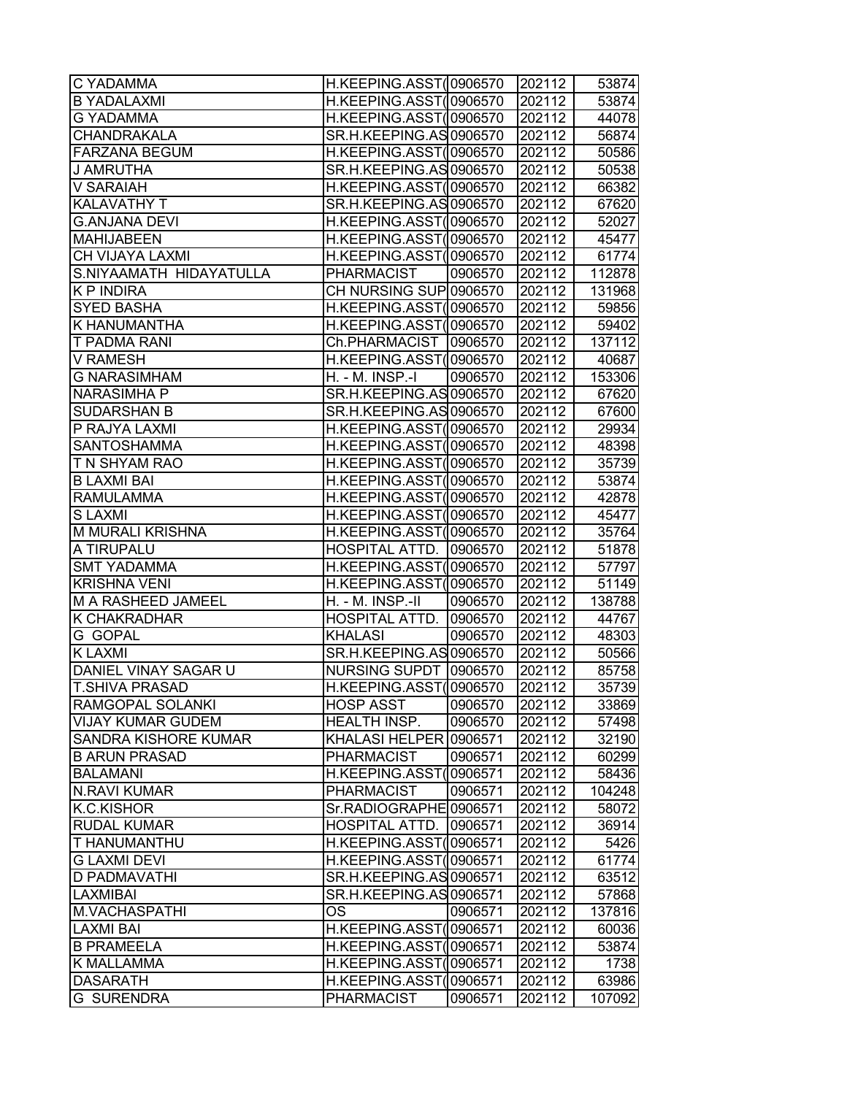| C YADAMMA                | H.KEEPING.ASST(0906570  |         | 202112 | 53874  |
|--------------------------|-------------------------|---------|--------|--------|
| <b>B YADALAXMI</b>       | H.KEEPING.ASST(0906570  |         | 202112 | 53874  |
| G YADAMMA                | H.KEEPING.ASST(0906570  |         | 202112 | 44078  |
| <b>CHANDRAKALA</b>       | SR.H.KEEPING.AS 0906570 |         | 202112 | 56874  |
| <b>FARZANA BEGUM</b>     | H.KEEPING.ASST(0906570  |         | 202112 | 50586  |
| J AMRUTHA                | SR.H.KEEPING.AS 0906570 |         | 202112 | 50538  |
| V SARAIAH                | H.KEEPING.ASST(0906570  |         | 202112 | 66382  |
| KALAVATHY T              | SR.H.KEEPING.AS 0906570 |         | 202112 | 67620  |
| <b>G.ANJANA DEVI</b>     | H.KEEPING.ASST(0906570  |         | 202112 | 52027  |
| <b>MAHIJABEEN</b>        | H.KEEPING.ASST(0906570  |         | 202112 | 45477  |
| CH VIJAYA LAXMI          | H.KEEPING.ASST(0906570  |         | 202112 | 61774  |
| S.NIYAAMATH HIDAYATULLA  | <b>PHARMACIST</b>       | 0906570 | 202112 | 112878 |
| <b>KP INDIRA</b>         | CH NURSING SUP 0906570  |         | 202112 | 131968 |
| <b>SYED BASHA</b>        | H.KEEPING.ASST(0906570  |         | 202112 | 59856  |
| K HANUMANTHA             | H.KEEPING.ASST(0906570  |         | 202112 | 59402  |
| T PADMA RANI             | Ch.PHARMACIST           | 0906570 | 202112 | 137112 |
| <b>V RAMESH</b>          | H.KEEPING.ASST(0906570  |         | 202112 | 40687  |
| <b>G NARASIMHAM</b>      | H. - M. INSP.-I         | 0906570 | 202112 | 153306 |
| <b>NARASIMHA P</b>       | SR.H.KEEPING.AS 0906570 |         | 202112 | 67620  |
| <b>SUDARSHAN B</b>       | SR.H.KEEPING.AS 0906570 |         | 202112 | 67600  |
| P RAJYA LAXMI            | H.KEEPING.ASST(0906570  |         | 202112 | 29934  |
| <b>SANTOSHAMMA</b>       | H.KEEPING.ASST(0906570  |         | 202112 | 48398  |
| T N SHYAM RAO            | H.KEEPING.ASST(0906570  |         | 202112 | 35739  |
| <b>B LAXMI BAI</b>       | H.KEEPING.ASST(0906570  |         | 202112 | 53874  |
| <b>RAMULAMMA</b>         | H.KEEPING.ASST(0906570  |         | 202112 | 42878  |
| S LAXMI                  | H.KEEPING.ASST(0906570  |         | 202112 | 45477  |
| M MURALI KRISHNA         | H.KEEPING.ASST(0906570  |         | 202112 | 35764  |
| A TIRUPALU               | HOSPITAL ATTD.          | 0906570 | 202112 | 51878  |
| <b>SMT YADAMMA</b>       | H.KEEPING.ASST(0906570  |         | 202112 | 57797  |
| <b>KRISHNA VENI</b>      | H.KEEPING.ASST(0906570  |         | 202112 | 51149  |
| M A RASHEED JAMEEL       | H. - M. INSP.-II        | 0906570 | 202112 | 138788 |
| K CHAKRADHAR             | HOSPITAL ATTD.          | 0906570 | 202112 | 44767  |
| G GOPAL                  | <b>KHALASI</b>          | 0906570 | 202112 | 48303  |
| <b>K LAXMI</b>           | SR.H.KEEPING.AS 0906570 |         | 202112 | 50566  |
| DANIEL VINAY SAGAR U     | NURSING SUPDT 0906570   |         | 202112 | 85758  |
| <b>T.SHIVA PRASAD</b>    | H.KEEPING.ASST(0906570  |         | 202112 | 35739  |
| RAMGOPAL SOLANKI         | <b>HOSP ASST</b>        | 0906570 | 202112 | 33869  |
| <b>VIJAY KUMAR GUDEM</b> | HEALTH INSP.            | 0906570 | 202112 | 57498  |
| SANDRA KISHORE KUMAR     | KHALASI HELPER 0906571  |         | 202112 | 32190  |
| <b>B ARUN PRASAD</b>     | <b>PHARMACIST</b>       | 0906571 | 202112 | 60299  |
| <b>BALAMANI</b>          | H.KEEPING.ASST(         | 0906571 | 202112 | 58436  |
| <b>N.RAVI KUMAR</b>      | <b>PHARMACIST</b>       | 0906571 | 202112 | 104248 |
| <b>K.C.KISHOR</b>        | Sr.RADIOGRAPHE 0906571  |         | 202112 | 58072  |
| <b>RUDAL KUMAR</b>       | HOSPITAL ATTD.          | 0906571 | 202112 | 36914  |
| T HANUMANTHU             | H.KEEPING.ASST(0906571  |         | 202112 | 5426   |
| <b>G LAXMI DEVI</b>      | H.KEEPING.ASST(0906571  |         | 202112 | 61774  |
| D PADMAVATHI             | SR.H.KEEPING.AS 0906571 |         | 202112 | 63512  |
| LAXMIBAI                 | SR.H.KEEPING.AS 0906571 |         | 202112 | 57868  |
| M.VACHASPATHI            | <b>OS</b>               | 0906571 | 202112 | 137816 |
| <b>LAXMI BAI</b>         | H.KEEPING.ASST(0906571  |         | 202112 | 60036  |
| <b>B PRAMEELA</b>        | H.KEEPING.ASST(0906571  |         | 202112 | 53874  |
| K MALLAMMA               | H.KEEPING.ASST(0906571  |         | 202112 | 1738   |
| <b>DASARATH</b>          | H.KEEPING.ASST(0906571  |         | 202112 | 63986  |
| <b>G SURENDRA</b>        | <b>PHARMACIST</b>       | 0906571 | 202112 | 107092 |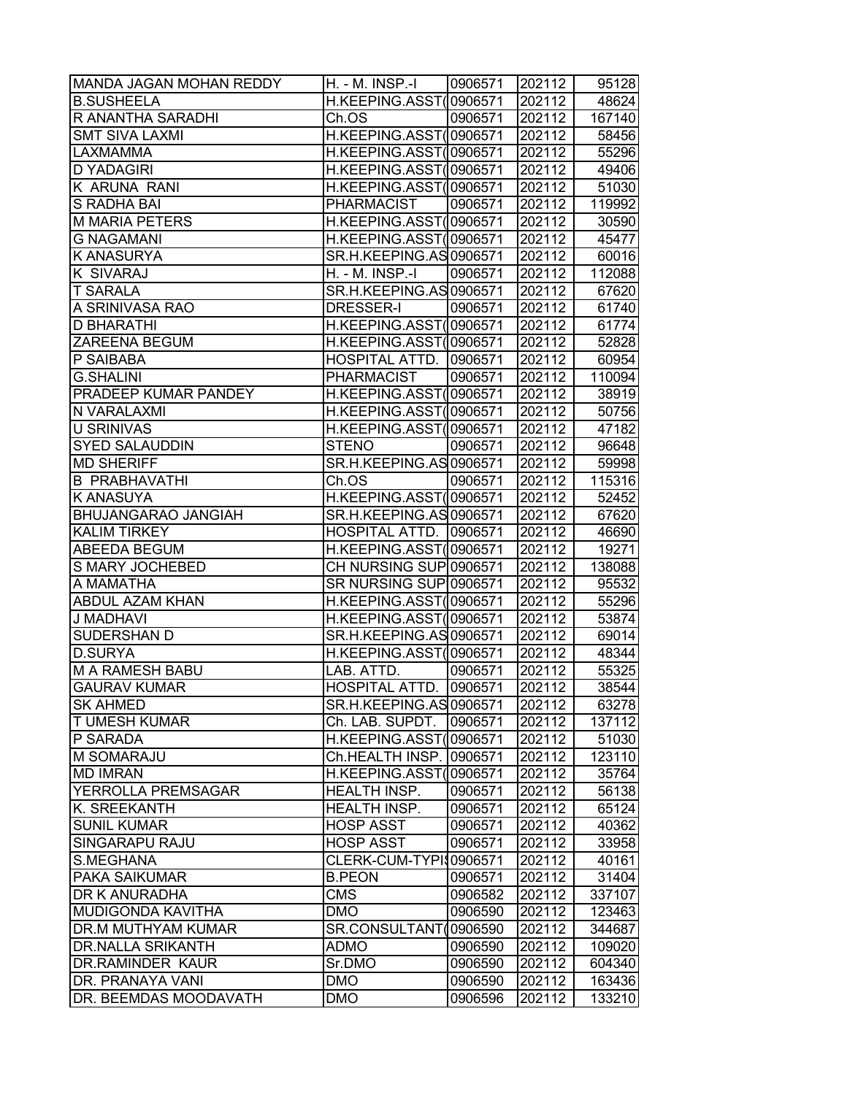| MANDA JAGAN MOHAN REDDY    | H. - M. INSP.-I         | 0906571 | 202112 | 95128  |
|----------------------------|-------------------------|---------|--------|--------|
| <b>B.SUSHEELA</b>          | H.KEEPING.ASST(0906571  |         | 202112 | 48624  |
| R ANANTHA SARADHI          | Ch.OS                   | 0906571 | 202112 | 167140 |
| <b>SMT SIVA LAXMI</b>      | H.KEEPING.ASST(0906571  |         | 202112 | 58456  |
| LAXMAMMA                   | H.KEEPING.ASST(0906571  |         | 202112 | 55296  |
| <b>D YADAGIRI</b>          | H.KEEPING.ASST(0906571  |         | 202112 | 49406  |
| K ARUNA RANI               | H.KEEPING.ASST(0906571  |         | 202112 | 51030  |
| S RADHA BAI                | <b>PHARMACIST</b>       | 0906571 | 202112 | 119992 |
| <b>M MARIA PETERS</b>      | H.KEEPING.ASST(0906571  |         | 202112 | 30590  |
| <b>G NAGAMANI</b>          | H.KEEPING.ASST(0906571  |         | 202112 | 45477  |
| <b>K ANASURYA</b>          | SR.H.KEEPING.AS 0906571 |         | 202112 | 60016  |
| K SIVARAJ                  | H. - M. INSP.-I         | 0906571 | 202112 | 112088 |
| <b>T SARALA</b>            | SR.H.KEEPING.AS 0906571 |         | 202112 | 67620  |
| A SRINIVASA RAO            | DRESSER-I               | 0906571 | 202112 | 61740  |
| D BHARATHI                 | H.KEEPING.ASST(0906571  |         | 202112 | 61774  |
| ZAREENA BEGUM              | H.KEEPING.ASST(0906571  |         | 202112 | 52828  |
| P SAIBABA                  | HOSPITAL ATTD. 0906571  |         | 202112 | 60954  |
| <b>G.SHALINI</b>           | <b>PHARMACIST</b>       | 0906571 | 202112 | 110094 |
| PRADEEP KUMAR PANDEY       | H.KEEPING.ASST(0906571  |         | 202112 | 38919  |
| N VARALAXMI                | H.KEEPING.ASST(0906571  |         | 202112 | 50756  |
| U SRINIVAS                 | H.KEEPING.ASST(0906571  |         | 202112 | 47182  |
| <b>SYED SALAUDDIN</b>      | <b>STENO</b>            | 0906571 | 202112 | 96648  |
| <b>MD SHERIFF</b>          | SR.H.KEEPING.AS 0906571 |         | 202112 | 59998  |
| <b>B PRABHAVATHI</b>       | Ch.OS                   | 0906571 | 202112 | 115316 |
| <b>K ANASUYA</b>           | H.KEEPING.ASST(0906571  |         | 202112 | 52452  |
| <b>BHUJANGARAO JANGIAH</b> | SR.H.KEEPING.AS 0906571 |         | 202112 | 67620  |
| <b>KALIM TIRKEY</b>        | HOSPITAL ATTD. 0906571  |         | 202112 | 46690  |
| ABEEDA BEGUM               | H.KEEPING.ASST(0906571  |         | 202112 | 19271  |
| S MARY JOCHEBED            | CH NURSING SUP 0906571  |         | 202112 | 138088 |
| A MAMATHA                  | SR NURSING SUP 0906571  |         | 202112 | 95532  |
| ABDUL AZAM KHAN            | H.KEEPING.ASST(0906571  |         | 202112 | 55296  |
| J MADHAVI                  | H.KEEPING.ASST(0906571  |         | 202112 | 53874  |
| SUDERSHAN D                | SR.H.KEEPING.AS 0906571 |         | 202112 | 69014  |
| <b>D.SURYA</b>             | H.KEEPING.ASST(0906571  |         | 202112 | 48344  |
| <b>M A RAMESH BABU</b>     | LAB. ATTD.              | 0906571 | 202112 | 55325  |
| <b>GAURAV KUMAR</b>        | HOSPITAL ATTD. 0906571  |         | 202112 | 38544  |
| <b>SK AHMED</b>            | SR.H.KEEPING.AS 0906571 |         | 202112 | 63278  |
| T UMESH KUMAR              | Ch. LAB. SUPDT.         | 0906571 | 202112 | 137112 |
| P SARADA                   | H.KEEPING.ASST(0906571  |         | 202112 | 51030  |
| M SOMARAJU                 | Ch.HEALTH INSP.         | 0906571 | 202112 | 123110 |
| <b>MD IMRAN</b>            | H.KEEPING.ASST(         | 0906571 | 202112 | 35764  |
| YERROLLA PREMSAGAR         | <b>HEALTH INSP.</b>     | 0906571 | 202112 | 56138  |
| K. SREEKANTH               | HEALTH INSP.            | 0906571 | 202112 | 65124  |
| <b>SUNIL KUMAR</b>         | <b>HOSP ASST</b>        | 0906571 | 202112 | 40362  |
| SINGARAPU RAJU             | <b>HOSP ASST</b>        | 0906571 | 202112 | 33958  |
| S.MEGHANA                  | CLERK-CUM-TYPI\$0906571 |         | 202112 | 40161  |
| PAKA SAIKUMAR              | <b>B.PEON</b>           | 0906571 | 202112 | 31404  |
| DR K ANURADHA              | <b>CMS</b>              | 0906582 | 202112 | 337107 |
| MUDIGONDA KAVITHA          | <b>DMO</b>              | 0906590 | 202112 | 123463 |
| DR.M MUTHYAM KUMAR         | SR.CONSULTANT(0906590   |         | 202112 | 344687 |
| DR.NALLA SRIKANTH          | ADMO                    | 0906590 | 202112 | 109020 |
| DR.RAMINDER KAUR           | Sr.DMO                  | 0906590 | 202112 | 604340 |
| DR. PRANAYA VANI           | <b>DMO</b>              | 0906590 | 202112 | 163436 |
| DR. BEEMDAS MOODAVATH      | <b>DMO</b>              | 0906596 | 202112 | 133210 |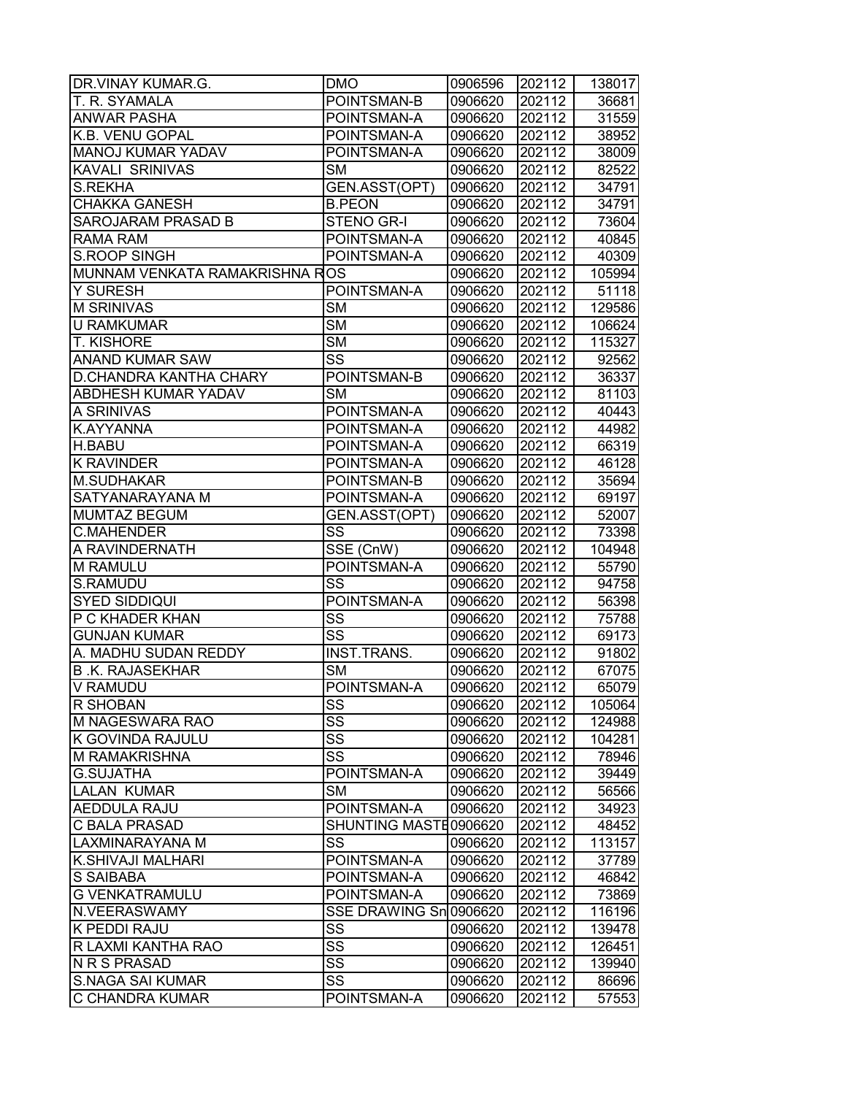| DR.VINAY KUMAR.G.              | <b>DMO</b>             | 0906596 | 202112 | 138017 |
|--------------------------------|------------------------|---------|--------|--------|
| T. R. SYAMALA                  | POINTSMAN-B            | 0906620 | 202112 | 36681  |
| <b>ANWAR PASHA</b>             | POINTSMAN-A            | 0906620 | 202112 | 31559  |
| K.B. VENU GOPAL                | POINTSMAN-A            | 0906620 | 202112 | 38952  |
| MANOJ KUMAR YADAV              | POINTSMAN-A            | 0906620 | 202112 | 38009  |
| KAVALI SRINIVAS                | <b>SM</b>              | 0906620 | 202112 | 82522  |
| <b>S.REKHA</b>                 | GEN.ASST(OPT)          | 0906620 | 202112 | 34791  |
| <b>CHAKKA GANESH</b>           | <b>B.PEON</b>          | 0906620 | 202112 | 34791  |
| <b>SAROJARAM PRASAD B</b>      | STENO GR-I             | 0906620 | 202112 | 73604  |
| RAMA RAM                       | POINTSMAN-A            | 0906620 | 202112 | 40845  |
| <b>S.ROOP SINGH</b>            | POINTSMAN-A            | 0906620 | 202112 | 40309  |
| MUNNAM VENKATA RAMAKRISHNA ROS |                        | 0906620 | 202112 | 105994 |
| Y SURESH                       | POINTSMAN-A            | 0906620 | 202112 | 51118  |
| <b>M SRINIVAS</b>              | <b>SM</b>              | 0906620 | 202112 | 129586 |
| <b>U RAMKUMAR</b>              | $\overline{\text{SM}}$ | 0906620 | 202112 | 106624 |
| <b>T. KISHORE</b>              | <b>SM</b>              | 0906620 | 202112 | 115327 |
| <b>ANAND KUMAR SAW</b>         | SS                     | 0906620 | 202112 | 92562  |
| <b>D.CHANDRA KANTHA CHARY</b>  | POINTSMAN-B            | 0906620 | 202112 | 36337  |
| <b>ABDHESH KUMAR YADAV</b>     | <b>SM</b>              | 0906620 | 202112 | 81103  |
| A SRINIVAS                     | POINTSMAN-A            | 0906620 | 202112 | 40443  |
| K.AYYANNA                      | POINTSMAN-A            | 0906620 | 202112 | 44982  |
| <b>H.BABU</b>                  | POINTSMAN-A            | 0906620 | 202112 | 66319  |
| <b>K RAVINDER</b>              | POINTSMAN-A            | 0906620 | 202112 | 46128  |
| <b>M.SUDHAKAR</b>              | POINTSMAN-B            | 0906620 | 202112 | 35694  |
| SATYANARAYANA M                | POINTSMAN-A            | 0906620 | 202112 | 69197  |
| <b>MUMTAZ BEGUM</b>            | GEN.ASST(OPT)          | 0906620 | 202112 | 52007  |
| <b>C.MAHENDER</b>              | $S\overline{S}$        | 0906620 | 202112 | 73398  |
| A RAVINDERNATH                 | SSE (CnW)              | 0906620 | 202112 | 104948 |
| M RAMULU                       | POINTSMAN-A            | 0906620 | 202112 | 55790  |
| S.RAMUDU                       | SS                     | 0906620 | 202112 | 94758  |
| <b>SYED SIDDIQUI</b>           | POINTSMAN-A            | 0906620 | 202112 | 56398  |
| P C KHADER KHAN                | SS                     | 0906620 | 202112 | 75788  |
| <b>GUNJAN KUMAR</b>            | $\overline{\text{SS}}$ | 0906620 | 202112 | 69173  |
| A. MADHU SUDAN REDDY           | <b>INST.TRANS.</b>     | 0906620 | 202112 | 91802  |
| <b>B.K. RAJASEKHAR</b>         | <b>SM</b>              | 0906620 | 202112 | 67075  |
| V RAMUDU                       | POINTSMAN-A            | 0906620 | 202112 | 65079  |
| R SHOBAN                       | SS                     | 0906620 | 202112 | 105064 |
| M NAGESWARA RAO                | $\overline{\text{SS}}$ | 0906620 | 202112 | 124988 |
| K GOVINDA RAJULU               | SS                     | 0906620 | 202112 | 104281 |
| M RAMAKRISHNA                  | $\overline{\text{SS}}$ | 0906620 | 202112 | 78946  |
| <b>G.SUJATHA</b>               | POINTSMAN-A            | 0906620 | 202112 | 39449  |
| <b>LALAN KUMAR</b>             | SM                     | 0906620 | 202112 | 56566  |
| <b>AEDDULA RAJU</b>            | POINTSMAN-A            | 0906620 | 202112 | 34923  |
| <b>C BALA PRASAD</b>           | SHUNTING MASTE0906620  |         | 202112 | 48452  |
| LAXMINARAYANA M                | SS                     | 0906620 | 202112 | 113157 |
| K.SHIVAJI MALHARI              | POINTSMAN-A            | 0906620 | 202112 | 37789  |
| S SAIBABA                      | POINTSMAN-A            | 0906620 | 202112 | 46842  |
| <b>G VENKATRAMULU</b>          | POINTSMAN-A            | 0906620 | 202112 | 73869  |
| N.VEERASWAMY                   | SSE DRAWING Sn 0906620 |         | 202112 | 116196 |
| K PEDDI RAJU                   | SS                     | 0906620 | 202112 | 139478 |
| R LAXMI KANTHA RAO             | $\overline{\text{SS}}$ | 0906620 | 202112 | 126451 |
| N R S PRASAD                   | SS                     | 0906620 | 202112 | 139940 |
| <b>S.NAGA SAI KUMAR</b>        | $\overline{\text{ss}}$ | 0906620 | 202112 | 86696  |
| C CHANDRA KUMAR                | POINTSMAN-A            | 0906620 | 202112 | 57553  |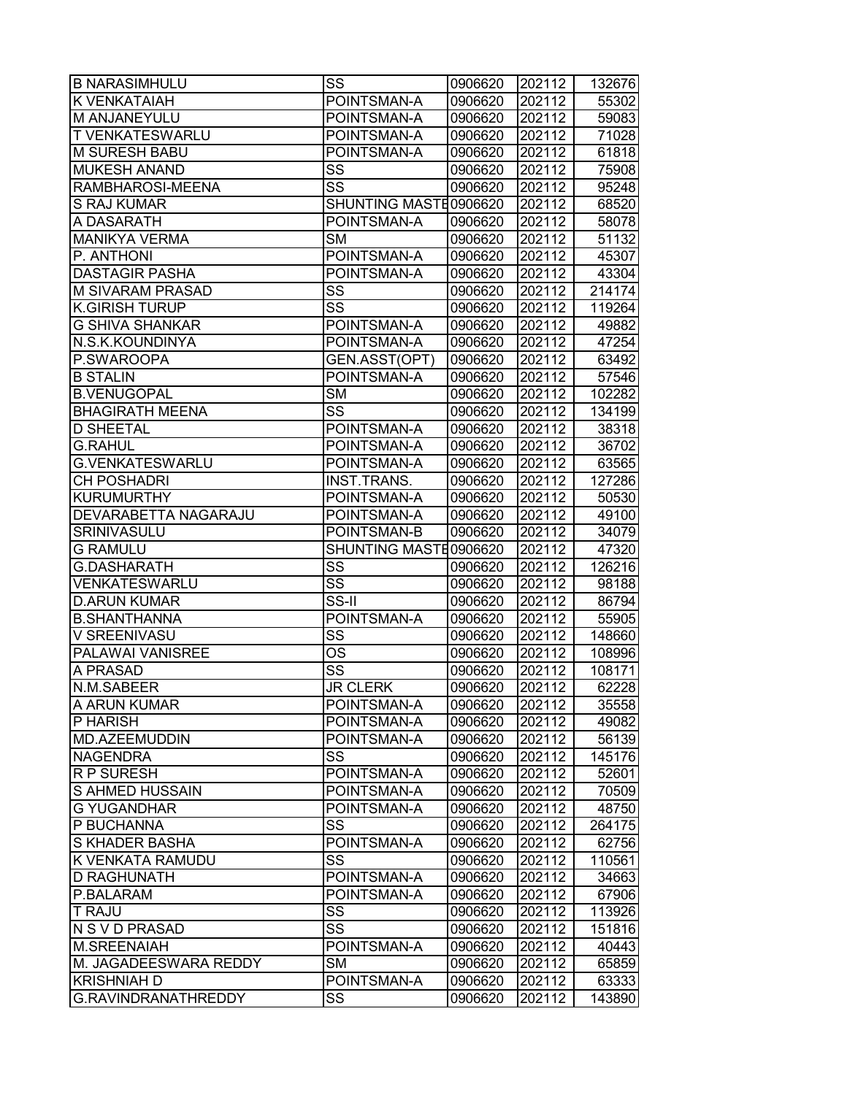| <b>B NARASIMHULU</b>        | SS                     | 0906620 | 202112 | 132676 |
|-----------------------------|------------------------|---------|--------|--------|
| K VENKATAIAH                | POINTSMAN-A            | 0906620 | 202112 | 55302  |
| M ANJANEYULU                | POINTSMAN-A            | 0906620 | 202112 | 59083  |
| T VENKATESWARLU             | POINTSMAN-A            | 0906620 | 202112 | 71028  |
| M SURESH BABU               | POINTSMAN-A            | 0906620 | 202112 | 61818  |
| <b>MUKESH ANAND</b>         | SS                     | 0906620 | 202112 | 75908  |
| RAMBHAROSI-MEENA            | SS                     | 0906620 | 202112 | 95248  |
| <b>S RAJ KUMAR</b>          | SHUNTING MASTE0906620  |         | 202112 | 68520  |
| A DASARATH                  | POINTSMAN-A            | 0906620 | 202112 | 58078  |
| <b>MANIKYA VERMA</b>        | <b>SM</b>              | 0906620 | 202112 | 51132  |
| P. ANTHONI                  | POINTSMAN-A            | 0906620 | 202112 | 45307  |
| <b>DASTAGIR PASHA</b>       | POINTSMAN-A            | 0906620 | 202112 | 43304  |
| M SIVARAM PRASAD            | $S\overline{S}$        | 0906620 | 202112 | 214174 |
| <b>K.GIRISH TURUP</b>       | SS                     | 0906620 | 202112 | 119264 |
| <b>G SHIVA SHANKAR</b>      | POINTSMAN-A            | 0906620 | 202112 | 49882  |
| N.S.K.KOUNDINYA             | POINTSMAN-A            | 0906620 | 202112 | 47254  |
| P.SWAROOPA                  | GEN.ASST(OPT)          | 0906620 | 202112 | 63492  |
| <b>B STALIN</b>             | POINTSMAN-A            | 0906620 | 202112 | 57546  |
| <b>B.VENUGOPAL</b>          | <b>SM</b>              | 0906620 | 202112 | 102282 |
| <b>BHAGIRATH MEENA</b>      | $\overline{\text{SS}}$ | 0906620 | 202112 | 134199 |
| <b>D SHEETAL</b>            | POINTSMAN-A            | 0906620 | 202112 | 38318  |
| <b>G.RAHUL</b>              | POINTSMAN-A            | 0906620 | 202112 | 36702  |
| <b>G.VENKATESWARLU</b>      | POINTSMAN-A            | 0906620 | 202112 | 63565  |
| <b>CH POSHADRI</b>          | <b>INST.TRANS.</b>     | 0906620 | 202112 | 127286 |
| <b>KURUMURTHY</b>           | POINTSMAN-A            | 0906620 | 202112 | 50530  |
| <b>DEVARABETTA NAGARAJU</b> | POINTSMAN-A            | 0906620 | 202112 | 49100  |
| SRINIVASULU                 | POINTSMAN-B            | 0906620 | 202112 | 34079  |
| <b>G RAMULU</b>             | SHUNTING MASTE0906620  |         | 202112 | 47320  |
| <b>G.DASHARATH</b>          | SS                     | 0906620 | 202112 | 126216 |
| VENKATESWARLU               | $\overline{\text{SS}}$ | 0906620 | 202112 | 98188  |
| <b>D.ARUN KUMAR</b>         | $SS-II$                | 0906620 | 202112 | 86794  |
| <b>B.SHANTHANNA</b>         | POINTSMAN-A            | 0906620 | 202112 | 55905  |
| V SREENIVASU                | $\overline{\text{SS}}$ | 0906620 | 202112 | 148660 |
| PALAWAI VANISREE            | $\overline{\text{OS}}$ | 0906620 | 202112 | 108996 |
| A PRASAD                    | $\overline{\text{SS}}$ | 0906620 | 202112 | 108171 |
| N.M.SABEER                  | <b>JR CLERK</b>        | 0906620 | 202112 | 62228  |
| A ARUN KUMAR                | POINTSMAN-A            | 0906620 | 202112 | 35558  |
| P HARISH                    | POINTSMAN-A            | 0906620 | 202112 | 49082  |
| MD.AZEEMUDDIN               | POINTSMAN-A            | 0906620 | 202112 | 56139  |
| <b>NAGENDRA</b>             | $S\overline{S}$        | 0906620 | 202112 | 145176 |
| <b>RP SURESH</b>            | POINTSMAN-A            | 0906620 | 202112 | 52601  |
| S AHMED HUSSAIN             | POINTSMAN-A            | 0906620 | 202112 | 70509  |
| <b>G YUGANDHAR</b>          | POINTSMAN-A            | 0906620 | 202112 | 48750  |
| P BUCHANNA                  | SS                     | 0906620 | 202112 | 264175 |
| S KHADER BASHA              | POINTSMAN-A            | 0906620 | 202112 | 62756  |
| K VENKATA RAMUDU            | SS                     | 0906620 | 202112 | 110561 |
| <b>D RAGHUNATH</b>          | POINTSMAN-A            | 0906620 | 202112 | 34663  |
| P.BALARAM                   | POINTSMAN-A            | 0906620 | 202112 | 67906  |
| T RAJU                      | SS                     | 0906620 | 202112 | 113926 |
| N S V D PRASAD              | SS                     | 0906620 | 202112 | 151816 |
| M.SREENAIAH                 | POINTSMAN-A            | 0906620 | 202112 | 40443  |
| M. JAGADEESWARA REDDY       | SМ                     | 0906620 | 202112 | 65859  |
| <b>KRISHNIAH D</b>          | POINTSMAN-A            | 0906620 | 202112 | 63333  |
| G.RAVINDRANATHREDDY         | SS                     | 0906620 | 202112 | 143890 |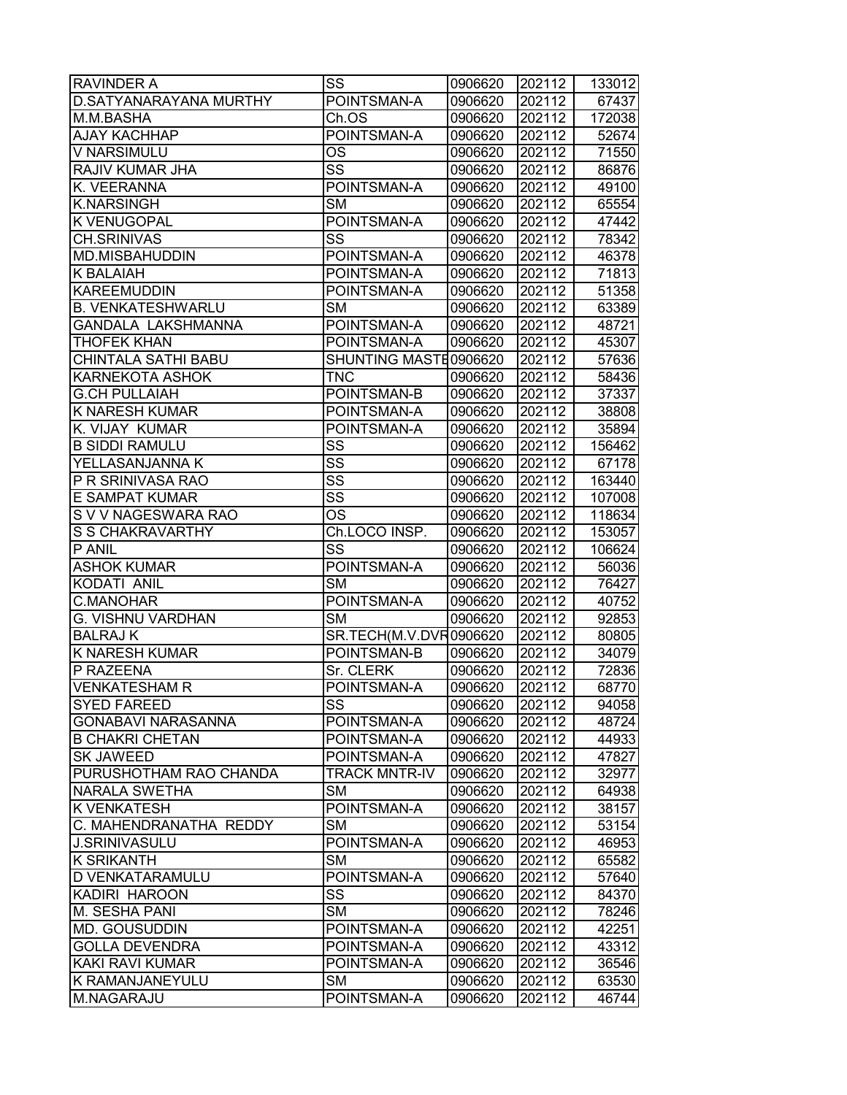| <b>RAVINDER A</b>                    | SS                       | 0906620 | 202112           | 133012 |
|--------------------------------------|--------------------------|---------|------------------|--------|
| D.SATYANARAYANA MURTHY               | POINTSMAN-A              | 0906620 | 202112           | 67437  |
| M.M.BASHA                            | Ch.OS                    | 0906620 | 202112           | 172038 |
| <b>AJAY KACHHAP</b>                  | POINTSMAN-A              | 0906620 | 202112           | 52674  |
| <b>V NARSIMULU</b>                   | <b>OS</b>                | 0906620 | 202112           | 71550  |
| <b>RAJIV KUMAR JHA</b>               | SS                       | 0906620 | 202112           | 86876  |
| K. VEERANNA                          | POINTSMAN-A              | 0906620 | 202112           | 49100  |
| <b>K.NARSINGH</b>                    | <b>SM</b>                | 0906620 | 202112           | 65554  |
| <b>K VENUGOPAL</b>                   | POINTSMAN-A              | 0906620 | 202112           | 47442  |
| <b>CH.SRINIVAS</b>                   | SS                       | 0906620 | 202112           | 78342  |
| <b>MD.MISBAHUDDIN</b>                | POINTSMAN-A              | 0906620 | 202112           | 46378  |
| <b>K BALAIAH</b>                     | POINTSMAN-A              | 0906620 | 202112           | 71813  |
| <b>KAREEMUDDIN</b>                   | POINTSMAN-A              | 0906620 | 202112           | 51358  |
| <b>B. VENKATESHWARLU</b>             | <b>SM</b>                | 0906620 | 202112           | 63389  |
| GANDALA LAKSHMANNA                   | POINTSMAN-A              | 0906620 | 202112           | 48721  |
| <b>THOFEK KHAN</b>                   | POINTSMAN-A              | 0906620 | 202112           | 45307  |
| <b>CHINTALA SATHI BABU</b>           | SHUNTING MASTE0906620    |         | 202112           | 57636  |
| <b>KARNEKOTA ASHOK</b>               | <b>TNC</b>               | 0906620 | 202112           | 58436  |
| <b>G.CH PULLAIAH</b>                 | POINTSMAN-B              | 0906620 | 202112           | 37337  |
| <b>K NARESH KUMAR</b>                | POINTSMAN-A              | 0906620 | 202112           | 38808  |
| K. VIJAY KUMAR                       | POINTSMAN-A              | 0906620 | 202112           | 35894  |
| <b>B SIDDI RAMULU</b>                | $\overline{\text{SS}}$   | 0906620 | 202112           | 156462 |
| YELLASANJANNA K                      | SS                       | 0906620 | 202112           | 67178  |
| P R SRINIVASA RAO                    | $\overline{\text{ss}}$   | 0906620 | 202112           | 163440 |
| <b>E SAMPAT KUMAR</b>                | $S\overline{S}$          | 0906620 | 202112           | 107008 |
| S V V NAGESWARA RAO                  | <b>OS</b>                | 0906620 | 202112           | 118634 |
| S S CHAKRAVARTHY                     | Ch.LOCO INSP.            | 0906620 | 202112           | 153057 |
| P ANIL                               | SS                       | 0906620 | 202112           | 106624 |
| <b>ASHOK KUMAR</b>                   | POINTSMAN-A              | 0906620 | 202112           | 56036  |
| KODATI ANIL                          | <b>SM</b>                | 0906620 | 202112           | 76427  |
| <b>C.MANOHAR</b>                     | POINTSMAN-A              | 0906620 | 202112           | 40752  |
| <b>G. VISHNU VARDHAN</b>             | <b>SM</b>                | 0906620 | 202112           | 92853  |
| <b>BALRAJK</b>                       | SR.TECH(M.V.DVR0906620   |         | 202112           | 80805  |
| <b>K NARESH KUMAR</b>                | POINTSMAN-B              | 0906620 | 202112           | 34079  |
| P RAZEENA                            | Sr. CLERK                | 0906620 | 202112           | 72836  |
| <b>VENKATESHAM R</b>                 | POINTSMAN-A              | 0906620 | 202112           | 68770  |
| <b>SYED FAREED</b>                   | SS                       | 0906620 | 202112           | 94058  |
| <b>GONABAVI NARASANNA</b>            | POINTSMAN-A              | 0906620 | 202112           | 48724  |
| <b>B CHAKRI CHETAN</b>               | POINTSMAN-A              | 0906620 | 202112           | 44933  |
| <b>SK JAWEED</b>                     | POINTSMAN-A              | 0906620 | 202112           | 47827  |
| PURUSHOTHAM RAO CHANDA               | <b>TRACK MNTR-IV</b>     | 0906620 | 202112           | 32977  |
| <b>NARALA SWETHA</b>                 | <b>SM</b>                | 0906620 | 202112           | 64938  |
| <b>K VENKATESH</b>                   | POINTSMAN-A              | 0906620 | 202112           | 38157  |
| C. MAHENDRANATHA REDDY               | <b>SM</b>                | 0906620 | 202112           | 53154  |
| <b>J.SRINIVASULU</b>                 | POINTSMAN-A              | 0906620 | 202112           | 46953  |
| <b>K SRIKANTH</b>                    | <b>SM</b>                | 0906620 | 202112           | 65582  |
| <b>D VENKATARAMULU</b>               | POINTSMAN-A              | 0906620 | 202112           | 57640  |
| KADIRI HAROON                        | SS                       | 0906620 | 202112           | 84370  |
| M. SESHA PANI                        | <b>SM</b>                | 0906620 | 202112           | 78246  |
| <b>MD. GOUSUDDIN</b>                 | POINTSMAN-A              | 0906620 | 202112           | 42251  |
| <b>GOLLA DEVENDRA</b>                | POINTSMAN-A              | 0906620 | 202112           | 43312  |
| <b>KAKI RAVI KUMAR</b>               | POINTSMAN-A              | 0906620 | 202112           | 36546  |
| <b>K RAMANJANEYULU</b><br>M.NAGARAJU | <b>SM</b><br>POINTSMAN-A | 0906620 | 202112<br>202112 | 63530  |
|                                      |                          | 0906620 |                  | 46744  |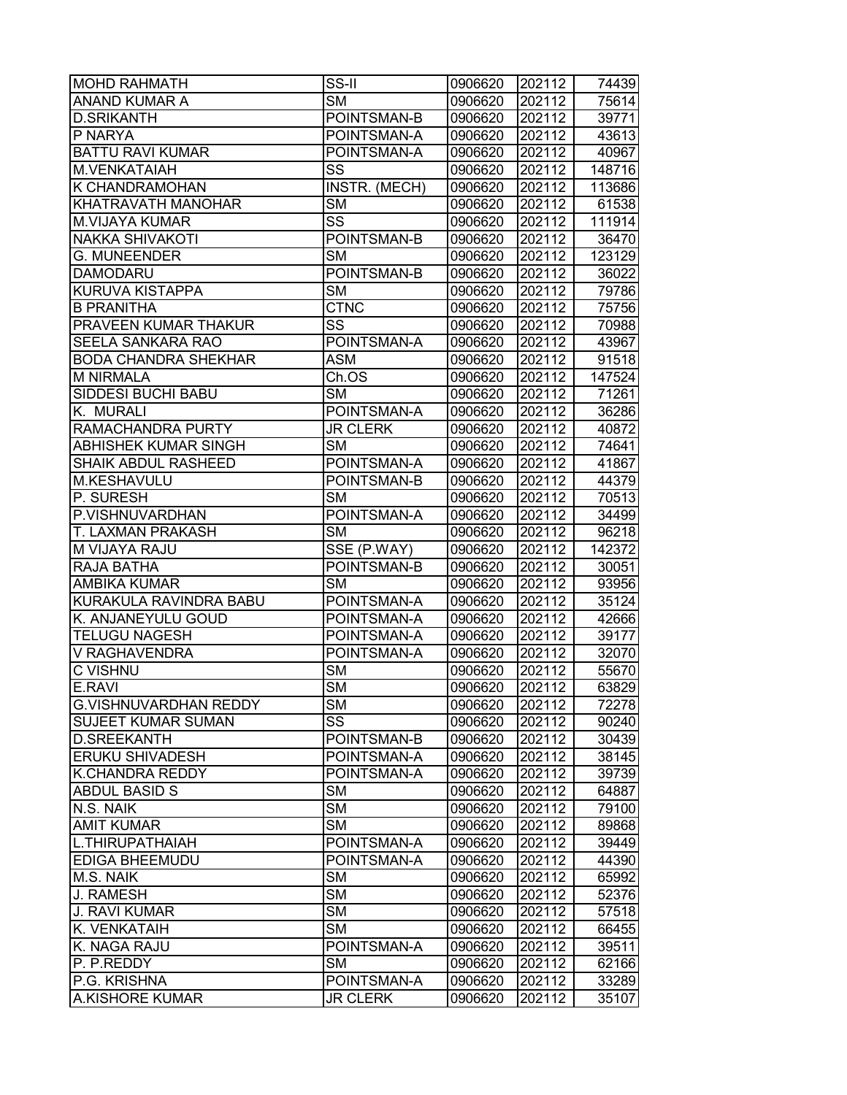| <b>MOHD RAHMATH</b>          | $\overline{\text{SS-I}}$ | 0906620 | 202112 | 74439  |
|------------------------------|--------------------------|---------|--------|--------|
| <b>ANAND KUMAR A</b>         | <b>SM</b>                | 0906620 | 202112 | 75614  |
| <b>D.SRIKANTH</b>            | POINTSMAN-B              | 0906620 | 202112 | 39771  |
| P NARYA                      | POINTSMAN-A              | 0906620 | 202112 | 43613  |
| <b>BATTU RAVI KUMAR</b>      | POINTSMAN-A              | 0906620 | 202112 | 40967  |
| M.VENKATAIAH                 | SS                       | 0906620 | 202112 | 148716 |
| K CHANDRAMOHAN               | INSTR. (MECH)            | 0906620 | 202112 | 113686 |
| KHATRAVATH MANOHAR           | <b>SM</b>                | 0906620 | 202112 | 61538  |
| <b>M.VIJAYA KUMAR</b>        | $\overline{\text{ss}}$   | 0906620 | 202112 | 111914 |
| <b>NAKKA SHIVAKOTI</b>       | POINTSMAN-B              | 0906620 | 202112 | 36470  |
| <b>G. MUNEENDER</b>          | <b>SM</b>                | 0906620 | 202112 | 123129 |
| <b>DAMODARU</b>              | POINTSMAN-B              | 0906620 | 202112 | 36022  |
| KURUVA KISTAPPA              | <b>SM</b>                | 0906620 | 202112 | 79786  |
| <b>B PRANITHA</b>            | <b>CTNC</b>              | 0906620 | 202112 | 75756  |
| PRAVEEN KUMAR THAKUR         | SS                       | 0906620 | 202112 | 70988  |
| SEELA SANKARA RAO            | POINTSMAN-A              | 0906620 | 202112 | 43967  |
| <b>BODA CHANDRA SHEKHAR</b>  | <b>ASM</b>               | 0906620 | 202112 | 91518  |
| <b>M NIRMALA</b>             | Ch.OS                    | 0906620 | 202112 | 147524 |
| <b>SIDDESI BUCHI BABU</b>    | <b>SM</b>                | 0906620 | 202112 | 71261  |
| K. MURALI                    | POINTSMAN-A              | 0906620 | 202112 | 36286  |
| RAMACHANDRA PURTY            | <b>JR CLERK</b>          | 0906620 | 202112 | 40872  |
| ABHISHEK KUMAR SINGH         | <b>SM</b>                | 0906620 | 202112 | 74641  |
| <b>SHAIK ABDUL RASHEED</b>   | POINTSMAN-A              | 0906620 | 202112 | 41867  |
| M.KESHAVULU                  | POINTSMAN-B              | 0906620 | 202112 | 44379  |
| P. SURESH                    | <b>SM</b>                | 0906620 | 202112 | 70513  |
| P.VISHNUVARDHAN              | POINTSMAN-A              | 0906620 | 202112 | 34499  |
| T. LAXMAN PRAKASH            | <b>SM</b>                | 0906620 | 202112 | 96218  |
| M VIJAYA RAJU                | SSE (P.WAY)              | 0906620 | 202112 | 142372 |
| RAJA BATHA                   | POINTSMAN-B              | 0906620 | 202112 | 30051  |
| <b>AMBIKA KUMAR</b>          | <b>SM</b>                | 0906620 | 202112 | 93956  |
| KURAKULA RAVINDRA BABU       | POINTSMAN-A              | 0906620 | 202112 | 35124  |
| K. ANJANEYULU GOUD           | POINTSMAN-A              | 0906620 | 202112 | 42666  |
| <b>TELUGU NAGESH</b>         | POINTSMAN-A              | 0906620 | 202112 | 39177  |
| V RAGHAVENDRA                | POINTSMAN-A              | 0906620 | 202112 | 32070  |
| <b>C VISHNU</b>              | <b>SM</b>                | 0906620 | 202112 | 55670  |
| E.RAVI                       | $\overline{\text{SM}}$   | 0906620 | 202112 | 63829  |
| <b>G.VISHNUVARDHAN REDDY</b> | <b>SM</b>                | 0906620 | 202112 | 72278  |
| <b>SUJEET KUMAR SUMAN</b>    | SS                       | 0906620 | 202112 | 90240  |
| <b>D.SREEKANTH</b>           | POINTSMAN-B              | 0906620 | 202112 | 30439  |
| ERUKU SHIVADESH              | POINTSMAN-A              | 0906620 | 202112 | 38145  |
| K.CHANDRA REDDY              | POINTSMAN-A              | 0906620 | 202112 | 39739  |
| <b>ABDUL BASID S</b>         | SM                       | 0906620 | 202112 | 64887  |
| N.S. NAIK                    | <b>SM</b>                | 0906620 | 202112 | 79100  |
| <b>AMIT KUMAR</b>            | <b>SM</b>                | 0906620 | 202112 | 89868  |
| L.THIRUPATHAIAH              | POINTSMAN-A              | 0906620 | 202112 | 39449  |
| EDIGA BHEEMUDU               | POINTSMAN-A              | 0906620 | 202112 | 44390  |
| M.S. NAIK                    | <b>SM</b>                | 0906620 | 202112 | 65992  |
| J. RAMESH                    | <b>SM</b>                | 0906620 | 202112 | 52376  |
| <b>J. RAVI KUMAR</b>         | <b>SM</b>                | 0906620 | 202112 | 57518  |
| K. VENKATAIH                 | <b>SM</b>                | 0906620 | 202112 | 66455  |
| K. NAGA RAJU                 | POINTSMAN-A              | 0906620 | 202112 | 39511  |
| P. P.REDDY                   | SM                       | 0906620 | 202112 | 62166  |
| P.G. KRISHNA                 | POINTSMAN-A              | 0906620 | 202112 | 33289  |
| A.KISHORE KUMAR              | <b>JR CLERK</b>          | 0906620 | 202112 | 35107  |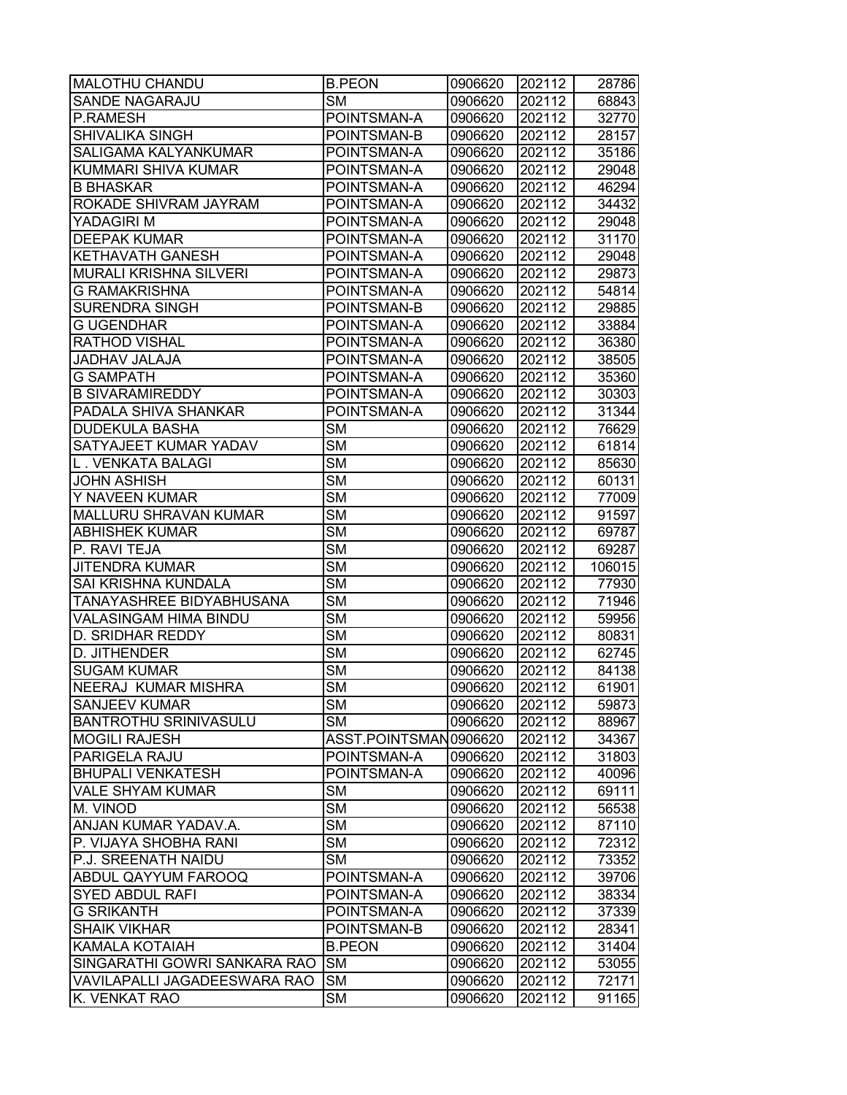| <b>MALOTHU CHANDU</b>           | <b>B.PEON</b>          | 0906620 | 202112 | 28786  |
|---------------------------------|------------------------|---------|--------|--------|
| <b>SANDE NAGARAJU</b>           | SM                     | 0906620 | 202112 | 68843  |
| P.RAMESH                        | POINTSMAN-A            | 0906620 | 202112 | 32770  |
| <b>SHIVALIKA SINGH</b>          | POINTSMAN-B            | 0906620 | 202112 | 28157  |
| <b>SALIGAMA KALYANKUMAR</b>     | POINTSMAN-A            | 0906620 | 202112 | 35186  |
| KUMMARI SHIVA KUMAR             | POINTSMAN-A            | 0906620 | 202112 | 29048  |
| <b>B BHASKAR</b>                | POINTSMAN-A            | 0906620 | 202112 | 46294  |
| ROKADE SHIVRAM JAYRAM           | POINTSMAN-A            | 0906620 | 202112 | 34432  |
| YADAGIRI M                      | POINTSMAN-A            | 0906620 | 202112 | 29048  |
| <b>DEEPAK KUMAR</b>             | POINTSMAN-A            | 0906620 | 202112 | 31170  |
| <b>KETHAVATH GANESH</b>         | POINTSMAN-A            | 0906620 | 202112 | 29048  |
| <b>MURALI KRISHNA SILVERI</b>   | POINTSMAN-A            | 0906620 | 202112 | 29873  |
| <b>G RAMAKRISHNA</b>            | POINTSMAN-A            | 0906620 | 202112 | 54814  |
| <b>SURENDRA SINGH</b>           | POINTSMAN-B            | 0906620 | 202112 | 29885  |
| <b>G UGENDHAR</b>               | POINTSMAN-A            | 0906620 | 202112 | 33884  |
| <b>RATHOD VISHAL</b>            | POINTSMAN-A            | 0906620 | 202112 | 36380  |
| <b>JADHAV JALAJA</b>            | POINTSMAN-A            | 0906620 | 202112 | 38505  |
| <b>G SAMPATH</b>                | POINTSMAN-A            | 0906620 | 202112 | 35360  |
| <b>B SIVARAMIREDDY</b>          | POINTSMAN-A            | 0906620 | 202112 | 30303  |
| PADALA SHIVA SHANKAR            | POINTSMAN-A            | 0906620 | 202112 | 31344  |
| <b>DUDEKULA BASHA</b>           | <b>SM</b>              | 0906620 | 202112 | 76629  |
| SATYAJEET KUMAR YADAV           | <b>SM</b>              | 0906620 | 202112 | 61814  |
| L . VENKATA BALAGI              | <b>SM</b>              | 0906620 | 202112 | 85630  |
| <b>JOHN ASHISH</b>              | <b>SM</b>              | 0906620 | 202112 | 60131  |
| Y NAVEEN KUMAR                  | <b>SM</b>              | 0906620 | 202112 | 77009  |
| <b>MALLURU SHRAVAN KUMAR</b>    | <b>SM</b>              | 0906620 | 202112 | 91597  |
| <b>ABHISHEK KUMAR</b>           | <b>SM</b>              | 0906620 | 202112 | 69787  |
| P. RAVI TEJA                    | <b>SM</b>              | 0906620 | 202112 | 69287  |
| <b>JITENDRA KUMAR</b>           | <b>SM</b>              | 0906620 | 202112 | 106015 |
| <b>SAI KRISHNA KUNDALA</b>      | <b>SM</b>              | 0906620 | 202112 | 77930  |
| <b>TANAYASHREE BIDYABHUSANA</b> | <b>SM</b>              | 0906620 | 202112 | 71946  |
| <b>VALASINGAM HIMA BINDU</b>    | <b>SM</b>              | 0906620 | 202112 | 59956  |
| <b>D. SRIDHAR REDDY</b>         | <b>SM</b>              | 0906620 | 202112 | 80831  |
| D. JITHENDER                    | <b>SM</b>              | 0906620 | 202112 | 62745  |
| <b>SUGAM KUMAR</b>              | <b>SM</b>              | 0906620 | 202112 | 84138  |
| <b>NEERAJ KUMAR MISHRA</b>      | $\overline{\text{SM}}$ | 0906620 | 202112 | 61901  |
| <b>SANJEEV KUMAR</b>            | <b>SM</b>              | 0906620 | 202112 | 59873  |
| <b>BANTROTHU SRINIVASULU</b>    | <b>SM</b>              | 0906620 | 202112 | 88967  |
| <b>MOGILI RAJESH</b>            | ASST.POINTSMAN0906620  |         | 202112 | 34367  |
| <b>PARIGELA RAJU</b>            | POINTSMAN-A            | 0906620 | 202112 | 31803  |
| <b>BHUPALI VENKATESH</b>        | POINTSMAN-A            | 0906620 | 202112 | 40096  |
| <b>VALE SHYAM KUMAR</b>         | <b>SM</b>              | 0906620 | 202112 | 69111  |
| M. VINOD                        | <b>SM</b>              | 0906620 | 202112 | 56538  |
| ANJAN KUMAR YADAV.A.            | <b>SM</b>              | 0906620 | 202112 | 87110  |
| P. VIJAYA SHOBHA RANI           | <b>SM</b>              | 0906620 | 202112 | 72312  |
| P.J. SREENATH NAIDU             | <b>SM</b>              | 0906620 | 202112 | 73352  |
| <b>ABDUL QAYYUM FAROOQ</b>      | POINTSMAN-A            | 0906620 | 202112 | 39706  |
| <b>SYED ABDUL RAFI</b>          | POINTSMAN-A            | 0906620 | 202112 | 38334  |
| <b>G SRIKANTH</b>               | POINTSMAN-A            | 0906620 | 202112 | 37339  |
| <b>SHAIK VIKHAR</b>             | POINTSMAN-B            | 0906620 | 202112 | 28341  |
| <b>KAMALA KOTAIAH</b>           | <b>B.PEON</b>          | 0906620 | 202112 | 31404  |
| SINGARATHI GOWRI SANKARA RAO    | <b>SM</b>              | 0906620 | 202112 | 53055  |
| VAVILAPALLI JAGADEESWARA RAO    | <b>SM</b>              | 0906620 | 202112 | 72171  |
| K. VENKAT RAO                   | <b>SM</b>              | 0906620 | 202112 | 91165  |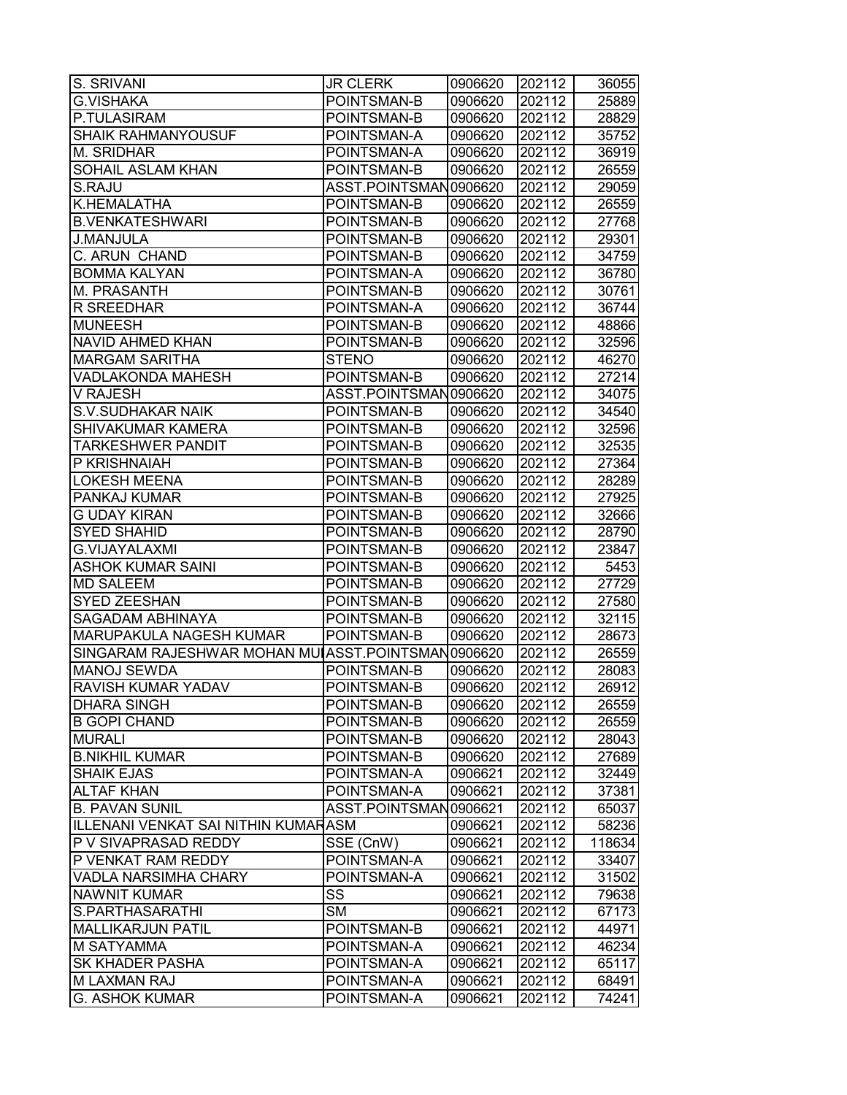| S. SRIVANI                                        | <b>JR CLERK</b>               | 0906620 | 202112 | 36055  |
|---------------------------------------------------|-------------------------------|---------|--------|--------|
| <b>G.VISHAKA</b>                                  | POINTSMAN-B                   | 0906620 | 202112 | 25889  |
| P.TULASIRAM                                       | POINTSMAN-B                   | 0906620 | 202112 | 28829  |
| <b>SHAIK RAHMANYOUSUF</b>                         | POINTSMAN-A                   | 0906620 | 202112 | 35752  |
| M. SRIDHAR                                        | POINTSMAN-A                   | 0906620 | 202112 | 36919  |
| <b>SOHAIL ASLAM KHAN</b>                          | POINTSMAN-B                   | 0906620 | 202112 | 26559  |
| S.RAJU                                            | ASST.POINTSMAN0906620         |         | 202112 | 29059  |
| K.HEMALATHA                                       | POINTSMAN-B                   | 0906620 | 202112 | 26559  |
| <b>B.VENKATESHWARI</b>                            | POINTSMAN-B                   | 0906620 | 202112 | 27768  |
| <b>J.MANJULA</b>                                  | POINTSMAN-B                   | 0906620 | 202112 | 29301  |
| C. ARUN CHAND                                     | POINTSMAN-B                   | 0906620 | 202112 | 34759  |
| <b>BOMMA KALYAN</b>                               | POINTSMAN-A                   | 0906620 | 202112 | 36780  |
| M. PRASANTH                                       | POINTSMAN-B                   | 0906620 | 202112 | 30761  |
| R SREEDHAR                                        | POINTSMAN-A                   | 0906620 | 202112 | 36744  |
| <b>MUNEESH</b>                                    | POINTSMAN-B                   | 0906620 | 202112 | 48866  |
| NAVID AHMED KHAN                                  | POINTSMAN-B                   | 0906620 | 202112 | 32596  |
| <b>MARGAM SARITHA</b>                             | <b>STENO</b>                  | 0906620 | 202112 | 46270  |
| VADLAKONDA MAHESH                                 | POINTSMAN-B                   | 0906620 | 202112 | 27214  |
| <b>V RAJESH</b>                                   | ASST.POINTSMAN0906620         |         | 202112 | 34075  |
| <b>S.V.SUDHAKAR NAIK</b>                          | POINTSMAN-B                   | 0906620 | 202112 | 34540  |
| SHIVAKUMAR KAMERA                                 | POINTSMAN-B                   | 0906620 | 202112 | 32596  |
| <b>TARKESHWER PANDIT</b>                          | POINTSMAN-B                   | 0906620 | 202112 | 32535  |
| P KRISHNAIAH                                      | POINTSMAN-B                   | 0906620 | 202112 | 27364  |
| <b>LOKESH MEENA</b>                               | POINTSMAN-B                   | 0906620 | 202112 | 28289  |
| PANKAJ KUMAR                                      | POINTSMAN-B                   | 0906620 | 202112 | 27925  |
| <b>G UDAY KIRAN</b>                               | POINTSMAN-B                   | 0906620 | 202112 | 32666  |
| <b>SYED SHAHID</b>                                | POINTSMAN-B                   | 0906620 | 202112 | 28790  |
| <b>G.VIJAYALAXMI</b>                              | POINTSMAN-B                   | 0906620 | 202112 | 23847  |
| ASHOK KUMAR SAINI                                 | POINTSMAN-B                   | 0906620 | 202112 | 5453   |
| <b>MD SALEEM</b>                                  | POINTSMAN-B                   | 0906620 | 202112 | 27729  |
| <b>SYED ZEESHAN</b>                               | POINTSMAN-B                   | 0906620 | 202112 | 27580  |
| SAGADAM ABHINAYA                                  | POINTSMAN-B                   | 0906620 | 202112 | 32115  |
| MARUPAKULA NAGESH KUMAR                           | POINTSMAN-B                   | 0906620 | 202112 | 28673  |
| SINGARAM RAJESHWAR MOHAN MULASST.POINTSMAN0906620 |                               |         | 202112 | 26559  |
| <b>MANOJ SEWDA</b>                                | POINTSMAN-B                   | 0906620 | 202112 | 28083  |
| RAVISH KUMAR YADAV                                | POINTSMAN-B                   | 0906620 | 202112 | 26912  |
| <b>DHARA SINGH</b>                                | POINTSMAN-B                   | 0906620 | 202112 | 26559  |
| <b>B GOPI CHAND</b>                               | POINTSMAN-B                   | 0906620 | 202112 | 26559  |
| <b>MURALI</b>                                     | POINTSMAN-B                   | 0906620 | 202112 | 28043  |
| <b>B.NIKHIL KUMAR</b>                             | POINTSMAN-B                   | 0906620 | 202112 | 27689  |
| <b>SHAIK EJAS</b>                                 | POINTSMAN-A                   | 0906621 | 202112 | 32449  |
| <b>ALTAF KHAN</b>                                 | POINTSMAN-A                   | 0906621 | 202112 | 37381  |
| <b>B. PAVAN SUNIL</b>                             | ASST.POINTSMAN0906621         |         | 202112 | 65037  |
| <b>ILLENANI VENKAT SAI NITHIN KUMARASM</b>        |                               | 0906621 | 202112 | 58236  |
| P V SIVAPRASAD REDDY                              | $\overline{\text{SSE}}$ (CnW) | 0906621 | 202112 | 118634 |
| P VENKAT RAM REDDY                                | POINTSMAN-A                   | 0906621 | 202112 | 33407  |
| <b>VADLA NARSIMHA CHARY</b>                       | POINTSMAN-A                   | 0906621 | 202112 | 31502  |
| <b>NAWNIT KUMAR</b>                               | SS                            | 0906621 | 202112 | 79638  |
| S.PARTHASARATHI                                   | <b>SM</b>                     | 0906621 | 202112 | 67173  |
| <b>MALLIKARJUN PATIL</b>                          | POINTSMAN-B                   | 0906621 | 202112 | 44971  |
| M SATYAMMA                                        | POINTSMAN-A                   | 0906621 | 202112 | 46234  |
| <b>SK KHADER PASHA</b>                            | POINTSMAN-A                   | 0906621 | 202112 | 65117  |
| M LAXMAN RAJ                                      | POINTSMAN-A                   | 0906621 | 202112 | 68491  |
| <b>G. ASHOK KUMAR</b>                             | POINTSMAN-A                   | 0906621 | 202112 | 74241  |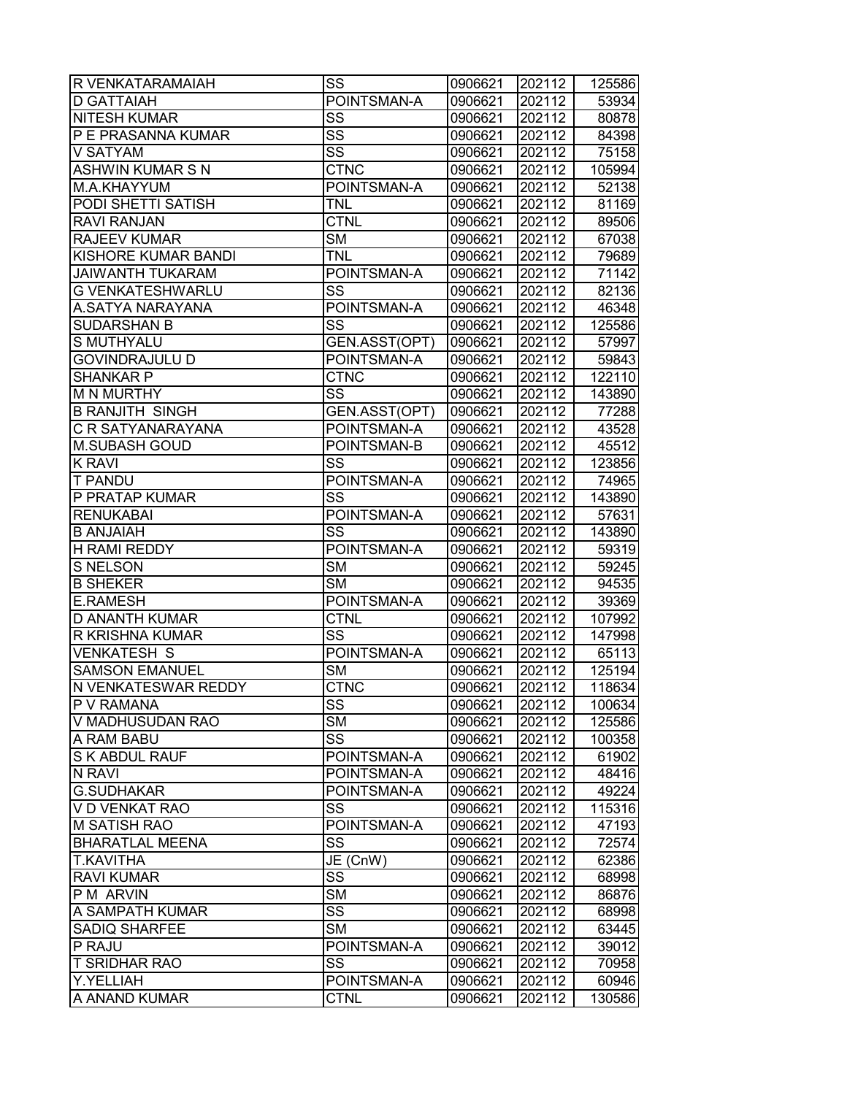| R VENKATARAMAIAH           | SS                     | 0906621 | 202112 | 125586 |
|----------------------------|------------------------|---------|--------|--------|
| <b>D GATTAIAH</b>          | POINTSMAN-A            | 0906621 | 202112 | 53934  |
| <b>NITESH KUMAR</b>        | SS                     | 0906621 | 202112 | 80878  |
| P E PRASANNA KUMAR         | SS                     | 0906621 | 202112 | 84398  |
| V SATYAM                   | SS                     | 0906621 | 202112 | 75158  |
| <b>ASHWIN KUMAR S N</b>    | <b>CTNC</b>            | 0906621 | 202112 | 105994 |
| M.A.KHAYYUM                | POINTSMAN-A            | 0906621 | 202112 | 52138  |
| PODI SHETTI SATISH         | <b>TNL</b>             | 0906621 | 202112 | 81169  |
| <b>RAVI RANJAN</b>         | <b>CTNL</b>            | 0906621 | 202112 | 89506  |
| <b>RAJEEV KUMAR</b>        | <b>SM</b>              | 0906621 | 202112 | 67038  |
| <b>KISHORE KUMAR BANDI</b> | <b>TNL</b>             | 0906621 | 202112 | 79689  |
| <b>JAIWANTH TUKARAM</b>    | POINTSMAN-A            | 0906621 | 202112 | 71142  |
| <b>G VENKATESHWARLU</b>    | SS                     | 0906621 | 202112 | 82136  |
| A.SATYA NARAYANA           | POINTSMAN-A            | 0906621 | 202112 | 46348  |
| <b>SUDARSHAN B</b>         | SS                     | 0906621 | 202112 | 125586 |
| S MUTHYALU                 | GEN.ASST(OPT)          | 0906621 | 202112 | 57997  |
| <b>GOVINDRAJULU D</b>      | POINTSMAN-A            | 0906621 | 202112 | 59843  |
| <b>SHANKAR P</b>           | <b>CTNC</b>            | 0906621 | 202112 | 122110 |
| <b>M N MURTHY</b>          | SS                     | 0906621 | 202112 | 143890 |
| <b>B RANJITH SINGH</b>     | GEN.ASST(OPT)          | 0906621 | 202112 | 77288  |
| C R SATYANARAYANA          | POINTSMAN-A            | 0906621 | 202112 | 43528  |
| <b>M.SUBASH GOUD</b>       | POINTSMAN-B            | 0906621 | 202112 | 45512  |
| <b>K RAVI</b>              | SS                     | 0906621 | 202112 | 123856 |
| <b>T PANDU</b>             | POINTSMAN-A            | 0906621 | 202112 | 74965  |
| P PRATAP KUMAR             | SS                     | 0906621 | 202112 | 143890 |
| <b>RENUKABAI</b>           | POINTSMAN-A            | 0906621 | 202112 | 57631  |
| <b>B ANJAIAH</b>           | SS                     | 0906621 | 202112 | 143890 |
| <b>H RAMI REDDY</b>        | POINTSMAN-A            | 0906621 | 202112 | 59319  |
| S NELSON                   | <b>SM</b>              | 0906621 | 202112 | 59245  |
| <b>B SHEKER</b>            | <b>SM</b>              | 0906621 | 202112 | 94535  |
| <b>E.RAMESH</b>            | POINTSMAN-A            | 0906621 | 202112 | 39369  |
| <b>D ANANTH KUMAR</b>      | <b>CTNL</b>            | 0906621 | 202112 | 107992 |
| <b>R KRISHNA KUMAR</b>     | SS                     | 0906621 | 202112 | 147998 |
| <b>VENKATESH S</b>         | POINTSMAN-A            | 0906621 | 202112 | 65113  |
| <b>SAMSON EMANUEL</b>      | <b>SM</b>              | 0906621 | 202112 | 125194 |
| <b>N VENKATESWAR REDDY</b> | <b>CTNC</b>            | 0906621 | 202112 | 118634 |
| <b>P V RAMANA</b>          | SS                     | 0906621 | 202112 | 100634 |
| V MADHUSUDAN RAO           | <b>SM</b>              | 0906621 | 202112 | 125586 |
| A RAM BABU                 | SS                     | 0906621 | 202112 | 100358 |
| <b>S K ABDUL RAUF</b>      | POINTSMAN-A            | 0906621 | 202112 | 61902  |
| N RAVI                     | POINTSMAN-A            | 0906621 | 202112 | 48416  |
| <b>G.SUDHAKAR</b>          | POINTSMAN-A            | 0906621 | 202112 | 49224  |
| V D VENKAT RAO             | SS                     | 0906621 | 202112 | 115316 |
| M SATISH RAO               | POINTSMAN-A            | 0906621 | 202112 | 47193  |
| <b>BHARATLAL MEENA</b>     | SS                     | 0906621 | 202112 | 72574  |
| <b>T.KAVITHA</b>           | JE (CnW)               | 0906621 | 202112 | 62386  |
| <b>RAVI KUMAR</b>          | $\overline{\text{SS}}$ | 0906621 | 202112 | 68998  |
| P M ARVIN                  | <b>SM</b>              | 0906621 | 202112 | 86876  |
| A SAMPATH KUMAR            | SS                     | 0906621 | 202112 | 68998  |
| <b>SADIQ SHARFEE</b>       | <b>SM</b>              | 0906621 | 202112 | 63445  |
| P RAJU                     | POINTSMAN-A            | 0906621 | 202112 | 39012  |
| <b>T SRIDHAR RAO</b>       | SS                     | 0906621 | 202112 | 70958  |
| Y.YELLIAH                  | POINTSMAN-A            | 0906621 | 202112 | 60946  |
| A ANAND KUMAR              | <b>CTNL</b>            | 0906621 | 202112 | 130586 |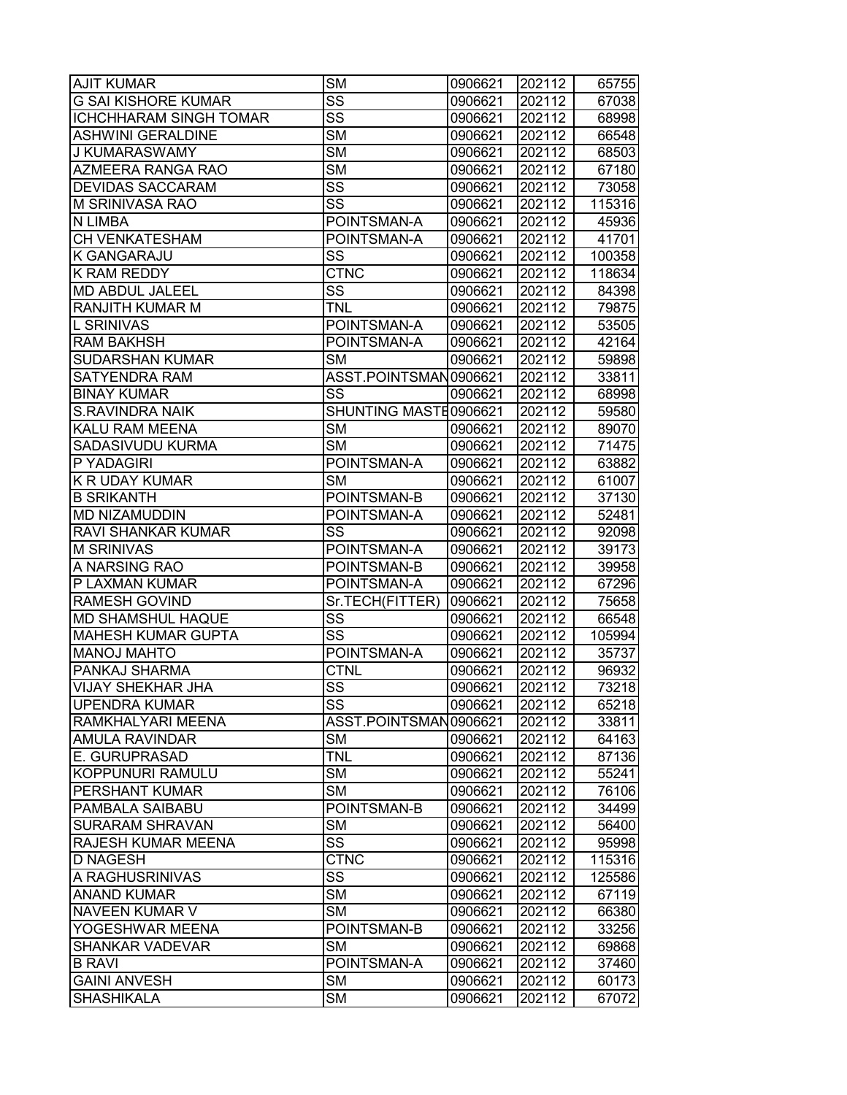| <b>AJIT KUMAR</b>             | <b>SM</b>              | 0906621 | 202112 | 65755  |
|-------------------------------|------------------------|---------|--------|--------|
| <b>G SAI KISHORE KUMAR</b>    | $\overline{\text{SS}}$ | 0906621 | 202112 | 67038  |
| <b>ICHCHHARAM SINGH TOMAR</b> | $\overline{\text{ss}}$ | 0906621 | 202112 | 68998  |
| <b>ASHWINI GERALDINE</b>      | <b>SM</b>              | 0906621 | 202112 | 66548  |
| J KUMARASWAMY                 | $\overline{\text{SM}}$ | 0906621 | 202112 | 68503  |
| AZMEERA RANGA RAO             | <b>SM</b>              | 0906621 | 202112 | 67180  |
| <b>DEVIDAS SACCARAM</b>       | SS                     | 0906621 | 202112 | 73058  |
| M SRINIVASA RAO               | $\overline{\text{SS}}$ | 0906621 | 202112 | 115316 |
| N LIMBA                       | POINTSMAN-A            | 0906621 | 202112 | 45936  |
| CH VENKATESHAM                | POINTSMAN-A            | 0906621 | 202112 | 41701  |
| K GANGARAJU                   | SS                     | 0906621 | 202112 | 100358 |
| K RAM REDDY                   | <b>CTNC</b>            | 0906621 | 202112 | 118634 |
| MD ABDUL JALEEL               | SS                     | 0906621 | 202112 | 84398  |
| RANJITH KUMAR M               | <b>TNL</b>             | 0906621 | 202112 | 79875  |
| L SRINIVAS                    | POINTSMAN-A            | 0906621 | 202112 | 53505  |
| RAM BAKHSH                    | POINTSMAN-A            | 0906621 | 202112 | 42164  |
| <b>SUDARSHAN KUMAR</b>        | <b>SM</b>              | 0906621 | 202112 | 59898  |
| <b>SATYENDRA RAM</b>          | ASST.POINTSMAN0906621  |         | 202112 | 33811  |
| <b>BINAY KUMAR</b>            | SS                     | 0906621 | 202112 | 68998  |
| <b>S.RAVINDRA NAIK</b>        | SHUNTING MASTE0906621  |         | 202112 | 59580  |
| KALU RAM MEENA                | <b>SM</b>              | 0906621 | 202112 | 89070  |
| SADASIVUDU KURMA              | <b>SM</b>              | 0906621 | 202112 | 71475  |
| P YADAGIRI                    | POINTSMAN-A            | 0906621 | 202112 | 63882  |
| K R UDAY KUMAR                | <b>SM</b>              | 0906621 | 202112 | 61007  |
| <b>B SRIKANTH</b>             | POINTSMAN-B            | 0906621 | 202112 | 37130  |
| MD NIZAMUDDIN                 | POINTSMAN-A            | 0906621 | 202112 | 52481  |
| RAVI SHANKAR KUMAR            | SS                     | 0906621 | 202112 | 92098  |
| <b>M SRINIVAS</b>             | POINTSMAN-A            | 0906621 | 202112 | 39173  |
| A NARSING RAO                 | POINTSMAN-B            | 0906621 | 202112 | 39958  |
| P LAXMAN KUMAR                | POINTSMAN-A            | 0906621 | 202112 | 67296  |
| RAMESH GOVIND                 | Sr.TECH(FITTER)        | 0906621 | 202112 | 75658  |
| MD SHAMSHUL HAQUE             | SS                     | 0906621 | 202112 | 66548  |
| <b>MAHESH KUMAR GUPTA</b>     | $\overline{\text{SS}}$ | 0906621 | 202112 | 105994 |
| <b>MANOJ MAHTO</b>            | POINTSMAN-A            | 0906621 | 202112 | 35737  |
| PANKAJ SHARMA                 | <b>CTNL</b>            | 0906621 | 202112 | 96932  |
| <b>VIJAY SHEKHAR JHA</b>      | $\overline{\text{SS}}$ | 0906621 | 202112 | 73218  |
| <b>UPENDRA KUMAR</b>          | SS                     | 0906621 | 202112 | 65218  |
| RAMKHALYARI MEENA             | ASST.POINTSMAN0906621  |         | 202112 | 33811  |
| <b>AMULA RAVINDAR</b>         | <b>SM</b>              | 0906621 | 202112 | 64163  |
| E. GURUPRASAD                 | <b>TNL</b>             | 0906621 | 202112 | 87136  |
| KOPPUNURI RAMULU              | <b>SM</b>              | 0906621 | 202112 | 55241  |
| PERSHANT KUMAR                | <b>SM</b>              | 0906621 | 202112 | 76106  |
| PAMBALA SAIBABU               | POINTSMAN-B            | 0906621 | 202112 | 34499  |
| <b>SURARAM SHRAVAN</b>        | <b>SM</b>              | 0906621 | 202112 | 56400  |
| RAJESH KUMAR MEENA            | <b>SS</b>              | 0906621 | 202112 | 95998  |
| <b>D NAGESH</b>               | <b>CTNC</b>            | 0906621 | 202112 | 115316 |
| A RAGHUSRINIVAS               | $\overline{\text{SS}}$ | 0906621 | 202112 | 125586 |
| <b>ANAND KUMAR</b>            | <b>SM</b>              | 0906621 | 202112 | 67119  |
| NAVEEN KUMAR V                | <b>SM</b>              | 0906621 | 202112 | 66380  |
| YOGESHWAR MEENA               | POINTSMAN-B            | 0906621 | 202112 | 33256  |
| <b>SHANKAR VADEVAR</b>        | SM                     | 0906621 | 202112 | 69868  |
| <b>B RAVI</b>                 | POINTSMAN-A            | 0906621 | 202112 | 37460  |
| <b>GAINI ANVESH</b>           | <b>SM</b>              | 0906621 | 202112 | 60173  |
| <b>SHASHIKALA</b>             | <b>SM</b>              | 0906621 | 202112 | 67072  |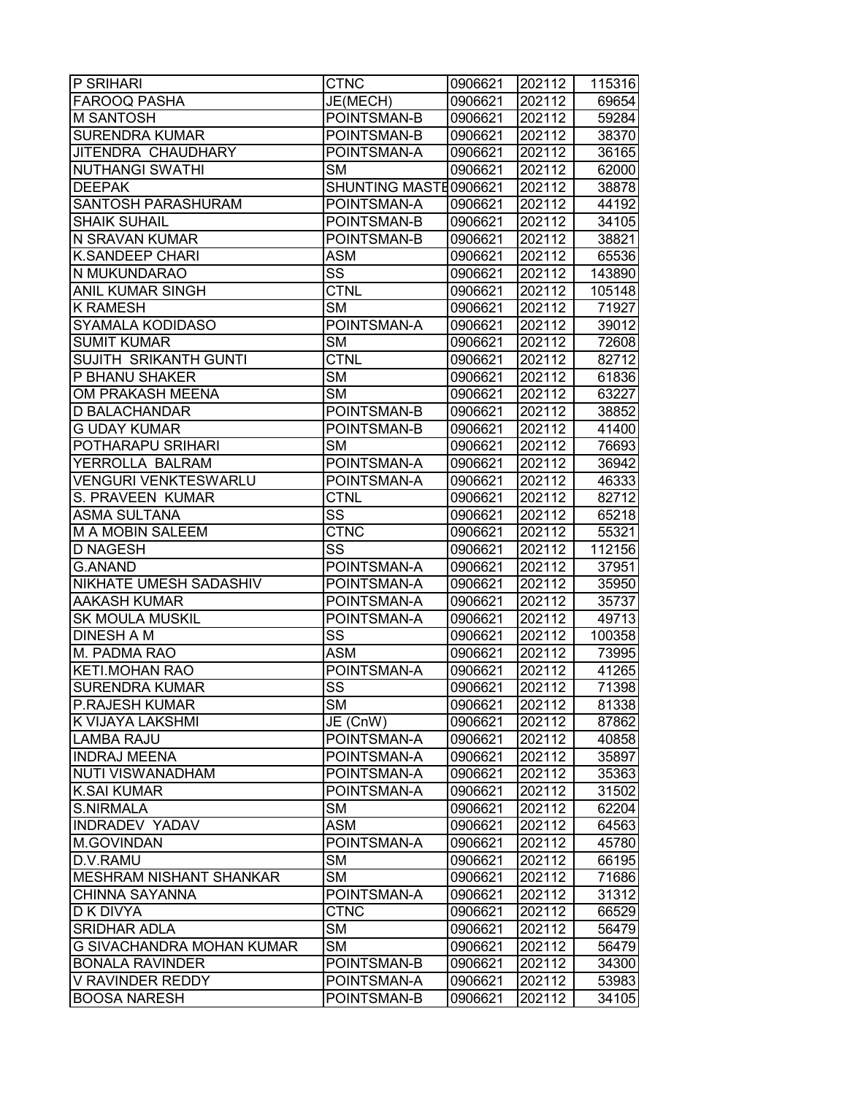| <b>P SRIHARI</b>                 | <b>CTNC</b>            | 0906621 | 202112 | 115316 |
|----------------------------------|------------------------|---------|--------|--------|
| <b>FAROOQ PASHA</b>              | JE(MECH)               | 0906621 | 202112 | 69654  |
| <b>M SANTOSH</b>                 | POINTSMAN-B            | 0906621 | 202112 | 59284  |
| <b>SURENDRA KUMAR</b>            | POINTSMAN-B            | 0906621 | 202112 | 38370  |
| JITENDRA CHAUDHARY               | POINTSMAN-A            | 0906621 | 202112 | 36165  |
| <b>NUTHANGI SWATHI</b>           | <b>SM</b>              | 0906621 | 202112 | 62000  |
| <b>DEEPAK</b>                    | SHUNTING MASTE0906621  |         | 202112 | 38878  |
| <b>SANTOSH PARASHURAM</b>        | POINTSMAN-A            | 0906621 | 202112 | 44192  |
| <b>SHAIK SUHAIL</b>              | POINTSMAN-B            | 0906621 | 202112 | 34105  |
| N SRAVAN KUMAR                   | POINTSMAN-B            | 0906621 | 202112 | 38821  |
| <b>K.SANDEEP CHARI</b>           | <b>ASM</b>             | 0906621 | 202112 | 65536  |
| N MUKUNDARAO                     | $\overline{\text{SS}}$ | 0906621 | 202112 | 143890 |
| <b>ANIL KUMAR SINGH</b>          | <b>CTNL</b>            | 0906621 | 202112 | 105148 |
| <b>K RAMESH</b>                  | <b>SM</b>              | 0906621 | 202112 | 71927  |
| <b>SYAMALA KODIDASO</b>          | POINTSMAN-A            | 0906621 | 202112 | 39012  |
| <b>SUMIT KUMAR</b>               | <b>SM</b>              | 0906621 | 202112 | 72608  |
| <b>SUJITH SRIKANTH GUNTI</b>     | <b>CTNL</b>            | 0906621 | 202112 | 82712  |
| P BHANU SHAKER                   | <b>SM</b>              | 0906621 | 202112 | 61836  |
| OM PRAKASH MEENA                 | <b>SM</b>              | 0906621 | 202112 | 63227  |
| <b>D BALACHANDAR</b>             | POINTSMAN-B            | 0906621 | 202112 | 38852  |
| <b>G UDAY KUMAR</b>              | POINTSMAN-B            | 0906621 | 202112 | 41400  |
| <b>POTHARAPU SRIHARI</b>         | <b>SM</b>              | 0906621 | 202112 | 76693  |
| YERROLLA BALRAM                  | POINTSMAN-A            | 0906621 | 202112 | 36942  |
| <b>VENGURI VENKTESWARLU</b>      | POINTSMAN-A            | 0906621 | 202112 | 46333  |
| <b>S. PRAVEEN KUMAR</b>          | <b>CTNL</b>            | 0906621 | 202112 | 82712  |
| <b>ASMA SULTANA</b>              | SS                     | 0906621 | 202112 | 65218  |
| <b>M A MOBIN SALEEM</b>          | <b>CTNC</b>            | 0906621 | 202112 | 55321  |
| <b>D NAGESH</b>                  | SS                     | 0906621 | 202112 | 112156 |
| G.ANAND                          | POINTSMAN-A            | 0906621 | 202112 | 37951  |
| <b>NIKHATE UMESH SADASHIV</b>    | POINTSMAN-A            | 0906621 | 202112 | 35950  |
| <b>AAKASH KUMAR</b>              | POINTSMAN-A            | 0906621 | 202112 | 35737  |
| <b>SK MOULA MUSKIL</b>           | POINTSMAN-A            | 0906621 | 202112 | 49713  |
| <b>DINESH A M</b>                | $\overline{\text{SS}}$ | 0906621 | 202112 | 100358 |
| M. PADMA RAO                     | <b>ASM</b>             | 0906621 | 202112 | 73995  |
| <b>KETI.MOHAN RAO</b>            | POINTSMAN-A            | 0906621 | 202112 | 41265  |
| <b>SURENDRA KUMAR</b>            | $\overline{\text{SS}}$ | 0906621 | 202112 | 71398  |
| <b>P.RAJESH KUMAR</b>            | <b>SM</b>              | 0906621 | 202112 | 81338  |
| K VIJAYA LAKSHMI                 | JE (CnW)               | 0906621 | 202112 | 87862  |
| <b>LAMBA RAJU</b>                | POINTSMAN-A            | 0906621 | 202112 | 40858  |
| <b>INDRAJ MEENA</b>              | POINTSMAN-A            | 0906621 | 202112 | 35897  |
| <b>NUTI VISWANADHAM</b>          | POINTSMAN-A            | 0906621 | 202112 | 35363  |
| <b>K.SAI KUMAR</b>               | POINTSMAN-A            | 0906621 | 202112 | 31502  |
| <b>S.NIRMALA</b>                 | <b>SM</b>              | 0906621 | 202112 | 62204  |
| <b>INDRADEV YADAV</b>            | <b>ASM</b>             | 0906621 | 202112 | 64563  |
| M.GOVINDAN                       | POINTSMAN-A            | 0906621 | 202112 | 45780  |
| D.V.RAMU                         | <b>SM</b>              | 0906621 | 202112 | 66195  |
| <b>MESHRAM NISHANT SHANKAR</b>   | <b>SM</b>              | 0906621 | 202112 | 71686  |
| <b>CHINNA SAYANNA</b>            | POINTSMAN-A            | 0906621 | 202112 | 31312  |
| <b>D K DIVYA</b>                 | <b>CTNC</b>            | 0906621 | 202112 | 66529  |
| <b>SRIDHAR ADLA</b>              | <b>SM</b>              | 0906621 | 202112 | 56479  |
| <b>G SIVACHANDRA MOHAN KUMAR</b> | <b>SM</b>              | 0906621 | 202112 | 56479  |
| <b>BONALA RAVINDER</b>           | POINTSMAN-B            | 0906621 | 202112 | 34300  |
| V RAVINDER REDDY                 | POINTSMAN-A            | 0906621 | 202112 | 53983  |
| <b>BOOSA NARESH</b>              | POINTSMAN-B            | 0906621 | 202112 | 34105  |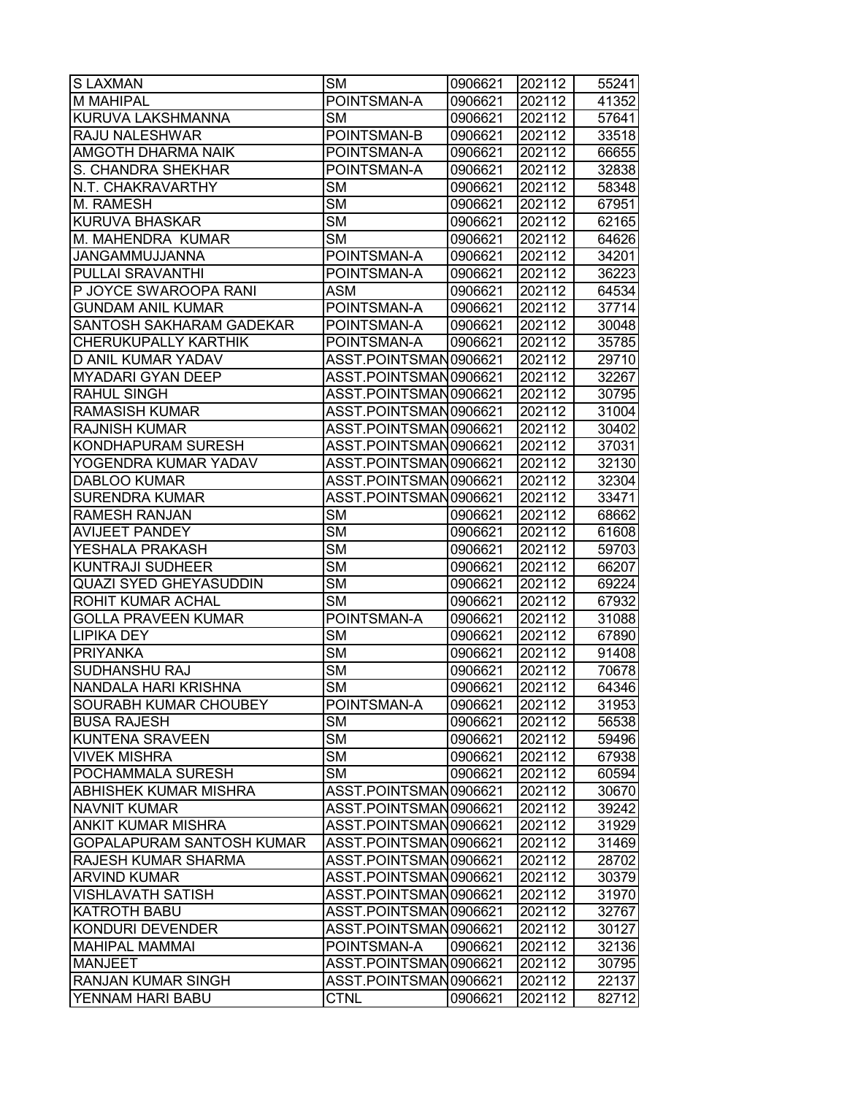| <b>S LAXMAN</b>               | <b>SM</b>              | 0906621 | 202112 | 55241 |
|-------------------------------|------------------------|---------|--------|-------|
| <b>M MAHIPAL</b>              | POINTSMAN-A            | 0906621 | 202112 | 41352 |
| KURUVA LAKSHMANNA             | <b>SM</b>              | 0906621 | 202112 | 57641 |
| RAJU NALESHWAR                | POINTSMAN-B            | 0906621 | 202112 | 33518 |
| AMGOTH DHARMA NAIK            | POINTSMAN-A            | 0906621 | 202112 | 66655 |
| S. CHANDRA SHEKHAR            | POINTSMAN-A            | 0906621 | 202112 | 32838 |
| N.T. CHAKRAVARTHY             | <b>SM</b>              | 0906621 | 202112 | 58348 |
| M. RAMESH                     | $\overline{\text{SM}}$ | 0906621 | 202112 | 67951 |
| <b>KURUVA BHASKAR</b>         | <b>SM</b>              | 0906621 | 202112 | 62165 |
| M. MAHENDRA KUMAR             | <b>SM</b>              | 0906621 | 202112 | 64626 |
| JANGAMMUJJANNA                | POINTSMAN-A            | 0906621 | 202112 | 34201 |
| PULLAI SRAVANTHI              | POINTSMAN-A            | 0906621 | 202112 | 36223 |
| P JOYCE SWAROOPA RANI         | ASM                    | 0906621 | 202112 | 64534 |
| GUNDAM ANIL KUMAR             | POINTSMAN-A            | 0906621 | 202112 | 37714 |
| SANTOSH SAKHARAM GADEKAR      | POINTSMAN-A            | 0906621 | 202112 | 30048 |
| <b>CHERUKUPALLY KARTHIK</b>   | POINTSMAN-A            | 0906621 | 202112 | 35785 |
| D ANIL KUMAR YADAV            | ASST.POINTSMAN0906621  |         | 202112 | 29710 |
| <b>MYADARI GYAN DEEP</b>      | ASST.POINTSMAN0906621  |         | 202112 | 32267 |
| <b>RAHUL SINGH</b>            | ASST.POINTSMAN0906621  |         | 202112 | 30795 |
| <b>RAMASISH KUMAR</b>         | ASST.POINTSMAN0906621  |         | 202112 | 31004 |
| <b>RAJNISH KUMAR</b>          | ASST.POINTSMAN0906621  |         | 202112 | 30402 |
| KONDHAPURAM SURESH            | ASST.POINTSMAN0906621  |         | 202112 | 37031 |
| YOGENDRA KUMAR YADAV          | ASST.POINTSMAN0906621  |         | 202112 | 32130 |
| <b>DABLOO KUMAR</b>           | ASST.POINTSMAN0906621  |         | 202112 | 32304 |
| <b>SURENDRA KUMAR</b>         | ASST.POINTSMAN0906621  |         | 202112 | 33471 |
| RAMESH RANJAN                 | <b>SM</b>              | 0906621 | 202112 | 68662 |
| <b>AVIJEET PANDEY</b>         | <b>SM</b>              | 0906621 | 202112 | 61608 |
| YESHALA PRAKASH               | <b>SM</b>              | 0906621 | 202112 | 59703 |
| <b>KUNTRAJI SUDHEER</b>       | <b>SM</b>              | 0906621 | 202112 | 66207 |
| <b>QUAZI SYED GHEYASUDDIN</b> | <b>SM</b>              | 0906621 | 202112 | 69224 |
| ROHIT KUMAR ACHAL             | <b>SM</b>              | 0906621 | 202112 | 67932 |
| <b>GOLLA PRAVEEN KUMAR</b>    | POINTSMAN-A            | 0906621 | 202112 | 31088 |
| <b>LIPIKA DEY</b>             | <b>SM</b>              | 0906621 | 202112 | 67890 |
| <b>PRIYANKA</b>               | <b>SM</b>              | 0906621 | 202112 | 91408 |
| SUDHANSHU RAJ                 | $\overline{\text{SM}}$ | 0906621 | 202112 | 70678 |
| NANDALA HARI KRISHNA          | $\overline{\text{SM}}$ | 0906621 | 202112 | 64346 |
| SOURABH KUMAR CHOUBEY         | POINTSMAN-A            | 0906621 | 202112 | 31953 |
| <b>BUSA RAJESH</b>            | <b>SM</b>              | 0906621 | 202112 | 56538 |
| <b>KUNTENA SRAVEEN</b>        | SM                     | 0906621 | 202112 | 59496 |
| VIVEK MISHRA                  | <b>SM</b>              | 0906621 | 202112 | 67938 |
| POCHAMMALA SURESH             | <b>SM</b>              | 0906621 | 202112 | 60594 |
| ABHISHEK KUMAR MISHRA         | ASST.POINTSMAN0906621  |         | 202112 | 30670 |
| <b>NAVNIT KUMAR</b>           | ASST.POINTSMAN0906621  |         | 202112 | 39242 |
| <b>ANKIT KUMAR MISHRA</b>     | ASST.POINTSMAN0906621  |         | 202112 | 31929 |
| GOPALAPURAM SANTOSH KUMAR     | ASST.POINTSMAN0906621  |         | 202112 | 31469 |
| RAJESH KUMAR SHARMA           | ASST.POINTSMAN0906621  |         | 202112 | 28702 |
| <b>ARVIND KUMAR</b>           | ASST.POINTSMAN0906621  |         | 202112 | 30379 |
| <b>VISHLAVATH SATISH</b>      | ASST.POINTSMAN0906621  |         | 202112 | 31970 |
| <b>KATROTH BABU</b>           | ASST.POINTSMAN0906621  |         | 202112 | 32767 |
| KONDURI DEVENDER              | ASST.POINTSMAN0906621  |         | 202112 | 30127 |
| <b>MAHIPAL MAMMAI</b>         | POINTSMAN-A            | 0906621 | 202112 | 32136 |
| <b>MANJEET</b>                | ASST.POINTSMAN0906621  |         | 202112 | 30795 |
| RANJAN KUMAR SINGH            | ASST.POINTSMAN0906621  |         | 202112 | 22137 |
| YENNAM HARI BABU              | <b>CTNL</b>            | 0906621 | 202112 | 82712 |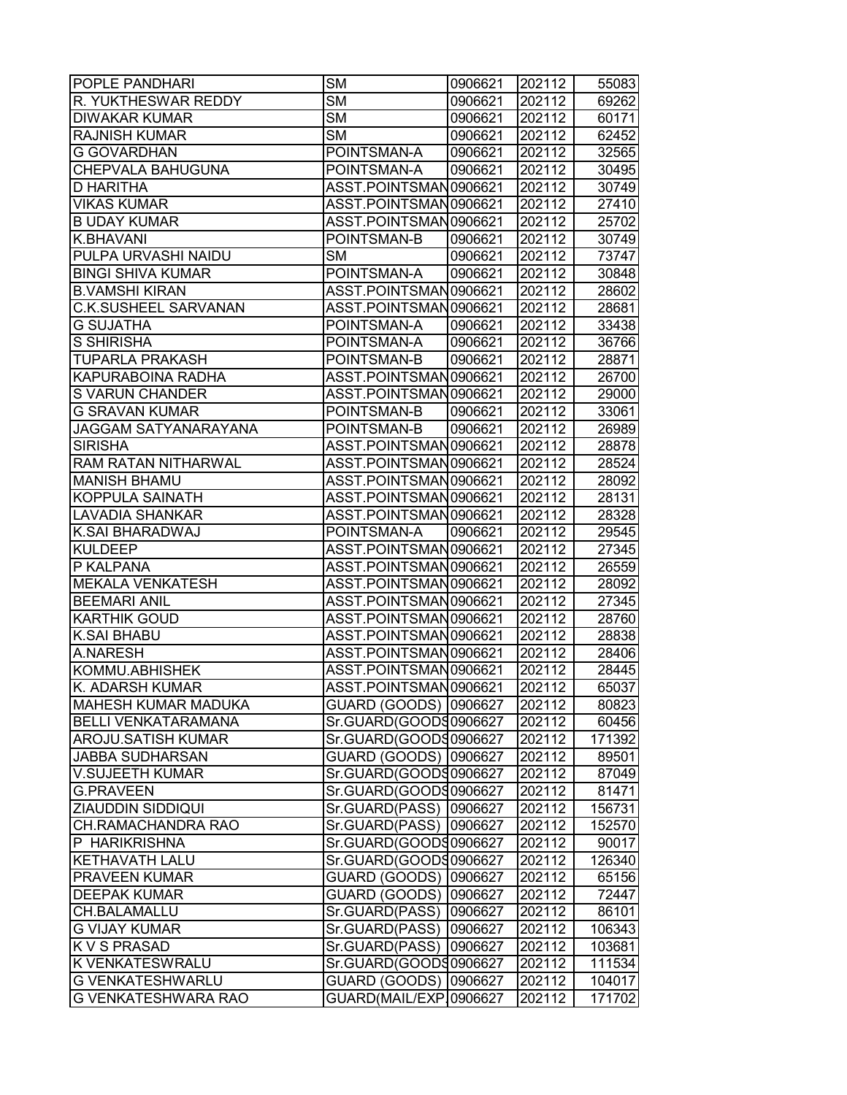| <b>POPLE PANDHARI</b>       | <b>SM</b>              | 0906621 | 202112 | 55083  |
|-----------------------------|------------------------|---------|--------|--------|
| R. YUKTHESWAR REDDY         | <b>SM</b>              | 0906621 | 202112 | 69262  |
| <b>DIWAKAR KUMAR</b>        | <b>SM</b>              | 0906621 | 202112 | 60171  |
| <b>RAJNISH KUMAR</b>        | <b>SM</b>              | 0906621 | 202112 | 62452  |
| <b>G GOVARDHAN</b>          | POINTSMAN-A            | 0906621 | 202112 | 32565  |
| CHEPVALA BAHUGUNA           | POINTSMAN-A            | 0906621 | 202112 | 30495  |
| <b>D HARITHA</b>            | ASST.POINTSMAN0906621  |         | 202112 | 30749  |
| <b>VIKAS KUMAR</b>          | ASST.POINTSMAN0906621  |         | 202112 | 27410  |
| <b>B UDAY KUMAR</b>         | ASST.POINTSMAN0906621  |         | 202112 | 25702  |
| K.BHAVANI                   | POINTSMAN-B            | 0906621 | 202112 | 30749  |
| PULPA URVASHI NAIDU         | <b>SM</b>              | 0906621 | 202112 | 73747  |
| <b>BINGI SHIVA KUMAR</b>    | POINTSMAN-A            | 0906621 | 202112 | 30848  |
| <b>B.VAMSHI KIRAN</b>       | ASST.POINTSMAN0906621  |         | 202112 | 28602  |
| <b>C.K.SUSHEEL SARVANAN</b> | ASST.POINTSMAN0906621  |         | 202112 | 28681  |
| <b>G SUJATHA</b>            | POINTSMAN-A            | 0906621 | 202112 | 33438  |
| S SHIRISHA                  | POINTSMAN-A            | 0906621 | 202112 | 36766  |
| <b>TUPARLA PRAKASH</b>      | POINTSMAN-B            | 0906621 | 202112 | 28871  |
| <b>KAPURABOINA RADHA</b>    | ASST.POINTSMAN0906621  |         | 202112 | 26700  |
| <b>S VARUN CHANDER</b>      | ASST.POINTSMAN0906621  |         | 202112 | 29000  |
| <b>G SRAVAN KUMAR</b>       | POINTSMAN-B            | 0906621 | 202112 | 33061  |
| JAGGAM SATYANARAYANA        | POINTSMAN-B            | 0906621 | 202112 | 26989  |
| <b>SIRISHA</b>              | ASST.POINTSMAN0906621  |         | 202112 | 28878  |
| <b>RAM RATAN NITHARWAL</b>  | ASST.POINTSMAN0906621  |         | 202112 | 28524  |
| <b>MANISH BHAMU</b>         | ASST.POINTSMAN0906621  |         | 202112 | 28092  |
| <b>KOPPULA SAINATH</b>      | ASST.POINTSMAN0906621  |         | 202112 | 28131  |
| <b>LAVADIA SHANKAR</b>      | ASST.POINTSMAN0906621  |         | 202112 | 28328  |
| K.SAI BHARADWAJ             | POINTSMAN-A            | 0906621 | 202112 | 29545  |
| <b>KULDEEP</b>              | ASST.POINTSMAN0906621  |         | 202112 | 27345  |
| P KALPANA                   | ASST.POINTSMAN0906621  |         | 202112 | 26559  |
| <b>MEKALA VENKATESH</b>     | ASST.POINTSMAN0906621  |         | 202112 | 28092  |
| <b>BEEMARI ANIL</b>         | ASST.POINTSMAN0906621  |         | 202112 | 27345  |
| <b>KARTHIK GOUD</b>         | ASST.POINTSMAN0906621  |         | 202112 | 28760  |
| <b>K.SAI BHABU</b>          | ASST.POINTSMAN0906621  |         | 202112 | 28838  |
| A.NARESH                    | ASST.POINTSMAN0906621  |         | 202112 | 28406  |
| KOMMU.ABHISHEK              | ASST.POINTSMAN0906621  |         | 202112 | 28445  |
| K. ADARSH KUMAR             | ASST.POINTSMAN0906621  |         | 202112 | 65037  |
| MAHESH KUMAR MADUKA         | GUARD (GOODS) 0906627  |         | 202112 | 80823  |
| <b>BELLI VENKATARAMANA</b>  | Sr.GUARD(GOODS0906627  |         | 202112 | 60456  |
| <b>AROJU.SATISH KUMAR</b>   | Sr.GUARD(GOODS0906627  |         | 202112 | 171392 |
| <b>JABBA SUDHARSAN</b>      | GUARD (GOODS) 0906627  |         | 202112 | 89501  |
| <b>V.SUJEETH KUMAR</b>      | Sr.GUARD(GOODS0906627  |         | 202112 | 87049  |
| <b>G.PRAVEEN</b>            | Sr.GUARD(GOODS0906627  |         | 202112 | 81471  |
| <b>ZIAUDDIN SIDDIQUI</b>    | Sr.GUARD(PASS) 0906627 |         | 202112 | 156731 |
| <b>CH.RAMACHANDRA RAO</b>   | Sr.GUARD(PASS)         | 0906627 | 202112 | 152570 |
| P HARIKRISHNA               | Sr.GUARD(GOODS0906627  |         | 202112 | 90017  |
| <b>KETHAVATH LALU</b>       | Sr.GUARD(GOODS0906627  |         | 202112 | 126340 |
| <b>PRAVEEN KUMAR</b>        | GUARD (GOODS)          | 0906627 | 202112 | 65156  |
| <b>DEEPAK KUMAR</b>         | GUARD (GOODS)          | 0906627 | 202112 | 72447  |
| <b>CH.BALAMALLU</b>         | Sr.GUARD(PASS)         | 0906627 | 202112 | 86101  |
| <b>G VIJAY KUMAR</b>        | Sr.GUARD(PASS)         | 0906627 | 202112 | 106343 |
| <b>K V S PRASAD</b>         | Sr.GUARD(PASS)         | 0906627 | 202112 | 103681 |
| <b>K VENKATESWRALU</b>      | Sr.GUARD(GOODS0906627  |         | 202112 | 111534 |
| <b>G VENKATESHWARLU</b>     | GUARD (GOODS)          | 0906627 | 202112 | 104017 |
| <b>G VENKATESHWARA RAO</b>  | GUARD(MAIL/EXP.0906627 |         | 202112 | 171702 |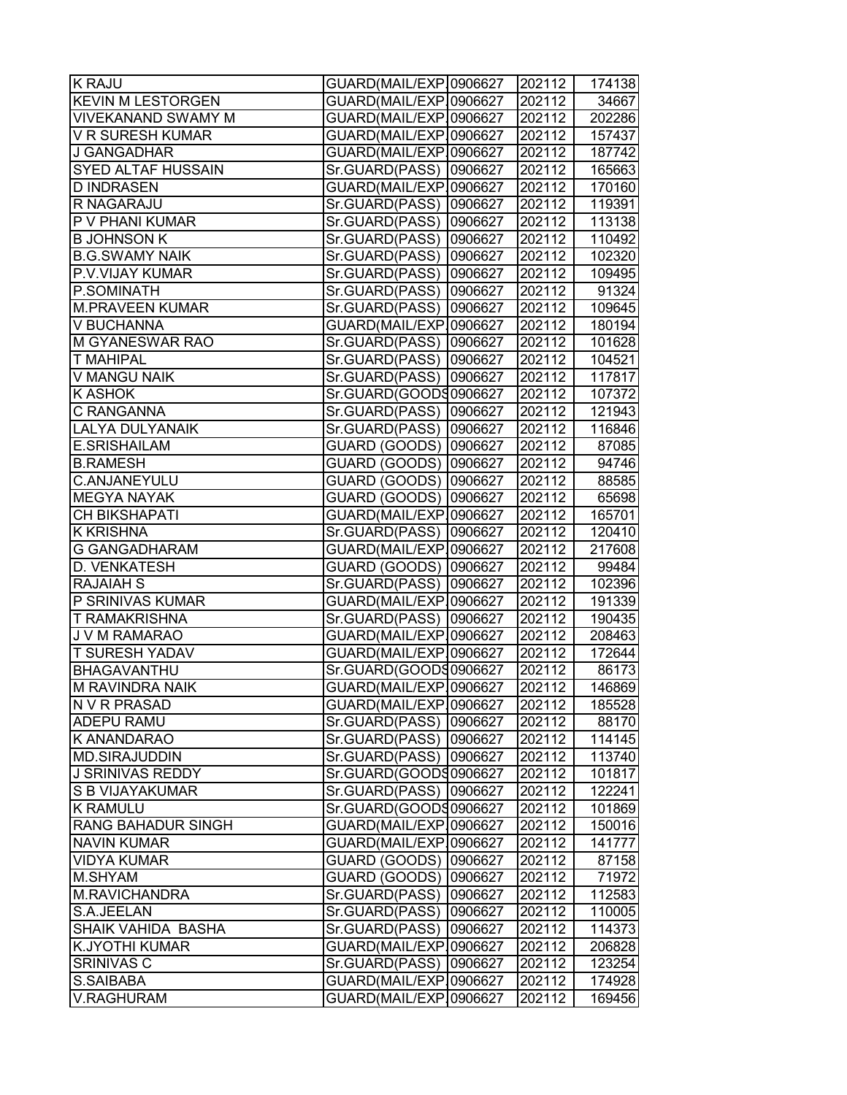| <b>K RAJU</b>             | GUARD(MAIL/EXP.0906627    | 202112 | 174138 |
|---------------------------|---------------------------|--------|--------|
| <b>KEVIN M LESTORGEN</b>  | GUARD(MAIL/EXP.0906627    | 202112 | 34667  |
| VIVEKANAND SWAMY M        | GUARD(MAIL/EXP.0906627    | 202112 | 202286 |
| V R SURESH KUMAR          | GUARD(MAIL/EXP.0906627    | 202112 | 157437 |
| <b>J GANGADHAR</b>        | GUARD(MAIL/EXP.0906627    | 202112 | 187742 |
| SYED ALTAF HUSSAIN        | Sr.GUARD(PASS)  0906627   | 202112 | 165663 |
| <b>D INDRASEN</b>         | GUARD(MAIL/EXP.0906627    | 202112 | 170160 |
| R NAGARAJU                | Sr.GUARD(PASS)<br>0906627 | 202112 | 119391 |
| P V PHANI KUMAR           | Sr.GUARD(PASS)<br>0906627 | 202112 | 113138 |
| <b>B JOHNSON K</b>        | Sr.GUARD(PASS)<br>0906627 | 202112 | 110492 |
| <b>B.G.SWAMY NAIK</b>     | Sr.GUARD(PASS)<br>0906627 | 202112 | 102320 |
| P.V.VIJAY KUMAR           | Sr.GUARD(PASS)<br>0906627 | 202112 | 109495 |
| P.SOMINATH                | Sr.GUARD(PASS)<br>0906627 | 202112 | 91324  |
| <b>M.PRAVEEN KUMAR</b>    | Sr.GUARD(PASS)<br>0906627 | 202112 | 109645 |
| V BUCHANNA                | GUARD(MAIL/EXP.0906627    | 202112 | 180194 |
| M GYANESWAR RAO           | Sr.GUARD(PASS)<br>0906627 | 202112 | 101628 |
| <b>T MAHIPAL</b>          | Sr.GUARD(PASS)<br>0906627 | 202112 | 104521 |
| <b>V MANGU NAIK</b>       | 0906627<br>Sr.GUARD(PASS) | 202112 | 117817 |
| <b>K ASHOK</b>            | Sr.GUARD(GOODS0906627     | 202112 | 107372 |
| C RANGANNA                | Sr.GUARD(PASS)<br>0906627 | 202112 | 121943 |
| LALYA DULYANAIK           | Sr.GUARD(PASS)<br>0906627 | 202112 | 116846 |
| E.SRISHAILAM              | GUARD (GOODS)<br>0906627  | 202112 | 87085  |
| <b>B.RAMESH</b>           | GUARD (GOODS)<br>0906627  | 202112 | 94746  |
| C.ANJANEYULU              | GUARD (GOODS)<br>0906627  | 202112 | 88585  |
| <b>MEGYA NAYAK</b>        | GUARD (GOODS)<br>0906627  | 202112 | 65698  |
| CH BIKSHAPATI             | GUARD(MAIL/EXP.0906627    | 202112 | 165701 |
| K KRISHNA                 | Sr.GUARD(PASS)<br>0906627 | 202112 | 120410 |
| <b>G GANGADHARAM</b>      | GUARD(MAIL/EXP.0906627    | 202112 | 217608 |
| D. VENKATESH              | GUARD (GOODS) 0906627     | 202112 | 99484  |
| <b>RAJAIAH S</b>          | Sr.GUARD(PASS)<br>0906627 | 202112 | 102396 |
| P SRINIVAS KUMAR          | GUARD(MAIL/EXP.0906627    | 202112 | 191339 |
| T RAMAKRISHNA             | Sr.GUARD(PASS)  0906627   | 202112 | 190435 |
| J V M RAMARAO             | GUARD(MAIL/EXP.0906627    | 202112 | 208463 |
| <b>T SURESH YADAV</b>     | GUARD(MAIL/EXP.0906627    | 202112 | 172644 |
| <b>BHAGAVANTHU</b>        | Sr.GUARD(GOODS0906627     | 202112 | 86173  |
| <b>M RAVINDRA NAIK</b>    | GUARD(MAIL/EXP.0906627    | 202112 | 146869 |
| N V R PRASAD              | GUARD(MAIL/EXP.0906627    | 202112 | 185528 |
| ADEPU RAMU                | Sr.GUARD(PASS)<br>0906627 | 202112 | 88170  |
| K ANANDARAO               | Sr.GUARD(PASS)<br>0906627 | 202112 | 114145 |
| <b>MD.SIRAJUDDIN</b>      | Sr.GUARD(PASS)<br>0906627 | 202112 | 113740 |
| <b>J SRINIVAS REDDY</b>   | Sr.GUARD(GOODS0906627     | 202112 | 101817 |
| S B VIJAYAKUMAR           | Sr.GUARD(PASS)<br>0906627 | 202112 | 122241 |
| <b>K RAMULU</b>           | Sr.GUARD(GOODS0906627     | 202112 | 101869 |
| <b>RANG BAHADUR SINGH</b> | GUARD(MAIL/EXP.0906627    | 202112 | 150016 |
| <b>NAVIN KUMAR</b>        | GUARD(MAIL/EXP10906627    | 202112 | 141777 |
| <b>VIDYA KUMAR</b>        | GUARD (GOODS)<br>0906627  | 202112 | 87158  |
| M.SHYAM                   | GUARD (GOODS)<br>0906627  | 202112 | 71972  |
| M.RAVICHANDRA             | Sr.GUARD(PASS)<br>0906627 | 202112 | 112583 |
| S.A.JEELAN                | Sr.GUARD(PASS)<br>0906627 | 202112 | 110005 |
| SHAIK VAHIDA BASHA        | Sr.GUARD(PASS)<br>0906627 | 202112 | 114373 |
| <b>K.JYOTHI KUMAR</b>     | GUARD(MAIL/EXP.0906627    | 202112 | 206828 |
| <b>SRINIVAS C</b>         | Sr.GUARD(PASS)<br>0906627 | 202112 | 123254 |
| S.SAIBABA                 | GUARD(MAIL/EXP.0906627    | 202112 | 174928 |
| V.RAGHURAM                | GUARD(MAIL/EXP.0906627    | 202112 | 169456 |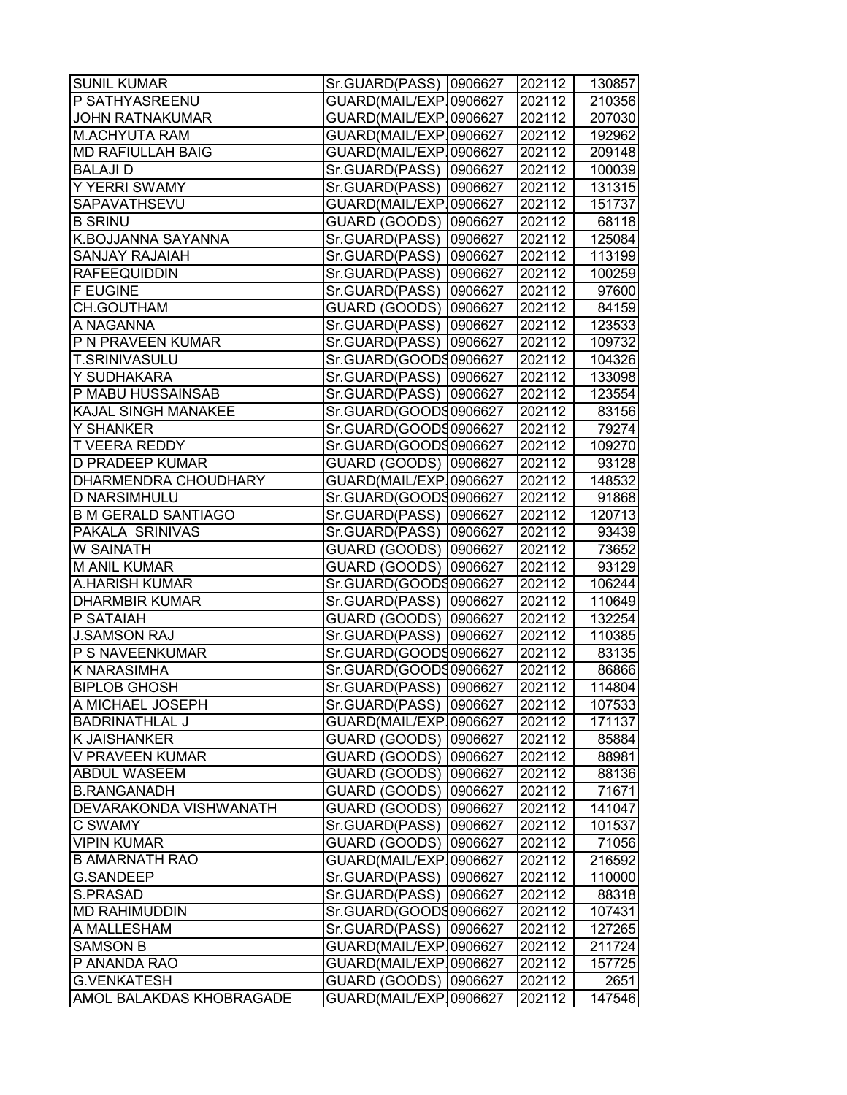| <b>SUNIL KUMAR</b>         | Sr.GUARD(PASS)  0906627   | 202112 | 130857 |
|----------------------------|---------------------------|--------|--------|
| P SATHYASREENU             | GUARD(MAIL/EXP.0906627    | 202112 | 210356 |
| <b>JOHN RATNAKUMAR</b>     | GUARD(MAIL/EXP.0906627    | 202112 | 207030 |
| <b>M.ACHYUTA RAM</b>       | GUARD(MAIL/EXP.0906627    | 202112 | 192962 |
| <b>MD RAFIULLAH BAIG</b>   | GUARD(MAIL/EXP.0906627    | 202112 | 209148 |
| <b>BALAJI D</b>            | Sr.GUARD(PASS)  0906627   | 202112 | 100039 |
| Y YERRI SWAMY              | Sr.GUARD(PASS)  0906627   | 202112 | 131315 |
| SAPAVATHSEVU               | GUARD(MAIL/EXP.0906627    | 202112 | 151737 |
| <b>B SRINU</b>             | GUARD (GOODS) 0906627     | 202112 | 68118  |
| K.BOJJANNA SAYANNA         | Sr.GUARD(PASS) 0906627    | 202112 | 125084 |
| <b>SANJAY RAJAIAH</b>      | Sr.GUARD(PASS)<br>0906627 | 202112 | 113199 |
| <b>RAFEEQUIDDIN</b>        | Sr.GUARD(PASS)<br>0906627 | 202112 | 100259 |
| <b>F EUGINE</b>            | Sr.GUARD(PASS)<br>0906627 | 202112 | 97600  |
| CH.GOUTHAM                 | GUARD (GOODS) 0906627     | 202112 | 84159  |
| A NAGANNA                  | Sr.GUARD(PASS)  0906627   | 202112 | 123533 |
| P N PRAVEEN KUMAR          | Sr.GUARD(PASS)  0906627   | 202112 | 109732 |
| <b>T.SRINIVASULU</b>       | Sr.GUARD(GOODS0906627     | 202112 | 104326 |
| Y SUDHAKARA                | Sr.GUARD(PASS)  0906627   | 202112 | 133098 |
| P MABU HUSSAINSAB          | Sr.GUARD(PASS)  0906627   | 202112 | 123554 |
| <b>KAJAL SINGH MANAKEE</b> | Sr.GUARD(GOODS0906627     | 202112 | 83156  |
| Y SHANKER                  | Sr.GUARD(GOOD30906627     | 202112 | 79274  |
| T VEERA REDDY              | Sr.GUARD(GOODS0906627     | 202112 | 109270 |
| D PRADEEP KUMAR            | GUARD (GOODS) 0906627     | 202112 | 93128  |
| DHARMENDRA CHOUDHARY       | GUARD(MAIL/EXP.0906627    | 202112 | 148532 |
| <b>D NARSIMHULU</b>        | Sr.GUARD(GOODS0906627     | 202112 | 91868  |
| <b>B M GERALD SANTIAGO</b> | Sr.GUARD(PASS)  0906627   | 202112 | 120713 |
| PAKALA SRINIVAS            | Sr.GUARD(PASS)  0906627   | 202112 | 93439  |
| W SAINATH                  | GUARD (GOODS) 0906627     | 202112 | 73652  |
| <b>M ANIL KUMAR</b>        | GUARD (GOODS) 0906627     | 202112 | 93129  |
| A.HARISH KUMAR             | Sr.GUARD(GOODS0906627     | 202112 | 106244 |
| <b>DHARMBIR KUMAR</b>      | Sr.GUARD(PASS) 0906627    | 202112 | 110649 |
| P SATAIAH                  | GUARD (GOODS) 0906627     | 202112 | 132254 |
| <b>J.SAMSON RAJ</b>        | Sr.GUARD(PASS) 0906627    | 202112 | 110385 |
| P S NAVEENKUMAR            | Sr.GUARD(GOODS0906627     | 202112 | 83135  |
| K NARASIMHA                | Sr.GUARD(GOODS0906627     | 202112 | 86866  |
| <b>BIPLOB GHOSH</b>        | Sr.GUARD(PASS) 0906627    | 202112 | 114804 |
| A MICHAEL JOSEPH           | Sr.GUARD(PASS)  0906627   | 202112 | 107533 |
| <b>BADRINATHLAL J</b>      | GUARD(MAIL/EXP.0906627    | 202112 | 171137 |
| K JAISHANKER               | GUARD (GOODS) 0906627     | 202112 | 85884  |
| V PRAVEEN KUMAR            | GUARD (GOODS)  0906627    | 202112 | 88981  |
| ABDUL WASEEM               | GUARD (GOODS)  0906627    | 202112 | 88136  |
| <b>B.RANGANADH</b>         | GUARD (GOODS) 0906627     | 202112 | 71671  |
| DEVARAKONDA VISHWANATH     | GUARD (GOODS) 0906627     | 202112 | 141047 |
| C SWAMY                    | Sr.GUARD(PASS)<br>0906627 | 202112 | 101537 |
| <b>VIPIN KUMAR</b>         | GUARD (GOODS)<br>0906627  | 202112 | 71056  |
| <b>B AMARNATH RAO</b>      | GUARD(MAIL/EXP.0906627    | 202112 | 216592 |
| <b>G.SANDEEP</b>           | Sr.GUARD(PASS)<br>0906627 | 202112 | 110000 |
| S.PRASAD                   | Sr.GUARD(PASS)<br>0906627 | 202112 | 88318  |
| <b>MD RAHIMUDDIN</b>       | Sr.GUARD(GOODS0906627     | 202112 | 107431 |
| A MALLESHAM                | Sr.GUARD(PASS)  0906627   | 202112 | 127265 |
| <b>SAMSON B</b>            | GUARD(MAIL/EXP.0906627    | 202112 | 211724 |
| P ANANDA RAO               | GUARD(MAIL/EXP.0906627    | 202112 | 157725 |
| <b>G.VENKATESH</b>         | GUARD (GOODS) 0906627     | 202112 | 2651   |
| AMOL BALAKDAS KHOBRAGADE   | GUARD(MAIL/EXP.0906627    | 202112 | 147546 |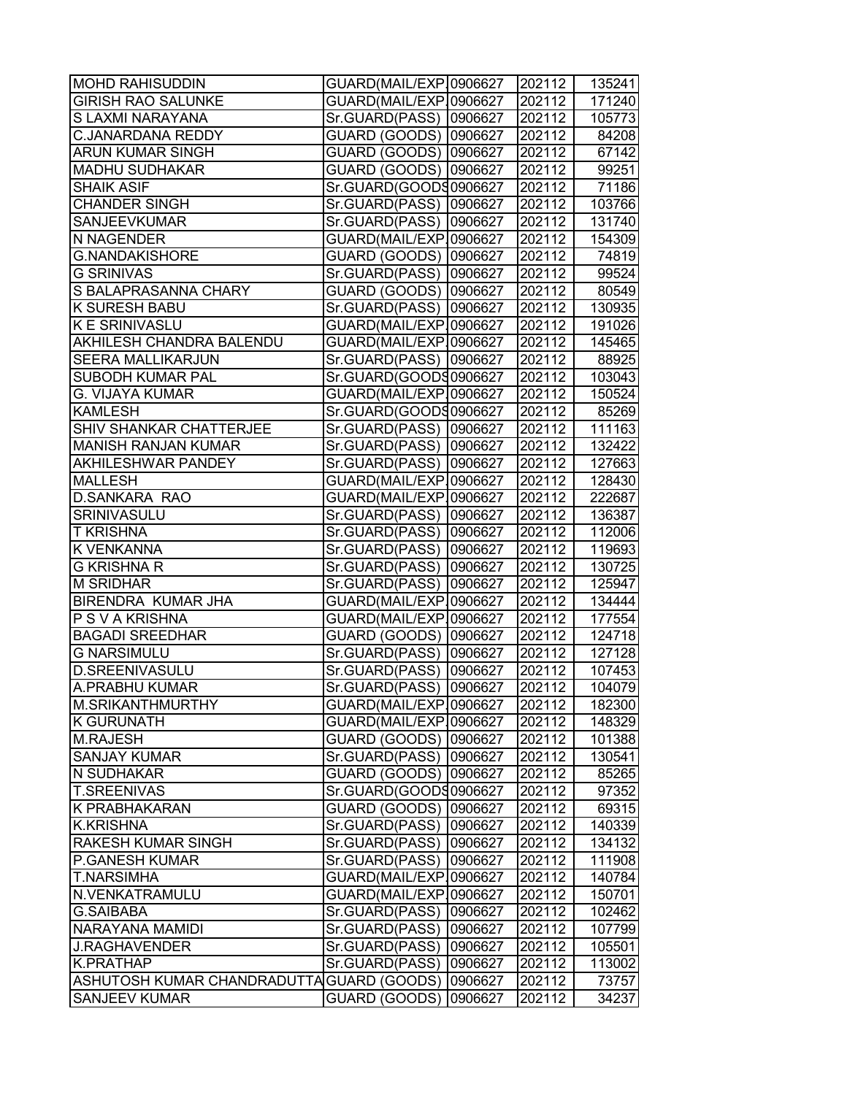| <b>MOHD RAHISUDDIN</b>                    | GUARD(MAIL/EXP.0906627  |         | 202112 | 135241 |
|-------------------------------------------|-------------------------|---------|--------|--------|
| <b>GIRISH RAO SALUNKE</b>                 | GUARD(MAIL/EXP.0906627  |         | 202112 | 171240 |
| S LAXMI NARAYANA                          | Sr.GUARD(PASS)          | 0906627 | 202112 | 105773 |
| <b>C.JANARDANA REDDY</b>                  | GUARD (GOODS) 0906627   |         | 202112 | 84208  |
| <b>ARUN KUMAR SINGH</b>                   | GUARD (GOODS) 0906627   |         | 202112 | 67142  |
| MADHU SUDHAKAR                            | GUARD (GOODS) 0906627   |         | 202112 | 99251  |
| <b>SHAIK ASIF</b>                         | Sr.GUARD(GOODS0906627   |         | 202112 | 71186  |
| <b>CHANDER SINGH</b>                      | Sr.GUARD(PASS)          | 0906627 | 202112 | 103766 |
| <b>SANJEEVKUMAR</b>                       | Sr.GUARD(PASS)          | 0906627 | 202112 | 131740 |
| N NAGENDER                                | GUARD(MAIL/EXP.0906627  |         | 202112 | 154309 |
| <b>G.NANDAKISHORE</b>                     | GUARD (GOODS)           | 0906627 | 202112 | 74819  |
| <b>G SRINIVAS</b>                         | Sr.GUARD(PASS)          | 0906627 | 202112 | 99524  |
| S BALAPRASANNA CHARY                      | GUARD (GOODS)           | 0906627 | 202112 | 80549  |
| K SURESH BABU                             | Sr.GUARD(PASS)          | 0906627 | 202112 | 130935 |
| K E SRINIVASLU                            | GUARD(MAIL/EXP.0906627  |         | 202112 | 191026 |
| AKHILESH CHANDRA BALENDU                  | GUARD(MAIL/EXP.0906627  |         | 202112 | 145465 |
| <b>SEERA MALLIKARJUN</b>                  | Sr.GUARD(PASS)  0906627 |         | 202112 | 88925  |
| SUBODH KUMAR PAL                          | Sr.GUARD(GOODS0906627   |         | 202112 | 103043 |
| <b>G. VIJAYA KUMAR</b>                    | GUARD(MAIL/EXP.0906627  |         | 202112 | 150524 |
| <b>KAMLESH</b>                            | Sr.GUARD(GOODS0906627   |         | 202112 | 85269  |
| SHIV SHANKAR CHATTERJEE                   | Sr.GUARD(PASS)          | 0906627 | 202112 | 111163 |
| <b>MANISH RANJAN KUMAR</b>                | Sr.GUARD(PASS)          | 0906627 | 202112 | 132422 |
| AKHILESHWAR PANDEY                        | Sr.GUARD(PASS)          | 0906627 | 202112 | 127663 |
| <b>MALLESH</b>                            | GUARD(MAIL/EXP.0906627  |         | 202112 | 128430 |
| <b>D.SANKARA RAO</b>                      | GUARD(MAIL/EXP10906627  |         | 202112 | 222687 |
| SRINIVASULU                               | Sr.GUARD(PASS)          | 0906627 | 202112 | 136387 |
| <b>T KRISHNA</b>                          | Sr.GUARD(PASS)          | 0906627 | 202112 | 112006 |
| K VENKANNA                                | Sr.GUARD(PASS)          | 0906627 | 202112 | 119693 |
| <b>G KRISHNA R</b>                        | Sr.GUARD(PASS)          | 0906627 | 202112 | 130725 |
| <b>M SRIDHAR</b>                          | Sr.GUARD(PASS)          | 0906627 | 202112 | 125947 |
| BIRENDRA KUMAR JHA                        | GUARD(MAIL/EXP.0906627  |         | 202112 | 134444 |
| P S V A KRISHNA                           | GUARD(MAIL/EXP.0906627  |         | 202112 | 177554 |
| <b>BAGADI SREEDHAR</b>                    | GUARD (GOODS)           | 0906627 | 202112 | 124718 |
| <b>G NARSIMULU</b>                        | Sr.GUARD(PASS)          | 0906627 | 202112 | 127128 |
| D.SREENIVASULU                            | Sr.GUARD(PASS)          | 0906627 | 202112 | 107453 |
| <b>A.PRABHU KUMAR</b>                     | Sr.GUARD(PASS)  0906627 |         | 202112 | 104079 |
| M.SRIKANTHMURTHY                          | GUARD(MAIL/EXP.0906627  |         | 202112 | 182300 |
| <b>K GURUNATH</b>                         | GUARD(MAIL/EXP.0906627  |         | 202112 | 148329 |
| <b>M.RAJESH</b>                           | GUARD (GOODS)           | 0906627 | 202112 | 101388 |
| <b>SANJAY KUMAR</b>                       | Sr.GUARD(PASS)          | 0906627 | 202112 | 130541 |
| N SUDHAKAR                                | GUARD (GOODS)           | 0906627 | 202112 | 85265  |
| <b>T.SREENIVAS</b>                        | Sr.GUARD(GOODS0906627   |         | 202112 | 97352  |
| K PRABHAKARAN                             | GUARD (GOODS)           | 0906627 | 202112 | 69315  |
| <b>K.KRISHNA</b>                          | Sr.GUARD(PASS)          | 0906627 | 202112 | 140339 |
| RAKESH KUMAR SINGH                        | Sr.GUARD(PASS)          | 0906627 | 202112 | 134132 |
| P.GANESH KUMAR                            | Sr.GUARD(PASS)          | 0906627 | 202112 | 111908 |
| <b>T.NARSIMHA</b>                         | GUARD(MAIL/EXP.0906627  |         | 202112 | 140784 |
| N.VENKATRAMULU                            | GUARD(MAIL/EXP.0906627  |         | 202112 | 150701 |
| <b>G.SAIBABA</b>                          | Sr.GUARD(PASS)          | 0906627 | 202112 | 102462 |
| NARAYANA MAMIDI                           | Sr.GUARD(PASS)          | 0906627 | 202112 | 107799 |
| <b>J.RAGHAVENDER</b>                      | Sr.GUARD(PASS)          | 0906627 | 202112 | 105501 |
| K.PRATHAP                                 | Sr.GUARD(PASS)          | 0906627 | 202112 | 113002 |
| ASHUTOSH KUMAR CHANDRADUTTA GUARD (GOODS) |                         | 0906627 | 202112 | 73757  |
| <b>SANJEEV KUMAR</b>                      | GUARD (GOODS)           | 0906627 | 202112 | 34237  |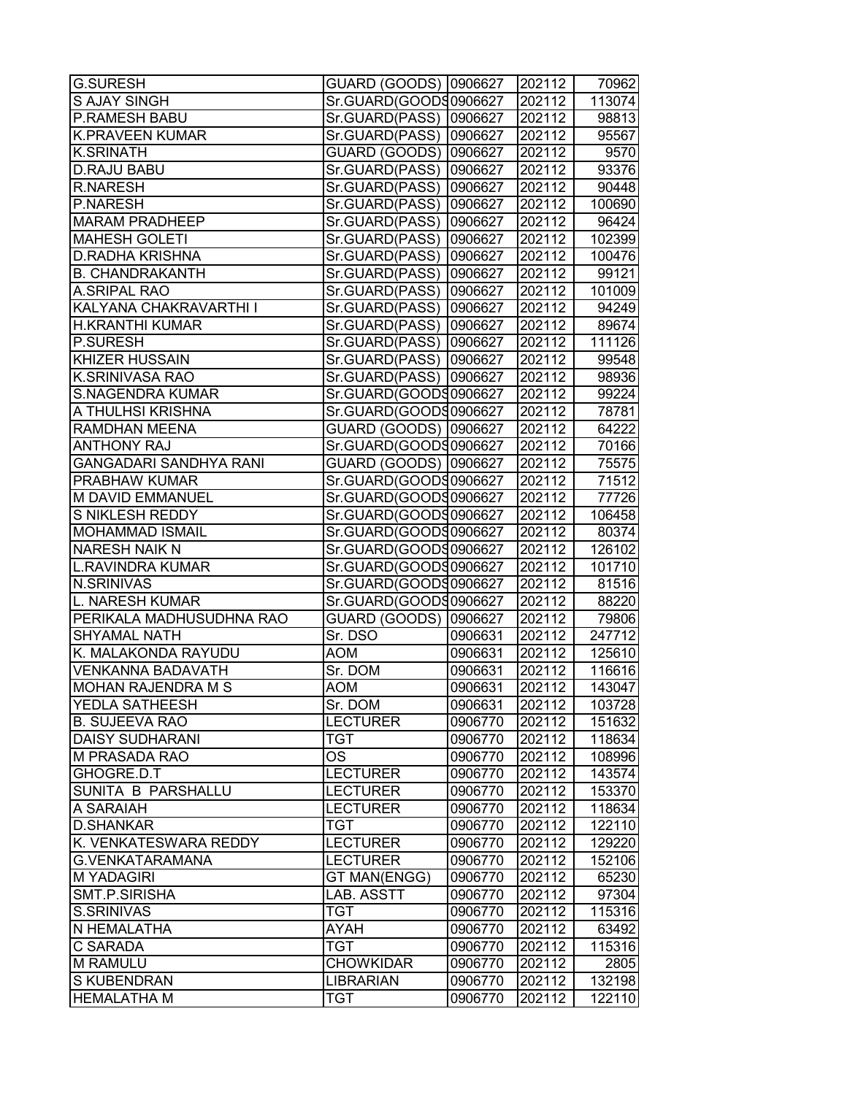| <b>G.SURESH</b>               | GUARD (GOODS) 0906627   |         | 202112 | 70962           |
|-------------------------------|-------------------------|---------|--------|-----------------|
| <b>S AJAY SINGH</b>           | Sr.GUARD(GOODS0906627   |         | 202112 | 113074          |
| <b>P.RAMESH BABU</b>          | Sr.GUARD(PASS)          | 0906627 | 202112 | 98813           |
| <b>K.PRAVEEN KUMAR</b>        | Sr.GUARD(PASS)          | 0906627 | 202112 | 95567           |
| <b>K.SRINATH</b>              | GUARD (GOODS) 0906627   |         | 202112 | $\sqrt{ }$ 9570 |
| <b>D.RAJU BABU</b>            | Sr.GUARD(PASS)          | 0906627 | 202112 | 93376           |
| <b>R.NARESH</b>               | Sr.GUARD(PASS)          | 0906627 | 202112 | 90448           |
| P.NARESH                      | Sr.GUARD(PASS)          | 0906627 | 202112 | 100690          |
| <b>MARAM PRADHEEP</b>         | Sr.GUARD(PASS)          | 0906627 | 202112 | 96424           |
| <b>MAHESH GOLETI</b>          | Sr.GUARD(PASS)          | 0906627 | 202112 | 102399          |
| <b>D.RADHA KRISHNA</b>        | Sr.GUARD(PASS)          | 0906627 | 202112 | 100476          |
| <b>B. CHANDRAKANTH</b>        | Sr.GUARD(PASS)          | 0906627 | 202112 | 99121           |
| A.SRIPAL RAO                  | Sr.GUARD(PASS)          | 0906627 | 202112 | 101009          |
| KALYANA CHAKRAVARTHI I        | Sr.GUARD(PASS)          | 0906627 | 202112 | 94249           |
| <b>H.KRANTHI KUMAR</b>        | Sr.GUARD(PASS)          | 0906627 | 202112 | 89674           |
| <b>P.SURESH</b>               | Sr.GUARD(PASS)          | 0906627 | 202112 | 111126          |
| <b>KHIZER HUSSAIN</b>         | Sr.GUARD(PASS)  0906627 |         | 202112 | 99548           |
| <b>K.SRINIVASA RAO</b>        | Sr.GUARD(PASS) 0906627  |         | 202112 | 98936           |
| <b>S.NAGENDRA KUMAR</b>       | Sr.GUARD(GOODS0906627   |         | 202112 | 99224           |
| A THULHSI KRISHNA             | Sr.GUARD(GOODS0906627   |         | 202112 | 78781           |
| <b>RAMDHAN MEENA</b>          | GUARD (GOODS) 0906627   |         | 202112 | 64222           |
| <b>ANTHONY RAJ</b>            | Sr.GUARD(GOODS0906627   |         | 202112 | 70166           |
| <b>GANGADARI SANDHYA RANI</b> | GUARD (GOODS) 0906627   |         | 202112 | 75575           |
| <b>PRABHAW KUMAR</b>          | Sr.GUARD(GOODS0906627   |         | 202112 | 71512           |
| M DAVID EMMANUEL              | Sr.GUARD(GOODS0906627   |         | 202112 | 77726           |
| S NIKLESH REDDY               | Sr.GUARD(GOOD30906627   |         | 202112 | 106458          |
| <b>MOHAMMAD ISMAIL</b>        | Sr.GUARD(GOODS0906627   |         | 202112 | 80374           |
| <b>NARESH NAIK N</b>          | Sr.GUARD(GOODS0906627   |         | 202112 | 126102          |
| <b>L.RAVINDRA KUMAR</b>       | Sr.GUARD(GOOD30906627   |         | 202112 | 101710          |
| <b>N.SRINIVAS</b>             | Sr.GUARD(GOODS0906627   |         | 202112 | 81516           |
| L. NARESH KUMAR               | Sr.GUARD(GOODS0906627   |         | 202112 | 88220           |
| PERIKALA MADHUSUDHNA RAO      | GUARD (GOODS) 0906627   |         | 202112 | 79806           |
| <b>SHYAMAL NATH</b>           | Sr. DSO                 | 0906631 | 202112 | 247712          |
| K. MALAKONDA RAYUDU           | <b>AOM</b>              | 0906631 | 202112 | 125610          |
| <b>VENKANNA BADAVATH</b>      | Sr. DOM                 | 0906631 | 202112 | 116616          |
| MOHAN RAJENDRA M S            | <b>AOM</b>              | 0906631 | 202112 | 143047          |
| <b>YEDLA SATHEESH</b>         | Sr. DOM                 | 0906631 | 202112 | 103728          |
| <b>B. SUJEEVA RAO</b>         | <b>LECTURER</b>         | 0906770 | 202112 | 151632          |
| <b>DAISY SUDHARANI</b>        | <b>TGT</b>              | 0906770 | 202112 | 118634          |
| <b>M PRASADA RAO</b>          | OS                      | 0906770 | 202112 | 108996          |
| GHOGRE.D.T                    | <b>LECTURER</b>         | 0906770 | 202112 | 143574          |
| <b>SUNITA B PARSHALLU</b>     | <b>LECTURER</b>         | 0906770 | 202112 | 153370          |
| A SARAIAH                     | <b>LECTURER</b>         | 0906770 | 202112 | 118634          |
| D.SHANKAR                     | <b>TGT</b>              | 0906770 | 202112 | 122110          |
| K. VENKATESWARA REDDY         | <b>LECTURER</b>         | 0906770 | 202112 | 129220          |
| G.VENKATARAMANA               | <b>LECTURER</b>         | 0906770 | 202112 | 152106          |
| <b>M YADAGIRI</b>             | <b>GT MAN(ENGG)</b>     | 0906770 | 202112 | 65230           |
| SMT.P.SIRISHA                 | LAB. ASSTT              | 0906770 | 202112 | 97304           |
| S.SRINIVAS                    | <b>TGT</b>              | 0906770 | 202112 | 115316          |
| N HEMALATHA                   | <b>AYAH</b>             | 0906770 | 202112 | 63492           |
| C SARADA                      | <b>TGT</b>              | 0906770 | 202112 | 115316          |
| <b>M RAMULU</b>               | <b>CHOWKIDAR</b>        | 0906770 | 202112 | 2805            |
| <b>S KUBENDRAN</b>            | <b>LIBRARIAN</b>        | 0906770 | 202112 | 132198          |
| <b>HEMALATHA M</b>            | <b>TGT</b>              | 0906770 | 202112 | 122110          |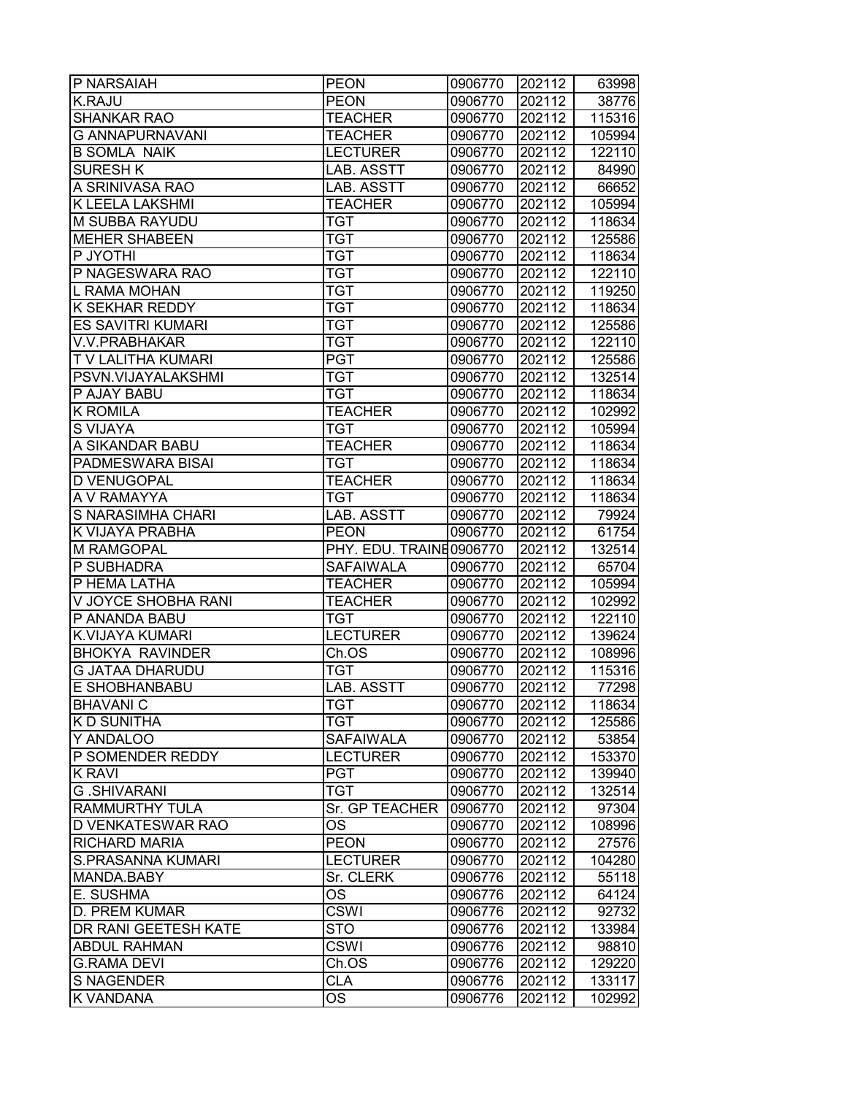| P NARSAIAH             | <b>PEON</b>             | 0906770 | 202112 | 63998  |
|------------------------|-------------------------|---------|--------|--------|
| <b>K.RAJU</b>          | <b>PEON</b>             | 0906770 | 202112 | 38776  |
| <b>SHANKAR RAO</b>     | <b>TEACHER</b>          | 0906770 | 202112 | 115316 |
| <b>G ANNAPURNAVANI</b> | <b>TEACHER</b>          | 0906770 | 202112 | 105994 |
| <b>B SOMLA NAIK</b>    | <b>LECTURER</b>         | 0906770 | 202112 | 122110 |
| <b>SURESH K</b>        | LAB. ASSTT              | 0906770 | 202112 | 84990  |
| A SRINIVASA RAO        | LAB. ASSTT              | 0906770 | 202112 | 66652  |
| K LEELA LAKSHMI        | <b>TEACHER</b>          | 0906770 | 202112 | 105994 |
| M SUBBA RAYUDU         | <b>TGT</b>              | 0906770 | 202112 | 118634 |
| <b>MEHER SHABEEN</b>   | <b>TGT</b>              | 0906770 | 202112 | 125586 |
| P JYOTHI               | <b>TGT</b>              | 0906770 | 202112 | 118634 |
| P NAGESWARA RAO        | <b>TGT</b>              | 0906770 | 202112 | 122110 |
| L RAMA MOHAN           | <b>TGT</b>              | 0906770 | 202112 | 119250 |
| K SEKHAR REDDY         | <b>TGT</b>              | 0906770 | 202112 | 118634 |
| ES SAVITRI KUMARI      | <b>TGT</b>              | 0906770 | 202112 | 125586 |
| V.V.PRABHAKAR          | <b>TGT</b>              | 0906770 | 202112 | 122110 |
| T V LALITHA KUMARI     | <b>PGT</b>              | 0906770 | 202112 | 125586 |
| PSVN.VIJAYALAKSHMI     | <b>TGT</b>              | 0906770 | 202112 | 132514 |
| P AJAY BABU            | <b>TGT</b>              | 0906770 | 202112 | 118634 |
| <b>K ROMILA</b>        | <b>TEACHER</b>          | 0906770 | 202112 | 102992 |
| S VIJAYA               | <b>TGT</b>              | 0906770 | 202112 | 105994 |
| A SIKANDAR BABU        | <b>TEACHER</b>          | 0906770 | 202112 | 118634 |
| PADMESWARA BISAI       | <b>TGT</b>              | 0906770 | 202112 | 118634 |
| D VENUGOPAL            | <b>TEACHER</b>          | 0906770 | 202112 | 118634 |
| A V RAMAYYA            | <b>TGT</b>              | 0906770 | 202112 | 118634 |
| S NARASIMHA CHARI      | LAB. ASSTT              | 0906770 | 202112 | 79924  |
| K VIJAYA PRABHA        | <b>PEON</b>             | 0906770 | 202112 | 61754  |
| <b>M RAMGOPAL</b>      | PHY. EDU. TRAINE0906770 |         | 202112 | 132514 |
| P SUBHADRA             |                         |         | 202112 |        |
| P HEMA LATHA           | SAFAIWALA               | 0906770 |        | 65704  |
|                        | <b>TEACHER</b>          | 0906770 | 202112 | 105994 |
| V JOYCE SHOBHA RANI    | <b>TEACHER</b>          | 0906770 | 202112 | 102992 |
| P ANANDA BABU          | <b>TGT</b>              | 0906770 | 202112 | 122110 |
| K.VIJAYA KUMARI        | <b>LECTURER</b>         | 0906770 | 202112 | 139624 |
| <b>BHOKYA RAVINDER</b> | Ch.OS                   | 0906770 | 202112 | 108996 |
| <b>G JATAA DHARUDU</b> | <b>TGT</b>              | 0906770 | 202112 | 115316 |
| E SHOBHANBABU          | LAB. ASSTT              | 0906770 | 202112 | 77298  |
| <b>BHAVANIC</b>        | TGT                     | 0906770 | 202112 | 118634 |
| <b>KD SUNITHA</b>      | <b>TGT</b>              | 0906770 | 202112 | 125586 |
| Y ANDALOO              | <b>SAFAIWALA</b>        | 0906770 | 202112 | 53854  |
| P SOMENDER REDDY       | <b>LECTURER</b>         | 0906770 | 202112 | 153370 |
| <b>K RAVI</b>          | <b>PGT</b>              | 0906770 | 202112 | 139940 |
| <b>G.SHIVARANI</b>     | <b>TGT</b>              | 0906770 | 202112 | 132514 |
| RAMMURTHY TULA         | Sr. GP TEACHER          | 0906770 | 202112 | 97304  |
| D VENKATESWAR RAO      | OS                      | 0906770 | 202112 | 108996 |
| RICHARD MARIA          | <b>PEON</b>             | 0906770 | 202112 | 27576  |
| S.PRASANNA KUMARI      | <b>LECTURER</b>         | 0906770 | 202112 | 104280 |
| MANDA.BABY             | Sr. CLERK               | 0906776 | 202112 | 55118  |
| E. SUSHMA              | <b>OS</b>               | 0906776 | 202112 | 64124  |
| D. PREM KUMAR          | <b>CSWI</b>             | 0906776 | 202112 | 92732  |
| DR RANI GEETESH KATE   | <b>STO</b>              | 0906776 | 202112 | 133984 |
| <b>ABDUL RAHMAN</b>    | <b>CSWI</b>             | 0906776 | 202112 | 98810  |
| <b>G.RAMA DEVI</b>     | Ch.OS                   | 0906776 | 202112 | 129220 |
| <b>S NAGENDER</b>      | <b>CLA</b>              | 0906776 | 202112 | 133117 |
| K VANDANA              | OS                      | 0906776 | 202112 | 102992 |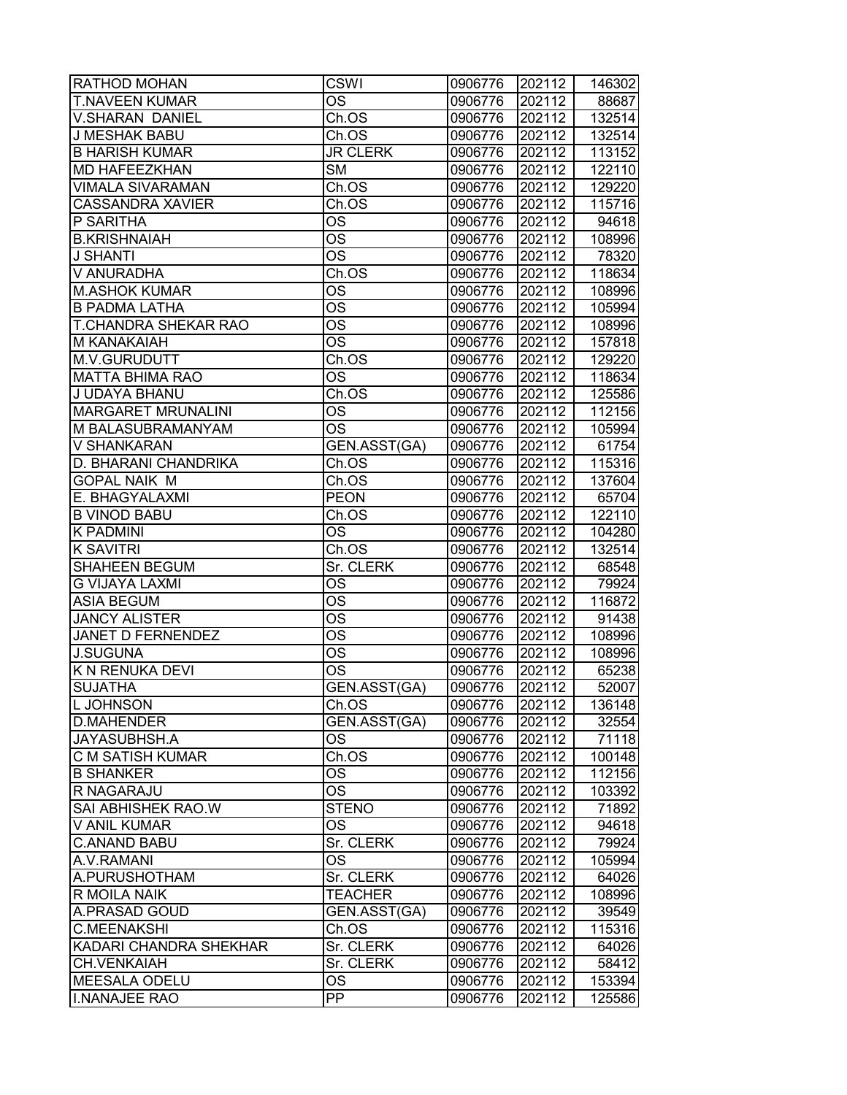| RATHOD MOHAN                | CSWI                   | 0906776 | 202112 | 146302 |
|-----------------------------|------------------------|---------|--------|--------|
| <b>T.NAVEEN KUMAR</b>       | OS                     | 0906776 | 202112 | 88687  |
| V.SHARAN DANIEL             | Ch.OS                  | 0906776 | 202112 | 132514 |
| <b>J MESHAK BABU</b>        | Ch.OS                  | 0906776 | 202112 | 132514 |
| <b>B HARISH KUMAR</b>       | <b>JR CLERK</b>        | 0906776 | 202112 | 113152 |
| MD HAFEEZKHAN               | <b>SM</b>              | 0906776 | 202112 | 122110 |
| <b>VIMALA SIVARAMAN</b>     | Ch.OS                  | 0906776 | 202112 | 129220 |
| <b>CASSANDRA XAVIER</b>     | Ch.OS                  | 0906776 | 202112 | 115716 |
| P SARITHA                   | OS                     | 0906776 | 202112 | 94618  |
| <b>B.KRISHNAIAH</b>         | $\overline{\text{OS}}$ | 0906776 | 202112 | 108996 |
| <b>J SHANTI</b>             | $\overline{\text{OS}}$ | 0906776 | 202112 | 78320  |
| V ANURADHA                  | Ch.OS                  | 0906776 | 202112 | 118634 |
| <b>M.ASHOK KUMAR</b>        | OS                     | 0906776 | 202112 | 108996 |
| <b>B PADMA LATHA</b>        | <b>OS</b>              | 0906776 | 202112 | 105994 |
| <b>T.CHANDRA SHEKAR RAO</b> | $\overline{\text{OS}}$ | 0906776 | 202112 | 108996 |
| M KANAKAIAH                 | OS                     | 0906776 | 202112 | 157818 |
| M.V.GURUDUTT                | Ch.OS                  | 0906776 | 202112 | 129220 |
| <b>MATTA BHIMA RAO</b>      | <b>OS</b>              | 0906776 | 202112 | 118634 |
| J UDAYA BHANU               | Ch.OS                  | 0906776 | 202112 | 125586 |
| <b>MARGARET MRUNALINI</b>   | <b>OS</b>              | 0906776 | 202112 | 112156 |
| M BALASUBRAMANYAM           | <b>OS</b>              | 0906776 | 202112 | 105994 |
| V SHANKARAN                 | <b>GEN.ASST(GA)</b>    | 0906776 | 202112 | 61754  |
| D. BHARANI CHANDRIKA        | Ch.OS                  | 0906776 | 202112 | 115316 |
| <b>GOPAL NAIK M</b>         | Ch.OS                  | 0906776 | 202112 | 137604 |
| E. BHAGYALAXMI              | <b>PEON</b>            | 0906776 | 202112 | 65704  |
| <b>B VINOD BABU</b>         | Ch.OS                  | 0906776 | 202112 | 122110 |
| K PADMINI                   | OS                     | 0906776 | 202112 | 104280 |
| <b>K SAVITRI</b>            | Ch.OS                  | 0906776 | 202112 | 132514 |
| <b>SHAHEEN BEGUM</b>        | Sr. CLERK              | 0906776 | 202112 | 68548  |
| <b>G VIJAYA LAXMI</b>       | <b>OS</b>              | 0906776 | 202112 | 79924  |
| <b>ASIA BEGUM</b>           | <b>OS</b>              | 0906776 | 202112 | 116872 |
| <b>JANCY ALISTER</b>        | <b>OS</b>              | 0906776 | 202112 | 91438  |
| <b>JANET D FERNENDEZ</b>    | $\overline{\text{OS}}$ | 0906776 | 202112 | 108996 |
| <b>J.SUGUNA</b>             | $\overline{\text{OS}}$ | 0906776 | 202112 | 108996 |
| <b>K N RENUKA DEVI</b>      | $\overline{\text{OS}}$ | 0906776 | 202112 | 65238  |
| <b>SUJATHA</b>              | GEN.ASST(GA)           | 0906776 | 202112 | 52007  |
| L JOHNSON                   | Ch.OS                  | 0906776 | 202112 | 136148 |
| <b>D.MAHENDER</b>           | GEN.ASST(GA)           | 0906776 | 202112 | 32554  |
| JAYASUBHSH.A                | OS                     | 0906776 | 202112 | 71118  |
| <b>C M SATISH KUMAR</b>     | Ch.OS                  | 0906776 | 202112 | 100148 |
| <b>B SHANKER</b>            | OS                     | 0906776 | 202112 | 112156 |
| R NAGARAJU                  | <b>OS</b>              | 0906776 | 202112 | 103392 |
| SAI ABHISHEK RAO.W          | <b>STENO</b>           | 0906776 | 202112 | 71892  |
| V ANIL KUMAR                | OS                     | 0906776 | 202112 | 94618  |
| <b>C.ANAND BABU</b>         | Sr. CLERK              | 0906776 | 202112 | 79924  |
| A.V.RAMANI                  | $\overline{\text{OS}}$ | 0906776 | 202112 | 105994 |
| A.PURUSHOTHAM               | Sr. CLERK              | 0906776 | 202112 | 64026  |
| R MOILA NAIK                | <b>TEACHER</b>         | 0906776 | 202112 | 108996 |
| A.PRASAD GOUD               | GEN.ASST(GA)           | 0906776 | 202112 | 39549  |
| <b>C.MEENAKSHI</b>          | Ch.OS                  | 0906776 | 202112 | 115316 |
| KADARI CHANDRA SHEKHAR      | Sr. CLERK              | 0906776 | 202112 | 64026  |
| <b>CH.VENKAIAH</b>          | Sr. CLERK              | 0906776 | 202112 | 58412  |
| <b>MEESALA ODELU</b>        | <b>OS</b>              | 0906776 | 202112 | 153394 |
| <b>I.NANAJEE RAO</b>        | <b>PP</b>              | 0906776 | 202112 | 125586 |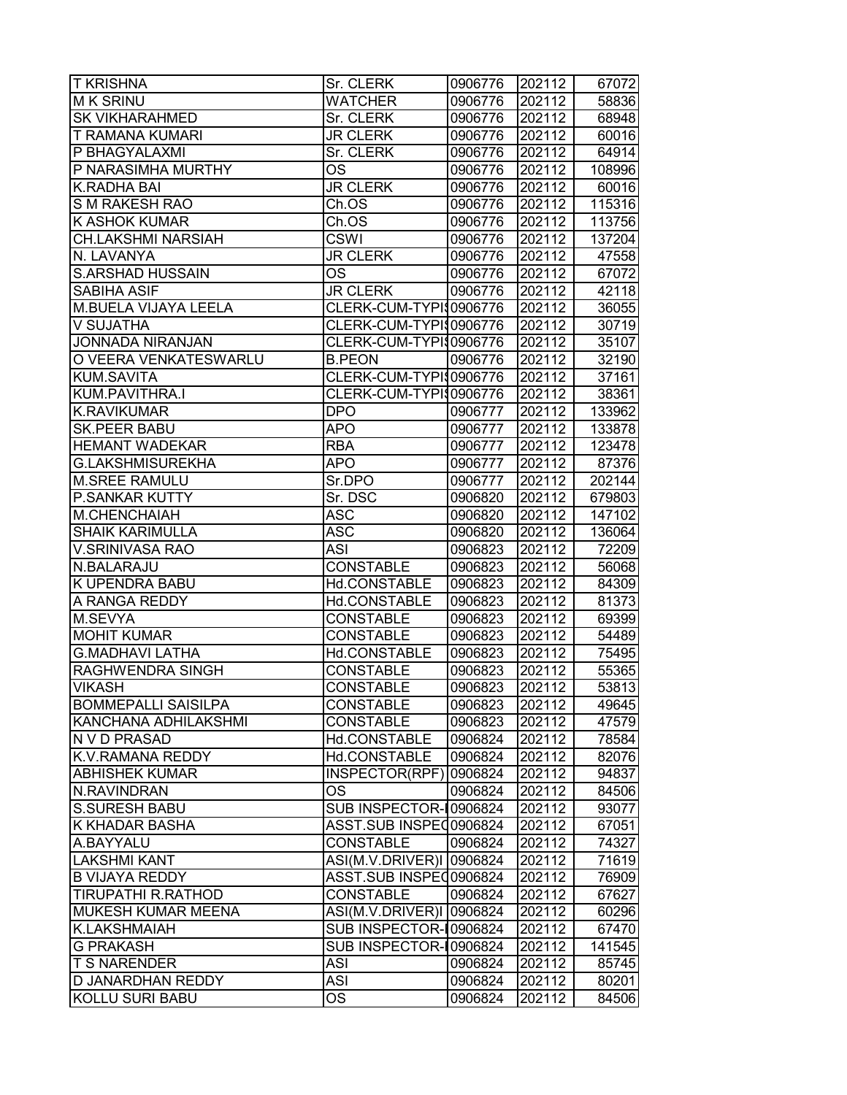| <b>T KRISHNA</b>            | Sr. CLERK                | 0906776 | 202112 | 67072  |
|-----------------------------|--------------------------|---------|--------|--------|
| <b>MK SRINU</b>             | WATCHER                  | 0906776 | 202112 | 58836  |
| <b>SK VIKHARAHMED</b>       | Sr. CLERK                | 0906776 | 202112 | 68948  |
| <b>T RAMANA KUMARI</b>      | <b>JR CLERK</b>          | 0906776 | 202112 | 60016  |
| P BHAGYALAXMI               | Sr. CLERK                | 0906776 | 202112 | 64914  |
| P NARASIMHA MURTHY          | OS                       | 0906776 | 202112 | 108996 |
| <b>K.RADHA BAI</b>          | <b>JR CLERK</b>          | 0906776 | 202112 | 60016  |
| S M RAKESH RAO              | Ch.OS                    | 0906776 | 202112 | 115316 |
| <b>K ASHOK KUMAR</b>        | Ch.OS                    | 0906776 | 202112 | 113756 |
| <b>CH.LAKSHMI NARSIAH</b>   | <b>CSWI</b>              | 0906776 | 202112 | 137204 |
| N. LAVANYA                  | <b>JR CLERK</b>          | 0906776 | 202112 | 47558  |
| <b>S.ARSHAD HUSSAIN</b>     | OS                       | 0906776 | 202112 | 67072  |
| <b>SABIHA ASIF</b>          | <b>JR CLERK</b>          | 0906776 | 202112 | 42118  |
| <b>M.BUELA VIJAYA LEELA</b> | CLERK-CUM-TYPI\$0906776  |         | 202112 | 36055  |
| V SUJATHA                   | CLERK-CUM-TYPI\$0906776  |         | 202112 | 30719  |
| JONNADA NIRANJAN            | CLERK-CUM-TYPI\$0906776  |         | 202112 | 35107  |
| O VEERA VENKATESWARLU       | <b>B.PEON</b>            | 0906776 | 202112 | 32190  |
| <b>KUM.SAVITA</b>           | CLERK-CUM-TYPI\$0906776  |         | 202112 | 37161  |
| KUM.PAVITHRA.I              | CLERK-CUM-TYPI 0906776   |         | 202112 | 38361  |
| <b>K.RAVIKUMAR</b>          | <b>DPO</b>               | 0906777 | 202112 | 133962 |
| <b>SK.PEER BABU</b>         | <b>APO</b>               | 0906777 | 202112 | 133878 |
| <b>HEMANT WADEKAR</b>       | <b>RBA</b>               | 0906777 | 202112 | 123478 |
| <b>G.LAKSHMISUREKHA</b>     | <b>APO</b>               | 0906777 | 202112 | 87376  |
| <b>M.SREE RAMULU</b>        | Sr.DPO                   | 0906777 | 202112 | 202144 |
| <b>P.SANKAR KUTTY</b>       | Sr. DSC                  | 0906820 | 202112 | 679803 |
| M.CHENCHAIAH                | <b>ASC</b>               | 0906820 | 202112 | 147102 |
| <b>SHAIK KARIMULLA</b>      | <b>ASC</b>               | 0906820 | 202112 | 136064 |
| V.SRINIVASA RAO             | ASI                      | 0906823 | 202112 | 72209  |
| N.BALARAJU                  | <b>CONSTABLE</b>         | 0906823 | 202112 | 56068  |
| <b>K UPENDRA BABU</b>       | Hd.CONSTABLE             | 0906823 | 202112 | 84309  |
| A RANGA REDDY               | Hd.CONSTABLE             | 0906823 | 202112 | 81373  |
| M.SEVYA                     | <b>CONSTABLE</b>         | 0906823 | 202112 | 69399  |
| <b>MOHIT KUMAR</b>          | <b>CONSTABLE</b>         | 0906823 | 202112 | 54489  |
| <b>G.MADHAVI LATHA</b>      | Hd.CONSTABLE             | 0906823 | 202112 | 75495  |
| <b>RAGHWENDRA SINGH</b>     | <b>CONSTABLE</b>         | 0906823 | 202112 | 55365  |
| <b>VIKASH</b>               | <b>CONSTABLE</b>         | 0906823 | 202112 | 53813  |
| <b>BOMMEPALLI SAISILPA</b>  | <b>CONSTABLE</b>         | 0906823 | 202112 | 49645  |
| KANCHANA ADHILAKSHMI        | <b>CONSTABLE</b>         | 0906823 | 202112 | 47579  |
| N V D PRASAD                | Hd.CONSTABLE             | 0906824 | 202112 | 78584  |
| <b>K.V.RAMANA REDDY</b>     | Hd.CONSTABLE             | 0906824 | 202112 | 82076  |
| <b>ABHISHEK KUMAR</b>       | INSPECTOR(RPF)           | 0906824 | 202112 | 94837  |
| N.RAVINDRAN                 | OS                       | 0906824 | 202112 | 84506  |
| <b>S.SURESH BABU</b>        | SUB INSPECTOR-10906824   |         | 202112 | 93077  |
| <b>K KHADAR BASHA</b>       | ASST.SUB INSPEC0906824   |         | 202112 | 67051  |
| A.BAYYALU                   | <b>CONSTABLE</b>         | 0906824 | 202112 | 74327  |
| <b>LAKSHMI KANT</b>         | ASI(M.V.DRIVER)I 0906824 |         | 202112 | 71619  |
| <b>B VIJAYA REDDY</b>       | ASST.SUB INSPEC0906824   |         | 202112 | 76909  |
| <b>TIRUPATHI R.RATHOD</b>   | <b>CONSTABLE</b>         | 0906824 | 202112 | 67627  |
| <b>MUKESH KUMAR MEENA</b>   | ASI(M.V.DRIVER)I 0906824 |         | 202112 | 60296  |
| <b>K.LAKSHMAIAH</b>         | SUB INSPECTOR-10906824   |         | 202112 | 67470  |
| <b>G PRAKASH</b>            | SUB INSPECTOR-10906824   |         | 202112 | 141545 |
| <b>T S NARENDER</b>         | ASI                      | 0906824 | 202112 | 85745  |
| D JANARDHAN REDDY           | ASI                      | 0906824 | 202112 | 80201  |
| KOLLU SURI BABU             | OS.                      | 0906824 | 202112 | 84506  |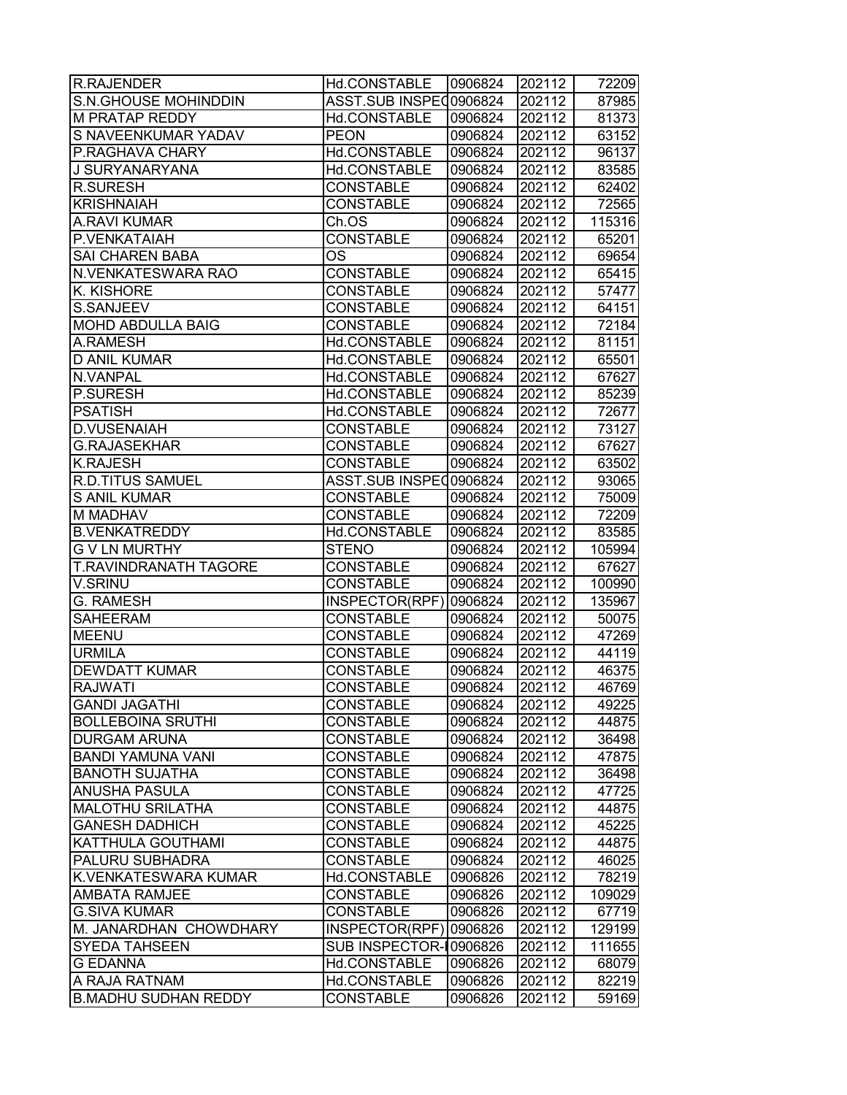| R.RAJENDER                   | Hd.CONSTABLE           | 0906824 | 202112 | 72209  |
|------------------------------|------------------------|---------|--------|--------|
| S.N.GHOUSE MOHINDDIN         | ASST.SUB INSPEC0906824 |         | 202112 | 87985  |
| <b>M PRATAP REDDY</b>        | Hd.CONSTABLE           | 0906824 | 202112 | 81373  |
| S NAVEENKUMAR YADAV          | <b>PEON</b>            | 0906824 | 202112 | 63152  |
| <b>P.RAGHAVA CHARY</b>       | Hd.CONSTABLE           | 0906824 | 202112 | 96137  |
| J SURYANARYANA               | Hd.CONSTABLE           | 0906824 | 202112 | 83585  |
| <b>R.SURESH</b>              | <b>CONSTABLE</b>       | 0906824 | 202112 | 62402  |
| <b>KRISHNAIAH</b>            | <b>CONSTABLE</b>       | 0906824 | 202112 | 72565  |
| <b>A.RAVI KUMAR</b>          | Ch.OS                  | 0906824 | 202112 | 115316 |
| P.VENKATAIAH                 | <b>CONSTABLE</b>       | 0906824 | 202112 | 65201  |
| <b>SAI CHAREN BABA</b>       | <b>OS</b>              | 0906824 | 202112 | 69654  |
| N.VENKATESWARA RAO           | <b>CONSTABLE</b>       | 0906824 | 202112 | 65415  |
| <b>K. KISHORE</b>            | <b>CONSTABLE</b>       | 0906824 | 202112 | 57477  |
| S.SANJEEV                    | <b>CONSTABLE</b>       | 0906824 | 202112 | 64151  |
| <b>MOHD ABDULLA BAIG</b>     | <b>CONSTABLE</b>       | 0906824 | 202112 | 72184  |
| A.RAMESH                     | Hd.CONSTABLE           | 0906824 | 202112 | 81151  |
| <b>D ANIL KUMAR</b>          | Hd.CONSTABLE           | 0906824 | 202112 | 65501  |
| <b>N.VANPAL</b>              | Hd.CONSTABLE           | 0906824 | 202112 | 67627  |
| <b>P.SURESH</b>              | Hd.CONSTABLE           | 0906824 | 202112 | 85239  |
| <b>PSATISH</b>               | Hd.CONSTABLE           | 0906824 | 202112 | 72677  |
| <b>D.VUSENAIAH</b>           | <b>CONSTABLE</b>       | 0906824 | 202112 | 73127  |
| <b>G.RAJASEKHAR</b>          | <b>CONSTABLE</b>       | 0906824 | 202112 | 67627  |
| <b>K.RAJESH</b>              | <b>CONSTABLE</b>       | 0906824 | 202112 | 63502  |
| <b>R.D.TITUS SAMUEL</b>      | ASST.SUB INSPEC0906824 |         | 202112 | 93065  |
| <b>S ANIL KUMAR</b>          | <b>CONSTABLE</b>       | 0906824 | 202112 | 75009  |
| <b>M MADHAV</b>              | <b>CONSTABLE</b>       | 0906824 | 202112 | 72209  |
| <b>B.VENKATREDDY</b>         | Hd.CONSTABLE           | 0906824 | 202112 | 83585  |
| <b>G V LN MURTHY</b>         | <b>STENO</b>           | 0906824 | 202112 | 105994 |
| <b>T.RAVINDRANATH TAGORE</b> | <b>CONSTABLE</b>       | 0906824 | 202112 | 67627  |
| V.SRINU                      | <b>CONSTABLE</b>       | 0906824 | 202112 | 100990 |
| <b>G. RAMESH</b>             | INSPECTOR(RPF) 0906824 |         | 202112 | 135967 |
| <b>SAHEERAM</b>              | <b>CONSTABLE</b>       | 0906824 | 202112 | 50075  |
| <b>MEENU</b>                 | <b>CONSTABLE</b>       | 0906824 | 202112 | 47269  |
| <b>URMILA</b>                | <b>CONSTABLE</b>       | 0906824 | 202112 | 44119  |
| <b>DEWDATT KUMAR</b>         | <b>CONSTABLE</b>       | 0906824 | 202112 | 46375  |
| <b>RAJWATI</b>               | <b>CONSTABLE</b>       | 0906824 | 202112 | 46769  |
| <b>GANDI JAGATHI</b>         | <b>CONSTABLE</b>       | 0906824 | 202112 | 49225  |
| <b>BOLLEBOINA SRUTHI</b>     | <b>CONSTABLE</b>       | 0906824 | 202112 | 44875  |
| <b>DURGAM ARUNA</b>          | <b>CONSTABLE</b>       | 0906824 | 202112 | 36498  |
| <b>BANDI YAMUNA VANI</b>     | <b>CONSTABLE</b>       | 0906824 | 202112 | 47875  |
| <b>BANOTH SUJATHA</b>        | <b>CONSTABLE</b>       | 0906824 | 202112 | 36498  |
| <b>ANUSHA PASULA</b>         | <b>CONSTABLE</b>       | 0906824 | 202112 | 47725  |
| <b>MALOTHU SRILATHA</b>      | <b>CONSTABLE</b>       | 0906824 | 202112 | 44875  |
| <b>GANESH DADHICH</b>        | <b>CONSTABLE</b>       | 0906824 | 202112 | 45225  |
| KATTHULA GOUTHAMI            | <b>CONSTABLE</b>       | 0906824 | 202112 | 44875  |
| <b>PALURU SUBHADRA</b>       | <b>CONSTABLE</b>       | 0906824 | 202112 | 46025  |
| K.VENKATESWARA KUMAR         | Hd.CONSTABLE           | 0906826 | 202112 | 78219  |
| <b>AMBATA RAMJEE</b>         | <b>CONSTABLE</b>       | 0906826 | 202112 | 109029 |
| <b>G.SIVA KUMAR</b>          | <b>CONSTABLE</b>       | 0906826 | 202112 | 67719  |
| M. JANARDHAN CHOWDHARY       | INSPECTOR(RPF)         | 0906826 | 202112 | 129199 |
| <b>SYEDA TAHSEEN</b>         | SUB INSPECTOR-10906826 |         | 202112 | 111655 |
| <b>G EDANNA</b>              | Hd.CONSTABLE           | 0906826 | 202112 | 68079  |
| A RAJA RATNAM                | Hd.CONSTABLE           | 0906826 | 202112 | 82219  |
| <b>B.MADHU SUDHAN REDDY</b>  | <b>CONSTABLE</b>       | 0906826 | 202112 | 59169  |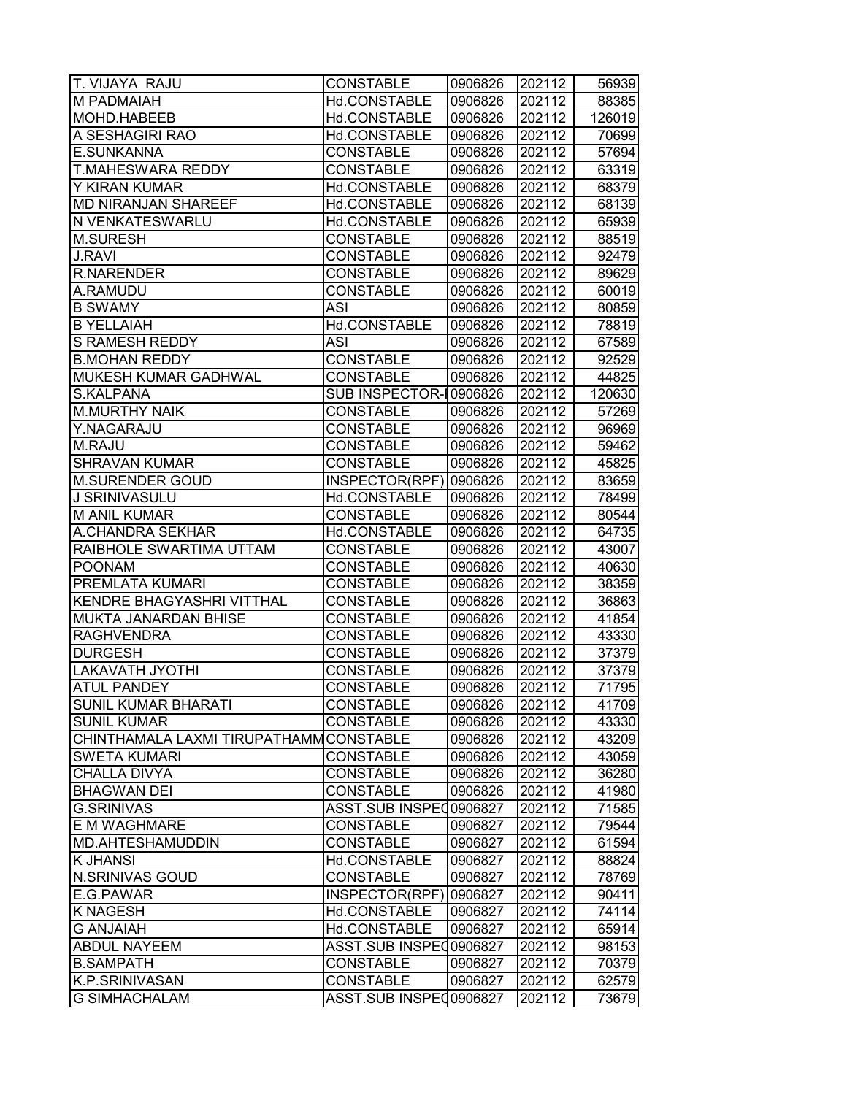| T. VIJAYA RAJU                          | <b>CONSTABLE</b>                     | 0906826            | 202112           | 56939          |
|-----------------------------------------|--------------------------------------|--------------------|------------------|----------------|
| M PADMAIAH                              | Hd.CONSTABLE                         | 0906826            | 202112           | 88385          |
| MOHD.HABEEB                             | Hd.CONSTABLE                         | 0906826            | 202112           | 126019         |
| A SESHAGIRI RAO                         | Hd.CONSTABLE                         | 0906826            | 202112           | 70699          |
| E.SUNKANNA                              | <b>CONSTABLE</b>                     | 0906826            | 202112           | 57694          |
| T.MAHESWARA REDDY                       | <b>CONSTABLE</b>                     | 0906826            | 202112           | 63319          |
| Y KIRAN KUMAR                           | Hd.CONSTABLE                         | 0906826            | 202112           | 68379          |
| <b>MD NIRANJAN SHAREEF</b>              | Hd.CONSTABLE                         | 0906826            | 202112           | 68139          |
| N VENKATESWARLU                         | Hd.CONSTABLE                         | 0906826            | 202112           | 65939          |
| <b>M.SURESH</b>                         | <b>CONSTABLE</b>                     | 0906826            | 202112           | 88519          |
| <b>J.RAVI</b>                           | <b>CONSTABLE</b>                     | 0906826            | 202112           | 92479          |
| <b>R.NARENDER</b>                       | <b>CONSTABLE</b>                     | 0906826            | 202112           | 89629          |
| A.RAMUDU                                | <b>CONSTABLE</b>                     | 0906826            | 202112           | 60019          |
| <b>B SWAMY</b>                          | ASI                                  | 0906826            | 202112           | 80859          |
| <b>B YELLAIAH</b>                       | Hd.CONSTABLE                         | 0906826            | 202112           | 78819          |
| <b>S RAMESH REDDY</b>                   | ASI                                  | 0906826            | 202112           | 67589          |
| <b>B.MOHAN REDDY</b>                    | <b>CONSTABLE</b>                     | 0906826            | 202112           | 92529          |
| MUKESH KUMAR GADHWAL                    | <b>CONSTABLE</b>                     | 0906826            | 202112           | 44825          |
| S.KALPANA                               | SUB INSPECTOR-10906826               |                    | 202112           | 120630         |
| <b>M.MURTHY NAIK</b>                    | <b>CONSTABLE</b>                     | 0906826            | 202112           | 57269          |
| Y.NAGARAJU                              | <b>CONSTABLE</b>                     | 0906826            | 202112           | 96969          |
| M.RAJU                                  | <b>CONSTABLE</b>                     | 0906826            | 202112           | 59462          |
| <b>SHRAVAN KUMAR</b>                    | <b>CONSTABLE</b>                     | 0906826            | 202112           | 45825          |
| <b>M.SURENDER GOUD</b>                  | INSPECTOR(RPF) 0906826               |                    | 202112           | 83659          |
| J SRINIVASULU                           | Hd.CONSTABLE                         | 0906826            | 202112           | 78499          |
| <b>M ANIL KUMAR</b>                     | <b>CONSTABLE</b>                     | 0906826            | 202112           | 80544          |
| A.CHANDRA SEKHAR                        | Hd.CONSTABLE                         | 0906826            | 202112           | 64735          |
| RAIBHOLE SWARTIMA UTTAM                 | <b>CONSTABLE</b>                     | 0906826            | 202112           | 43007          |
| <b>POONAM</b>                           | <b>CONSTABLE</b>                     | 0906826            | 202112           | 40630          |
| PREMLATA KUMARI                         | <b>CONSTABLE</b>                     | 0906826            | 202112           | 38359          |
| KENDRE BHAGYASHRI VITTHAL               | <b>CONSTABLE</b>                     | 0906826            | 202112           | 36863          |
| MUKTA JANARDAN BHISE                    | <b>CONSTABLE</b>                     | 0906826            | 202112           | 41854          |
| <b>RAGHVENDRA</b>                       | <b>CONSTABLE</b>                     | 0906826            | 202112           | 43330          |
| <b>DURGESH</b>                          | <b>CONSTABLE</b>                     | 0906826            | 202112           | 37379          |
| <b>LAKAVATH JYOTHI</b>                  | <b>CONSTABLE</b>                     | 0906826            | 202112           | 37379          |
| <b>ATUL PANDEY</b>                      | <b>CONSTABLE</b>                     | 0906826            | 202112           | 71795          |
| <b>SUNIL KUMAR BHARATI</b>              | <b>CONSTABLE</b>                     | 0906826            | 202112           | 41709          |
| <b>SUNIL KUMAR</b>                      | <b>CONSTABLE</b>                     | 0906826            | 202112           | 43330          |
| CHINTHAMALA LAXMI TIRUPATHAMM CONSTABLE |                                      | 0906826            | 202112           | 43209          |
| <b>SWETA KUMARI</b>                     | <b>CONSTABLE</b>                     | 0906826            | 202112           | 43059          |
| <b>CHALLA DIVYA</b>                     | CONSTABLE                            | 0906826            | 202112           | 36280          |
| <b>BHAGWAN DEI</b>                      | <b>CONSTABLE</b>                     | 0906826            | 202112           | 41980          |
| <b>G.SRINIVAS</b>                       | ASST.SUB INSPE00906827               |                    | 202112           | 71585          |
| E M WAGHMARE                            | <b>CONSTABLE</b>                     | 0906827            | 202112           | 79544          |
| MD.AHTESHAMUDDIN                        | <b>CONSTABLE</b>                     | 0906827            | 202112           | 61594          |
| <b>K JHANSI</b>                         | Hd.CONSTABLE                         | 0906827            | 202112           | 88824          |
| <b>N.SRINIVAS GOUD</b>                  | <b>CONSTABLE</b>                     | 0906827            | 202112           | 78769          |
| E.G.PAWAR                               | INSPECTOR(RPF)                       | 0906827            | 202112           | 90411          |
| <b>K NAGESH</b>                         | Hd.CONSTABLE                         | 0906827            | 202112           | 74114          |
| <b>G ANJAIAH</b>                        | Hd.CONSTABLE                         | 0906827            | 202112           | 65914          |
| <b>ABDUL NAYEEM</b>                     | ASST.SUB INSPEC0906827               |                    | 202112           | 98153          |
| <b>B.SAMPATH</b><br>K.P.SRINIVASAN      | <b>CONSTABLE</b><br><b>CONSTABLE</b> | 0906827<br>0906827 | 202112<br>202112 | 70379<br>62579 |
| <b>G SIMHACHALAM</b>                    | ASST.SUB INSPEC0906827               |                    | 202112           | 73679          |
|                                         |                                      |                    |                  |                |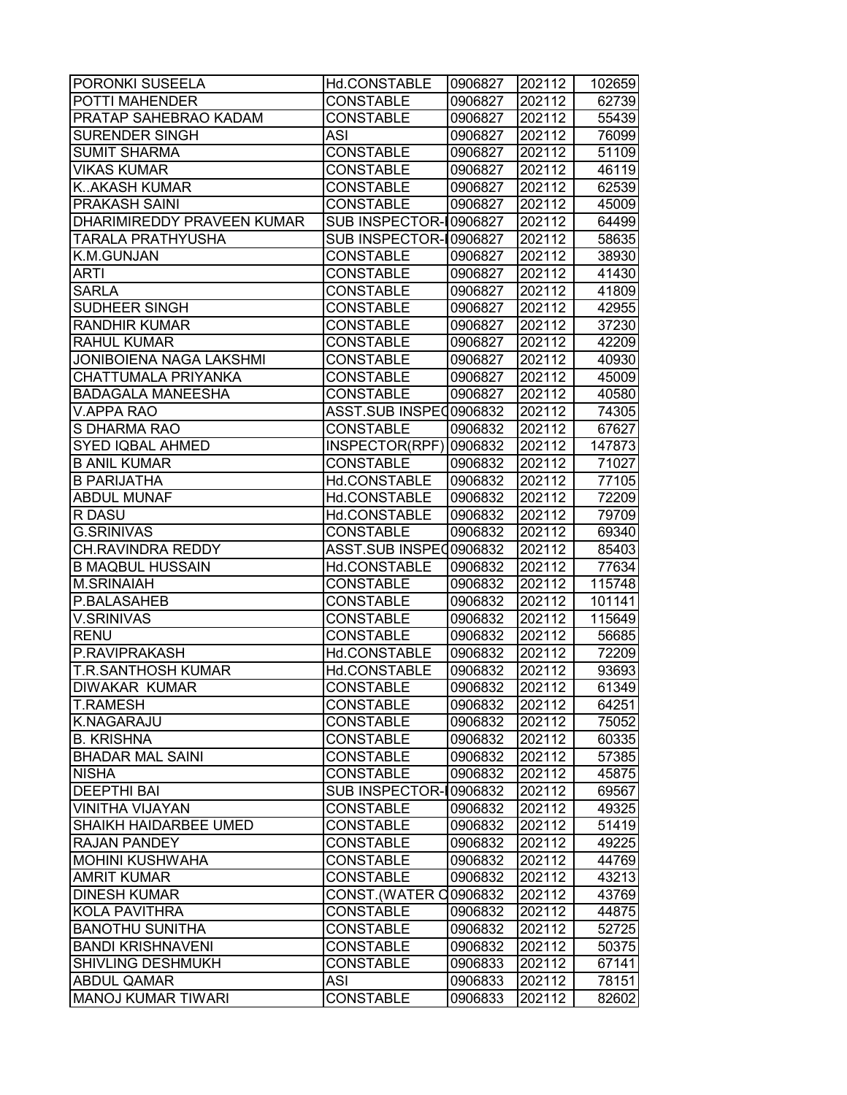| <b>PORONKI SUSEELA</b>     | Hd.CONSTABLE           | 0906827 | 202112 | 102659 |
|----------------------------|------------------------|---------|--------|--------|
| <b>POTTI MAHENDER</b>      | <b>CONSTABLE</b>       | 0906827 | 202112 | 62739  |
| PRATAP SAHEBRAO KADAM      | <b>CONSTABLE</b>       | 0906827 | 202112 | 55439  |
| <b>SURENDER SINGH</b>      | <b>ASI</b>             | 0906827 | 202112 | 76099  |
| <b>SUMIT SHARMA</b>        | <b>CONSTABLE</b>       | 0906827 | 202112 | 51109  |
| <b>VIKAS KUMAR</b>         | <b>CONSTABLE</b>       | 0906827 | 202112 | 46119  |
| <b>KAKASH KUMAR</b>        | <b>CONSTABLE</b>       | 0906827 | 202112 | 62539  |
| <b>PRAKASH SAINI</b>       | <b>CONSTABLE</b>       | 0906827 | 202112 | 45009  |
| DHARIMIREDDY PRAVEEN KUMAR | SUB INSPECTOR-10906827 |         | 202112 | 64499  |
| <b>TARALA PRATHYUSHA</b>   | SUB INSPECTOR-10906827 |         | 202112 | 58635  |
| K.M.GUNJAN                 | <b>CONSTABLE</b>       | 0906827 | 202112 | 38930  |
| <b>ARTI</b>                | <b>CONSTABLE</b>       | 0906827 | 202112 | 41430  |
| <b>SARLA</b>               | <b>CONSTABLE</b>       | 0906827 | 202112 | 41809  |
| SUDHEER SINGH              | <b>CONSTABLE</b>       | 0906827 | 202112 | 42955  |
| <b>RANDHIR KUMAR</b>       | <b>CONSTABLE</b>       | 0906827 | 202112 | 37230  |
| <b>RAHUL KUMAR</b>         | <b>CONSTABLE</b>       | 0906827 | 202112 | 42209  |
| JONIBOIENA NAGA LAKSHMI    | <b>CONSTABLE</b>       | 0906827 | 202112 | 40930  |
| <b>CHATTUMALA PRIYANKA</b> | <b>CONSTABLE</b>       | 0906827 | 202112 | 45009  |
| <b>BADAGALA MANEESHA</b>   | <b>CONSTABLE</b>       | 0906827 | 202112 | 40580  |
| <b>V.APPA RAO</b>          | ASST.SUB INSPEC0906832 |         | 202112 | 74305  |
| S DHARMA RAO               | <b>CONSTABLE</b>       | 0906832 | 202112 | 67627  |
| <b>SYED IQBAL AHMED</b>    | INSPECTOR(RPF)         | 0906832 | 202112 | 147873 |
| <b>B ANIL KUMAR</b>        | <b>CONSTABLE</b>       | 0906832 | 202112 | 71027  |
| <b>B PARIJATHA</b>         | Hd.CONSTABLE           | 0906832 | 202112 | 77105  |
| <b>ABDUL MUNAF</b>         | Hd.CONSTABLE           | 0906832 | 202112 | 72209  |
| R DASU                     | Hd.CONSTABLE           | 0906832 | 202112 | 79709  |
| <b>G.SRINIVAS</b>          | <b>CONSTABLE</b>       | 0906832 | 202112 | 69340  |
| CH.RAVINDRA REDDY          | ASST.SUB INSPE00906832 |         | 202112 | 85403  |
| <b>B MAQBUL HUSSAIN</b>    | Hd.CONSTABLE           | 0906832 | 202112 | 77634  |
| <b>M.SRINAIAH</b>          | <b>CONSTABLE</b>       | 0906832 | 202112 | 115748 |
| P.BALASAHEB                | <b>CONSTABLE</b>       | 0906832 | 202112 | 101141 |
| <b>V.SRINIVAS</b>          | <b>CONSTABLE</b>       | 0906832 | 202112 | 115649 |
| <b>RENU</b>                | <b>CONSTABLE</b>       | 0906832 | 202112 | 56685  |
| P.RAVIPRAKASH              | Hd.CONSTABLE           | 0906832 | 202112 | 72209  |
| <b>T.R.SANTHOSH KUMAR</b>  | Hd.CONSTABLE           | 0906832 | 202112 | 93693  |
| <b>DIWAKAR KUMAR</b>       | <b>CONSTABLE</b>       | 0906832 | 202112 | 61349  |
| <b>T.RAMESH</b>            | <b>CONSTABLE</b>       | 0906832 | 202112 | 64251  |
| <b>K.NAGARAJU</b>          | <b>CONSTABLE</b>       | 0906832 | 202112 | 75052  |
| <b>B. KRISHNA</b>          | <b>CONSTABLE</b>       | 0906832 | 202112 | 60335  |
| <b>BHADAR MAL SAINI</b>    | <b>CONSTABLE</b>       | 0906832 | 202112 | 57385  |
| <b>NISHA</b>               | <b>CONSTABLE</b>       | 0906832 | 202112 | 45875  |
| <b>DEEPTHI BAI</b>         | SUB INSPECTOR-10906832 |         | 202112 | 69567  |
| <b>VINITHA VIJAYAN</b>     | <b>CONSTABLE</b>       | 0906832 | 202112 | 49325  |
| SHAIKH HAIDARBEE UMED      | <b>CONSTABLE</b>       | 0906832 | 202112 | 51419  |
| <b>RAJAN PANDEY</b>        | <b>CONSTABLE</b>       | 0906832 | 202112 | 49225  |
| <b>MOHINI KUSHWAHA</b>     | <b>CONSTABLE</b>       | 0906832 | 202112 | 44769  |
| <b>AMRIT KUMAR</b>         | <b>CONSTABLE</b>       | 0906832 | 202112 | 43213  |
| <b>DINESH KUMAR</b>        | CONST. (WATER C0906832 |         | 202112 | 43769  |
| <b>KOLA PAVITHRA</b>       | <b>CONSTABLE</b>       | 0906832 | 202112 | 44875  |
| <b>BANOTHU SUNITHA</b>     | <b>CONSTABLE</b>       | 0906832 | 202112 | 52725  |
| <b>BANDI KRISHNAVENI</b>   | <b>CONSTABLE</b>       | 0906832 | 202112 | 50375  |
| <b>SHIVLING DESHMUKH</b>   | <b>CONSTABLE</b>       | 0906833 | 202112 | 67141  |
| <b>ABDUL QAMAR</b>         | <b>ASI</b>             | 0906833 | 202112 | 78151  |
| MANOJ KUMAR TIWARI         | <b>CONSTABLE</b>       | 0906833 | 202112 | 82602  |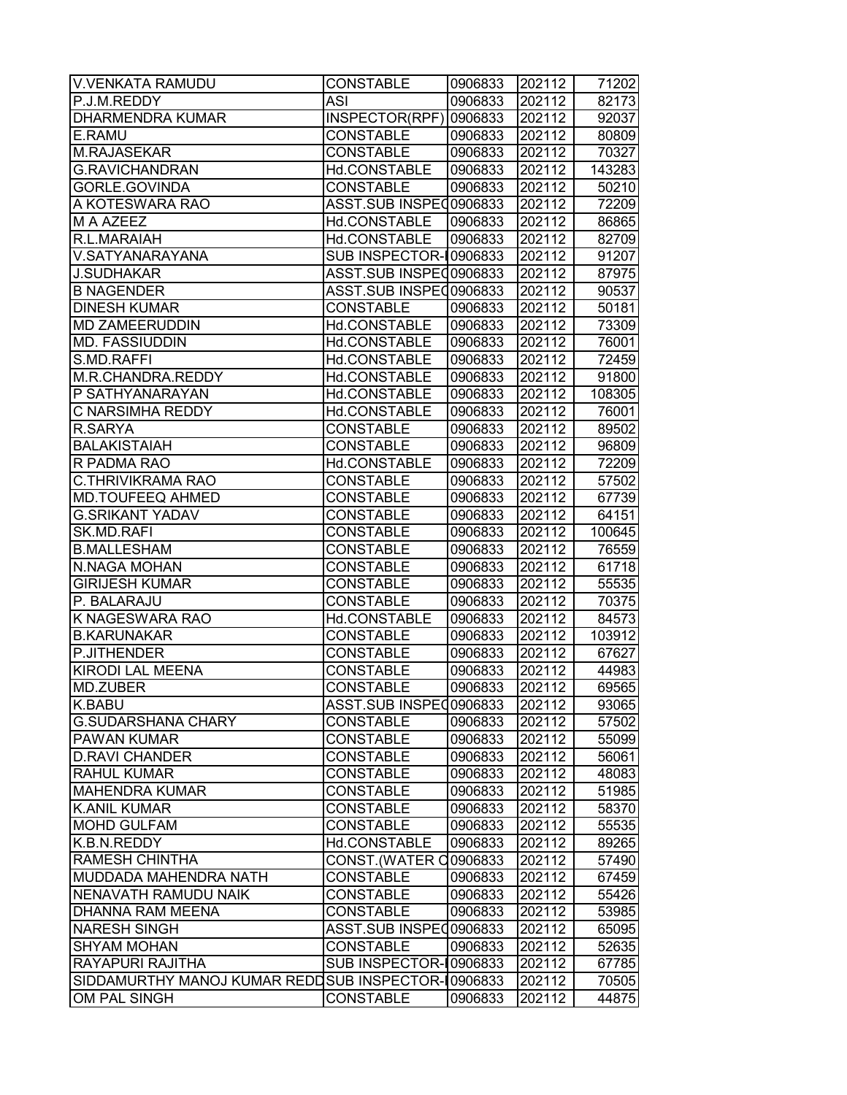| <b>V.VENKATA RAMUDU</b>                            | <b>CONSTABLE</b>       | 0906833 | 202112 | 71202  |
|----------------------------------------------------|------------------------|---------|--------|--------|
| P.J.M.REDDY                                        | <b>ASI</b>             | 0906833 | 202112 | 82173  |
| DHARMENDRA KUMAR                                   | INSPECTOR(RPF) 0906833 |         | 202112 | 92037  |
| E.RAMU                                             | <b>CONSTABLE</b>       | 0906833 | 202112 | 80809  |
| <b>M.RAJASEKAR</b>                                 | <b>CONSTABLE</b>       | 0906833 | 202112 | 70327  |
| <b>G.RAVICHANDRAN</b>                              | Hd.CONSTABLE           | 0906833 | 202112 | 143283 |
| GORLE.GOVINDA                                      | <b>CONSTABLE</b>       | 0906833 | 202112 | 50210  |
| A KOTESWARA RAO                                    | ASST.SUB INSPEC0906833 |         | 202112 | 72209  |
| M A AZEEZ                                          | Hd.CONSTABLE           | 0906833 | 202112 | 86865  |
| R.L.MARAIAH                                        | Hd.CONSTABLE           | 0906833 | 202112 | 82709  |
| V.SATYANARAYANA                                    | SUB INSPECTOR-10906833 |         | 202112 | 91207  |
| <b>J.SUDHAKAR</b>                                  | ASST.SUB INSPEC0906833 |         | 202112 | 87975  |
| <b>B NAGENDER</b>                                  | ASST.SUB INSPE00906833 |         | 202112 | 90537  |
| <b>DINESH KUMAR</b>                                | <b>CONSTABLE</b>       | 0906833 | 202112 | 50181  |
| <b>MD ZAMEERUDDIN</b>                              | Hd.CONSTABLE           | 0906833 | 202112 | 73309  |
| <b>MD. FASSIUDDIN</b>                              | Hd.CONSTABLE           | 0906833 | 202112 | 76001  |
| S.MD.RAFFI                                         | Hd.CONSTABLE           | 0906833 | 202112 | 72459  |
| M.R.CHANDRA.REDDY                                  | Hd.CONSTABLE           | 0906833 | 202112 | 91800  |
| P SATHYANARAYAN                                    | Hd.CONSTABLE           | 0906833 | 202112 | 108305 |
| C NARSIMHA REDDY                                   | Hd.CONSTABLE           | 0906833 | 202112 | 76001  |
| R.SARYA                                            | <b>CONSTABLE</b>       | 0906833 | 202112 | 89502  |
| <b>BALAKISTAIAH</b>                                | <b>CONSTABLE</b>       | 0906833 | 202112 | 96809  |
| R PADMA RAO                                        | Hd.CONSTABLE           | 0906833 | 202112 | 72209  |
| C.THRIVIKRAMA RAO                                  | <b>CONSTABLE</b>       | 0906833 | 202112 | 57502  |
| <b>MD.TOUFEEQ AHMED</b>                            | <b>CONSTABLE</b>       | 0906833 | 202112 | 67739  |
| <b>G.SRIKANT YADAV</b>                             | <b>CONSTABLE</b>       | 0906833 | 202112 | 64151  |
| SK.MD.RAFI                                         | <b>CONSTABLE</b>       | 0906833 | 202112 | 100645 |
| <b>B.MALLESHAM</b>                                 | <b>CONSTABLE</b>       | 0906833 | 202112 | 76559  |
| N.NAGA MOHAN                                       | <b>CONSTABLE</b>       | 0906833 | 202112 | 61718  |
| <b>GIRIJESH KUMAR</b>                              | <b>CONSTABLE</b>       | 0906833 | 202112 | 55535  |
| P. BALARAJU                                        | <b>CONSTABLE</b>       | 0906833 | 202112 | 70375  |
| K NAGESWARA RAO                                    | Hd.CONSTABLE           | 0906833 | 202112 | 84573  |
| <b>B.KARUNAKAR</b>                                 | <b>CONSTABLE</b>       | 0906833 | 202112 | 103912 |
| P.JITHENDER                                        | <b>CONSTABLE</b>       | 0906833 | 202112 | 67627  |
| <b>KIRODI LAL MEENA</b>                            | <b>CONSTABLE</b>       | 0906833 | 202112 | 44983  |
| MD.ZUBER                                           | <b>CONSTABLE</b>       | 0906833 | 202112 | 69565  |
| K.BABU                                             | ASST.SUB INSPEC0906833 |         | 202112 | 93065  |
| <b>G.SUDARSHANA CHARY</b>                          | <b>CONSTABLE</b>       | 0906833 | 202112 | 57502  |
| <b>PAWAN KUMAR</b>                                 | <b>CONSTABLE</b>       | 0906833 | 202112 | 55099  |
| <b>D.RAVI CHANDER</b>                              | <b>CONSTABLE</b>       | 0906833 | 202112 | 56061  |
| <b>RAHUL KUMAR</b>                                 | <b>CONSTABLE</b>       | 0906833 | 202112 | 48083  |
| <b>MAHENDRA KUMAR</b>                              | <b>CONSTABLE</b>       | 0906833 | 202112 | 51985  |
| <b>K.ANIL KUMAR</b>                                | <b>CONSTABLE</b>       | 0906833 | 202112 | 58370  |
| <b>MOHD GULFAM</b>                                 | <b>CONSTABLE</b>       | 0906833 | 202112 | 55535  |
| K.B.N.REDDY                                        | Hd.CONSTABLE           | 0906833 | 202112 | 89265  |
| RAMESH CHINTHA                                     | CONST. (WATER C0906833 |         | 202112 | 57490  |
| MUDDADA MAHENDRA NATH                              | CONSTABLE              | 0906833 | 202112 | 67459  |
| NENAVATH RAMUDU NAIK                               | <b>CONSTABLE</b>       | 0906833 | 202112 | 55426  |
| DHANNA RAM MEENA                                   | CONSTABLE              | 0906833 | 202112 | 53985  |
| <b>NARESH SINGH</b>                                | ASST.SUB INSPE 0906833 |         | 202112 | 65095  |
| <b>SHYAM MOHAN</b>                                 | <b>CONSTABLE</b>       | 0906833 | 202112 | 52635  |
| RAYAPURI RAJITHA                                   | SUB INSPECTOR-10906833 |         | 202112 | 67785  |
| SIDDAMURTHY MANOJ KUMAR REDDSUB INSPECTOR-10906833 |                        |         | 202112 | 70505  |
| OM PAL SINGH                                       | <b>CONSTABLE</b>       | 0906833 | 202112 | 44875  |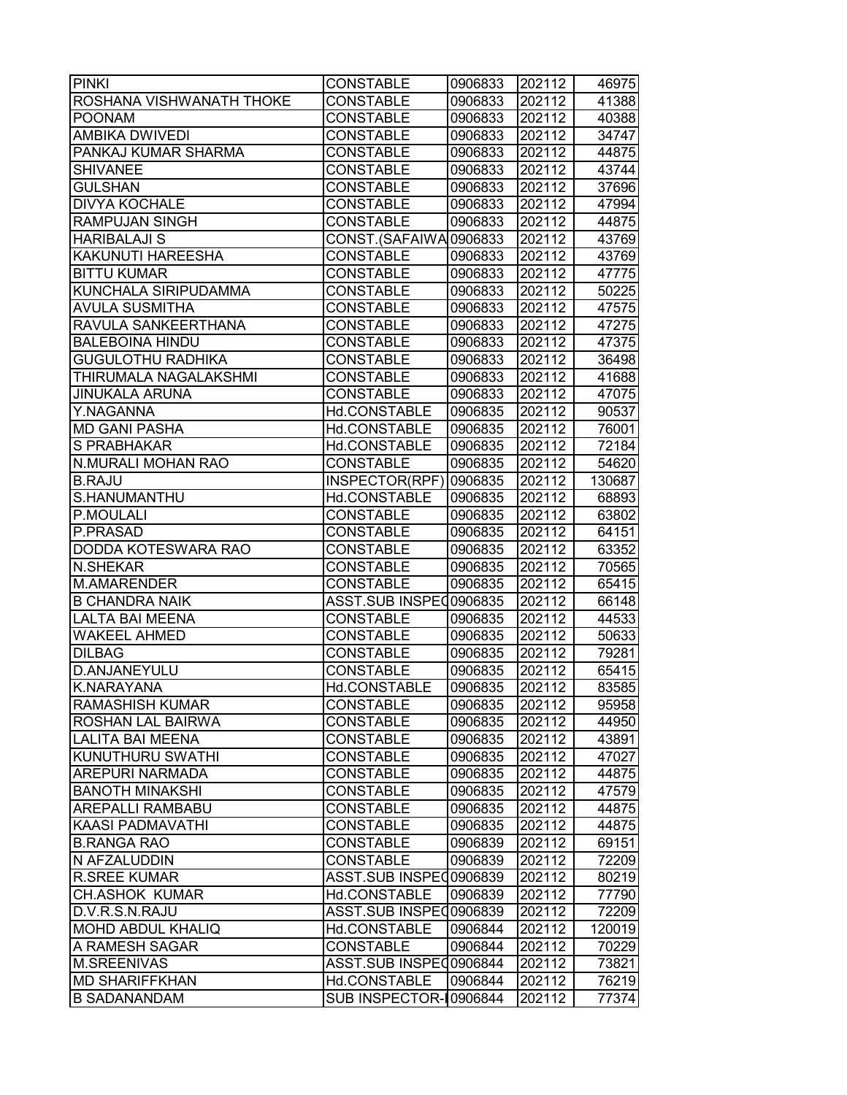| <b>PINKI</b>                 | <b>CONSTABLE</b>       | 0906833 | 202112 | 46975  |
|------------------------------|------------------------|---------|--------|--------|
| ROSHANA VISHWANATH THOKE     | <b>CONSTABLE</b>       | 0906833 | 202112 | 41388  |
| <b>POONAM</b>                | <b>CONSTABLE</b>       | 0906833 | 202112 | 40388  |
| <b>AMBIKA DWIVEDI</b>        | <b>CONSTABLE</b>       | 0906833 | 202112 | 34747  |
| PANKAJ KUMAR SHARMA          | <b>CONSTABLE</b>       | 0906833 | 202112 | 44875  |
| <b>SHIVANEE</b>              | <b>CONSTABLE</b>       | 0906833 | 202112 | 43744  |
| <b>GULSHAN</b>               | <b>CONSTABLE</b>       | 0906833 | 202112 | 37696  |
| <b>DIVYA KOCHALE</b>         | <b>CONSTABLE</b>       | 0906833 | 202112 | 47994  |
| <b>RAMPUJAN SINGH</b>        | <b>CONSTABLE</b>       | 0906833 | 202112 | 44875  |
| <b>HARIBALAJI S</b>          | CONST.(SAFAIWA0906833  |         | 202112 | 43769  |
| <b>KAKUNUTI HAREESHA</b>     | <b>CONSTABLE</b>       | 0906833 | 202112 | 43769  |
| <b>BITTU KUMAR</b>           | <b>CONSTABLE</b>       | 0906833 | 202112 | 47775  |
| KUNCHALA SIRIPUDAMMA         | <b>CONSTABLE</b>       | 0906833 | 202112 | 50225  |
| <b>AVULA SUSMITHA</b>        | <b>CONSTABLE</b>       | 0906833 | 202112 | 47575  |
| RAVULA SANKEERTHANA          | <b>CONSTABLE</b>       | 0906833 | 202112 | 47275  |
| <b>BALEBOINA HINDU</b>       | <b>CONSTABLE</b>       | 0906833 | 202112 | 47375  |
| <b>GUGULOTHU RADHIKA</b>     | <b>CONSTABLE</b>       | 0906833 | 202112 | 36498  |
| <b>THIRUMALA NAGALAKSHMI</b> | <b>CONSTABLE</b>       | 0906833 | 202112 | 41688  |
| <b>JINUKALA ARUNA</b>        | <b>CONSTABLE</b>       | 0906833 | 202112 | 47075  |
| Y.NAGANNA                    | Hd.CONSTABLE           | 0906835 | 202112 | 90537  |
| <b>MD GANI PASHA</b>         | Hd.CONSTABLE           | 0906835 | 202112 | 76001  |
| S PRABHAKAR                  | Hd.CONSTABLE           | 0906835 | 202112 | 72184  |
| <b>N.MURALI MOHAN RAO</b>    | <b>CONSTABLE</b>       | 0906835 | 202112 | 54620  |
| <b>B.RAJU</b>                | INSPECTOR(RPF)         | 0906835 | 202112 | 130687 |
| S.HANUMANTHU                 | Hd.CONSTABLE           | 0906835 | 202112 | 68893  |
| P.MOULALI                    | <b>CONSTABLE</b>       | 0906835 | 202112 | 63802  |
| P.PRASAD                     | <b>CONSTABLE</b>       | 0906835 | 202112 | 64151  |
| DODDA KOTESWARA RAO          | <b>CONSTABLE</b>       | 0906835 | 202112 | 63352  |
| <b>N.SHEKAR</b>              | <b>CONSTABLE</b>       | 0906835 | 202112 | 70565  |
| <b>M.AMARENDER</b>           | <b>CONSTABLE</b>       | 0906835 | 202112 | 65415  |
| <b>B CHANDRA NAIK</b>        | ASST.SUB INSPE00906835 |         | 202112 | 66148  |
| LALTA BAI MEENA              | <b>CONSTABLE</b>       | 0906835 | 202112 | 44533  |
| <b>WAKEEL AHMED</b>          | <b>CONSTABLE</b>       | 0906835 | 202112 | 50633  |
| <b>DILBAG</b>                | <b>CONSTABLE</b>       | 0906835 | 202112 | 79281  |
| <b>D.ANJANEYULU</b>          | <b>CONSTABLE</b>       | 0906835 | 202112 | 65415  |
| <b>K.NARAYANA</b>            | Hd.CONSTABLE           | 0906835 | 202112 | 83585  |
| <b>RAMASHISH KUMAR</b>       | <b>CONSTABLE</b>       | 0906835 | 202112 | 95958  |
| <b>ROSHAN LAL BAIRWA</b>     | <b>CONSTABLE</b>       | 0906835 | 202112 | 44950  |
| <b>LALITA BAI MEENA</b>      | <b>CONSTABLE</b>       | 0906835 | 202112 | 43891  |
| <b>KUNUTHURU SWATHI</b>      | <b>CONSTABLE</b>       | 0906835 | 202112 | 47027  |
| <b>AREPURI NARMADA</b>       | <b>CONSTABLE</b>       | 0906835 | 202112 | 44875  |
| <b>BANOTH MINAKSHI</b>       | <b>CONSTABLE</b>       | 0906835 | 202112 | 47579  |
| <b>AREPALLI RAMBABU</b>      | <b>CONSTABLE</b>       | 0906835 | 202112 | 44875  |
| <b>KAASI PADMAVATHI</b>      | <b>CONSTABLE</b>       | 0906835 | 202112 | 44875  |
| <b>B.RANGA RAO</b>           | <b>CONSTABLE</b>       | 0906839 | 202112 | 69151  |
| N AFZALUDDIN                 | CONSTABLE              | 0906839 | 202112 | 72209  |
| <b>R.SREE KUMAR</b>          | ASST.SUB INSPEQ0906839 |         | 202112 | 80219  |
| <b>CH.ASHOK KUMAR</b>        | Hd.CONSTABLE           | 0906839 | 202112 | 77790  |
| D.V.R.S.N.RAJU               | ASST.SUB INSPEQ0906839 |         | 202112 | 72209  |
| <b>MOHD ABDUL KHALIQ</b>     | Hd.CONSTABLE           | 0906844 | 202112 | 120019 |
| A RAMESH SAGAR               | <b>CONSTABLE</b>       | 0906844 | 202112 | 70229  |
| <b>M.SREENIVAS</b>           | ASST.SUB INSPEC0906844 |         | 202112 | 73821  |
| <b>MD SHARIFFKHAN</b>        | Hd.CONSTABLE           | 0906844 | 202112 | 76219  |
| <b>B SADANANDAM</b>          | SUB INSPECTOR-10906844 |         | 202112 | 77374  |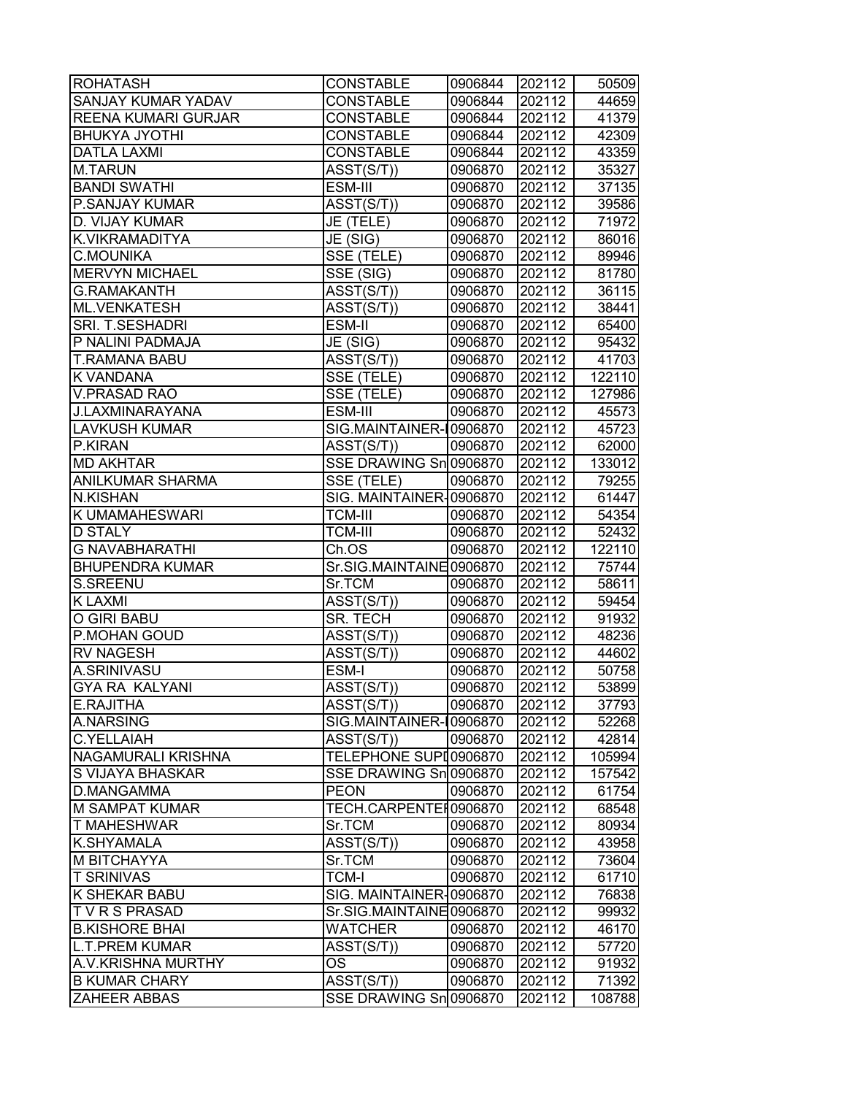| <b>ROHATASH</b>            | <b>CONSTABLE</b>        | 0906844 | 202112 | 50509  |
|----------------------------|-------------------------|---------|--------|--------|
| <b>SANJAY KUMAR YADAV</b>  | <b>CONSTABLE</b>        | 0906844 | 202112 | 44659  |
| <b>REENA KUMARI GURJAR</b> | <b>CONSTABLE</b>        | 0906844 | 202112 | 41379  |
| <b>BHUKYA JYOTHI</b>       | <b>CONSTABLE</b>        | 0906844 | 202112 | 42309  |
| <b>DATLA LAXMI</b>         | <b>CONSTABLE</b>        | 0906844 | 202112 | 43359  |
| <b>M.TARUN</b>             | ASST(S/T))              | 0906870 | 202112 | 35327  |
| <b>BANDI SWATHI</b>        | ESM-III                 | 0906870 | 202112 | 37135  |
| <b>P.SANJAY KUMAR</b>      | ASST(S/T))              | 0906870 | 202112 | 39586  |
| D. VIJAY KUMAR             | JE (TELE)               | 0906870 | 202112 | 71972  |
| K.VIKRAMADITYA             | JE (SIG)                | 0906870 | 202112 | 86016  |
| <b>C.MOUNIKA</b>           | SSE (TELE)              | 0906870 | 202112 | 89946  |
| <b>MERVYN MICHAEL</b>      | SSE (SIG)               | 0906870 | 202112 | 81780  |
| <b>G.RAMAKANTH</b>         | ASST(S/T))              | 0906870 | 202112 | 36115  |
| ML.VENKATESH               | ASST(S/T))              | 0906870 | 202112 | 38441  |
| SRI. T.SESHADRI            | ESM-II                  | 0906870 | 202112 | 65400  |
| P NALINI PADMAJA           | JE (SIG)                | 0906870 | 202112 | 95432  |
| <b>T.RAMANA BABU</b>       | $\overline{A}SST(S/T))$ | 0906870 | 202112 | 41703  |
| <b>K VANDANA</b>           | SSE (TELE)              | 0906870 | 202112 | 122110 |
| <b>V.PRASAD RAO</b>        | SSE (TELE)              | 0906870 | 202112 | 127986 |
| <b>J.LAXMINARAYANA</b>     | ESM-III                 | 0906870 | 202112 | 45573  |
| LAVKUSH KUMAR              | SIG.MAINTAINER-10906870 |         | 202112 | 45723  |
| P.KIRAN                    | ASST(S/T))              | 0906870 | 202112 | 62000  |
| <b>MD AKHTAR</b>           | SSE DRAWING Sn 0906870  |         | 202112 | 133012 |
| <b>ANILKUMAR SHARMA</b>    | SSE (TELE)              | 0906870 | 202112 | 79255  |
| <b>N.KISHAN</b>            | SIG. MAINTAINER-0906870 |         | 202112 | 61447  |
| <b>K UMAMAHESWARI</b>      | <b>TCM-III</b>          | 0906870 | 202112 | 54354  |
| <b>D STALY</b>             | <b>TCM-III</b>          | 0906870 | 202112 | 52432  |
| <b>G NAVABHARATHI</b>      | Ch.OS                   | 0906870 | 202112 | 122110 |
| <b>BHUPENDRA KUMAR</b>     | Sr.SIG.MAINTAINE0906870 |         | 202112 | 75744  |
| S.SREENU                   | Sr.TCM                  | 0906870 | 202112 | 58611  |
| <b>KLAXMI</b>              | $\overline{A}SST(S/T))$ | 0906870 | 202112 | 59454  |
| <b>O GIRI BABU</b>         | SR. TECH                | 0906870 | 202112 | 91932  |
| P.MOHAN GOUD               | ASST(S/T))              | 0906870 | 202112 | 48236  |
| <b>RV NAGESH</b>           | ASST(S/T))              | 0906870 | 202112 | 44602  |
| A.SRINIVASU                | ESM-I                   | 0906870 | 202112 | 50758  |
| <b>GYA RA KALYANI</b>      | ASST(S/T))              | 0906870 | 202112 | 53899  |
| <b>E.RAJITHA</b>           | ASST(S/T))              | 0906870 | 202112 | 37793  |
| A.NARSING                  | SIG.MAINTAINER-10906870 |         | 202112 | 52268  |
| <b>C.YELLAIAH</b>          | ASST(S/T))              | 0906870 | 202112 | 42814  |
| <b>NAGAMURALI KRISHNA</b>  | TELEPHONE SUPI0906870   |         | 202112 | 105994 |
| <b>S VIJAYA BHASKAR</b>    | SSE DRAWING Sn 0906870  |         | 202112 | 157542 |
| D.MANGAMMA                 | <b>PEON</b>             | 0906870 | 202112 | 61754  |
| M SAMPAT KUMAR             | TECH.CARPENTEI0906870   |         | 202112 | 68548  |
| <b>T MAHESHWAR</b>         | Sr.TCM                  | 0906870 | 202112 | 80934  |
| <b>K.SHYAMALA</b>          | ASST(S/T))              | 0906870 | 202112 | 43958  |
| M BITCHAYYA                | Sr.TCM                  | 0906870 | 202112 | 73604  |
| <b>T SRINIVAS</b>          | <b>TCM-I</b>            | 0906870 | 202112 | 61710  |
| K SHEKAR BABU              | SIG. MAINTAINER-0906870 |         | 202112 | 76838  |
| <b>TVRSPRASAD</b>          | Sr.SIG.MAINTAINE0906870 |         | 202112 | 99932  |
| <b>B.KISHORE BHAI</b>      | <b>WATCHER</b>          | 0906870 | 202112 | 46170  |
| <b>L.T.PREM KUMAR</b>      | ASST(S/T))              | 0906870 | 202112 | 57720  |
| A.V.KRISHNA MURTHY         | OS                      | 0906870 | 202112 | 91932  |
| <b>B KUMAR CHARY</b>       | ASST(S/T))              | 0906870 | 202112 | 71392  |
| <b>ZAHEER ABBAS</b>        | SSE DRAWING Sn 0906870  |         | 202112 | 108788 |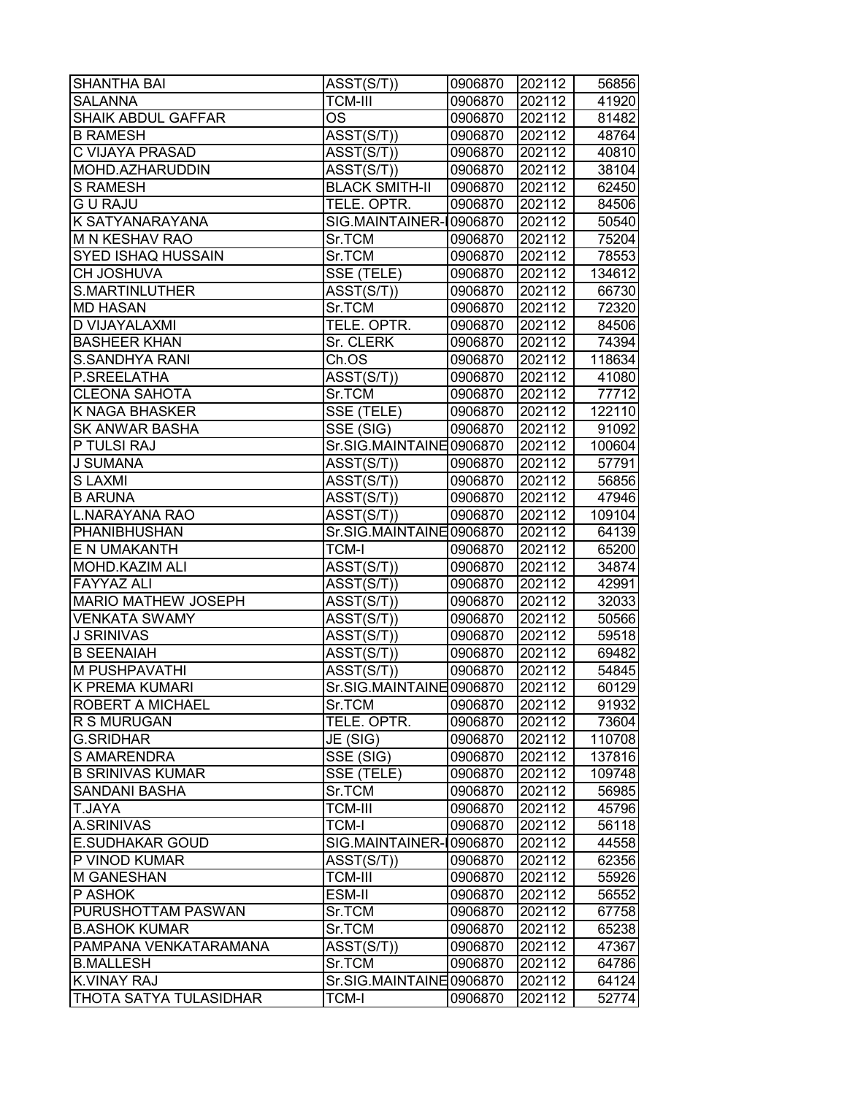| <b>SHANTHA BAI</b>                     | $\overline{\text{ASST}}(\text{S/T})$ | 0906870 | 202112 | 56856  |
|----------------------------------------|--------------------------------------|---------|--------|--------|
| <b>SALANNA</b>                         | <b>TCM-III</b>                       | 0906870 | 202112 | 41920  |
| <b>SHAIK ABDUL GAFFAR</b>              | OS                                   | 0906870 | 202112 | 81482  |
| <b>B RAMESH</b>                        | ASST(S/T))                           | 0906870 | 202112 | 48764  |
| C VIJAYA PRASAD                        | ASST(S/T))                           | 0906870 | 202112 | 40810  |
| MOHD.AZHARUDDIN                        | ASST(S/T))                           | 0906870 | 202112 | 38104  |
| <b>S RAMESH</b>                        | <b>BLACK SMITH-II</b>                | 0906870 | 202112 | 62450  |
| <b>GU RAJU</b>                         | TELE. OPTR.                          | 0906870 | 202112 | 84506  |
| K SATYANARAYANA                        | SIG.MAINTAINER-10906870              |         | 202112 | 50540  |
| M N KESHAV RAO                         | Sr.TCM                               | 0906870 | 202112 | 75204  |
| SYED ISHAQ HUSSAIN                     | Sr.TCM                               | 0906870 | 202112 | 78553  |
| CH JOSHUVA                             | SSE (TELE)                           | 0906870 | 202112 | 134612 |
| <b>S.MARTINLUTHER</b>                  | ASST(S/T))                           | 0906870 | 202112 | 66730  |
| <b>MD HASAN</b>                        | Sr.TCM                               | 0906870 | 202112 | 72320  |
| D VIJAYALAXMI                          | TELE. OPTR.                          | 0906870 | 202112 | 84506  |
| <b>BASHEER KHAN</b>                    | Sr. CLERK                            | 0906870 | 202112 | 74394  |
| <b>S.SANDHYA RANI</b>                  | Ch.OS                                | 0906870 | 202112 | 118634 |
| P.SREELATHA                            | ASST(S/T))                           | 0906870 | 202112 | 41080  |
| <b>CLEONA SAHOTA</b>                   | Sr.TCM                               | 0906870 | 202112 | 77712  |
| K NAGA BHASKER                         | SSE (TELE)                           | 0906870 | 202112 | 122110 |
| <b>SK ANWAR BASHA</b>                  | $\overline{\text{SSE}}$ (SIG)        | 0906870 | 202112 | 91092  |
| P TULSI RAJ                            | Sr.SIG.MAINTAINE0906870              |         | 202112 | 100604 |
| <b>J SUMANA</b>                        | ASST(S/T))                           | 0906870 | 202112 | 57791  |
| <b>SLAXMI</b>                          | $\overline{\text{ASST}}(\text{S/T})$ | 0906870 | 202112 | 56856  |
| <b>B ARUNA</b>                         | ASST(S/T))                           | 0906870 | 202112 | 47946  |
| <b>L.NARAYANA RAO</b>                  | ASST(S/T))                           | 0906870 | 202112 | 109104 |
| PHANIBHUSHAN                           | Sr.SIG.MAINTAINE0906870              |         | 202112 | 64139  |
| E N UMAKANTH                           | <b>TCM-I</b>                         | 0906870 | 202112 | 65200  |
|                                        |                                      |         |        |        |
| MOHD.KAZIM ALI                         | ASST(S/T))                           | 0906870 | 202112 | 34874  |
| <b>FAYYAZ ALI</b>                      | ASST(S/T))                           | 0906870 | 202112 | 42991  |
| MARIO MATHEW JOSEPH                    | ASST(S/T))                           | 0906870 | 202112 | 32033  |
| <b>VENKATA SWAMY</b>                   | ASST(S/T))                           | 0906870 | 202112 | 50566  |
| <b>J SRINIVAS</b><br><b>B SEENAIAH</b> | ASST(S/T))                           | 0906870 | 202112 | 59518  |
|                                        | ASST(S/T))                           | 0906870 | 202112 | 69482  |
| M PUSHPAVATHI                          | ASST(S/T))                           | 0906870 | 202112 | 54845  |
| <b>K PREMA KUMARI</b>                  | Sr.SIG.MAINTAINE0906870              |         | 202112 | 60129  |
| ROBERT A MICHAEL                       | Sr.TCM                               | 0906870 | 202112 | 91932  |
| R S MURUGAN                            | TELE. OPTR.                          | 0906870 | 202112 | 73604  |
| <b>G.SRIDHAR</b>                       | JE (SIG)                             | 0906870 | 202112 | 110708 |
| S AMARENDRA                            | SSE(SIG)                             | 0906870 | 202112 | 137816 |
| <b>B SRINIVAS KUMAR</b>                | SSE (TELE)                           | 0906870 | 202112 | 109748 |
| <b>SANDANI BASHA</b>                   | Sr.TCM                               | 0906870 | 202112 | 56985  |
| T.JAYA                                 | <b>TCM-III</b>                       | 0906870 | 202112 | 45796  |
| A.SRINIVAS                             | <b>TCM-I</b>                         | 0906870 | 202112 | 56118  |
| <b>E.SUDHAKAR GOUD</b>                 | SIG.MAINTAINER-                      | 0906870 | 202112 | 44558  |
| P VINOD KUMAR                          | ASST(S/T))                           | 0906870 | 202112 | 62356  |
| M GANESHAN                             | <b>TCM-III</b>                       | 0906870 | 202112 | 55926  |
| P ASHOK                                | ESM-II                               | 0906870 | 202112 | 56552  |
| PURUSHOTTAM PASWAN                     | Sr.TCM                               | 0906870 | 202112 | 67758  |
| <b>B.ASHOK KUMAR</b>                   | Sr.TCM                               | 0906870 | 202112 | 65238  |
| PAMPANA VENKATARAMANA                  | ASST(S/T))                           | 0906870 | 202112 | 47367  |
| <b>B.MALLESH</b>                       | Sr.TCM                               | 0906870 | 202112 | 64786  |
| <b>K.VINAY RAJ</b>                     | Sr.SIG.MAINTAINE0906870              |         | 202112 | 64124  |
| THOTA SATYA TULASIDHAR                 | TCM-I                                | 0906870 | 202112 | 52774  |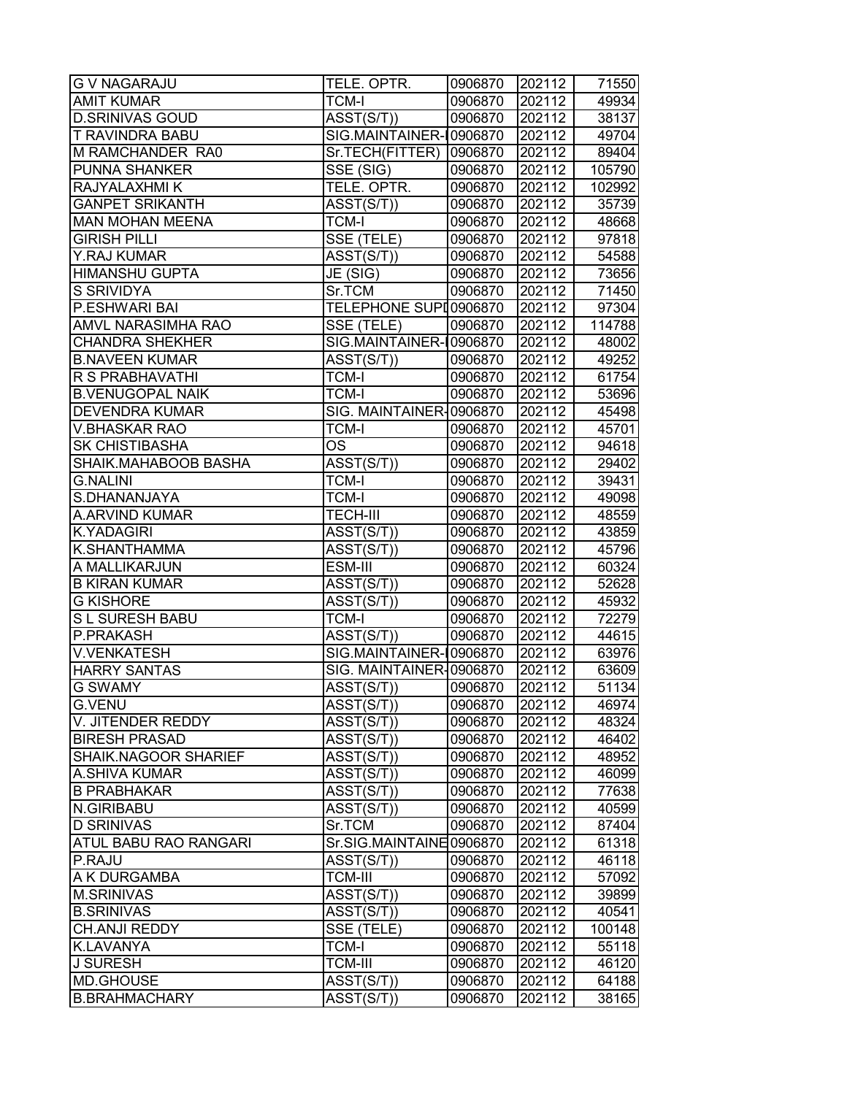| <b>G V NAGARAJU</b>     | TELE. OPTR.                          | 0906870 | 202112 | 71550  |
|-------------------------|--------------------------------------|---------|--------|--------|
| <b>AMIT KUMAR</b>       | TCM-I                                | 0906870 | 202112 | 49934  |
| <b>D.SRINIVAS GOUD</b>  | $\overline{\text{ASST}}(\text{S/T})$ | 0906870 | 202112 | 38137  |
| T RAVINDRA BABU         | SIG.MAINTAINER-10906870              |         | 202112 | 49704  |
| M RAMCHANDER RA0        | Sr.TECH(FITTER)  0906870             |         | 202112 | 89404  |
| PUNNA SHANKER           | SSE (SIG)                            | 0906870 | 202112 | 105790 |
| RAJYALAXHMI K           | TELE. OPTR.                          | 0906870 | 202112 | 102992 |
| <b>GANPET SRIKANTH</b>  | ASST(S/T))                           | 0906870 | 202112 | 35739  |
| <b>MAN MOHAN MEENA</b>  | <b>TCM-I</b>                         | 0906870 | 202112 | 48668  |
| <b>GIRISH PILLI</b>     | SSE (TELE)                           | 0906870 | 202112 | 97818  |
| Y.RAJ KUMAR             | ASST(S/T))                           | 0906870 | 202112 | 54588  |
| <b>HIMANSHU GUPTA</b>   | $\overline{\mathsf{JE}}$ (SIG)       | 0906870 | 202112 | 73656  |
| S SRIVIDYA              | Sr.TCM                               | 0906870 | 202112 | 71450  |
| P.ESHWARI BAI           | TELEPHONE SUPI0906870                |         | 202112 | 97304  |
| AMVL NARASIMHA RAO      | SSE (TELE)                           | 0906870 | 202112 | 114788 |
| <b>CHANDRA SHEKHER</b>  | SIG.MAINTAINER-10906870              |         | 202112 | 48002  |
| <b>B.NAVEEN KUMAR</b>   | ASST(S/T))                           | 0906870 | 202112 | 49252  |
| <b>R S PRABHAVATHI</b>  | <b>TCM-I</b>                         | 0906870 | 202112 | 61754  |
| <b>B.VENUGOPAL NAIK</b> | <b>TCM-I</b>                         | 0906870 | 202112 | 53696  |
| <b>DEVENDRA KUMAR</b>   | SIG. MAINTAINER-0906870              |         | 202112 | 45498  |
| <b>V.BHASKAR RAO</b>    | TCM-I                                | 0906870 | 202112 | 45701  |
| <b>SK CHISTIBASHA</b>   | <b>OS</b>                            | 0906870 | 202112 | 94618  |
| SHAIK.MAHABOOB BASHA    | ASST(S/T))                           | 0906870 | 202112 | 29402  |
| <b>G.NALINI</b>         | <b>TCM-I</b>                         | 0906870 | 202112 | 39431  |
| S.DHANANJAYA            | <b>TCM-I</b>                         | 0906870 | 202112 | 49098  |
| A.ARVIND KUMAR          | <b>TECH-III</b>                      | 0906870 | 202112 | 48559  |
| K.YADAGIRI              | ASST(S/T))                           | 0906870 | 202112 | 43859  |
| K.SHANTHAMMA            | ASST(S/T))                           | 0906870 | 202112 | 45796  |
| A MALLIKARJUN           | ESM-III                              | 0906870 | 202112 | 60324  |
| <b>B KIRAN KUMAR</b>    | ASST(S/T))                           | 0906870 | 202112 | 52628  |
| <b>G KISHORE</b>        | ASST(S/T))                           | 0906870 | 202112 | 45932  |
| S L SURESH BABU         | <b>TCM-I</b>                         | 0906870 | 202112 | 72279  |
| P.PRAKASH               | ASST(S/T))                           | 0906870 | 202112 | 44615  |
| <b>V.VENKATESH</b>      | SIG.MAINTAINER-10906870              |         | 202112 | 63976  |
| <b>HARRY SANTAS</b>     | SIG. MAINTAINER-0906870              |         | 202112 | 63609  |
| <b>G SWAMY</b>          | ASST(S/T))                           | 0906870 | 202112 | 51134  |
| <b>G.VENU</b>           | ASST(S/T))                           | 0906870 | 202112 | 46974  |
| V. JITENDER REDDY       | ASST(S/T))                           | 0906870 | 202112 | 48324  |
| <b>BIRESH PRASAD</b>    | ASST(S/T))                           | 0906870 | 202112 | 46402  |
| SHAIK.NAGOOR SHARIEF    | ASST(S/T))                           | 0906870 | 202112 | 48952  |
| A.SHIVA KUMAR           | ASST(S/T))                           | 0906870 | 202112 | 46099  |
| <b>B PRABHAKAR</b>      | ASST(S/T))                           | 0906870 | 202112 | 77638  |
| N.GIRIBABU              | ASST(S/T))                           | 0906870 | 202112 | 40599  |
| <b>D SRINIVAS</b>       | Sr.TCM                               | 0906870 | 202112 | 87404  |
| ATUL BABU RAO RANGARI   | Sr.SIG.MAINTAINE0906870              |         | 202112 | 61318  |
| P.RAJU                  | ASST(S/T))                           | 0906870 | 202112 | 46118  |
| A K DURGAMBA            | <b>TCM-III</b>                       | 0906870 | 202112 | 57092  |
| <b>M.SRINIVAS</b>       | ASST(S/T))                           | 0906870 | 202112 | 39899  |
| <b>B.SRINIVAS</b>       | ASST(S/T))                           | 0906870 | 202112 | 40541  |
| CH.ANJI REDDY           | SSE (TELE)                           | 0906870 | 202112 | 100148 |
| K.LAVANYA               | TCM-I                                | 0906870 | 202112 | 55118  |
| <b>J SURESH</b>         | <b>TCM-III</b>                       | 0906870 | 202112 | 46120  |
| MD.GHOUSE               | ASST(S/T))                           | 0906870 | 202112 | 64188  |
| <b>B.BRAHMACHARY</b>    | ASST(S/T))                           | 0906870 | 202112 | 38165  |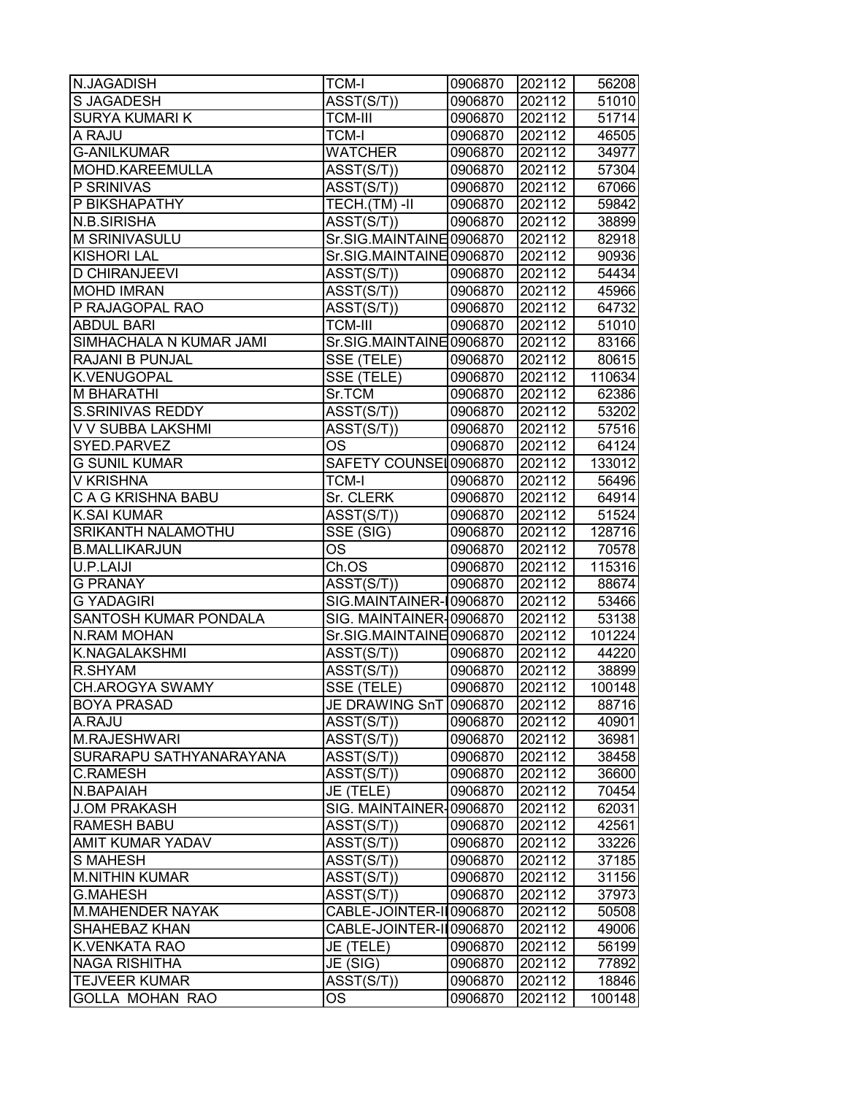| N.JAGADISH              | <b>TCM-I</b>                         | 0906870 | 202112 | 56208  |
|-------------------------|--------------------------------------|---------|--------|--------|
| <b>S JAGADESH</b>       | ASST(S/T))                           | 0906870 | 202112 | 51010  |
| <b>SURYA KUMARI K</b>   | TCM-III                              | 0906870 | 202112 | 51714  |
| A RAJU                  | <b>TCM-I</b>                         | 0906870 | 202112 | 46505  |
| <b>G-ANILKUMAR</b>      | <b>WATCHER</b>                       | 0906870 | 202112 | 34977  |
| MOHD.KAREEMULLA         | ASST(S/T))                           | 0906870 | 202112 | 57304  |
| P SRINIVAS              | ASST(S/T))                           | 0906870 | 202112 | 67066  |
| P BIKSHAPATHY           | TECH.(TM)-II                         | 0906870 | 202112 | 59842  |
| N.B.SIRISHA             | ASST(S/T))                           | 0906870 | 202112 | 38899  |
| M SRINIVASULU           | Sr.SIG.MAINTAINE0906870              |         | 202112 | 82918  |
| <b>KISHORI LAL</b>      | Sr.SIG.MAINTAINE0906870              |         | 202112 | 90936  |
| <b>D CHIRANJEEVI</b>    | ASST(S/T))                           | 0906870 | 202112 | 54434  |
| <b>MOHD IMRAN</b>       | ASST(S/T))                           | 0906870 | 202112 | 45966  |
| P RAJAGOPAL RAO         | ASST(S/T))                           | 0906870 | 202112 | 64732  |
| <b>ABDUL BARI</b>       | <b>TCM-III</b>                       | 0906870 | 202112 | 51010  |
| SIMHACHALA N KUMAR JAMI | Sr.SIG.MAINTAINE 0906870             |         | 202112 | 83166  |
| RAJANI B PUNJAL         | SSE (TELE)                           | 0906870 | 202112 | 80615  |
| <b>K.VENUGOPAL</b>      | SSE (TELE)                           | 0906870 | 202112 | 110634 |
| <b>M BHARATHI</b>       | Sr.TCM                               | 0906870 | 202112 | 62386  |
| <b>S.SRINIVAS REDDY</b> | ASST(S/T))                           | 0906870 | 202112 | 53202  |
| V V SUBBA LAKSHMI       | $\overline{\text{ASST}(\text{S/T})}$ | 0906870 | 202112 | 57516  |
| SYED.PARVEZ             | <b>OS</b>                            | 0906870 | 202112 | 64124  |
| <b>G SUNIL KUMAR</b>    | SAFETY COUNSEL0906870                |         | 202112 | 133012 |
| <b>V KRISHNA</b>        | <b>TCM-I</b>                         | 0906870 | 202112 | 56496  |
| C A G KRISHNA BABU      | Sr. CLERK                            | 0906870 | 202112 | 64914  |
| K.SAI KUMAR             | ASST(S/T))                           | 0906870 | 202112 | 51524  |
| SRIKANTH NALAMOTHU      | SSE (SIG)                            | 0906870 | 202112 | 128716 |
| <b>B.MALLIKARJUN</b>    | OS                                   | 0906870 | 202112 | 70578  |
| U.P.LAIJI               | Ch.OS                                | 0906870 | 202112 | 115316 |
| <b>G PRANAY</b>         | $\overline{\text{ASST}}(\text{S/T})$ | 0906870 | 202112 | 88674  |
| <b>G YADAGIRI</b>       | SIG.MAINTAINER-10906870              |         | 202112 | 53466  |
| SANTOSH KUMAR PONDALA   | SIG. MAINTAINER-0906870              |         | 202112 | 53138  |
| <b>N.RAM MOHAN</b>      | Sr.SIG.MAINTAINE 0906870             |         | 202112 | 101224 |
| K.NAGALAKSHMI           | ASST(S/T))                           | 0906870 | 202112 | 44220  |
| R.SHYAM                 | $\overline{\text{ASST}(\text{S/T})}$ | 0906870 | 202112 | 38899  |
| <b>CH.AROGYA SWAMY</b>  | SSE (TELE)                           | 0906870 | 202112 | 100148 |
| <b>BOYA PRASAD</b>      | JE DRAWING SnT 0906870               |         | 202112 | 88716  |
| A.RAJU                  | ASST(S/T))                           | 0906870 | 202112 | 40901  |
| M.RAJESHWARI            | ASST(S/T))                           | 0906870 | 202112 | 36981  |
| SURARAPU SATHYANARAYANA | ASST(S/T))                           | 0906870 | 202112 | 38458  |
| <b>C.RAMESH</b>         | ASST(S/T))                           | 0906870 | 202112 | 36600  |
| N.BAPAIAH               | JE (TELE)                            | 0906870 | 202112 | 70454  |
| <b>J.OM PRAKASH</b>     | SIG. MAINTAINER-0906870              |         | 202112 | 62031  |
| <b>RAMESH BABU</b>      | ASST(S/T))                           | 0906870 | 202112 | 42561  |
| AMIT KUMAR YADAV        | ASST(S/T))                           | 0906870 | 202112 | 33226  |
| <b>S MAHESH</b>         | ASST(S/T))                           | 0906870 | 202112 | 37185  |
| <b>M.NITHIN KUMAR</b>   | ASST(S/T))                           | 0906870 | 202112 | 31156  |
| <b>G.MAHESH</b>         | ASST(S/T))                           | 0906870 | 202112 | 37973  |
| <b>M.MAHENDER NAYAK</b> | CABLE-JOINTER-II 0906870             |         | 202112 | 50508  |
| <b>SHAHEBAZ KHAN</b>    | CABLE-JOINTER-II 0906870             |         | 202112 | 49006  |
| K.VENKATA RAO           | JE (TELE)                            | 0906870 | 202112 | 56199  |
| <b>NAGA RISHITHA</b>    | JE (SIG)                             | 0906870 | 202112 | 77892  |
| <b>TEJVEER KUMAR</b>    | ASST(S/T))                           | 0906870 | 202112 | 18846  |
| <b>GOLLA MOHAN RAO</b>  | OS.                                  | 0906870 | 202112 | 100148 |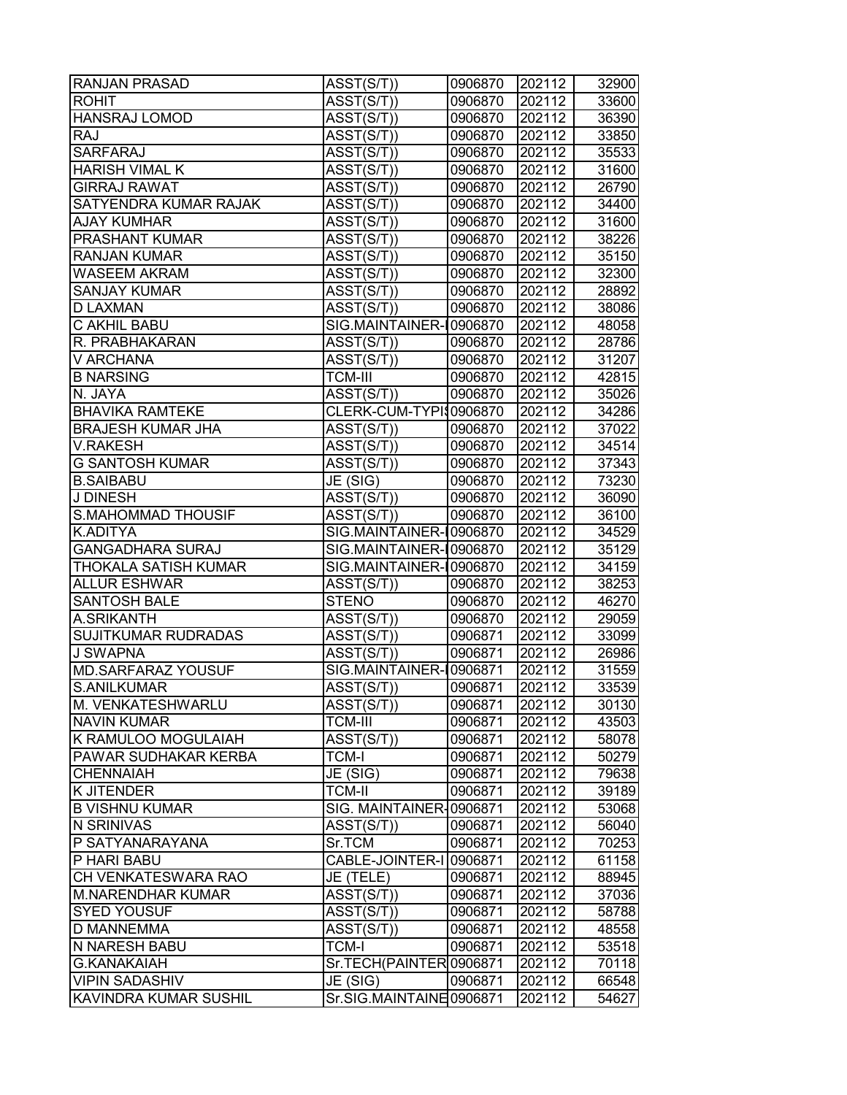| <b>RANJAN PRASAD</b>         | ASST(S/T))                           | 0906870 | 202112 | 32900 |
|------------------------------|--------------------------------------|---------|--------|-------|
| <b>ROHIT</b>                 | $\overline{\text{ASST}}(\text{S/T})$ | 0906870 | 202112 | 33600 |
| <b>HANSRAJ LOMOD</b>         | ASST(S/T))                           | 0906870 | 202112 | 36390 |
| <b>RAJ</b>                   | ASST(S/T))                           | 0906870 | 202112 | 33850 |
| <b>SARFARAJ</b>              | ASST(S/T))                           | 0906870 | 202112 | 35533 |
| <b>HARISH VIMAL K</b>        | ASST(S/T))                           | 0906870 | 202112 | 31600 |
| <b>GIRRAJ RAWAT</b>          | ASST(S/T))                           | 0906870 | 202112 | 26790 |
| <b>SATYENDRA KUMAR RAJAK</b> | ASST(S/T))                           | 0906870 | 202112 | 34400 |
| <b>AJAY KUMHAR</b>           | ASST(S/T))                           | 0906870 | 202112 | 31600 |
| <b>PRASHANT KUMAR</b>        | ASST(S/T))                           | 0906870 | 202112 | 38226 |
| <b>RANJAN KUMAR</b>          | ASST(S/T))                           | 0906870 | 202112 | 35150 |
| <b>WASEEM AKRAM</b>          | ASST(S/T))                           | 0906870 | 202112 | 32300 |
| <b>SANJAY KUMAR</b>          | ASST(S/T))                           | 0906870 | 202112 | 28892 |
| D LAXMAN                     | ASST(S/T))                           | 0906870 | 202112 | 38086 |
| <b>C AKHIL BABU</b>          | SIG.MAINTAINER-10906870              |         | 202112 | 48058 |
| R. PRABHAKARAN               | ASST(S/T))                           | 0906870 | 202112 | 28786 |
| <b>V ARCHANA</b>             | ASST(S/T))                           | 0906870 | 202112 | 31207 |
| <b>B NARSING</b>             | <b>TCM-III</b>                       | 0906870 | 202112 | 42815 |
| N. JAYA                      | ASST(S/T))                           | 0906870 | 202112 | 35026 |
| <b>BHAVIKA RAMTEKE</b>       | CLERK-CUM-TYPI\$0906870              |         | 202112 | 34286 |
| <b>BRAJESH KUMAR JHA</b>     | ASST(S/T))                           | 0906870 | 202112 | 37022 |
| V.RAKESH                     | ASST(S/T))                           | 0906870 | 202112 | 34514 |
| <b>G SANTOSH KUMAR</b>       | $\overline{\text{ASST}}(\text{S/T})$ | 0906870 | 202112 | 37343 |
| <b>B.SAIBABU</b>             | JE (SIG)                             | 0906870 | 202112 | 73230 |
| J DINESH                     | ASST(S/T))                           | 0906870 | 202112 | 36090 |
| <b>S.MAHOMMAD THOUSIF</b>    | ASST(S/T))                           | 0906870 | 202112 | 36100 |
| <b>K.ADITYA</b>              | SIG.MAINTAINER-10906870              |         | 202112 | 34529 |
| <b>GANGADHARA SURAJ</b>      | SIG.MAINTAINER-10906870              |         | 202112 | 35129 |
| <b>THOKALA SATISH KUMAR</b>  | SIG.MAINTAINER-10906870              |         | 202112 | 34159 |
| <b>ALLUR ESHWAR</b>          | ASST(S/T))                           | 0906870 | 202112 | 38253 |
| <b>SANTOSH BALE</b>          | <b>STENO</b>                         | 0906870 | 202112 | 46270 |
| A.SRIKANTH                   | ASST(S/T))                           | 0906870 | 202112 | 29059 |
| <b>SUJITKUMAR RUDRADAS</b>   | $\overline{ASST(S/T))}$              | 0906871 | 202112 | 33099 |
| <b>J SWAPNA</b>              | ASST(S/T))                           | 0906871 | 202112 | 26986 |
| <b>MD.SARFARAZ YOUSUF</b>    | SIG.MAINTAINER-10906871              |         | 202112 | 31559 |
| <b>S.ANILKUMAR</b>           | ASST(S/T))                           | 0906871 | 202112 | 33539 |
| M. VENKATESHWARLU            | ASST(S/T))                           | 0906871 | 202112 | 30130 |
| <b>NAVIN KUMAR</b>           | <b>TCM-III</b>                       | 0906871 | 202112 | 43503 |
| K RAMULOO MOGULAIAH          | ASST(S/T))                           | 0906871 | 202112 | 58078 |
| <b>PAWAR SUDHAKAR KERBA</b>  | <b>TCM-I</b>                         | 0906871 | 202112 | 50279 |
| <b>CHENNAIAH</b>             | JE (SIG)                             | 0906871 | 202112 | 79638 |
| K JITENDER                   | <b>TCM-II</b>                        | 0906871 | 202112 | 39189 |
| <b>B VISHNU KUMAR</b>        | SIG. MAINTAINER-0906871              |         | 202112 | 53068 |
| N SRINIVAS                   | ASST(S/T))                           | 0906871 | 202112 | 56040 |
| P SATYANARAYANA              | Sr.TCM                               | 0906871 | 202112 | 70253 |
| P HARI BABU                  | CABLE-JOINTER-I 0906871              |         | 202112 | 61158 |
| CH VENKATESWARA RAO          | JE (TELE)                            | 0906871 | 202112 | 88945 |
| M.NARENDHAR KUMAR            | ASST(S/T))                           | 0906871 | 202112 | 37036 |
| <b>SYED YOUSUF</b>           | ASST(S/T))                           | 0906871 | 202112 | 58788 |
| <b>D MANNEMMA</b>            | ASST(S/T))                           | 0906871 | 202112 | 48558 |
| <b>N NARESH BABU</b>         | <b>TCM-I</b>                         | 0906871 | 202112 | 53518 |
| <b>G.KANAKAIAH</b>           | Sr.TECH(PAINTER0906871               |         | 202112 | 70118 |
| <b>VIPIN SADASHIV</b>        | JE (SIG)                             | 0906871 | 202112 | 66548 |
| <b>KAVINDRA KUMAR SUSHIL</b> | Sr.SIG.MAINTAINE0906871              |         | 202112 | 54627 |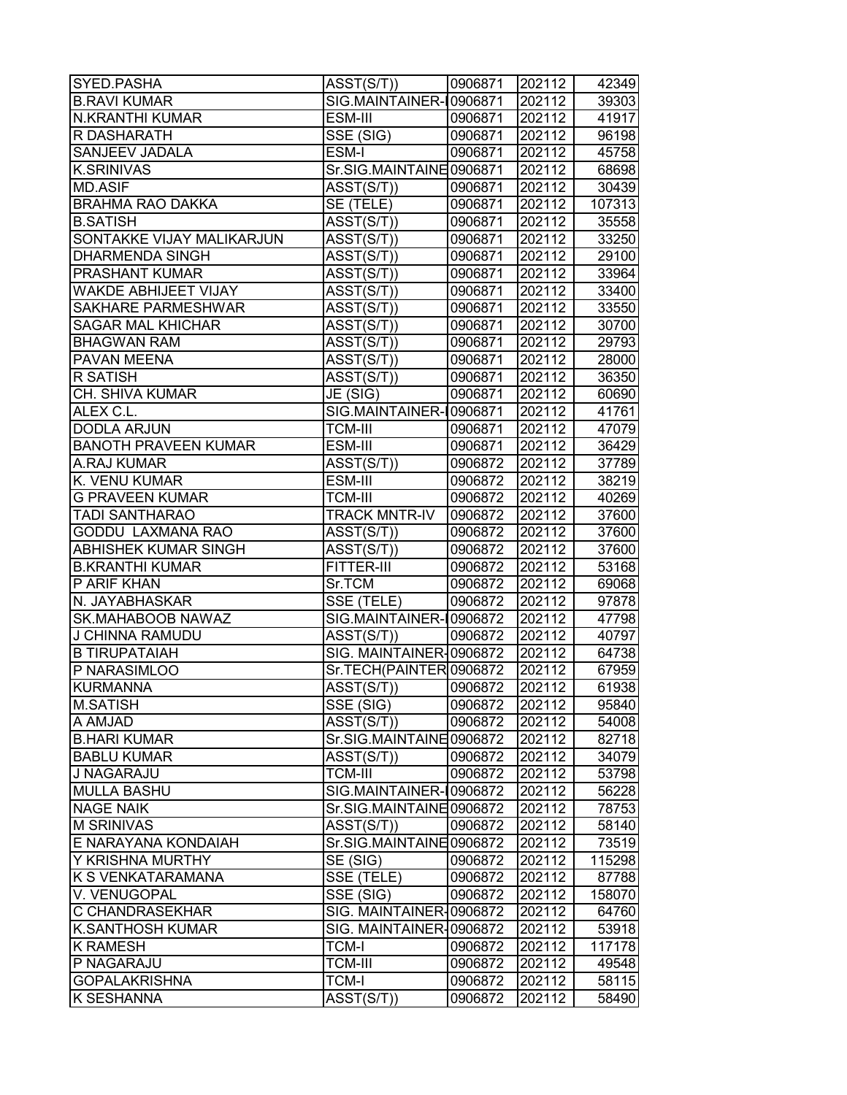| SYED.PASHA                  | ASST(S/T))                           | 0906871 | 202112 | 42349  |
|-----------------------------|--------------------------------------|---------|--------|--------|
| <b>B.RAVI KUMAR</b>         | SIG.MAINTAINER-10906871              |         | 202112 | 39303  |
| N.KRANTHI KUMAR             | ESM-III                              | 0906871 | 202112 | 41917  |
| R DASHARATH                 | SSE (SIG)                            | 0906871 | 202112 | 96198  |
| SANJEEV JADALA              | <b>ESM-I</b>                         | 0906871 | 202112 | 45758  |
| <b>K.SRINIVAS</b>           | Sr.SIG.MAINTAINE0906871              |         | 202112 | 68698  |
| <b>MD.ASIF</b>              | ASST(S/T))                           | 0906871 | 202112 | 30439  |
| <b>BRAHMA RAO DAKKA</b>     | SE (TELE)                            | 0906871 | 202112 | 107313 |
| <b>B.SATISH</b>             | ASST(S/T))                           | 0906871 | 202112 | 35558  |
| SONTAKKE VIJAY MALIKARJUN   | ASST(S/T))                           | 0906871 | 202112 | 33250  |
| <b>DHARMENDA SINGH</b>      | ASST(S/T))                           | 0906871 | 202112 | 29100  |
| PRASHANT KUMAR              | $\overline{\text{ASST}}(\text{S/T})$ | 0906871 | 202112 | 33964  |
| WAKDE ABHIJEET VIJAY        | ASST(S/T))                           | 0906871 | 202112 | 33400  |
| SAKHARE PARMESHWAR          | ASST(S/T))                           | 0906871 | 202112 | 33550  |
| <b>SAGAR MAL KHICHAR</b>    | ASST(S/T))                           | 0906871 | 202112 | 30700  |
| <b>BHAGWAN RAM</b>          | ASST(S/T))                           | 0906871 | 202112 | 29793  |
| PAVAN MEENA                 | ASST(S/T))                           | 0906871 | 202112 | 28000  |
| <b>R SATISH</b>             | $\overline{\text{ASST}}(\text{S/T})$ | 0906871 | 202112 | 36350  |
| CH. SHIVA KUMAR             | JE (SIG)                             | 0906871 | 202112 | 60690  |
| ALEX C.L.                   | SIG.MAINTAINER-10906871              |         | 202112 | 41761  |
| <b>DODLA ARJUN</b>          | <b>TCM-III</b>                       | 0906871 | 202112 | 47079  |
| <b>BANOTH PRAVEEN KUMAR</b> | ESM-III                              | 0906871 | 202112 | 36429  |
| A.RAJ KUMAR                 | ASST(S/T))                           | 0906872 | 202112 | 37789  |
| K. VENU KUMAR               | ESM-III                              | 0906872 | 202112 | 38219  |
| <b>G PRAVEEN KUMAR</b>      | <b>TCM-III</b>                       | 0906872 | 202112 | 40269  |
| TADI SANTHARAO              | <b>TRACK MNTR-IV</b>                 | 0906872 | 202112 | 37600  |
| GODDU LAXMANA RAO           | ASST(S/T))                           | 0906872 | 202112 | 37600  |
| ABHISHEK KUMAR SINGH        | ASST(S/T))                           | 0906872 | 202112 | 37600  |
| <b>B.KRANTHI KUMAR</b>      | FITTER-III                           | 0906872 | 202112 | 53168  |
| P ARIF KHAN                 | Sr.TCM                               | 0906872 | 202112 | 69068  |
| N. JAYABHASKAR              | $\overline{\text{SSE}}$ (TELE)       | 0906872 | 202112 | 97878  |
| SK.MAHABOOB NAWAZ           | SIG.MAINTAINER-10906872              |         | 202112 | 47798  |
| J CHINNA RAMUDU             | ASST(S/T))                           | 0906872 | 202112 | 40797  |
| <b>B TIRUPATAIAH</b>        | SIG. MAINTAINER-0906872              |         | 202112 | 64738  |
| P NARASIMLOO                | Sr.TECH(PAINTER0906872               |         | 202112 | 67959  |
| <b>KURMANNA</b>             | ASST(S/T))                           | 0906872 | 202112 | 61938  |
| <b>M.SATISH</b>             | SSE (SIG)                            | 0906872 | 202112 | 95840  |
| <b>A AMJAD</b>              | ASST(S/T))                           | 0906872 | 202112 | 54008  |
| <b>B.HARI KUMAR</b>         | Sr.SIG.MAINTAINE0906872              |         | 202112 |        |
| <b>BABLU KUMAR</b>          |                                      |         | 202112 | 82718  |
| J NAGARAJU                  | ASST(S/T))                           | 0906872 | 202112 | 34079  |
| <b>MULLA BASHU</b>          | TCM-III<br>SIG.MAINTAINER-10906872   | 0906872 | 202112 | 53798  |
| <b>NAGE NAIK</b>            |                                      |         | 202112 | 56228  |
| <b>M SRINIVAS</b>           | Sr.SIG.MAINTAINE0906872              |         |        | 78753  |
|                             | ASST(S/T))                           | 0906872 | 202112 | 58140  |
| E NARAYANA KONDAIAH         | Sr.SIG.MAINTAINE0906872              |         | 202112 | 73519  |
| Y KRISHNA MURTHY            | SE (SIG)                             | 0906872 | 202112 | 115298 |
| K S VENKATARAMANA           | SSE (TELE)                           | 0906872 | 202112 | 87788  |
| V. VENUGOPAL                | SSE (SIG)                            | 0906872 | 202112 | 158070 |
| C CHANDRASEKHAR             | SIG. MAINTAINER-0906872              |         | 202112 | 64760  |
| <b>K.SANTHOSH KUMAR</b>     | SIG. MAINTAINER-0906872              |         | 202112 | 53918  |
| <b>K RAMESH</b>             | <b>TCM-I</b>                         | 0906872 | 202112 | 117178 |
| P NAGARAJU                  | <b>TCM-III</b>                       | 0906872 | 202112 | 49548  |
| <b>GOPALAKRISHNA</b>        | <b>TCM-I</b>                         | 0906872 | 202112 | 58115  |
| K SESHANNA                  | ASST(S/T))                           | 0906872 | 202112 | 58490  |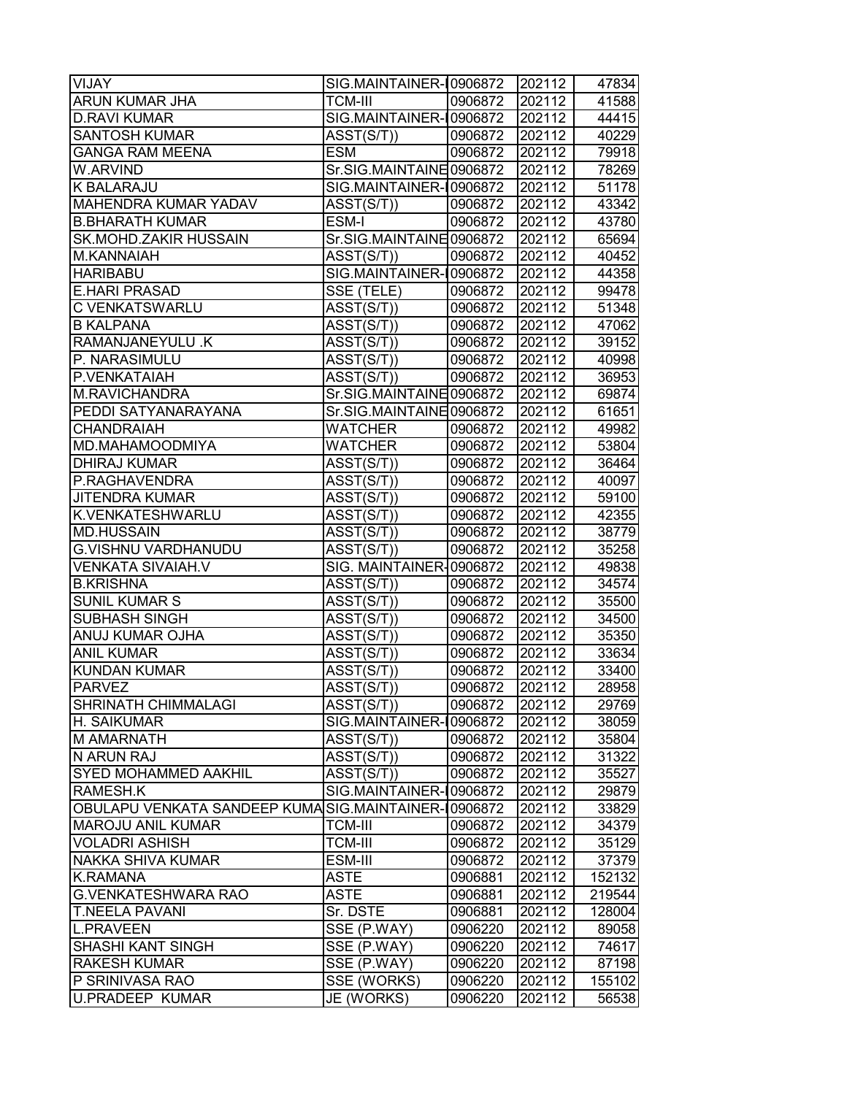| VIJAY                                               | SIG.MAINTAINER-10906872              |         | 202112 | 47834  |
|-----------------------------------------------------|--------------------------------------|---------|--------|--------|
| ARUN KUMAR JHA                                      | <b>TCM-III</b>                       | 0906872 | 202112 | 41588  |
| <b>D.RAVI KUMAR</b>                                 | SIG.MAINTAINER-10906872              |         | 202112 | 44415  |
| <b>SANTOSH KUMAR</b>                                | ASST(S/T))                           | 0906872 | 202112 | 40229  |
| <b>GANGA RAM MEENA</b>                              | <b>ESM</b>                           | 0906872 | 202112 | 79918  |
| W.ARVIND                                            | Sr.SIG.MAINTAINE0906872              |         | 202112 | 78269  |
| K BALARAJU                                          | SIG.MAINTAINER-10906872              |         | 202112 | 51178  |
| MAHENDRA KUMAR YADAV                                | ASST(S/T))                           | 0906872 | 202112 | 43342  |
| <b>B.BHARATH KUMAR</b>                              | ESM-I                                | 0906872 | 202112 | 43780  |
| SK.MOHD.ZAKIR HUSSAIN                               | Sr.SIG.MAINTAINE0906872              |         | 202112 | 65694  |
| M.KANNAIAH                                          | ASST(S/T))                           | 0906872 | 202112 | 40452  |
| <b>HARIBABU</b>                                     | SIG.MAINTAINER-10906872              |         | 202112 | 44358  |
| <b>E.HARI PRASAD</b>                                | SSE (TELE)                           | 0906872 | 202112 | 99478  |
| C VENKATSWARLU                                      | ASST(S/T))                           | 0906872 | 202112 | 51348  |
| <b>B KALPANA</b>                                    | ASST(S/T))                           | 0906872 | 202112 | 47062  |
| RAMANJANEYULU .K                                    | ASST(S/T))                           | 0906872 | 202112 | 39152  |
| P. NARASIMULU                                       | ASST(S/T))                           | 0906872 | 202112 | 40998  |
| P.VENKATAIAH                                        | ASST(S/T))                           | 0906872 | 202112 | 36953  |
| M.RAVICHANDRA                                       | Sr.SIG.MAINTAINE 0906872             |         | 202112 | 69874  |
| PEDDI SATYANARAYANA                                 | Sr.SIG.MAINTAINE0906872              |         | 202112 | 61651  |
| <b>CHANDRAIAH</b>                                   | <b>WATCHER</b>                       | 0906872 | 202112 | 49982  |
| MD.MAHAMOODMIYA                                     | <b>WATCHER</b>                       | 0906872 | 202112 | 53804  |
| <b>DHIRAJ KUMAR</b>                                 | ASST(S/T))                           | 0906872 | 202112 | 36464  |
| P.RAGHAVENDRA                                       | ASST(S/T))                           | 0906872 | 202112 | 40097  |
| <b>JITENDRA KUMAR</b>                               | ASST(S/T))                           | 0906872 | 202112 | 59100  |
| K.VENKATESHWARLU                                    | ASST(S/T))                           | 0906872 | 202112 | 42355  |
| <b>MD.HUSSAIN</b>                                   | $\overline{\text{ASST}}(\text{S/T})$ | 0906872 | 202112 | 38779  |
| G.VISHNU VARDHANUDU                                 | ASST(S/T))                           | 0906872 | 202112 | 35258  |
| VENKATA SIVAIAH.V                                   | SIG. MAINTAINER-0906872              |         | 202112 | 49838  |
| <b>B.KRISHNA</b>                                    | $\overline{\text{ASST}}(\text{S/T})$ | 0906872 | 202112 | 34574  |
| <b>SUNIL KUMAR S</b>                                | ASST(S/T))                           | 0906872 | 202112 | 35500  |
| SUBHASH SINGH                                       | ASST(S/T))                           | 0906872 | 202112 | 34500  |
| ANUJ KUMAR OJHA                                     | ASST(S/T))                           | 0906872 | 202112 | 35350  |
| <b>ANIL KUMAR</b>                                   | ASST(S/T))                           | 0906872 | 202112 | 33634  |
| <b>KUNDAN KUMAR</b>                                 | ASST(S/T))                           | 0906872 | 202112 | 33400  |
| <b>PARVEZ</b>                                       | ASST(S/T))                           | 0906872 | 202112 | 28958  |
| SHRINATH CHIMMALAGI                                 | ASST(S/T))                           | 0906872 | 202112 | 29769  |
| H. SAIKUMAR                                         | SIG.MAINTAINER-10906872              |         | 202112 | 38059  |
| M AMARNATH                                          | ASST(S/T))                           | 0906872 | 202112 | 35804  |
| N ARUN RAJ                                          | ASST(S/T))                           | 0906872 | 202112 | 31322  |
| <b>SYED MOHAMMED AAKHIL</b>                         | ASST(S/T))                           | 0906872 | 202112 | 35527  |
| RAMESH.K                                            | SIG.MAINTAINER-10906872              |         | 202112 | 29879  |
| OBULAPU VENKATA SANDEEP KUMASIG.MAINTAINER-10906872 |                                      |         | 202112 | 33829  |
| <b>MAROJU ANIL KUMAR</b>                            | <b>TCM-III</b>                       | 0906872 | 202112 | 34379  |
| <b>VOLADRI ASHISH</b>                               | <b>TCM-III</b>                       | 0906872 | 202112 | 35129  |
| NAKKA SHIVA KUMAR                                   | ESM-III                              | 0906872 | 202112 | 37379  |
| <b>K.RAMANA</b>                                     | <b>ASTE</b>                          | 0906881 | 202112 | 152132 |
| <b>G.VENKATESHWARA RAO</b>                          | ASTE                                 | 0906881 | 202112 | 219544 |
| <b>T.NEELA PAVANI</b>                               | Sr. DSTE                             | 0906881 | 202112 | 128004 |
| <b>L.PRAVEEN</b>                                    | SSE (P.WAY)                          | 0906220 | 202112 | 89058  |
| SHASHI KANT SINGH                                   | SSE (P.WAY)                          | 0906220 | 202112 | 74617  |
| <b>RAKESH KUMAR</b>                                 | SSE (P.WAY)                          | 0906220 | 202112 | 87198  |
| P SRINIVASA RAO                                     | SSE (WORKS)                          | 0906220 | 202112 | 155102 |
| <b>U.PRADEEP KUMAR</b>                              | JE (WORKS)                           | 0906220 | 202112 | 56538  |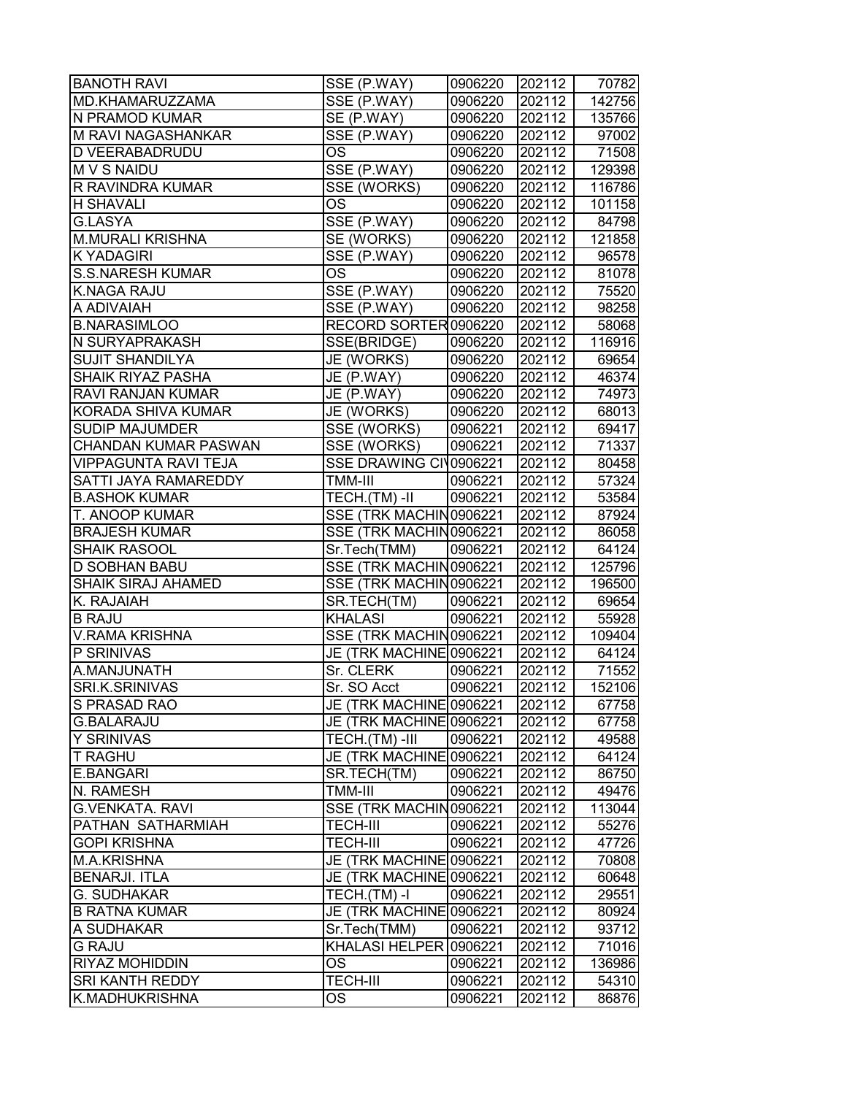| <b>BANOTH RAVI</b>          | SSE (P.WAY)             | 0906220 | 202112 | 70782  |
|-----------------------------|-------------------------|---------|--------|--------|
| MD.KHAMARUZZAMA             | SSE (P.WAY)             | 0906220 | 202112 | 142756 |
| N PRAMOD KUMAR              | SE (P.WAY)              | 0906220 | 202112 | 135766 |
| M RAVI NAGASHANKAR          | SSE (P.WAY)             | 0906220 | 202112 | 97002  |
| <b>D VEERABADRUDU</b>       | <b>OS</b>               | 0906220 | 202112 | 71508  |
| M V S NAIDU                 | SSE (P.WAY)             | 0906220 | 202112 | 129398 |
| <b>R RAVINDRA KUMAR</b>     | SSE (WORKS)             | 0906220 | 202112 | 116786 |
| <b>H SHAVALI</b>            | <b>OS</b>               | 0906220 | 202112 | 101158 |
| G.LASYA                     | SSE (P.WAY)             | 0906220 | 202112 | 84798  |
| <b>M.MURALI KRISHNA</b>     | SE (WORKS)              | 0906220 | 202112 | 121858 |
| <b>KYADAGIRI</b>            | SSE (P.WAY)             | 0906220 | 202112 | 96578  |
| <b>S.S.NARESH KUMAR</b>     | OS.                     | 0906220 | 202112 | 81078  |
| <b>K.NAGA RAJU</b>          | SSE (P.WAY)             | 0906220 | 202112 | 75520  |
| A ADIVAIAH                  | SSE (P.WAY)             | 0906220 | 202112 | 98258  |
| <b>B.NARASIMLOO</b>         | RECORD SORTER0906220    |         | 202112 | 58068  |
| N SURYAPRAKASH              | SSE(BRIDGE)             | 0906220 | 202112 | 116916 |
| <b>SUJIT SHANDILYA</b>      | JE (WORKS)              | 0906220 | 202112 | 69654  |
| <b>SHAIK RIYAZ PASHA</b>    | JE (P.WAY)              | 0906220 | 202112 | 46374  |
| <b>RAVI RANJAN KUMAR</b>    | JE (P.WAY)              | 0906220 | 202112 | 74973  |
| KORADA SHIVA KUMAR          | JE (WORKS)              | 0906220 | 202112 | 68013  |
| <b>SUDIP MAJUMDER</b>       | SSE (WORKS)             | 0906221 | 202112 | 69417  |
| <b>CHANDAN KUMAR PASWAN</b> | <b>SSE (WORKS)</b>      | 0906221 | 202112 | 71337  |
| <b>VIPPAGUNTA RAVI TEJA</b> | SSE DRAWING CI 0906221  |         | 202112 | 80458  |
| <b>SATTI JAYA RAMAREDDY</b> | TMM-III                 | 0906221 | 202112 | 57324  |
| <b>B.ASHOK KUMAR</b>        | TECH.(TM)-II            | 0906221 | 202112 | 53584  |
| <b>T. ANOOP KUMAR</b>       | SSE (TRK MACHIN0906221  |         | 202112 | 87924  |
| <b>BRAJESH KUMAR</b>        | SSE (TRK MACHIN0906221  |         | 202112 | 86058  |
| <b>SHAIK RASOOL</b>         | Sr.Tech(TMM)            | 0906221 | 202112 | 64124  |
| <b>D SOBHAN BABU</b>        | SSE (TRK MACHIN0906221  |         | 202112 | 125796 |
| <b>SHAIK SIRAJ AHAMED</b>   | SSE (TRK MACHIN0906221  |         | 202112 | 196500 |
| K. RAJAIAH                  | SR.TECH(TM)             | 0906221 | 202112 | 69654  |
| <b>B RAJU</b>               | <b>KHALASI</b>          | 0906221 | 202112 | 55928  |
| <b>V.RAMA KRISHNA</b>       | SSE (TRK MACHIN0906221  |         | 202112 | 109404 |
| P SRINIVAS                  | JE (TRK MACHINE 0906221 |         | 202112 | 64124  |
| A.MANJUNATH                 | Sr. CLERK               | 0906221 | 202112 | 71552  |
| <b>SRI.K.SRINIVAS</b>       | Sr. SO Acct             | 0906221 | 202112 | 152106 |
| S PRASAD RAO                | JE (TRK MACHINE 0906221 |         | 202112 | 67758  |
| <b>G.BALARAJU</b>           | JE (TRK MACHINE 0906221 |         | 202112 | 67758  |
| <b>Y SRINIVAS</b>           | TECH.(TM)-III           | 0906221 | 202112 | 49588  |
| <b>T RAGHU</b>              | JE (TRK MACHINE0906221  |         | 202112 | 64124  |
| <b>E.BANGARI</b>            | SR.TECH(TM)             | 0906221 | 202112 | 86750  |
| N. RAMESH                   | TMM-III                 | 0906221 | 202112 | 49476  |
| <b>G.VENKATA, RAVI</b>      | SSE (TRK MACHIN0906221  |         | 202112 | 113044 |
| <b>PATHAN SATHARMIAH</b>    | <b>TECH-III</b>         | 0906221 | 202112 | 55276  |
| <b>GOPI KRISHNA</b>         | <b>TECH-III</b>         | 0906221 | 202112 | 47726  |
| M.A.KRISHNA                 | JE (TRK MACHINE 0906221 |         | 202112 | 70808  |
| <b>BENARJI. ITLA</b>        | JE (TRK MACHINE 0906221 |         | 202112 | 60648  |
| <b>G. SUDHAKAR</b>          | $TECH.(TM) - I$         | 0906221 | 202112 | 29551  |
| <b>B RATNA KUMAR</b>        | JE (TRK MACHINE 0906221 |         | 202112 | 80924  |
| A SUDHAKAR                  | Sr.Tech(TMM)            | 0906221 | 202112 | 93712  |
| <b>G RAJU</b>               | KHALASI HELPER 0906221  |         | 202112 | 71016  |
| <b>RIYAZ MOHIDDIN</b>       | <b>OS</b>               | 0906221 | 202112 | 136986 |
| <b>SRI KANTH REDDY</b>      | <b>TECH-III</b>         | 0906221 | 202112 | 54310  |
| K.MADHUKRISHNA              | OS                      | 0906221 | 202112 | 86876  |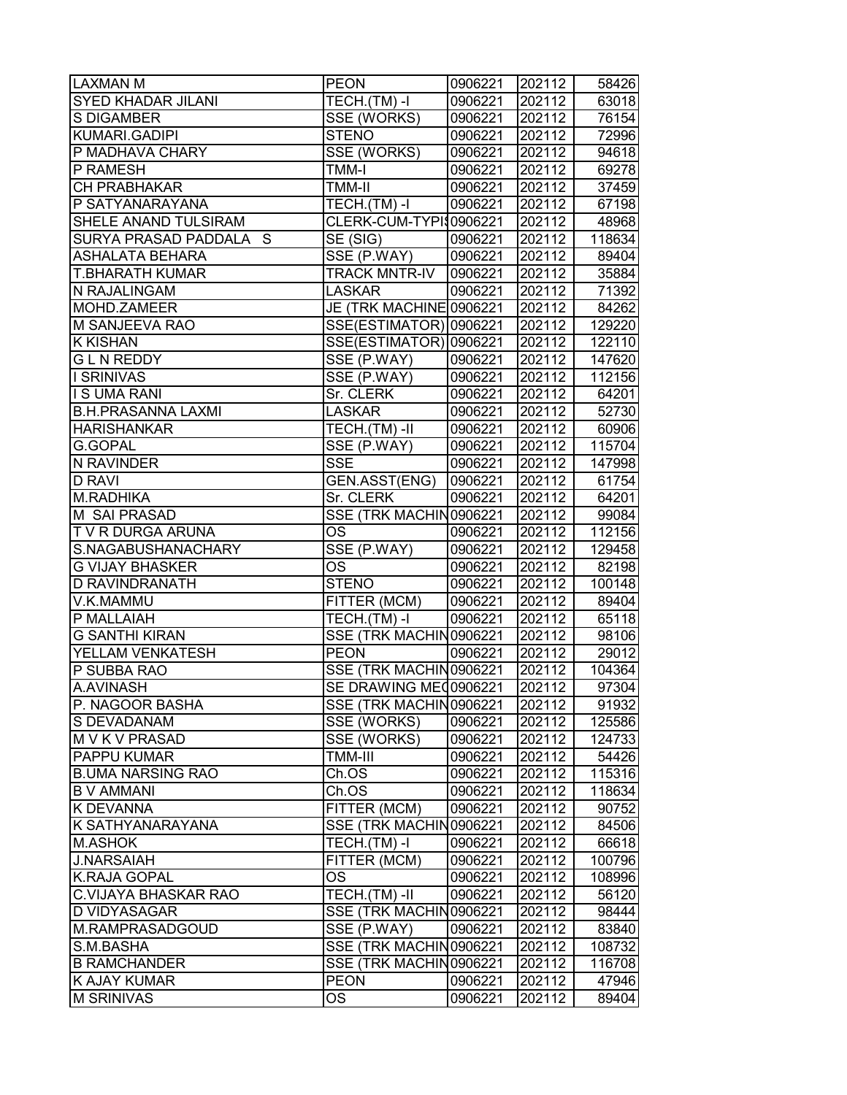| <b>LAXMAN M</b>             | <b>PEON</b>                    | 0906221 | 202112 | 58426  |
|-----------------------------|--------------------------------|---------|--------|--------|
| <b>SYED KHADAR JILANI</b>   | TECH.(TM)-I                    | 0906221 | 202112 | 63018  |
| S DIGAMBER                  | SSE (WORKS)                    | 0906221 | 202112 | 76154  |
| KUMARI.GADIPI               | <b>STENO</b>                   | 0906221 | 202112 | 72996  |
| P MADHAVA CHARY             | SSE (WORKS)                    | 0906221 | 202112 | 94618  |
| P RAMESH                    | <b>TMM-I</b>                   |         | 202112 |        |
|                             |                                | 0906221 |        | 69278  |
| CH PRABHAKAR                | TMM-II                         | 0906221 | 202112 | 37459  |
| P SATYANARAYANA             | TECH.(TM)-I                    | 0906221 | 202112 | 67198  |
| SHELE ANAND TULSIRAM        | CLERK-CUM-TYPI\$0906221        |         | 202112 | 48968  |
| SURYA PRASAD PADDALA S      | $\overline{\mathsf{SE}}$ (SIG) | 0906221 | 202112 | 118634 |
| <b>ASHALATA BEHARA</b>      | SSE (P.WAY)                    | 0906221 | 202112 | 89404  |
| <b>T.BHARATH KUMAR</b>      | <b>TRACK MNTR-IV</b>           | 0906221 | 202112 | 35884  |
| N RAJALINGAM                | <b>LASKAR</b>                  | 0906221 | 202112 | 71392  |
| MOHD.ZAMEER                 | JE (TRK MACHINE 0906221        |         | 202112 | 84262  |
| M SANJEEVA RAO              | SSE(ESTIMATOR) 0906221         |         | 202112 | 129220 |
| <b>K KISHAN</b>             | SSE(ESTIMATOR) 0906221         |         | 202112 | 122110 |
| <b>GLN REDDY</b>            | SSE (P.WAY)                    | 0906221 | 202112 | 147620 |
| <b>I SRINIVAS</b>           | SSE (P.WAY)                    | 0906221 | 202112 | 112156 |
| <b>IS UMA RANI</b>          | Sr. CLERK                      | 0906221 | 202112 | 64201  |
| <b>B.H.PRASANNA LAXMI</b>   | <b>LASKAR</b>                  | 0906221 | 202112 | 52730  |
| <b>HARISHANKAR</b>          | $TECH.(TM)$ -II                | 0906221 | 202112 | 60906  |
| G.GOPAL                     | SSE (P.WAY)                    | 0906221 | 202112 | 115704 |
| <b>N RAVINDER</b>           | <b>SSE</b>                     | 0906221 | 202112 | 147998 |
| <b>D RAVI</b>               | GEN.ASST(ENG)                  | 0906221 | 202112 | 61754  |
| M.RADHIKA                   | Sr. CLERK                      | 0906221 | 202112 | 64201  |
| M SAI PRASAD                | SSE (TRK MACHIN0906221         |         | 202112 | 99084  |
| T V R DURGA ARUNA           | ОS                             | 0906221 | 202112 | 112156 |
| S.NAGABUSHANACHARY          | SSE (P.WAY)                    | 0906221 | 202112 | 129458 |
| <b>G VIJAY BHASKER</b>      | <b>OS</b>                      | 0906221 | 202112 | 82198  |
| <b>D RAVINDRANATH</b>       | <b>STENO</b>                   | 0906221 | 202112 | 100148 |
| V.K.MAMMU                   | FITTER (MCM)                   | 0906221 | 202112 | 89404  |
| P MALLAIAH                  | TECH.(TM)-I                    | 0906221 | 202112 | 65118  |
| <b>G SANTHI KIRAN</b>       | SSE (TRK MACHIN0906221         |         | 202112 | 98106  |
| <b>YELLAM VENKATESH</b>     | PEON                           | 0906221 | 202112 | 29012  |
| P SUBBA RAO                 | SSE (TRK MACHIN0906221         |         | 202112 | 104364 |
| A.AVINASH                   | SE DRAWING ME 0906221          |         | 202112 | 97304  |
| P. NAGOOR BASHA             | SSE (TRK MACHIN0906221         |         | 202112 | 91932  |
| S DEVADANAM                 | SSE (WORKS)                    | 0906221 | 202112 | 125586 |
| M V K V PRASAD              | SSE (WORKS)                    | 0906221 | 202112 | 124733 |
| <b>PAPPU KUMAR</b>          | TMM-III                        | 0906221 | 202112 | 54426  |
| <b>B.UMA NARSING RAO</b>    | Ch.OS                          | 0906221 | 202112 | 115316 |
| <b>B V AMMANI</b>           | Ch.OS                          | 0906221 | 202112 | 118634 |
| K DEVANNA                   | FITTER (MCM)                   | 0906221 | 202112 | 90752  |
| K SATHYANARAYANA            | SSE (TRK MACHIN0906221         |         | 202112 | 84506  |
| <b>M.ASHOK</b>              | TECH.(TM)-I                    | 0906221 | 202112 | 66618  |
| <b>J.NARSAIAH</b>           | FITTER (MCM)                   | 0906221 | 202112 | 100796 |
| K.RAJA GOPAL                | <b>OS</b>                      | 0906221 | 202112 | 108996 |
| <b>C.VIJAYA BHASKAR RAO</b> | TECH.(TM) -II                  | 0906221 | 202112 | 56120  |
| <b>D VIDYASAGAR</b>         | SSE (TRK MACHIN0906221         |         | 202112 | 98444  |
| M.RAMPRASADGOUD             | SSE (P.WAY)                    | 0906221 | 202112 | 83840  |
| S.M.BASHA                   | SSE (TRK MACHIN0906221         |         | 202112 | 108732 |
| <b>B RAMCHANDER</b>         | SSE (TRK MACHIN0906221         |         | 202112 | 116708 |
| <b>K AJAY KUMAR</b>         | <b>PEON</b>                    | 0906221 | 202112 | 47946  |
| <b>M SRINIVAS</b>           | OS.                            | 0906221 | 202112 | 89404  |
|                             |                                |         |        |        |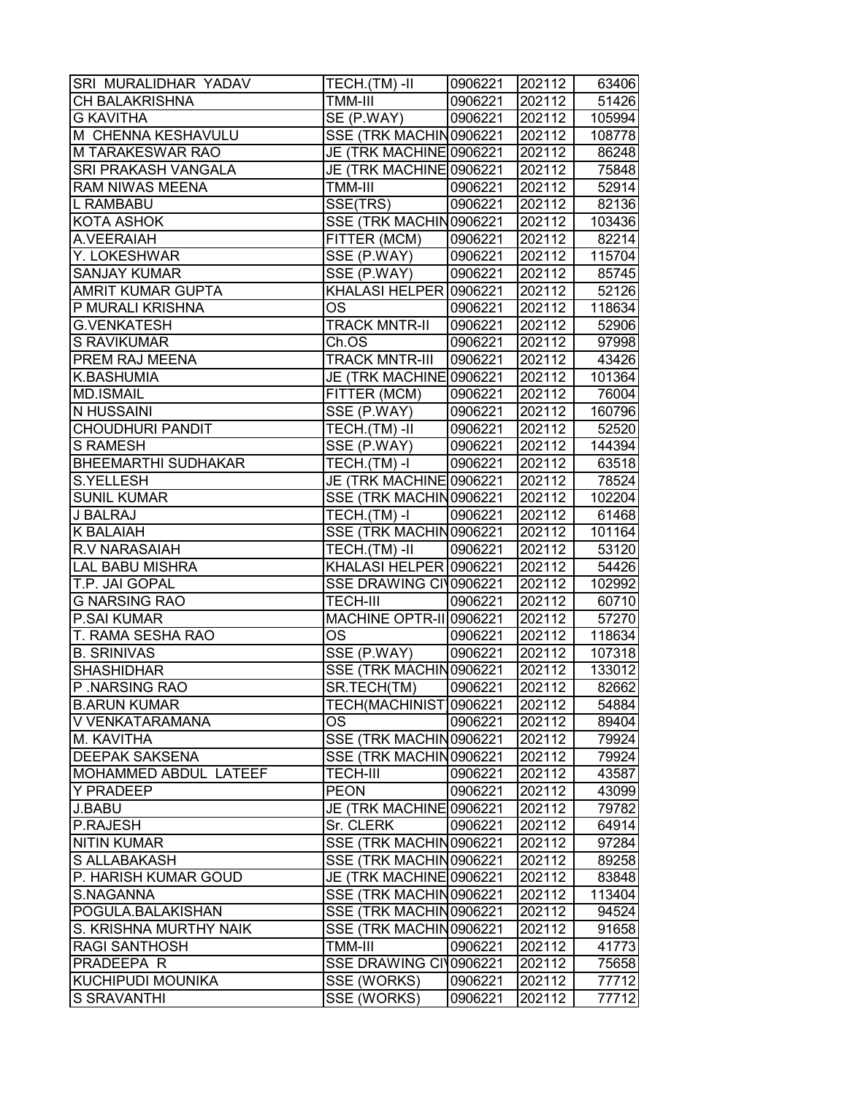| <b>SRI MURALIDHAR YADAV</b>  | $TECH.(TM) - II$                            | 0906221 | 202112 | 63406  |
|------------------------------|---------------------------------------------|---------|--------|--------|
| <b>CH BALAKRISHNA</b>        | TMM-III                                     | 0906221 | 202112 | 51426  |
| <b>G KAVITHA</b>             | $\overline{\text{SE}}$ (P.WAY)              | 0906221 | 202112 | 105994 |
| M CHENNA KESHAVULU           | SSE (TRK MACHIN0906221                      |         | 202112 | 108778 |
| M TARAKESWAR RAO             | JE (TRK MACHINE 0906221                     |         | 202112 | 86248  |
| <b>SRI PRAKASH VANGALA</b>   | JE (TRK MACHINE 0906221                     |         | 202112 | 75848  |
| <b>RAM NIWAS MEENA</b>       | TMM-III                                     | 0906221 | 202112 | 52914  |
| L RAMBABU                    | $\overline{\text{SSE}}(\text{TRS})$         | 0906221 | 202112 | 82136  |
| <b>KOTA ASHOK</b>            | SSE (TRK MACHIN0906221                      |         | 202112 | 103436 |
| A.VEERAIAH                   | FITTER (MCM)                                | 0906221 | 202112 | 82214  |
| Y. LOKESHWAR                 | SSE (P.WAY)                                 | 0906221 | 202112 | 115704 |
| <b>SANJAY KUMAR</b>          | SSE (P.WAY)                                 | 0906221 | 202112 | 85745  |
| <b>AMRIT KUMAR GUPTA</b>     | KHALASI HELPER 0906221                      |         | 202112 | 52126  |
| P MURALI KRISHNA             | <b>OS</b>                                   | 0906221 | 202112 | 118634 |
| <b>G.VENKATESH</b>           | <b>TRACK MNTR-II</b>                        | 0906221 | 202112 | 52906  |
| <b>S RAVIKUMAR</b>           | Ch.OS                                       | 0906221 | 202112 | 97998  |
| <b>PREM RAJ MEENA</b>        | <b>TRACK MNTR-III</b>                       | 0906221 | 202112 | 43426  |
| K.BASHUMIA                   | JE (TRK MACHINE 0906221                     |         | 202112 | 101364 |
| <b>MD.ISMAIL</b>             | FITTER (MCM)                                | 0906221 | 202112 | 76004  |
| N HUSSAINI                   | SSE (P.WAY)                                 | 0906221 | 202112 | 160796 |
| <b>CHOUDHURI PANDIT</b>      | TECH.(TM)-II                                | 0906221 | 202112 | 52520  |
| <b>S RAMESH</b>              | SSE (P.WAY)                                 | 0906221 | 202112 | 144394 |
| <b>BHEEMARTHI SUDHAKAR</b>   | $\overline{\mathsf{TECH.}}(\mathsf{TM})$ -I | 0906221 | 202112 | 63518  |
| <b>S.YELLESH</b>             | JE (TRK MACHINE 0906221                     |         | 202112 | 78524  |
| <b>SUNIL KUMAR</b>           | SSE (TRK MACHIN0906221                      |         | 202112 | 102204 |
| J BALRAJ                     | TECH.(TM)-I                                 | 0906221 | 202112 | 61468  |
| <b>K BALAIAH</b>             | SSE (TRK MACHIN0906221                      |         | 202112 | 101164 |
| <b>R.V NARASAIAH</b>         | TECH.(TM) -II                               | 0906221 | 202112 | 53120  |
| <b>LAL BABU MISHRA</b>       | KHALASI HELPER 0906221                      |         | 202112 | 54426  |
| T.P. JAI GOPAL               | SSE DRAWING CIV0906221                      |         | 202112 | 102992 |
| <b>G NARSING RAO</b>         | <b>TECH-III</b>                             | 0906221 | 202112 | 60710  |
| P.SAI KUMAR                  | <b>MACHINE OPTR-II 0906221</b>              |         | 202112 | 57270  |
| T. RAMA SESHA RAO            | <b>OS</b>                                   | 0906221 | 202112 | 118634 |
| <b>B. SRINIVAS</b>           | SSE (P.WAY)                                 | 0906221 | 202112 | 107318 |
| <b>SHASHIDHAR</b>            | SSE (TRK MACHIN0906221                      |         | 202112 | 133012 |
| P.NARSING RAO                | SR.TECH(TM)                                 | 0906221 | 202112 | 82662  |
| <b>B.ARUN KUMAR</b>          | TECH(MACHINIST)0906221                      |         | 202112 | 54884  |
| V VENKATARAMANA              | OS                                          | 0906221 | 202112 | 89404  |
| M. KAVITHA                   | SSE (TRK MACHIN0906221                      |         | 202112 | 79924  |
| <b>DEEPAK SAKSENA</b>        | SSE (TRK MACHIN0906221                      |         | 202112 | 79924  |
| <b>MOHAMMED ABDUL LATEEF</b> | TECH-III                                    | 0906221 | 202112 | 43587  |
| <b>Y PRADEEP</b>             | <b>PEON</b>                                 | 0906221 | 202112 | 43099  |
| <b>J.BABU</b>                | JE (TRK MACHINE0906221                      |         | 202112 | 79782  |
| P.RAJESH                     | Sr. CLERK                                   | 0906221 | 202112 | 64914  |
| <b>NITIN KUMAR</b>           | SSE (TRK MACHIN0906221                      |         | 202112 | 97284  |
| S ALLABAKASH                 | SSE (TRK MACHIN0906221                      |         | 202112 | 89258  |
| P. HARISH KUMAR GOUD         | JE (TRK MACHINE 0906221                     |         | 202112 | 83848  |
| S.NAGANNA                    | SSE (TRK MACHIN0906221                      |         | 202112 | 113404 |
| POGULA.BALAKISHAN            | SSE (TRK MACHIN0906221                      |         | 202112 | 94524  |
| S. KRISHNA MURTHY NAIK       | SSE (TRK MACHIN0906221                      |         | 202112 | 91658  |
| <b>RAGI SANTHOSH</b>         | TMM-III                                     | 0906221 | 202112 | 41773  |
| PRADEEPA R                   | SSE DRAWING CIV0906221                      |         | 202112 | 75658  |
| <b>KUCHIPUDI MOUNIKA</b>     | SSE (WORKS)                                 | 0906221 | 202112 | 77712  |
| <b>S SRAVANTHI</b>           | SSE (WORKS)                                 | 0906221 | 202112 | 77712  |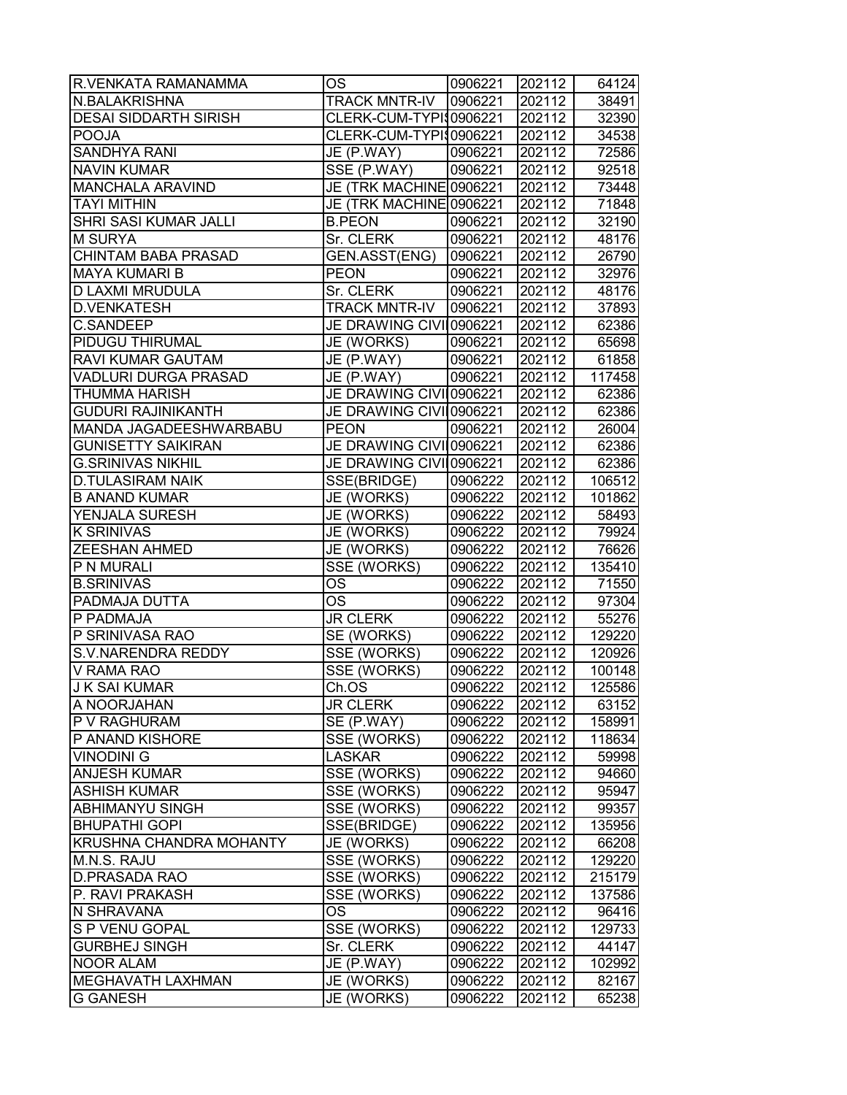| R.VENKATA RAMANAMMA          | OS                      | 0906221 | 202112           | 64124  |
|------------------------------|-------------------------|---------|------------------|--------|
| N.BALAKRISHNA                | <b>TRACK MNTR-IV</b>    | 0906221 | 202112           | 38491  |
| <b>DESAI SIDDARTH SIRISH</b> | CLERK-CUM-TYPI\$0906221 |         | 202112           | 32390  |
| <b>POOJA</b>                 | CLERK-CUM-TYPI\$0906221 |         | 202112           | 34538  |
| <b>SANDHYA RANI</b>          | JE (P.WAY)              | 0906221 | 202112           | 72586  |
| <b>NAVIN KUMAR</b>           | SSE (P.WAY)             | 0906221 | 202112           | 92518  |
| MANCHALA ARAVIND             | JE (TRK MACHINE 0906221 |         | 202112           | 73448  |
| <b>TAYI MITHIN</b>           | JE (TRK MACHINE 0906221 |         | 202112           | 71848  |
| SHRI SASI KUMAR JALLI        | <b>B.PEON</b>           | 0906221 | 202112           | 32190  |
| <b>M SURYA</b>               | Sr. CLERK               | 0906221 | 202112           | 48176  |
| <b>CHINTAM BABA PRASAD</b>   | GEN.ASST(ENG)           | 0906221 | 202112           | 26790  |
| <b>MAYA KUMARI B</b>         | <b>PEON</b>             | 0906221 | 202112           | 32976  |
| D LAXMI MRUDULA              | Sr. CLERK               | 0906221 | 202112           | 48176  |
| <b>D.VENKATESH</b>           | <b>TRACK MNTR-IV</b>    | 0906221 | 202112           | 37893  |
| <b>C.SANDEEP</b>             | JE DRAWING CIVII0906221 |         | 202112           | 62386  |
| PIDUGU THIRUMAL              | JE (WORKS)              | 0906221 | 202112           | 65698  |
| RAVI KUMAR GAUTAM            | JE (P.WAY)              | 0906221 | 202112           | 61858  |
| <b>VADLURI DURGA PRASAD</b>  | JE (P.WAY)              | 0906221 | 202112           | 117458 |
| <b>THUMMA HARISH</b>         | JE DRAWING CIVI 0906221 |         | 202112           | 62386  |
| <b>GUDURI RAJINIKANTH</b>    | JE DRAWING CIVI 0906221 |         | 202112           | 62386  |
| MANDA JAGADEESHWARBABU       | <b>PEON</b>             | 0906221 | 202112           | 26004  |
| <b>GUNISETTY SAIKIRAN</b>    | JE DRAWING CIVI 0906221 |         | 202112           | 62386  |
| <b>G.SRINIVAS NIKHIL</b>     | JE DRAWING CIVI 0906221 |         | 202112           | 62386  |
| <b>D.TULASIRAM NAIK</b>      | SSE(BRIDGE)             | 0906222 | 202112           | 106512 |
| <b>B ANAND KUMAR</b>         | JE (WORKS)              | 0906222 | 202112           | 101862 |
| YENJALA SURESH               | JE (WORKS)              | 0906222 | 202112           | 58493  |
| <b>K SRINIVAS</b>            | JE (WORKS)              | 0906222 | 202112           | 79924  |
| ZEESHAN AHMED                | JE (WORKS)              | 0906222 | 202112           | 76626  |
| P N MURALI                   |                         |         | 202112           |        |
|                              | SSE (WORKS)             | 0906222 |                  | 135410 |
| <b>B.SRINIVAS</b>            | OS<br><b>OS</b>         | 0906222 | 202112<br>202112 | 71550  |
| PADMAJA DUTTA                |                         | 0906222 |                  | 97304  |
| P PADMAJA                    | <b>JR CLERK</b>         | 0906222 | 202112           | 55276  |
| P SRINIVASA RAO              | SE (WORKS)              | 0906222 | 202112           | 129220 |
| <b>S.V.NARENDRA REDDY</b>    | SSE (WORKS)             | 0906222 | 202112           | 120926 |
| V RAMA RAO                   | SSE (WORKS)             | 0906222 | 202112           | 100148 |
| <b>J K SAI KUMAR</b>         | Ch.OS                   | 0906222 | 202112           | 125586 |
| A NOORJAHAN                  | <b>JR CLERK</b>         | 0906222 | 202112           | 63152  |
| P V RAGHURAM                 | SE (P.WAY)              | 0906222 | 202112           | 158991 |
| P ANAND KISHORE              | <b>SSE (WORKS)</b>      | 0906222 | 202112           | 118634 |
| <b>VINODINI G</b>            | <b>LASKAR</b>           | 0906222 | 202112           | 59998  |
| <b>ANJESH KUMAR</b>          | SSE (WORKS)             | 0906222 | 202112           | 94660  |
| <b>ASHISH KUMAR</b>          | SSE (WORKS)             | 0906222 | 202112           | 95947  |
| <b>ABHIMANYU SINGH</b>       | SSE (WORKS)             | 0906222 | 202112           | 99357  |
| <b>BHUPATHI GOPI</b>         | SSE(BRIDGE)             | 0906222 | 202112           | 135956 |
| KRUSHNA CHANDRA MOHANTY      | JE (WORKS)              | 0906222 | 202112           | 66208  |
| M.N.S. RAJU                  | SSE (WORKS)             | 0906222 | 202112           | 129220 |
| D.PRASADA RAO                | SSE (WORKS)             | 0906222 | 202112           | 215179 |
| P. RAVI PRAKASH              | SSE (WORKS)             | 0906222 | 202112           | 137586 |
| N SHRAVANA                   | <b>OS</b>               | 0906222 | 202112           | 96416  |
| S P VENU GOPAL               | SSE (WORKS)             | 0906222 | 202112           | 129733 |
| <b>GURBHEJ SINGH</b>         | Sr. CLERK               | 0906222 | 202112           | 44147  |
| <b>NOOR ALAM</b>             | JE (P.WAY)              | 0906222 | 202112           | 102992 |
| MEGHAVATH LAXHMAN            | JE (WORKS)              | 0906222 | 202112           | 82167  |
| <b>G GANESH</b>              | JE (WORKS)              | 0906222 | 202112           | 65238  |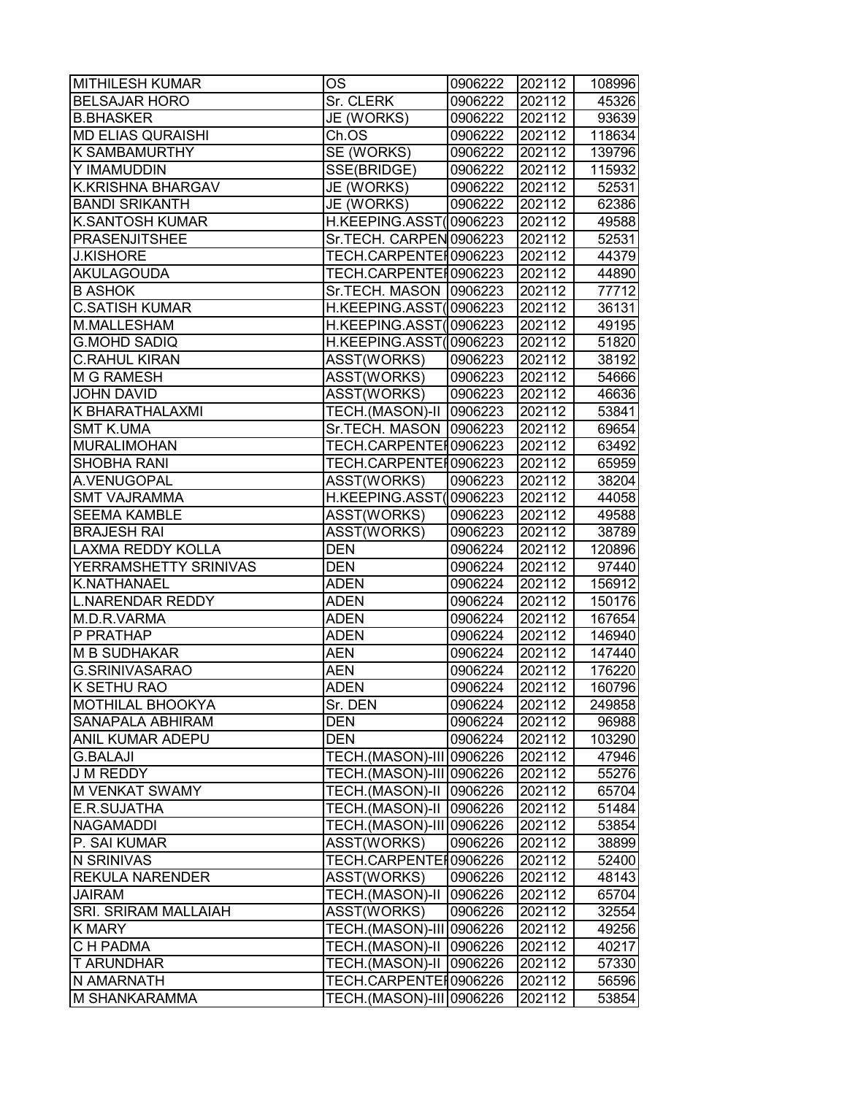| <b>MITHILESH KUMAR</b>      | OS                        | 0906222 | 202112 | 108996 |
|-----------------------------|---------------------------|---------|--------|--------|
| <b>BELSAJAR HORO</b>        | Sr. CLERK                 | 0906222 | 202112 | 45326  |
| <b>B.BHASKER</b>            | JE (WORKS)                | 0906222 | 202112 | 93639  |
| <b>MD ELIAS QURAISHI</b>    | Ch.OS                     | 0906222 | 202112 | 118634 |
| <b>K SAMBAMURTHY</b>        | SE (WORKS)                | 0906222 | 202112 | 139796 |
| Y IMAMUDDIN                 | SSE(BRIDGE)               | 0906222 | 202112 | 115932 |
| <b>K.KRISHNA BHARGAV</b>    | JE (WORKS)                | 0906222 | 202112 | 52531  |
| <b>BANDI SRIKANTH</b>       | JE (WORKS)                | 0906222 | 202112 | 62386  |
| <b>K.SANTOSH KUMAR</b>      | H.KEEPING.ASST(0906223    |         | 202112 | 49588  |
| <b>PRASENJITSHEE</b>        | Sr.TECH. CARPEN 0906223   |         | 202112 | 52531  |
| <b>J.KISHORE</b>            | TECH.CARPENTEI0906223     |         | 202112 | 44379  |
| <b>AKULAGOUDA</b>           | TECH.CARPENTEI0906223     |         | 202112 | 44890  |
| <b>B ASHOK</b>              | Sr.TECH. MASON   0906223  |         | 202112 | 77712  |
| <b>C.SATISH KUMAR</b>       | H.KEEPING.ASST(0906223    |         | 202112 | 36131  |
| M.MALLESHAM                 | H.KEEPING.ASST(0906223    |         | 202112 | 49195  |
| <b>G.MOHD SADIQ</b>         | H.KEEPING.ASST(0906223    |         | 202112 | 51820  |
| <b>C.RAHUL KIRAN</b>        | ASST(WORKS)               | 0906223 | 202112 | 38192  |
| <b>M G RAMESH</b>           | ASST(WORKS)               | 0906223 | 202112 | 54666  |
| <b>JOHN DAVID</b>           | ASST(WORKS)               | 0906223 | 202112 | 46636  |
| K BHARATHALAXMI             | TECH.(MASON)-II           | 0906223 | 202112 | 53841  |
| <b>SMT K.UMA</b>            | Sr.TECH. MASON   0906223  |         | 202112 | 69654  |
| <b>MURALIMOHAN</b>          | TECH.CARPENTEI0906223     |         | 202112 | 63492  |
| <b>SHOBHA RANI</b>          | TECH.CARPENTEI0906223     |         | 202112 | 65959  |
| A.VENUGOPAL                 | ASST(WORKS)               | 0906223 | 202112 | 38204  |
| <b>SMT VAJRAMMA</b>         | H.KEEPING.ASST(0906223    |         | 202112 | 44058  |
| <b>SEEMA KAMBLE</b>         | ASST(WORKS)               | 0906223 | 202112 | 49588  |
| <b>BRAJESH RAI</b>          | ASST(WORKS)               | 0906223 | 202112 | 38789  |
| <b>LAXMA REDDY KOLLA</b>    | <b>DEN</b>                | 0906224 | 202112 | 120896 |
| YERRAMSHETTY SRINIVAS       | <b>DEN</b>                | 0906224 | 202112 | 97440  |
| K.NATHANAEL                 | <b>ADEN</b>               | 0906224 | 202112 | 156912 |
| <b>L.NARENDAR REDDY</b>     | <b>ADEN</b>               | 0906224 | 202112 | 150176 |
| M.D.R.VARMA                 | <b>ADEN</b>               | 0906224 | 202112 | 167654 |
| P PRATHAP                   | <b>ADEN</b>               | 0906224 | 202112 | 146940 |
| <b>M B SUDHAKAR</b>         | <b>AEN</b>                | 0906224 | 202112 | 147440 |
| <b>G.SRINIVASARAO</b>       | <b>AEN</b>                | 0906224 | 202112 | 176220 |
| K SETHU RAO                 | <b>ADEN</b>               | 0906224 | 202112 | 160796 |
| <b>MOTHILAL BHOOKYA</b>     | Sr. DEN                   | 0906224 | 202112 | 249858 |
| <b>SANAPALA ABHIRAM</b>     | <b>DEN</b>                | 0906224 | 202112 | 96988  |
| <b>ANIL KUMAR ADEPU</b>     | <b>DEN</b>                | 0906224 | 202112 | 103290 |
| <b>G.BALAJI</b>             | TECH.(MASON)-III 0906226  |         | 202112 | 47946  |
| <b>J M REDDY</b>            | TECH.(MASON)-III 0906226  |         | 202112 | 55276  |
| M VENKAT SWAMY              | TECH.(MASON)-II   0906226 |         | 202112 | 65704  |
| E.R.SUJATHA                 | <b>TECH.(MASON)-II</b>    | 0906226 | 202112 | 51484  |
| NAGAMADDI                   | TECH.(MASON)-III 0906226  |         | 202112 | 53854  |
| P. SAI KUMAR                | ASST(WORKS)               | 0906226 | 202112 | 38899  |
| N SRINIVAS                  | TECH.CARPENTEI0906226     |         | 202112 | 52400  |
| <b>REKULA NARENDER</b>      | ASST(WORKS)               | 0906226 | 202112 | 48143  |
| <b>JAIRAM</b>               | TECH.(MASON)-II           | 0906226 | 202112 | 65704  |
| <b>SRI. SRIRAM MALLAIAH</b> | ASST(WORKS)               | 0906226 | 202112 | 32554  |
| <b>K MARY</b>               | TECH.(MASON)-III 0906226  |         | 202112 | 49256  |
| C H PADMA                   | TECH.(MASON)-II           | 0906226 | 202112 | 40217  |
| <b>T ARUNDHAR</b>           | TECH.(MASON)-II           | 0906226 | 202112 | 57330  |
| N AMARNATH                  | TECH.CARPENTEI0906226     |         | 202112 | 56596  |
| <b>M SHANKARAMMA</b>        | TECH.(MASON)-III 0906226  |         | 202112 | 53854  |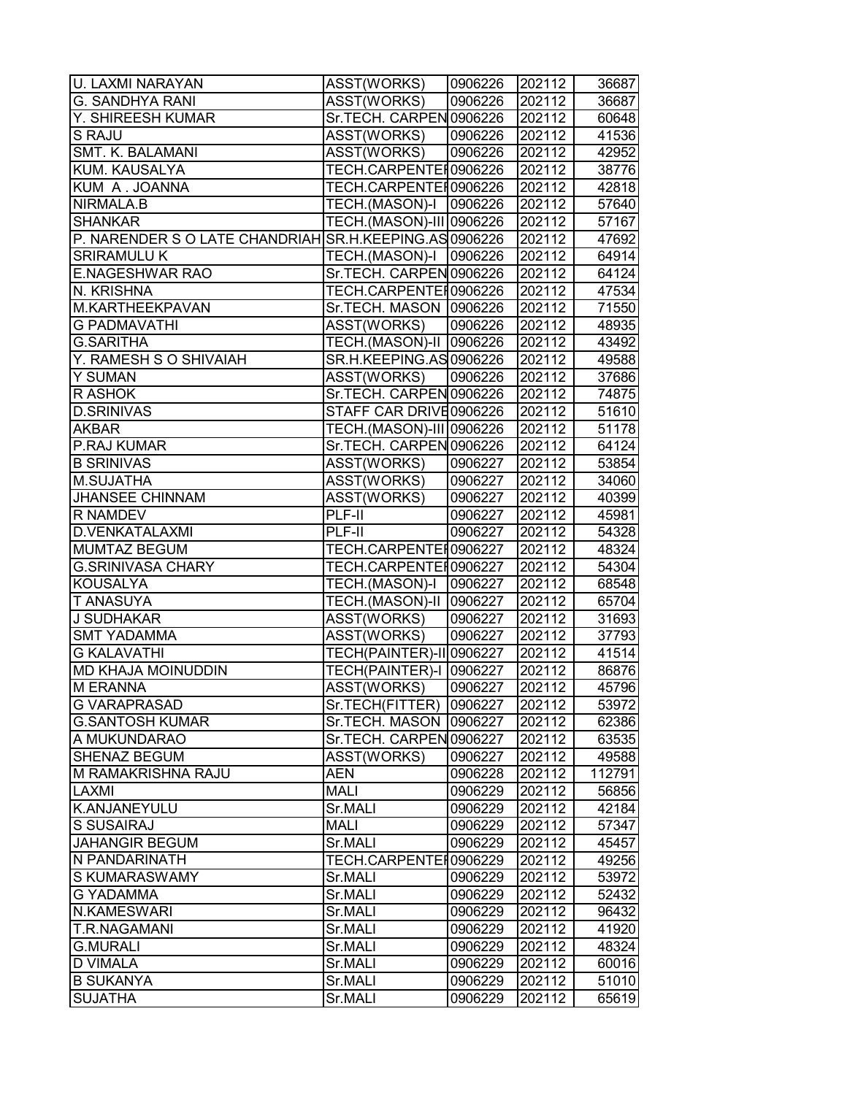| U. LAXMI NARAYAN                                       | ASST(WORKS)                     | 0906226 | 202112 | 36687  |
|--------------------------------------------------------|---------------------------------|---------|--------|--------|
| <b>G. SANDHYA RANI</b>                                 | ASST(WORKS)                     | 0906226 | 202112 | 36687  |
| Y. SHIREESH KUMAR                                      | Sr.TECH. CARPEN 0906226         |         | 202112 | 60648  |
| S RAJU                                                 | ASST(WORKS)                     | 0906226 | 202112 | 41536  |
| SMT. K. BALAMANI                                       | ASST(WORKS)                     | 0906226 | 202112 | 42952  |
| KUM. KAUSALYA                                          | TECH.CARPENTER0906226           |         | 202112 | 38776  |
| KUM A. JOANNA                                          | TECH.CARPENTER0906226           |         | 202112 | 42818  |
| NIRMALA.B                                              | TECH.(MASON)-I                  | 0906226 | 202112 | 57640  |
| <b>SHANKAR</b>                                         | TECH.(MASON)-III 0906226        |         | 202112 | 57167  |
| P. NARENDER S O LATE CHANDRIAH SR.H.KEEPING.AS 0906226 |                                 |         | 202112 | 47692  |
| <b>SRIRAMULU K</b>                                     | TECH.(MASON)-I   0906226        |         | 202112 | 64914  |
| <b>E.NAGESHWAR RAO</b>                                 | Sr.TECH. CARPEN 0906226         |         | 202112 | 64124  |
| N. KRISHNA                                             | TECH.CARPENTEI0906226           |         | 202112 | 47534  |
| M.KARTHEEKPAVAN                                        | Sr.TECH. MASON   0906226        |         | 202112 | 71550  |
| <b>G PADMAVATHI</b>                                    | ASST(WORKS)                     | 0906226 | 202112 | 48935  |
| <b>G.SARITHA</b>                                       | TECH.(MASON)-II   0906226       |         | 202112 | 43492  |
| Y. RAMESH S O SHIVAIAH                                 | SR.H.KEEPING.AS0906226          |         | 202112 | 49588  |
| Y SUMAN                                                | <b>ASST(WORKS)</b>              | 0906226 | 202112 | 37686  |
| R ASHOK                                                | Sr.TECH. CARPEN 0906226         |         | 202112 | 74875  |
| <b>D.SRINIVAS</b>                                      | STAFF CAR DRIVE0906226          |         | 202112 | 51610  |
| <b>AKBAR</b>                                           | TECH.(MASON)-III 0906226        |         | 202112 | 51178  |
| P.RAJ KUMAR                                            | Sr.TECH. CARPEN 0906226         |         | 202112 | 64124  |
| <b>B SRINIVAS</b>                                      | ASST(WORKS)                     | 0906227 | 202112 | 53854  |
| M.SUJATHA                                              | ASST(WORKS)                     | 0906227 | 202112 | 34060  |
| <b>JHANSEE CHINNAM</b>                                 | ASST(WORKS)                     | 0906227 | 202112 | 40399  |
| R NAMDEV                                               | PLF-II                          | 0906227 | 202112 | 45981  |
| D.VENKATALAXMI                                         | PLF-II                          | 0906227 | 202112 | 54328  |
| MUMTAZ BEGUM                                           | TECH.CARPENTER0906227           |         | 202112 | 48324  |
| <b>G.SRINIVASA CHARY</b>                               | TECH.CARPENTEI0906227           |         | 202112 | 54304  |
| <b>KOUSALYA</b>                                        | TECH.(MASON)-I                  | 0906227 | 202112 | 68548  |
| T ANASUYA                                              | TECH.(MASON)-II   0906227       |         | 202112 | 65704  |
| <b>J SUDHAKAR</b>                                      | ASST(WORKS)                     | 0906227 | 202112 | 31693  |
| <b>SMT YADAMMA</b>                                     | ASST(WORKS)                     | 0906227 | 202112 | 37793  |
| <b>G KALAVATHI</b>                                     | <b>TECH(PAINTER)-II 0906227</b> |         | 202112 | 41514  |
| MD KHAJA MOINUDDIN                                     | TECH(PAINTER)-I 0906227         |         | 202112 | 86876  |
| M ERANNA                                               | <b>ASST(WORKS)</b>              | 0906227 | 202112 | 45796  |
| G VARAPRASAD                                           | Sr.TECH(FITTER)                 | 0906227 | 202112 | 53972  |
| <b>G.SANTOSH KUMAR</b>                                 | Sr.TECH. MASON                  | 0906227 | 202112 | 62386  |
| A MUKUNDARAO                                           | Sr.TECH. CARPEN 0906227         |         | 202112 | 63535  |
| SHENAZ BEGUM                                           | ASST(WORKS)                     | 0906227 | 202112 | 49588  |
| M RAMAKRISHNA RAJU                                     | <b>AEN</b>                      | 0906228 | 202112 | 112791 |
| LAXMI                                                  | <b>MALI</b>                     | 0906229 | 202112 | 56856  |
| K.ANJANEYULU                                           | Sr.MALI                         | 0906229 | 202112 | 42184  |
| S SUSAIRAJ                                             | <b>MALI</b>                     | 0906229 | 202112 | 57347  |
| <b>JAHANGIR BEGUM</b>                                  | Sr.MALI                         | 0906229 | 202112 | 45457  |
| N PANDARINATH                                          | TECH.CARPENTEI0906229           |         | 202112 | 49256  |
| S KUMARASWAMY                                          | Sr.MALI                         | 0906229 | 202112 | 53972  |
| G YADAMMA                                              | Sr.MALI                         | 0906229 | 202112 | 52432  |
| N.KAMESWARI                                            | Sr.MALI                         | 0906229 | 202112 | 96432  |
| T.R.NAGAMANI                                           | Sr.MALI                         | 0906229 | 202112 | 41920  |
| <b>G.MURALI</b>                                        | Sr.MALI                         | 0906229 | 202112 | 48324  |
| <b>D VIMALA</b>                                        | Sr.MALI                         | 0906229 | 202112 | 60016  |
| <b>B SUKANYA</b>                                       | Sr.MALI                         | 0906229 | 202112 | 51010  |
| <b>SUJATHA</b>                                         | Sr.MALI                         | 0906229 | 202112 | 65619  |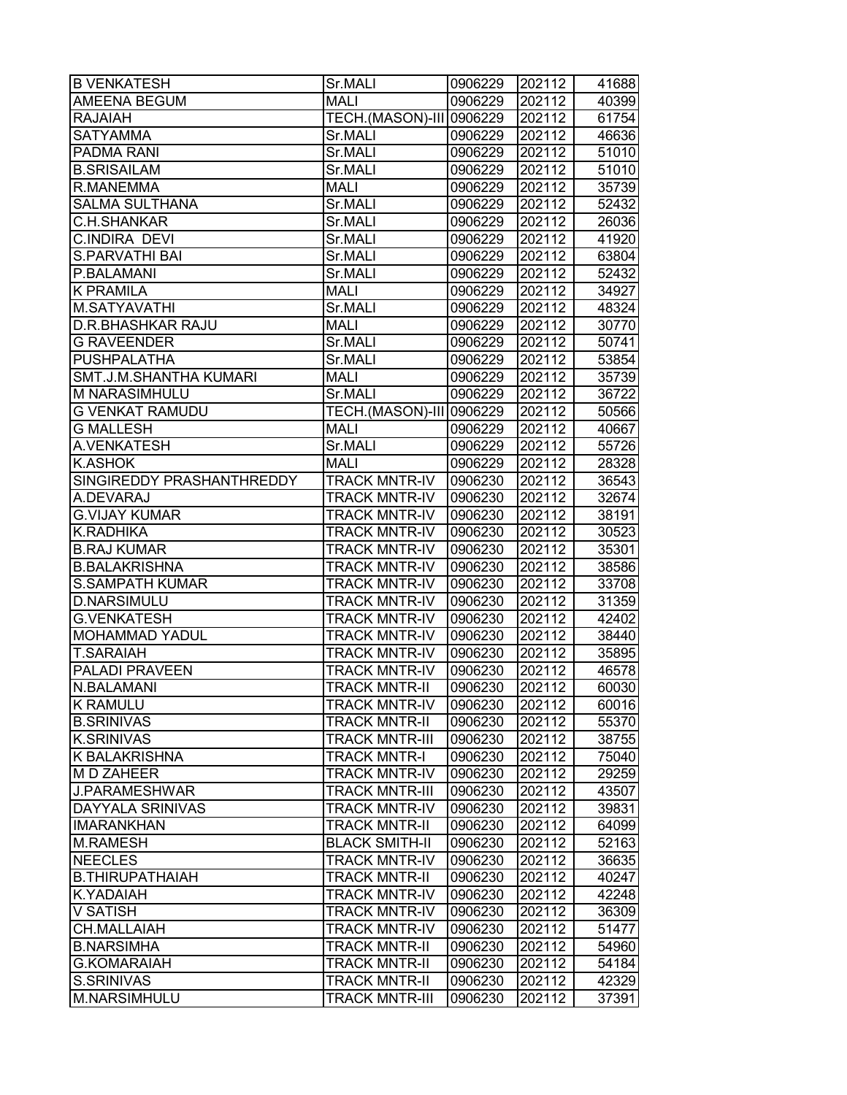| <b>B VENKATESH</b>            | Sr.MALI                  | 0906229 | 202112 | 41688 |
|-------------------------------|--------------------------|---------|--------|-------|
| <b>AMEENA BEGUM</b>           | <b>MALI</b>              | 0906229 | 202112 | 40399 |
| <b>RAJAIAH</b>                | TECH.(MASON)-III 0906229 |         | 202112 | 61754 |
| <b>SATYAMMA</b>               | Sr.MALI                  | 0906229 | 202112 | 46636 |
| <b>PADMA RANI</b>             | Sr.MALI                  | 0906229 | 202112 | 51010 |
| <b>B.SRISAILAM</b>            | Sr.MALI                  | 0906229 | 202112 | 51010 |
| R.MANEMMA                     | <b>MALI</b>              | 0906229 | 202112 | 35739 |
| <b>SALMA SULTHANA</b>         | Sr.MALI                  | 0906229 | 202112 | 52432 |
| C.H.SHANKAR                   | Sr.MALI                  | 0906229 | 202112 | 26036 |
| C.INDIRA DEVI                 | Sr.MALI                  | 0906229 | 202112 | 41920 |
| <b>S.PARVATHI BAI</b>         | Sr.MALI                  | 0906229 | 202112 | 63804 |
| P.BALAMANI                    | Sr.MALI                  | 0906229 | 202112 | 52432 |
| <b>K PRAMILA</b>              | <b>MALI</b>              | 0906229 | 202112 | 34927 |
| M.SATYAVATHI                  | Sr.MALI                  | 0906229 | 202112 | 48324 |
| <b>D.R.BHASHKAR RAJU</b>      | <b>MALI</b>              | 0906229 | 202112 | 30770 |
| <b>G RAVEENDER</b>            | Sr.MALI                  | 0906229 | 202112 | 50741 |
| <b>PUSHPALATHA</b>            | Sr.MALI                  | 0906229 | 202112 | 53854 |
| <b>SMT.J.M.SHANTHA KUMARI</b> | <b>MALI</b>              | 0906229 | 202112 | 35739 |
| M NARASIMHULU                 | Sr.MALI                  | 0906229 | 202112 | 36722 |
| <b>G VENKAT RAMUDU</b>        | TECH.(MASON)-III 0906229 |         | 202112 | 50566 |
| <b>G MALLESH</b>              | <b>MALI</b>              | 0906229 | 202112 | 40667 |
| A.VENKATESH                   | Sr.MALI                  | 0906229 | 202112 | 55726 |
| <b>K.ASHOK</b>                | <b>MALI</b>              | 0906229 | 202112 | 28328 |
| SINGIREDDY PRASHANTHREDDY     | <b>TRACK MNTR-IV</b>     | 0906230 | 202112 | 36543 |
| A.DEVARAJ                     | <b>TRACK MNTR-IV</b>     | 0906230 | 202112 | 32674 |
| <b>G.VIJAY KUMAR</b>          | <b>TRACK MNTR-IV</b>     | 0906230 | 202112 | 38191 |
| K.RADHIKA                     | <b>TRACK MNTR-IV</b>     | 0906230 | 202112 | 30523 |
| <b>B.RAJ KUMAR</b>            | TRACK MNTR-IV            | 0906230 | 202112 | 35301 |
| <b>B.BALAKRISHNA</b>          | <b>TRACK MNTR-IV</b>     | 0906230 | 202112 | 38586 |
| <b>S.SAMPATH KUMAR</b>        | <b>TRACK MNTR-IV</b>     | 0906230 | 202112 | 33708 |
| <b>D.NARSIMULU</b>            | <b>TRACK MNTR-IV</b>     | 0906230 | 202112 | 31359 |
| <b>G.VENKATESH</b>            | <b>TRACK MNTR-IV</b>     | 0906230 | 202112 | 42402 |
| <b>MOHAMMAD YADUL</b>         | <b>TRACK MNTR-IV</b>     | 0906230 | 202112 | 38440 |
| <b>T.SARAIAH</b>              | <b>TRACK MNTR-IV</b>     | 0906230 | 202112 | 35895 |
| <b>PALADI PRAVEEN</b>         | <b>TRACK MNTR-IV</b>     | 0906230 | 202112 | 46578 |
| N.BALAMANI                    | <b>TRACK MNTR-II</b>     | 0906230 | 202112 | 60030 |
| <b>K RAMULU</b>               | <b>TRACK MNTR-IV</b>     | 0906230 | 202112 | 60016 |
| <b>B.SRINIVAS</b>             | <b>TRACK MNTR-II</b>     | 0906230 | 202112 | 55370 |
| <b>K.SRINIVAS</b>             | <b>TRACK MNTR-III</b>    | 0906230 | 202112 | 38755 |
| <b>K BALAKRISHNA</b>          | TRACK MNTR-I             | 0906230 | 202112 | 75040 |
| M D ZAHEER                    | <b>TRACK MNTR-IV</b>     | 0906230 | 202112 | 29259 |
| <b>J.PARAMESHWAR</b>          | <b>TRACK MNTR-III</b>    | 0906230 | 202112 | 43507 |
| <b>DAYYALA SRINIVAS</b>       | <b>TRACK MNTR-IV</b>     | 0906230 | 202112 | 39831 |
| <b>IMARANKHAN</b>             | <b>TRACK MNTR-II</b>     | 0906230 | 202112 | 64099 |
| <b>M.RAMESH</b>               | <b>BLACK SMITH-II</b>    | 0906230 | 202112 | 52163 |
| <b>NEECLES</b>                | <b>TRACK MNTR-IV</b>     | 0906230 | 202112 | 36635 |
| <b>B.THIRUPATHAIAH</b>        | <b>TRACK MNTR-II</b>     | 0906230 | 202112 | 40247 |
| <b>K.YADAIAH</b>              | <b>TRACK MNTR-IV</b>     | 0906230 | 202112 | 42248 |
| <b>V SATISH</b>               | <b>TRACK MNTR-IV</b>     | 0906230 | 202112 | 36309 |
| CH.MALLAIAH                   | <b>TRACK MNTR-IV</b>     | 0906230 | 202112 | 51477 |
| <b>B.NARSIMHA</b>             | <b>TRACK MNTR-II</b>     | 0906230 | 202112 | 54960 |
| <b>G.KOMARAIAH</b>            | TRACK MNTR-II            | 0906230 | 202112 | 54184 |
| S.SRINIVAS                    | TRACK MNTR-II            | 0906230 | 202112 | 42329 |
| M.NARSIMHULU                  | <b>TRACK MNTR-III</b>    | 0906230 | 202112 | 37391 |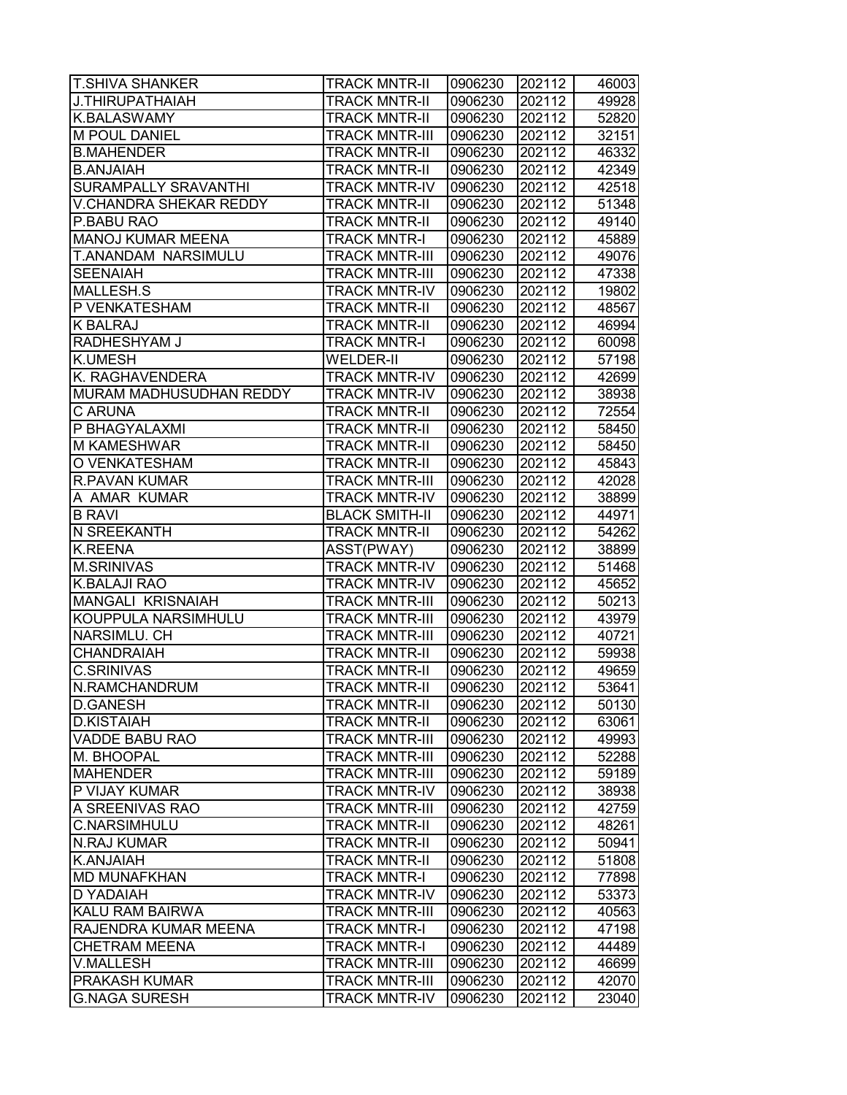| <b>T.SHIVA SHANKER</b>   | <b>TRACK MNTR-II</b>  | 0906230 | 202112 | 46003 |
|--------------------------|-----------------------|---------|--------|-------|
| J.THIRUPATHAIAH          | <b>TRACK MNTR-II</b>  | 0906230 | 202112 | 49928 |
| <b>K.BALASWAMY</b>       | <b>TRACK MNTR-II</b>  | 0906230 | 202112 | 52820 |
| M POUL DANIEL            | <b>TRACK MNTR-III</b> | 0906230 | 202112 | 32151 |
| <b>B.MAHENDER</b>        | <b>TRACK MNTR-II</b>  | 0906230 | 202112 | 46332 |
| <b>B.ANJAIAH</b>         | <b>TRACK MNTR-II</b>  | 0906230 | 202112 | 42349 |
| SURAMPALLY SRAVANTHI     | <b>TRACK MNTR-IV</b>  | 0906230 | 202112 | 42518 |
| V.CHANDRA SHEKAR REDDY   | <b>TRACK MNTR-II</b>  | 0906230 | 202112 | 51348 |
| P.BABU RAO               | <b>TRACK MNTR-II</b>  | 0906230 | 202112 | 49140 |
| <b>MANOJ KUMAR MEENA</b> | <b>TRACK MNTR-I</b>   | 0906230 | 202112 | 45889 |
| T.ANANDAM NARSIMULU      | <b>TRACK MNTR-III</b> | 0906230 | 202112 | 49076 |
| <b>SEENAIAH</b>          | <b>TRACK MNTR-III</b> | 0906230 | 202112 | 47338 |
| MALLESH.S                | <b>TRACK MNTR-IV</b>  | 0906230 | 202112 | 19802 |
| P VENKATESHAM            | <b>TRACK MNTR-II</b>  | 0906230 | 202112 | 48567 |
| K BALRAJ                 | <b>TRACK MNTR-II</b>  | 0906230 | 202112 | 46994 |
| RADHESHYAM J             | <b>TRACK MNTR-I</b>   | 0906230 | 202112 | 60098 |
| <b>K.UMESH</b>           | <b>WELDER-II</b>      | 0906230 | 202112 | 57198 |
| K. RAGHAVENDERA          | <b>TRACK MNTR-IV</b>  | 0906230 | 202112 | 42699 |
| MURAM MADHUSUDHAN REDDY  | <b>TRACK MNTR-IV</b>  | 0906230 | 202112 | 38938 |
| C ARUNA                  | <b>TRACK MNTR-II</b>  | 0906230 | 202112 | 72554 |
| P BHAGYALAXMI            | <b>TRACK MNTR-II</b>  | 0906230 | 202112 | 58450 |
| <b>M KAMESHWAR</b>       | <b>TRACK MNTR-II</b>  | 0906230 | 202112 | 58450 |
| O VENKATESHAM            | <b>TRACK MNTR-II</b>  | 0906230 | 202112 | 45843 |
| <b>R.PAVAN KUMAR</b>     | <b>TRACK MNTR-III</b> | 0906230 | 202112 | 42028 |
| A AMAR KUMAR             | <b>TRACK MNTR-IV</b>  | 0906230 | 202112 | 38899 |
| <b>B RAVI</b>            | <b>BLACK SMITH-II</b> | 0906230 | 202112 | 44971 |
| N SREEKANTH              | <b>TRACK MNTR-II</b>  | 0906230 | 202112 | 54262 |
| K.REENA                  | ASST(PWAY)            | 0906230 | 202112 | 38899 |
| <b>M.SRINIVAS</b>        | <b>TRACK MNTR-IV</b>  | 0906230 | 202112 | 51468 |
| <b>K.BALAJI RAO</b>      | <b>TRACK MNTR-IV</b>  | 0906230 | 202112 | 45652 |
| MANGALI KRISNAIAH        | <b>TRACK MNTR-III</b> | 0906230 | 202112 | 50213 |
| KOUPPULA NARSIMHULU      | <b>TRACK MNTR-III</b> | 0906230 | 202112 | 43979 |
| NARSIMLU. CH             | <b>TRACK MNTR-III</b> | 0906230 | 202112 | 40721 |
| <b>CHANDRAIAH</b>        | <b>TRACK MNTR-II</b>  | 0906230 | 202112 | 59938 |
| <b>C.SRINIVAS</b>        | <b>TRACK MNTR-II</b>  | 0906230 | 202112 | 49659 |
| N.RAMCHANDRUM            | <b>TRACK MNTR-II</b>  | 0906230 | 202112 | 53641 |
| <b>D.GANESH</b>          | <b>TRACK MNTR-II</b>  | 0906230 | 202112 | 50130 |
| <b>D.KISTAIAH</b>        | <b>TRACK MNTR-II</b>  | 0906230 | 202112 | 63061 |
| VADDE BABU RAO           | <b>TRACK MNTR-III</b> | 0906230 | 202112 | 49993 |
| M. BHOOPAL               | <b>TRACK MNTR-III</b> | 0906230 | 202112 | 52288 |
| <b>MAHENDER</b>          | <b>TRACK MNTR-III</b> | 0906230 | 202112 | 59189 |
| P VIJAY KUMAR            | <b>TRACK MNTR-IV</b>  | 0906230 | 202112 | 38938 |
| A SREENIVAS RAO          | <b>TRACK MNTR-III</b> | 0906230 | 202112 | 42759 |
| <b>C.NARSIMHULU</b>      | <b>TRACK MNTR-II</b>  | 0906230 | 202112 | 48261 |
| <b>N.RAJ KUMAR</b>       | <b>TRACK MNTR-II</b>  | 0906230 | 202112 | 50941 |
| K.ANJAIAH                | <b>TRACK MNTR-II</b>  | 0906230 | 202112 | 51808 |
| <b>MD MUNAFKHAN</b>      | <b>TRACK MNTR-I</b>   | 0906230 | 202112 | 77898 |
| D YADAIAH                | <b>TRACK MNTR-IV</b>  | 0906230 | 202112 | 53373 |
| KALU RAM BAIRWA          | <b>TRACK MNTR-III</b> | 0906230 | 202112 | 40563 |
| RAJENDRA KUMAR MEENA     | <b>TRACK MNTR-I</b>   | 0906230 | 202112 | 47198 |
| <b>CHETRAM MEENA</b>     | <b>TRACK MNTR-I</b>   | 0906230 | 202112 | 44489 |
| <b>V.MALLESH</b>         | <b>TRACK MNTR-III</b> | 0906230 | 202112 | 46699 |
| PRAKASH KUMAR            | <b>TRACK MNTR-III</b> | 0906230 | 202112 | 42070 |
| <b>G.NAGA SURESH</b>     | <b>TRACK MNTR-IV</b>  | 0906230 | 202112 | 23040 |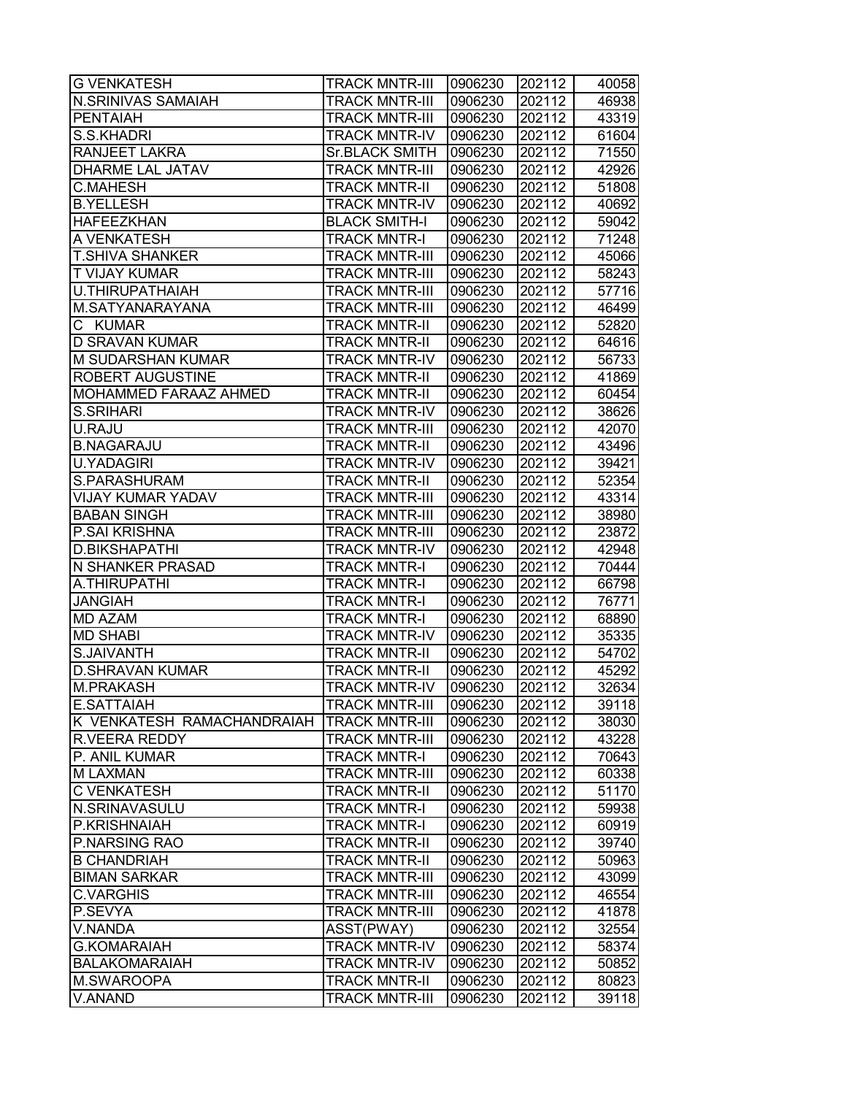| <b>G VENKATESH</b>           | <b>TRACK MNTR-III</b> | 0906230 | 202112 | 40058 |
|------------------------------|-----------------------|---------|--------|-------|
| N.SRINIVAS SAMAIAH           | TRACK MNTR-III        | 0906230 | 202112 | 46938 |
| <b>PENTAIAH</b>              | TRACK MNTR-III        | 0906230 | 202112 | 43319 |
| S.S.KHADRI                   | <b>TRACK MNTR-IV</b>  | 0906230 | 202112 | 61604 |
| <b>RANJEET LAKRA</b>         | <b>Sr.BLACK SMITH</b> | 0906230 | 202112 | 71550 |
| <b>DHARME LAL JATAV</b>      | <b>TRACK MNTR-III</b> | 0906230 | 202112 | 42926 |
| <b>C.MAHESH</b>              | <b>TRACK MNTR-II</b>  | 0906230 | 202112 | 51808 |
| <b>B.YELLESH</b>             | <b>TRACK MNTR-IV</b>  | 0906230 | 202112 | 40692 |
| <b>HAFEEZKHAN</b>            | <b>BLACK SMITH-I</b>  | 0906230 | 202112 | 59042 |
| A VENKATESH                  | <b>TRACK MNTR-I</b>   | 0906230 | 202112 | 71248 |
| <b>T.SHIVA SHANKER</b>       | <b>TRACK MNTR-III</b> | 0906230 | 202112 | 45066 |
| <b>T VIJAY KUMAR</b>         | <b>TRACK MNTR-III</b> | 0906230 | 202112 | 58243 |
| U.THIRUPATHAIAH              | <b>TRACK MNTR-III</b> | 0906230 | 202112 | 57716 |
| M.SATYANARAYANA              | <b>TRACK MNTR-III</b> | 0906230 | 202112 | 46499 |
| С<br>KUMAR                   | TRACK MNTR-II         | 0906230 | 202112 | 52820 |
| D SRAVAN KUMAR               | <b>TRACK MNTR-II</b>  | 0906230 | 202112 | 64616 |
| <b>M SUDARSHAN KUMAR</b>     | <b>TRACK MNTR-IV</b>  | 0906230 | 202112 | 56733 |
| <b>ROBERT AUGUSTINE</b>      | <b>TRACK MNTR-II</b>  | 0906230 | 202112 | 41869 |
| <b>MOHAMMED FARAAZ AHMED</b> | <b>TRACK MNTR-II</b>  | 0906230 | 202112 | 60454 |
| S.SRIHARI                    | <b>TRACK MNTR-IV</b>  | 0906230 | 202112 | 38626 |
| U.RAJU                       | <b>TRACK MNTR-III</b> | 0906230 | 202112 | 42070 |
| <b>B.NAGARAJU</b>            | <b>TRACK MNTR-II</b>  | 0906230 | 202112 | 43496 |
| <b>U.YADAGIRI</b>            | <b>TRACK MNTR-IV</b>  | 0906230 | 202112 | 39421 |
| S.PARASHURAM                 | <b>TRACK MNTR-II</b>  | 0906230 | 202112 | 52354 |
| <b>VIJAY KUMAR YADAV</b>     | <b>TRACK MNTR-III</b> | 0906230 | 202112 | 43314 |
| <b>BABAN SINGH</b>           | <b>TRACK MNTR-III</b> | 0906230 | 202112 | 38980 |
| P.SAI KRISHNA                | TRACK MNTR-III        | 0906230 | 202112 | 23872 |
| <b>D.BIKSHAPATHI</b>         | TRACK MNTR-IV         | 0906230 | 202112 | 42948 |
| <b>N SHANKER PRASAD</b>      | TRACK MNTR-I          | 0906230 | 202112 | 70444 |
| A.THIRUPATHI                 | <b>TRACK MNTR-I</b>   | 0906230 | 202112 | 66798 |
| <b>JANGIAH</b>               | <b>TRACK MNTR-I</b>   | 0906230 | 202112 | 76771 |
| <b>MD AZAM</b>               | <b>TRACK MNTR-I</b>   | 0906230 | 202112 | 68890 |
| <b>MD SHABI</b>              | <b>TRACK MNTR-IV</b>  | 0906230 | 202112 | 35335 |
| S.JAIVANTH                   | <b>TRACK MNTR-II</b>  | 0906230 | 202112 | 54702 |
| <b>D.SHRAVAN KUMAR</b>       | <b>TRACK MNTR-II</b>  | 0906230 | 202112 | 45292 |
| M.PRAKASH                    | <b>TRACK MNTR-IV</b>  | 0906230 | 202112 | 32634 |
| E.SATTAIAH                   | <b>TRACK MNTR-III</b> | 0906230 | 202112 | 39118 |
| K VENKATESH RAMACHANDRAIAH   | <b>TRACK MNTR-III</b> | 0906230 | 202112 | 38030 |
| <b>R.VEERA REDDY</b>         | <b>TRACK MNTR-III</b> | 0906230 | 202112 | 43228 |
| P. ANIL KUMAR                | TRACK MNTR-I          | 0906230 | 202112 | 70643 |
| <b>M LAXMAN</b>              | <b>TRACK MNTR-III</b> | 0906230 | 202112 | 60338 |
| <b>C VENKATESH</b>           | <b>TRACK MNTR-II</b>  | 0906230 | 202112 | 51170 |
| <b>N.SRINAVASULU</b>         | <b>TRACK MNTR-I</b>   | 0906230 | 202112 | 59938 |
| P.KRISHNAIAH                 | <b>TRACK MNTR-I</b>   | 0906230 | 202112 | 60919 |
| P.NARSING RAO                | <b>TRACK MNTR-II</b>  | 0906230 | 202112 | 39740 |
| <b>B CHANDRIAH</b>           | <b>TRACK MNTR-II</b>  | 0906230 | 202112 | 50963 |
| <b>BIMAN SARKAR</b>          | <b>TRACK MNTR-III</b> | 0906230 | 202112 | 43099 |
| <b>C.VARGHIS</b>             | <b>TRACK MNTR-III</b> | 0906230 | 202112 | 46554 |
| P.SEVYA                      | <b>TRACK MNTR-III</b> | 0906230 | 202112 | 41878 |
| V.NANDA                      | ASST(PWAY)            | 0906230 | 202112 | 32554 |
| <b>G.KOMARAIAH</b>           | <b>TRACK MNTR-IV</b>  | 0906230 | 202112 | 58374 |
| <b>BALAKOMARAIAH</b>         | <b>TRACK MNTR-IV</b>  | 0906230 | 202112 | 50852 |
| M.SWAROOPA                   | TRACK MNTR-II         | 0906230 | 202112 | 80823 |
| V.ANAND                      | <b>TRACK MNTR-III</b> | 0906230 | 202112 | 39118 |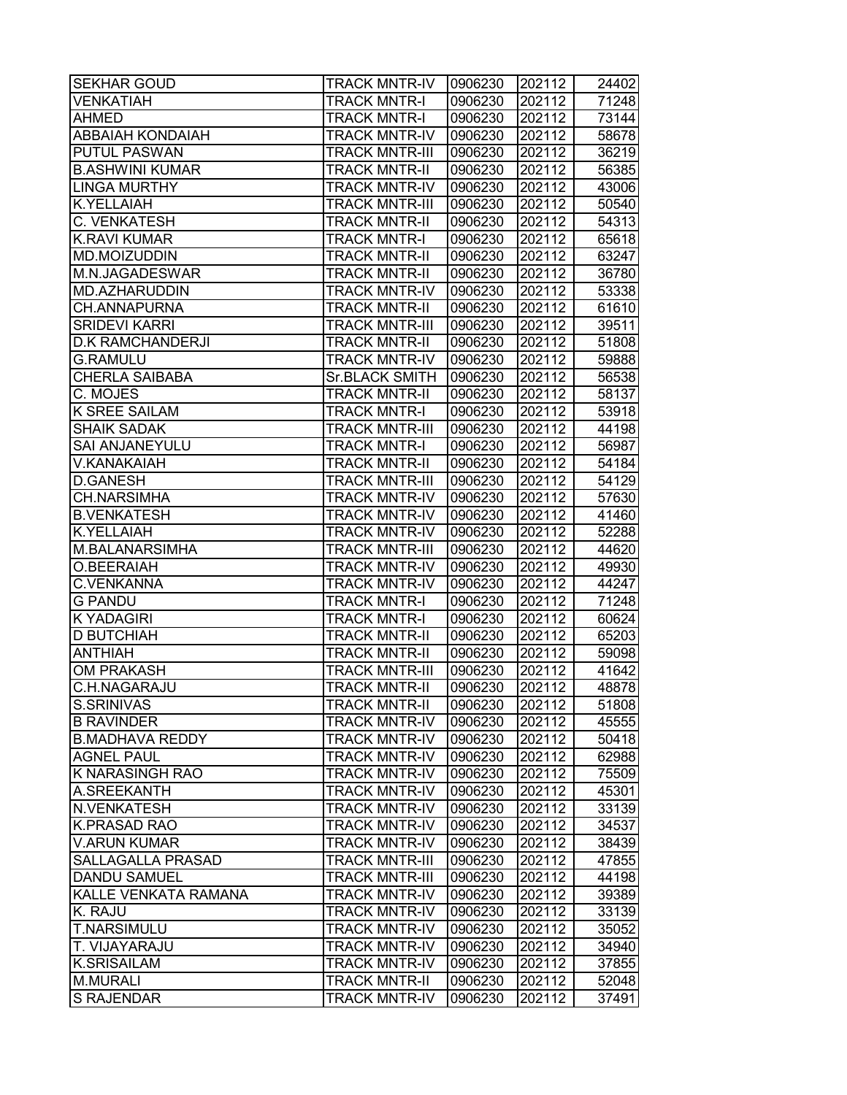| <b>SEKHAR GOUD</b>       | <b>TRACK MNTR-IV</b>  | 0906230 | 202112 | 24402 |
|--------------------------|-----------------------|---------|--------|-------|
| <b>VENKATIAH</b>         | <b>TRACK MNTR-I</b>   | 0906230 | 202112 | 71248 |
| <b>AHMED</b>             | <b>TRACK MNTR-I</b>   | 0906230 | 202112 | 73144 |
| <b>ABBAIAH KONDAIAH</b>  | <b>TRACK MNTR-IV</b>  | 0906230 | 202112 | 58678 |
| <b>PUTUL PASWAN</b>      | <b>TRACK MNTR-III</b> | 0906230 | 202112 | 36219 |
| <b>B.ASHWINI KUMAR</b>   | <b>TRACK MNTR-II</b>  | 0906230 | 202112 | 56385 |
| <b>LINGA MURTHY</b>      | <b>TRACK MNTR-IV</b>  | 0906230 | 202112 | 43006 |
| <b>K.YELLAIAH</b>        | <b>TRACK MNTR-III</b> | 0906230 | 202112 | 50540 |
| C. VENKATESH             | <b>TRACK MNTR-II</b>  | 0906230 | 202112 | 54313 |
| <b>K.RAVI KUMAR</b>      | <b>TRACK MNTR-I</b>   | 0906230 | 202112 | 65618 |
| MD.MOIZUDDIN             | <b>TRACK MNTR-II</b>  | 0906230 | 202112 | 63247 |
| M.N.JAGADESWAR           | <b>TRACK MNTR-II</b>  | 0906230 | 202112 | 36780 |
| <b>MD.AZHARUDDIN</b>     | <b>TRACK MNTR-IV</b>  | 0906230 | 202112 | 53338 |
| CH.ANNAPURNA             | <b>TRACK MNTR-II</b>  | 0906230 | 202112 | 61610 |
| <b>SRIDEVI KARRI</b>     | <b>TRACK MNTR-III</b> | 0906230 | 202112 | 39511 |
| <b>D.K RAMCHANDERJI</b>  | <b>TRACK MNTR-II</b>  | 0906230 | 202112 | 51808 |
| <b>G.RAMULU</b>          | <b>TRACK MNTR-IV</b>  | 0906230 | 202112 | 59888 |
| <b>CHERLA SAIBABA</b>    | <b>Sr.BLACK SMITH</b> | 0906230 | 202112 | 56538 |
| C. MOJES                 | <b>TRACK MNTR-II</b>  | 0906230 | 202112 | 58137 |
| <b>K SREE SAILAM</b>     | <b>TRACK MNTR-I</b>   | 0906230 | 202112 | 53918 |
| <b>SHAIK SADAK</b>       | <b>TRACK MNTR-III</b> | 0906230 | 202112 | 44198 |
| <b>SAI ANJANEYULU</b>    | <b>TRACK MNTR-I</b>   | 0906230 | 202112 | 56987 |
| V.KANAKAIAH              | <b>TRACK MNTR-II</b>  | 0906230 | 202112 | 54184 |
| <b>D.GANESH</b>          | <b>TRACK MNTR-III</b> | 0906230 | 202112 | 54129 |
| <b>CH.NARSIMHA</b>       | <b>TRACK MNTR-IV</b>  | 0906230 | 202112 | 57630 |
| <b>B.VENKATESH</b>       | <b>TRACK MNTR-IV</b>  | 0906230 | 202112 | 41460 |
| <b>K.YELLAIAH</b>        | <b>TRACK MNTR-IV</b>  | 0906230 | 202112 | 52288 |
| M.BALANARSIMHA           | <b>TRACK MNTR-III</b> | 0906230 | 202112 | 44620 |
| O.BEERAIAH               | <b>TRACK MNTR-IV</b>  | 0906230 | 202112 | 49930 |
| <b>C.VENKANNA</b>        | <b>TRACK MNTR-IV</b>  | 0906230 | 202112 | 44247 |
| <b>G PANDU</b>           | <b>TRACK MNTR-I</b>   | 0906230 | 202112 | 71248 |
| <b>K YADAGIRI</b>        | <b>TRACK MNTR-I</b>   | 0906230 | 202112 | 60624 |
| <b>D BUTCHIAH</b>        | <b>TRACK MNTR-II</b>  | 0906230 | 202112 | 65203 |
| <b>ANTHIAH</b>           | <b>TRACK MNTR-II</b>  | 0906230 | 202112 | 59098 |
| <b>OM PRAKASH</b>        | <b>TRACK MNTR-III</b> | 0906230 | 202112 | 41642 |
| <b>C.H.NAGARAJU</b>      | <b>TRACK MNTR-II</b>  | 0906230 | 202112 | 48878 |
| S.SRINIVAS               | <b>TRACK MNTR-II</b>  | 0906230 | 202112 | 51808 |
| <b>B RAVINDER</b>        | <b>TRACK MNTR-IV</b>  | 0906230 | 202112 | 45555 |
| <b>B.MADHAVA REDDY</b>   | <b>TRACK MNTR-IV</b>  | 0906230 | 202112 | 50418 |
| <b>AGNEL PAUL</b>        | <b>TRACK MNTR-IV</b>  | 0906230 | 202112 | 62988 |
| <b>K NARASINGH RAO</b>   | <b>TRACK MNTR-IV</b>  | 0906230 | 202112 | 75509 |
| A.SREEKANTH              | <b>TRACK MNTR-IV</b>  | 0906230 | 202112 | 45301 |
| N.VENKATESH              | <b>TRACK MNTR-IV</b>  | 0906230 | 202112 | 33139 |
| <b>K.PRASAD RAO</b>      | <b>TRACK MNTR-IV</b>  | 0906230 | 202112 | 34537 |
| <b>V.ARUN KUMAR</b>      | <b>TRACK MNTR-IV</b>  | 0906230 | 202112 | 38439 |
| <b>SALLAGALLA PRASAD</b> | <b>TRACK MNTR-III</b> | 0906230 | 202112 | 47855 |
| <b>DANDU SAMUEL</b>      | <b>TRACK MNTR-III</b> | 0906230 | 202112 | 44198 |
| KALLE VENKATA RAMANA     | <b>TRACK MNTR-IV</b>  | 0906230 | 202112 | 39389 |
| K. RAJU                  | <b>TRACK MNTR-IV</b>  | 0906230 | 202112 | 33139 |
| <b>T.NARSIMULU</b>       | <b>TRACK MNTR-IV</b>  | 0906230 | 202112 | 35052 |
| T. VIJAYARAJU            | <b>TRACK MNTR-IV</b>  | 0906230 | 202112 | 34940 |
| <b>K.SRISAILAM</b>       | <b>TRACK MNTR-IV</b>  | 0906230 | 202112 | 37855 |
| <b>M.MURALI</b>          | <b>TRACK MNTR-II</b>  | 0906230 | 202112 | 52048 |
| <b>S RAJENDAR</b>        | <b>TRACK MNTR-IV</b>  | 0906230 | 202112 | 37491 |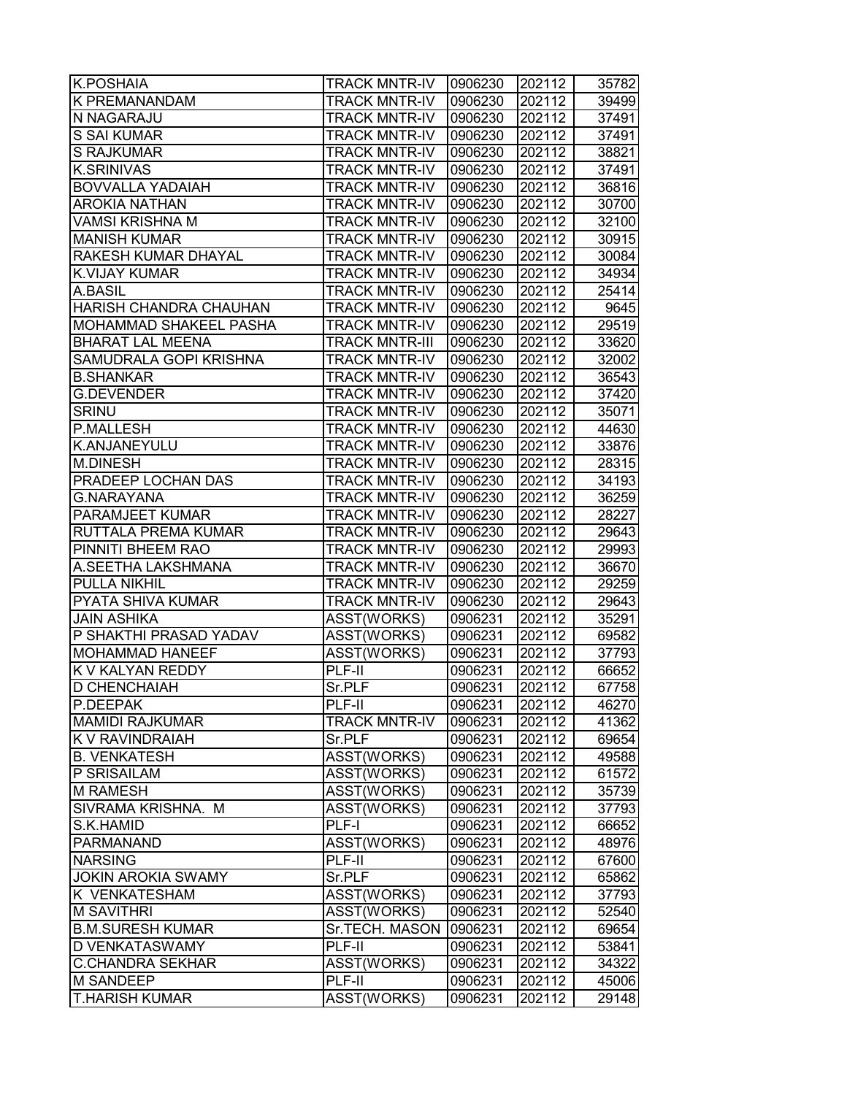| <b>K.POSHAIA</b>              | <b>TRACK MNTR-IV</b>  | 0906230 | 202112 | 35782 |
|-------------------------------|-----------------------|---------|--------|-------|
| <b>K PREMANANDAM</b>          | <b>TRACK MNTR-IV</b>  | 0906230 | 202112 | 39499 |
| <b>N NAGARAJU</b>             | <b>TRACK MNTR-IV</b>  | 0906230 | 202112 | 37491 |
| <b>S SAI KUMAR</b>            | <b>TRACK MNTR-IV</b>  | 0906230 | 202112 | 37491 |
| <b>S RAJKUMAR</b>             | <b>TRACK MNTR-IV</b>  | 0906230 | 202112 | 38821 |
| <b>K.SRINIVAS</b>             | <b>TRACK MNTR-IV</b>  | 0906230 | 202112 | 37491 |
| <b>BOVVALLA YADAIAH</b>       | <b>TRACK MNTR-IV</b>  | 0906230 | 202112 | 36816 |
| <b>AROKIA NATHAN</b>          | <b>TRACK MNTR-IV</b>  | 0906230 | 202112 | 30700 |
| <b>VAMSI KRISHNA M</b>        | <b>TRACK MNTR-IV</b>  | 0906230 | 202112 | 32100 |
| <b>MANISH KUMAR</b>           | <b>TRACK MNTR-IV</b>  | 0906230 | 202112 | 30915 |
| <b>RAKESH KUMAR DHAYAL</b>    | <b>TRACK MNTR-IV</b>  | 0906230 | 202112 | 30084 |
| <b>K.VIJAY KUMAR</b>          | <b>TRACK MNTR-IV</b>  | 0906230 | 202112 | 34934 |
| A.BASIL                       | <b>TRACK MNTR-IV</b>  | 0906230 | 202112 | 25414 |
| HARISH CHANDRA CHAUHAN        | <b>TRACK MNTR-IV</b>  | 0906230 | 202112 | 9645  |
| <b>MOHAMMAD SHAKEEL PASHA</b> | <b>TRACK MNTR-IV</b>  | 0906230 | 202112 | 29519 |
| <b>BHARAT LAL MEENA</b>       | <b>TRACK MNTR-III</b> | 0906230 | 202112 | 33620 |
| <b>SAMUDRALA GOPI KRISHNA</b> | <b>TRACK MNTR-IV</b>  | 0906230 | 202112 | 32002 |
| <b>B.SHANKAR</b>              | <b>TRACK MNTR-IV</b>  | 0906230 | 202112 | 36543 |
| <b>G.DEVENDER</b>             | <b>TRACK MNTR-IV</b>  | 0906230 | 202112 | 37420 |
| <b>SRINU</b>                  | <b>TRACK MNTR-IV</b>  | 0906230 | 202112 | 35071 |
| <b>P.MALLESH</b>              | <b>TRACK MNTR-IV</b>  | 0906230 | 202112 | 44630 |
| K.ANJANEYULU                  | <b>TRACK MNTR-IV</b>  | 0906230 | 202112 | 33876 |
| <b>M.DINESH</b>               | <b>TRACK MNTR-IV</b>  | 0906230 | 202112 | 28315 |
| <b>PRADEEP LOCHAN DAS</b>     | <b>TRACK MNTR-IV</b>  | 0906230 | 202112 | 34193 |
| <b>G.NARAYANA</b>             | <b>TRACK MNTR-IV</b>  | 0906230 | 202112 | 36259 |
| <b>PARAMJEET KUMAR</b>        | <b>TRACK MNTR-IV</b>  | 0906230 | 202112 | 28227 |
| RUTTALA PREMA KUMAR           | <b>TRACK MNTR-IV</b>  | 0906230 | 202112 | 29643 |
| PINNITI BHEEM RAO             | <b>TRACK MNTR-IV</b>  | 0906230 | 202112 | 29993 |
| A.SEETHA LAKSHMANA            | <b>TRACK MNTR-IV</b>  | 0906230 | 202112 | 36670 |
| <b>PULLA NIKHIL</b>           | <b>TRACK MNTR-IV</b>  | 0906230 | 202112 | 29259 |
| <b>PYATA SHIVA KUMAR</b>      | <b>TRACK MNTR-IV</b>  | 0906230 | 202112 | 29643 |
| <b>JAIN ASHIKA</b>            | ASST(WORKS)           | 0906231 | 202112 | 35291 |
| P SHAKTHI PRASAD YADAV        | ASST(WORKS)           | 0906231 | 202112 | 69582 |
| <b>MOHAMMAD HANEEF</b>        | ASST(WORKS)           | 0906231 | 202112 | 37793 |
| <b>K V KALYAN REDDY</b>       | PLF-II                | 0906231 | 202112 | 66652 |
| <b>D CHENCHAIAH</b>           | Sr.PLF                | 0906231 | 202112 | 67758 |
| P.DEEPAK                      | PLF-II                | 0906231 | 202112 | 46270 |
| <b>MAMIDI RAJKUMAR</b>        | <b>TRACK MNTR-IV</b>  | 0906231 | 202112 | 41362 |
| K V RAVINDRAIAH               | Sr.PLF                | 0906231 | 202112 | 69654 |
| <b>B. VENKATESH</b>           | ASST(WORKS)           | 0906231 | 202112 | 49588 |
| P SRISAILAM                   | ASST(WORKS)           | 0906231 | 202112 | 61572 |
| <b>M RAMESH</b>               | ASST(WORKS)           | 0906231 | 202112 | 35739 |
| SIVRAMA KRISHNA. M            | ASST(WORKS)           | 0906231 | 202112 | 37793 |
| S.K.HAMID                     | PLF-I                 | 0906231 | 202112 | 66652 |
| PARMANAND                     | ASST(WORKS)           | 0906231 | 202112 | 48976 |
| <b>NARSING</b>                | PLF-II                | 0906231 | 202112 | 67600 |
| <b>JOKIN AROKIA SWAMY</b>     | Sr.PLF                | 0906231 | 202112 | 65862 |
| <b>K VENKATESHAM</b>          | ASST(WORKS)           | 0906231 | 202112 | 37793 |
| <b>M SAVITHRI</b>             | ASST(WORKS)           | 0906231 | 202112 | 52540 |
| <b>B.M.SURESH KUMAR</b>       | Sr.TECH. MASON        | 0906231 | 202112 | 69654 |
| <b>D VENKATASWAMY</b>         | PLF-II                | 0906231 | 202112 | 53841 |
| <b>C.CHANDRA SEKHAR</b>       | ASST(WORKS)           | 0906231 | 202112 | 34322 |
| <b>M SANDEEP</b>              | PLF-II                | 0906231 | 202112 | 45006 |
| <b>T.HARISH KUMAR</b>         | ASST(WORKS)           | 0906231 | 202112 | 29148 |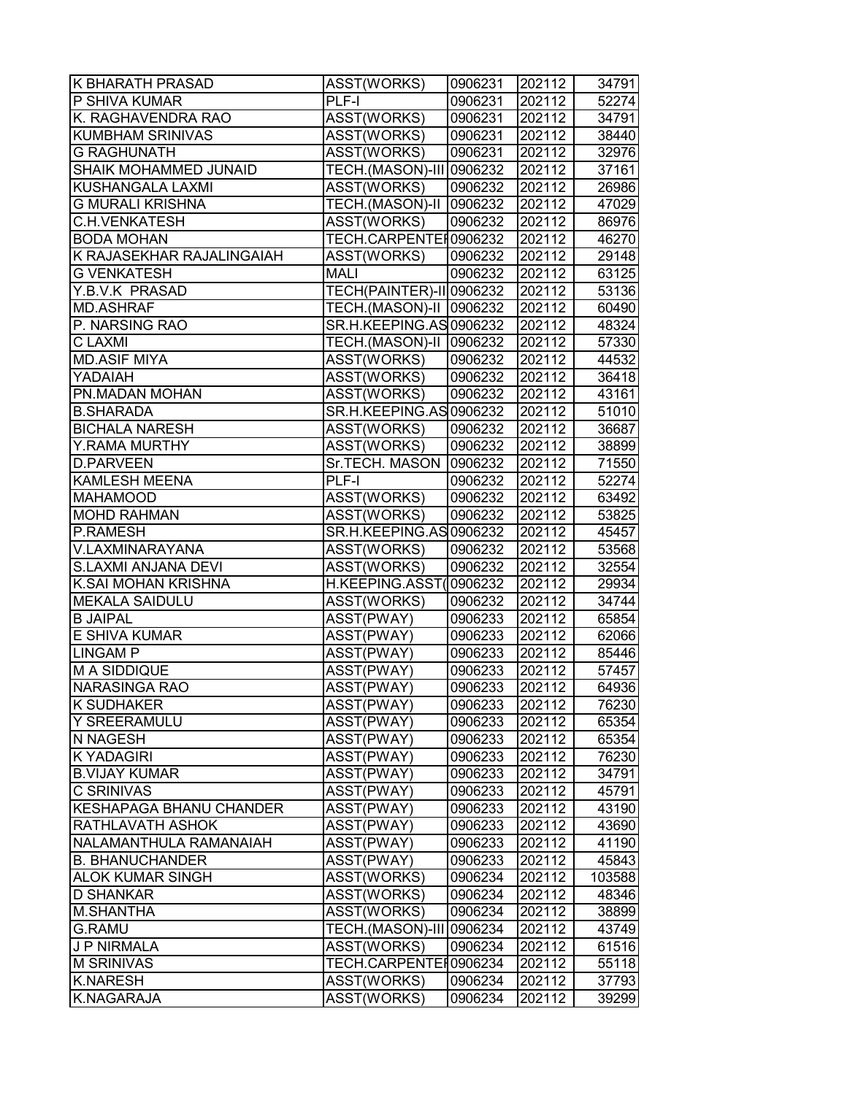| <b>K BHARATH PRASAD</b>        | <b>ASST(WORKS)</b>        | 0906231 | 202112 | 34791  |
|--------------------------------|---------------------------|---------|--------|--------|
| P SHIVA KUMAR                  | PLF-I                     | 0906231 | 202112 | 52274  |
| K. RAGHAVENDRA RAO             | ASST(WORKS)               | 0906231 | 202112 | 34791  |
| <b>KUMBHAM SRINIVAS</b>        | ASST(WORKS)               | 0906231 | 202112 | 38440  |
| <b>G RAGHUNATH</b>             | ASST(WORKS)               | 0906231 | 202112 | 32976  |
| <b>SHAIK MOHAMMED JUNAID</b>   | TECH.(MASON)-III 0906232  |         | 202112 | 37161  |
| <b>KUSHANGALA LAXMI</b>        | ASST(WORKS)               | 0906232 | 202112 | 26986  |
| <b>G MURALI KRISHNA</b>        | TECH.(MASON)-II   0906232 |         | 202112 | 47029  |
| <b>C.H.VENKATESH</b>           | ASST(WORKS)               | 0906232 | 202112 | 86976  |
| <b>BODA MOHAN</b>              | TECH.CARPENTEH0906232     |         | 202112 | 46270  |
| K RAJASEKHAR RAJALINGAIAH      | ASST(WORKS)               | 0906232 | 202112 | 29148  |
| <b>G VENKATESH</b>             | <b>MALI</b>               | 0906232 | 202112 | 63125  |
| Y.B.V.K PRASAD                 | TECH(PAINTER)-II 0906232  |         | 202112 | 53136  |
| <b>MD.ASHRAF</b>               | TECH.(MASON)-II   0906232 |         | 202112 | 60490  |
| P. NARSING RAO                 | SR.H.KEEPING.AS 0906232   |         | 202112 | 48324  |
| <b>CLAXMI</b>                  | TECH.(MASON)-II   0906232 |         | 202112 | 57330  |
| <b>MD.ASIF MIYA</b>            | ASST(WORKS)               | 0906232 | 202112 | 44532  |
| YADAIAH                        | ASST(WORKS)               | 0906232 | 202112 | 36418  |
| PN.MADAN MOHAN                 | ASST(WORKS)               | 0906232 | 202112 | 43161  |
| <b>B.SHARADA</b>               | SR.H.KEEPING.AS 0906232   |         | 202112 | 51010  |
| <b>BICHALA NARESH</b>          | ASST(WORKS)               | 0906232 | 202112 | 36687  |
| Y.RAMA MURTHY                  | ASST(WORKS)               | 0906232 | 202112 | 38899  |
| <b>D.PARVEEN</b>               | Sr.TECH. MASON   0906232  |         | 202112 | 71550  |
| <b>KAMLESH MEENA</b>           | $PLF-I$                   | 0906232 | 202112 | 52274  |
| <b>MAHAMOOD</b>                | ASST(WORKS)               | 0906232 | 202112 | 63492  |
| <b>MOHD RAHMAN</b>             | ASST(WORKS)               | 0906232 | 202112 | 53825  |
| P.RAMESH                       | SR.H.KEEPING.AS 0906232   |         | 202112 | 45457  |
| V.LAXMINARAYANA                | ASST(WORKS)               | 0906232 | 202112 | 53568  |
| S.LAXMI ANJANA DEVI            | ASST(WORKS)               | 0906232 | 202112 | 32554  |
| K.SAI MOHAN KRISHNA            | H.KEEPING.ASST(0906232    |         | 202112 | 29934  |
| <b>MEKALA SAIDULU</b>          | ASST(WORKS)               | 0906232 | 202112 | 34744  |
| <b>B JAIPAL</b>                | ASST(PWAY)                | 0906233 | 202112 | 65854  |
| E SHIVA KUMAR                  | ASST(PWAY)                | 0906233 | 202112 | 62066  |
| <b>LINGAM P</b>                | ASST(PWAY)                | 0906233 | 202112 | 85446  |
| M A SIDDIQUE                   | ASST(PWAY)                | 0906233 | 202112 | 57457  |
| <b>NARASINGA RAO</b>           | ASST(PWAY)                | 0906233 | 202112 | 64936  |
| K SUDHAKER                     | ASST(PWAY)                | 0906233 | 202112 | 76230  |
| Y SREERAMULU                   | ASST(PWAY)                | 0906233 | 202112 | 65354  |
| <b>N NAGESH</b>                | ASST(PWAY)                | 0906233 | 202112 | 65354  |
| K YADAGIRI                     | ASST(PWAY)                | 0906233 | 202112 | 76230  |
| <b>B.VIJAY KUMAR</b>           | ASST(PWAY)                | 0906233 | 202112 | 34791  |
| <b>C SRINIVAS</b>              | ASST(PWAY)                | 0906233 | 202112 | 45791  |
| <b>KESHAPAGA BHANU CHANDER</b> | ASST(PWAY)                | 0906233 | 202112 | 43190  |
| <b>RATHLAVATH ASHOK</b>        | ASST(PWAY)                | 0906233 | 202112 | 43690  |
| NALAMANTHULA RAMANAIAH         | ASST(PWAY)                | 0906233 | 202112 | 41190  |
| <b>B. BHANUCHANDER</b>         | ASST(PWAY)                | 0906233 | 202112 | 45843  |
| <b>ALOK KUMAR SINGH</b>        | ASST(WORKS)               | 0906234 | 202112 | 103588 |
| <b>D SHANKAR</b>               | ASST(WORKS)               | 0906234 | 202112 | 48346  |
| <b>M.SHANTHA</b>               | ASST(WORKS)               | 0906234 | 202112 | 38899  |
| <b>G.RAMU</b>                  | TECH.(MASON)-III 0906234  |         | 202112 | 43749  |
| J P NIRMALA                    | ASST(WORKS)               | 0906234 | 202112 | 61516  |
| <b>M SRINIVAS</b>              | TECH.CARPENTEI0906234     |         | 202112 | 55118  |
| <b>K.NARESH</b>                | ASST(WORKS)               | 0906234 | 202112 | 37793  |
| <b>K.NAGARAJA</b>              | ASST(WORKS)               | 0906234 | 202112 | 39299  |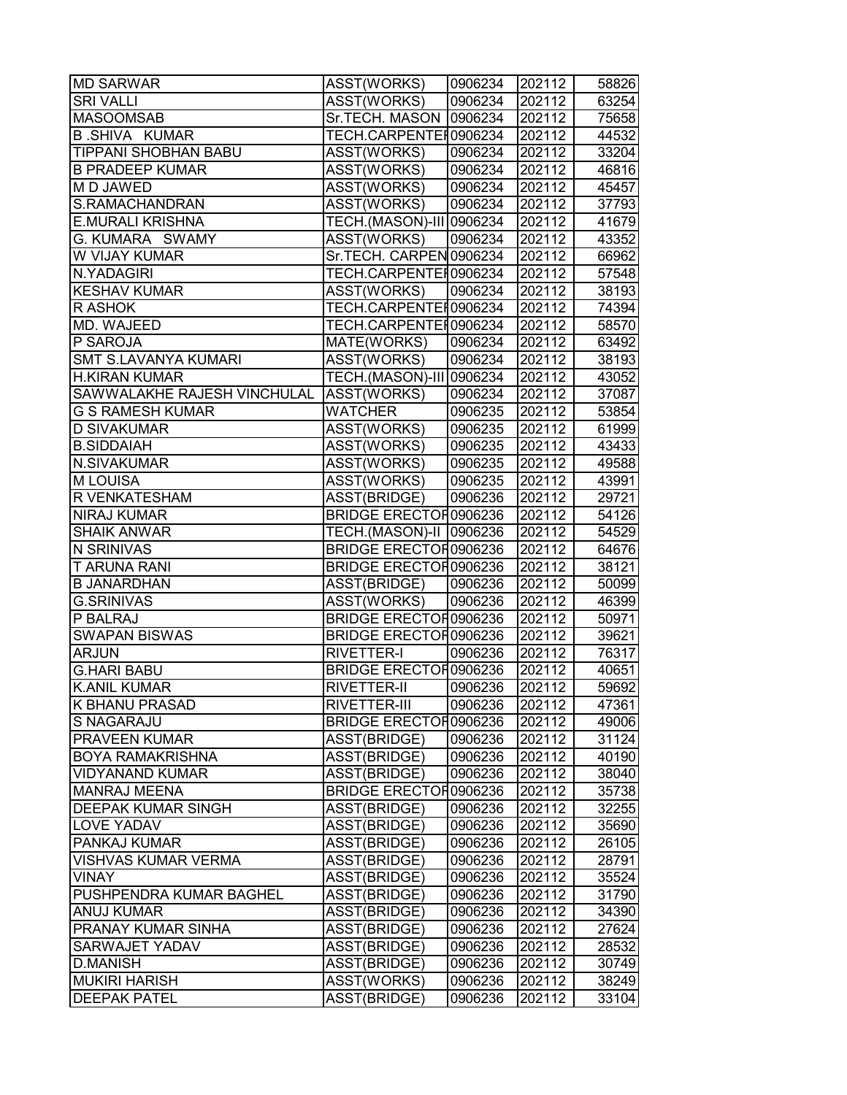| <b>MD SARWAR</b>                        | ASST(WORKS)                  | 0906234 | 202112 | 58826 |
|-----------------------------------------|------------------------------|---------|--------|-------|
| <b>SRI VALLI</b>                        | ASST(WORKS)                  | 0906234 | 202112 | 63254 |
| <b>MASOOMSAB</b>                        | Sr.TECH. MASON   0906234     |         | 202112 | 75658 |
| <b>B.SHIVA KUMAR</b>                    | TECH.CARPENTEI 0906234       |         | 202112 | 44532 |
| TIPPANI SHOBHAN BABU                    | ASST(WORKS)                  | 0906234 | 202112 | 33204 |
| <b>B PRADEEP KUMAR</b>                  | ASST(WORKS)                  | 0906234 | 202112 | 46816 |
| M D JAWED                               | ASST(WORKS)                  | 0906234 | 202112 | 45457 |
| S.RAMACHANDRAN                          | ASST(WORKS)                  | 0906234 | 202112 | 37793 |
| <b>E.MURALI KRISHNA</b>                 | TECH.(MASON)-III 0906234     |         | 202112 | 41679 |
| G. KUMARA SWAMY                         | ASST(WORKS)                  | 0906234 | 202112 | 43352 |
| W VIJAY KUMAR                           | Sr.TECH. CARPEN 0906234      |         | 202112 | 66962 |
| N.YADAGIRI                              | TECH.CARPENTER0906234        |         | 202112 | 57548 |
| <b>KESHAV KUMAR</b>                     | ASST(WORKS)                  | 0906234 | 202112 | 38193 |
| R ASHOK                                 | TECH.CARPENTEI0906234        |         | 202112 | 74394 |
| MD. WAJEED                              | TECH.CARPENTEI0906234        |         | 202112 | 58570 |
| P SAROJA                                | MATE(WORKS)                  | 0906234 | 202112 | 63492 |
| <b>SMT S.LAVANYA KUMARI</b>             | ASST(WORKS)                  | 0906234 | 202112 | 38193 |
| <b>H.KIRAN KUMAR</b>                    | TECH.(MASON)-III 0906234     |         | 202112 | 43052 |
| SAWWALAKHE RAJESH VINCHULAL ASST(WORKS) |                              | 0906234 | 202112 | 37087 |
| <b>G S RAMESH KUMAR</b>                 | <b>WATCHER</b>               | 0906235 | 202112 | 53854 |
| <b>D SIVAKUMAR</b>                      | ASST(WORKS)                  | 0906235 | 202112 | 61999 |
| <b>B.SIDDAIAH</b>                       | ASST(WORKS)                  | 0906235 | 202112 | 43433 |
| N.SIVAKUMAR                             | ASST(WORKS)                  | 0906235 | 202112 | 49588 |
| <b>MLOUISA</b>                          | ASST(WORKS)                  | 0906235 | 202112 | 43991 |
| R VENKATESHAM                           | ASST(BRIDGE)                 | 0906236 | 202112 | 29721 |
| <b>NIRAJ KUMAR</b>                      | <b>BRIDGE ERECTOR0906236</b> |         | 202112 | 54126 |
| <b>SHAIK ANWAR</b>                      | TECH.(MASON)-II   0906236    |         | 202112 | 54529 |
| N SRINIVAS                              | <b>BRIDGE ERECTOR0906236</b> |         | 202112 | 64676 |
| <b>T ARUNA RANI</b>                     | <b>BRIDGE ERECTOR0906236</b> |         | 202112 | 38121 |
| <b>B JANARDHAN</b>                      | ASST(BRIDGE)                 | 0906236 | 202112 | 50099 |
| <b>G.SRINIVAS</b>                       | ASST(WORKS)                  | 0906236 | 202112 | 46399 |
| P BALRAJ                                | BRIDGE ERECTOR0906236        |         | 202112 | 50971 |
| <b>SWAPAN BISWAS</b>                    | <b>BRIDGE ERECTOR0906236</b> |         | 202112 | 39621 |
| <b>ARJUN</b>                            | RIVETTER-I                   | 0906236 | 202112 | 76317 |
| <b>G.HARI BABU</b>                      | <b>BRIDGE ERECTOR0906236</b> |         | 202112 | 40651 |
| <b>K.ANIL KUMAR</b>                     | RIVETTER-II                  | 0906236 | 202112 | 59692 |
| K BHANU PRASAD                          | RIVETTER-III                 | 0906236 | 202112 | 47361 |
| S NAGARAJU                              | <b>BRIDGE ERECTOR0906236</b> |         | 202112 | 49006 |
| <b>PRAVEEN KUMAR</b>                    | ASST(BRIDGE)                 | 0906236 | 202112 | 31124 |
| <b>BOYA RAMAKRISHNA</b>                 | ASST(BRIDGE)                 | 0906236 | 202112 | 40190 |
| VIDYANAND KUMAR                         | ASST(BRIDGE)                 | 0906236 | 202112 | 38040 |
| <b>MANRAJ MEENA</b>                     | <b>BRIDGE ERECTOR0906236</b> |         | 202112 | 35738 |
| <b>DEEPAK KUMAR SINGH</b>               | ASST(BRIDGE)                 | 0906236 | 202112 | 32255 |
| LOVE YADAV                              | ASST(BRIDGE)                 | 0906236 | 202112 | 35690 |
| PANKAJ KUMAR                            | ASST(BRIDGE)                 | 0906236 | 202112 | 26105 |
| <b>VISHVAS KUMAR VERMA</b>              | ASST(BRIDGE)                 | 0906236 | 202112 | 28791 |
| VINAY                                   | ASST(BRIDGE)                 | 0906236 | 202112 | 35524 |
| PUSHPENDRA KUMAR BAGHEL                 | ASST(BRIDGE)                 | 0906236 | 202112 | 31790 |
| <b>ANUJ KUMAR</b>                       | ASST(BRIDGE)                 | 0906236 | 202112 | 34390 |
| PRANAY KUMAR SINHA                      | ASST(BRIDGE)                 | 0906236 | 202112 | 27624 |
| SARWAJET YADAV                          | ASST(BRIDGE)                 | 0906236 | 202112 | 28532 |
| <b>D.MANISH</b>                         | ASST(BRIDGE)                 | 0906236 | 202112 | 30749 |
| <b>MUKIRI HARISH</b>                    | ASST(WORKS)                  | 0906236 | 202112 | 38249 |
| <b>DEEPAK PATEL</b>                     | ASST(BRIDGE)                 | 0906236 | 202112 | 33104 |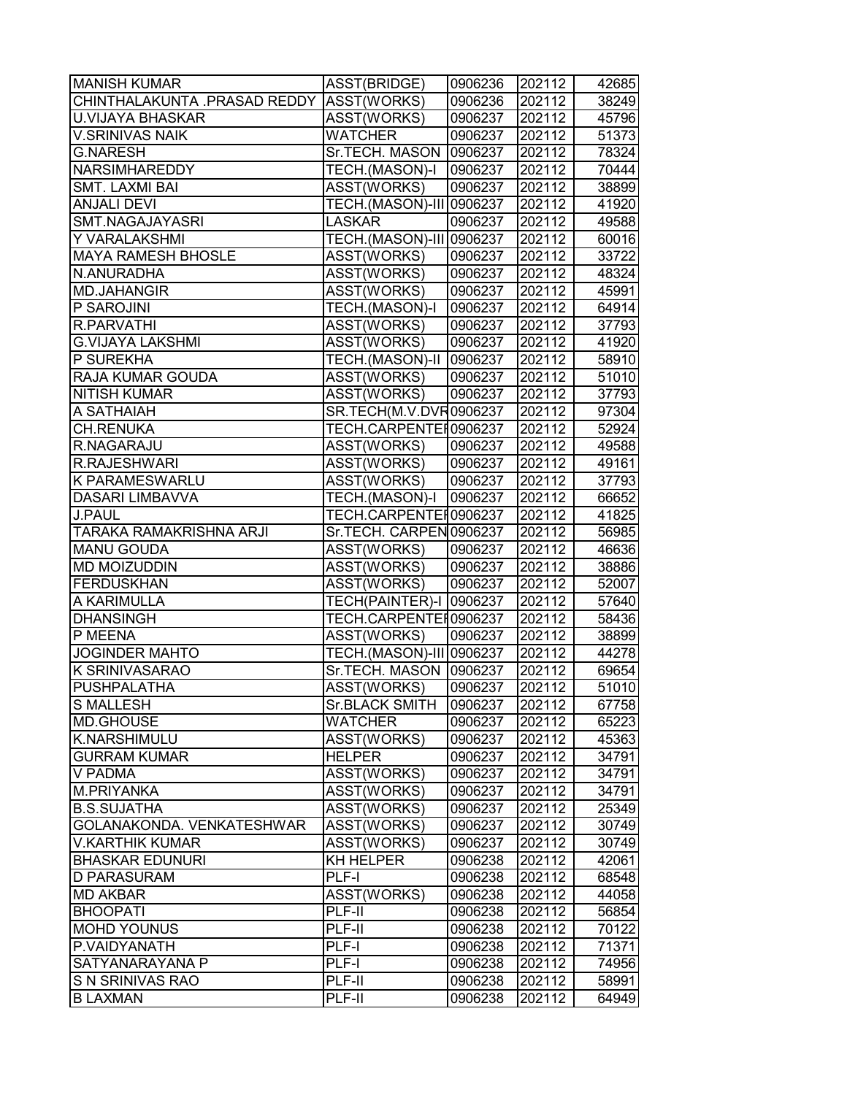| <b>MANISH KUMAR</b>                       | ASST(BRIDGE)             | 0906236 | 202112 | 42685 |
|-------------------------------------------|--------------------------|---------|--------|-------|
| CHINTHALAKUNTA .PRASAD REDDY  ASST(WORKS) |                          | 0906236 | 202112 | 38249 |
| U.VIJAYA BHASKAR                          | ASST(WORKS)              | 0906237 | 202112 | 45796 |
| <b>V.SRINIVAS NAIK</b>                    | WATCHER                  | 0906237 | 202112 | 51373 |
| <b>G.NARESH</b>                           | Sr.TECH. MASON 0906237   |         | 202112 | 78324 |
| <b>NARSIMHAREDDY</b>                      | TECH.(MASON)-I           | 0906237 | 202112 | 70444 |
| <b>SMT. LAXMI BAI</b>                     | ASST(WORKS)              | 0906237 | 202112 | 38899 |
| <b>ANJALI DEVI</b>                        | TECH.(MASON)-III 0906237 |         | 202112 | 41920 |
| SMT.NAGAJAYASRI                           | LASKAR                   | 0906237 | 202112 | 49588 |
| Y VARALAKSHMI                             | TECH.(MASON)-III 0906237 |         | 202112 | 60016 |
| <b>MAYA RAMESH BHOSLE</b>                 | ASST(WORKS)              | 0906237 | 202112 | 33722 |
| N.ANURADHA                                | ASST(WORKS)              | 0906237 | 202112 | 48324 |
| <b>MD.JAHANGIR</b>                        | ASST(WORKS)              | 0906237 | 202112 | 45991 |
| P SAROJINI                                | TECH.(MASON)-I           | 0906237 | 202112 | 64914 |
| <b>R.PARVATHI</b>                         | ASST(WORKS)              | 0906237 | 202112 | 37793 |
| <b>G.VIJAYA LAKSHMI</b>                   | ASST(WORKS)              | 0906237 | 202112 | 41920 |
| P SUREKHA                                 | TECH.(MASON)-II          | 0906237 | 202112 | 58910 |
| RAJA KUMAR GOUDA                          | ASST(WORKS)              | 0906237 | 202112 | 51010 |
| <b>NITISH KUMAR</b>                       | ASST(WORKS)              | 0906237 | 202112 | 37793 |
| A SATHAIAH                                | SR.TECH(M.V.DVR0906237   |         | 202112 | 97304 |
| <b>CH.RENUKA</b>                          | TECH.CARPENTEI0906237    |         | 202112 | 52924 |
| R.NAGARAJU                                | ASST(WORKS)              | 0906237 | 202112 | 49588 |
| R.RAJESHWARI                              | ASST(WORKS)              | 0906237 | 202112 | 49161 |
| K PARAMESWARLU                            | ASST(WORKS)              | 0906237 | 202112 | 37793 |
| DASARI LIMBAVVA                           | TECH.(MASON)-I           | 0906237 | 202112 | 66652 |
| <b>J.PAUL</b>                             | TECH.CARPENTEI0906237    |         | 202112 | 41825 |
| TARAKA RAMAKRISHNA ARJI                   | Sr.TECH. CARPEN 0906237  |         | 202112 | 56985 |
| <b>MANU GOUDA</b>                         | ASST(WORKS)              | 0906237 | 202112 | 46636 |
| <b>MD MOIZUDDIN</b>                       | ASST(WORKS)              | 0906237 | 202112 | 38886 |
| <b>FERDUSKHAN</b>                         | ASST(WORKS)              | 0906237 | 202112 | 52007 |
| A KARIMULLA                               | TECH(PAINTER)-I 0906237  |         | 202112 | 57640 |
| <b>DHANSINGH</b>                          | TECH.CARPENTER0906237    |         | 202112 | 58436 |
| P MEENA                                   | ASST(WORKS)              | 0906237 | 202112 | 38899 |
| <b>JOGINDER MAHTO</b>                     | TECH.(MASON)-III 0906237 |         | 202112 | 44278 |
| K SRINIVASARAO                            | Sr.TECH. MASON   0906237 |         | 202112 | 69654 |
| <b>PUSHPALATHA</b>                        | <b>ASST(WORKS)</b>       | 0906237 | 202112 | 51010 |
| <b>S MALLESH</b>                          | <b>Sr.BLACK SMITH</b>    | 0906237 | 202112 | 67758 |
| <b>MD.GHOUSE</b>                          | WATCHER                  | 0906237 | 202112 | 65223 |
| K.NARSHIMULU                              | ASST(WORKS)              | 0906237 | 202112 | 45363 |
| <b>GURRAM KUMAR</b>                       | <b>HELPER</b>            | 0906237 | 202112 | 34791 |
| V PADMA                                   | ASST(WORKS)              | 0906237 | 202112 | 34791 |
| M.PRIYANKA                                | ASST(WORKS)              | 0906237 | 202112 | 34791 |
| <b>B.S.SUJATHA</b>                        | ASST(WORKS)              | 0906237 | 202112 | 25349 |
| GOLANAKONDA. VENKATESHWAR                 | ASST(WORKS)              | 0906237 | 202112 | 30749 |
| V.KARTHIK KUMAR                           | ASST(WORKS)              | 0906237 | 202112 | 30749 |
| <b>BHASKAR EDUNURI</b>                    | KH HELPER                | 0906238 | 202112 | 42061 |
| <b>D PARASURAM</b>                        | PLF-I                    | 0906238 | 202112 | 68548 |
| <b>MD AKBAR</b>                           | ASST(WORKS)              | 0906238 | 202112 | 44058 |
| <b>BHOOPATI</b>                           | PLF-II                   | 0906238 | 202112 | 56854 |
| <b>MOHD YOUNUS</b>                        | PLF-II                   | 0906238 | 202112 | 70122 |
| P.VAIDYANATH                              | PLF-I                    | 0906238 | 202112 | 71371 |
| SATYANARAYANA P                           | PLF-I                    | 0906238 | 202112 | 74956 |
| S N SRINIVAS RAO                          | PLF-II                   | 0906238 | 202112 | 58991 |
| <b>B LAXMAN</b>                           | PLF-II                   | 0906238 | 202112 | 64949 |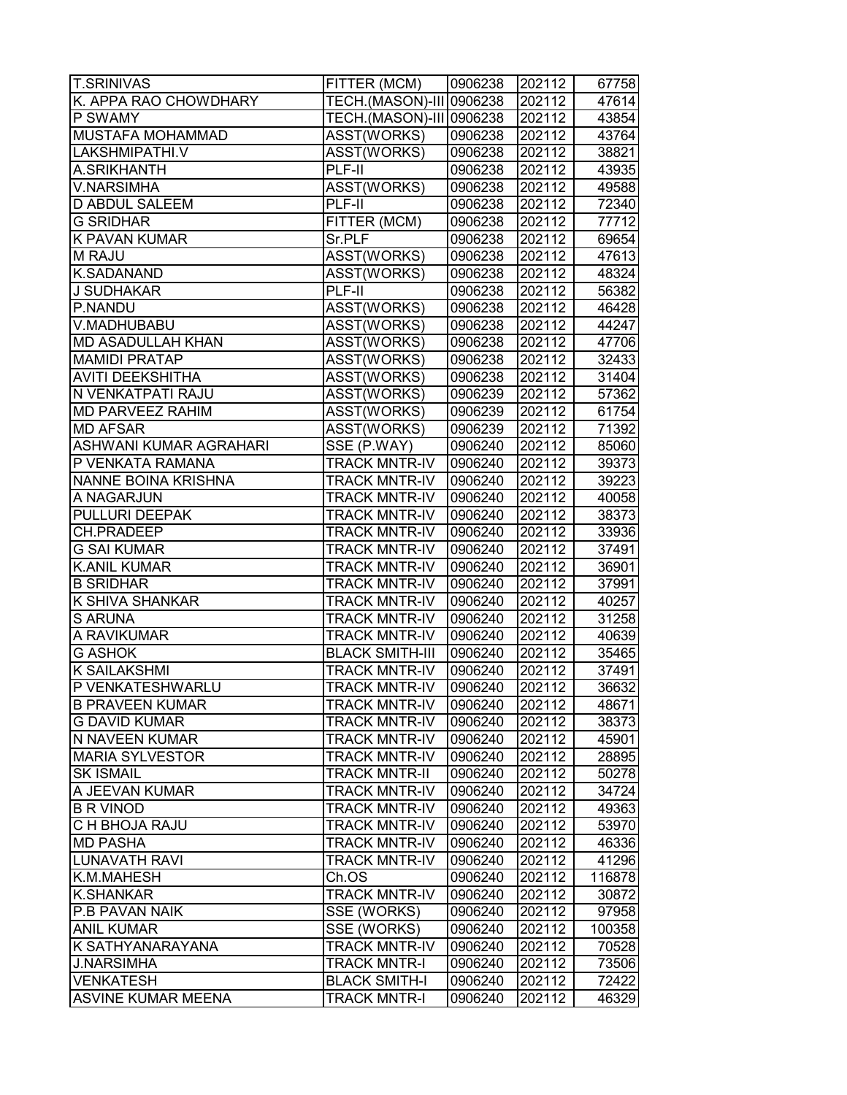| <b>T.SRINIVAS</b>          | FITTER (MCM)             | 0906238 | 202112 | 67758  |
|----------------------------|--------------------------|---------|--------|--------|
| K. APPA RAO CHOWDHARY      | TECH.(MASON)-III 0906238 |         | 202112 | 47614  |
| P SWAMY                    | TECH.(MASON)-III 0906238 |         | 202112 | 43854  |
| <b>MUSTAFA MOHAMMAD</b>    | ASST(WORKS)              | 0906238 | 202112 | 43764  |
| LAKSHMIPATHI.V             | ASST(WORKS)              | 0906238 | 202112 | 38821  |
| A.SRIKHANTH                | $PLF-II$                 | 0906238 | 202112 | 43935  |
| V.NARSIMHA                 | ASST(WORKS)              | 0906238 | 202112 | 49588  |
| <b>D ABDUL SALEEM</b>      | PLF-II                   | 0906238 | 202112 | 72340  |
| <b>G SRIDHAR</b>           | FITTER (MCM)             | 0906238 | 202112 | 77712  |
| <b>K PAVAN KUMAR</b>       | Sr.PLF                   | 0906238 | 202112 | 69654  |
| <b>M RAJU</b>              | ASST(WORKS)              | 0906238 | 202112 | 47613  |
| <b>K.SADANAND</b>          | ASST(WORKS)              | 0906238 | 202112 | 48324  |
| J SUDHAKAR                 | PLF-II                   | 0906238 | 202112 | 56382  |
| P.NANDU                    | ASST(WORKS)              | 0906238 | 202112 | 46428  |
| V.MADHUBABU                | ASST(WORKS)              | 0906238 | 202112 | 44247  |
| <b>MD ASADULLAH KHAN</b>   | ASST(WORKS)              | 0906238 | 202112 | 47706  |
| <b>MAMIDI PRATAP</b>       | ASST(WORKS)              | 0906238 | 202112 | 32433  |
| <b>AVITI DEEKSHITHA</b>    | ASST(WORKS)              | 0906238 | 202112 | 31404  |
| N VENKATPATI RAJU          | ASST(WORKS)              | 0906239 | 202112 | 57362  |
| <b>MD PARVEEZ RAHIM</b>    | ASST(WORKS)              | 0906239 | 202112 | 61754  |
| <b>MD AFSAR</b>            | ASST(WORKS)              | 0906239 | 202112 | 71392  |
| ASHWANI KUMAR AGRAHARI     | $SSE$ (P.WAY)            | 0906240 | 202112 | 85060  |
| P VENKATA RAMANA           | <b>TRACK MNTR-IV</b>     | 0906240 | 202112 | 39373  |
| <b>NANNE BOINA KRISHNA</b> | <b>TRACK MNTR-IV</b>     | 0906240 | 202112 | 39223  |
| A NAGARJUN                 | <b>TRACK MNTR-IV</b>     | 0906240 | 202112 | 40058  |
| PULLURI DEEPAK             | <b>TRACK MNTR-IV</b>     | 0906240 | 202112 | 38373  |
| CH.PRADEEP                 | <b>TRACK MNTR-IV</b>     | 0906240 | 202112 | 33936  |
| <b>G SAI KUMAR</b>         | <b>TRACK MNTR-IV</b>     | 0906240 | 202112 | 37491  |
| <b>K.ANIL KUMAR</b>        | <b>TRACK MNTR-IV</b>     | 0906240 | 202112 | 36901  |
| <b>B SRIDHAR</b>           | <b>TRACK MNTR-IV</b>     | 0906240 | 202112 | 37991  |
| <b>K SHIVA SHANKAR</b>     | <b>TRACK MNTR-IV</b>     | 0906240 | 202112 | 40257  |
| <b>S ARUNA</b>             | <b>TRACK MNTR-IV</b>     | 0906240 | 202112 | 31258  |
| A RAVIKUMAR                | <b>TRACK MNTR-IV</b>     | 0906240 | 202112 | 40639  |
| <b>G ASHOK</b>             | <b>BLACK SMITH-III</b>   | 0906240 | 202112 | 35465  |
| <b>K SAILAKSHMI</b>        | <b>TRACK MNTR-IV</b>     | 0906240 | 202112 | 37491  |
| P VENKATESHWARLU           | <b>TRACK MNTR-IV</b>     | 0906240 | 202112 | 36632  |
| <b>B PRAVEEN KUMAR</b>     | <b>TRACK MNTR-IV</b>     | 0906240 | 202112 | 48671  |
| <b>G DAVID KUMAR</b>       | <b>TRACK MNTR-IV</b>     | 0906240 | 202112 | 38373  |
| N NAVEEN KUMAR             | <b>TRACK MNTR-IV</b>     | 0906240 | 202112 | 45901  |
| <b>MARIA SYLVESTOR</b>     | <b>TRACK MNTR-IV</b>     | 0906240 | 202112 | 28895  |
| <b>SK ISMAIL</b>           | <b>TRACK MNTR-II</b>     | 0906240 | 202112 | 50278  |
| A JEEVAN KUMAR             | <b>TRACK MNTR-IV</b>     | 0906240 | 202112 | 34724  |
| <b>B R VINOD</b>           | <b>TRACK MNTR-IV</b>     | 0906240 | 202112 | 49363  |
| <b>C H BHOJA RAJU</b>      | <b>TRACK MNTR-IV</b>     | 0906240 | 202112 | 53970  |
| <b>MD PASHA</b>            | <b>TRACK MNTR-IV</b>     | 0906240 | 202112 | 46336  |
| <b>LUNAVATH RAVI</b>       | <b>TRACK MNTR-IV</b>     | 0906240 | 202112 | 41296  |
| K.M.MAHESH                 | Ch.OS                    | 0906240 | 202112 | 116878 |
| <b>K.SHANKAR</b>           | <b>TRACK MNTR-IV</b>     | 0906240 | 202112 | 30872  |
| <b>P.B PAVAN NAIK</b>      | SSE (WORKS)              | 0906240 | 202112 | 97958  |
| <b>ANIL KUMAR</b>          | SSE (WORKS)              | 0906240 | 202112 | 100358 |
| K SATHYANARAYANA           | <b>TRACK MNTR-IV</b>     | 0906240 | 202112 | 70528  |
| <b>J.NARSIMHA</b>          | <b>TRACK MNTR-I</b>      | 0906240 | 202112 | 73506  |
| <b>VENKATESH</b>           | <b>BLACK SMITH-I</b>     | 0906240 | 202112 | 72422  |
| <b>ASVINE KUMAR MEENA</b>  | TRACK MNTR-I             | 0906240 | 202112 | 46329  |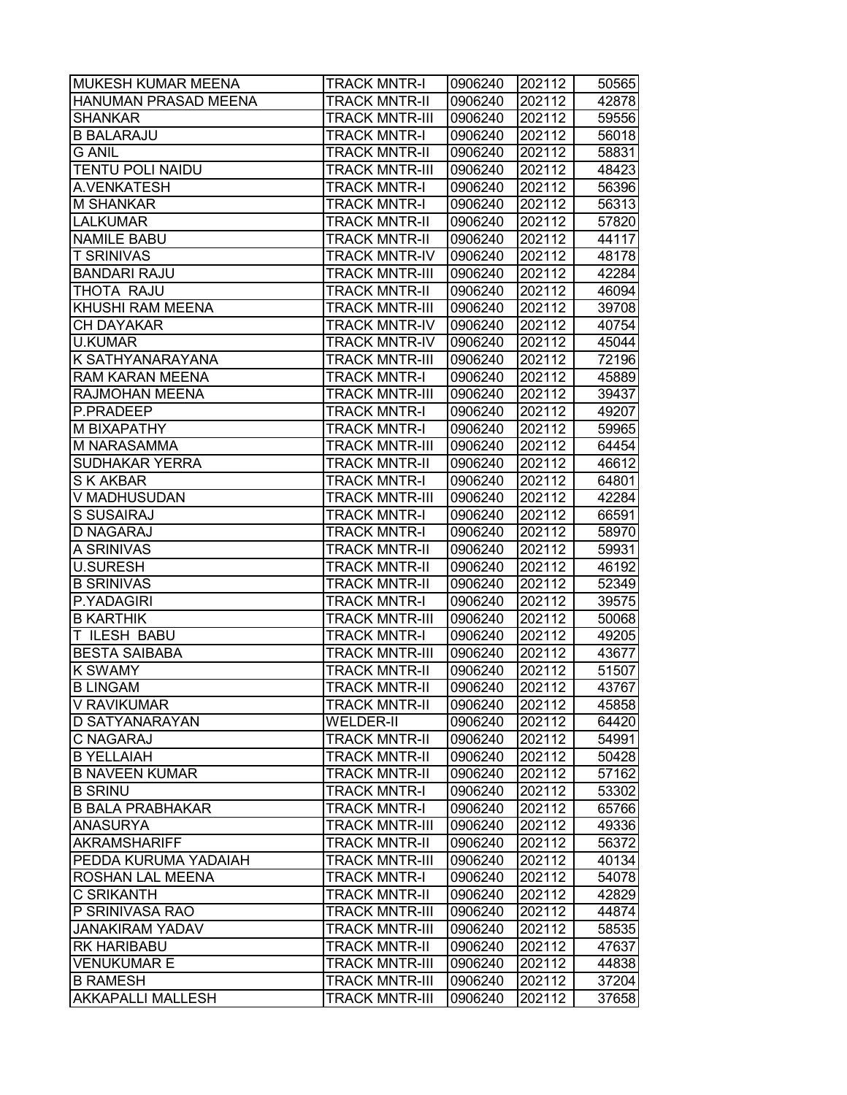| <b>MUKESH KUMAR MEENA</b>   | <b>TRACK MNTR-I</b>   | 0906240 | 202112 | 50565 |
|-----------------------------|-----------------------|---------|--------|-------|
| <b>HANUMAN PRASAD MEENA</b> | <b>TRACK MNTR-II</b>  | 0906240 | 202112 | 42878 |
| <b>SHANKAR</b>              | <b>TRACK MNTR-III</b> | 0906240 | 202112 | 59556 |
| <b>B BALARAJU</b>           | <b>TRACK MNTR-I</b>   | 0906240 | 202112 | 56018 |
| <b>G ANIL</b>               | <b>TRACK MNTR-II</b>  | 0906240 | 202112 | 58831 |
| <b>TENTU POLI NAIDU</b>     | <b>TRACK MNTR-III</b> | 0906240 | 202112 | 48423 |
| A.VENKATESH                 | <b>TRACK MNTR-I</b>   | 0906240 | 202112 | 56396 |
| M SHANKAR                   | <b>TRACK MNTR-I</b>   | 0906240 | 202112 | 56313 |
| <b>LALKUMAR</b>             | <b>TRACK MNTR-II</b>  | 0906240 | 202112 | 57820 |
| <b>NAMILE BABU</b>          | <b>TRACK MNTR-II</b>  | 0906240 | 202112 | 44117 |
| <b>T SRINIVAS</b>           | <b>TRACK MNTR-IV</b>  | 0906240 | 202112 | 48178 |
| <b>BANDARI RAJU</b>         | <b>TRACK MNTR-III</b> | 0906240 | 202112 | 42284 |
| THOTA RAJU                  | <b>TRACK MNTR-II</b>  | 0906240 | 202112 | 46094 |
| KHUSHI RAM MEENA            | <b>TRACK MNTR-III</b> | 0906240 | 202112 | 39708 |
| <b>CH DAYAKAR</b>           | <b>TRACK MNTR-IV</b>  | 0906240 | 202112 | 40754 |
| U.KUMAR                     | <b>TRACK MNTR-IV</b>  | 0906240 | 202112 | 45044 |
| K SATHYANARAYANA            | <b>TRACK MNTR-III</b> | 0906240 | 202112 | 72196 |
| <b>RAM KARAN MEENA</b>      | <b>TRACK MNTR-I</b>   | 0906240 | 202112 | 45889 |
| <b>RAJMOHAN MEENA</b>       | <b>TRACK MNTR-III</b> | 0906240 | 202112 | 39437 |
| P.PRADEEP                   | <b>TRACK MNTR-I</b>   | 0906240 | 202112 | 49207 |
| <b>M BIXAPATHY</b>          | <b>TRACK MNTR-I</b>   | 0906240 | 202112 | 59965 |
| M NARASAMMA                 | <b>TRACK MNTR-III</b> | 0906240 | 202112 | 64454 |
| <b>SUDHAKAR YERRA</b>       | <b>TRACK MNTR-II</b>  | 0906240 | 202112 | 46612 |
| <b>S K AKBAR</b>            | <b>TRACK MNTR-I</b>   | 0906240 | 202112 | 64801 |
| V MADHUSUDAN                | <b>TRACK MNTR-III</b> | 0906240 | 202112 | 42284 |
| S SUSAIRAJ                  | <b>TRACK MNTR-I</b>   | 0906240 | 202112 | 66591 |
| <b>D NAGARAJ</b>            | <b>TRACK MNTR-I</b>   | 0906240 | 202112 | 58970 |
| A SRINIVAS                  | <b>TRACK MNTR-II</b>  | 0906240 | 202112 | 59931 |
| <b>U.SURESH</b>             | <b>TRACK MNTR-II</b>  | 0906240 | 202112 | 46192 |
| <b>B SRINIVAS</b>           | <b>TRACK MNTR-II</b>  | 0906240 | 202112 | 52349 |
| P.YADAGIRI                  | <b>TRACK MNTR-I</b>   | 0906240 | 202112 | 39575 |
| <b>B KARTHIK</b>            | <b>TRACK MNTR-III</b> | 0906240 | 202112 | 50068 |
| <b>T ILESH BABU</b>         | <b>TRACK MNTR-I</b>   | 0906240 | 202112 | 49205 |
| <b>BESTA SAIBABA</b>        | <b>TRACK MNTR-III</b> | 0906240 | 202112 | 43677 |
| <b>K SWAMY</b>              | <b>TRACK MNTR-II</b>  | 0906240 | 202112 | 51507 |
| <b>B LINGAM</b>             | <b>TRACK MNTR-II</b>  | 0906240 | 202112 | 43767 |
| V RAVIKUMAR                 | <b>TRACK MNTR-II</b>  | 0906240 | 202112 | 45858 |
| <b>D SATYANARAYAN</b>       | <b>WELDER-II</b>      | 0906240 | 202112 | 64420 |
| <b>C NAGARAJ</b>            | <b>TRACK MNTR-II</b>  | 0906240 | 202112 | 54991 |
| <b>B YELLAIAH</b>           | <b>TRACK MNTR-II</b>  | 0906240 | 202112 | 50428 |
| <b>B NAVEEN KUMAR</b>       | <b>TRACK MNTR-II</b>  | 0906240 | 202112 | 57162 |
| <b>B SRINU</b>              | <b>TRACK MNTR-I</b>   | 0906240 | 202112 | 53302 |
| <b>B BALA PRABHAKAR</b>     | <b>TRACK MNTR-I</b>   | 0906240 | 202112 | 65766 |
| <b>ANASURYA</b>             | <b>TRACK MNTR-III</b> | 0906240 | 202112 | 49336 |
| <b>AKRAMSHARIFF</b>         | <b>TRACK MNTR-II</b>  | 0906240 | 202112 | 56372 |
| PEDDA KURUMA YADAIAH        | <b>TRACK MNTR-III</b> | 0906240 | 202112 | 40134 |
| <b>ROSHAN LAL MEENA</b>     | <b>TRACK MNTR-I</b>   | 0906240 | 202112 | 54078 |
| <b>C SRIKANTH</b>           | <b>TRACK MNTR-II</b>  | 0906240 | 202112 | 42829 |
| P SRINIVASA RAO             | <b>TRACK MNTR-III</b> | 0906240 | 202112 | 44874 |
| <b>JANAKIRAM YADAV</b>      | <b>TRACK MNTR-III</b> | 0906240 | 202112 | 58535 |
| <b>RK HARIBABU</b>          | <b>TRACK MNTR-II</b>  | 0906240 | 202112 | 47637 |
| <b>VENUKUMAR E</b>          | <b>TRACK MNTR-III</b> | 0906240 | 202112 | 44838 |
| <b>B RAMESH</b>             | <b>TRACK MNTR-III</b> | 0906240 | 202112 | 37204 |
| <b>AKKAPALLI MALLESH</b>    | <b>TRACK MNTR-III</b> | 0906240 | 202112 | 37658 |
|                             |                       |         |        |       |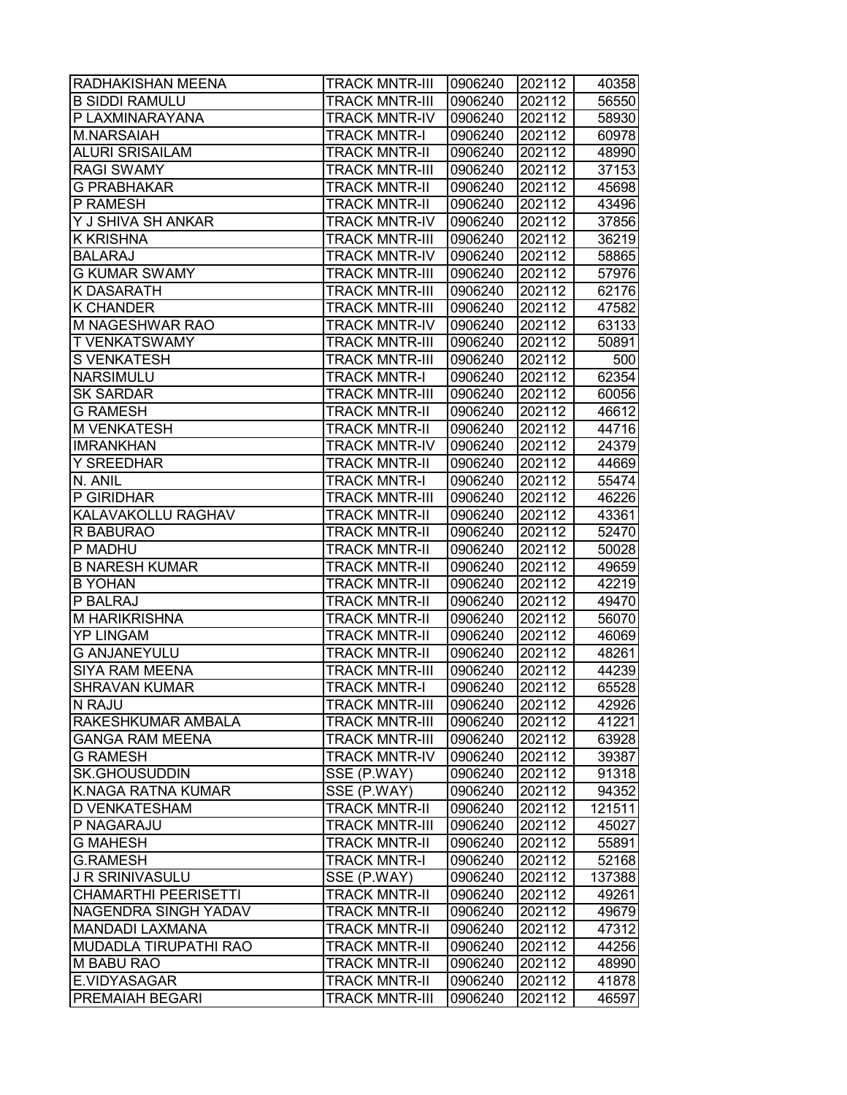| <b>B SIDDI RAMULU</b><br>TRACK MNTR-III<br>0906240<br>202112<br>P LAXMINARAYANA<br><b>TRACK MNTR-IV</b><br>0906240<br>202112<br><b>M.NARSAIAH</b><br><b>TRACK MNTR-I</b><br>0906240<br>202112<br><b>ALURI SRISAILAM</b><br>202112<br><b>TRACK MNTR-II</b><br>0906240<br><b>RAGI SWAMY</b><br><b>TRACK MNTR-III</b><br>0906240<br>202112<br>202112<br><b>G PRABHAKAR</b><br><b>TRACK MNTR-II</b><br>0906240<br>202112<br>P RAMESH<br><b>TRACK MNTR-II</b><br>0906240<br>Y J SHIVA SH ANKAR<br><b>TRACK MNTR-IV</b><br>0906240<br>202112<br>202112<br><b>K KRISHNA</b><br><b>TRACK MNTR-III</b><br>0906240<br><b>BALARAJ</b><br><b>TRACK MNTR-IV</b><br>0906240<br>202112<br><b>G KUMAR SWAMY</b><br><b>TRACK MNTR-III</b><br>202112<br>0906240<br><b>K DASARATH</b><br><b>TRACK MNTR-III</b><br>0906240<br>202112<br><b>K CHANDER</b><br><b>TRACK MNTR-III</b><br>0906240<br>202112<br>M NAGESHWAR RAO<br><b>TRACK MNTR-IV</b><br>0906240<br>202112<br><b>T VENKATSWAMY</b><br><b>TRACK MNTR-III</b><br>0906240<br>202112<br><b>S VENKATESH</b><br><b>TRACK MNTR-III</b><br>0906240<br>202112<br>202112<br><b>NARSIMULU</b><br><b>TRACK MNTR-I</b><br>0906240<br><b>SK SARDAR</b><br><b>TRACK MNTR-III</b><br>0906240<br>202112<br><b>G RAMESH</b><br><b>TRACK MNTR-II</b><br>0906240<br>202112<br><b>M VENKATESH</b><br><b>TRACK MNTR-II</b><br>202112<br>0906240<br><b>IMRANKHAN</b><br><b>TRACK MNTR-IV</b><br>202112<br>0906240<br><b>Y SREEDHAR</b><br><b>TRACK MNTR-II</b><br>0906240<br>202112<br>N. ANIL<br><b>TRACK MNTR-I</b><br>202112<br>0906240<br>P GIRIDHAR<br><b>TRACK MNTR-III</b><br>0906240<br>202112<br>KALAVAKOLLU RAGHAV<br><b>TRACK MNTR-II</b><br>202112<br>0906240<br>202112<br>R BABURAO<br>TRACK MNTR-II<br>0906240<br>P MADHU<br>TRACK MNTR-II<br>0906240<br>202112<br><b>B NARESH KUMAR</b><br><b>TRACK MNTR-II</b><br>0906240<br>202112<br><b>B</b> YOHAN<br>202112<br><b>TRACK MNTR-II</b><br>0906240<br>P BALRAJ<br><b>TRACK MNTR-II</b><br>0906240<br>202112<br>202112<br><b>M HARIKRISHNA</b><br><b>TRACK MNTR-II</b><br>0906240<br><b>YP LINGAM</b><br>202112<br><b>TRACK MNTR-II</b><br>0906240<br><b>G ANJANEYULU</b><br><b>TRACK MNTR-II</b><br>0906240<br>202112<br>202112<br><b>SIYA RAM MEENA</b><br><b>TRACK MNTR-III</b><br>0906240<br><b>SHRAVAN KUMAR</b><br>202112<br><b>TRACK MNTR-I</b><br>0906240<br>N RAJU<br>0906240<br><b>TRACK MNTR-III</b><br>202112<br>RAKESHKUMAR AMBALA<br><b>TRACK MNTR-III</b><br>0906240<br>202112<br>TRACK MNTR-III<br>0906240<br>202112<br>GANGA RAM MEENA<br><b>G RAMESH</b><br>TRACK MNTR-IV<br>0906240<br>202112<br>SSE (P.WAY)<br><b>SK.GHOUSUDDIN</b><br>0906240<br>202112<br><b>K.NAGA RATNA KUMAR</b><br>SSE (P.WAY)<br>0906240<br>202112<br><b>D VENKATESHAM</b><br>0906240<br>202112<br><b>TRACK MNTR-II</b><br>P NAGARAJU<br>0906240<br>202112<br><b>TRACK MNTR-III</b><br>202112<br><b>G MAHESH</b><br><b>TRACK MNTR-II</b><br>0906240<br><b>G.RAMESH</b><br><b>TRACK MNTR-I</b><br>0906240<br>202112<br>SSE (P.WAY)<br>J R SRINIVASULU<br>0906240<br>202112<br><b>CHAMARTHI PEERISETTI</b><br><b>TRACK MNTR-II</b><br>0906240<br>202112<br>202112<br>NAGENDRA SINGH YADAV<br><b>TRACK MNTR-II</b><br>0906240<br><b>MANDADI LAXMANA</b><br>TRACK MNTR-II<br>0906240<br>202112<br><b>MUDADLA TIRUPATHI RAO</b><br>TRACK MNTR-II<br>0906240<br>202112<br><b>M BABU RAO</b><br>TRACK MNTR-II<br>0906240<br>202112<br>E.VIDYASAGAR<br>TRACK MNTR-II<br>0906240<br>202112<br><b>PREMAIAH BEGARI</b><br>202112<br>TRACK MNTR-III<br>0906240 | RADHAKISHAN MEENA | <b>TRACK MNTR-III</b> | 0906240 | 202112 | 40358 |
|-------------------------------------------------------------------------------------------------------------------------------------------------------------------------------------------------------------------------------------------------------------------------------------------------------------------------------------------------------------------------------------------------------------------------------------------------------------------------------------------------------------------------------------------------------------------------------------------------------------------------------------------------------------------------------------------------------------------------------------------------------------------------------------------------------------------------------------------------------------------------------------------------------------------------------------------------------------------------------------------------------------------------------------------------------------------------------------------------------------------------------------------------------------------------------------------------------------------------------------------------------------------------------------------------------------------------------------------------------------------------------------------------------------------------------------------------------------------------------------------------------------------------------------------------------------------------------------------------------------------------------------------------------------------------------------------------------------------------------------------------------------------------------------------------------------------------------------------------------------------------------------------------------------------------------------------------------------------------------------------------------------------------------------------------------------------------------------------------------------------------------------------------------------------------------------------------------------------------------------------------------------------------------------------------------------------------------------------------------------------------------------------------------------------------------------------------------------------------------------------------------------------------------------------------------------------------------------------------------------------------------------------------------------------------------------------------------------------------------------------------------------------------------------------------------------------------------------------------------------------------------------------------------------------------------------------------------------------------------------------------------------------------------------------------------------------------------------------------------------------------------------------------------------------------------------------------------------------------------------------------------------------------------------------------------------------------------------------------------------------------------------------------------------------------------------------------------------------------------------------------------------------------------|-------------------|-----------------------|---------|--------|-------|
| 58930<br>45698<br>37856<br>36219<br>58865<br>57976<br>62176<br>47582<br>50891<br>62354<br>60056<br>46612<br>44716<br>24379<br>44669<br>55474<br>46226<br>43361<br>52470<br>50028<br>49659<br>46069<br>48261<br>44239<br>41221<br>121511<br>45027<br>55891<br>52168<br>49261<br>47312                                                                                                                                                                                                                                                                                                                                                                                                                                                                                                                                                                                                                                                                                                                                                                                                                                                                                                                                                                                                                                                                                                                                                                                                                                                                                                                                                                                                                                                                                                                                                                                                                                                                                                                                                                                                                                                                                                                                                                                                                                                                                                                                                                                                                                                                                                                                                                                                                                                                                                                                                                                                                                                                                                                                                                                                                                                                                                                                                                                                                                                                                                                                                                                                                                          |                   |                       |         |        | 56550 |
| 60978<br>48990<br>37153<br>43496<br>63133<br>500<br>42219<br>49470<br>56070<br>65528<br>42926<br>63928<br>39387<br>91318<br>94352<br>137388<br>49679<br>44256<br>48990<br>41878<br>46597                                                                                                                                                                                                                                                                                                                                                                                                                                                                                                                                                                                                                                                                                                                                                                                                                                                                                                                                                                                                                                                                                                                                                                                                                                                                                                                                                                                                                                                                                                                                                                                                                                                                                                                                                                                                                                                                                                                                                                                                                                                                                                                                                                                                                                                                                                                                                                                                                                                                                                                                                                                                                                                                                                                                                                                                                                                                                                                                                                                                                                                                                                                                                                                                                                                                                                                                      |                   |                       |         |        |       |
|                                                                                                                                                                                                                                                                                                                                                                                                                                                                                                                                                                                                                                                                                                                                                                                                                                                                                                                                                                                                                                                                                                                                                                                                                                                                                                                                                                                                                                                                                                                                                                                                                                                                                                                                                                                                                                                                                                                                                                                                                                                                                                                                                                                                                                                                                                                                                                                                                                                                                                                                                                                                                                                                                                                                                                                                                                                                                                                                                                                                                                                                                                                                                                                                                                                                                                                                                                                                                                                                                                                               |                   |                       |         |        |       |
|                                                                                                                                                                                                                                                                                                                                                                                                                                                                                                                                                                                                                                                                                                                                                                                                                                                                                                                                                                                                                                                                                                                                                                                                                                                                                                                                                                                                                                                                                                                                                                                                                                                                                                                                                                                                                                                                                                                                                                                                                                                                                                                                                                                                                                                                                                                                                                                                                                                                                                                                                                                                                                                                                                                                                                                                                                                                                                                                                                                                                                                                                                                                                                                                                                                                                                                                                                                                                                                                                                                               |                   |                       |         |        |       |
|                                                                                                                                                                                                                                                                                                                                                                                                                                                                                                                                                                                                                                                                                                                                                                                                                                                                                                                                                                                                                                                                                                                                                                                                                                                                                                                                                                                                                                                                                                                                                                                                                                                                                                                                                                                                                                                                                                                                                                                                                                                                                                                                                                                                                                                                                                                                                                                                                                                                                                                                                                                                                                                                                                                                                                                                                                                                                                                                                                                                                                                                                                                                                                                                                                                                                                                                                                                                                                                                                                                               |                   |                       |         |        |       |
|                                                                                                                                                                                                                                                                                                                                                                                                                                                                                                                                                                                                                                                                                                                                                                                                                                                                                                                                                                                                                                                                                                                                                                                                                                                                                                                                                                                                                                                                                                                                                                                                                                                                                                                                                                                                                                                                                                                                                                                                                                                                                                                                                                                                                                                                                                                                                                                                                                                                                                                                                                                                                                                                                                                                                                                                                                                                                                                                                                                                                                                                                                                                                                                                                                                                                                                                                                                                                                                                                                                               |                   |                       |         |        |       |
|                                                                                                                                                                                                                                                                                                                                                                                                                                                                                                                                                                                                                                                                                                                                                                                                                                                                                                                                                                                                                                                                                                                                                                                                                                                                                                                                                                                                                                                                                                                                                                                                                                                                                                                                                                                                                                                                                                                                                                                                                                                                                                                                                                                                                                                                                                                                                                                                                                                                                                                                                                                                                                                                                                                                                                                                                                                                                                                                                                                                                                                                                                                                                                                                                                                                                                                                                                                                                                                                                                                               |                   |                       |         |        |       |
|                                                                                                                                                                                                                                                                                                                                                                                                                                                                                                                                                                                                                                                                                                                                                                                                                                                                                                                                                                                                                                                                                                                                                                                                                                                                                                                                                                                                                                                                                                                                                                                                                                                                                                                                                                                                                                                                                                                                                                                                                                                                                                                                                                                                                                                                                                                                                                                                                                                                                                                                                                                                                                                                                                                                                                                                                                                                                                                                                                                                                                                                                                                                                                                                                                                                                                                                                                                                                                                                                                                               |                   |                       |         |        |       |
|                                                                                                                                                                                                                                                                                                                                                                                                                                                                                                                                                                                                                                                                                                                                                                                                                                                                                                                                                                                                                                                                                                                                                                                                                                                                                                                                                                                                                                                                                                                                                                                                                                                                                                                                                                                                                                                                                                                                                                                                                                                                                                                                                                                                                                                                                                                                                                                                                                                                                                                                                                                                                                                                                                                                                                                                                                                                                                                                                                                                                                                                                                                                                                                                                                                                                                                                                                                                                                                                                                                               |                   |                       |         |        |       |
|                                                                                                                                                                                                                                                                                                                                                                                                                                                                                                                                                                                                                                                                                                                                                                                                                                                                                                                                                                                                                                                                                                                                                                                                                                                                                                                                                                                                                                                                                                                                                                                                                                                                                                                                                                                                                                                                                                                                                                                                                                                                                                                                                                                                                                                                                                                                                                                                                                                                                                                                                                                                                                                                                                                                                                                                                                                                                                                                                                                                                                                                                                                                                                                                                                                                                                                                                                                                                                                                                                                               |                   |                       |         |        |       |
|                                                                                                                                                                                                                                                                                                                                                                                                                                                                                                                                                                                                                                                                                                                                                                                                                                                                                                                                                                                                                                                                                                                                                                                                                                                                                                                                                                                                                                                                                                                                                                                                                                                                                                                                                                                                                                                                                                                                                                                                                                                                                                                                                                                                                                                                                                                                                                                                                                                                                                                                                                                                                                                                                                                                                                                                                                                                                                                                                                                                                                                                                                                                                                                                                                                                                                                                                                                                                                                                                                                               |                   |                       |         |        |       |
|                                                                                                                                                                                                                                                                                                                                                                                                                                                                                                                                                                                                                                                                                                                                                                                                                                                                                                                                                                                                                                                                                                                                                                                                                                                                                                                                                                                                                                                                                                                                                                                                                                                                                                                                                                                                                                                                                                                                                                                                                                                                                                                                                                                                                                                                                                                                                                                                                                                                                                                                                                                                                                                                                                                                                                                                                                                                                                                                                                                                                                                                                                                                                                                                                                                                                                                                                                                                                                                                                                                               |                   |                       |         |        |       |
|                                                                                                                                                                                                                                                                                                                                                                                                                                                                                                                                                                                                                                                                                                                                                                                                                                                                                                                                                                                                                                                                                                                                                                                                                                                                                                                                                                                                                                                                                                                                                                                                                                                                                                                                                                                                                                                                                                                                                                                                                                                                                                                                                                                                                                                                                                                                                                                                                                                                                                                                                                                                                                                                                                                                                                                                                                                                                                                                                                                                                                                                                                                                                                                                                                                                                                                                                                                                                                                                                                                               |                   |                       |         |        |       |
|                                                                                                                                                                                                                                                                                                                                                                                                                                                                                                                                                                                                                                                                                                                                                                                                                                                                                                                                                                                                                                                                                                                                                                                                                                                                                                                                                                                                                                                                                                                                                                                                                                                                                                                                                                                                                                                                                                                                                                                                                                                                                                                                                                                                                                                                                                                                                                                                                                                                                                                                                                                                                                                                                                                                                                                                                                                                                                                                                                                                                                                                                                                                                                                                                                                                                                                                                                                                                                                                                                                               |                   |                       |         |        |       |
|                                                                                                                                                                                                                                                                                                                                                                                                                                                                                                                                                                                                                                                                                                                                                                                                                                                                                                                                                                                                                                                                                                                                                                                                                                                                                                                                                                                                                                                                                                                                                                                                                                                                                                                                                                                                                                                                                                                                                                                                                                                                                                                                                                                                                                                                                                                                                                                                                                                                                                                                                                                                                                                                                                                                                                                                                                                                                                                                                                                                                                                                                                                                                                                                                                                                                                                                                                                                                                                                                                                               |                   |                       |         |        |       |
|                                                                                                                                                                                                                                                                                                                                                                                                                                                                                                                                                                                                                                                                                                                                                                                                                                                                                                                                                                                                                                                                                                                                                                                                                                                                                                                                                                                                                                                                                                                                                                                                                                                                                                                                                                                                                                                                                                                                                                                                                                                                                                                                                                                                                                                                                                                                                                                                                                                                                                                                                                                                                                                                                                                                                                                                                                                                                                                                                                                                                                                                                                                                                                                                                                                                                                                                                                                                                                                                                                                               |                   |                       |         |        |       |
|                                                                                                                                                                                                                                                                                                                                                                                                                                                                                                                                                                                                                                                                                                                                                                                                                                                                                                                                                                                                                                                                                                                                                                                                                                                                                                                                                                                                                                                                                                                                                                                                                                                                                                                                                                                                                                                                                                                                                                                                                                                                                                                                                                                                                                                                                                                                                                                                                                                                                                                                                                                                                                                                                                                                                                                                                                                                                                                                                                                                                                                                                                                                                                                                                                                                                                                                                                                                                                                                                                                               |                   |                       |         |        |       |
|                                                                                                                                                                                                                                                                                                                                                                                                                                                                                                                                                                                                                                                                                                                                                                                                                                                                                                                                                                                                                                                                                                                                                                                                                                                                                                                                                                                                                                                                                                                                                                                                                                                                                                                                                                                                                                                                                                                                                                                                                                                                                                                                                                                                                                                                                                                                                                                                                                                                                                                                                                                                                                                                                                                                                                                                                                                                                                                                                                                                                                                                                                                                                                                                                                                                                                                                                                                                                                                                                                                               |                   |                       |         |        |       |
|                                                                                                                                                                                                                                                                                                                                                                                                                                                                                                                                                                                                                                                                                                                                                                                                                                                                                                                                                                                                                                                                                                                                                                                                                                                                                                                                                                                                                                                                                                                                                                                                                                                                                                                                                                                                                                                                                                                                                                                                                                                                                                                                                                                                                                                                                                                                                                                                                                                                                                                                                                                                                                                                                                                                                                                                                                                                                                                                                                                                                                                                                                                                                                                                                                                                                                                                                                                                                                                                                                                               |                   |                       |         |        |       |
|                                                                                                                                                                                                                                                                                                                                                                                                                                                                                                                                                                                                                                                                                                                                                                                                                                                                                                                                                                                                                                                                                                                                                                                                                                                                                                                                                                                                                                                                                                                                                                                                                                                                                                                                                                                                                                                                                                                                                                                                                                                                                                                                                                                                                                                                                                                                                                                                                                                                                                                                                                                                                                                                                                                                                                                                                                                                                                                                                                                                                                                                                                                                                                                                                                                                                                                                                                                                                                                                                                                               |                   |                       |         |        |       |
|                                                                                                                                                                                                                                                                                                                                                                                                                                                                                                                                                                                                                                                                                                                                                                                                                                                                                                                                                                                                                                                                                                                                                                                                                                                                                                                                                                                                                                                                                                                                                                                                                                                                                                                                                                                                                                                                                                                                                                                                                                                                                                                                                                                                                                                                                                                                                                                                                                                                                                                                                                                                                                                                                                                                                                                                                                                                                                                                                                                                                                                                                                                                                                                                                                                                                                                                                                                                                                                                                                                               |                   |                       |         |        |       |
|                                                                                                                                                                                                                                                                                                                                                                                                                                                                                                                                                                                                                                                                                                                                                                                                                                                                                                                                                                                                                                                                                                                                                                                                                                                                                                                                                                                                                                                                                                                                                                                                                                                                                                                                                                                                                                                                                                                                                                                                                                                                                                                                                                                                                                                                                                                                                                                                                                                                                                                                                                                                                                                                                                                                                                                                                                                                                                                                                                                                                                                                                                                                                                                                                                                                                                                                                                                                                                                                                                                               |                   |                       |         |        |       |
|                                                                                                                                                                                                                                                                                                                                                                                                                                                                                                                                                                                                                                                                                                                                                                                                                                                                                                                                                                                                                                                                                                                                                                                                                                                                                                                                                                                                                                                                                                                                                                                                                                                                                                                                                                                                                                                                                                                                                                                                                                                                                                                                                                                                                                                                                                                                                                                                                                                                                                                                                                                                                                                                                                                                                                                                                                                                                                                                                                                                                                                                                                                                                                                                                                                                                                                                                                                                                                                                                                                               |                   |                       |         |        |       |
|                                                                                                                                                                                                                                                                                                                                                                                                                                                                                                                                                                                                                                                                                                                                                                                                                                                                                                                                                                                                                                                                                                                                                                                                                                                                                                                                                                                                                                                                                                                                                                                                                                                                                                                                                                                                                                                                                                                                                                                                                                                                                                                                                                                                                                                                                                                                                                                                                                                                                                                                                                                                                                                                                                                                                                                                                                                                                                                                                                                                                                                                                                                                                                                                                                                                                                                                                                                                                                                                                                                               |                   |                       |         |        |       |
|                                                                                                                                                                                                                                                                                                                                                                                                                                                                                                                                                                                                                                                                                                                                                                                                                                                                                                                                                                                                                                                                                                                                                                                                                                                                                                                                                                                                                                                                                                                                                                                                                                                                                                                                                                                                                                                                                                                                                                                                                                                                                                                                                                                                                                                                                                                                                                                                                                                                                                                                                                                                                                                                                                                                                                                                                                                                                                                                                                                                                                                                                                                                                                                                                                                                                                                                                                                                                                                                                                                               |                   |                       |         |        |       |
|                                                                                                                                                                                                                                                                                                                                                                                                                                                                                                                                                                                                                                                                                                                                                                                                                                                                                                                                                                                                                                                                                                                                                                                                                                                                                                                                                                                                                                                                                                                                                                                                                                                                                                                                                                                                                                                                                                                                                                                                                                                                                                                                                                                                                                                                                                                                                                                                                                                                                                                                                                                                                                                                                                                                                                                                                                                                                                                                                                                                                                                                                                                                                                                                                                                                                                                                                                                                                                                                                                                               |                   |                       |         |        |       |
|                                                                                                                                                                                                                                                                                                                                                                                                                                                                                                                                                                                                                                                                                                                                                                                                                                                                                                                                                                                                                                                                                                                                                                                                                                                                                                                                                                                                                                                                                                                                                                                                                                                                                                                                                                                                                                                                                                                                                                                                                                                                                                                                                                                                                                                                                                                                                                                                                                                                                                                                                                                                                                                                                                                                                                                                                                                                                                                                                                                                                                                                                                                                                                                                                                                                                                                                                                                                                                                                                                                               |                   |                       |         |        |       |
|                                                                                                                                                                                                                                                                                                                                                                                                                                                                                                                                                                                                                                                                                                                                                                                                                                                                                                                                                                                                                                                                                                                                                                                                                                                                                                                                                                                                                                                                                                                                                                                                                                                                                                                                                                                                                                                                                                                                                                                                                                                                                                                                                                                                                                                                                                                                                                                                                                                                                                                                                                                                                                                                                                                                                                                                                                                                                                                                                                                                                                                                                                                                                                                                                                                                                                                                                                                                                                                                                                                               |                   |                       |         |        |       |
|                                                                                                                                                                                                                                                                                                                                                                                                                                                                                                                                                                                                                                                                                                                                                                                                                                                                                                                                                                                                                                                                                                                                                                                                                                                                                                                                                                                                                                                                                                                                                                                                                                                                                                                                                                                                                                                                                                                                                                                                                                                                                                                                                                                                                                                                                                                                                                                                                                                                                                                                                                                                                                                                                                                                                                                                                                                                                                                                                                                                                                                                                                                                                                                                                                                                                                                                                                                                                                                                                                                               |                   |                       |         |        |       |
|                                                                                                                                                                                                                                                                                                                                                                                                                                                                                                                                                                                                                                                                                                                                                                                                                                                                                                                                                                                                                                                                                                                                                                                                                                                                                                                                                                                                                                                                                                                                                                                                                                                                                                                                                                                                                                                                                                                                                                                                                                                                                                                                                                                                                                                                                                                                                                                                                                                                                                                                                                                                                                                                                                                                                                                                                                                                                                                                                                                                                                                                                                                                                                                                                                                                                                                                                                                                                                                                                                                               |                   |                       |         |        |       |
|                                                                                                                                                                                                                                                                                                                                                                                                                                                                                                                                                                                                                                                                                                                                                                                                                                                                                                                                                                                                                                                                                                                                                                                                                                                                                                                                                                                                                                                                                                                                                                                                                                                                                                                                                                                                                                                                                                                                                                                                                                                                                                                                                                                                                                                                                                                                                                                                                                                                                                                                                                                                                                                                                                                                                                                                                                                                                                                                                                                                                                                                                                                                                                                                                                                                                                                                                                                                                                                                                                                               |                   |                       |         |        |       |
|                                                                                                                                                                                                                                                                                                                                                                                                                                                                                                                                                                                                                                                                                                                                                                                                                                                                                                                                                                                                                                                                                                                                                                                                                                                                                                                                                                                                                                                                                                                                                                                                                                                                                                                                                                                                                                                                                                                                                                                                                                                                                                                                                                                                                                                                                                                                                                                                                                                                                                                                                                                                                                                                                                                                                                                                                                                                                                                                                                                                                                                                                                                                                                                                                                                                                                                                                                                                                                                                                                                               |                   |                       |         |        |       |
|                                                                                                                                                                                                                                                                                                                                                                                                                                                                                                                                                                                                                                                                                                                                                                                                                                                                                                                                                                                                                                                                                                                                                                                                                                                                                                                                                                                                                                                                                                                                                                                                                                                                                                                                                                                                                                                                                                                                                                                                                                                                                                                                                                                                                                                                                                                                                                                                                                                                                                                                                                                                                                                                                                                                                                                                                                                                                                                                                                                                                                                                                                                                                                                                                                                                                                                                                                                                                                                                                                                               |                   |                       |         |        |       |
|                                                                                                                                                                                                                                                                                                                                                                                                                                                                                                                                                                                                                                                                                                                                                                                                                                                                                                                                                                                                                                                                                                                                                                                                                                                                                                                                                                                                                                                                                                                                                                                                                                                                                                                                                                                                                                                                                                                                                                                                                                                                                                                                                                                                                                                                                                                                                                                                                                                                                                                                                                                                                                                                                                                                                                                                                                                                                                                                                                                                                                                                                                                                                                                                                                                                                                                                                                                                                                                                                                                               |                   |                       |         |        |       |
|                                                                                                                                                                                                                                                                                                                                                                                                                                                                                                                                                                                                                                                                                                                                                                                                                                                                                                                                                                                                                                                                                                                                                                                                                                                                                                                                                                                                                                                                                                                                                                                                                                                                                                                                                                                                                                                                                                                                                                                                                                                                                                                                                                                                                                                                                                                                                                                                                                                                                                                                                                                                                                                                                                                                                                                                                                                                                                                                                                                                                                                                                                                                                                                                                                                                                                                                                                                                                                                                                                                               |                   |                       |         |        |       |
|                                                                                                                                                                                                                                                                                                                                                                                                                                                                                                                                                                                                                                                                                                                                                                                                                                                                                                                                                                                                                                                                                                                                                                                                                                                                                                                                                                                                                                                                                                                                                                                                                                                                                                                                                                                                                                                                                                                                                                                                                                                                                                                                                                                                                                                                                                                                                                                                                                                                                                                                                                                                                                                                                                                                                                                                                                                                                                                                                                                                                                                                                                                                                                                                                                                                                                                                                                                                                                                                                                                               |                   |                       |         |        |       |
|                                                                                                                                                                                                                                                                                                                                                                                                                                                                                                                                                                                                                                                                                                                                                                                                                                                                                                                                                                                                                                                                                                                                                                                                                                                                                                                                                                                                                                                                                                                                                                                                                                                                                                                                                                                                                                                                                                                                                                                                                                                                                                                                                                                                                                                                                                                                                                                                                                                                                                                                                                                                                                                                                                                                                                                                                                                                                                                                                                                                                                                                                                                                                                                                                                                                                                                                                                                                                                                                                                                               |                   |                       |         |        |       |
|                                                                                                                                                                                                                                                                                                                                                                                                                                                                                                                                                                                                                                                                                                                                                                                                                                                                                                                                                                                                                                                                                                                                                                                                                                                                                                                                                                                                                                                                                                                                                                                                                                                                                                                                                                                                                                                                                                                                                                                                                                                                                                                                                                                                                                                                                                                                                                                                                                                                                                                                                                                                                                                                                                                                                                                                                                                                                                                                                                                                                                                                                                                                                                                                                                                                                                                                                                                                                                                                                                                               |                   |                       |         |        |       |
|                                                                                                                                                                                                                                                                                                                                                                                                                                                                                                                                                                                                                                                                                                                                                                                                                                                                                                                                                                                                                                                                                                                                                                                                                                                                                                                                                                                                                                                                                                                                                                                                                                                                                                                                                                                                                                                                                                                                                                                                                                                                                                                                                                                                                                                                                                                                                                                                                                                                                                                                                                                                                                                                                                                                                                                                                                                                                                                                                                                                                                                                                                                                                                                                                                                                                                                                                                                                                                                                                                                               |                   |                       |         |        |       |
|                                                                                                                                                                                                                                                                                                                                                                                                                                                                                                                                                                                                                                                                                                                                                                                                                                                                                                                                                                                                                                                                                                                                                                                                                                                                                                                                                                                                                                                                                                                                                                                                                                                                                                                                                                                                                                                                                                                                                                                                                                                                                                                                                                                                                                                                                                                                                                                                                                                                                                                                                                                                                                                                                                                                                                                                                                                                                                                                                                                                                                                                                                                                                                                                                                                                                                                                                                                                                                                                                                                               |                   |                       |         |        |       |
|                                                                                                                                                                                                                                                                                                                                                                                                                                                                                                                                                                                                                                                                                                                                                                                                                                                                                                                                                                                                                                                                                                                                                                                                                                                                                                                                                                                                                                                                                                                                                                                                                                                                                                                                                                                                                                                                                                                                                                                                                                                                                                                                                                                                                                                                                                                                                                                                                                                                                                                                                                                                                                                                                                                                                                                                                                                                                                                                                                                                                                                                                                                                                                                                                                                                                                                                                                                                                                                                                                                               |                   |                       |         |        |       |
|                                                                                                                                                                                                                                                                                                                                                                                                                                                                                                                                                                                                                                                                                                                                                                                                                                                                                                                                                                                                                                                                                                                                                                                                                                                                                                                                                                                                                                                                                                                                                                                                                                                                                                                                                                                                                                                                                                                                                                                                                                                                                                                                                                                                                                                                                                                                                                                                                                                                                                                                                                                                                                                                                                                                                                                                                                                                                                                                                                                                                                                                                                                                                                                                                                                                                                                                                                                                                                                                                                                               |                   |                       |         |        |       |
|                                                                                                                                                                                                                                                                                                                                                                                                                                                                                                                                                                                                                                                                                                                                                                                                                                                                                                                                                                                                                                                                                                                                                                                                                                                                                                                                                                                                                                                                                                                                                                                                                                                                                                                                                                                                                                                                                                                                                                                                                                                                                                                                                                                                                                                                                                                                                                                                                                                                                                                                                                                                                                                                                                                                                                                                                                                                                                                                                                                                                                                                                                                                                                                                                                                                                                                                                                                                                                                                                                                               |                   |                       |         |        |       |
|                                                                                                                                                                                                                                                                                                                                                                                                                                                                                                                                                                                                                                                                                                                                                                                                                                                                                                                                                                                                                                                                                                                                                                                                                                                                                                                                                                                                                                                                                                                                                                                                                                                                                                                                                                                                                                                                                                                                                                                                                                                                                                                                                                                                                                                                                                                                                                                                                                                                                                                                                                                                                                                                                                                                                                                                                                                                                                                                                                                                                                                                                                                                                                                                                                                                                                                                                                                                                                                                                                                               |                   |                       |         |        |       |
|                                                                                                                                                                                                                                                                                                                                                                                                                                                                                                                                                                                                                                                                                                                                                                                                                                                                                                                                                                                                                                                                                                                                                                                                                                                                                                                                                                                                                                                                                                                                                                                                                                                                                                                                                                                                                                                                                                                                                                                                                                                                                                                                                                                                                                                                                                                                                                                                                                                                                                                                                                                                                                                                                                                                                                                                                                                                                                                                                                                                                                                                                                                                                                                                                                                                                                                                                                                                                                                                                                                               |                   |                       |         |        |       |
|                                                                                                                                                                                                                                                                                                                                                                                                                                                                                                                                                                                                                                                                                                                                                                                                                                                                                                                                                                                                                                                                                                                                                                                                                                                                                                                                                                                                                                                                                                                                                                                                                                                                                                                                                                                                                                                                                                                                                                                                                                                                                                                                                                                                                                                                                                                                                                                                                                                                                                                                                                                                                                                                                                                                                                                                                                                                                                                                                                                                                                                                                                                                                                                                                                                                                                                                                                                                                                                                                                                               |                   |                       |         |        |       |
|                                                                                                                                                                                                                                                                                                                                                                                                                                                                                                                                                                                                                                                                                                                                                                                                                                                                                                                                                                                                                                                                                                                                                                                                                                                                                                                                                                                                                                                                                                                                                                                                                                                                                                                                                                                                                                                                                                                                                                                                                                                                                                                                                                                                                                                                                                                                                                                                                                                                                                                                                                                                                                                                                                                                                                                                                                                                                                                                                                                                                                                                                                                                                                                                                                                                                                                                                                                                                                                                                                                               |                   |                       |         |        |       |
|                                                                                                                                                                                                                                                                                                                                                                                                                                                                                                                                                                                                                                                                                                                                                                                                                                                                                                                                                                                                                                                                                                                                                                                                                                                                                                                                                                                                                                                                                                                                                                                                                                                                                                                                                                                                                                                                                                                                                                                                                                                                                                                                                                                                                                                                                                                                                                                                                                                                                                                                                                                                                                                                                                                                                                                                                                                                                                                                                                                                                                                                                                                                                                                                                                                                                                                                                                                                                                                                                                                               |                   |                       |         |        |       |
|                                                                                                                                                                                                                                                                                                                                                                                                                                                                                                                                                                                                                                                                                                                                                                                                                                                                                                                                                                                                                                                                                                                                                                                                                                                                                                                                                                                                                                                                                                                                                                                                                                                                                                                                                                                                                                                                                                                                                                                                                                                                                                                                                                                                                                                                                                                                                                                                                                                                                                                                                                                                                                                                                                                                                                                                                                                                                                                                                                                                                                                                                                                                                                                                                                                                                                                                                                                                                                                                                                                               |                   |                       |         |        |       |
|                                                                                                                                                                                                                                                                                                                                                                                                                                                                                                                                                                                                                                                                                                                                                                                                                                                                                                                                                                                                                                                                                                                                                                                                                                                                                                                                                                                                                                                                                                                                                                                                                                                                                                                                                                                                                                                                                                                                                                                                                                                                                                                                                                                                                                                                                                                                                                                                                                                                                                                                                                                                                                                                                                                                                                                                                                                                                                                                                                                                                                                                                                                                                                                                                                                                                                                                                                                                                                                                                                                               |                   |                       |         |        |       |
|                                                                                                                                                                                                                                                                                                                                                                                                                                                                                                                                                                                                                                                                                                                                                                                                                                                                                                                                                                                                                                                                                                                                                                                                                                                                                                                                                                                                                                                                                                                                                                                                                                                                                                                                                                                                                                                                                                                                                                                                                                                                                                                                                                                                                                                                                                                                                                                                                                                                                                                                                                                                                                                                                                                                                                                                                                                                                                                                                                                                                                                                                                                                                                                                                                                                                                                                                                                                                                                                                                                               |                   |                       |         |        |       |
|                                                                                                                                                                                                                                                                                                                                                                                                                                                                                                                                                                                                                                                                                                                                                                                                                                                                                                                                                                                                                                                                                                                                                                                                                                                                                                                                                                                                                                                                                                                                                                                                                                                                                                                                                                                                                                                                                                                                                                                                                                                                                                                                                                                                                                                                                                                                                                                                                                                                                                                                                                                                                                                                                                                                                                                                                                                                                                                                                                                                                                                                                                                                                                                                                                                                                                                                                                                                                                                                                                                               |                   |                       |         |        |       |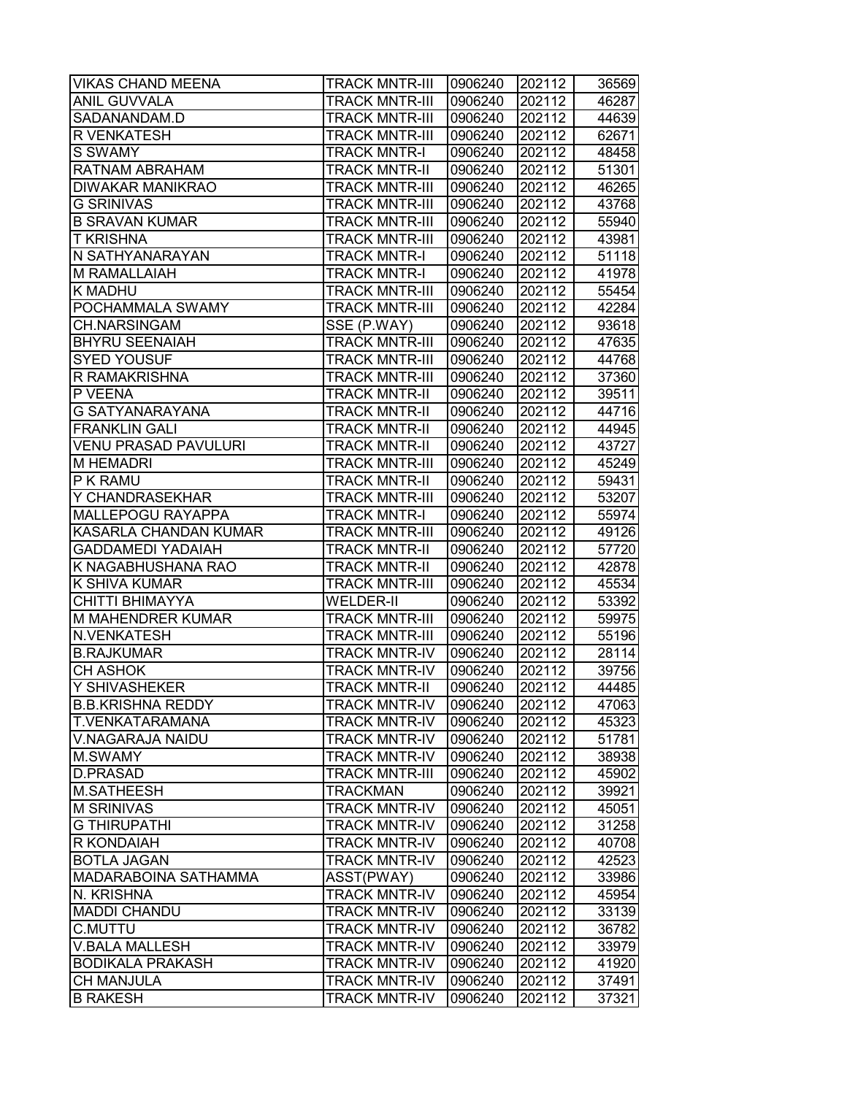| <b>VIKAS CHAND MEENA</b>    | <b>TRACK MNTR-III</b> | 0906240 | 202112 | 36569 |
|-----------------------------|-----------------------|---------|--------|-------|
| ANIL GUVVALA                | TRACK MNTR-III        | 0906240 | 202112 | 46287 |
| SADANANDAM.D                | TRACK MNTR-III        | 0906240 | 202112 | 44639 |
| R VENKATESH                 | <b>TRACK MNTR-III</b> | 0906240 | 202112 | 62671 |
| S SWAMY                     | <b>TRACK MNTR-I</b>   | 0906240 | 202112 | 48458 |
| RATNAM ABRAHAM              | <b>TRACK MNTR-II</b>  | 0906240 | 202112 | 51301 |
| <b>DIWAKAR MANIKRAO</b>     | <b>TRACK MNTR-III</b> | 0906240 | 202112 | 46265 |
| <b>G SRINIVAS</b>           | <b>TRACK MNTR-III</b> | 0906240 | 202112 | 43768 |
| <b>B SRAVAN KUMAR</b>       | <b>TRACK MNTR-III</b> | 0906240 | 202112 | 55940 |
| <b>T KRISHNA</b>            | <b>TRACK MNTR-III</b> | 0906240 | 202112 | 43981 |
| N SATHYANARAYAN             | <b>TRACK MNTR-I</b>   | 0906240 | 202112 | 51118 |
| M RAMALLAIAH                | <b>TRACK MNTR-I</b>   | 0906240 | 202112 | 41978 |
| <b>K MADHU</b>              | <b>TRACK MNTR-III</b> | 0906240 | 202112 | 55454 |
| POCHAMMALA SWAMY            | <b>TRACK MNTR-III</b> | 0906240 | 202112 | 42284 |
| <b>CH.NARSINGAM</b>         | SSE (P.WAY)           | 0906240 | 202112 | 93618 |
| <b>BHYRU SEENAIAH</b>       | TRACK MNTR-III        | 0906240 | 202112 | 47635 |
| <b>SYED YOUSUF</b>          | TRACK MNTR-III        | 0906240 | 202112 | 44768 |
| R RAMAKRISHNA               | <b>TRACK MNTR-III</b> | 0906240 | 202112 | 37360 |
| P VEENA                     | <b>TRACK MNTR-II</b>  | 0906240 | 202112 | 39511 |
| <b>G SATYANARAYANA</b>      | <b>TRACK MNTR-II</b>  | 0906240 | 202112 | 44716 |
| <b>FRANKLIN GALI</b>        | <b>TRACK MNTR-II</b>  | 0906240 | 202112 | 44945 |
| <b>VENU PRASAD PAVULURI</b> | <b>TRACK MNTR-II</b>  | 0906240 | 202112 | 43727 |
| <b>M HEMADRI</b>            | <b>TRACK MNTR-III</b> | 0906240 | 202112 | 45249 |
| P K RAMU                    | <b>TRACK MNTR-II</b>  | 0906240 | 202112 | 59431 |
| Y CHANDRASEKHAR             | TRACK MNTR-III        | 0906240 | 202112 | 53207 |
| <b>MALLEPOGU RAYAPPA</b>    | <b>TRACK MNTR-I</b>   | 0906240 | 202112 | 55974 |
| KASARLA CHANDAN KUMAR       | TRACK MNTR-III        | 0906240 | 202112 | 49126 |
| <b>GADDAMEDI YADAIAH</b>    | <b>TRACK MNTR-II</b>  | 0906240 | 202112 | 57720 |
| K NAGABHUSHANA RAO          | <b>TRACK MNTR-II</b>  | 0906240 | 202112 | 42878 |
| K SHIVA KUMAR               | <b>TRACK MNTR-III</b> | 0906240 | 202112 | 45534 |
| CHITTI BHIMAYYA             | <b>WELDER-II</b>      | 0906240 | 202112 | 53392 |
| M MAHENDRER KUMAR           | <b>TRACK MNTR-III</b> | 0906240 | 202112 | 59975 |
| N.VENKATESH                 | <b>TRACK MNTR-III</b> | 0906240 | 202112 | 55196 |
| <b>B.RAJKUMAR</b>           | <b>TRACK MNTR-IV</b>  | 0906240 | 202112 | 28114 |
| <b>CH ASHOK</b>             | <b>TRACK MNTR-IV</b>  | 0906240 | 202112 | 39756 |
| Y SHIVASHEKER               | <b>TRACK MNTR-II</b>  | 0906240 | 202112 | 44485 |
| <b>B.B.KRISHNA REDDY</b>    | <b>TRACK MNTR-IV</b>  | 0906240 | 202112 | 47063 |
| T.VENKATARAMANA             | TRACK MNTR-IV         | 0906240 | 202112 | 45323 |
| V.NAGARAJA NAIDU            | TRACK MNTR-IV         | 0906240 | 202112 | 51781 |
| M.SWAMY                     | TRACK MNTR-IV         | 0906240 | 202112 | 38938 |
| <b>D.PRASAD</b>             | <b>TRACK MNTR-III</b> | 0906240 | 202112 | 45902 |
| M.SATHEESH                  | TRACKMAN              | 0906240 | 202112 | 39921 |
| <b>M SRINIVAS</b>           | <b>TRACK MNTR-IV</b>  | 0906240 | 202112 | 45051 |
| <b>G THIRUPATHI</b>         | <b>TRACK MNTR-IV</b>  | 0906240 | 202112 | 31258 |
| R KONDAIAH                  | TRACK MNTR-IV         | 0906240 | 202112 | 40708 |
| <b>BOTLA JAGAN</b>          | <b>TRACK MNTR-IV</b>  | 0906240 | 202112 | 42523 |
| MADARABOINA SATHAMMA        | ASST(PWAY)            | 0906240 | 202112 | 33986 |
| N. KRISHNA                  | TRACK MNTR-IV         | 0906240 | 202112 | 45954 |
| <b>MADDI CHANDU</b>         | <b>TRACK MNTR-IV</b>  | 0906240 | 202112 | 33139 |
| C.MUTTU                     | TRACK MNTR-IV         | 0906240 | 202112 | 36782 |
| <b>V.BALA MALLESH</b>       | TRACK MNTR-IV         | 0906240 | 202112 | 33979 |
| <b>BODIKALA PRAKASH</b>     | TRACK MNTR-IV         | 0906240 | 202112 | 41920 |
| <b>CH MANJULA</b>           | TRACK MNTR-IV         | 0906240 | 202112 | 37491 |
| <b>B RAKESH</b>             | TRACK MNTR-IV         | 0906240 | 202112 | 37321 |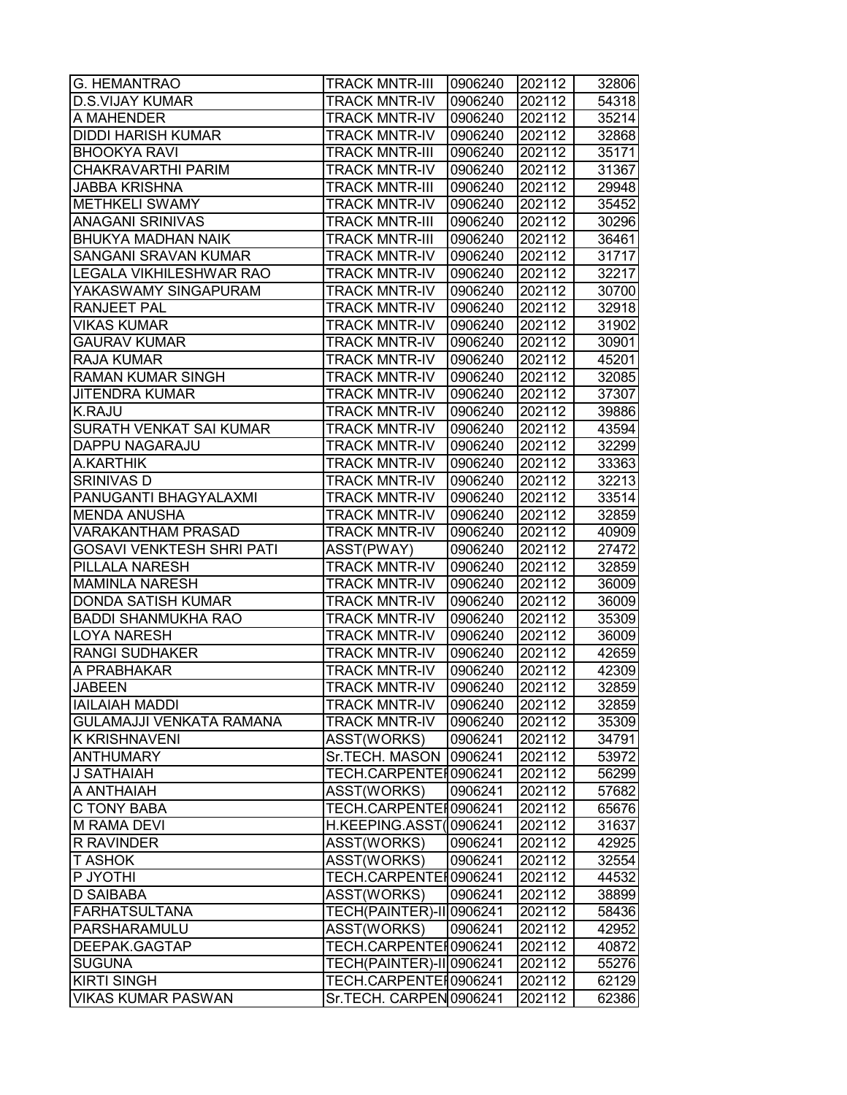| G. HEMANTRAO               | <b>TRACK MNTR-III</b>    | 0906240 | 202112 | 32806 |
|----------------------------|--------------------------|---------|--------|-------|
| <b>D.S.VIJAY KUMAR</b>     | TRACK MNTR-IV            | 0906240 | 202112 | 54318 |
| A MAHENDER                 | <b>TRACK MNTR-IV</b>     | 0906240 | 202112 | 35214 |
| <b>DIDDI HARISH KUMAR</b>  | TRACK MNTR-IV            | 0906240 | 202112 | 32868 |
| <b>BHOOKYA RAVI</b>        | <b>TRACK MNTR-III</b>    | 0906240 | 202112 | 35171 |
| CHAKRAVARTHI PARIM         | <b>TRACK MNTR-IV</b>     | 0906240 | 202112 | 31367 |
| <b>JABBA KRISHNA</b>       | <b>TRACK MNTR-III</b>    | 0906240 | 202112 | 29948 |
| <b>METHKELI SWAMY</b>      | <b>TRACK MNTR-IV</b>     | 0906240 | 202112 | 35452 |
| <b>ANAGANI SRINIVAS</b>    | <b>TRACK MNTR-III</b>    | 0906240 | 202112 | 30296 |
| <b>BHUKYA MADHAN NAIK</b>  | <b>TRACK MNTR-III</b>    | 0906240 | 202112 | 36461 |
| SANGANI SRAVAN KUMAR       | <b>TRACK MNTR-IV</b>     | 0906240 | 202112 | 31717 |
| LEGALA VIKHILESHWAR RAO    | <b>TRACK MNTR-IV</b>     | 0906240 | 202112 | 32217 |
| YAKASWAMY SINGAPURAM       | TRACK MNTR-IV            | 0906240 | 202112 | 30700 |
| RANJEET PAL                | <b>TRACK MNTR-IV</b>     | 0906240 | 202112 | 32918 |
| VIKAS KUMAR                | TRACK MNTR-IV            | 0906240 | 202112 | 31902 |
| <b>GAURAV KUMAR</b>        | <b>TRACK MNTR-IV</b>     | 0906240 | 202112 | 30901 |
| RAJA KUMAR                 | <b>TRACK MNTR-IV</b>     | 0906240 | 202112 | 45201 |
| <b>RAMAN KUMAR SINGH</b>   | <b>TRACK MNTR-IV</b>     | 0906240 | 202112 | 32085 |
| <b>JITENDRA KUMAR</b>      | <b>TRACK MNTR-IV</b>     | 0906240 | 202112 | 37307 |
| <b>K.RAJU</b>              | <b>TRACK MNTR-IV</b>     | 0906240 | 202112 | 39886 |
| SURATH VENKAT SAI KUMAR    | <b>TRACK MNTR-IV</b>     | 0906240 | 202112 | 43594 |
| DAPPU NAGARAJU             | <b>TRACK MNTR-IV</b>     | 0906240 | 202112 | 32299 |
| A.KARTHIK                  | <b>TRACK MNTR-IV</b>     | 0906240 | 202112 | 33363 |
| <b>SRINIVAS D</b>          | TRACK MNTR-IV            | 0906240 | 202112 | 32213 |
| PANUGANTI BHAGYALAXMI      | <b>TRACK MNTR-IV</b>     | 0906240 | 202112 | 33514 |
| <b>MENDA ANUSHA</b>        | <b>TRACK MNTR-IV</b>     | 0906240 | 202112 | 32859 |
| VARAKANTHAM PRASAD         | TRACK MNTR-IV            | 0906240 | 202112 | 40909 |
| GOSAVI VENKTESH SHRI PATI  | ASST(PWAY)               | 0906240 | 202112 | 27472 |
| PILLALA NARESH             | TRACK MNTR-IV            | 0906240 | 202112 | 32859 |
| <b>MAMINLA NARESH</b>      | <b>TRACK MNTR-IV</b>     | 0906240 | 202112 | 36009 |
| <b>DONDA SATISH KUMAR</b>  | <b>TRACK MNTR-IV</b>     | 0906240 | 202112 | 36009 |
| <b>BADDI SHANMUKHA RAO</b> | <b>TRACK MNTR-IV</b>     | 0906240 | 202112 | 35309 |
| <b>LOYA NARESH</b>         | <b>TRACK MNTR-IV</b>     | 0906240 | 202112 | 36009 |
| <b>RANGI SUDHAKER</b>      | <b>TRACK MNTR-IV</b>     | 0906240 | 202112 | 42659 |
| A PRABHAKAR                | <b>TRACK MNTR-IV</b>     | 0906240 | 202112 | 42309 |
| <b>JABEEN</b>              | <b>TRACK MNTR-IV</b>     | 0906240 | 202112 | 32859 |
| <b>IAILAIAH MADDI</b>      | <b>TRACK MNTR-IV</b>     | 0906240 | 202112 | 32859 |
| GULAMAJJI VENKATA RAMANA   | TRACK MNTR-IV            | 0906240 | 202112 | 35309 |
| <b>K KRISHNAVENI</b>       | ASST(WORKS)              | 0906241 | 202112 | 34791 |
| <b>ANTHUMARY</b>           | Sr.TECH. MASON           | 0906241 | 202112 | 53972 |
| J SATHAIAH                 | TECH.CARPENTEH0906241    |         | 202112 | 56299 |
| A ANTHAIAH                 | ASST(WORKS)              | 0906241 | 202112 | 57682 |
| <b>C TONY BABA</b>         | TECH.CARPENTER0906241    |         | 202112 | 65676 |
| <b>M RAMA DEVI</b>         | H.KEEPING.ASST(0906241   |         | 202112 | 31637 |
| R RAVINDER                 | ASST(WORKS)              | 0906241 | 202112 | 42925 |
| T ASHOK                    | ASST(WORKS)              | 0906241 | 202112 | 32554 |
| P JYOTHI                   | TECH.CARPENTER0906241    |         | 202112 | 44532 |
| D SAIBABA                  | ASST(WORKS)              | 0906241 | 202112 | 38899 |
| <b>FARHATSULTANA</b>       | TECH(PAINTER)-II 0906241 |         | 202112 | 58436 |
| PARSHARAMULU               | ASST(WORKS)              | 0906241 | 202112 | 42952 |
| DEEPAK.GAGTAP              | TECH.CARPENTEH0906241    |         | 202112 | 40872 |
| <b>SUGUNA</b>              | TECH(PAINTER)-II 0906241 |         | 202112 | 55276 |
| <b>KIRTI SINGH</b>         | TECH.CARPENTEI0906241    |         | 202112 | 62129 |
| VIKAS KUMAR PASWAN         | Sr.TECH. CARPEN 0906241  |         | 202112 | 62386 |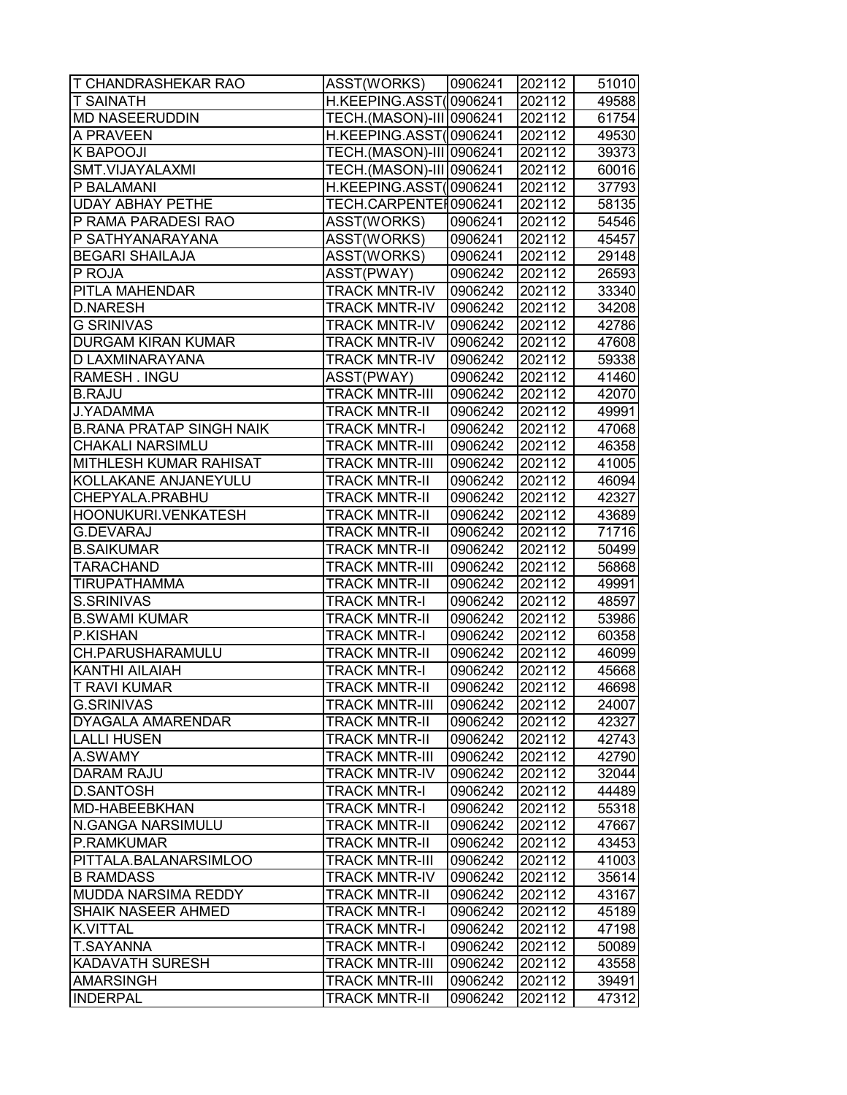| <b>T CHANDRASHEKAR RAO</b>      | ASST(WORKS)              | 0906241 | 202112 | 51010 |
|---------------------------------|--------------------------|---------|--------|-------|
| T SAINATH                       | H.KEEPING.ASST(0906241   |         | 202112 | 49588 |
| <b>MD NASEERUDDIN</b>           | TECH.(MASON)-III 0906241 |         | 202112 | 61754 |
| A PRAVEEN                       | H.KEEPING.ASST(0906241   |         | 202112 | 49530 |
| <b>K BAPOOJI</b>                | TECH.(MASON)-III 0906241 |         | 202112 | 39373 |
| SMT.VIJAYALAXMI                 | TECH.(MASON)-III 0906241 |         | 202112 | 60016 |
| P BALAMANI                      | H.KEEPING.ASST(0906241   |         | 202112 | 37793 |
| <b>UDAY ABHAY PETHE</b>         | TECH.CARPENTER0906241    |         | 202112 | 58135 |
| P RAMA PARADESI RAO             | ASST(WORKS)              | 0906241 | 202112 | 54546 |
| P SATHYANARAYANA                | ASST(WORKS)              | 0906241 | 202112 | 45457 |
| <b>BEGARI SHAILAJA</b>          | ASST(WORKS)              | 0906241 | 202112 | 29148 |
| P ROJA                          | ASST(PWAY)               | 0906242 | 202112 | 26593 |
| PITLA MAHENDAR                  | <b>TRACK MNTR-IV</b>     | 0906242 | 202112 | 33340 |
| <b>D.NARESH</b>                 | <b>TRACK MNTR-IV</b>     | 0906242 | 202112 | 34208 |
| <b>G SRINIVAS</b>               | <b>TRACK MNTR-IV</b>     | 0906242 | 202112 | 42786 |
| <b>DURGAM KIRAN KUMAR</b>       | <b>TRACK MNTR-IV</b>     | 0906242 | 202112 | 47608 |
| D LAXMINARAYANA                 | <b>TRACK MNTR-IV</b>     | 0906242 | 202112 | 59338 |
| RAMESH . INGU                   | ASST(PWAY)               | 0906242 | 202112 | 41460 |
| <b>B.RAJU</b>                   | <b>TRACK MNTR-III</b>    | 0906242 | 202112 | 42070 |
| J.YADAMMA                       | <b>TRACK MNTR-II</b>     | 0906242 | 202112 | 49991 |
| <b>B.RANA PRATAP SINGH NAIK</b> | <b>TRACK MNTR-I</b>      | 0906242 | 202112 | 47068 |
| CHAKALI NARSIMLU                | <b>TRACK MNTR-III</b>    | 0906242 | 202112 | 46358 |
| MITHLESH KUMAR RAHISAT          | <b>TRACK MNTR-III</b>    | 0906242 | 202112 | 41005 |
| KOLLAKANE ANJANEYULU            | <b>TRACK MNTR-II</b>     | 0906242 | 202112 | 46094 |
| CHEPYALA.PRABHU                 | <b>TRACK MNTR-II</b>     | 0906242 | 202112 | 42327 |
| HOONUKURI.VENKATESH             | <b>TRACK MNTR-II</b>     | 0906242 | 202112 | 43689 |
| <b>G.DEVARAJ</b>                | TRACK MNTR-II            | 0906242 | 202112 | 71716 |
| <b>B.SAIKUMAR</b>               | <b>TRACK MNTR-II</b>     | 0906242 | 202112 | 50499 |
| TARACHAND                       | <b>TRACK MNTR-III</b>    | 0906242 | 202112 | 56868 |
| <b>TIRUPATHAMMA</b>             | <b>TRACK MNTR-II</b>     | 0906242 | 202112 | 49991 |
| S.SRINIVAS                      | <b>TRACK MNTR-I</b>      | 0906242 | 202112 | 48597 |
| <b>B.SWAMI KUMAR</b>            | <b>TRACK MNTR-II</b>     | 0906242 | 202112 | 53986 |
| P.KISHAN                        | <b>TRACK MNTR-I</b>      | 0906242 | 202112 | 60358 |
| CH.PARUSHARAMULU                | <b>TRACK MNTR-II</b>     | 0906242 | 202112 | 46099 |
| <b>KANTHI AILAIAH</b>           | <b>TRACK MNTR-I</b>      | 0906242 | 202112 | 45668 |
| <b>T RAVI KUMAR</b>             | <b>TRACK MNTR-II</b>     | 0906242 | 202112 | 46698 |
| <b>G.SRINIVAS</b>               | <b>TRACK MNTR-III</b>    | 0906242 | 202112 | 24007 |
| DYAGALA AMARENDAR               | <b>TRACK MNTR-II</b>     | 0906242 | 202112 | 42327 |
| <b>LALLI HUSEN</b>              | <b>TRACK MNTR-II</b>     | 0906242 | 202112 | 42743 |
| A.SWAMY                         | <b>TRACK MNTR-III</b>    | 0906242 | 202112 | 42790 |
| <b>DARAM RAJU</b>               | <b>TRACK MNTR-IV</b>     | 0906242 | 202112 | 32044 |
| <b>D.SANTOSH</b>                | <b>TRACK MNTR-I</b>      | 0906242 | 202112 | 44489 |
| <b>MD-HABEEBKHAN</b>            | <b>TRACK MNTR-I</b>      | 0906242 | 202112 | 55318 |
| N.GANGA NARSIMULU               | <b>TRACK MNTR-II</b>     | 0906242 | 202112 | 47667 |
| P.RAMKUMAR                      | <b>TRACK MNTR-II</b>     | 0906242 | 202112 | 43453 |
| PITTALA.BALANARSIMLOO           | <b>TRACK MNTR-III</b>    | 0906242 | 202112 | 41003 |
| <b>B RAMDASS</b>                | <b>TRACK MNTR-IV</b>     | 0906242 | 202112 | 35614 |
| MUDDA NARSIMA REDDY             | <b>TRACK MNTR-II</b>     | 0906242 | 202112 | 43167 |
| <b>SHAIK NASEER AHMED</b>       | <b>TRACK MNTR-I</b>      | 0906242 | 202112 | 45189 |
| <b>K.VITTAL</b>                 | <b>TRACK MNTR-I</b>      | 0906242 | 202112 | 47198 |
| T.SAYANNA                       | <b>TRACK MNTR-I</b>      | 0906242 | 202112 | 50089 |
| KADAVATH SURESH                 | <b>TRACK MNTR-III</b>    | 0906242 | 202112 | 43558 |
| <b>AMARSINGH</b>                | <b>TRACK MNTR-III</b>    | 0906242 | 202112 | 39491 |
| <b>INDERPAL</b>                 | <b>TRACK MNTR-II</b>     | 0906242 | 202112 | 47312 |
|                                 |                          |         |        |       |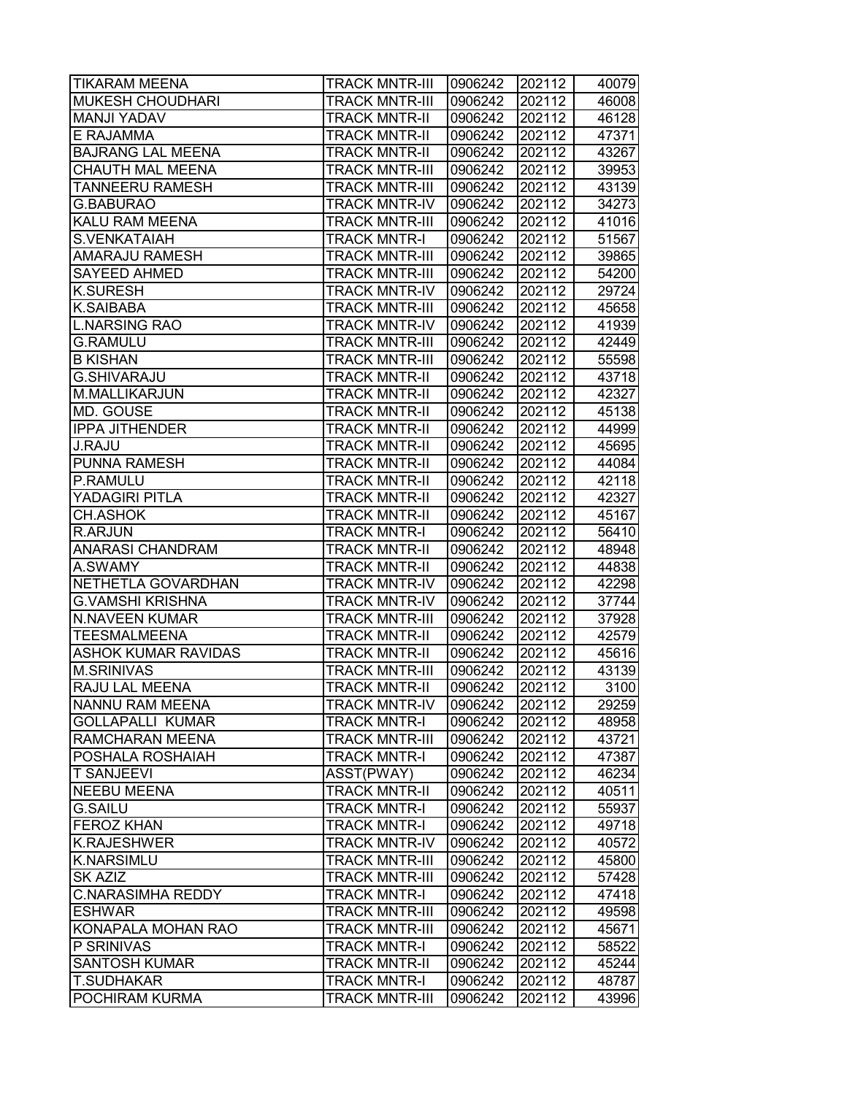| <b>TIKARAM MEENA</b>       | <b>TRACK MNTR-III</b> | 0906242 | 202112 | 40079 |
|----------------------------|-----------------------|---------|--------|-------|
| <b>MUKESH CHOUDHARI</b>    | <b>TRACK MNTR-III</b> | 0906242 | 202112 | 46008 |
| <b>MANJI YADAV</b>         | <b>TRACK MNTR-II</b>  | 0906242 | 202112 | 46128 |
| E RAJAMMA                  | <b>TRACK MNTR-II</b>  | 0906242 | 202112 | 47371 |
| <b>BAJRANG LAL MEENA</b>   | <b>TRACK MNTR-II</b>  | 0906242 | 202112 | 43267 |
| <b>CHAUTH MAL MEENA</b>    | <b>TRACK MNTR-III</b> | 0906242 | 202112 | 39953 |
| <b>TANNEERU RAMESH</b>     | <b>TRACK MNTR-III</b> | 0906242 | 202112 | 43139 |
| G.BABURAO                  | <b>TRACK MNTR-IV</b>  | 0906242 | 202112 | 34273 |
| <b>KALU RAM MEENA</b>      | <b>TRACK MNTR-III</b> | 0906242 | 202112 | 41016 |
| <b>S.VENKATAIAH</b>        | <b>TRACK MNTR-I</b>   | 0906242 | 202112 | 51567 |
| <b>AMARAJU RAMESH</b>      | <b>TRACK MNTR-III</b> | 0906242 | 202112 | 39865 |
| <b>SAYEED AHMED</b>        | <b>TRACK MNTR-III</b> | 0906242 | 202112 | 54200 |
| <b>K.SURESH</b>            | <b>TRACK MNTR-IV</b>  | 0906242 | 202112 | 29724 |
| K.SAIBABA                  | <b>TRACK MNTR-III</b> | 0906242 | 202112 | 45658 |
| <b>L.NARSING RAO</b>       | <b>TRACK MNTR-IV</b>  | 0906242 | 202112 | 41939 |
| <b>G.RAMULU</b>            | <b>TRACK MNTR-III</b> | 0906242 | 202112 | 42449 |
| <b>B KISHAN</b>            | TRACK MNTR-III        | 0906242 | 202112 | 55598 |
| G.SHIVARAJU                | <b>TRACK MNTR-II</b>  | 0906242 | 202112 | 43718 |
| M.MALLIKARJUN              | <b>TRACK MNTR-II</b>  | 0906242 | 202112 | 42327 |
| MD. GOUSE                  | <b>TRACK MNTR-II</b>  | 0906242 | 202112 | 45138 |
| <b>IPPA JITHENDER</b>      | <b>TRACK MNTR-II</b>  | 0906242 | 202112 | 44999 |
| <b>J.RAJU</b>              | <b>TRACK MNTR-II</b>  | 0906242 | 202112 | 45695 |
| <b>PUNNA RAMESH</b>        | <b>TRACK MNTR-II</b>  | 0906242 | 202112 | 44084 |
| P.RAMULU                   | <b>TRACK MNTR-II</b>  | 0906242 | 202112 | 42118 |
| YADAGIRI PITLA             | <b>TRACK MNTR-II</b>  | 0906242 | 202112 | 42327 |
| <b>CH.ASHOK</b>            | <b>TRACK MNTR-II</b>  | 0906242 | 202112 | 45167 |
| <b>R.ARJUN</b>             | TRACK MNTR-I          | 0906242 | 202112 | 56410 |
| <b>ANARASI CHANDRAM</b>    | <b>TRACK MNTR-II</b>  | 0906242 | 202112 | 48948 |
| A.SWAMY                    | <b>TRACK MNTR-II</b>  | 0906242 | 202112 | 44838 |
| NETHETLA GOVARDHAN         | <b>TRACK MNTR-IV</b>  | 0906242 | 202112 | 42298 |
| <b>G.VAMSHI KRISHNA</b>    | <b>TRACK MNTR-IV</b>  | 0906242 | 202112 | 37744 |
| <b>N.NAVEEN KUMAR</b>      | <b>TRACK MNTR-III</b> | 0906242 | 202112 | 37928 |
| <b>TEESMALMEENA</b>        | <b>TRACK MNTR-II</b>  | 0906242 | 202112 | 42579 |
| <b>ASHOK KUMAR RAVIDAS</b> | <b>TRACK MNTR-II</b>  | 0906242 | 202112 | 45616 |
| <b>M.SRINIVAS</b>          | <b>TRACK MNTR-III</b> | 0906242 | 202112 | 43139 |
| <b>RAJU LAL MEENA</b>      | <b>TRACK MNTR-II</b>  | 0906242 | 202112 | 3100  |
| NANNU RAM MEENA            | <b>TRACK MNTR-IV</b>  | 0906242 | 202112 | 29259 |
| <b>GOLLAPALLI KUMAR</b>    | TRACK MNTR-I          | 0906242 | 202112 | 48958 |
| <b>RAMCHARAN MEENA</b>     | TRACK MNTR-III        | 0906242 | 202112 | 43721 |
| <b>POSHALA ROSHAIAH</b>    | TRACK MNTR-I          | 0906242 | 202112 | 47387 |
| <b>T SANJEEVI</b>          | ASST(PWAY)            | 0906242 | 202112 | 46234 |
| <b>NEEBU MEENA</b>         | <b>TRACK MNTR-II</b>  | 0906242 | 202112 | 40511 |
| <b>G.SAILU</b>             | <b>TRACK MNTR-I</b>   | 0906242 | 202112 | 55937 |
| <b>FEROZ KHAN</b>          | <b>TRACK MNTR-I</b>   | 0906242 | 202112 | 49718 |
| <b>K.RAJESHWER</b>         | <b>TRACK MNTR-IV</b>  | 0906242 | 202112 | 40572 |
| <b>K.NARSIMLU</b>          | <b>TRACK MNTR-III</b> | 0906242 | 202112 | 45800 |
| SK AZIZ                    | <b>TRACK MNTR-III</b> | 0906242 | 202112 | 57428 |
| <b>C.NARASIMHA REDDY</b>   | <b>TRACK MNTR-I</b>   | 0906242 | 202112 | 47418 |
| <b>ESHWAR</b>              | <b>TRACK MNTR-III</b> | 0906242 | 202112 | 49598 |
| KONAPALA MOHAN RAO         | TRACK MNTR-III        | 0906242 | 202112 | 45671 |
| P SRINIVAS                 | TRACK MNTR-I          | 0906242 | 202112 | 58522 |
| <b>SANTOSH KUMAR</b>       | TRACK MNTR-II         | 0906242 | 202112 | 45244 |
| <b>T.SUDHAKAR</b>          | TRACK MNTR-I          | 0906242 | 202112 | 48787 |
| <b>POCHIRAM KURMA</b>      | <b>TRACK MNTR-III</b> | 0906242 | 202112 | 43996 |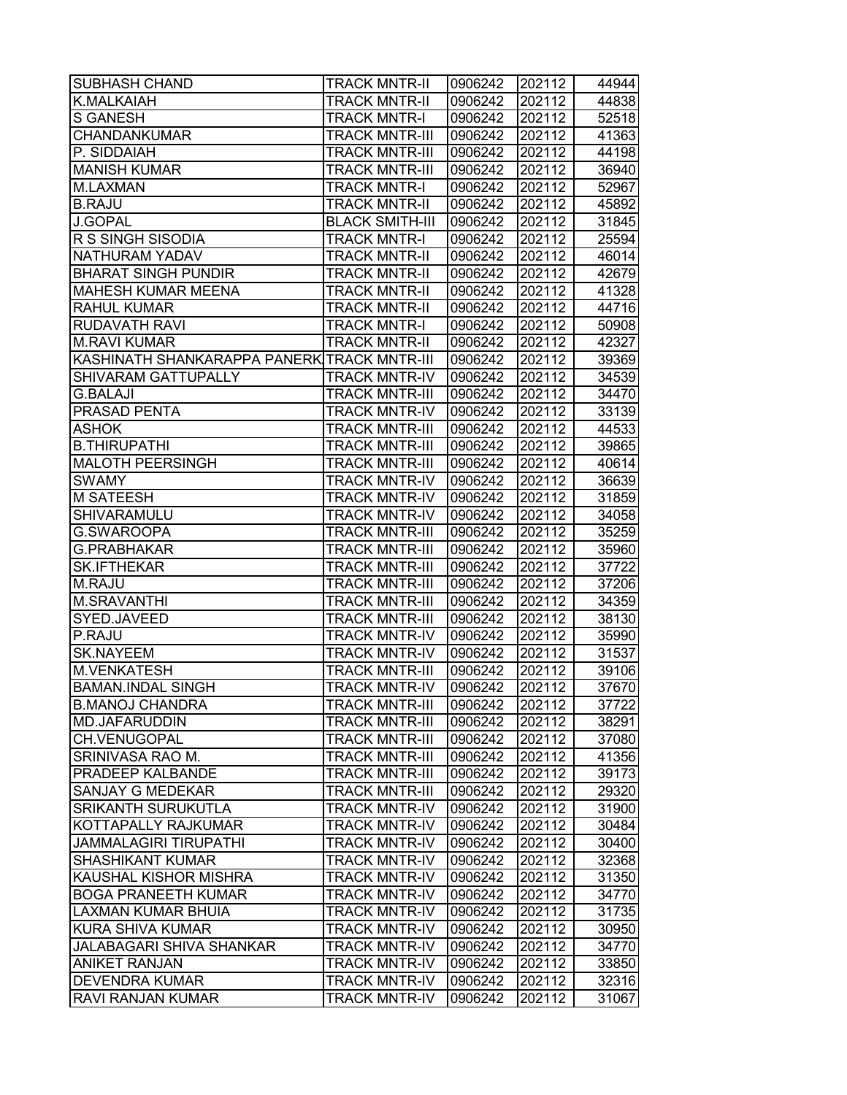| <b>SUBHASH CHAND</b>                        | <b>TRACK MNTR-II</b>   | 0906242 | 202112 | 44944 |
|---------------------------------------------|------------------------|---------|--------|-------|
| <b>K.MALKAIAH</b>                           | TRACK MNTR-II          | 0906242 | 202112 | 44838 |
| <b>S GANESH</b>                             | TRACK MNTR-I           | 0906242 | 202112 | 52518 |
| <b>CHANDANKUMAR</b>                         | <b>TRACK MNTR-III</b>  | 0906242 | 202112 | 41363 |
| P. SIDDAIAH                                 | <b>TRACK MNTR-III</b>  | 0906242 | 202112 | 44198 |
| <b>MANISH KUMAR</b>                         | <b>TRACK MNTR-III</b>  | 0906242 | 202112 | 36940 |
| M.LAXMAN                                    | <b>TRACK MNTR-I</b>    | 0906242 | 202112 | 52967 |
| <b>B.RAJU</b>                               | <b>TRACK MNTR-II</b>   | 0906242 | 202112 | 45892 |
| <b>J.GOPAL</b>                              | <b>BLACK SMITH-III</b> | 0906242 | 202112 | 31845 |
| R S SINGH SISODIA                           | <b>TRACK MNTR-I</b>    | 0906242 | 202112 | 25594 |
| NATHURAM YADAV                              | <b>TRACK MNTR-II</b>   | 0906242 | 202112 | 46014 |
| <b>BHARAT SINGH PUNDIR</b>                  | <b>TRACK MNTR-II</b>   | 0906242 | 202112 | 42679 |
| MAHESH KUMAR MEENA                          | <b>TRACK MNTR-II</b>   | 0906242 | 202112 | 41328 |
| <b>RAHUL KUMAR</b>                          | <b>TRACK MNTR-II</b>   | 0906242 | 202112 | 44716 |
| <b>RUDAVATH RAVI</b>                        | <b>TRACK MNTR-I</b>    | 0906242 | 202112 | 50908 |
| <b>M.RAVI KUMAR</b>                         | <b>TRACK MNTR-II</b>   | 0906242 | 202112 | 42327 |
| KASHINATH SHANKARAPPA PANERK TRACK MNTR-III |                        | 0906242 | 202112 | 39369 |
| SHIVARAM GATTUPALLY                         | <b>TRACK MNTR-IV</b>   | 0906242 | 202112 | 34539 |
| <b>G.BALAJI</b>                             | <b>TRACK MNTR-III</b>  | 0906242 | 202112 | 34470 |
| PRASAD PENTA                                | <b>TRACK MNTR-IV</b>   | 0906242 | 202112 | 33139 |
| <b>ASHOK</b>                                | <b>TRACK MNTR-III</b>  | 0906242 | 202112 | 44533 |
| <b>B.THIRUPATHI</b>                         | <b>TRACK MNTR-III</b>  | 0906242 | 202112 | 39865 |
| <b>MALOTH PEERSINGH</b>                     | <b>TRACK MNTR-III</b>  | 0906242 | 202112 | 40614 |
| <b>SWAMY</b>                                | <b>TRACK MNTR-IV</b>   | 0906242 | 202112 | 36639 |
| <b>M SATEESH</b>                            | <b>TRACK MNTR-IV</b>   | 0906242 | 202112 | 31859 |
| SHIVARAMULU                                 | <b>TRACK MNTR-IV</b>   | 0906242 | 202112 | 34058 |
| G.SWAROOPA                                  | TRACK MNTR-III         | 0906242 | 202112 | 35259 |
| <b>G.PRABHAKAR</b>                          | TRACK MNTR-III         | 0906242 | 202112 | 35960 |
| <b>SK.IFTHEKAR</b>                          | <b>TRACK MNTR-III</b>  | 0906242 | 202112 | 37722 |
| M.RAJU                                      | <b>TRACK MNTR-III</b>  | 0906242 | 202112 | 37206 |
| M.SRAVANTHI                                 | <b>TRACK MNTR-III</b>  | 0906242 | 202112 | 34359 |
| SYED.JAVEED                                 | <b>TRACK MNTR-III</b>  | 0906242 | 202112 | 38130 |
| P.RAJU                                      | <b>TRACK MNTR-IV</b>   | 0906242 | 202112 | 35990 |
| <b>SK.NAYEEM</b>                            | <b>TRACK MNTR-IV</b>   | 0906242 | 202112 | 31537 |
| <b>M.VENKATESH</b>                          | <b>TRACK MNTR-III</b>  | 0906242 | 202112 | 39106 |
| <b>BAMAN.INDAL SINGH</b>                    | <b>TRACK MNTR-IV</b>   | 0906242 | 202112 | 37670 |
| <b>B.MANOJ CHANDRA</b>                      | <b>TRACK MNTR-III</b>  | 0906242 | 202112 | 37722 |
| MD.JAFARUDDIN                               | TRACK MNTR-III         | 0906242 | 202112 | 38291 |
| CH.VENUGOPAL                                | TRACK MNTR-III         | 0906242 | 202112 | 37080 |
| SRINIVASA RAO M.                            | TRACK MNTR-III         | 0906242 | 202112 | 41356 |
| PRADEEP KALBANDE                            | TRACK MNTR-III         | 0906242 | 202112 | 39173 |
| <b>SANJAY G MEDEKAR</b>                     | <b>TRACK MNTR-III</b>  | 0906242 | 202112 | 29320 |
| <b>SRIKANTH SURUKUTLA</b>                   | <b>TRACK MNTR-IV</b>   | 0906242 | 202112 | 31900 |
| KOTTAPALLY RAJKUMAR                         | <b>TRACK MNTR-IV</b>   | 0906242 | 202112 | 30484 |
| <b>JAMMALAGIRI TIRUPATHI</b>                | <b>TRACK MNTR-IV</b>   | 0906242 | 202112 | 30400 |
| <b>SHASHIKANT KUMAR</b>                     | <b>TRACK MNTR-IV</b>   | 0906242 | 202112 | 32368 |
| KAUSHAL KISHOR MISHRA                       | <b>TRACK MNTR-IV</b>   | 0906242 | 202112 | 31350 |
| <b>BOGA PRANEETH KUMAR</b>                  | <b>TRACK MNTR-IV</b>   | 0906242 | 202112 | 34770 |
| LAXMAN KUMAR BHUIA                          | TRACK MNTR-IV          | 0906242 | 202112 | 31735 |
| <b>KURA SHIVA KUMAR</b>                     | TRACK MNTR-IV          | 0906242 | 202112 | 30950 |
| <b>JALABAGARI SHIVA SHANKAR</b>             | TRACK MNTR-IV          | 0906242 | 202112 | 34770 |
| <b>ANIKET RANJAN</b>                        | TRACK MNTR-IV          | 0906242 | 202112 | 33850 |
| <b>DEVENDRA KUMAR</b>                       | TRACK MNTR-IV          | 0906242 | 202112 | 32316 |
| RAVI RANJAN KUMAR                           | TRACK MNTR-IV          | 0906242 | 202112 | 31067 |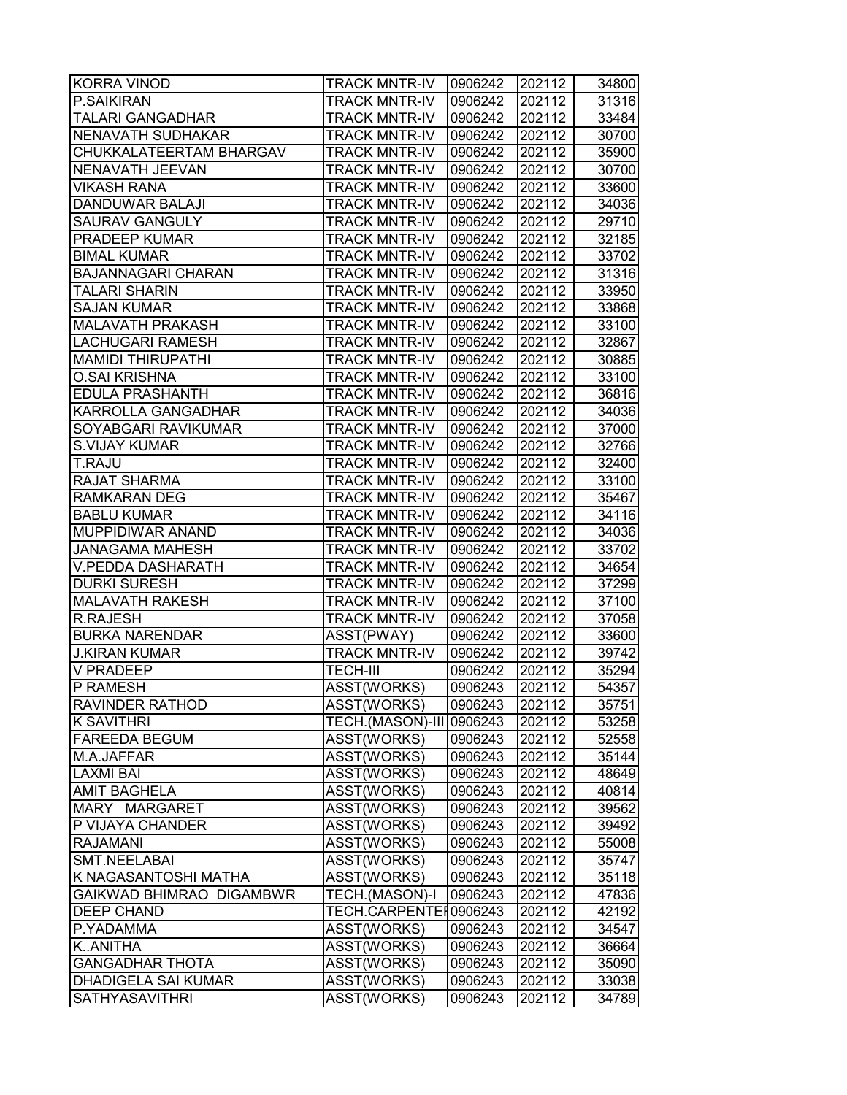| <b>KORRA VINOD</b>        | <b>TRACK MNTR-IV</b>     | 0906242 | 202112 | 34800 |
|---------------------------|--------------------------|---------|--------|-------|
| P.SAIKIRAN                | TRACK MNTR-IV            | 0906242 | 202112 | 31316 |
| <b>TALARI GANGADHAR</b>   | <b>TRACK MNTR-IV</b>     | 0906242 | 202112 | 33484 |
| NENAVATH SUDHAKAR         | <b>TRACK MNTR-IV</b>     | 0906242 | 202112 | 30700 |
| CHUKKALATEERTAM BHARGAV   | <b>TRACK MNTR-IV</b>     | 0906242 | 202112 | 35900 |
| NENAVATH JEEVAN           | <b>TRACK MNTR-IV</b>     | 0906242 | 202112 | 30700 |
| <b>VIKASH RANA</b>        | <b>TRACK MNTR-IV</b>     | 0906242 | 202112 | 33600 |
| DANDUWAR BALAJI           | <b>TRACK MNTR-IV</b>     | 0906242 | 202112 | 34036 |
| <b>SAURAV GANGULY</b>     | <b>TRACK MNTR-IV</b>     | 0906242 | 202112 | 29710 |
| PRADEEP KUMAR             | <b>TRACK MNTR-IV</b>     | 0906242 | 202112 | 32185 |
| <b>BIMAL KUMAR</b>        | <b>TRACK MNTR-IV</b>     | 0906242 | 202112 | 33702 |
| <b>BAJANNAGARI CHARAN</b> | <b>TRACK MNTR-IV</b>     | 0906242 | 202112 | 31316 |
| <b>TALARI SHARIN</b>      | <b>TRACK MNTR-IV</b>     | 0906242 | 202112 | 33950 |
| <b>SAJAN KUMAR</b>        | <b>TRACK MNTR-IV</b>     | 0906242 | 202112 | 33868 |
| <b>MALAVATH PRAKASH</b>   | TRACK MNTR-IV            | 0906242 | 202112 | 33100 |
| LACHUGARI RAMESH          | <b>TRACK MNTR-IV</b>     | 0906242 | 202112 | 32867 |
| <b>MAMIDI THIRUPATHI</b>  | <b>TRACK MNTR-IV</b>     | 0906242 | 202112 | 30885 |
| <b>O.SAI KRISHNA</b>      | <b>TRACK MNTR-IV</b>     | 0906242 | 202112 | 33100 |
| <b>EDULA PRASHANTH</b>    | <b>TRACK MNTR-IV</b>     | 0906242 | 202112 | 36816 |
| KARROLLA GANGADHAR        | <b>TRACK MNTR-IV</b>     | 0906242 | 202112 | 34036 |
| SOYABGARI RAVIKUMAR       | <b>TRACK MNTR-IV</b>     | 0906242 | 202112 | 37000 |
| S.VIJAY KUMAR             | <b>TRACK MNTR-IV</b>     | 0906242 | 202112 | 32766 |
| T.RAJU                    | <b>TRACK MNTR-IV</b>     | 0906242 | 202112 | 32400 |
| RAJAT SHARMA              | TRACK MNTR-IV            | 0906242 | 202112 | 33100 |
| <b>RAMKARAN DEG</b>       | <b>TRACK MNTR-IV</b>     | 0906242 | 202112 | 35467 |
| <b>BABLU KUMAR</b>        | <b>TRACK MNTR-IV</b>     | 0906242 | 202112 | 34116 |
| MUPPIDIWAR ANAND          | TRACK MNTR-IV            | 0906242 | 202112 | 34036 |
| JANAGAMA MAHESH           | TRACK MNTR-IV            | 0906242 | 202112 | 33702 |
| V.PEDDA DASHARATH         | <b>TRACK MNTR-IV</b>     | 0906242 | 202112 | 34654 |
| <b>DURKI SURESH</b>       | <b>TRACK MNTR-IV</b>     | 0906242 | 202112 | 37299 |
| <b>MALAVATH RAKESH</b>    | <b>TRACK MNTR-IV</b>     | 0906242 | 202112 | 37100 |
| <b>R.RAJESH</b>           | <b>TRACK MNTR-IV</b>     | 0906242 | 202112 | 37058 |
| <b>BURKA NARENDAR</b>     | ASST(PWAY)               | 0906242 | 202112 | 33600 |
| <b>J.KIRAN KUMAR</b>      | <b>TRACK MNTR-IV</b>     | 0906242 | 202112 | 39742 |
| <b>V PRADEEP</b>          | <b>TECH-III</b>          | 0906242 | 202112 | 35294 |
| P RAMESH                  | ASST(WORKS)              | 0906243 | 202112 | 54357 |
| <b>RAVINDER RATHOD</b>    | ASST(WORKS)              | 0906243 | 202112 | 35751 |
| <b>K SAVITHRI</b>         | TECH.(MASON)-III 0906243 |         | 202112 | 53258 |
| <b>FAREEDA BEGUM</b>      | ASST(WORKS)              | 0906243 | 202112 | 52558 |
| M.A.JAFFAR                | ASST(WORKS)              | 0906243 | 202112 | 35144 |
| <b>LAXMI BAI</b>          | ASST(WORKS)              | 0906243 | 202112 | 48649 |
| <b>AMIT BAGHELA</b>       | ASST(WORKS)              | 0906243 | 202112 | 40814 |
| MARY MARGARET             | ASST(WORKS)              | 0906243 | 202112 | 39562 |
| P VIJAYA CHANDER          | ASST(WORKS)              | 0906243 | 202112 | 39492 |
| <b>RAJAMANI</b>           | ASST(WORKS)              | 0906243 | 202112 | 55008 |
| <b>SMT.NEELABAI</b>       | ASST(WORKS)              | 0906243 | 202112 | 35747 |
| K NAGASANTOSHI MATHA      | ASST(WORKS)              | 0906243 | 202112 | 35118 |
| GAIKWAD BHIMRAO DIGAMBWR  | TECH.(MASON)-I           | 0906243 | 202112 | 47836 |
| <b>DEEP CHAND</b>         | TECH.CARPENTEI0906243    |         | 202112 | 42192 |
| P.YADAMMA                 | ASST(WORKS)              | 0906243 | 202112 | 34547 |
| KANITHA                   | ASST(WORKS)              | 0906243 | 202112 | 36664 |
| <b>GANGADHAR THOTA</b>    | ASST(WORKS)              | 0906243 | 202112 | 35090 |
| DHADIGELA SAI KUMAR       | ASST(WORKS)              | 0906243 | 202112 | 33038 |
| <b>SATHYASAVITHRI</b>     | ASST(WORKS)              | 0906243 | 202112 | 34789 |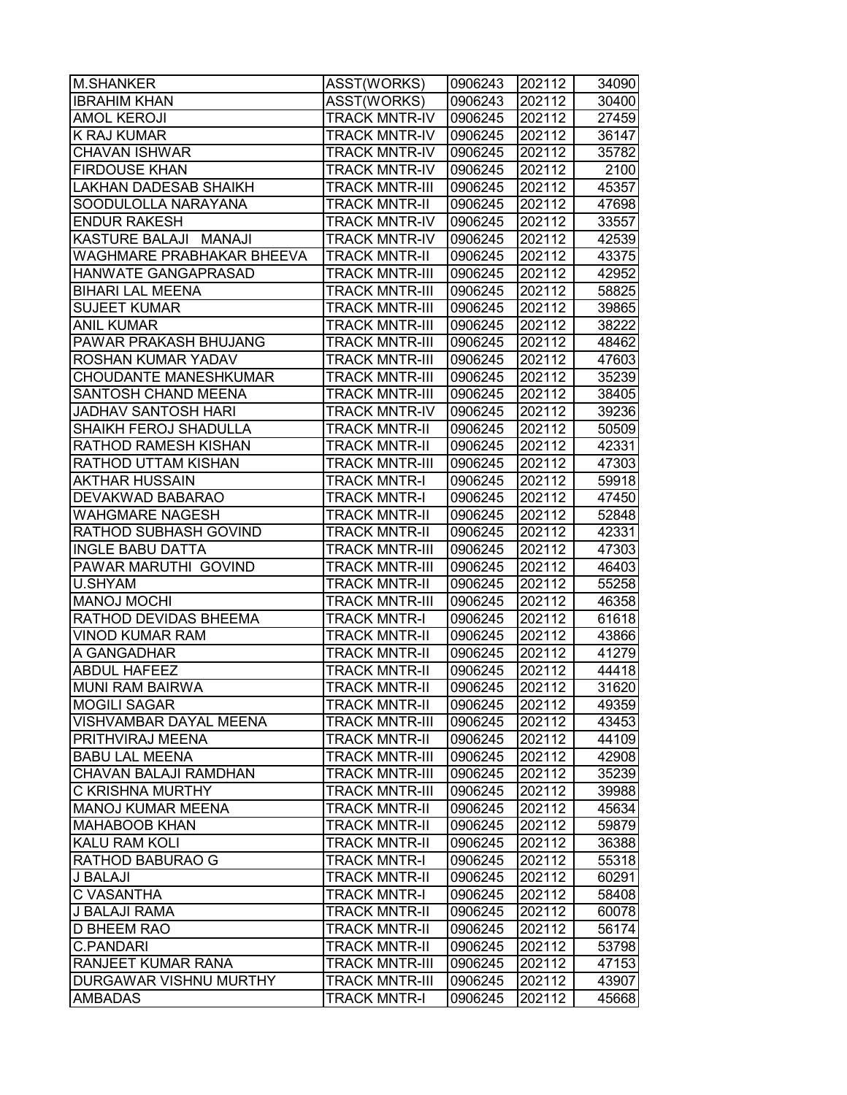| <b>M.SHANKER</b>             | ASST(WORKS)           | 0906243 | 202112 | 34090 |
|------------------------------|-----------------------|---------|--------|-------|
| <b>IBRAHIM KHAN</b>          | ASST(WORKS)           | 0906243 | 202112 | 30400 |
| <b>AMOL KEROJI</b>           | TRACK MNTR-IV         | 0906245 | 202112 | 27459 |
| K RAJ KUMAR                  | <b>TRACK MNTR-IV</b>  | 0906245 | 202112 | 36147 |
| <b>CHAVAN ISHWAR</b>         | <b>TRACK MNTR-IV</b>  | 0906245 | 202112 | 35782 |
| <b>FIRDOUSE KHAN</b>         | <b>TRACK MNTR-IV</b>  | 0906245 | 202112 | 2100  |
| <b>LAKHAN DADESAB SHAIKH</b> | <b>TRACK MNTR-III</b> | 0906245 | 202112 | 45357 |
| SOODULOLLA NARAYANA          | <b>TRACK MNTR-II</b>  | 0906245 | 202112 | 47698 |
| <b>ENDUR RAKESH</b>          | <b>TRACK MNTR-IV</b>  | 0906245 | 202112 | 33557 |
| KASTURE BALAJI MANAJI        | <b>TRACK MNTR-IV</b>  | 0906245 | 202112 | 42539 |
| WAGHMARE PRABHAKAR BHEEVA    | <b>TRACK MNTR-II</b>  | 0906245 | 202112 | 43375 |
| HANWATE GANGAPRASAD          | <b>TRACK MNTR-III</b> | 0906245 | 202112 | 42952 |
| <b>BIHARI LAL MEENA</b>      | <b>TRACK MNTR-III</b> | 0906245 | 202112 | 58825 |
| <b>SUJEET KUMAR</b>          | TRACK MNTR-III        | 0906245 | 202112 | 39865 |
| <b>ANIL KUMAR</b>            | <b>TRACK MNTR-III</b> | 0906245 | 202112 | 38222 |
| PAWAR PRAKASH BHUJANG        | TRACK MNTR-III        | 0906245 | 202112 | 48462 |
| ROSHAN KUMAR YADAV           | <b>TRACK MNTR-III</b> | 0906245 | 202112 | 47603 |
| <b>CHOUDANTE MANESHKUMAR</b> | <b>TRACK MNTR-III</b> | 0906245 | 202112 | 35239 |
| SANTOSH CHAND MEENA          | <b>TRACK MNTR-III</b> | 0906245 | 202112 | 38405 |
| <b>JADHAV SANTOSH HARI</b>   | <b>TRACK MNTR-IV</b>  | 0906245 | 202112 | 39236 |
| SHAIKH FEROJ SHADULLA        | <b>TRACK MNTR-II</b>  | 0906245 | 202112 | 50509 |
| <b>RATHOD RAMESH KISHAN</b>  | <b>TRACK MNTR-II</b>  | 0906245 | 202112 | 42331 |
| RATHOD UTTAM KISHAN          | TRACK MNTR-III        | 0906245 | 202112 | 47303 |
| AKTHAR HUSSAIN               | TRACK MNTR-I          | 0906245 | 202112 | 59918 |
| DEVAKWAD BABARAO             | <b>TRACK MNTR-I</b>   | 0906245 | 202112 | 47450 |
| WAHGMARE NAGESH              | TRACK MNTR-II         | 0906245 | 202112 | 52848 |
| RATHOD SUBHASH GOVIND        | TRACK MNTR-II         | 0906245 | 202112 | 42331 |
| <b>INGLE BABU DATTA</b>      | TRACK MNTR-III        | 0906245 | 202112 | 47303 |
| PAWAR MARUTHI GOVIND         | <b>TRACK MNTR-III</b> | 0906245 | 202112 | 46403 |
| U.SHYAM                      | <b>TRACK MNTR-II</b>  | 0906245 | 202112 | 55258 |
| <b>MANOJ MOCHI</b>           | <b>TRACK MNTR-III</b> | 0906245 | 202112 | 46358 |
| RATHOD DEVIDAS BHEEMA        | <b>TRACK MNTR-I</b>   | 0906245 | 202112 | 61618 |
| <b>VINOD KUMAR RAM</b>       | <b>TRACK MNTR-II</b>  | 0906245 | 202112 | 43866 |
| A GANGADHAR                  | <b>TRACK MNTR-II</b>  | 0906245 | 202112 | 41279 |
| <b>ABDUL HAFEEZ</b>          | <b>TRACK MNTR-II</b>  | 0906245 | 202112 | 44418 |
| <b>MUNI RAM BAIRWA</b>       | <b>TRACK MNTR-II</b>  | 0906245 | 202112 | 31620 |
| <b>MOGILI SAGAR</b>          | <b>TRACK MNTR-II</b>  | 0906245 | 202112 | 49359 |
| VISHVAMBAR DAYAL MEENA       | <b>TRACK MNTR-III</b> | 0906245 | 202112 | 43453 |
| PRITHVIRAJ MEENA             | TRACK MNTR-II         | 0906245 | 202112 | 44109 |
| <b>BABU LAL MEENA</b>        | <b>TRACK MNTR-III</b> | 0906245 | 202112 | 42908 |
| CHAVAN BALAJI RAMDHAN        | <b>TRACK MNTR-III</b> | 0906245 | 202112 | 35239 |
| C KRISHNA MURTHY             | <b>TRACK MNTR-III</b> | 0906245 | 202112 | 39988 |
| <b>MANOJ KUMAR MEENA</b>     | <b>TRACK MNTR-II</b>  | 0906245 | 202112 | 45634 |
| <b>MAHABOOB KHAN</b>         | <b>TRACK MNTR-II</b>  | 0906245 | 202112 | 59879 |
| KALU RAM KOLI                | <b>TRACK MNTR-II</b>  | 0906245 | 202112 | 36388 |
| RATHOD BABURAO G             | <b>TRACK MNTR-I</b>   | 0906245 | 202112 | 55318 |
| J BALAJI                     | <b>TRACK MNTR-II</b>  | 0906245 | 202112 | 60291 |
| C VASANTHA                   | TRACK MNTR-I          | 0906245 | 202112 | 58408 |
| J BALAJI RAMA                | TRACK MNTR-II         | 0906245 | 202112 | 60078 |
| <b>D BHEEM RAO</b>           | TRACK MNTR-II         | 0906245 | 202112 | 56174 |
| <b>C.PANDARI</b>             | TRACK MNTR-II         | 0906245 | 202112 | 53798 |
| RANJEET KUMAR RANA           | TRACK MNTR-III        | 0906245 | 202112 | 47153 |
| DURGAWAR VISHNU MURTHY       | <b>TRACK MNTR-III</b> | 0906245 | 202112 | 43907 |
| <b>AMBADAS</b>               | <b>TRACK MNTR-I</b>   | 0906245 | 202112 | 45668 |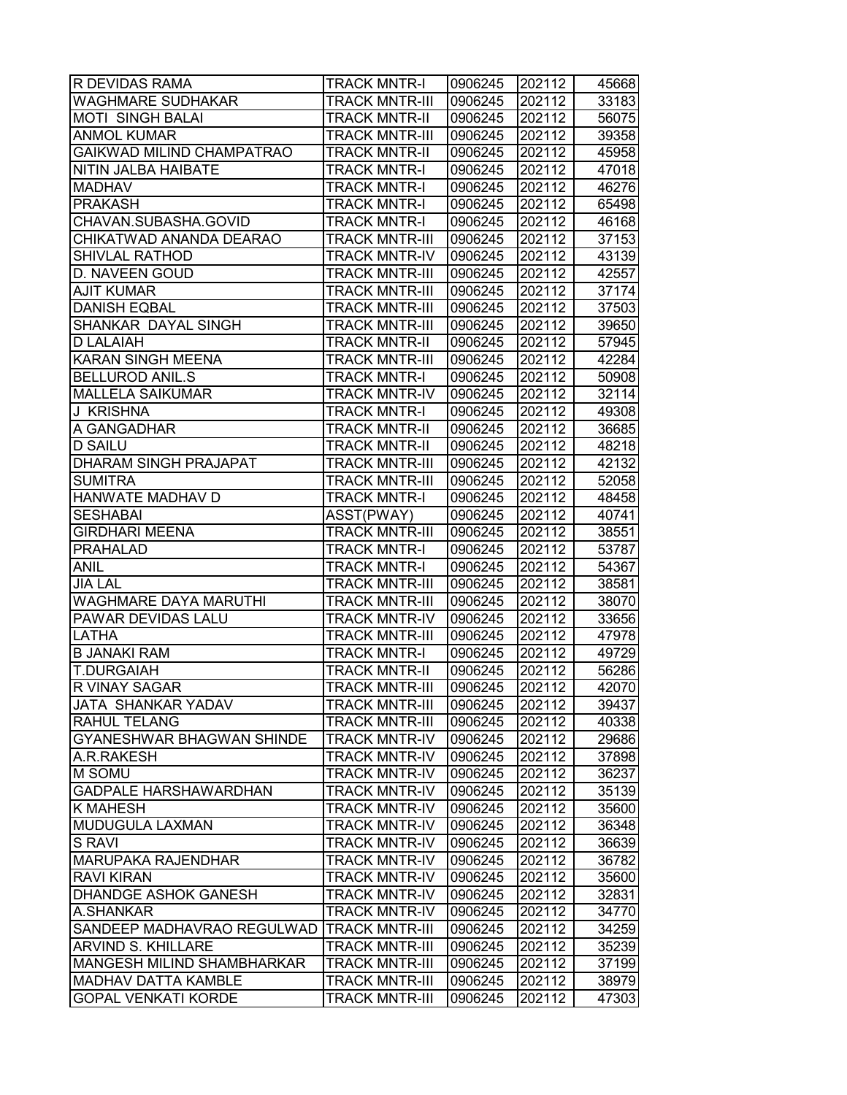| R DEVIDAS RAMA               | <b>TRACK MNTR-I</b>   | 0906245 | 202112 | 45668 |
|------------------------------|-----------------------|---------|--------|-------|
| WAGHMARE SUDHAKAR            | TRACK MNTR-III        | 0906245 | 202112 | 33183 |
| <b>MOTI SINGH BALAI</b>      | <b>TRACK MNTR-II</b>  | 0906245 | 202112 | 56075 |
| <b>ANMOL KUMAR</b>           | <b>TRACK MNTR-III</b> | 0906245 | 202112 | 39358 |
| GAIKWAD MILIND CHAMPATRAO    | <b>TRACK MNTR-II</b>  | 0906245 | 202112 | 45958 |
| NITIN JALBA HAIBATE          | <b>TRACK MNTR-I</b>   | 0906245 | 202112 | 47018 |
| <b>MADHAV</b>                | <b>TRACK MNTR-I</b>   | 0906245 | 202112 | 46276 |
| <b>PRAKASH</b>               | <b>TRACK MNTR-I</b>   | 0906245 | 202112 | 65498 |
| CHAVAN.SUBASHA.GOVID         | <b>TRACK MNTR-I</b>   | 0906245 | 202112 | 46168 |
| CHIKATWAD ANANDA DEARAO      | <b>TRACK MNTR-III</b> | 0906245 | 202112 | 37153 |
| <b>SHIVLAL RATHOD</b>        | <b>TRACK MNTR-IV</b>  | 0906245 | 202112 | 43139 |
| D. NAVEEN GOUD               | <b>TRACK MNTR-III</b> | 0906245 | 202112 | 42557 |
| <b>AJIT KUMAR</b>            | <b>TRACK MNTR-III</b> | 0906245 | 202112 | 37174 |
| <b>DANISH EQBAL</b>          | <b>TRACK MNTR-III</b> | 0906245 | 202112 | 37503 |
| SHANKAR DAYAL SINGH          | TRACK MNTR-III        | 0906245 | 202112 | 39650 |
| <b>D LALAIAH</b>             | <b>TRACK MNTR-II</b>  | 0906245 | 202112 | 57945 |
| <b>KARAN SINGH MEENA</b>     | <b>TRACK MNTR-III</b> | 0906245 | 202112 | 42284 |
| <b>BELLUROD ANIL.S</b>       | <b>TRACK MNTR-I</b>   | 0906245 | 202112 | 50908 |
| <b>MALLELA SAIKUMAR</b>      | <b>TRACK MNTR-IV</b>  | 0906245 | 202112 | 32114 |
| J KRISHNA                    | <b>TRACK MNTR-I</b>   | 0906245 | 202112 | 49308 |
| A GANGADHAR                  | <b>TRACK MNTR-II</b>  | 0906245 | 202112 | 36685 |
| <b>D SAILU</b>               | <b>TRACK MNTR-II</b>  | 0906245 | 202112 | 48218 |
| DHARAM SINGH PRAJAPAT        | <b>TRACK MNTR-III</b> | 0906245 | 202112 | 42132 |
| <b>SUMITRA</b>               | TRACK MNTR-III        | 0906245 | 202112 | 52058 |
| HANWATE MADHAV D             | <b>TRACK MNTR-I</b>   | 0906245 | 202112 | 48458 |
| <b>SESHABAI</b>              | ASST(PWAY)            | 0906245 | 202112 | 40741 |
| <b>GIRDHARI MEENA</b>        | TRACK MNTR-III        | 0906245 | 202112 | 38551 |
| <b>PRAHALAD</b>              | TRACK MNTR-I          | 0906245 | 202112 | 53787 |
| <b>ANIL</b>                  | <b>TRACK MNTR-I</b>   | 0906245 | 202112 | 54367 |
| <b>JIA LAL</b>               | <b>TRACK MNTR-III</b> | 0906245 | 202112 | 38581 |
| <b>WAGHMARE DAYA MARUTHI</b> | <b>TRACK MNTR-III</b> | 0906245 | 202112 | 38070 |
| PAWAR DEVIDAS LALU           | <b>TRACK MNTR-IV</b>  | 0906245 | 202112 | 33656 |
| LATHA                        | <b>TRACK MNTR-III</b> | 0906245 | 202112 | 47978 |
| <b>B JANAKI RAM</b>          | <b>TRACK MNTR-I</b>   | 0906245 | 202112 | 49729 |
| <b>T.DURGAIAH</b>            | <b>TRACK MNTR-II</b>  | 0906245 | 202112 | 56286 |
| R VINAY SAGAR                | <b>TRACK MNTR-III</b> | 0906245 | 202112 | 42070 |
| JATA SHANKAR YADAV           | <b>TRACK MNTR-III</b> | 0906245 | 202112 | 39437 |
| <b>RAHUL TELANG</b>          | <b>TRACK MNTR-III</b> | 0906245 | 202112 | 40338 |
| GYANESHWAR BHAGWAN SHINDE    | <b>TRACK MNTR-IV</b>  | 0906245 | 202112 | 29686 |
| A.R.RAKESH                   | <b>TRACK MNTR-IV</b>  | 0906245 | 202112 | 37898 |
| <b>M SOMU</b>                | TRACK MNTR-IV         | 0906245 | 202112 | 36237 |
| <b>GADPALE HARSHAWARDHAN</b> | <b>TRACK MNTR-IV</b>  | 0906245 | 202112 | 35139 |
| <b>K MAHESH</b>              | <b>TRACK MNTR-IV</b>  | 0906245 | 202112 | 35600 |
| MUDUGULA LAXMAN              | <b>TRACK MNTR-IV</b>  | 0906245 | 202112 | 36348 |
| S RAVI                       | <b>TRACK MNTR-IV</b>  | 0906245 | 202112 | 36639 |
| <b>MARUPAKA RAJENDHAR</b>    | TRACK MNTR-IV         | 0906245 | 202112 | 36782 |
| <b>RAVI KIRAN</b>            | <b>TRACK MNTR-IV</b>  | 0906245 | 202112 | 35600 |
| DHANDGE ASHOK GANESH         | <b>TRACK MNTR-IV</b>  | 0906245 | 202112 | 32831 |
| A.SHANKAR                    | <b>TRACK MNTR-IV</b>  | 0906245 | 202112 | 34770 |
| SANDEEP MADHAVRAO REGULWAD   | <b>TRACK MNTR-III</b> | 0906245 | 202112 | 34259 |
| <b>ARVIND S. KHILLARE</b>    | <b>TRACK MNTR-III</b> | 0906245 | 202112 | 35239 |
| MANGESH MILIND SHAMBHARKAR   | TRACK MNTR-III        | 0906245 | 202112 | 37199 |
| MADHAV DATTA KAMBLE          | <b>TRACK MNTR-III</b> | 0906245 | 202112 | 38979 |
| <b>GOPAL VENKATI KORDE</b>   | <b>TRACK MNTR-III</b> | 0906245 | 202112 | 47303 |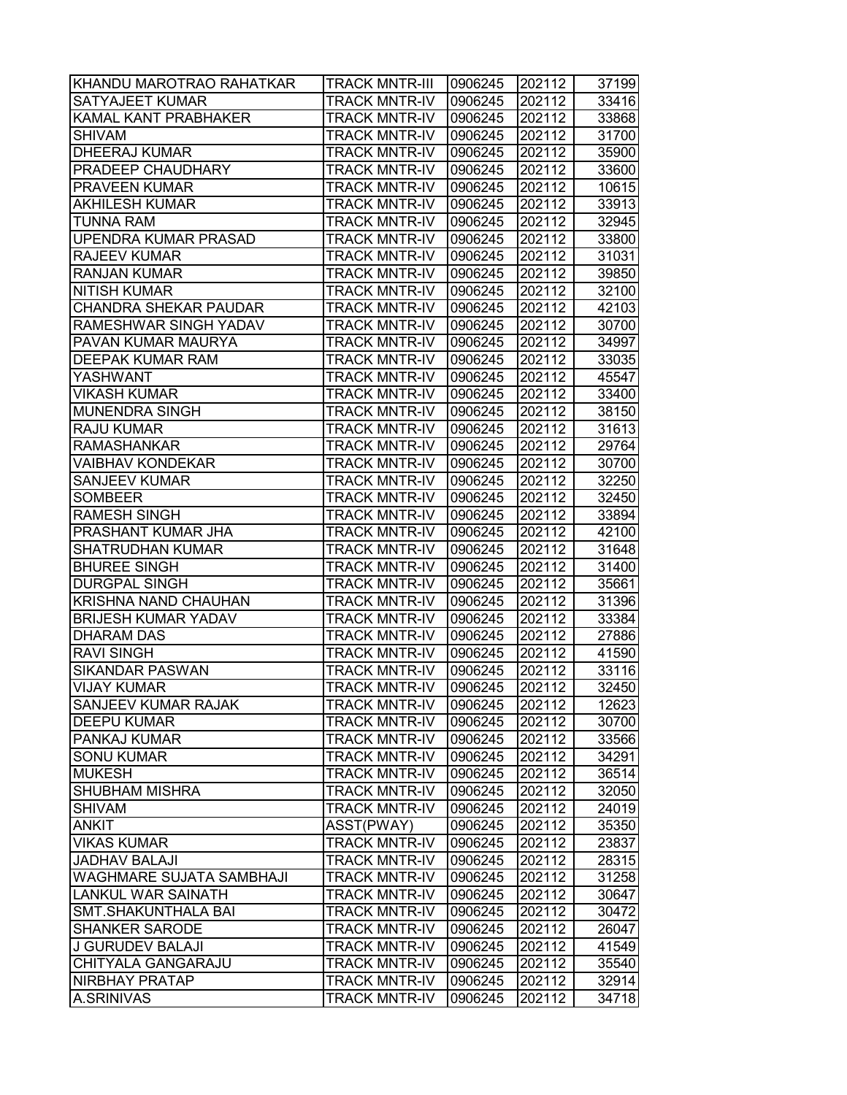| KHANDU MAROTRAO RAHATKAR        | <b>TRACK MNTR-III</b> | 0906245 | 202112 | 37199 |
|---------------------------------|-----------------------|---------|--------|-------|
| SATYAJEET KUMAR                 | <b>TRACK MNTR-IV</b>  | 0906245 | 202112 | 33416 |
| KAMAL KANT PRABHAKER            | <b>TRACK MNTR-IV</b>  | 0906245 | 202112 | 33868 |
| <b>SHIVAM</b>                   | <b>TRACK MNTR-IV</b>  | 0906245 | 202112 | 31700 |
| <b>DHEERAJ KUMAR</b>            | <b>TRACK MNTR-IV</b>  | 0906245 | 202112 | 35900 |
| <b>PRADEEP CHAUDHARY</b>        | <b>TRACK MNTR-IV</b>  | 0906245 | 202112 | 33600 |
| <b>PRAVEEN KUMAR</b>            | <b>TRACK MNTR-IV</b>  | 0906245 | 202112 | 10615 |
| <b>AKHILESH KUMAR</b>           | <b>TRACK MNTR-IV</b>  | 0906245 | 202112 | 33913 |
| <b>TUNNA RAM</b>                | <b>TRACK MNTR-IV</b>  | 0906245 | 202112 | 32945 |
| <b>UPENDRA KUMAR PRASAD</b>     | <b>TRACK MNTR-IV</b>  | 0906245 | 202112 | 33800 |
| <b>RAJEEV KUMAR</b>             | <b>TRACK MNTR-IV</b>  | 0906245 | 202112 | 31031 |
| <b>RANJAN KUMAR</b>             | <b>TRACK MNTR-IV</b>  | 0906245 | 202112 | 39850 |
| <b>NITISH KUMAR</b>             | <b>TRACK MNTR-IV</b>  | 0906245 | 202112 | 32100 |
| CHANDRA SHEKAR PAUDAR           | <b>TRACK MNTR-IV</b>  | 0906245 | 202112 | 42103 |
| RAMESHWAR SINGH YADAV           | <b>TRACK MNTR-IV</b>  | 0906245 | 202112 | 30700 |
| PAVAN KUMAR MAURYA              | <b>TRACK MNTR-IV</b>  | 0906245 | 202112 | 34997 |
| <b>DEEPAK KUMAR RAM</b>         | <b>TRACK MNTR-IV</b>  | 0906245 | 202112 | 33035 |
| <b>YASHWANT</b>                 | <b>TRACK MNTR-IV</b>  | 0906245 | 202112 | 45547 |
| <b>VIKASH KUMAR</b>             | <b>TRACK MNTR-IV</b>  | 0906245 | 202112 | 33400 |
| <b>MUNENDRA SINGH</b>           | <b>TRACK MNTR-IV</b>  | 0906245 | 202112 | 38150 |
| <b>RAJU KUMAR</b>               | <b>TRACK MNTR-IV</b>  | 0906245 | 202112 | 31613 |
| <b>RAMASHANKAR</b>              | <b>TRACK MNTR-IV</b>  | 0906245 | 202112 | 29764 |
| <b>VAIBHAV KONDEKAR</b>         | <b>TRACK MNTR-IV</b>  | 0906245 | 202112 | 30700 |
| <b>SANJEEV KUMAR</b>            | <b>TRACK MNTR-IV</b>  | 0906245 | 202112 | 32250 |
| <b>SOMBEER</b>                  | <b>TRACK MNTR-IV</b>  | 0906245 | 202112 | 32450 |
| <b>RAMESH SINGH</b>             | <b>TRACK MNTR-IV</b>  | 0906245 | 202112 | 33894 |
| PRASHANT KUMAR JHA              | <b>TRACK MNTR-IV</b>  | 0906245 | 202112 | 42100 |
| <b>SHATRUDHAN KUMAR</b>         | <b>TRACK MNTR-IV</b>  | 0906245 | 202112 | 31648 |
| <b>BHUREE SINGH</b>             | <b>TRACK MNTR-IV</b>  | 0906245 | 202112 | 31400 |
| <b>DURGPAL SINGH</b>            | <b>TRACK MNTR-IV</b>  | 0906245 | 202112 | 35661 |
| <b>KRISHNA NAND CHAUHAN</b>     | <b>TRACK MNTR-IV</b>  | 0906245 | 202112 | 31396 |
| <b>BRIJESH KUMAR YADAV</b>      | <b>TRACK MNTR-IV</b>  | 0906245 | 202112 | 33384 |
| <b>DHARAM DAS</b>               | <b>TRACK MNTR-IV</b>  | 0906245 | 202112 | 27886 |
| <b>RAVI SINGH</b>               | <b>TRACK MNTR-IV</b>  | 0906245 | 202112 | 41590 |
| <b>SIKANDAR PASWAN</b>          | <b>TRACK MNTR-IV</b>  | 0906245 | 202112 | 33116 |
| <b>VIJAY KUMAR</b>              | <b>TRACK MNTR-IV</b>  | 0906245 | 202112 | 32450 |
| <b>SANJEEV KUMAR RAJAK</b>      | <b>TRACK MNTR-IV</b>  | 0906245 | 202112 | 12623 |
| <b>DEEPU KUMAR</b>              | <b>TRACK MNTR-IV</b>  | 0906245 | 202112 | 30700 |
| <b>PANKAJ KUMAR</b>             | <b>TRACK MNTR-IV</b>  | 0906245 | 202112 | 33566 |
| <b>SONU KUMAR</b>               | <b>TRACK MNTR-IV</b>  | 0906245 | 202112 | 34291 |
| <b>MUKESH</b>                   | <b>TRACK MNTR-IV</b>  | 0906245 | 202112 | 36514 |
| <b>SHUBHAM MISHRA</b>           | <b>TRACK MNTR-IV</b>  | 0906245 | 202112 | 32050 |
| <b>SHIVAM</b>                   | <b>TRACK MNTR-IV</b>  | 0906245 | 202112 | 24019 |
| <b>ANKIT</b>                    | ASST(PWAY)            | 0906245 | 202112 | 35350 |
| <b>VIKAS KUMAR</b>              | <b>TRACK MNTR-IV</b>  | 0906245 | 202112 | 23837 |
| <b>JADHAV BALAJI</b>            | <b>TRACK MNTR-IV</b>  | 0906245 | 202112 | 28315 |
| <b>WAGHMARE SUJATA SAMBHAJI</b> | <b>TRACK MNTR-IV</b>  | 0906245 | 202112 | 31258 |
| <b>LANKUL WAR SAINATH</b>       | <b>TRACK MNTR-IV</b>  | 0906245 | 202112 | 30647 |
| <b>SMT.SHAKUNTHALA BAI</b>      | <b>TRACK MNTR-IV</b>  | 0906245 | 202112 | 30472 |
| <b>SHANKER SARODE</b>           | <b>TRACK MNTR-IV</b>  | 0906245 | 202112 | 26047 |
| J GURUDEV BALAJI                | <b>TRACK MNTR-IV</b>  | 0906245 | 202112 | 41549 |
| CHITYALA GANGARAJU              | <b>TRACK MNTR-IV</b>  | 0906245 | 202112 | 35540 |
| <b>NIRBHAY PRATAP</b>           | <b>TRACK MNTR-IV</b>  | 0906245 | 202112 | 32914 |
| <b>A.SRINIVAS</b>               | <b>TRACK MNTR-IV</b>  | 0906245 | 202112 | 34718 |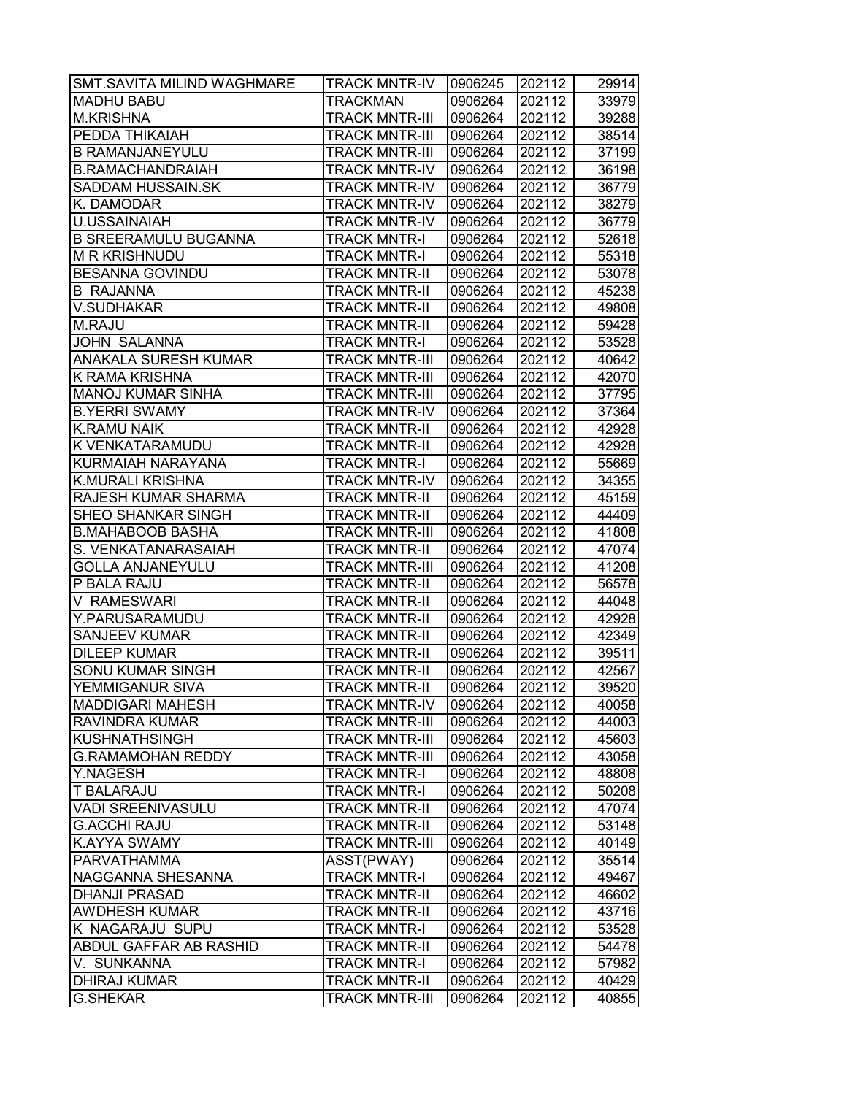| <b>SMT.SAVITA MILIND WAGHMARE</b> | <b>TRACK MNTR-IV</b>  | 0906245 | 202112 | 29914 |
|-----------------------------------|-----------------------|---------|--------|-------|
| <b>MADHU BABU</b>                 | <b>TRACKMAN</b>       | 0906264 | 202112 | 33979 |
| <b>M.KRISHNA</b>                  | <b>TRACK MNTR-III</b> | 0906264 | 202112 | 39288 |
| PEDDA THIKAIAH                    | <b>TRACK MNTR-III</b> | 0906264 | 202112 | 38514 |
| <b>B RAMANJANEYULU</b>            | <b>TRACK MNTR-III</b> | 0906264 | 202112 | 37199 |
| <b>B.RAMACHANDRAIAH</b>           | <b>TRACK MNTR-IV</b>  | 0906264 | 202112 | 36198 |
| <b>SADDAM HUSSAIN.SK</b>          | <b>TRACK MNTR-IV</b>  | 0906264 | 202112 | 36779 |
| K. DAMODAR                        | <b>TRACK MNTR-IV</b>  | 0906264 | 202112 | 38279 |
| <b>U.USSAINAIAH</b>               | <b>TRACK MNTR-IV</b>  | 0906264 | 202112 | 36779 |
| <b>B SREERAMULU BUGANNA</b>       | <b>TRACK MNTR-I</b>   | 0906264 | 202112 | 52618 |
| <b>M R KRISHNUDU</b>              | <b>TRACK MNTR-I</b>   | 0906264 | 202112 | 55318 |
| <b>BESANNA GOVINDU</b>            | <b>TRACK MNTR-II</b>  | 0906264 | 202112 | 53078 |
| <b>B RAJANNA</b>                  | <b>TRACK MNTR-II</b>  | 0906264 | 202112 | 45238 |
| <b>V.SUDHAKAR</b>                 | <b>TRACK MNTR-II</b>  | 0906264 | 202112 | 49808 |
| <b>M.RAJU</b>                     | <b>TRACK MNTR-II</b>  | 0906264 | 202112 | 59428 |
| JOHN SALANNA                      | <b>TRACK MNTR-I</b>   | 0906264 | 202112 | 53528 |
| <b>ANAKALA SURESH KUMAR</b>       | <b>TRACK MNTR-III</b> | 0906264 | 202112 | 40642 |
| <b>K RAMA KRISHNA</b>             | <b>TRACK MNTR-III</b> | 0906264 | 202112 | 42070 |
| <b>MANOJ KUMAR SINHA</b>          | <b>TRACK MNTR-III</b> | 0906264 | 202112 | 37795 |
| <b>B.YERRI SWAMY</b>              | <b>TRACK MNTR-IV</b>  | 0906264 | 202112 | 37364 |
| <b>K.RAMU NAIK</b>                | <b>TRACK MNTR-II</b>  | 0906264 | 202112 | 42928 |
| <b>K VENKATARAMUDU</b>            | <b>TRACK MNTR-II</b>  | 0906264 | 202112 | 42928 |
| KURMAIAH NARAYANA                 | <b>TRACK MNTR-I</b>   | 0906264 | 202112 | 55669 |
| <b>K.MURALI KRISHNA</b>           | <b>TRACK MNTR-IV</b>  | 0906264 | 202112 | 34355 |
| <b>RAJESH KUMAR SHARMA</b>        | <b>TRACK MNTR-II</b>  | 0906264 | 202112 | 45159 |
| <b>SHEO SHANKAR SINGH</b>         | <b>TRACK MNTR-II</b>  | 0906264 | 202112 | 44409 |
| <b>B.MAHABOOB BASHA</b>           | <b>TRACK MNTR-III</b> | 0906264 | 202112 | 41808 |
| S. VENKATANARASAIAH               | <b>TRACK MNTR-II</b>  | 0906264 | 202112 | 47074 |
| <b>GOLLA ANJANEYULU</b>           | <b>TRACK MNTR-III</b> | 0906264 | 202112 | 41208 |
| P BALA RAJU                       | <b>TRACK MNTR-II</b>  | 0906264 | 202112 | 56578 |
| <b>V RAMESWARI</b>                | <b>TRACK MNTR-II</b>  | 0906264 | 202112 | 44048 |
| Y.PARUSARAMUDU                    | <b>TRACK MNTR-II</b>  | 0906264 | 202112 | 42928 |
| <b>SANJEEV KUMAR</b>              | <b>TRACK MNTR-II</b>  | 0906264 | 202112 | 42349 |
| <b>DILEEP KUMAR</b>               | <b>TRACK MNTR-II</b>  | 0906264 | 202112 | 39511 |
| <b>SONU KUMAR SINGH</b>           | <b>TRACK MNTR-II</b>  | 0906264 | 202112 | 42567 |
| YEMMIGANUR SIVA                   | <b>TRACK MNTR-II</b>  | 0906264 | 202112 | 39520 |
| <b>MADDIGARI MAHESH</b>           | <b>TRACK MNTR-IV</b>  | 0906264 | 202112 | 40058 |
| <b>RAVINDRA KUMAR</b>             | <b>TRACK MNTR-III</b> | 0906264 | 202112 | 44003 |
| <b>KUSHNATHSINGH</b>              | <b>TRACK MNTR-III</b> | 0906264 | 202112 | 45603 |
| <b>G.RAMAMOHAN REDDY</b>          | <b>TRACK MNTR-III</b> | 0906264 | 202112 | 43058 |
| Y.NAGESH                          | <b>TRACK MNTR-I</b>   | 0906264 | 202112 | 48808 |
| <b>T BALARAJU</b>                 | <b>TRACK MNTR-I</b>   | 0906264 | 202112 | 50208 |
| <b>VADI SREENIVASULU</b>          | <b>TRACK MNTR-II</b>  | 0906264 | 202112 | 47074 |
| <b>G.ACCHI RAJU</b>               | <b>TRACK MNTR-II</b>  | 0906264 | 202112 | 53148 |
| <b>K.AYYA SWAMY</b>               | <b>TRACK MNTR-III</b> | 0906264 | 202112 | 40149 |
| <b>PARVATHAMMA</b>                | ASST(PWAY)            | 0906264 | 202112 | 35514 |
| NAGGANNA SHESANNA                 | <b>TRACK MNTR-I</b>   | 0906264 | 202112 | 49467 |
| <b>DHANJI PRASAD</b>              | <b>TRACK MNTR-II</b>  | 0906264 | 202112 | 46602 |
| <b>AWDHESH KUMAR</b>              | <b>TRACK MNTR-II</b>  | 0906264 | 202112 | 43716 |
| K NAGARAJU SUPU                   | <b>TRACK MNTR-I</b>   | 0906264 | 202112 | 53528 |
| ABDUL GAFFAR AB RASHID            | <b>TRACK MNTR-II</b>  | 0906264 | 202112 | 54478 |
| V. SUNKANNA                       | <b>TRACK MNTR-I</b>   | 0906264 | 202112 | 57982 |
| <b>DHIRAJ KUMAR</b>               | <b>TRACK MNTR-II</b>  | 0906264 | 202112 | 40429 |
| <b>G.SHEKAR</b>                   | <b>TRACK MNTR-III</b> | 0906264 | 202112 | 40855 |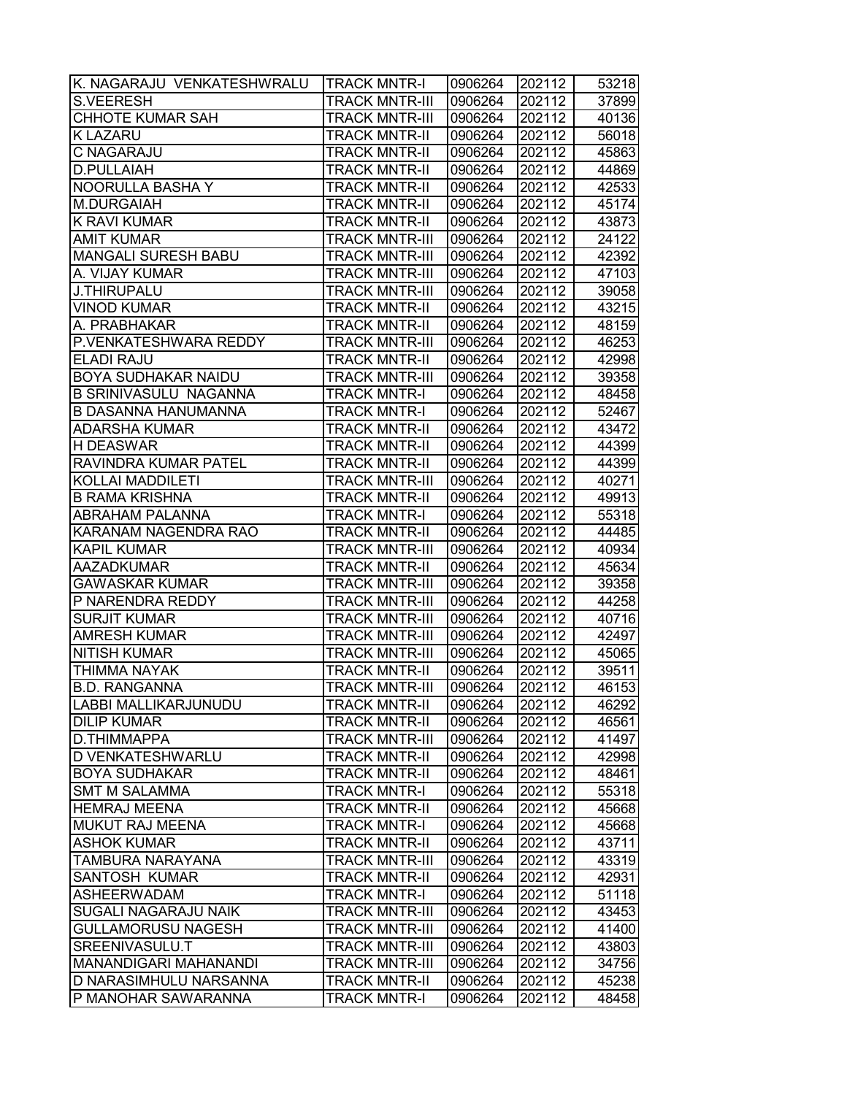| K. NAGARAJU VENKATESHWRALU   | <b>TRACK MNTR-I</b>   | 0906264 | 202112 | 53218 |
|------------------------------|-----------------------|---------|--------|-------|
| <b>S.VEERESH</b>             | <b>TRACK MNTR-III</b> | 0906264 | 202112 | 37899 |
| <b>CHHOTE KUMAR SAH</b>      | TRACK MNTR-III        | 0906264 | 202112 | 40136 |
| K LAZARU                     | <b>TRACK MNTR-II</b>  | 0906264 | 202112 | 56018 |
| C NAGARAJU                   | <b>TRACK MNTR-II</b>  | 0906264 | 202112 | 45863 |
| <b>D.PULLAIAH</b>            | <b>TRACK MNTR-II</b>  | 0906264 | 202112 | 44869 |
| NOORULLA BASHA Y             | <b>TRACK MNTR-II</b>  | 0906264 | 202112 | 42533 |
| M.DURGAIAH                   | <b>TRACK MNTR-II</b>  | 0906264 | 202112 | 45174 |
| K RAVI KUMAR                 | <b>TRACK MNTR-II</b>  | 0906264 | 202112 | 43873 |
| <b>AMIT KUMAR</b>            | <b>TRACK MNTR-III</b> | 0906264 | 202112 | 24122 |
| MANGALI SURESH BABU          | <b>TRACK MNTR-III</b> | 0906264 | 202112 | 42392 |
| A. VIJAY KUMAR               | <b>TRACK MNTR-III</b> | 0906264 | 202112 | 47103 |
| <b>J.THIRUPALU</b>           | <b>TRACK MNTR-III</b> | 0906264 | 202112 | 39058 |
| <b>VINOD KUMAR</b>           | <b>TRACK MNTR-II</b>  | 0906264 | 202112 | 43215 |
| A. PRABHAKAR                 | TRACK MNTR-II         | 0906264 | 202112 | 48159 |
| P.VENKATESHWARA REDDY        | <b>TRACK MNTR-III</b> | 0906264 | 202112 | 46253 |
| <b>ELADI RAJU</b>            | <b>TRACK MNTR-II</b>  | 0906264 | 202112 | 42998 |
| BOYA SUDHAKAR NAIDU          | <b>TRACK MNTR-III</b> | 0906264 | 202112 | 39358 |
| <b>B SRINIVASULU NAGANNA</b> | <b>TRACK MNTR-I</b>   | 0906264 | 202112 | 48458 |
| <b>B DASANNA HANUMANNA</b>   | <b>TRACK MNTR-I</b>   | 0906264 | 202112 | 52467 |
| <b>ADARSHA KUMAR</b>         | TRACK MNTR-II         | 0906264 | 202112 | 43472 |
| <b>H DEASWAR</b>             | <b>TRACK MNTR-II</b>  | 0906264 | 202112 | 44399 |
| RAVINDRA KUMAR PATEL         | <b>TRACK MNTR-II</b>  | 0906264 | 202112 | 44399 |
| <b>KOLLAI MADDILETI</b>      | TRACK MNTR-III        | 0906264 | 202112 | 40271 |
| <b>B RAMA KRISHNA</b>        | <b>TRACK MNTR-II</b>  | 0906264 | 202112 | 49913 |
| ABRAHAM PALANNA              | <b>TRACK MNTR-I</b>   | 0906264 | 202112 | 55318 |
| KARANAM NAGENDRA RAO         | TRACK MNTR-II         | 0906264 | 202112 | 44485 |
| <b>KAPIL KUMAR</b>           | TRACK MNTR-III        | 0906264 | 202112 | 40934 |
| <b>AAZADKUMAR</b>            | <b>TRACK MNTR-II</b>  | 0906264 | 202112 | 45634 |
| <b>GAWASKAR KUMAR</b>        | <b>TRACK MNTR-III</b> | 0906264 | 202112 | 39358 |
| P NARENDRA REDDY             | <b>TRACK MNTR-III</b> | 0906264 | 202112 | 44258 |
| <b>SURJIT KUMAR</b>          | <b>TRACK MNTR-III</b> | 0906264 | 202112 | 40716 |
| <b>AMRESH KUMAR</b>          | <b>TRACK MNTR-III</b> | 0906264 | 202112 | 42497 |
| <b>NITISH KUMAR</b>          | <b>TRACK MNTR-III</b> | 0906264 | 202112 | 45065 |
| <b>THIMMA NAYAK</b>          | <b>TRACK MNTR-II</b>  | 0906264 | 202112 | 39511 |
| <b>B.D. RANGANNA</b>         | <b>TRACK MNTR-III</b> | 0906264 | 202112 | 46153 |
| LABBI MALLIKARJUNUDU         | <b>TRACK MNTR-II</b>  | 0906264 | 202112 | 46292 |
| <b>DILIP KUMAR</b>           | <b>TRACK MNTR-II</b>  | 0906264 | 202112 | 46561 |
| D.THIMMAPPA                  | TRACK MNTR-III        | 0906264 | 202112 | 41497 |
| D VENKATESHWARLU             | TRACK MNTR-II         | 0906264 | 202112 | 42998 |
| <b>BOYA SUDHAKAR</b>         | TRACK MNTR-II         | 0906264 | 202112 | 48461 |
| <b>SMT M SALAMMA</b>         | <b>TRACK MNTR-I</b>   | 0906264 | 202112 | 55318 |
| <b>HEMRAJ MEENA</b>          | <b>TRACK MNTR-II</b>  | 0906264 | 202112 | 45668 |
| MUKUT RAJ MEENA              | <b>TRACK MNTR-I</b>   | 0906264 | 202112 | 45668 |
| <b>ASHOK KUMAR</b>           | <b>TRACK MNTR-II</b>  | 0906264 | 202112 | 43711 |
| TAMBURA NARAYANA             | <b>TRACK MNTR-III</b> | 0906264 | 202112 | 43319 |
| SANTOSH KUMAR                | <b>TRACK MNTR-II</b>  | 0906264 | 202112 | 42931 |
| <b>ASHEERWADAM</b>           | <b>TRACK MNTR-I</b>   | 0906264 | 202112 | 51118 |
| SUGALI NAGARAJU NAIK         | <b>TRACK MNTR-III</b> | 0906264 | 202112 | 43453 |
| <b>GULLAMORUSU NAGESH</b>    | TRACK MNTR-III        | 0906264 | 202112 | 41400 |
| SREENIVASULU.T               | TRACK MNTR-III        | 0906264 | 202112 | 43803 |
| MANANDIGARI MAHANANDI        | TRACK MNTR-III        | 0906264 | 202112 | 34756 |
| D NARASIMHULU NARSANNA       | TRACK MNTR-II         | 0906264 | 202112 | 45238 |
| P MANOHAR SAWARANNA          | TRACK MNTR-I          | 0906264 | 202112 | 48458 |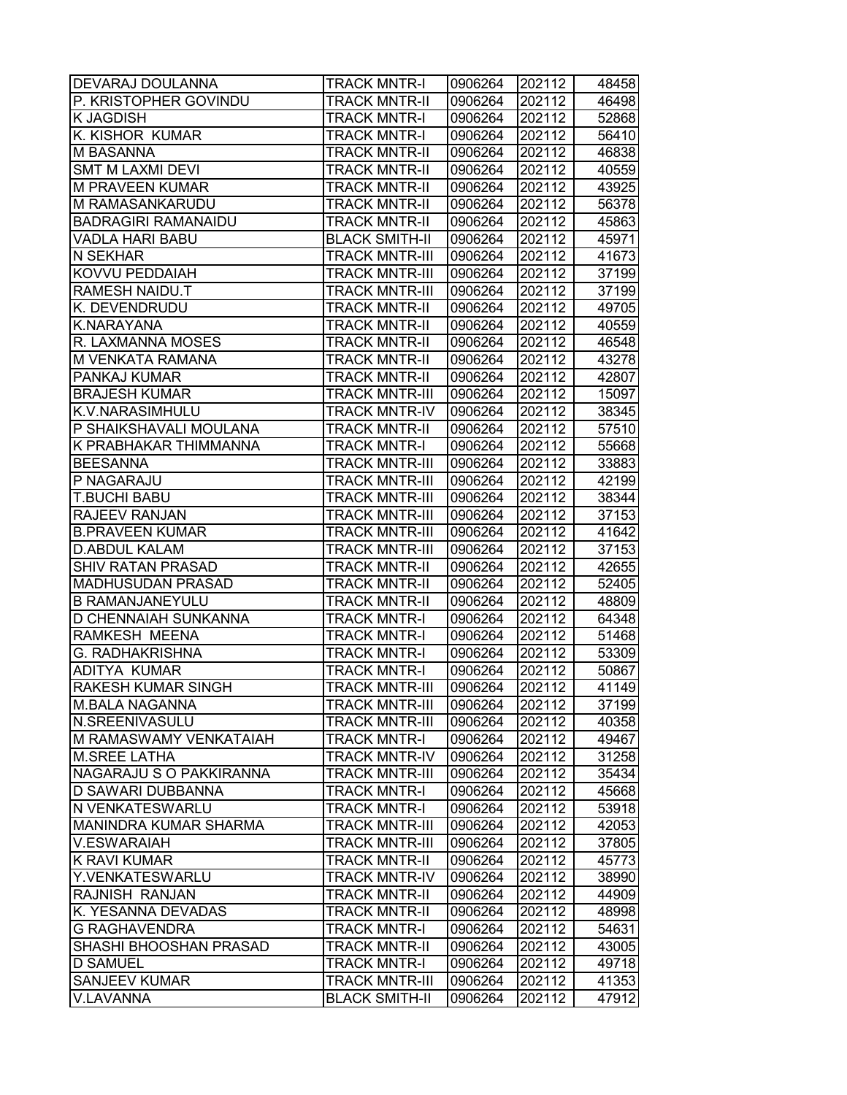| <b>DEVARAJ DOULANNA</b>       | <b>TRACK MNTR-I</b>   | 0906264 | 202112 | 48458 |
|-------------------------------|-----------------------|---------|--------|-------|
| P. KRISTOPHER GOVINDU         | <b>TRACK MNTR-II</b>  | 0906264 | 202112 | 46498 |
| <b>K JAGDISH</b>              | <b>TRACK MNTR-I</b>   | 0906264 | 202112 | 52868 |
| <b>K. KISHOR KUMAR</b>        | <b>TRACK MNTR-I</b>   | 0906264 | 202112 | 56410 |
| <b>M BASANNA</b>              | <b>TRACK MNTR-II</b>  | 0906264 | 202112 | 46838 |
| <b>SMT M LAXMI DEVI</b>       | <b>TRACK MNTR-II</b>  | 0906264 | 202112 | 40559 |
| <b>M PRAVEEN KUMAR</b>        | <b>TRACK MNTR-II</b>  | 0906264 | 202112 | 43925 |
| M RAMASANKARUDU               | <b>TRACK MNTR-II</b>  | 0906264 | 202112 | 56378 |
| <b>BADRAGIRI RAMANAIDU</b>    | <b>TRACK MNTR-II</b>  | 0906264 | 202112 | 45863 |
| <b>VADLA HARI BABU</b>        | <b>BLACK SMITH-II</b> | 0906264 | 202112 | 45971 |
| N SEKHAR                      | <b>TRACK MNTR-III</b> | 0906264 | 202112 | 41673 |
| <b>KOVVU PEDDAIAH</b>         | <b>TRACK MNTR-III</b> | 0906264 | 202112 | 37199 |
| <b>RAMESH NAIDU.T</b>         | <b>TRACK MNTR-III</b> | 0906264 | 202112 | 37199 |
| K. DEVENDRUDU                 | <b>TRACK MNTR-II</b>  | 0906264 | 202112 | 49705 |
| K.NARAYANA                    | <b>TRACK MNTR-II</b>  | 0906264 | 202112 | 40559 |
| R. LAXMANNA MOSES             | <b>TRACK MNTR-II</b>  | 0906264 | 202112 | 46548 |
| <b>M VENKATA RAMANA</b>       | <b>TRACK MNTR-II</b>  | 0906264 | 202112 | 43278 |
| <b>PANKAJ KUMAR</b>           | <b>TRACK MNTR-II</b>  | 0906264 | 202112 | 42807 |
| <b>BRAJESH KUMAR</b>          | <b>TRACK MNTR-III</b> | 0906264 | 202112 | 15097 |
| K.V.NARASIMHULU               | <b>TRACK MNTR-IV</b>  | 0906264 | 202112 | 38345 |
| P SHAIKSHAVALI MOULANA        | <b>TRACK MNTR-II</b>  | 0906264 | 202112 | 57510 |
| <b>K PRABHAKAR THIMMANNA</b>  | <b>TRACK MNTR-I</b>   | 0906264 | 202112 | 55668 |
| <b>BEESANNA</b>               | <b>TRACK MNTR-III</b> | 0906264 | 202112 | 33883 |
| P NAGARAJU                    | <b>TRACK MNTR-III</b> | 0906264 | 202112 | 42199 |
| <b>T.BUCHI BABU</b>           | <b>TRACK MNTR-III</b> | 0906264 | 202112 | 38344 |
| RAJEEV RANJAN                 | <b>TRACK MNTR-III</b> | 0906264 | 202112 | 37153 |
| <b>B.PRAVEEN KUMAR</b>        | <b>TRACK MNTR-III</b> | 0906264 | 202112 | 41642 |
| <b>D.ABDUL KALAM</b>          | <b>TRACK MNTR-III</b> | 0906264 | 202112 | 37153 |
| <b>SHIV RATAN PRASAD</b>      | <b>TRACK MNTR-II</b>  | 0906264 | 202112 | 42655 |
| <b>MADHUSUDAN PRASAD</b>      | <b>TRACK MNTR-II</b>  | 0906264 | 202112 | 52405 |
| <b>B RAMANJANEYULU</b>        | <b>TRACK MNTR-II</b>  | 0906264 | 202112 | 48809 |
| D CHENNAIAH SUNKANNA          | <b>TRACK MNTR-I</b>   | 0906264 | 202112 | 64348 |
| <b>RAMKESH MEENA</b>          | <b>TRACK MNTR-I</b>   | 0906264 | 202112 | 51468 |
| <b>G. RADHAKRISHNA</b>        | <b>TRACK MNTR-I</b>   | 0906264 | 202112 | 53309 |
| <b>ADITYA KUMAR</b>           | <b>TRACK MNTR-I</b>   | 0906264 | 202112 | 50867 |
| <b>RAKESH KUMAR SINGH</b>     | <b>TRACK MNTR-III</b> | 0906264 | 202112 | 41149 |
| <b>M.BALA NAGANNA</b>         | <b>TRACK MNTR-III</b> | 0906264 | 202112 | 37199 |
| N.SREENIVASULU                | <b>TRACK MNTR-III</b> | 0906264 | 202112 | 40358 |
| M RAMASWAMY VENKATAIAH        | <b>TRACK MNTR-I</b>   | 0906264 | 202112 | 49467 |
| <b>M.SREE LATHA</b>           | <b>TRACK MNTR-IV</b>  | 0906264 | 202112 | 31258 |
| NAGARAJU S O PAKKIRANNA       | <b>TRACK MNTR-III</b> | 0906264 | 202112 | 35434 |
| D SAWARI DUBBANNA             | <b>TRACK MNTR-I</b>   | 0906264 | 202112 | 45668 |
| N VENKATESWARLU               | <b>TRACK MNTR-I</b>   | 0906264 | 202112 | 53918 |
| MANINDRA KUMAR SHARMA         | <b>TRACK MNTR-III</b> | 0906264 | 202112 | 42053 |
| <b>V.ESWARAIAH</b>            | <b>TRACK MNTR-III</b> | 0906264 | 202112 | 37805 |
| <b>K RAVI KUMAR</b>           | <b>TRACK MNTR-II</b>  | 0906264 | 202112 | 45773 |
| Y.VENKATESWARLU               | <b>TRACK MNTR-IV</b>  | 0906264 | 202112 | 38990 |
| <b>RAJNISH RANJAN</b>         | <b>TRACK MNTR-II</b>  | 0906264 | 202112 | 44909 |
| K. YESANNA DEVADAS            | <b>TRACK MNTR-II</b>  | 0906264 | 202112 | 48998 |
| <b>G RAGHAVENDRA</b>          | <b>TRACK MNTR-I</b>   | 0906264 | 202112 | 54631 |
| <b>SHASHI BHOOSHAN PRASAD</b> | <b>TRACK MNTR-II</b>  | 0906264 | 202112 | 43005 |
| <b>D SAMUEL</b>               | <b>TRACK MNTR-I</b>   | 0906264 | 202112 | 49718 |
| <b>SANJEEV KUMAR</b>          | <b>TRACK MNTR-III</b> | 0906264 | 202112 | 41353 |
| V.LAVANNA                     | <b>BLACK SMITH-II</b> | 0906264 | 202112 | 47912 |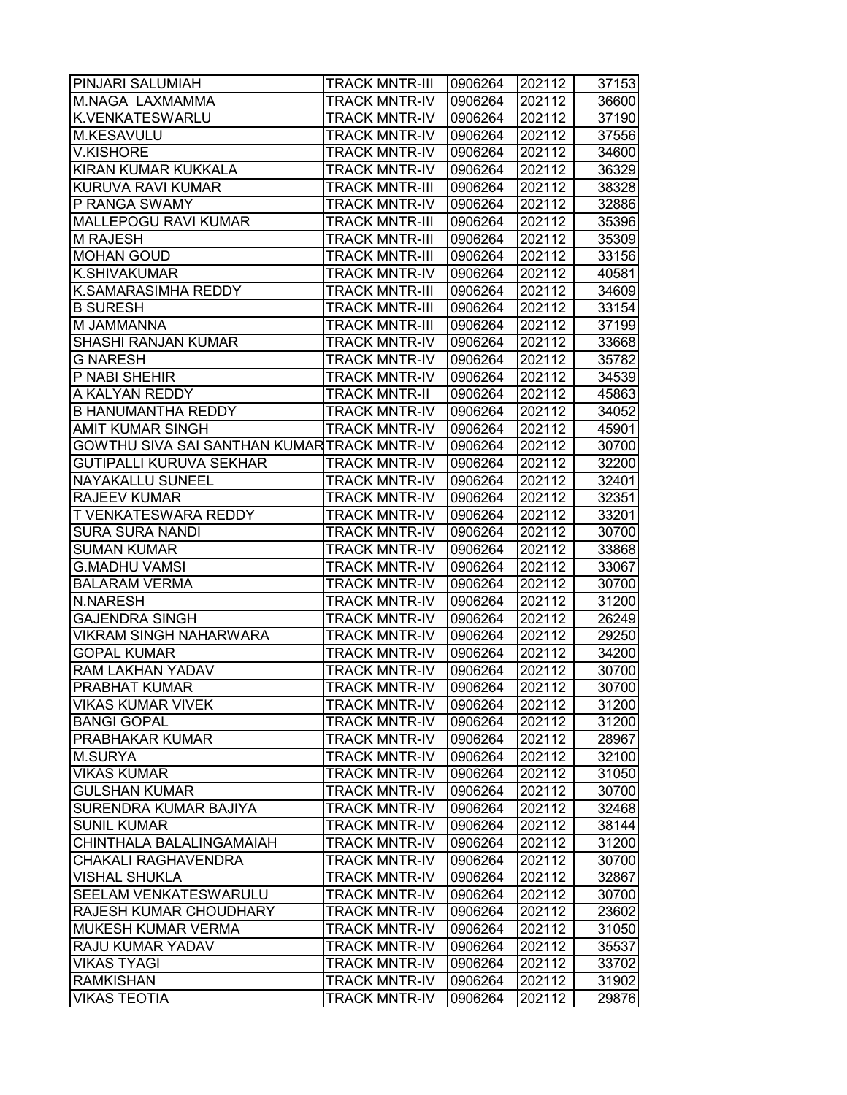| PINJARI SALUMIAH                            | <b>TRACK MNTR-III</b> | 0906264 | 202112 | 37153 |
|---------------------------------------------|-----------------------|---------|--------|-------|
| M.NAGA LAXMAMMA                             | TRACK MNTR-IV         | 0906264 | 202112 | 36600 |
| K.VENKATESWARLU                             | TRACK MNTR-IV         | 0906264 | 202112 | 37190 |
| <b>M.KESAVULU</b>                           | <b>TRACK MNTR-IV</b>  | 0906264 | 202112 | 37556 |
| <b>V.KISHORE</b>                            | <b>TRACK MNTR-IV</b>  | 0906264 | 202112 | 34600 |
| KIRAN KUMAR KUKKALA                         | <b>TRACK MNTR-IV</b>  | 0906264 | 202112 | 36329 |
| <b>KURUVA RAVI KUMAR</b>                    | <b>TRACK MNTR-III</b> | 0906264 | 202112 | 38328 |
| P RANGA SWAMY                               | <b>TRACK MNTR-IV</b>  | 0906264 | 202112 | 32886 |
| <b>MALLEPOGU RAVI KUMAR</b>                 | <b>TRACK MNTR-III</b> | 0906264 | 202112 | 35396 |
| M RAJESH                                    | <b>TRACK MNTR-III</b> | 0906264 | 202112 | 35309 |
| <b>MOHAN GOUD</b>                           | <b>TRACK MNTR-III</b> | 0906264 | 202112 | 33156 |
| K.SHIVAKUMAR                                | <b>TRACK MNTR-IV</b>  | 0906264 | 202112 | 40581 |
| K.SAMARASIMHA REDDY                         | TRACK MNTR-III        | 0906264 | 202112 | 34609 |
| <b>B SURESH</b>                             | <b>TRACK MNTR-III</b> | 0906264 | 202112 | 33154 |
| M JAMMANNA                                  | TRACK MNTR-III        | 0906264 | 202112 | 37199 |
| SHASHI RANJAN KUMAR                         | <b>TRACK MNTR-IV</b>  | 0906264 | 202112 | 33668 |
| <b>G NARESH</b>                             | <b>TRACK MNTR-IV</b>  | 0906264 | 202112 | 35782 |
| P NABI SHEHIR                               | <b>TRACK MNTR-IV</b>  | 0906264 | 202112 | 34539 |
| A KALYAN REDDY                              | <b>TRACK MNTR-II</b>  | 0906264 | 202112 | 45863 |
| <b>B HANUMANTHA REDDY</b>                   | <b>TRACK MNTR-IV</b>  | 0906264 | 202112 | 34052 |
| AMIT KUMAR SINGH                            | <b>TRACK MNTR-IV</b>  | 0906264 | 202112 | 45901 |
| GOWTHU SIVA SAI SANTHAN KUMAR TRACK MNTR-IV |                       | 0906264 | 202112 | 30700 |
| <b>GUTIPALLI KURUVA SEKHAR</b>              | <b>TRACK MNTR-IV</b>  | 0906264 | 202112 | 32200 |
| NAYAKALLU SUNEEL                            | TRACK MNTR-IV         | 0906264 | 202112 | 32401 |
| <b>RAJEEV KUMAR</b>                         | <b>TRACK MNTR-IV</b>  | 0906264 | 202112 | 32351 |
| T VENKATESWARA REDDY                        | <b>TRACK MNTR-IV</b>  | 0906264 | 202112 | 33201 |
| <b>SURA SURA NANDI</b>                      | TRACK MNTR-IV         | 0906264 | 202112 | 30700 |
| <b>SUMAN KUMAR</b>                          | TRACK MNTR-IV         | 0906264 | 202112 | 33868 |
| <b>G.MADHU VAMSI</b>                        | <b>TRACK MNTR-IV</b>  | 0906264 | 202112 | 33067 |
| <b>BALARAM VERMA</b>                        | <b>TRACK MNTR-IV</b>  | 0906264 | 202112 | 30700 |
| <b>N.NARESH</b>                             | <b>TRACK MNTR-IV</b>  | 0906264 | 202112 | 31200 |
| <b>GAJENDRA SINGH</b>                       | <b>TRACK MNTR-IV</b>  | 0906264 | 202112 | 26249 |
| <b>VIKRAM SINGH NAHARWARA</b>               | <b>TRACK MNTR-IV</b>  | 0906264 | 202112 | 29250 |
| <b>GOPAL KUMAR</b>                          | <b>TRACK MNTR-IV</b>  | 0906264 | 202112 | 34200 |
| RAM LAKHAN YADAV                            | <b>TRACK MNTR-IV</b>  | 0906264 | 202112 | 30700 |
| <b>PRABHAT KUMAR</b>                        | <b>TRACK MNTR-IV</b>  | 0906264 | 202112 | 30700 |
| <b>VIKAS KUMAR VIVEK</b>                    | <b>TRACK MNTR-IV</b>  | 0906264 | 202112 | 31200 |
| <b>BANGI GOPAL</b>                          | TRACK MNTR-IV         | 0906264 | 202112 | 31200 |
| PRABHAKAR KUMAR                             | TRACK MNTR-IV         | 0906264 | 202112 | 28967 |
| <b>M.SURYA</b>                              | TRACK MNTR-IV         | 0906264 | 202112 | 32100 |
| <b>VIKAS KUMAR</b>                          | TRACK MNTR-IV         | 0906264 | 202112 | 31050 |
| <b>GULSHAN KUMAR</b>                        | <b>TRACK MNTR-IV</b>  | 0906264 | 202112 | 30700 |
| SURENDRA KUMAR BAJIYA                       | <b>TRACK MNTR-IV</b>  | 0906264 | 202112 | 32468 |
| <b>SUNIL KUMAR</b>                          | <b>TRACK MNTR-IV</b>  | 0906264 | 202112 | 38144 |
| CHINTHALA BALALINGAMAIAH                    | <b>TRACK MNTR-IV</b>  | 0906264 | 202112 | 31200 |
| CHAKALI RAGHAVENDRA                         | <b>TRACK MNTR-IV</b>  | 0906264 | 202112 | 30700 |
| <b>VISHAL SHUKLA</b>                        | <b>TRACK MNTR-IV</b>  | 0906264 | 202112 | 32867 |
| SEELAM VENKATESWARULU                       | <b>TRACK MNTR-IV</b>  | 0906264 | 202112 | 30700 |
| RAJESH KUMAR CHOUDHARY                      | TRACK MNTR-IV         | 0906264 | 202112 | 23602 |
| MUKESH KUMAR VERMA                          | TRACK MNTR-IV         | 0906264 | 202112 | 31050 |
| RAJU KUMAR YADAV                            | <b>TRACK MNTR-IV</b>  | 0906264 | 202112 | 35537 |
| <b>VIKAS TYAGI</b>                          | TRACK MNTR-IV         | 0906264 | 202112 | 33702 |
| <b>RAMKISHAN</b>                            | <b>TRACK MNTR-IV</b>  | 0906264 | 202112 | 31902 |
| <b>VIKAS TEOTIA</b>                         | <b>TRACK MNTR-IV</b>  | 0906264 | 202112 | 29876 |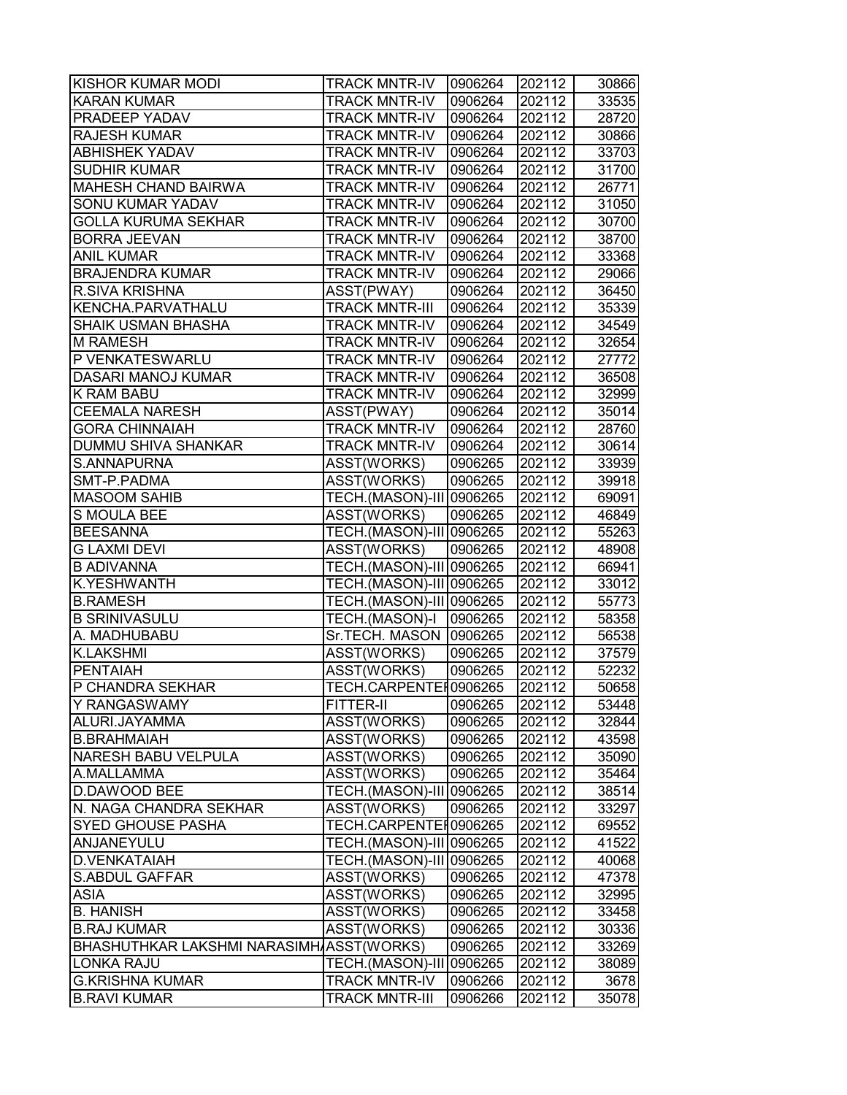| <b>KISHOR KUMAR MODI</b>                 | <b>TRACK MNTR-IV</b>     | 0906264 | 202112 | 30866 |
|------------------------------------------|--------------------------|---------|--------|-------|
| <b>KARAN KUMAR</b>                       | <b>TRACK MNTR-IV</b>     | 0906264 | 202112 | 33535 |
| <b>PRADEEP YADAV</b>                     | <b>TRACK MNTR-IV</b>     | 0906264 | 202112 | 28720 |
| <b>RAJESH KUMAR</b>                      | <b>TRACK MNTR-IV</b>     | 0906264 | 202112 | 30866 |
| <b>ABHISHEK YADAV</b>                    | <b>TRACK MNTR-IV</b>     | 0906264 | 202112 | 33703 |
| <b>SUDHIR KUMAR</b>                      | <b>TRACK MNTR-IV</b>     | 0906264 | 202112 | 31700 |
| <b>MAHESH CHAND BAIRWA</b>               | <b>TRACK MNTR-IV</b>     | 0906264 | 202112 | 26771 |
| <b>SONU KUMAR YADAV</b>                  | <b>TRACK MNTR-IV</b>     | 0906264 | 202112 | 31050 |
| <b>GOLLA KURUMA SEKHAR</b>               | <b>TRACK MNTR-IV</b>     | 0906264 | 202112 | 30700 |
| <b>BORRA JEEVAN</b>                      | <b>TRACK MNTR-IV</b>     | 0906264 | 202112 | 38700 |
| <b>ANIL KUMAR</b>                        | <b>TRACK MNTR-IV</b>     | 0906264 | 202112 | 33368 |
| <b>BRAJENDRA KUMAR</b>                   | <b>TRACK MNTR-IV</b>     | 0906264 | 202112 | 29066 |
| <b>R.SIVA KRISHNA</b>                    | ASST(PWAY)               | 0906264 | 202112 | 36450 |
| KENCHA.PARVATHALU                        | <b>TRACK MNTR-III</b>    | 0906264 | 202112 | 35339 |
| <b>SHAIK USMAN BHASHA</b>                | <b>TRACK MNTR-IV</b>     | 0906264 | 202112 | 34549 |
| <b>M RAMESH</b>                          | <b>TRACK MNTR-IV</b>     | 0906264 | 202112 | 32654 |
| P VENKATESWARLU                          | <b>TRACK MNTR-IV</b>     | 0906264 | 202112 | 27772 |
| <b>DASARI MANOJ KUMAR</b>                | <b>TRACK MNTR-IV</b>     | 0906264 | 202112 | 36508 |
| <b>K RAM BABU</b>                        | <b>TRACK MNTR-IV</b>     | 0906264 | 202112 | 32999 |
| <b>CEEMALA NARESH</b>                    | ASST(PWAY)               | 0906264 | 202112 | 35014 |
| <b>GORA CHINNAIAH</b>                    | <b>TRACK MNTR-IV</b>     | 0906264 | 202112 | 28760 |
| <b>DUMMU SHIVA SHANKAR</b>               | <b>TRACK MNTR-IV</b>     | 0906264 | 202112 | 30614 |
| S.ANNAPURNA                              | ASST(WORKS)              | 0906265 | 202112 | 33939 |
| SMT-P.PADMA                              | ASST(WORKS)              | 0906265 | 202112 | 39918 |
| <b>MASOOM SAHIB</b>                      | TECH.(MASON)-III 0906265 |         | 202112 | 69091 |
| <b>S MOULA BEE</b>                       | ASST(WORKS)              | 0906265 | 202112 | 46849 |
| <b>BEESANNA</b>                          | TECH.(MASON)-III 0906265 |         | 202112 | 55263 |
| <b>G LAXMI DEVI</b>                      | ASST(WORKS)              | 0906265 | 202112 | 48908 |
| <b>B ADIVANNA</b>                        | TECH.(MASON)-III 0906265 |         | 202112 | 66941 |
| <b>K.YESHWANTH</b>                       | TECH.(MASON)-III 0906265 |         | 202112 | 33012 |
| <b>B.RAMESH</b>                          | TECH.(MASON)-III 0906265 |         | 202112 | 55773 |
| <b>B SRINIVASULU</b>                     | TECH.(MASON)-I           | 0906265 | 202112 | 58358 |
| A. MADHUBABU                             | Sr.TECH. MASON 0906265   |         | 202112 | 56538 |
| <b>K.LAKSHMI</b>                         | ASST(WORKS)              | 0906265 | 202112 | 37579 |
| PENTAIAH                                 | ASST(WORKS)              | 0906265 | 202112 | 52232 |
| P CHANDRA SEKHAR                         | TECH.CARPENTER0906265    |         | 202112 | 50658 |
| Y RANGASWAMY                             | <b>FITTER-II</b>         | 0906265 | 202112 | 53448 |
| ALURI.JAYAMMA                            | ASST(WORKS)              | 0906265 | 202112 | 32844 |
| B.BRAHMAIAH                              | ASST(WORKS)              | 0906265 | 202112 | 43598 |
| <b>NARESH BABU VELPULA</b>               | ASST(WORKS)              | 0906265 | 202112 | 35090 |
| A.MALLAMMA                               | ASST(WORKS)              | 0906265 | 202112 | 35464 |
| <b>D.DAWOOD BEE</b>                      | TECH.(MASON)-III 0906265 |         | 202112 | 38514 |
| N. NAGA CHANDRA SEKHAR                   | ASST(WORKS)              | 0906265 | 202112 | 33297 |
| <b>SYED GHOUSE PASHA</b>                 | TECH.CARPENTEI0906265    |         | 202112 | 69552 |
| ANJANEYULU                               | TECH.(MASON)-III 0906265 |         | 202112 | 41522 |
| <b>D.VENKATAIAH</b>                      | TECH.(MASON)-III 0906265 |         | 202112 | 40068 |
| <b>S.ABDUL GAFFAR</b>                    | ASST(WORKS)              | 0906265 | 202112 | 47378 |
| <b>ASIA</b>                              | ASST(WORKS)              | 0906265 | 202112 | 32995 |
| <b>B. HANISH</b>                         | ASST(WORKS)              | 0906265 | 202112 | 33458 |
| <b>B.RAJ KUMAR</b>                       | ASST(WORKS)              | 0906265 | 202112 | 30336 |
| BHASHUTHKAR LAKSHMI NARASIMHAASST(WORKS) |                          | 0906265 | 202112 | 33269 |
| <b>LONKA RAJU</b>                        | TECH.(MASON)-III 0906265 |         | 202112 | 38089 |
| <b>G.KRISHNA KUMAR</b>                   | TRACK MNTR-IV            | 0906266 | 202112 | 3678  |
| <b>B.RAVI KUMAR</b>                      | <b>TRACK MNTR-III</b>    | 0906266 | 202112 | 35078 |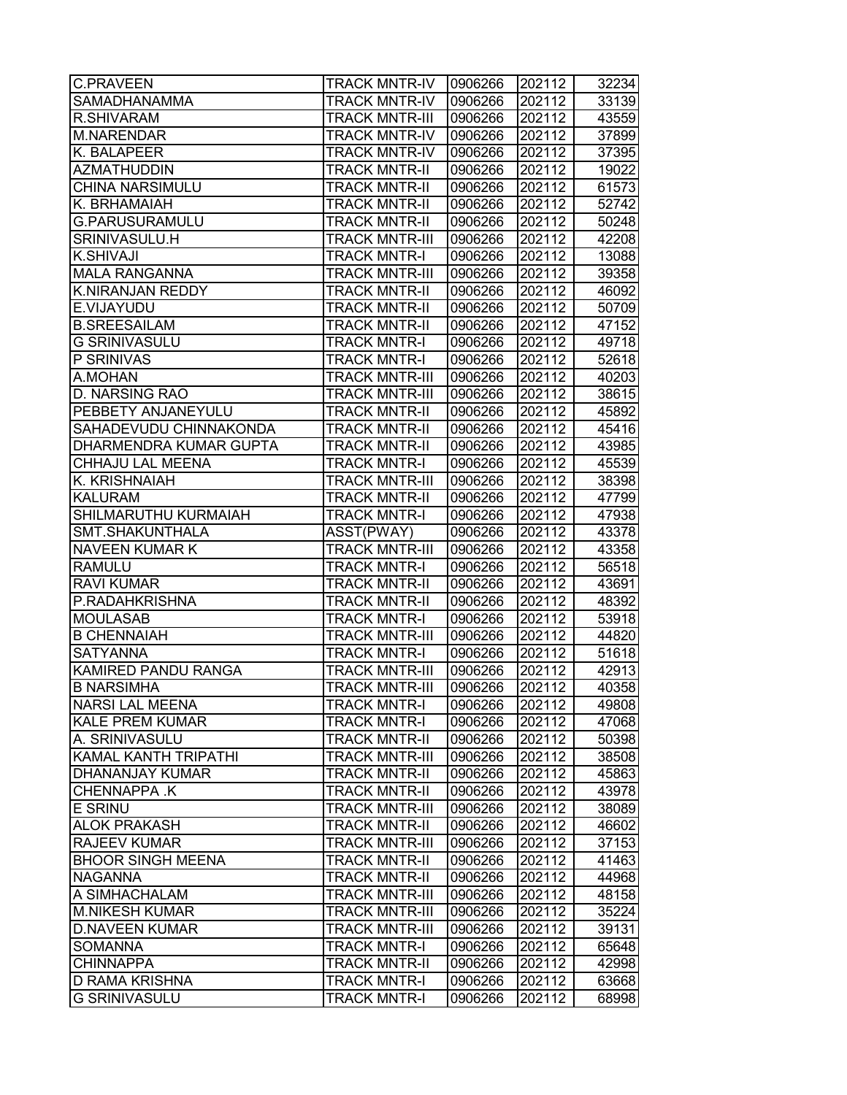| <b>C.PRAVEEN</b>              | <b>TRACK MNTR-IV</b>  | 0906266 | 202112 | 32234 |
|-------------------------------|-----------------------|---------|--------|-------|
| <b>SAMADHANAMMA</b>           | <b>TRACK MNTR-IV</b>  | 0906266 | 202112 | 33139 |
| <b>R.SHIVARAM</b>             | <b>TRACK MNTR-III</b> | 0906266 | 202112 | 43559 |
| <b>M.NARENDAR</b>             | <b>TRACK MNTR-IV</b>  | 0906266 | 202112 | 37899 |
| K. BALAPEER                   | <b>TRACK MNTR-IV</b>  | 0906266 | 202112 | 37395 |
| <b>AZMATHUDDIN</b>            | <b>TRACK MNTR-II</b>  | 0906266 | 202112 | 19022 |
| <b>CHINA NARSIMULU</b>        | <b>TRACK MNTR-II</b>  | 0906266 | 202112 | 61573 |
| K. BRHAMAIAH                  | <b>TRACK MNTR-II</b>  | 0906266 | 202112 | 52742 |
| G.PARUSURAMULU                | <b>TRACK MNTR-II</b>  | 0906266 | 202112 | 50248 |
| SRINIVASULU.H                 | <b>TRACK MNTR-III</b> | 0906266 | 202112 | 42208 |
| <b>K.SHIVAJI</b>              | <b>TRACK MNTR-I</b>   | 0906266 | 202112 | 13088 |
| <b>MALA RANGANNA</b>          | <b>TRACK MNTR-III</b> | 0906266 | 202112 | 39358 |
| <b>K.NIRANJAN REDDY</b>       | <b>TRACK MNTR-II</b>  | 0906266 | 202112 | 46092 |
| E.VIJAYUDU                    | <b>TRACK MNTR-II</b>  | 0906266 | 202112 | 50709 |
| <b>B.SREESAILAM</b>           | <b>TRACK MNTR-II</b>  | 0906266 | 202112 | 47152 |
| <b>G SRINIVASULU</b>          | <b>TRACK MNTR-I</b>   | 0906266 | 202112 | 49718 |
| P SRINIVAS                    | <b>TRACK MNTR-I</b>   | 0906266 | 202112 | 52618 |
| A.MOHAN                       | <b>TRACK MNTR-III</b> | 0906266 | 202112 | 40203 |
| <b>D. NARSING RAO</b>         | <b>TRACK MNTR-III</b> | 0906266 | 202112 | 38615 |
| PEBBETY ANJANEYULU            | <b>TRACK MNTR-II</b>  | 0906266 | 202112 | 45892 |
| SAHADEVUDU CHINNAKONDA        | <b>TRACK MNTR-II</b>  | 0906266 | 202112 | 45416 |
| <b>DHARMENDRA KUMAR GUPTA</b> | <b>TRACK MNTR-II</b>  | 0906266 | 202112 | 43985 |
| <b>CHHAJU LAL MEENA</b>       | <b>TRACK MNTR-I</b>   | 0906266 | 202112 | 45539 |
| K. KRISHNAIAH                 | <b>TRACK MNTR-III</b> | 0906266 | 202112 | 38398 |
| <b>KALURAM</b>                | <b>TRACK MNTR-II</b>  | 0906266 | 202112 | 47799 |
| SHILMARUTHU KURMAIAH          | <b>TRACK MNTR-I</b>   | 0906266 | 202112 | 47938 |
| SMT.SHAKUNTHALA               | ASST(PWAY)            | 0906266 | 202112 | 43378 |
| <b>NAVEEN KUMAR K</b>         | <b>TRACK MNTR-III</b> | 0906266 | 202112 | 43358 |
| <b>RAMULU</b>                 | <b>TRACK MNTR-I</b>   | 0906266 | 202112 | 56518 |
| <b>RAVI KUMAR</b>             | <b>TRACK MNTR-II</b>  | 0906266 | 202112 | 43691 |
| P.RADAHKRISHNA                | <b>TRACK MNTR-II</b>  | 0906266 | 202112 | 48392 |
| <b>MOULASAB</b>               | <b>TRACK MNTR-I</b>   | 0906266 | 202112 | 53918 |
| <b>B CHENNAIAH</b>            | <b>TRACK MNTR-III</b> | 0906266 | 202112 | 44820 |
| <b>SATYANNA</b>               | <b>TRACK MNTR-I</b>   | 0906266 | 202112 | 51618 |
| <b>KAMIRED PANDU RANGA</b>    | <b>TRACK MNTR-III</b> | 0906266 | 202112 | 42913 |
| <b>B NARSIMHA</b>             | <b>TRACK MNTR-III</b> | 0906266 | 202112 | 40358 |
| <b>NARSI LAL MEENA</b>        | <b>TRACK MNTR-I</b>   | 0906266 | 202112 | 49808 |
| <b>KALE PREM KUMAR</b>        | <b>TRACK MNTR-I</b>   | 0906266 | 202112 | 47068 |
| A. SRINIVASULU                | <b>TRACK MNTR-II</b>  | 0906266 | 202112 | 50398 |
| <b>KAMAL KANTH TRIPATHI</b>   | <b>TRACK MNTR-III</b> | 0906266 | 202112 | 38508 |
| <b>DHANANJAY KUMAR</b>        | <b>TRACK MNTR-II</b>  | 0906266 | 202112 | 45863 |
| <b>CHENNAPPA K</b>            | <b>TRACK MNTR-II</b>  | 0906266 | 202112 | 43978 |
| <b>E SRINU</b>                | <b>TRACK MNTR-III</b> | 0906266 | 202112 | 38089 |
| <b>ALOK PRAKASH</b>           | <b>TRACK MNTR-II</b>  | 0906266 | 202112 | 46602 |
| <b>RAJEEV KUMAR</b>           | <b>TRACK MNTR-III</b> | 0906266 | 202112 | 37153 |
| <b>BHOOR SINGH MEENA</b>      | <b>TRACK MNTR-II</b>  | 0906266 | 202112 | 41463 |
| <b>NAGANNA</b>                | <b>TRACK MNTR-II</b>  | 0906266 | 202112 | 44968 |
| A SIMHACHALAM                 | <b>TRACK MNTR-III</b> | 0906266 | 202112 | 48158 |
| <b>M.NIKESH KUMAR</b>         | <b>TRACK MNTR-III</b> | 0906266 | 202112 | 35224 |
| <b>D.NAVEEN KUMAR</b>         | <b>TRACK MNTR-III</b> | 0906266 | 202112 | 39131 |
| <b>SOMANNA</b>                | <b>TRACK MNTR-I</b>   | 0906266 | 202112 | 65648 |
| <b>CHINNAPPA</b>              | <b>TRACK MNTR-II</b>  | 0906266 | 202112 | 42998 |
| <b>ID RAMA KRISHNA</b>        | <b>TRACK MNTR-I</b>   | 0906266 | 202112 | 63668 |
| <b>G SRINIVASULU</b>          | <b>TRACK MNTR-I</b>   | 0906266 | 202112 | 68998 |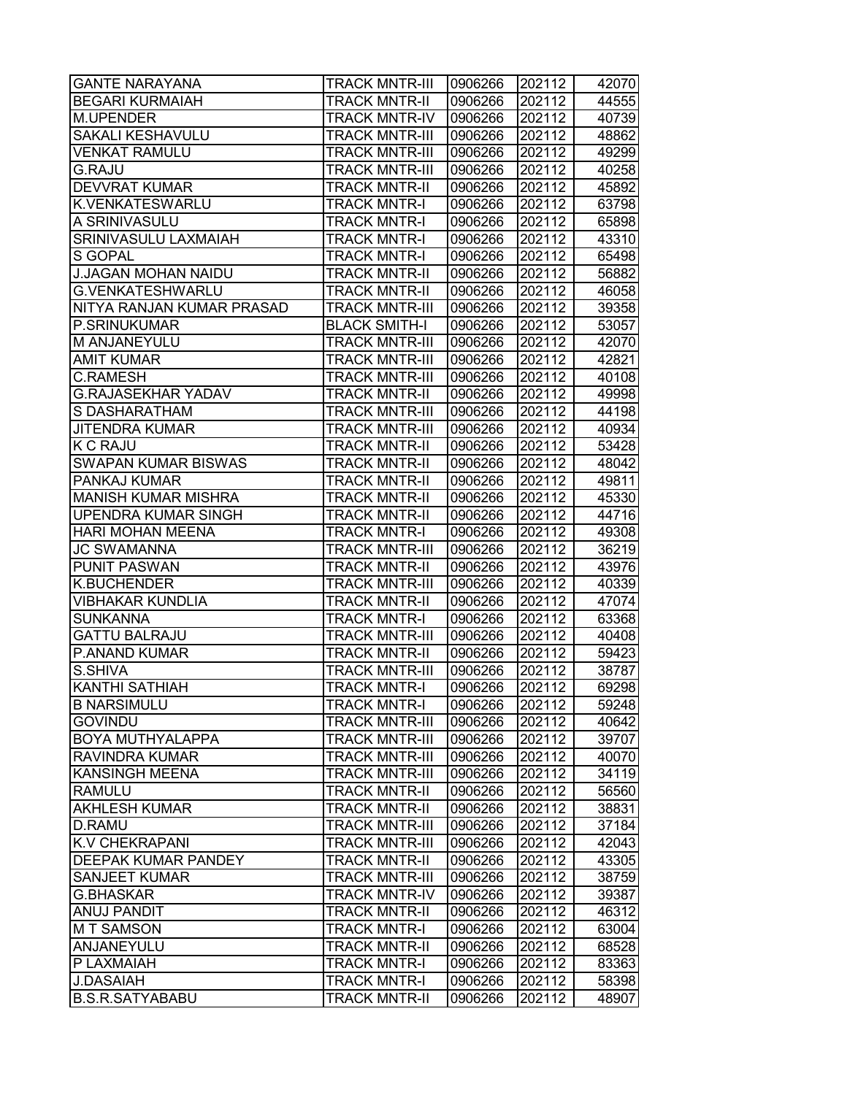| <b>GANTE NARAYANA</b>      | <b>TRACK MNTR-III</b> | 0906266 | 202112 | 42070 |
|----------------------------|-----------------------|---------|--------|-------|
| <b>BEGARI KURMAIAH</b>     | <b>TRACK MNTR-II</b>  | 0906266 | 202112 | 44555 |
| M.UPENDER                  | <b>TRACK MNTR-IV</b>  | 0906266 | 202112 | 40739 |
| <b>SAKALI KESHAVULU</b>    | <b>TRACK MNTR-III</b> | 0906266 | 202112 | 48862 |
| <b>VENKAT RAMULU</b>       | <b>TRACK MNTR-III</b> | 0906266 | 202112 | 49299 |
| <b>G.RAJU</b>              | <b>TRACK MNTR-III</b> | 0906266 | 202112 | 40258 |
| <b>DEVVRAT KUMAR</b>       | <b>TRACK MNTR-II</b>  | 0906266 | 202112 | 45892 |
| <b>K.VENKATESWARLU</b>     | <b>TRACK MNTR-I</b>   | 0906266 | 202112 | 63798 |
| A SRINIVASULU              | <b>TRACK MNTR-I</b>   | 0906266 | 202112 | 65898 |
| SRINIVASULU LAXMAIAH       | <b>TRACK MNTR-I</b>   | 0906266 | 202112 | 43310 |
| <b>S GOPAL</b>             | <b>TRACK MNTR-I</b>   | 0906266 | 202112 | 65498 |
| <b>J.JAGAN MOHAN NAIDU</b> | <b>TRACK MNTR-II</b>  | 0906266 | 202112 | 56882 |
| G.VENKATESHWARLU           | <b>TRACK MNTR-II</b>  | 0906266 | 202112 | 46058 |
| NITYA RANJAN KUMAR PRASAD  | <b>TRACK MNTR-III</b> | 0906266 | 202112 | 39358 |
| P.SRINUKUMAR               | <b>BLACK SMITH-I</b>  | 0906266 | 202112 | 53057 |
| M ANJANEYULU               | <b>TRACK MNTR-III</b> | 0906266 | 202112 | 42070 |
| <b>AMIT KUMAR</b>          | <b>TRACK MNTR-III</b> | 0906266 | 202112 | 42821 |
| <b>C.RAMESH</b>            | <b>TRACK MNTR-III</b> | 0906266 | 202112 | 40108 |
| <b>G.RAJASEKHAR YADAV</b>  | <b>TRACK MNTR-II</b>  | 0906266 | 202112 | 49998 |
| <b>S DASHARATHAM</b>       | <b>TRACK MNTR-III</b> | 0906266 | 202112 | 44198 |
| <b>JITENDRA KUMAR</b>      | <b>TRACK MNTR-III</b> | 0906266 | 202112 | 40934 |
| <b>K C RAJU</b>            | <b>TRACK MNTR-II</b>  | 0906266 | 202112 | 53428 |
| <b>SWAPAN KUMAR BISWAS</b> | <b>TRACK MNTR-II</b>  | 0906266 | 202112 | 48042 |
| <b>PANKAJ KUMAR</b>        | <b>TRACK MNTR-II</b>  | 0906266 | 202112 | 49811 |
| <b>MANISH KUMAR MISHRA</b> | <b>TRACK MNTR-II</b>  | 0906266 | 202112 | 45330 |
| <b>UPENDRA KUMAR SINGH</b> | <b>TRACK MNTR-II</b>  | 0906266 | 202112 | 44716 |
| <b>HARI MOHAN MEENA</b>    | <b>TRACK MNTR-I</b>   | 0906266 | 202112 | 49308 |
| <b>JC SWAMANNA</b>         | <b>TRACK MNTR-III</b> | 0906266 | 202112 | 36219 |
| <b>PUNIT PASWAN</b>        | <b>TRACK MNTR-II</b>  | 0906266 | 202112 | 43976 |
| <b>K.BUCHENDER</b>         | <b>TRACK MNTR-III</b> | 0906266 | 202112 | 40339 |
| <b>VIBHAKAR KUNDLIA</b>    | <b>TRACK MNTR-II</b>  | 0906266 | 202112 | 47074 |
| <b>SUNKANNA</b>            | <b>TRACK MNTR-I</b>   | 0906266 | 202112 | 63368 |
| <b>GATTU BALRAJU</b>       | <b>TRACK MNTR-III</b> | 0906266 | 202112 | 40408 |
| <b>P.ANAND KUMAR</b>       | <b>TRACK MNTR-II</b>  | 0906266 | 202112 | 59423 |
| S.SHIVA                    | <b>TRACK MNTR-III</b> | 0906266 | 202112 | 38787 |
| <b>KANTHI SATHIAH</b>      | <b>TRACK MNTR-I</b>   | 0906266 | 202112 | 69298 |
| <b>B NARSIMULU</b>         | <b>TRACK MNTR-I</b>   | 0906266 | 202112 | 59248 |
| <b>GOVINDU</b>             | <b>TRACK MNTR-III</b> | 0906266 | 202112 | 40642 |
| <b>BOYA MUTHYALAPPA</b>    | <b>TRACK MNTR-III</b> | 0906266 | 202112 | 39707 |
| <b>RAVINDRA KUMAR</b>      | <b>TRACK MNTR-III</b> | 0906266 | 202112 | 40070 |
| <b>KANSINGH MEENA</b>      | TRACK MNTR-III        | 0906266 | 202112 | 34119 |
| <b>RAMULU</b>              | <b>TRACK MNTR-II</b>  | 0906266 | 202112 | 56560 |
| <b>AKHLESH KUMAR</b>       | <b>TRACK MNTR-II</b>  | 0906266 | 202112 | 38831 |
| <b>D.RAMU</b>              | <b>TRACK MNTR-III</b> | 0906266 | 202112 | 37184 |
| <b>K.V CHEKRAPANI</b>      | <b>TRACK MNTR-III</b> | 0906266 | 202112 | 42043 |
| <b>DEEPAK KUMAR PANDEY</b> | <b>TRACK MNTR-II</b>  | 0906266 | 202112 | 43305 |
| <b>SANJEET KUMAR</b>       | <b>TRACK MNTR-III</b> | 0906266 | 202112 | 38759 |
| <b>G.BHASKAR</b>           | <b>TRACK MNTR-IV</b>  | 0906266 | 202112 | 39387 |
| <b>ANUJ PANDIT</b>         | <b>TRACK MNTR-II</b>  | 0906266 | 202112 | 46312 |
| <b>MT SAMSON</b>           | <b>TRACK MNTR-I</b>   | 0906266 | 202112 | 63004 |
| ANJANEYULU                 | <b>TRACK MNTR-II</b>  | 0906266 | 202112 | 68528 |
| P LAXMAIAH                 | <b>TRACK MNTR-I</b>   | 0906266 | 202112 | 83363 |
| <b>J.DASAIAH</b>           | <b>TRACK MNTR-I</b>   | 0906266 | 202112 | 58398 |
| B.S.R.SATYABABU            | <b>TRACK MNTR-II</b>  | 0906266 | 202112 | 48907 |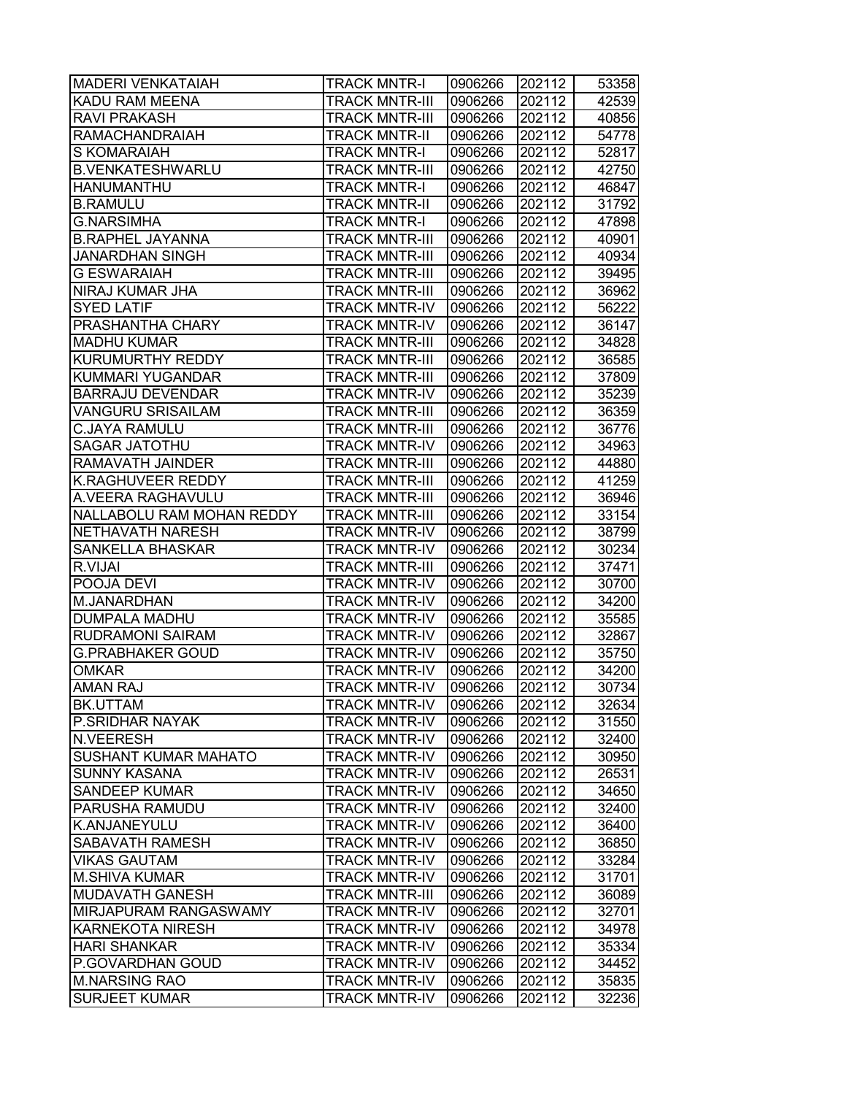| <b>MADERI VENKATAIAH</b>  | <b>TRACK MNTR-I</b>   | 0906266 | 202112 | 53358 |
|---------------------------|-----------------------|---------|--------|-------|
| KADU RAM MEENA            | TRACK MNTR-III        | 0906266 | 202112 | 42539 |
| <b>RAVI PRAKASH</b>       | <b>TRACK MNTR-III</b> | 0906266 | 202112 | 40856 |
| <b>RAMACHANDRAIAH</b>     | <b>TRACK MNTR-II</b>  | 0906266 | 202112 | 54778 |
| <b>S KOMARAIAH</b>        | <b>TRACK MNTR-I</b>   | 0906266 | 202112 | 52817 |
| <b>B.VENKATESHWARLU</b>   | <b>TRACK MNTR-III</b> | 0906266 | 202112 | 42750 |
| <b>HANUMANTHU</b>         | <b>TRACK MNTR-I</b>   | 0906266 | 202112 | 46847 |
| <b>B.RAMULU</b>           | <b>TRACK MNTR-II</b>  | 0906266 | 202112 | 31792 |
| <b>G.NARSIMHA</b>         | <b>TRACK MNTR-I</b>   | 0906266 | 202112 | 47898 |
| <b>B.RAPHEL JAYANNA</b>   | <b>TRACK MNTR-III</b> | 0906266 | 202112 | 40901 |
| <b>JANARDHAN SINGH</b>    | <b>TRACK MNTR-III</b> | 0906266 | 202112 | 40934 |
| <b>G ESWARAIAH</b>        | <b>TRACK MNTR-III</b> | 0906266 | 202112 | 39495 |
| NIRAJ KUMAR JHA           | <b>TRACK MNTR-III</b> | 0906266 | 202112 | 36962 |
| <b>SYED LATIF</b>         | <b>TRACK MNTR-IV</b>  | 0906266 | 202112 | 56222 |
| PRASHANTHA CHARY          | TRACK MNTR-IV         | 0906266 | 202112 | 36147 |
| <b>MADHU KUMAR</b>        | <b>TRACK MNTR-III</b> | 0906266 | 202112 | 34828 |
| KURUMURTHY REDDY          | <b>TRACK MNTR-III</b> | 0906266 | 202112 | 36585 |
| <b>KUMMARI YUGANDAR</b>   | <b>TRACK MNTR-III</b> | 0906266 | 202112 | 37809 |
| <b>BARRAJU DEVENDAR</b>   | <b>TRACK MNTR-IV</b>  | 0906266 | 202112 | 35239 |
| <b>VANGURU SRISAILAM</b>  | <b>TRACK MNTR-III</b> | 0906266 | 202112 | 36359 |
| <b>C.JAYA RAMULU</b>      | <b>TRACK MNTR-III</b> | 0906266 | 202112 | 36776 |
| <b>SAGAR JATOTHU</b>      | <b>TRACK MNTR-IV</b>  | 0906266 | 202112 | 34963 |
| RAMAVATH JAINDER          | <b>TRACK MNTR-III</b> | 0906266 | 202112 | 44880 |
| <b>K.RAGHUVEER REDDY</b>  | <b>TRACK MNTR-III</b> | 0906266 | 202112 | 41259 |
| A.VEERA RAGHAVULU         | <b>TRACK MNTR-III</b> | 0906266 | 202112 | 36946 |
| NALLABOLU RAM MOHAN REDDY | <b>TRACK MNTR-III</b> | 0906266 | 202112 | 33154 |
| NETHAVATH NARESH          | TRACK MNTR-IV         | 0906266 | 202112 | 38799 |
| SANKELLA BHASKAR          | TRACK MNTR-IV         | 0906266 | 202112 | 30234 |
| R.VIJAI                   | <b>TRACK MNTR-III</b> | 0906266 | 202112 | 37471 |
| POOJA DEVI                | <b>TRACK MNTR-IV</b>  | 0906266 | 202112 | 30700 |
| M.JANARDHAN               | <b>TRACK MNTR-IV</b>  | 0906266 | 202112 | 34200 |
| <b>DUMPALA MADHU</b>      | <b>TRACK MNTR-IV</b>  | 0906266 | 202112 | 35585 |
| RUDRAMONI SAIRAM          | <b>TRACK MNTR-IV</b>  | 0906266 | 202112 | 32867 |
| <b>G.PRABHAKER GOUD</b>   | <b>TRACK MNTR-IV</b>  | 0906266 | 202112 | 35750 |
| <b>OMKAR</b>              | <b>TRACK MNTR-IV</b>  | 0906266 | 202112 | 34200 |
| <b>AMAN RAJ</b>           | <b>TRACK MNTR-IV</b>  | 0906266 | 202112 | 30734 |
| BK.UTTAM                  | <b>TRACK MNTR-IV</b>  | 0906266 | 202112 | 32634 |
| P.SRIDHAR NAYAK           | <b>TRACK MNTR-IV</b>  | 0906266 | 202112 | 31550 |
| N.VEERESH                 | TRACK MNTR-IV         | 0906266 | 202112 | 32400 |
| SUSHANT KUMAR MAHATO      | TRACK MNTR-IV         | 0906266 | 202112 | 30950 |
| <b>SUNNY KASANA</b>       | TRACK MNTR-IV         | 0906266 | 202112 | 26531 |
| <b>SANDEEP KUMAR</b>      | <b>TRACK MNTR-IV</b>  | 0906266 | 202112 | 34650 |
| PARUSHA RAMUDU            | <b>TRACK MNTR-IV</b>  | 0906266 | 202112 | 32400 |
| K.ANJANEYULU              | <b>TRACK MNTR-IV</b>  | 0906266 | 202112 | 36400 |
| <b>SABAVATH RAMESH</b>    | <b>TRACK MNTR-IV</b>  | 0906266 | 202112 | 36850 |
| <b>VIKAS GAUTAM</b>       | TRACK MNTR-IV         | 0906266 | 202112 | 33284 |
| <b>M.SHIVA KUMAR</b>      | <b>TRACK MNTR-IV</b>  | 0906266 | 202112 | 31701 |
| <b>MUDAVATH GANESH</b>    | <b>TRACK MNTR-III</b> | 0906266 | 202112 | 36089 |
| MIRJAPURAM RANGASWAMY     | TRACK MNTR-IV         | 0906266 | 202112 | 32701 |
| <b>KARNEKOTA NIRESH</b>   | TRACK MNTR-IV         | 0906266 | 202112 | 34978 |
| <b>HARI SHANKAR</b>       | TRACK MNTR-IV         | 0906266 | 202112 | 35334 |
| P.GOVARDHAN GOUD          | TRACK MNTR-IV         | 0906266 | 202112 | 34452 |
| <b>M.NARSING RAO</b>      | TRACK MNTR-IV         | 0906266 | 202112 | 35835 |
| <b>SURJEET KUMAR</b>      | <b>TRACK MNTR-IV</b>  | 0906266 | 202112 | 32236 |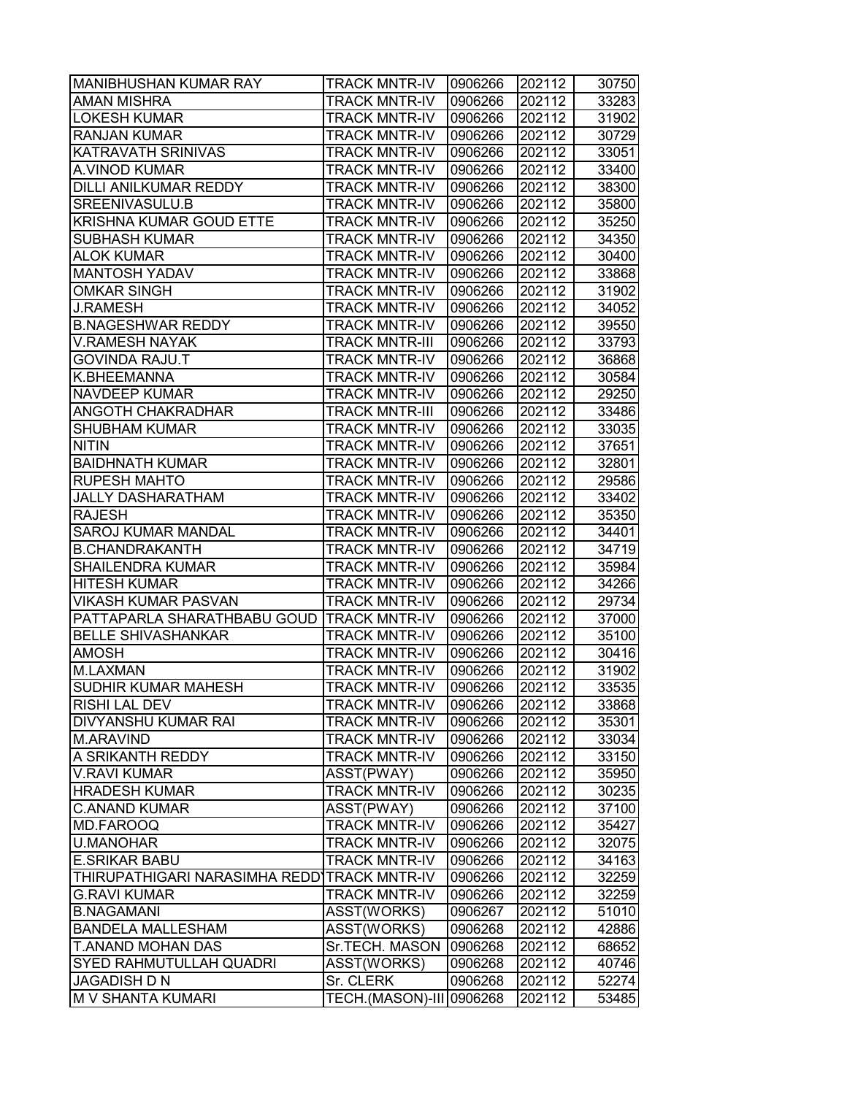| MANIBHUSHAN KUMAR RAY                       | <b>TRACK MNTR-IV</b>     | 0906266 | 202112 | 30750 |
|---------------------------------------------|--------------------------|---------|--------|-------|
| AMAN MISHRA                                 | <b>TRACK MNTR-IV</b>     | 0906266 | 202112 | 33283 |
| <b>LOKESH KUMAR</b>                         | <b>TRACK MNTR-IV</b>     | 0906266 | 202112 | 31902 |
| <b>RANJAN KUMAR</b>                         | <b>TRACK MNTR-IV</b>     | 0906266 | 202112 | 30729 |
| <b>KATRAVATH SRINIVAS</b>                   | <b>TRACK MNTR-IV</b>     | 0906266 | 202112 | 33051 |
| A.VINOD KUMAR                               | <b>TRACK MNTR-IV</b>     | 0906266 | 202112 | 33400 |
| DILLI ANILKUMAR REDDY                       | <b>TRACK MNTR-IV</b>     | 0906266 | 202112 | 38300 |
| SREENIVASULU.B                              | <b>TRACK MNTR-IV</b>     | 0906266 | 202112 | 35800 |
| KRISHNA KUMAR GOUD ETTE                     | <b>TRACK MNTR-IV</b>     | 0906266 | 202112 | 35250 |
| SUBHASH KUMAR                               | <b>TRACK MNTR-IV</b>     | 0906266 | 202112 | 34350 |
| <b>ALOK KUMAR</b>                           | <b>TRACK MNTR-IV</b>     | 0906266 | 202112 | 30400 |
| <b>MANTOSH YADAV</b>                        | <b>TRACK MNTR-IV</b>     | 0906266 | 202112 | 33868 |
| <b>OMKAR SINGH</b>                          | <b>TRACK MNTR-IV</b>     | 0906266 | 202112 | 31902 |
| <b>J.RAMESH</b>                             | TRACK MNTR-IV            | 0906266 | 202112 | 34052 |
| <b>B.NAGESHWAR REDDY</b>                    | <b>TRACK MNTR-IV</b>     | 0906266 | 202112 | 39550 |
| <b>V.RAMESH NAYAK</b>                       | TRACK MNTR-III           | 0906266 | 202112 | 33793 |
| <b>GOVINDA RAJU.T</b>                       | <b>TRACK MNTR-IV</b>     | 0906266 | 202112 | 36868 |
| K.BHEEMANNA                                 | <b>TRACK MNTR-IV</b>     | 0906266 | 202112 | 30584 |
| <b>NAVDEEP KUMAR</b>                        | <b>TRACK MNTR-IV</b>     | 0906266 | 202112 | 29250 |
| ANGOTH CHAKRADHAR                           | <b>TRACK MNTR-III</b>    | 0906266 | 202112 | 33486 |
| <b>SHUBHAM KUMAR</b>                        | <b>TRACK MNTR-IV</b>     | 0906266 | 202112 | 33035 |
| <b>NITIN</b>                                | <b>TRACK MNTR-IV</b>     | 0906266 | 202112 | 37651 |
| <b>BAIDHNATH KUMAR</b>                      | TRACK MNTR-IV            | 0906266 | 202112 | 32801 |
| <b>RUPESH MAHTO</b>                         | <b>TRACK MNTR-IV</b>     | 0906266 | 202112 | 29586 |
| <b>JALLY DASHARATHAM</b>                    | <b>TRACK MNTR-IV</b>     | 0906266 | 202112 | 33402 |
| <b>RAJESH</b>                               | TRACK MNTR-IV            | 0906266 | 202112 | 35350 |
| <b>SAROJ KUMAR MANDAL</b>                   | TRACK MNTR-IV            | 0906266 | 202112 | 34401 |
| <b>B.CHANDRAKANTH</b>                       | TRACK MNTR-IV            | 0906266 | 202112 | 34719 |
| <b>SHAILENDRA KUMAR</b>                     | <b>TRACK MNTR-IV</b>     | 0906266 | 202112 | 35984 |
| <b>HITESH KUMAR</b>                         | <b>TRACK MNTR-IV</b>     | 0906266 | 202112 | 34266 |
| <b>VIKASH KUMAR PASVAN</b>                  | <b>TRACK MNTR-IV</b>     | 0906266 | 202112 | 29734 |
| PATTAPARLA SHARATHBABU GOUD TRACK MNTR-IV   |                          | 0906266 | 202112 | 37000 |
| <b>BELLE SHIVASHANKAR</b>                   | <b>TRACK MNTR-IV</b>     | 0906266 | 202112 | 35100 |
| AMOSH                                       | <b>TRACK MNTR-IV</b>     | 0906266 | 202112 | 30416 |
| M.LAXMAN                                    | <b>TRACK MNTR-IV</b>     | 0906266 | 202112 | 31902 |
| SUDHIR KUMAR MAHESH                         | <b>TRACK MNTR-IV</b>     | 0906266 | 202112 | 33535 |
| <b>RISHI LAL DEV</b>                        | <b>TRACK MNTR-IV</b>     | 0906266 | 202112 | 33868 |
| DIVYANSHU KUMAR RAI                         | TRACK MNTR-IV            | 0906266 | 202112 | 35301 |
| M.ARAVIND                                   | TRACK MNTR-IV            | 0906266 | 202112 | 33034 |
| A SRIKANTH REDDY                            | <b>TRACK MNTR-IV</b>     | 0906266 | 202112 | 33150 |
| <b>V.RAVI KUMAR</b>                         | ASST(PWAY)               | 0906266 | 202112 | 35950 |
| <b>HRADESH KUMAR</b>                        | <b>TRACK MNTR-IV</b>     | 0906266 | 202112 | 30235 |
| <b>C.ANAND KUMAR</b>                        | ASST(PWAY)               | 0906266 | 202112 | 37100 |
| MD.FAROOQ                                   | <b>TRACK MNTR-IV</b>     | 0906266 | 202112 | 35427 |
| <b>U.MANOHAR</b>                            | TRACK MNTR-IV            | 0906266 | 202112 | 32075 |
| <b>E.SRIKAR BABU</b>                        | TRACK MNTR-IV            | 0906266 | 202112 | 34163 |
| THIRUPATHIGARI NARASIMHA REDDITRACK MNTR-IV |                          | 0906266 | 202112 | 32259 |
| <b>G.RAVI KUMAR</b>                         | TRACK MNTR-IV            | 0906266 | 202112 | 32259 |
| <b>B.NAGAMANI</b>                           | ASST(WORKS)              | 0906267 | 202112 | 51010 |
| <b>BANDELA MALLESHAM</b>                    | ASST(WORKS)              | 0906268 | 202112 | 42886 |
| T.ANAND MOHAN DAS                           | Sr.TECH. MASON           | 0906268 | 202112 | 68652 |
| <b>SYED RAHMUTULLAH QUADRI</b>              | ASST(WORKS)              | 0906268 | 202112 | 40746 |
| <b>JAGADISH D N</b>                         | Sr. CLERK                | 0906268 | 202112 | 52274 |
| M V SHANTA KUMARI                           | TECH.(MASON)-III 0906268 |         | 202112 | 53485 |